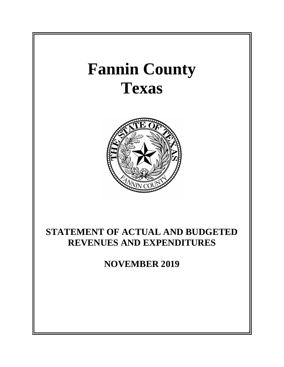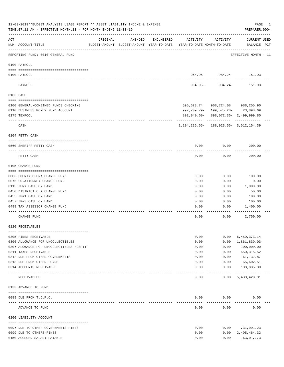|      | 12-03-2019**BUDGET ANALYSIS USAGE REPORT ** ASSET LIABILITY INCOME & EXPENSE<br>TIME: 07:11 AM - EFFECTIVE MONTH: 11 - FOR MONTH ENDING 11-30-19 |          |         |            |                                                                                 |                                    | PAGE<br>1<br>PREPARER: 0004        |
|------|--------------------------------------------------------------------------------------------------------------------------------------------------|----------|---------|------------|---------------------------------------------------------------------------------|------------------------------------|------------------------------------|
| ACT  | NUM ACCOUNT-TITLE                                                                                                                                | ORIGINAL | AMENDED | ENCUMBERED | ACTIVITY<br>BUDGET-AMOUNT BUDGET-AMOUNT YEAR-TO-DATE YEAR-TO-DATE MONTH-TO-DATE | ACTIVITY                           | <b>CURRENT USED</b><br>BALANCE PCT |
|      | REPORTING FUND: 0010 GENERAL FUND                                                                                                                |          |         |            |                                                                                 |                                    | EFFECTIVE MONTH - 11               |
|      | 0100 PAYROLL                                                                                                                                     |          |         |            |                                                                                 |                                    |                                    |
|      | 0100 PAYROLL                                                                                                                                     |          |         |            |                                                                                 |                                    | $964.95 - 984.24 - 151.93 -$       |
|      | ---- -------<br>PAYROLL                                                                                                                          |          |         |            | $964.95 -$                                                                      | -----------<br>984.24-             | 151.93-                            |
|      | 0103 CASH                                                                                                                                        |          |         |            |                                                                                 |                                    |                                    |
|      | 0100 GENERAL-COMBINED FUNDS CHECKING                                                                                                             |          |         |            |                                                                                 | 595,523.74 908,724.08 988,255.90   |                                    |
|      | 0110 BUSINESS MONEY FUND ACCOUNT                                                                                                                 |          |         |            |                                                                                 | 997,709.79- 199,575.28- 23,898.69  |                                    |
|      | 0175 TEXPOOL                                                                                                                                     |          |         |            |                                                                                 | 892,040.60-898,072.36-2,499,999.80 |                                    |
|      | CASH                                                                                                                                             |          |         |            | 1, 294, 226.65 - 188, 923.56 - 3, 512, 154.39                                   |                                    |                                    |
|      | 0104 PETTY CASH                                                                                                                                  |          |         |            |                                                                                 |                                    |                                    |
|      | 0560 SHERIFF PETTY CASH                                                                                                                          |          |         |            | 0.00                                                                            | 0.00                               | 200.00                             |
|      | PETTY CASH                                                                                                                                       |          |         |            | 0.00                                                                            | 0.00                               | 200.00                             |
|      | 0105 CHANGE FUND                                                                                                                                 |          |         |            |                                                                                 |                                    |                                    |
|      |                                                                                                                                                  |          |         |            |                                                                                 |                                    |                                    |
|      | 0003 COUNTY CLERK CHANGE FUND                                                                                                                    |          |         |            | 0.00                                                                            | 0.00                               | 100.00                             |
|      | 0075 CO. ATTORNEY CHANGE FUND                                                                                                                    |          |         |            | 0.00                                                                            | 0.00                               | 0.00                               |
|      | 0115 JURY CASH ON HAND                                                                                                                           |          |         |            | 0.00                                                                            | 0.00                               | 1,000.00                           |
|      | 0450 DISTRICT CLK. CHANGE FUND                                                                                                                   |          |         |            | 0.00                                                                            | 0.00                               | 50.00                              |
|      | 0455 JP#1 CASH ON HAND                                                                                                                           |          |         |            | 0.00                                                                            | 0.00                               | 100.00                             |
|      | 0457 JP#3 CASH ON HAND                                                                                                                           |          |         |            | 0.00                                                                            | 0.00                               | 100.00                             |
|      | 0499 TAX ASSESSOR CHANGE FUND                                                                                                                    |          |         |            | 0.00                                                                            | 0.00                               | 1,400.00                           |
|      | CHANGE FUND                                                                                                                                      |          |         |            | 0.00                                                                            | 0.00                               | 2,750.00                           |
|      | 0120 RECEIVABLES                                                                                                                                 |          |         |            |                                                                                 |                                    |                                    |
|      | 0305 FINES RECEIVABLE                                                                                                                            |          |         |            | 0.00                                                                            | 0.00                               | 6,459,373.14                       |
|      | 0306 ALLOWANCE FOR UNCOLLECTIBLES                                                                                                                |          |         |            | 0.00                                                                            | 0.00                               | 1,861,839.03-                      |
|      | 0307 ALOWANCE FOR UNCOLLECTIBLES HOSPIT                                                                                                          |          |         |            | 0.00                                                                            | 0.00                               | 100,000.00-                        |
|      | 0311 TAXES RECEIVABLE                                                                                                                            |          |         |            | 0.00                                                                            | 0.00                               | 650, 315.52                        |
|      | 0312 DUE FROM OTHER GOVERNMENTS                                                                                                                  |          |         |            | 0.00                                                                            | 0.00                               | 161,132.87                         |
|      | 0313 DUE FROM OTHER FUNDS                                                                                                                        |          |         |            | 0.00                                                                            | 0.00                               | 65,602.51                          |
| ---- | 0314 ACCOUNTS RECEIVABLE                                                                                                                         |          |         |            | 0.00                                                                            | 0.00<br>$- - - - -$                | 108,835.30<br>-------------        |
|      | RECEIVABLES                                                                                                                                      |          |         |            | 0.00                                                                            | 0.00                               | 5,483,420.31                       |
|      | 0133 ADVANCE TO FUND                                                                                                                             |          |         |            |                                                                                 |                                    |                                    |
|      | 0089 DUE FROM T.J.P.C.                                                                                                                           |          |         |            | 0.00                                                                            | 0.00                               | 0.00                               |
|      | ADVANCE TO FUND                                                                                                                                  |          |         |            | 0.00                                                                            | 0.00                               | 0.00                               |
|      | 0200 LIABILITY ACCOUNT                                                                                                                           |          |         |            |                                                                                 |                                    |                                    |
|      |                                                                                                                                                  |          |         |            |                                                                                 |                                    |                                    |
|      | 0097 DUE TO OTHER GOVERNMENTS-FINES                                                                                                              |          |         |            | 0.00                                                                            | 0.00                               | 731,991.23                         |
|      | 0099 DUE TO OTHERS-FINES<br>0150 ACCRUED SALARY PAYABLE                                                                                          |          |         |            | 0.00<br>0.00                                                                    | 0.00<br>0.00                       | 2,495,464.32                       |
|      |                                                                                                                                                  |          |         |            |                                                                                 |                                    | 163,017.73                         |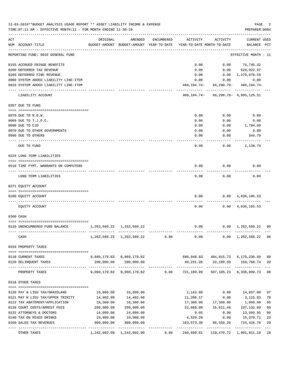|     | 12-03-2019**BUDGET ANALYSIS USAGE REPORT ** ASSET LIABILITY INCOME & EXPENSE<br>TIME: 07:11 AM - EFFECTIVE MONTH: 11 - FOR MONTH ENDING 11-30-19 |                                                 |                                                     |            |                                        |                                              | PAGE<br>PREPARER: 0004                        | 2              |
|-----|--------------------------------------------------------------------------------------------------------------------------------------------------|-------------------------------------------------|-----------------------------------------------------|------------|----------------------------------------|----------------------------------------------|-----------------------------------------------|----------------|
| ACT | NUM ACCOUNT-TITLE                                                                                                                                | ORIGINAL                                        | AMENDED<br>BUDGET-AMOUNT BUDGET-AMOUNT YEAR-TO-DATE | ENCUMBERED | ACTIVITY<br>YEAR-TO-DATE MONTH-TO-DATE | ACTIVITY                                     | CURRENT USED<br>BALANCE PCT                   |                |
|     | REPORTING FUND: 0010 GENERAL FUND                                                                                                                |                                                 |                                                     |            |                                        |                                              | EFFECTIVE MONTH - 11                          |                |
|     | 0155 ACCRUED FRINGE BENEFITS                                                                                                                     |                                                 |                                                     |            | 0.00                                   |                                              | $0.00$ $74,745.32$                            |                |
|     | 0200 DEFERRED TAX REVENUE                                                                                                                        |                                                 |                                                     |            | 0.00                                   |                                              | $0.00$ 620,022.87                             |                |
|     | 0205 DEFERRED FINE REVENUE                                                                                                                       |                                                 |                                                     |            | 0.00                                   |                                              | 0.00 1,370,078.58                             |                |
|     | 0900 SYSTEM ADDED LIABILITY LINE-ITEM                                                                                                            |                                                 |                                                     |            | 0.00                                   |                                              | 0.00<br>0.00                                  |                |
|     | 0910 SYSTEM ADDED LIABILITY LINE-ITEM                                                                                                            |                                                 |                                                     |            | 460,194.74-                            | -------------                                | $66, 290.70 - 460, 194.74 -$<br>------------- |                |
|     | LIABILITY ACCOUNT                                                                                                                                |                                                 |                                                     |            |                                        | 460, 194. 74 - 66, 290. 70 - 4, 995, 125. 31 |                                               |                |
|     | 0207 DUE TO FUND                                                                                                                                 |                                                 |                                                     |            |                                        |                                              |                                               |                |
|     | 0070 DUE TO R.O.W.                                                                                                                               |                                                 |                                                     |            | 0.00                                   | 0.00                                         | 0.00                                          |                |
|     | 0089 DUE TO T.J.P.C.                                                                                                                             |                                                 |                                                     |            | 0.00                                   | 0.00                                         | 0.00                                          |                |
|     | 0090 DUE TO CJD                                                                                                                                  |                                                 |                                                     |            | 0.00                                   | 0.00                                         | 1,794.00                                      |                |
|     | 0970 DUE TO OTHER GOVERNMENTS                                                                                                                    |                                                 |                                                     |            | 0.00                                   | 0.00                                         | 0.00                                          |                |
|     | 0990 DUE TO OTHERS                                                                                                                               |                                                 |                                                     |            | 0.00                                   | 0.00                                         | 344.79                                        |                |
|     | DUE TO FUND                                                                                                                                      |                                                 |                                                     |            | 0.00                                   | 0.00                                         | 2,138.79                                      |                |
|     | 0225 LONG TERM LIABILITIES                                                                                                                       |                                                 |                                                     |            |                                        |                                              |                                               |                |
|     | 0510 TIME PYMT. WARRANTS ON COMPUTERS                                                                                                            |                                                 |                                                     |            | 0.00                                   | 0.00                                         | 0.00                                          |                |
|     | LONG TERM LIABILITIES                                                                                                                            |                                                 |                                                     |            | 0.00                                   | 0.00                                         | 0.00                                          |                |
|     | 0271 EQUITY ACCOUNT                                                                                                                              |                                                 |                                                     |            |                                        |                                              |                                               |                |
|     | 0200 EQUITY ACCOUNT                                                                                                                              |                                                 |                                                     |            | 0.00                                   |                                              | $0.00 \quad 4,836,105.53$                     |                |
|     | EQUITY ACCOUNT                                                                                                                                   |                                                 |                                                     |            |                                        | 0.00                                         | $0.00 \quad 4,836,105.53$                     |                |
|     | 0300 CASH                                                                                                                                        |                                                 |                                                     |            |                                        |                                              |                                               |                |
|     |                                                                                                                                                  |                                                 |                                                     |            |                                        |                                              |                                               |                |
|     | 0110 UNENCUMBERED FUND BALANCE                                                                                                                   | 1, 262, 560. 22 1, 262, 560. 22<br>------------ |                                                     |            | 0.00                                   | $0.00 \quad 1,262,560.22$                    |                                               | 0 <sub>0</sub> |
|     | CASH                                                                                                                                             |                                                 | 1, 262, 560. 22 1, 262, 560. 22                     | 0.00       | $0.00$ $0.00$ $1,262,560.22$           |                                              |                                               | 0 <sub>0</sub> |
|     | 0310 PROPERTY TAXES                                                                                                                              |                                                 |                                                     |            |                                        |                                              |                                               |                |
|     |                                                                                                                                                  |                                                 |                                                     |            |                                        |                                              |                                               |                |
|     | 0110 CURRENT TAXES                                                                                                                               |                                                 | 8,860,179.82 8,860,179.82                           |            |                                        | 680,948.83 484,915.73 8,179,230.99           |                                               | 08             |
|     | 0120 DELINQUENT TAXES                                                                                                                            | 200,000.00                                      | 200,000.00                                          |            |                                        | 40,231.26 22,189.50 159,768.74               |                                               | 20             |
|     | PROPERTY TAXES                                                                                                                                   |                                                 |                                                     |            |                                        |                                              | 507, 105. 23 8, 338, 999. 73                  | 08             |
|     | 0318 OTHER TAXES                                                                                                                                 |                                                 |                                                     |            |                                        |                                              |                                               |                |
|     | 0120 PAY N LIEU TAX/GRASSLAND                                                                                                                    | 16,000.00                                       | 16,000.00                                           |            | 1,143.00                               | 0.00                                         | 14,857.00                                     | 07             |
|     | 0121 PAY N LIEU TAX/UPPER TRINITY                                                                                                                | 14,402.00                                       | 14,402.00                                           |            | 11,286.17                              | 0.00                                         | 3,115.83                                      | 78             |
|     | 0122 TAX ABATEMENT/APPLICATION                                                                                                                   | 18,300.00                                       | 18,300.00                                           |            | 17,300.00                              | 17,300.00                                    | 1,000.00                                      | 95             |
|     | 0130 COURT COSTS/ARREST FEES                                                                                                                     | 260,000.00                                      | 260,000.00                                          |            | 22,868.00                              | 15,611.46                                    | 237,132.00                                    | 09             |
|     | 0132 ATTORNEYS & DOCTORS                                                                                                                         | 14,000.00                                       | 14,000.00                                           |            | 0.05                                   | 0.00                                         | 13,999.95                                     | 0 <sub>0</sub> |
|     | 0140 TAX ON MIXED DRINKS                                                                                                                         | 19,900.00                                       | 19,900.00                                           |            | 4,520.29                               | 0.00                                         | 15,379.71                                     | 23             |
|     | 0160 SALES TAX REVENUES                                                                                                                          | 900,000.00                                      | 900,000.00                                          |            | 183,573.30                             | 86,559.26                                    | 716,426.70                                    | 20             |
|     | OTHER TAXES                                                                                                                                      |                                                 | 1, 242, 602.00 1, 242, 602.00                       | 0.00       | 240,690.81                             | ----------                                   | 119, 470.72 1, 001, 911.19                    | $- - -$<br>19  |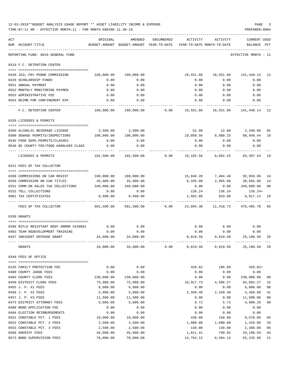|     | 12-03-2019**BUDGET ANALYSIS USAGE REPORT ** ASSET LIABILITY INCOME & EXPENSE<br>TIME: 07:11 AM - EFFECTIVE MONTH: 11 - FOR MONTH ENDING 11-30-19 |                         |                                                                                                                            |            |                   |                   | PAGE<br>PREPARER: 0004                                                   |                |
|-----|--------------------------------------------------------------------------------------------------------------------------------------------------|-------------------------|----------------------------------------------------------------------------------------------------------------------------|------------|-------------------|-------------------|--------------------------------------------------------------------------|----------------|
| ACT | NUM ACCOUNT-TITLE                                                                                                                                | ORIGINAL                | AMENDED<br>BUDGET-AMOUNT BUDGET-AMOUNT YEAR-TO-DATE YEAR-TO-DATE MONTH-TO-DATE                                             | ENCUMBERED | ACTIVITY          | ACTIVITY          | CURRENT USED<br>BALANCE PCT                                              |                |
|     | REPORTING FUND: 0010 GENERAL FUND                                                                                                                |                         |                                                                                                                            |            |                   |                   | EFFECTIVE MONTH - 11                                                     |                |
|     | 0319 F.C. DETENTION CENTER                                                                                                                       |                         |                                                                                                                            |            |                   |                   |                                                                          |                |
|     | 0420 JAIL PAY PHONE COMMISSION                                                                                                                   | 160,000.00              | 160,000.00                                                                                                                 |            |                   |                   | 18,551.86  18,551.86  141,448.14  12                                     |                |
|     | 0429 SCHOLARSHIP FUNDS                                                                                                                           | 0.00                    | 0.00                                                                                                                       |            | 0.00              | 0.00              | 0.00                                                                     |                |
|     | 0551 ANNUAL PAYMENT                                                                                                                              | 0.00                    | 0.00                                                                                                                       |            | 0.00              | 0.00              | 0.00                                                                     |                |
|     | 0552 MONTHLY MONITORING PAYMEN                                                                                                                   | 0.00                    | 0.00                                                                                                                       |            | 0.00              | 0.00              | 0.00                                                                     |                |
|     | 0553 ADMINISTRATIVE FEE                                                                                                                          | 0.00                    | 0.00                                                                                                                       |            |                   |                   | $0.00$ $0.00$ $0.00$                                                     |                |
|     | 0554 REIMB.FOR CONFINEMENT EXP.                                                                                                                  | 0.00                    | 0.00                                                                                                                       |            | 0.00              | 0.00              | 0.00                                                                     |                |
|     | F.C. DETENTION CENTER                                                                                                                            |                         | 160,000.00 160,000.00 0.00 18,551.86 18,551.86 141,448.14 12                                                               |            |                   |                   |                                                                          |                |
|     | 0320 LICENSES & PERMITS                                                                                                                          |                         |                                                                                                                            |            |                   |                   |                                                                          |                |
|     | -------------------------------------                                                                                                            |                         |                                                                                                                            |            |                   |                   |                                                                          |                |
|     | 0200 ALCOHLIC BEVERAGE LICENSE                                                                                                                   |                         | 2,500.00 2,500.00                                                                                                          |            |                   |                   | 52.00 12.00 2,448.00                                                     | 02             |
|     | 0300 SEWAGE PERMITS/INSPECTIONS                                                                                                                  | 100,000.00 100,000.00   |                                                                                                                            |            |                   |                   | 19,050.56 8,080.25 80,949.44                                             | 19             |
|     | 0545 FOOD SERV. PERMITS/CLASSES                                                                                                                  | 0.00                    | 0.00                                                                                                                       |            | 0.00              | 0.00              | 0.00                                                                     |                |
|     | 0546 \$5 COUNTY FEE/FOOD HANDLERS CLASS                                                                                                          | 0.00                    | 0.00                                                                                                                       |            | 0.00              | 0.00<br>--------- | 0.00                                                                     |                |
|     | LICENSES & PERMITS                                                                                                                               |                         |                                                                                                                            |            |                   |                   |                                                                          |                |
|     | 0321 FEES OF TAX COLLECTOR                                                                                                                       |                         |                                                                                                                            |            |                   |                   |                                                                          |                |
|     |                                                                                                                                                  |                         |                                                                                                                            |            |                   |                   |                                                                          |                |
|     | 0200 COMMISSIONS ON CAR REGIST<br>0250 COMMISSION ON CAR TITLES                                                                                  | 45,000.00               | 108,000.00    108,000.00<br>45,000.00                                                                                      |            |                   |                   | 15,040.20 7,484.40 92,959.80 14<br>6,335.00 2,965.00 38,665.00           | 14             |
|     | 0251 COMM.ON SALES TAX COLLECTIONS 340,000.00 340,000.00                                                                                         |                         |                                                                                                                            |            | 0.00              |                   | $0.00$ $340,000.00$                                                      | 0 <sub>0</sub> |
|     | 0252 TOLL COLLECTIONS                                                                                                                            | 0.00                    | 0.00                                                                                                                       |            |                   | 136.24 136.24     | $136.24+$                                                                |                |
|     | 0901 TAX CERTIFICATES                                                                                                                            | 8,500.00                | 8,500.00                                                                                                                   |            | 1,582.86          | 833.08            | 6,917.14 19                                                              |                |
|     | FEES OF TAX COLLECTOR                                                                                                                            |                         | 501,500.00 501,500.00              0.00              23,094.30             11,418.72             478,405.70             05 |            |                   | ------------      |                                                                          |                |
|     | 0330 GRANTS                                                                                                                                      |                         |                                                                                                                            |            |                   |                   |                                                                          |                |
|     |                                                                                                                                                  |                         |                                                                                                                            |            |                   |                   |                                                                          |                |
|     | 0396 RIFLE RESISTANT BODY ARMOR 3439801                                                                                                          | 0.00                    | 0.00                                                                                                                       |            |                   | $0.00$ $0.00$     | 0.00                                                                     |                |
|     | 0403 TEAM REDEVELOPMENT TRAINING                                                                                                                 | 0.00                    | 0.00                                                                                                                       |            | 0.00              | 0.00              | 0.00                                                                     |                |
|     | 0437 INDIGENT DEFENSE GRANT                                                                                                                      | 34,000.00               | 34,000.00                                                                                                                  |            | 8,819.50          | 8,819.50          | 25,180.50                                                                | 26             |
|     | GRANTS                                                                                                                                           | 34,000.00               |                                                                                                                            |            |                   |                   | 34,000.00        0.00       8,819.50      8,819.50      25,180.50     26 |                |
|     | 0340 FEES OF OFFICE                                                                                                                              |                         |                                                                                                                            |            |                   |                   |                                                                          |                |
|     |                                                                                                                                                  |                         |                                                                                                                            |            |                   |                   |                                                                          |                |
|     | 0135 FAMILY PROTECTION FEE                                                                                                                       | 0.00                    | 0.00                                                                                                                       |            | 420.82            | 195.00            | $420.82+$                                                                |                |
|     | 0400 COUNTY JUDGE FEES                                                                                                                           | 0.00                    | 0.00                                                                                                                       |            | 0.00              | 0.00              | 0.00                                                                     |                |
|     | 0403 COUNTY CLERK FEES<br>0450 DISTRICT CLERK FEES                                                                                               | 230,000.00<br>75,000.00 | 230,000.00<br>75,000.00                                                                                                    |            | 0.00              | 0.00<br>4,586.27  | 230,000.00<br>64,082.27                                                  | 00<br>15       |
|     | 0455 J. P. #1 FEES                                                                                                                               | 6,000.00                | 6,000.00                                                                                                                   |            | 10,917.73<br>0.00 | 0.00              | 6,000.00                                                                 | 0 <sub>0</sub> |
|     | 0456 J. P. #2 FEES                                                                                                                               | 5,800.00                | 5,800.00                                                                                                                   |            | 2,349.40          | 2,349.40          | 3,450.60                                                                 | 41             |
|     | 0457 J. P. #3 FEES                                                                                                                               | 11,500.00               | 11,500.00                                                                                                                  |            | 0.00              | 0.00              | 11,500.00                                                                | 0 <sub>0</sub> |
|     | 0475 DISTRICT ATTORNEY FEES                                                                                                                      | 5,000.00                | 5,000.00                                                                                                                   |            | 9.72              | 5.72              | 4,990.28                                                                 | 00             |
|     | 0480 BOND APPLICATION FEE                                                                                                                        | 0.00                    | 0.00                                                                                                                       |            | 0.00              | 0.00              | 0.00                                                                     |                |
|     | 0484 ELECTION REIMBURSEMENTS                                                                                                                     | 0.00                    | 0.00                                                                                                                       |            | 0.00              | 0.00              | 0.00                                                                     |                |
|     | 0551 CONSTABLE PCT. 1 FEES                                                                                                                       | 10,000.00               | 10,000.00                                                                                                                  |            | 430.00            | 150.00            | 9,570.00                                                                 | 04             |
|     | 0552 CONSTABLE PCT. 2 FEES                                                                                                                       | 2,500.00                | 2,500.00                                                                                                                   |            | 1,080.00          | 1,080.00          | 1,420.00                                                                 | 43             |
|     | 0553 CONSTABLE PCT. 3 FEES                                                                                                                       | 2,500.00                | 2,500.00                                                                                                                   |            | 140.00            | 140.00            | 2,360.00                                                                 | 06             |
|     | 0560 SHERIFF FEES                                                                                                                                | 45,000.00               | 45,000.00                                                                                                                  |            | 1,811.41          | 799.92            | 43,188.59                                                                | 04             |
|     | 0573 BOND SUPERVISION FEES                                                                                                                       | 70,000.00               | 70,000.00                                                                                                                  |            | 14,764.12         | 8,494.12          | 55,235.88                                                                | 21             |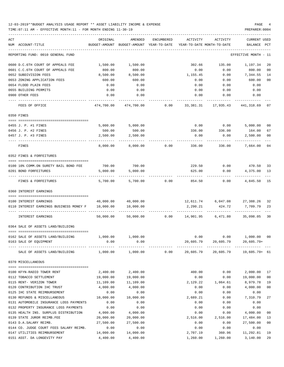### 12-03-2019\*\*BUDGET ANALYSIS USAGE REPORT \*\* ASSET LIABILITY INCOME & EXPENSE PAGE 4 TIME:07:11 AM - EFFECTIVE MONTH:11 - FOR MONTH ENDING 11-30-19 PREPARER:0004

| ACT<br>NUM ACCOUNT-TITLE                | ORIGINAL<br>BUDGET-AMOUNT | AMENDED             | ENCUMBERED | ACTIVITY<br>BUDGET-AMOUNT YEAR-TO-DATE YEAR-TO-DATE MONTH-TO-DATE | ACTIVITY                                    | <b>CURRENT USED</b><br>BALANCE PCT |                |
|-----------------------------------------|---------------------------|---------------------|------------|-------------------------------------------------------------------|---------------------------------------------|------------------------------------|----------------|
| REPORTING FUND: 0010 GENERAL FUND       |                           |                     |            |                                                                   |                                             | EFFECTIVE MONTH - 11               |                |
| 0600 D.C.6TH COURT OF APPEALS FEE       | 1,500.00                  | 1,500.00            |            | 302.66                                                            | 135.00                                      | 1,197.34                           | 20             |
| 0601 C.C.6TH COURT OF APPEALS FEE       | 800.00                    | 800.00              |            | 0.00                                                              | 0.00                                        | 800.00                             | 00             |
| 0652 SUBDIVISION FEES                   | 8,500.00                  | 8,500.00            |            | 1,155.45                                                          | 0.00                                        | 7,344.55                           | 14             |
| 0653 ZONING APPLICATION FEES            | 600.00                    | 600.00              |            | 0.00                                                              | 0.00                                        | 600.00                             | 0 <sub>0</sub> |
| 0654 FLOOD PLAIN FEES                   | 0.00                      | 0.00                |            | 0.00                                                              | 0.00                                        | 0.00                               |                |
| 0655 BUILDING PERMITS                   | 0.00                      | 0.00                |            | 0.00                                                              | 0.00                                        | 0.00                               |                |
| 0900 OTHER FEES                         | 0.00                      | 0.00                |            | 0.00                                                              | 0.00                                        | 0.00                               |                |
| FEES OF OFFICE                          | 474,700.00                | 474,700.00          |            |                                                                   | $0.00$ $33,381.31$ $17,935.43$ $441,318.69$ |                                    | 07             |
| 0350 FINES                              |                           |                     |            |                                                                   |                                             |                                    |                |
| 0455 J. P. #1 FINES                     | 5,000.00                  | 5,000.00            |            |                                                                   | $0.00$ $0.00$ $5,000.00$                    |                                    | 00             |
| 0456 J. P. #2 FINES                     | 500.00                    | 500.00              |            | 336.00                                                            | 336.00                                      | 164.00                             | 67             |
| 0457 J. P. #3 FINES                     | 2,500.00                  | 2,500.00            |            | 0.00                                                              | 0.00                                        | 2,500.00                           | 0 <sub>0</sub> |
| FINES                                   | 8,000.00                  | 8,000.00            | 0.00       | 336.00                                                            | 336.00                                      | 7,664.00                           | 04             |
| 0352 FINES & FORFEITURES                |                           |                     |            |                                                                   |                                             |                                    |                |
| 0100 10% COMM.ON SURETY BAIL BOND FEE   | 700.00                    | 700.00              |            | 229.50                                                            |                                             | $0.00$ 470.50                      | 33             |
| 0201 BOND FORFEITURES                   | 5,000.00                  | 5,000.00            |            | 625.00                                                            | 0.00                                        | 4,375.00                           | 13             |
| FINES & FORFEITURES                     | 5,700.00                  | 5,700.00            | 0.00       | 854.50                                                            | 0.00                                        | 4,845.50                           | 15             |
| 0360 INTEREST EARNINGS                  |                           |                     |            |                                                                   |                                             |                                    |                |
| 0100 INTEREST EARNINGS                  |                           | 40,000.00 40,000.00 |            |                                                                   | $12,611.74$ 6,047.08 27,388.26              |                                    | 32             |
| 0110 INTEREST EARNINGS BUSINESS MONEY F | 10,000.00                 | 10,000.00           |            | 2,290.21                                                          | 424.72                                      | 7,709.79                           | 23             |
| <b>INTEREST EARNINGS</b>                | 50,000.00                 |                     |            |                                                                   | -----------                                 |                                    | 30             |
| 0364 SALE OF ASSETS LAND/BUILDING       |                           |                     |            |                                                                   |                                             |                                    |                |
| 0162 SALE OF ASSETS LAND/BUILDING       | $1,000.00$ $1,000.00$     |                     |            |                                                                   | $0.00$ $0.00$ $1,000.00$                    |                                    | 0 <sub>0</sub> |
| 0163 SALE OF EQUIPMENT                  | 0.00                      | 0.00                |            | 20,605.79                                                         | 20,605.79                                   | $20,605.79+$                       |                |
| SALE OF ASSETS LAND/BUILDING            | 1,000.00                  | 1,000.00            | 0.00       |                                                                   |                                             |                                    |                |
| 0370 MISCELLANEOUS                      |                           |                     |            |                                                                   |                                             |                                    |                |
| 0100 KFYN-RADIO TOWER RENT              | 2,400.00                  | 2,400.00            |            | 400.00                                                            | 0.00                                        | 2,000.00                           | 17             |
| 0112 TOBACCO SETTLEMENT                 | 19,000.00                 | 19,000.00           |            | 0.00                                                              | 0.00                                        | 19,000.00                          | 0 <sub>0</sub> |
| 0115 RENT- VERIZON TOWER                | 11,109.00                 | 11,109.00           |            | 2,129.22                                                          | 1,064.61                                    | 8,979.78                           | 19             |
| 0120 CONTRIBUTION IHC TRUST             | 4,000.00                  | 4,000.00            |            | 0.00                                                              | 0.00                                        | 4,000.00                           | 0 <sub>0</sub> |
| 0125 IHC STATE REIMBURSEMENT            | 0.00                      | 0.00                |            | 0.00                                                              | 0.00                                        | 0.00                               |                |
| 0130 REFUNDS & MISCELLANEOUS            | 10,000.00                 | 10,000.00           |            | 2,689.21                                                          | 0.00                                        | 7,310.79                           | 27             |
| 0131 AUTOMOBILE INSURANCE LOSS PAYMENTS | 0.00                      | 0.00                |            | 0.00                                                              | 0.00                                        | 0.00                               |                |
| 0132 PROPERTY INSURANCE LOSS PAYMENTS   | 0.00                      | 0.00                |            | 0.00                                                              | 0.00                                        | 0.00                               |                |
| 0135 HEALTH INS. SURPLUS DISTRIBUTION   | 4,000.00                  | 4,000.00            |            | 0.00                                                              | 0.00                                        | 4,000.00                           | 0 <sub>0</sub> |
| 0139 STATE JUROR REIMB.FEE              | 20,000.00                 | 20,000.00           |            | 2,516.00                                                          | 2,516.00                                    | 17,484.00                          | 13             |
| 0143 D.A.SALARY REIMB.                  | 27,500.00                 | 27,500.00           |            | 0.00                                                              | 0.00                                        | 27,500.00                          | 0 <sub>0</sub> |
| 0144 CO. JUDGE COURT FEES SALARY REIMB. | 0.00                      | 0.00                |            | 0.00                                                              | 0.00                                        | 0.00                               |                |
| 0147 UTILITIES REIMBURSEMENT            | 14,000.00                 | 14,000.00           |            | 2,707.19                                                          | 360.96                                      | 11,292.81 19                       |                |

0151 ASST. DA LONGEVITY PAY 4,400.00 4,400.00 1,260.00 1,260.00 3,140.00 29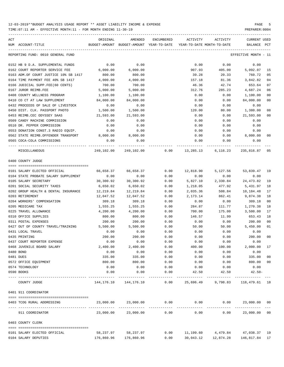| ACT | NUM ACCOUNT-TITLE                     | ORIGINAL     | AMENDED<br>BUDGET-AMOUNT BUDGET-AMOUNT YEAR-TO-DATE | ENCUMBERED   | ACTIVITY<br>YEAR-TO-DATE MONTH-TO-DATE | ACTIVITY                                                    | CURRENT USED<br>BALANCE PCT |        |
|-----|---------------------------------------|--------------|-----------------------------------------------------|--------------|----------------------------------------|-------------------------------------------------------------|-----------------------------|--------|
|     | REPORTING FUND: 0010 GENERAL FUND     |              |                                                     |              |                                        |                                                             | EFFECTIVE MONTH - 11        |        |
|     | 0152 HB 9 D.A. SUPPLEMENTAL FUNDS     | 0.00         | 0.00                                                |              | 0.00                                   | 0.00                                                        | 0.00                        |        |
|     | 0162 COURT REPORTER SERVICE FEE       | 6,000.00     | 6,000.00                                            |              | 907.93                                 | 405.00                                                      | 5,092.07                    | 15     |
|     | 0163 ADM.OF COURT JUSTICE 10% SB 1417 | 800.00       | 800.00                                              |              | 39.28                                  | 20.33                                                       | 760.72                      | 05     |
|     | 0164 TIME PAYMENT FEE 40% SB 1417     | 4,000.00     | 4,000.00                                            |              | 157.18                                 | 81.36                                                       | 3,842.82                    | 04     |
|     | 0166 JUDICIAL SUPP.FEE(60 CENTS)      | 700.00       | 700.00                                              |              | 46.36                                  | 42.74                                                       | 653.64                      | 07     |
|     | 0167 JUROR REIMB.FEE                  | 5,000.00     | 5,000.00                                            |              | 312.76                                 | 285.23                                                      | 4,687.24                    | 06     |
|     | 0408 COUNTY WELLNESS PROGRAM          | 1,100.00     | 1,100.00                                            |              | 0.00                                   | 0.00                                                        | 1,100.00                    | 00     |
|     | 0410 CO CT AT LAW SUPPLEMENT          | 84,000.00    | 84,000.00                                           |              | 0.00                                   | 0.00                                                        | 84,000.00                   | 00     |
|     | 0432 PROCEEDS OF SALE OF LIVESTOCK    | 0.00         | 0.00                                                |              | 0.00                                   | 0.00                                                        | 0.00                        |        |
|     | 0450 DIST. CLK. PASSPORT PHOTO        | 1,500.00     | 1,500.00                                            |              | 120.00                                 | 80.00                                                       | 1,380.00                    | 08     |
|     | 0453 REIMB.CEC ODYSSEY SAAS           | 21,593.00    | 21,593.00                                           |              | 0.00                                   | 0.00                                                        | 21,593.00                   | 00     |
|     | 0509 CANDY MACHINE COMMISSION         | 0.00         | 0.00                                                |              | 0.00                                   | 0.00                                                        | 0.00                        |        |
|     | 0510 DR. PEPPER COMMISSION            | 0.00         | 0.00                                                |              | 0.00                                   | 0.00                                                        | 0.00                        |        |
|     | 0553 DONATION CONST.3 RADIO EQUIP.    | 0.00         | 0.00                                                |              | 0.00                                   | 0.00                                                        | 0.00                        |        |
|     | 0562 STATE REIMB.OFFENDER TRANSPORT   | 8,000.00     | 8,000.00                                            |              | 0.00                                   | 0.00                                                        | 8,000.00                    | 00     |
|     | 0565 COCA-COLA COMMISSIONS            | 0.00         | 0.00                                                |              | 0.00                                   | 0.00                                                        | 0.00                        |        |
|     | MISCELLANEOUS                         |              |                                                     |              |                                        | 249,102.00 249,102.00 0.00 13,285.13 6,116.23 235,816.87 05 |                             |        |
|     | 0400 COUNTY JUDGE                     |              |                                                     |              |                                        |                                                             |                             |        |
|     |                                       |              |                                                     |              |                                        |                                                             |                             |        |
|     | 0101 SALARY ELECTED OFFICIAL          | 66,658.37    | 66,658.37                                           | 0.00         | 12,818.90                              | 5,127.56                                                    | 53,839.47 19                |        |
|     | 0104 STATE PROBATE SALARY SUPPLEMENT  | 0.00         | 0.00                                                | 0.00         | 0.00                                   | 0.00                                                        | 0.00                        |        |
|     | 0105 SALARY SECRETARY                 | 30,300.92    | 30,300.92                                           | 0.00         | 5,827.10                               |                                                             | 2,330.84 24,473.82          | 19     |
|     | 0201 SOCIAL SECURITY TAXES            | 6,650.02     | 6,650.02                                            | 0.00         | 1,218.05                               | 477.92                                                      | 5,431.97                    | 18     |
|     | 0202 GROUP HEALTH & DENTAL INSURANCE  | 12,219.84    | 12,219.84                                           | 0.00         | 2,035.36                               | 508.84                                                      | 10,184.48                   | 17     |
|     | 0203 RETIREMENT                       | 12,047.52    | 12,047.52                                           | 0.00         | 2,173.14                               | 862.41                                                      | 9,874.38                    | 18     |
|     | 0204 WORKERS' COMPENSATION            | 309.18       | 309.18                                              | 0.00         | 0.00                                   | 0.00                                                        | 309.18                      | 00     |
|     | 0205 MEDICARE TAX                     | 1,555.25     | 1,555.25                                            | 0.00         | 284.87                                 | 111.77                                                      | 1,270.38                    | 18     |
|     | 0225 TRAVEL ALLOWANCE                 | 4,200.00     | 4,200.00                                            | 0.00         | 700.00                                 | 175.00                                                      | 3,500.00                    | 17     |
|     | 0310 OFFICE SUPPLIES                  | 800.00       | 800.00                                              | 0.00         | 146.57                                 | 11.99                                                       | 653.43                      | 18     |
|     | 0311 POSTAL EXPENSES                  | 200.00       | 200.00                                              | 0.00         | 0.00                                   | 0.00                                                        | 200.00                      | 00     |
|     | 0427 OUT OF COUNTY TRAVEL/TRAINING    | 5,500.00     | 5,500.00                                            | 0.00         |                                        | 50.00 50.00                                                 | 5,450.00                    | 01     |
|     | 0431 LOCAL TRAVEL                     | 0.00         | 0.00                                                | 0.00         | 0.00                                   | 0.00                                                        | 0.00                        |        |
|     | 0435 PRINTING                         | 200.00       | 200.00                                              | 0.00         | 0.00                                   | 0.00                                                        | 200.00                      | 00     |
|     | 0437 COURT REPORTER EXPENSE           | 0.00         | 0.00                                                | 0.00         | 0.00                                   | 0.00                                                        | 0.00                        |        |
|     | 0468 JUVENILE BOARD SALARY            | 2,400.00     | 2,400.00                                            | 0.00         | 400.00                                 | 100.00                                                      | 2,000.00                    | 17     |
|     | 0480 BOND                             | 0.00         | 0.00                                                | 0.00         | 0.00                                   | 0.00                                                        | 0.00                        |        |
|     | 0481 DUES                             | 335.00       | 335.00                                              | 0.00         | 0.00                                   | 0.00                                                        | 335.00                      | $00\,$ |
|     | 0572 OFFICE EQUIPMENT                 | 800.00       | 800.00                                              | 0.00         | 0.00                                   | 0.00                                                        | 800.00                      | $00\,$ |
|     | 0574 TECHNOLOGY<br>0590 BOOKS         | 0.00<br>0.00 | 0.00<br>0.00                                        | 0.00<br>0.00 | 0.00<br>42.50                          | 0.00<br>42.50                                               | 0.00<br>$42.50 -$           |        |
|     | COUNTY JUDGE                          |              | 144, 176. 10 144, 176. 10                           | 0.00         | 25,696.49                              |                                                             | 9,798.83 118,479.61 18      |        |
|     | 0401 911 COORDINATOR                  |              |                                                     |              |                                        |                                                             |                             |        |
|     | 0403 TCOG RURAL ADDRESSING            | 23,000.00    | 23,000.00                                           | 0.00         | 0.00                                   | 0.00                                                        | 23,000.00 00                |        |
|     | 911 COORDINATOR                       | 23,000.00    | 23,000.00                                           | 0.00         | 0.00                                   | 0.00                                                        | 23,000.00 00                |        |
|     | 0403 COUNTY CLERK                     |              |                                                     |              |                                        |                                                             |                             |        |
|     | 0101 SALARY ELECTED OFFICIAL          |              | 58,237.97 58,237.97                                 | 0.00         |                                        | 11, 199.60 4, 479.84 47, 038.37 19                          |                             |        |
|     | 0104 SALARY DEPUTIES                  | 176,860.96   | 176,860.96                                          | 0.00         | 30,043.12                              | 12,874.28                                                   | 146,817.84 17               |        |
|     |                                       |              |                                                     |              |                                        |                                                             |                             |        |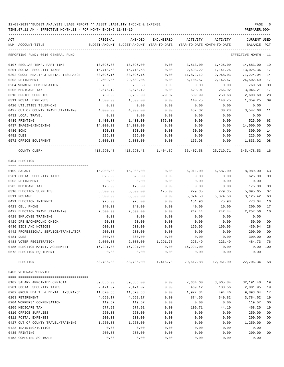TIME:07:11 AM - EFFECTIVE MONTH:11 - FOR MONTH ENDING 11-30-19 PREPARER:0004

| ACT                                  | ORIGINAL   | AMENDED                                  | ENCUMBERED | ACTIVITY                                        | ACTIVITY                             | <b>CURRENT USED</b>  |                |
|--------------------------------------|------------|------------------------------------------|------------|-------------------------------------------------|--------------------------------------|----------------------|----------------|
| NUM ACCOUNT-TITLE                    |            | BUDGET-AMOUNT BUDGET-AMOUNT YEAR-TO-DATE |            | YEAR-TO-DATE MONTH-TO-DATE                      |                                      | BALANCE PCT          |                |
| REPORTING FUND: 0010 GENERAL FUND    |            |                                          |            |                                                 |                                      | EFFECTIVE MONTH - 11 |                |
| 0107 REGULAR-TEMP. PART-TIME         | 18,096.00  | 18,096.00                                | 0.00       | 3,513.00                                        | 1,425.00                             | 14,583.00            | 19             |
| 0201 SOCIAL SECURITY TAXES           | 15,718.58  | 15,718.58                                | 0.00       | 2,693.22                                        | 1,141.26                             | 13,025.36            | 17             |
| 0202 GROUP HEALTH & DENTAL INSURANCE | 83,096.16  | 83,096.16                                | 0.00       | 11,872.12                                       | 2,968.03                             | 71,224.04            | 14             |
| 0203 RETIREMENT                      | 29,609.06  | 29,609.06                                | 0.00       | 5,106.57                                        | 2,142.67                             | 24,502.49            | 17             |
| 0204 WORKERS COMPENSATION            | 760.58     | 760.58                                   | 0.00       | 0.00                                            | 0.00                                 | 760.58               | 0 <sub>0</sub> |
| 0205 MEDICARE TAX                    | 3,676.12   | 3,676.12                                 | 0.00       | 629.91                                          | 266.92                               | 3,046.21             | 17             |
| 0310 OFFICE SUPPLIES                 | 3,760.00   | 3,760.00                                 | 529.32     | 539.99                                          | 250.68                               | 2,690.69             | 28             |
| 0311 POSTAL EXPENSES                 | 1,500.00   | 1,500.00                                 | 0.00       | 140.75                                          | 140.75                               | 1,359.25             | 09             |
| 0420 UTILITIES TELEPHONE             | 0.00       | 0.00                                     | 0.00       | 0.00                                            | 0.00                                 | 0.00                 |                |
| 0427 OUT OF COUNTY TRAVEL/TRAINING   | 4,000.00   | 4,000.00                                 | 0.00       | 452.32                                          | 30.28                                | 3,547.68             | 11             |
| 0431 LOCAL TRAVEL                    | 0.00       | 0.00                                     | 0.00       | 0.00                                            | 0.00                                 | 0.00                 |                |
| 0435 PRINTING                        | 1,400.00   | 1,400.00                                 | 875.00     | 0.00                                            | 0.00                                 | 525.00               | 63             |
| 0437 IMAGING/INDEXING                | 14,000.00  | 14,000.00                                | 0.00       | 0.00                                            | 0.00                                 | 14,000.00            | 00             |
| 0480 BOND                            | 350.00     | 350.00                                   | 0.00       | 50.00                                           | 0.00                                 | 300.00               | 14             |
| 0481 DUES                            | 225.00     | 225.00                                   | 0.00       | 0.00                                            | 0.00                                 | 225.00               | 0 <sub>0</sub> |
| 0572 OFFICE EQUIPMENT                | 2,000.00   | 2,000.00                                 | 0.00       | 166.98                                          | 0.00                                 | 1,833.02             | 08             |
| COUNTY CLERK                         | 413,290.43 |                                          |            | 413,290.43 1,404.32 66,407.58                   | 25,719.71                            | 345,478.53           | 16             |
| 0404 ELECTION                        |            |                                          |            |                                                 |                                      |                      |                |
|                                      |            |                                          |            |                                                 |                                      |                      |                |
| 0109 SALARY                          | 15,900.00  | 15,900.00                                | 0.00       | 6,911.00                                        | 6,587.00                             | 8,989.00             | 43             |
| 0201 SOCIAL SECURITY TAXES           | 625.00     | 625.00                                   | 0.00       | 0.00                                            | 0.00                                 | 625.00               | 0 <sub>0</sub> |
| 0203 RETIREMENT                      | 0.00       | 0.00                                     | 0.00       | 0.00                                            | 0.00                                 | 0.00                 |                |
| 0205 MEDICARE TAX                    | 175.00     | 175.00                                   | 0.00       | 0.00                                            | 0.00                                 | 175.00               | 0 <sub>0</sub> |
| 0310 ELECTION SUPPLIES               | 5,500.00   | 5,500.00                                 | 125.00     | 279.35                                          | 279.35                               | 5,095.65             | 07             |
| 0311 POSTAGE                         | 8,500.00   | 8,500.00                                 | 0.00       | 5,374.58                                        | 5,374.58                             | 3,125.42             | 63             |
| 0421 ELECTION INTERNET               | 925.00     | 925.00                                   | 0.00       | 151.96                                          | 75.98                                | 773.04               | 16             |
| 0423 CELL PHONE                      | 240.00     | 240.00                                   | 0.00       | 40.00                                           | 10.00                                | 200.00               | 17             |
| 0427 ELECTION TRAVEL/TRAINING        | 2,500.00   | 2,500.00                                 | 0.00       | 242.44                                          | 242.44                               | 2,257.56             | 10             |
| 0428 EMPLOYEE TRAINING               | 0.00       | 0.00                                     | 0.00       | 0.00                                            | 0.00                                 | 0.00                 |                |
| 0429 DPS BACKGROUND CHECK            | 50.00      | 50.00                                    | 0.00       | 0.00                                            | 0.00                                 | 50.00                | 0 <sub>0</sub> |
| 0430 BIDS AND NOTICES                | 600.00     | 600.00                                   | 0.00       | 169.06                                          | 169.06                               | 430.94               | 28             |
| 0442 PROFESSIONAL SERVICE/TRANSLATOR | 200.00     | 200.00                                   | 0.00       | 0.00                                            | 0.00                                 | 200.00               | 00             |
| 0481 DUES                            | 300.00     | 300.00                                   | 0.00       | 0.00                                            | 0.00                                 | 300.00               | 00             |
| 0483 VOTER REGISTRATION              |            | 2,000.00 2,000.00                        | 1,291.78   | 223.49                                          | 223.49                               | 484.73 76            |                |
| 0485 ELECTION MAINT. AGREEMENT       | 16,221.00  | 16,221.00                                |            | $0.00$ 16,221.00                                | 0.00                                 | 0.00 100             |                |
| 0573 ELECTION EQUIPMENT              | 0.00       | 0.00                                     | 0.00       | 0.00                                            | 0.00<br>-------------- ------------- | 0.00                 |                |
| ELECTION                             | 53,736.00  |                                          |            | 53,736.00    1,416.78    29,612.88    12,961.90 |                                      | 22,706.34 58         |                |
| 0405 VETERANS'SERVICE                |            |                                          |            |                                                 |                                      |                      |                |
| 0102 SALARY APPOINTED OFFICIAL       | 39,856.00  | 39,856.00                                | 0.00       | 7,664.60                                        | 3,065.84                             | 32,191.40            | 19             |
| 0201 SOCIAL SECURITY TAXES           | 2,471.07   | 2,471.07                                 | 0.00       | 469.12                                          | 188.56                               | 2,001.95             | 19             |
| 0202 GROUP HEALTH & DENTAL INSURANCE | 11,870.88  | 11,870.88                                | 0.00       | 1,977.84                                        | 494.46                               | 9,893.04             | 17             |
| 0203 RETIREMENT                      | 4,659.17   | 4,659.17                                 | 0.00       | 874.55                                          | 349.82                               | 3,784.62             | 19             |
| 0204 WORKERS' COMPENSATION           | 119.57     | 119.57                                   | 0.00       | 0.00                                            | 0.00                                 | 119.57               | 0 <sub>0</sub> |
| 0205 MEDICARE TAX                    | 577.91     | 577.91                                   | 0.00       | 109.71                                          | 44.10                                | 468.20               | 19             |
| 0310 OFFICE SUPPLIES                 | 250.00     | 250.00                                   | 0.00       | 0.00                                            | 0.00                                 | 250.00               | 0 <sub>0</sub> |
| 0311 POSTAL EXPENSES                 | 200.00     | 200.00                                   | 0.00       | 0.00                                            | 0.00                                 | 200.00               | 0 <sub>0</sub> |
| 0427 OUT OF COUNTY TRAVEL/TRAINING   | 1,250.00   | 1,250.00                                 | 0.00       | 0.00                                            | 0.00                                 | 1,250.00             | 0 <sub>0</sub> |
| 0428 TRAINING/TUITION                | 0.00       | 0.00                                     | 0.00       | 0.00                                            | 0.00                                 | 0.00                 |                |
| 0435 PRINTING                        | 200.00     | 200.00                                   | 0.00       | 0.00                                            | 0.00                                 | 200.00               | 0 <sub>0</sub> |

0453 COMPUTER SOFTWARE  $\begin{array}{cccc} 0.00 & 0.00 & 0.00 & 0.00 & 0.00 & 0.00 & 0.00 & 0.00 & 0.00 & 0.00 & 0.00 & 0.00 & 0.00 & 0.00 & 0.00 & 0.00 & 0.00 & 0.00 & 0.00 & 0.00 & 0.00 & 0.00 & 0.00 & 0.00 & 0.00 & 0.00 & 0.00 & 0.00 & 0.00 & 0.00 & 0.00 & 0.00$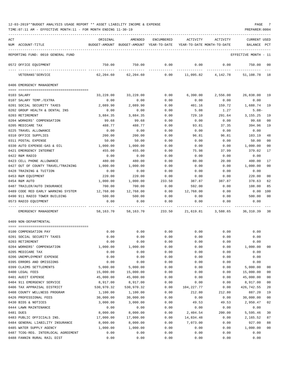| ACT |                                                     | ORIGINAL     | AMENDED                                  | <b>ENCUMBERED</b> | ACTIVITY                   | ACTIVITY     | CURRENT USED         |                |
|-----|-----------------------------------------------------|--------------|------------------------------------------|-------------------|----------------------------|--------------|----------------------|----------------|
|     | NUM ACCOUNT-TITLE                                   |              | BUDGET-AMOUNT BUDGET-AMOUNT YEAR-TO-DATE |                   | YEAR-TO-DATE MONTH-TO-DATE |              | BALANCE              | PCT            |
|     |                                                     |              |                                          |                   |                            |              |                      |                |
|     | REPORTING FUND: 0010 GENERAL FUND                   |              |                                          |                   |                            |              | EFFECTIVE MONTH - 11 |                |
|     | 0572 OFFICE EQUIPMENT                               | 750.00       | 750.00                                   | 0.00              | 0.00                       | 0.00         | 750.00               | 00             |
|     | VETERANS ' SERVICE                                  | 62,204.60    | 62,204.60                                | 0.00              | 11,095.82                  | 4,142.78     | 51,108.78            | 18             |
|     | 0406 EMERGENCY MANAGEMENT                           |              |                                          |                   |                            |              |                      |                |
|     |                                                     |              |                                          |                   |                            |              |                      |                |
|     | 0103 SALARY                                         | 33,228.00    | 33,228.00                                | 0.00              | 6,390.00                   | 2,556.00     | 26,838.00 19         |                |
|     | 0107 SALARY TEMP./EXTRA                             | 0.00         | 0.00                                     | 0.00              | 0.00                       | 0.00         | 0.00                 |                |
|     | 0201 SOCIAL SECURITY TAXES                          | 2,089.90     | 2,089.90                                 | 0.00              | 401.16                     | 159.72       | 1,688.74             | 19             |
|     | 0202 GROUP HEALTH & DENTAL INS                      | 0.00         | 0.00                                     | 0.00              | 5.08                       | 1.27         | $5.08-$              |                |
|     | 0203 RETIREMENT                                     | 3,884.35     | 3,884.35                                 | 0.00              | 729.10                     | 291.64       | 3, 155. 25           | 19             |
|     | 0204 WORKERS' COMPENSATION                          | 99.68        | 99.68                                    | 0.00              | 0.00                       | 0.00         | 99.68                | 00             |
|     | 0205 MEDICARE TAX                                   | 488.77       | 488.77                                   | 0.00              | 93.81                      | 37.35        | 394.96               | 19             |
|     | 0225 TRAVEL ALLOWANCE                               | 0.00         | 0.00                                     | 0.00              | 0.00                       | 0.00         | 0.00                 |                |
|     | 0310 OFFICE SUPPLIES                                | 200.00       | 200.00                                   | 0.00              | 96.81                      | 96.81        | 103.19               | 48             |
|     | 0311 POSTAL EXPENSE                                 | 50.00        | 50.00                                    | 0.00              | 0.00                       | 0.00         | 50.00                | 00             |
|     | 0330 AUTO EXPENSE-GAS & OIL                         | 1,000.00     | 1,000.00                                 | 0.00              | 0.00                       | 0.00         | 1,000.00             | 00             |
|     | 0421 EMERGENCY INTERNET                             | 455.00       | 455.00                                   | 0.00              | 75.98                      | 37.99        | 379.02               | 17             |
|     | 0422 R&M RADIO                                      | 0.00         | 0.00                                     | 0.00              | 0.00                       | 0.00         | 0.00                 |                |
|     | 0423 CELL PHONE ALLOWANCE                           | 480.00       | 480.00                                   | 0.00              | 80.00                      | 20.00        | 400.00               | 17             |
|     | 0427 OUT OF COUNTY TRAVEL/TRAINING                  | 1,000.00     | 1,000.00                                 | 0.00              | 0.00                       | 0.00         | 1,000.00             | 0 <sup>0</sup> |
|     | 0428 TRAINING & TUITION                             | 0.00         | 0.00                                     | 0.00              | 0.00                       | 0.00         | 0.00                 |                |
|     | 0453 R&M EQUIPMENT                                  | 220.00       | 220.00                                   | 0.00              | 0.00                       | 0.00         | 220.00               | 00             |
|     | 0454 R&M AUTO                                       | 1,000.00     | 1,000.00                                 | 233.50            | 387.87                     | 387.87       | 378.63               | 62             |
|     | 0487 TRAILER/AUTO INSURANCE                         | 700.00       | 700.00                                   | 0.00              | 592.00                     | 0.00         | 108.00               | 85             |
|     | 0489 CODE RED EARLY WARNING SYSTEM                  | 12,768.00    | 12,768.00                                | 0.00              | 12,768.00                  | 0.00         | 0.00                 | 100            |
|     | 0490 911 RADIO TOWER BUILDING                       | 500.00       | 500.00                                   | 0.00              | 0.00                       | 0.00         | 500.00               | 00             |
|     | 0573 RADIO EQUIPMENT                                | 0.00         | 0.00                                     | 0.00              | 0.00                       | 0.00         | 0.00                 |                |
|     | EMERGENCY MANAGEMENT                                | 58,163.70    | 58,163.70                                | 233.50            | 21,619.81                  | 3,588.65     | 36,310.39 38         |                |
|     | 0409 NON-DEPARTMENTAL                               |              |                                          |                   |                            |              |                      |                |
|     |                                                     |              | 0.00                                     | 0.00              |                            |              | 0.00                 |                |
|     | 0100 COMPENSATION PAY<br>0201 SOCIAL SECURITY TAXES | 0.00<br>0.00 | 0.00                                     | 0.00              | 0.00<br>0.00               | 0.00<br>0.00 | 0.00                 |                |
|     | 0203 RETIREMENT                                     | 0.00         | 0.00                                     | 0.00              | 0.00                       | 0.00         | 0.00                 |                |
|     | 0204 WORKERS' COMPENSATION                          | 1,000.00     | 1,000.00                                 | 0.00              | 0.00                       | 0.00         | 1,000.00             | 0 <sub>0</sub> |
|     | 0205 MEDICARE TAX                                   | 0.00         | 0.00                                     | 0.00              | 0.00                       | 0.00         | 0.00                 |                |
|     | 0206 UNEMPLOYMENT EXPENSE                           | 0.00         | 0.00                                     | 0.00              | 0.00                       | 0.00         | 0.00                 |                |
|     | 0395 ERRORS AND OMISSIONS                           | 0.00         | 0.00                                     | 0.00              | 0.00                       | 0.00         | 0.00                 |                |
|     | 0399 CLAIMS SETTLEMENTS                             | 5,000.00     | 5,000.00                                 | 0.00              | 0.00                       | 0.00         | 5,000.00             | 00             |
|     | 0400 LEGAL FEES                                     | 15,000.00    | 15,000.00                                | 0.00              | 0.00                       | 0.00         | 15,000.00            | 00             |
|     | 0401 AUDIT EXPENSE                                  | 45,000.00    | 45,000.00                                | 0.00              | 0.00                       | 0.00         | 45,000.00            | 00             |
|     | 0404 911 EMERGENCY SERVICE                          | 8,917.00     | 8,917.00                                 | 0.00              | 0.00                       | 0.00         | 8,917.00             | 0 <sub>0</sub> |
|     | 0406 TAX APPRAISAL DISTRICT                         | 530,970.32   | 530,970.32                               | 0.00              | 104, 227.77                | 0.00         | 426,742.55           | 20             |
|     | 0408 COUNTY WELLNESS PROGRAM                        | 1,100.00     | 1,100.00                                 | 0.00              | 212.80                     | 212.80       | 887.20               | 19             |
|     | 0426 PROFESSIONAL FEES                              | 30,000.00    | 30,000.00                                | 0.00              | 0.00                       | 0.00         | 30,000.00            | 0 <sub>0</sub> |
|     | 0430 BIDS & NOTICES                                 | 3,000.00     | 3,000.00                                 | 0.00              | 49.53                      | 49.53        | 2,950.47             | 02             |
|     | 0444 LAWN MAINTENANCE                               | 0.00         | 0.00                                     | 0.00              | 0.00                       | 0.00         | 0.00                 |                |
|     | 0481 DUES                                           | 8,000.00     | 8,000.00                                 | 0.00              | 2,404.54                   | 200.00       | 5,595.46             | 30             |
|     | 0483 PUBLIC OFFICIALS INS.                          | 17,000.00    | 17,000.00                                | 0.00              | 14,834.48                  | 0.00         | 2,165.52             | 87             |
|     | 0484 GENERAL LIABILITY INSURANCE                    | 8,000.00     | 8,000.00                                 | 0.00              | 7,073.00                   | 0.00         | 927.00               | 88             |
|     | 0485 WATER SUPPLY AGENCY                            | 1,000.00     | 1,000.00                                 | 0.00              | 0.00                       | 0.00         | 1,000.00             | 00             |
|     | 0487 TCOG-REG. INTERLOCAL AGREEMENT                 | 0.00         | 0.00                                     | 0.00              | 0.00                       | 0.00         | 0.00                 |                |
|     | 0488 FANNIN RURAL RAIL DIST                         | 0.00         | 0.00                                     | 0.00              | 0.00                       | 0.00         | 0.00                 |                |
|     |                                                     |              |                                          |                   |                            |              |                      |                |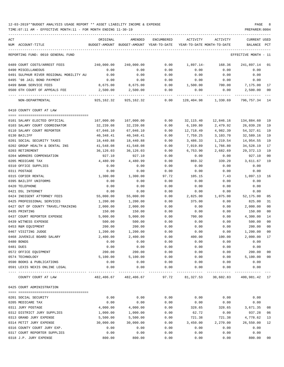| ACT                                     | ORIGINAL   | AMENDED                                  | ENCUMBERED | ACTIVITY                                                           | ACTIVITY                          | <b>CURRENT USED</b>  |        |
|-----------------------------------------|------------|------------------------------------------|------------|--------------------------------------------------------------------|-----------------------------------|----------------------|--------|
| NUM ACCOUNT-TITLE                       |            | BUDGET-AMOUNT BUDGET-AMOUNT YEAR-TO-DATE |            | YEAR-TO-DATE MONTH-TO-DATE                                         |                                   | BALANCE              | PCT    |
| REPORTING FUND: 0010 GENERAL FUND       |            |                                          |            |                                                                    |                                   | EFFECTIVE MONTH - 11 |        |
| 0489 COURT COSTS/ARREST FEES            | 240,000.00 | 240,000.00                               | 0.00       | 1,897.14-                                                          | 168.36                            | 241,897.14           | 01     |
| 0490 MISCELLANEOUS                      | 0.00       | 0.00                                     | 0.00       | 0.00                                                               | 0.00                              | 0.00                 |        |
| 0491 SULPHUR RIVER REGIONAL MOBILITY AU | 0.00       | 0.00                                     | 0.00       | 0.00                                                               | 0.00                              | 0.00                 |        |
| 0495 '98 JAIL BOND PAYMENT              | 0.00       | 0.00                                     | 0.00       | 0.00                                                               | 0.00                              | 0.00                 |        |
| 0499 BANK SERVICE FEES                  | 8,675.00   | 8,675.00                                 | 0.00       | 1,500.00                                                           | 700.00                            | 7,175.00             | 17     |
| 0500 6TH COURT OF APPEALS FEE           | 2,500.00   | 2,500.00                                 | 0.00       | 0.00                                                               | 0.00                              | 2,500.00             | 00     |
| NON-DEPARTMENTAL                        |            |                                          |            | 925,162.32  925,162.32  0.00  128,404.98  1,330.69  796,757.34  14 |                                   |                      |        |
| 0410 COUNTY COURT AT LAW                |            |                                          |            |                                                                    |                                   |                      |        |
| 0101 SALARY ELECTED OFFICIAL            | 167,000.00 | 167,000.00                               | 0.00       | 32,115.40                                                          | 12,846.16                         | 134,884.60           | 19     |
| 0103 SALARY COURT COORDINATOR           | 32,239.08  | 32,239.08                                | 0.00       | 6,199.80                                                           | 2,479.92                          | 26,039.28            | 19     |
| 0110 SALARY COURT REPORTER              | 67,046.10  | 67,046.10                                | 0.00       | 12,718.49                                                          | 4,982.39                          | 54,327.61            | 19     |
| 0130 BAILIFF                            | 40,348.41  | 40,348.41                                | 0.00       | 7,759.25                                                           | 3,103.70                          | 32,589.16            | 19     |
| 0201 SOCIAL SECURITY TAXES              | 18,440.88  | 18,440.88                                | 0.00       | 3,486.33                                                           | 1,219.54                          | 14,954.55            | 19     |
| 0202 GROUP HEALTH & DENTAL INS          | 41,548.08  | 41,548.08                                | 0.00       | 7,019.89                                                           | 1,766.80                          | 34,528.19            | 17     |
| 0203 RETIREMENT                         | 36,126.03  | 36,126.03                                | 0.00       | 6,753.90                                                           | 2,682.69                          | 29,372.13            | 19     |
| 0204 WORKERS COMPENSATION               | 927.10     | 927.10                                   | 0.00       | 0.00                                                               | 0.00                              | 927.10               | 00     |
| 0205 MEDICARE TAX                       | 4,480.99   | 4,480.99                                 | 0.00       | 869.32                                                             | 339.20                            | 3,611.67             | 19     |
| 0310 OFFICE SUPPLIES                    | 0.00       | 0.00                                     | 0.00       | 0.00                                                               | 0.00                              | 0.00                 |        |
| 0311 POSTAGE                            | 0.00       | 0.00                                     | 0.00       | 0.00                                                               | 0.00                              | 0.00                 |        |
| 0315 COPIER RENTAL                      | 1,300.00   | 1,300.00                                 | 97.72      | 105.15                                                             | 7.43                              | 1,097.13             | 16     |
| 0395 BAILIFF UNIFORMS                   | 0.00       | 0.00                                     | 0.00       | 0.00                                                               | 0.00                              | 0.00                 |        |
| 0420 TELEPHONE                          | 0.00       | 0.00                                     | 0.00       | 0.00                                                               | 0.00                              | 0.00                 |        |
| 0421 DSL INTERNET                       | 0.00       | 0.00                                     | 0.00       | 0.00                                                               | 0.00                              | 0.00                 |        |
| 0424 INDIGENT ATTORNEY FEES             | 55,000.00  | 55,000.00                                | 0.00       | 2,825.00                                                           | 1,075.00                          | 52,175.00            | 05     |
| 0425 PROFESSIONAL SERVICES              | 1,200.00   | 1,200.00                                 | 0.00       | 375.00                                                             | 0.00                              | 825.00               | 31     |
| 0427 OUT OF COUNTY TRAVEL/TRAINING      | 2,000.00   | 2,000.00                                 | 0.00       | 0.00                                                               | 0.00                              | 2,000.00             | 00     |
| 0435 PRINTING                           | 150.00     | 150.00                                   | 0.00       | 0.00                                                               | 0.00                              | 150.00               | 00     |
| 0437 COURT REPORTER EXPENSE             | 5,000.00   | 5,000.00                                 | 0.00       | 700.00                                                             | 0.00                              | 4,300.00             | 14     |
| 0439 WITNESS EXPENSE                    | 500.00     | 500.00                                   | 0.00       | 0.00                                                               | 0.00                              | 500.00               | 00     |
| 0453 R&M EQUIPMENT                      | 200.00     | 200.00                                   | 0.00       | 0.00                                                               | 0.00                              | 200.00               | 00     |
| 0467 VISITING JUDGE                     | 1,200.00   | 1,200.00                                 | 0.00       | 0.00                                                               | 0.00                              | 1,200.00             | 00     |
| 0468 JUVENILE BOARD SALARY              | 2,400.00   | 2,400.00                                 | 0.00       | 400.00                                                             | 100.00                            | 2,000.00             | 17     |
| 0480 BONDS                              | 0.00       | 0.00                                     | 0.00       | 0.00                                                               | 0.00                              | 0.00                 |        |
| 0481 DUES                               | 0.00       | 0.00                                     | 0.00       | 0.00                                                               | 0.00                              | 0.00                 |        |
| 0572 OFFICE EQUIPMENT                   | 200.00     | 200.00                                   | 0.00       | 0.00                                                               | 0.00                              | 200.00               | 00     |
| 0574 TECHNOLOGY                         | 5,100.00   | 5,100.00                                 | 0.00       | 0.00                                                               | 0.00                              | 5,100.00             | 00     |
| 0590 BOOKS & PUBLICATIONS               | 0.00       | 0.00                                     | 0.00       | 0.00                                                               | 0.00                              | 0.00                 |        |
| 0591 LEXIS NEXIS ONLINE LEGAL           | 0.00       | 0.00                                     | 0.00       | 0.00                                                               | 0.00                              | 0.00                 |        |
| COUNTY COURT AT LAW                     |            | 482,406.67 482,406.67                    | 97.72      |                                                                    | 81,327.53 30,602.83 400,981.42 17 |                      |        |
| 0425 COURT ADMINISTRATION               |            |                                          |            |                                                                    |                                   |                      |        |
|                                         |            |                                          |            |                                                                    |                                   |                      |        |
| 0201 SOCIAL SECURITY                    | 0.00       | 0.00                                     | 0.00       | 0.00                                                               | 0.00                              | 0.00                 |        |
| 0205 MEDICARE TAX                       | 0.00       | 0.00                                     | 0.00       | 0.00                                                               | 0.00                              | 0.00                 |        |
| 0311 JURY POSTAGE                       | 4,000.00   | 4,000.00                                 | 0.00       | 328.65                                                             | 328.65                            | 3,671.35             | 08     |
| 0312 DISTRICT JURY SUPPLIES             | 1,000.00   | 1,000.00                                 | 0.00       | 62.72                                                              | 0.00                              | 937.28               | 06     |
| 0313 GRAND JURY EXPENSE                 | 5,500.00   | 5,500.00                                 | 0.00       | 721.38                                                             | 721.38                            | 4,778.62             | 13     |
| 0314 PETIT JURY EXPENSE                 | 30,000.00  | 30,000.00                                | 0.00       | 3,450.00                                                           | 2,270.00                          | 26,550.00            | 12     |
| 0316 COUNTY COURT JURY EXP.             | 0.00       | 0.00                                     | 0.00       | 0.00                                                               | 0.00                              | 0.00                 |        |
| 0317 COURT REPORTER SUPPLIES            | 0.00       | 0.00                                     | 0.00       | 0.00                                                               | 0.00                              | 0.00                 |        |
| 0318 J.P. JURY EXPENSE                  | 800.00     | 800.00                                   | 0.00       | 0.00                                                               | 0.00                              | 800.00               | $00\,$ |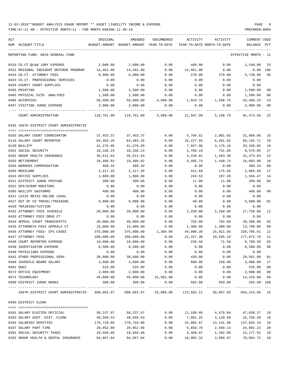| ACT<br>NUM ACCOUNT-TITLE                                                                              | ORIGINAL       | AMENDED<br>BUDGET-AMOUNT BUDGET-AMOUNT YEAR-TO-DATE | ENCUMBERED          |               | ACTIVITY ACTIVITY<br>YEAR-TO-DATE MONTH-TO-DATE | <b>CURRENT USED</b><br>BALANCE PCT |                |
|-------------------------------------------------------------------------------------------------------|----------------|-----------------------------------------------------|---------------------|---------------|-------------------------------------------------|------------------------------------|----------------|
| REPORTING FUND: 0010 GENERAL FUND                                                                     |                |                                                     |                     |               |                                                 | EFFECTIVE MONTH - 11               |                |
| 0319 CO.CT.@LAW JURY EXPENSE                                                                          | 2,000.00       | 2,000.00                                            | 0.00                | 460.00        | 0.00                                            | 1,540.00                           | 23             |
| 0422 REGIONAL INDIGENT DEFENSE PROGRAM                                                                | 14,461.00      | 14,461.00                                           | 0.00                | 14,461.00     | 0.00                                            | 0.00 100                           |                |
| 0424 CO.CT. ATTORNEY FEES                                                                             | 6,000.00       | 6,000.00                                            | 0.00                | 270.00        | 270.00                                          | 5,730.00                           | 05             |
| 0425 CO.CT. PROFESSIONAL SERVICES                                                                     | 0.00           | 0.00                                                | 0.00                | 0.00          | 0.00                                            | 0.00                               |                |
| 0426 COUNTY COURT SUPPLIES                                                                            | 0.00           | 0.00                                                | 0.00                | 0.00          | 0.00                                            | 0.00                               |                |
| 0435 PRINTING                                                                                         | 1,500.00       | 1,500.00                                            | 0.00                | 0.00          | 0.00                                            | 1,500.00                           | 0 <sub>0</sub> |
| 0465 PHYSICAL EVID. ANALYSES                                                                          | 1,500.00       | 1,500.00                                            | 0.00                | 0.00          | 0.00                                            | 1,500.00                           | 0 <sub>0</sub> |
| 0466 AUTOPSIES                                                                                        | 50,000.00      | 50,000.00                                           | 4,690.00 1,843.75   |               | 1,568.75                                        | 43,466.25                          | 13             |
| 0467 VISITING JUDGE EXPENSE                                                                           | 2,000.00       | 2,000.00                                            | 0.00                | 0.00          | 0.00                                            | 2,000.00                           | 0 <sub>0</sub> |
| COURT ADMINISTRATION                                                                                  | 118,761.00     |                                                     | 118,761.00 4,690.00 | 21,597.50     | 5,158.78                                        | 92,473.50                          | $- - -$<br>22  |
|                                                                                                       |                |                                                     |                     |               |                                                 |                                    |                |
| 0435 336TH DISTRICT COURT ADMINISTRATIO                                                               |                |                                                     |                     |               |                                                 |                                    |                |
| 0103 SALARY COURT COORDINATOR                                                                         | 37,453.37      | 37,453.37                                           | 0.00                | 5,784.51      | 2,881.02                                        | 31,668.86                          | 15             |
| 0110 SALARY COURT REPORTER                                                                            | 84,383.26      | 84,383.26                                           | 0.00                | 16,227.55     | 6,491.02                                        | 68,155.71                          | 19             |
| 0130 BAILIFF                                                                                          | 41,276.95      | 41,276.95                                           | 0.00                | 7,937.90      | 3,175.16                                        | 33, 339.05                         | 19             |
| 0201 SOCIAL SECURITY                                                                                  | 10,336.24      | 10,336.24                                           | 0.00                | 1,760.19      | 751.05                                          | 8,576.05                           | 17             |
| 0202 GROUP HEALTH INSURANCE                                                                           | 35,612.64      | 35,612.64                                           | 0.00                | 4,238.81      | 1,483.38                                        | 31, 373.83                         | 12             |
| 0203 RETIREMENT                                                                                       | 19,488.82      | 19,488.82                                           | 0.00                | 3,485.74      | 1,448.74                                        | 16,003.08                          | 18             |
| 0204 WORKERS COMPENSATION                                                                             | 489.34         | 489.34                                              | 0.00                | 0.00          | 0.00                                            | 489.34                             | 0 <sub>0</sub> |
| 0205 MEDICARE                                                                                         | 2,417.35       | 2,417.35                                            | 0.00                | 411.69        | 175.66                                          | 2,005.66                           | 17             |
| 0310 OFFICE SUPPLIES                                                                                  | 1,800.00       | 1,800.00                                            | 0.00                | 243.53        | 197.28                                          | 1,556.47                           | 14             |
|                                                                                                       |                |                                                     | 0.00                |               |                                                 |                                    | 0 <sub>4</sub> |
| 0311 DISTRICT JUDGE POSTAGE<br>0352 GPS/SCRAM MONITORS                                                | 300.00<br>0.00 | 300.00<br>0.00                                      | 0.00                | 11.00<br>0.00 | 11.00<br>0.00                                   | 289.00<br>0.00                     |                |
| 0395 BAILIFF UNIFORMS                                                                                 | 400.00         | 400.00                                              | 0.00                | 0.00          | 0.00                                            | 400.00                             | 0 <sub>0</sub> |
| 0421 LEXIS NEXIS ONLINE LEGAL                                                                         | 0.00           | 0.00                                                | 0.00                | 0.00          | 0.00                                            | 0.00                               |                |
| 0427 OUT OF CO TRAVEL/TRAINING                                                                        |                | 6,000.00                                            |                     |               |                                                 | 5,960.00                           | 01             |
| 0428 TRAINING/TUITION                                                                                 | 6,000.00       |                                                     | 0.00<br>0.00        | 40.00         | 0.00                                            |                                    |                |
|                                                                                                       | 0.00           | 0.00                                                |                     | 0.00          | 0.00                                            | 0.00                               | 11             |
| 0432 ATTORNEY FEES JUVENILE                                                                           | 20,000.00      | 20,000.00                                           | 0.00                | 2,250.00      | 2,250.00                                        | 17,750.00                          |                |
| 0433 ATTORNEY FEES DRUG CT                                                                            | 0.00           | 0.00                                                | 0.00                | 0.00          | 0.00                                            | 0.00                               |                |
| 0434 APPEAL COURT TRANSCRIPTS                                                                         | 40,000.00      | 40,000.00                                           | 0.00                | 792.00        | 792.00                                          | 39,208.00                          | 02             |
| 0435 ATTORNEYS FEES APPEALS CT                                                                        | 15,000.00      | 15,000.00                                           | 0.00                | 1,300.00      | 1,300.00                                        | 13,700.00                          | 09             |
| 0436 ATTORNEY FEES- CPS CASES                                                                         | 375,000.00     |                                                     | 375,000.00 1,304.00 | 44,990.39     | 25,821.94                                       | 328,705.61                         | 12             |
| 0437 ATTORNEY FEES                                                                                    | 200,000.00     | 200,000.00                                          | 0.00                | 22,327.30     | 10,555.10                                       | 177,672.70                         | 11             |
| 0438 COURT REPORTER EXPENSE                                                                           | 10,000.00      | 10,000.00                                           | 0.00                | 239.50        | 71.50                                           | 9,760.50 02                        |                |
| 0439 INVESTIGATOR EXPENSE                                                                             | 8,500.00       | 8,500.00                                            | 0.00                | 0.00          | 0.00                                            | 8,500.00                           | 0 <sub>0</sub> |
| 0440 PHYSICIANS EXPENSE                                                                               | 0.00           | 0.00                                                | 0.00                | 0.00          | 0.00                                            | 0.00                               |                |
| 0442 OTHER PROFESSIONAL SERV.                                                                         | 30,000.00      | 30,000.00                                           | 0.00                | 439.00        | 0.00                                            | 29,561.00                          | 01             |
| 0468 JUVENILE BOARD SALARY                                                                            | 3,600.00       | 3,600.00                                            | 0.00                | 600.00        | 150.00                                          | 3,000.00                           | 17             |
| 0481 DUES                                                                                             | 525.00         | 525.00                                              | 0.00                | 0.00          | 0.00                                            | 525.00                             | 0 <sub>0</sub> |
| 0572 OFFICE EQUIPMENT                                                                                 | 2,000.00       | 2,000.00                                            | 0.00                | 0.00          | 0.00                                            | 2,000.00                           | 0 <sub>0</sub> |
| 0574 TECHNOLOGY                                                                                       |                | 45,800.00  45,800.00  31,582.00                     |                     | 0.00          | 0.00                                            | 14,218.00                          | 69             |
| 0590 DISTRICT JUDGE BOOKS                                                                             | 300.00         | 300.00                                              | 0.00                |               | 503.00 503.00                                   | $203.00 - 168$                     |                |
| 336TH DISTRICT COURT ADMINISTRATIO 990,682.97 990,682.97 32,886.00 113,582.11 58,057.85 844,214.86 15 |                |                                                     |                     |               |                                                 |                                    |                |
| 0450 DISTRICT CLERK                                                                                   |                |                                                     |                     |               |                                                 |                                    |                |
| 0101 SALARY ELECTED OFFICIAL                                                                          |                | 58,237.97 58,237.97                                 |                     |               | $0.00$ 11,199.60 $4,479.84$ $47,038.37$         |                                    | 19             |
| 0103 SALARY ASST. DIST. CLERK                                                                         | 40,566.53      | 40,566.53                                           | 0.00                | 7,801.25      | 3,120.50 32,765.28                              |                                    | 19             |
| 0104 SALARIES DEPUTIES                                                                                | 170,710.86     | 170,710.86                                          | 0.00                |               |                                                 |                                    | 19             |
| 0107 SALARY PART-TIME                                                                                 | 29,952.00      | 29,952.00                                           | 0.00                | 5,859.78      | 2,560.14                                        | 24,092.22                          | 20             |
| 0201 SOCIAL SECURITY TAXES                                                                            | 18,566.98      | 18,566.98                                           | 0.00                | 3,389.07      | 1,392.08                                        | 15,177.91                          | 18             |
| 0202 GROUP HEALTH & DENTAL INSURANCE 94,967.04                                                        |                | 94,967.04                                           | 0.00                |               | 16,902.32 3,866.97 78,064.72                    |                                    | 18             |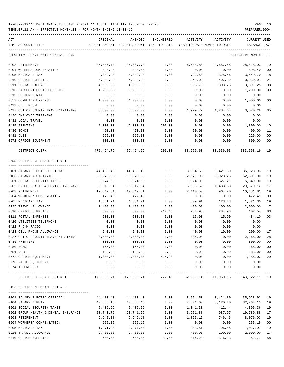TIME:07:11 AM - EFFECTIVE MONTH:11 - FOR MONTH ENDING 11-30-19 PREPARER:0004 ----------------------------------------------------------------------------------------------------------------------------------- ACT ORIGINAL AMENDED ENCUMBERED ACTIVITY ACTIVITY CURRENT USED NUM ACCOUNT-TITLE BUDGET-AMOUNT BUDGET-AMOUNT YEAR-TO-DATE YEAR-TO-DATE MONTH-TO-DATE BALANCE PCT ----------------------------------------------------------------------------------------------------------------------------------- REPORTING FUND: 0010 GENERAL FUND EFFECTIVE MONTH - 11

| 0203 RETIREMENT                      | 35,007.73  | 35,007.73                                                      | 0.00   | 6,588.80  | 2,657.65                       | 28, 418.93    | 19 |
|--------------------------------------|------------|----------------------------------------------------------------|--------|-----------|--------------------------------|---------------|----|
| 0204 WORKERS COMPENSATION            | 898.40     | 898.40                                                         | 0.00   | 0.00      | 0.00                           | 898.40        | 00 |
| 0205 MEDICARE TAX                    | 4,342.28   | 4,342.28                                                       | 0.00   | 792.58    | 325.56                         | 3,549.70      | 18 |
| 0310 OFFICE SUPPLIES                 | 4,000.00   | 4,000.00                                                       | 0.00   | 949.06    | 407.92                         | 3,050.94      | 24 |
| 0311 POSTAL EXPENSES                 | 4,000.00   | 4,000.00                                                       | 0.00   | 308.75    | 308.75                         | 3,691.25      | 08 |
| 0313 PASSPORT PHOTO SUPPLIES         | 1,200.00   | 1,200.00                                                       | 0.00   | 0.00      | 0.00                           | 1,200.00      | 00 |
| 0315 COPIER RENTAL                   | 0.00       | 0.00                                                           | 0.00   | 0.00      | 0.00                           | 0.00          |    |
| 0353 COMPUTER EXPENSE                | 1,000.00   | 1,000.00                                                       | 0.00   | 0.00      | 0.00                           | 1,000.00      | 00 |
| 0423 CELL PHONE                      | 0.00       | 0.00                                                           | 0.00   | 0.00      | 0.00                           | 0.00          |    |
| 0427 OUT OF COUNTY TRAVEL/TRAINING   | 5,500.00   | 5,500.00                                                       | 0.00   | 1,929.72  | 1,284.64                       | 3,570.28      | 35 |
| 0428 EMPLOYEE TRAINING               | 0.00       | 0.00                                                           | 0.00   | 0.00      | 0.00                           | 0.00          |    |
| 0431 LOCAL TRAVEL                    | 0.00       | 0.00                                                           | 0.00   | 0.00      | 0.00                           | 0.00          |    |
| 0435 PRINTING                        | 2,000.00   | 2,000.00                                                       | 200.00 | 0.00      | 0.00                           | 1,800.00      | 10 |
| 0480 BONDS                           | 450.00     | 450.00                                                         | 0.00   | 50.00     | 0.00                           | 400.00        | 11 |
| 0481 DUES                            | 225.00     | 225.00                                                         | 0.00   | 0.00      | 0.00                           | 225.00        | 00 |
| 0572 OFFICE EQUIPMENT                | 800.00     | 800.00                                                         | 0.00   | 0.00      | 0.00                           | 800.00        | 00 |
|                                      |            |                                                                |        |           |                                |               |    |
| DISTRICT CLERK                       | 472,424.79 | 472,424.79                                                     | 200.00 | 88,656.60 | 33,536.03                      | 383,568.19 19 |    |
| 0455 JUSTICE OF PEACE PCT # 1        |            |                                                                |        |           |                                |               |    |
|                                      |            |                                                                |        |           |                                |               |    |
| 0101 SALARY ELECTED OFFICIAL         | 44,483.43  | 44,483.43                                                      | 0.00   | 8,554.50  | 3,421.80                       | 35,928.93     | 19 |
| 0103 SALARY ASSISTANTS               | 65,373.80  | 65,373.80                                                      | 0.00   | 12,571.90 | 5,028.76                       | 52,801.90     | 19 |
| 0201 SOCIAL SECURITY TAXES           | 6,974.83   | 6,974.83                                                       | 0.00   | 1,324.93  | 527.71                         | 5,649.90      | 19 |
| 0202 GROUP HEALTH & DENTAL INSURANCE | 35,612.64  | 35,612.64                                                      | 0.00   | 5,933.52  | 1,483.38                       | 29,679.12     | 17 |
| 0203 RETIREMENT                      | 12,842.31  | 12,842.31                                                      | 0.00   | 2,410.50  | 964.20                         | 10,431.81     | 19 |
| 0204 WORKERS' COMPENSATION           | 472.49     | 472.49                                                         | 0.00   | 0.00      | 0.00                           | 472.49        | 00 |
| 0205 MEDICARE TAX                    | 1,631.21   | 1,631.21                                                       | 0.00   | 309.91    | 123.43                         | 1,321.30      | 19 |
| 0225 TRAVEL ALLOWANCE                | 2,400.00   | 2,400.00                                                       | 0.00   | 400.00    | 100.00                         | 2,000.00      | 17 |
| 0310 OFFICE SUPPLIES                 | 600.00     | 600.00                                                         | 212.48 | 284.98    | 284.98                         | 102.54        | 83 |
| 0311 POSTAL EXPENSES                 | 500.00     | 500.00                                                         | 0.00   | 15.90     | 15.90                          | 484.10        | 03 |
| 0420 UTILITIES TELEPHONE             | 0.00       | 0.00                                                           | 0.00   | 0.00      | 0.00                           | 0.00          |    |
| 0422 R & M RADIO                     | 0.00       | 0.00                                                           | 0.00   | 0.00      | 0.00                           | 0.00          |    |
| 0423 CELL PHONE ALLOWANCE            | 240.00     | 240.00                                                         | 0.00   | 40.00     | 10.00                          | 200.00        | 17 |
| 0427 OUT OF COUNTY TRAVEL/TRAINING   | 3,000.00   | 3,000.00                                                       | 0.00   | 835.00    | 0.00                           | 2,165.00      | 28 |
| 0435 PRINTING                        | 300.00     | 300.00                                                         | 0.00   | 0.00      | 0.00                           | 300.00        | 00 |
| 0480 BOND                            | 165.00     | 165.00                                                         | 0.00   | 0.00      | 0.00                           | 165.00        | 00 |
| 0481 DUES                            | 135.00     | 135.00                                                         | 0.00   | 0.00      | 0.00                           | 135.00        | 00 |
| 0572 OFFICE EQUIPMENT                | 1,800.00   | 1,800.00                                                       | 514.98 | 0.00      | 0.00                           | 1,285.02      | 29 |
| 0573 RADIO EQUIPMENT                 | 0.00       | 0.00                                                           | 0.00   | 0.00      | 0.00                           | 0.00          |    |
| 0574 TECHNOLOGY                      | 0.00       | 0.00                                                           | 0.00   | 0.00      | 0.00                           | 0.00          |    |
|                                      |            |                                                                |        |           |                                |               |    |
| JUSTICE OF PEACE PCT # 1             |            | 176,530.71 176,530.71 727.46 32,681.14 11,960.16 143,122.11 19 |        |           |                                |               |    |
| 0456 JUSTICE OF PEACE PCT # 2        |            |                                                                |        |           |                                |               |    |
| 0101 SALARY ELECTED OFFICIAL         | 44,483.43  | 44,483.43 0.00                                                 |        |           | 8,554.50 3,421.80 35,928.93 19 |               |    |
| 0104 SALARY DEPUTY                   | 40,565.13  | 40,565.13                                                      | 0.00   | 7,801.00  | 3, 120. 40 32, 764. 13         |               | 19 |
| 0201 SOCIAL SECURITY TAXES           | 5,436.69   | 5,436.69                                                       | 0.00   | 1,041.33  | 412.44                         | 4,395.36      | 19 |
| 0202 GROUP HEALTH & DENTAL INSURANCE | 23,741.76  | 23,741.76                                                      | 0.00   | 3,951.88  | 987.97                         | 19,789.88     | 17 |
| 0203 RETIREMENT                      | 9,942.18   | 9,942.18                                                       | 0.00   | 1,866.15  | 746.46                         | 8,076.03      | 19 |
| 0204 WORKERS' COMPENSATION           | 255.15     | 255.15                                                         | 0.00   | 0.00      | 0.00                           | 255.15        | 00 |
| 0205 MEDICARE TAX                    | 1,271.48   | 1,271.48                                                       | 0.00   | 243.51    | 96.45                          | 1,027.97      | 19 |
| 0225 TRAVEL ALLOWANCE                | 2,400.00   | 2,400.00                                                       | 0.00   | 400.00    | 100.00                         | 2,000.00      | 17 |
| 0310 OFFICE SUPPLIES                 | 600.00     | 600.00                                                         | 31.00  | 316.23    | 316.23                         | 252.77        | 58 |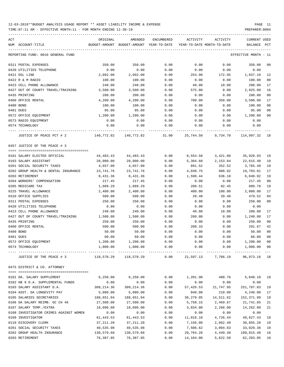| ACT<br>NUM ACCOUNT-TITLE               | ORIGINAL<br>BUDGET-AMOUNT | AMENDED<br>BUDGET-AMOUNT YEAR-TO-DATE | <b>ENCUMBERED</b>  | ACTIVITY<br>YEAR-TO-DATE MONTH-TO-DATE | ACTIVITY                        | <b>CURRENT USED</b><br>BALANCE | PCT |
|----------------------------------------|---------------------------|---------------------------------------|--------------------|----------------------------------------|---------------------------------|--------------------------------|-----|
| REPORTING FUND: 0010 GENERAL FUND      |                           |                                       |                    |                                        |                                 | EFFECTIVE MONTH - 11           |     |
|                                        |                           |                                       |                    |                                        |                                 |                                |     |
| 0311 POSTAL EXPENSES                   | 350.00                    | 350.00                                | 0.00               | 0.00                                   | 0.00                            | 350.00                         | 00  |
| 0420 UTILITIES TELEPHONE               | 0.00                      | 0.00                                  | 0.00               | 0.00                                   | 0.00                            | 0.00                           |     |
| 0421 DSL LINE                          | 2,092.00                  | 2,092.00                              | 0.00               | 254.90                                 | 172.95                          | 1,837.10                       | 12  |
| 0422 R & M RADIO                       | 100.00                    | 100.00                                | 0.00               | 0.00                                   | 0.00                            | 100.00                         | 00  |
| 0423 CELL PHONE ALLOWANCE              | 240.00                    | 240.00                                | 0.00               | 40.00                                  | 10.00                           | 200.00                         | 17  |
| 0427 OUT OF COUNTY TRAVEL/TRAINING     | 3,500.00                  | 3,500.00                              | 0.00               | 575.00                                 | 0.00                            | 2,925.00                       | 16  |
| 0435 PRINTING                          | 200.00                    | 200.00                                | 0.00               | 0.00                                   | 0.00                            | 200.00                         | 00  |
| 0460 OFFICE RENTAL                     | 4,200.00                  | 4,200.00                              | 0.00               | 700.00                                 | 350.00                          | 3,500.00                       | 17  |
| 0480 BOND                              | 100.00                    | 100.00                                | 0.00               | 0.00                                   | 0.00                            | 100.00                         | 00  |
| 0481 DUES                              | 95.00                     | 95.00                                 | 0.00               | 0.00                                   | 0.00                            | 95.00                          | 00  |
| 0572 OFFICE EQUIPMENT                  | 1,200.00                  | 1,200.00                              | 0.00               | 0.00                                   | 0.00                            | 1,200.00                       | 00  |
| 0573 RADIO EQUIPMENT                   | 0.00                      | 0.00                                  | 0.00               | 0.00                                   | 0.00                            | 0.00                           |     |
| 0574 TECHNOLOGY                        | 0.00                      | 0.00                                  | 0.00               | 0.00                                   | 0.00                            | 0.00                           |     |
| JUSTICE OF PEACE PCT # 2               | 140,772.82                | 140,772.82                            | 31.00              | 25,744.50                              | 9,734.70                        | 114,997.32 18                  |     |
| 0457 JUSTICE OF THE PEACE # 3          |                           |                                       |                    |                                        |                                 |                                |     |
|                                        |                           |                                       |                    |                                        |                                 |                                |     |
| 0101 SALARY ELECTED OFFICIAL           | 44,483.43                 | 44,483.43                             | 0.00               | 8,554.50                               | 3,421.80                        | 35,928.93                      | 19  |
| 0103 SALARY ASSISTANT                  | 28,000.00                 | 28,000.00                             | 0.00               | 5,384.60                               | 2,153.84                        | 22,615.40                      | 19  |
| 0201 SOCIAL SECURITY TAXES             | 4,657.00                  | 4,657.00                              | 0.00               | 891.52                                 | 352.52                          | 3,765.48                       | 19  |
| 0202 GROUP HEALTH & DENTAL INSURANCE   | 23,741.76                 | 23,741.76                             | 0.00               | 4,038.75                               | 988.92                          | 19,703.01                      | 17  |
| 0203 RETIREMENT                        | 8,431.36                  | 8,431.36                              | 0.00               | 1,590.44                               | 636.18                          | 6,840.92                       | 19  |
| 0204 WORKERS' COMPENSATION             | 217.45                    | 217.45                                | 0.00               | 0.00                                   | 0.00                            | 217.45                         | 00  |
| 0205 MEDICARE TAX                      | 1,089.29                  | 1,089.29                              | 0.00               | 208.51                                 | 82.45                           | 880.78                         | 19  |
| 0225 TRAVEL ALLOWANCE                  | 2,400.00                  | 2,400.00                              | 0.00               | 400.00                                 | 100.00                          | 2,000.00                       | 17  |
| 0310 OFFICE SUPPLIES                   | 500.00                    | 500.00                                | 0.00               | 20.48                                  | 20.48                           | 479.52                         | 04  |
| 0311 POSTAL EXPENSES                   | 250.00                    | 250.00                                | 0.00               | 0.00                                   | 0.00                            | 250.00                         | 00  |
| 0420 UTILITIES TELEPHONE               | 0.00                      | 0.00                                  | 0.00               | 0.00                                   | 0.00                            | 0.00                           |     |
| 0423 CELL PHONE ALLOWANCE              | 240.00                    | 240.00                                | 0.00               | 40.00                                  | 10.00                           | 200.00                         | 17  |
| 0427 OUT OF COUNTY TRAVEL/TRAINING     | 1,500.00                  | 1,500.00                              | 0.00               | 260.00                                 | 0.00                            | 1,240.00                       | 17  |
| 0435 PRINTING                          | 250.00                    | 250.00                                | 0.00               | 0.00                                   | 0.00                            | 250.00                         | 00  |
| 0460 OFFICE RENTAL                     | 500.00                    | 500.00                                | 0.00               | 208.33                                 | 0.00                            | 291.67                         | 42  |
| 0480 BOND                              | 50.00                     | 50.00                                 | 0.00               | 0.00                                   | 0.00                            | 50.00                          | 00  |
| 0481 DUES                              | 60.00                     | 60.00                                 | 0.00               | 0.00                                   | 0.00                            | 60.00                          | 00  |
| 0572 OFFICE EQUIPMENT                  | 1,200.00                  | 1,200.00                              | 0.00               | 0.00                                   | 0.00                            | 1,200.00 00                    |     |
| 0574 TECHNOLOGY                        | 1,000.00                  | 1,000.00                              | 0.00<br>---------- | 0.00                                   | 0.00                            | 1,000.00                       | 00  |
| JUSTICE OF THE PEACE # 3               | 118,570.29                | 118,570.29                            | 0.00               |                                        | 21,597.13 7,766.19 96,973.16 18 |                                |     |
| 0475 DISTRICT & CO. ATTORNEY           |                           |                                       |                    |                                        |                                 |                                |     |
|                                        |                           |                                       |                    |                                        |                                 |                                |     |
| 0101 DA. SALARY SUPPLEMENT             | 6,250.00                  | 6,250.00                              | 0.00               | 1,201.90                               | 480.76                          | 5,048.10                       | 19  |
| 0102 HB 9 D.A. SUPPLEMENTAL FUNDS      | 0.00                      | 0.00                                  | 0.00               | 0.00                                   | 0.00                            | 0.00                           |     |
| 0103 SALARY ASSISTANT D.A.             | 309,214.36                | 309, 214.36                           | 0.00               | 57,426.53                              | 21,747.95                       | 251,787.83                     | 19  |
| 0104 ASST. DA LONGEVITY PAY            | 5,080.00                  | 5,080.00                              | 0.00               | 840.00                                 | 210.00                          | 4,240.00                       | 17  |
| 0105 SALARIES SECRETARIES              | 188,651.04                | 188,651.04                            | 0.00               | 36,279.05                              | 14,511.62                       | 152,371.99                     | 19  |
| 0106 DA SALARY REIMB. GC CH 46         | 27,500.00                 | 27,500.00                             | 0.00               | 5,758.15                               | 2,469.67                        | 21,741.85                      | 21  |
| 0107 SALARY TEMP./EXTRA                | 18,096.00                 | 18,096.00                             | 0.00               | 3,834.00                               | 2,268.00                        | 14,262.00                      | 21  |
| 0108 INVESTIGATOR CRIMES AGAINST WOMEN | 0.00                      | 0.00                                  | 0.00               | 0.00                                   | 0.00                            | 0.00                           |     |
| 0109 INVESTIGATOR                      | 61,443.53                 | 61, 443.53                            | 0.00               | 11,816.10                              | 4,726.44                        | 49,627.43                      | 19  |
| 0110 DISCOVERY CLERK                   | 37,211.20                 | 37, 211.20                            | 0.00               | 7,156.00                               | 2,862.40                        | 30,055.20                      | 19  |
| 0201 SOCIAL SECURITY TAXES             | 40,535.98                 | 40,535.98                             | 0.00               | 7,506.62                               | 3,004.63                        | 33,029.36                      | 19  |
| 0202 GROUP HEALTH INSURANCE            | 130,579.68                | 130,579.68                            | 0.00               | 20,764.28                              | 4,449.38                        | 109,815.40                     | 16  |
| 0203 RETIREMENT                        | 76,387.85                 | 76,387.85                             | 0.00               | 14,184.00                              | 5,622.50                        | 62,203.85                      | 19  |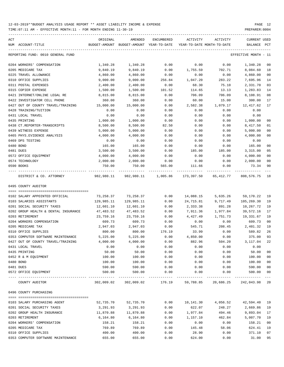| ACT | NUM ACCOUNT-TITLE                    | ORIGINAL                            | AMENDED<br>BUDGET-AMOUNT BUDGET-AMOUNT YEAR-TO-DATE | ENCUMBERED                           | ACTIVITY  | ACTIVITY<br>YEAR-TO-DATE MONTH-TO-DATE                         | CURRENT USED<br>BALANCE | PCT         |
|-----|--------------------------------------|-------------------------------------|-----------------------------------------------------|--------------------------------------|-----------|----------------------------------------------------------------|-------------------------|-------------|
|     | REPORTING FUND: 0010 GENERAL FUND    |                                     |                                                     |                                      |           |                                                                | EFFECTIVE MONTH - 11    |             |
|     | 0204 WORKERS' COMPENSATION           | 1,340.28                            | 1,340.28                                            | 0.00                                 | 0.00      | 0.00                                                           | 1,340.28                | 00          |
|     | 0205 MEDICARE TAX                    | 9,840.19                            | 9,840.19                                            | 0.00                                 | 1,755.59  | 702.71                                                         | 8,084.60                | 18          |
|     | 0225 TRAVEL ALLOWANCE                | 4,860.00                            | 4,860.00                                            | 0.00                                 | 0.00      | 0.00                                                           | 4,860.00                | 00          |
|     | 0310 OFFICE SUPPLIES                 | 9,000.00                            | 9,000.00                                            | 256.84                               | 1,047.20  | 283.22                                                         | 7,695.96                | 14          |
|     | 0311 POSTAL EXPENSES                 | 2,400.00                            | 2,400.00                                            | 0.00                                 | 68.30     | 75.10                                                          | 2,331.70                | 03          |
|     | 0315 COPIER EXPENSE                  | 1,500.00                            | 1,500.00                                            | 101.52                               | 114.65    | 13.13                                                          | 1,283.83                | 14          |
|     | 0421 INTERNET/ONLINE LEGAL RE        | 8,815.00                            | 8,815.00                                            | 0.00                                 | 706.09    | 706.09                                                         | 8,108.91                | 08          |
|     | 0422 INVESTIGATOR CELL PHONE         | 360.00                              | 360.00                                              | 0.00                                 | 60.00     | 15.00                                                          | 300.00                  | 17          |
|     | 0427 OUT OF COUNTY TRAVEL/TRAINING   | 15,000.00                           | 15,000.00                                           | 0.00                                 | 2,582.38  | 1,079.17                                                       | 12,417.62               | 17          |
|     | 0428 TRAINING/TUITION                | 0.00                                | 0.00                                                | 0.00                                 | 0.00      | 0.00                                                           | 0.00                    |             |
|     | 0431 LOCAL TRAVEL                    | 0.00                                | 0.00                                                | 0.00                                 | 0.00      | 0.00                                                           | 0.00                    |             |
|     | 0435 PRINTING                        | 1,000.00                            | 1,000.00                                            | 0.00                                 | 0.00      | 0.00                                                           | 1,000.00                | 00          |
|     | 0438 CT.REPORTER-TRANSCRIPTS         | 8,500.00                            | 8,500.00                                            | 82.50                                | 0.00      | 0.00                                                           | 8,417.50                | 01          |
|     | 0439 WITNESS EXPENSE                 | 5,000.00                            | 5,000.00                                            | 0.00                                 | 0.00      | 0.00                                                           | 5,000.00                | 00          |
|     | 0465 PHYS. EVIDENCE ANALYSIS         | 4,000.00                            | 4,000.00                                            | 0.00                                 | 0.00      | 0.00                                                           | 4,000.00                | 00          |
|     | 0469 DPS TESTING                     | 0.00                                | 0.00                                                | 0.00                                 | 0.00      | 0.00                                                           | 0.00                    |             |
|     | 0480 BOND                            | 165.00                              | 165.00                                              | 0.00                                 | 0.00      | 0.00                                                           | 165.00                  | 00          |
|     | 0481 DUES                            | 3,500.00                            | 3,500.00                                            | 0.00                                 | 185.00    | 185.00                                                         | 3,315.00                | 05          |
|     | 0572 OFFICE EQUIPMENT                | 4,000.00                            | 4,000.00                                            | 0.00                                 | 0.00      | 0.00                                                           | 4,000.00                | 00          |
|     | 0574 TECHNOLOGY                      | 2,000.00                            | 2,000.00                                            | 0.00                                 | 0.00      | 0.00                                                           | 2,000.00                | 00          |
|     | 0590 BOOKS                           | 750.00                              | 750.00                                              | 565.00                               | 111.66    | 0.00                                                           | 73.34                   | 90          |
|     | DISTRICT & CO. ATTORNEY              | . _ _ _ _ _ _ _ _ _ _<br>982,980.11 | --------------                                      | -------------<br>982,980.11 1,005.86 |           | 173,397.50 65,412.77                                           | 808,576.75 18           |             |
|     | 0495 COUNTY AUDITOR                  |                                     |                                                     |                                      |           |                                                                |                         |             |
|     |                                      |                                     |                                                     |                                      |           |                                                                |                         |             |
|     | 0102 SALARY APPOINTED OFFICIAL       | 73,258.37                           | 73,258.37                                           | 0.00                                 | 14,088.15 | 5,635.26                                                       | 59,170.22               | 19          |
|     | 0103 SALARIES ASSISTANTS             | 129,985.11                          | 129,985.11                                          | 0.00                                 | 24,715.81 | 9,717.49                                                       | 105,269.30              | 19          |
|     | 0201 SOCIAL SECURITY TAXES           | 12,601.10                           | 12,601.10                                           | 0.00                                 | 2,333.38  | 891.28                                                         | 10,267.72               | 19          |
|     | 0202 GROUP HEALTH & DENTAL INSURANCE | 47,483.52                           | 47,483.52                                           | 0.00                                 | 7,911.36  | 1,977.84                                                       | 39,572.16               | 17          |
|     | 0203 RETIREMENT                      | 23,759.16                           | 23,759.16                                           | 0.00                                 | 4,427.49  | 1,751.73                                                       | 19,331.67               | 19          |
|     | 0204 WORKERS COMPENSATION            | 609.73                              | 609.73                                              | 0.00                                 | 0.00      | 0.00                                                           | 609.73                  | 00          |
|     | 0205 MEDICARE TAX                    | 2,947.03                            | 2,947.03                                            | 0.00                                 | 545.71    | 208.45                                                         | 2,401.32                | 19          |
|     | 0310 OFFICE SUPPLIES                 | 800.00                              | 800.00                                              | 176.19                               | 33.99     | 0.00                                                           | 589.82                  | 26          |
|     | 0353 COMPUTER SOFTWARE MAINTENANCE   | 5,225.00                            | 5,225.00                                            | 0.00                                 | 4,850.00  | 0.00                                                           | 375.00                  | 93          |
|     | 0427 OUT OF COUNTY TRAVEL/TRAINING   | 4,000.00                            | 4,000.00                                            | 0.00                                 | 882.96    | 504.20                                                         | $3,117.04$ 22           |             |
|     | 0431 LOCAL TRAVEL                    | 0.00                                | 0.00                                                | 0.00                                 | 0.00      | 0.00                                                           | 0.00                    |             |
|     | 0435 PRINTING                        | 50.00                               | 50.00                                               | 0.00                                 | 0.00      | 0.00                                                           | 50.00                   | $00\,$      |
|     | 0452 R & M EQUIPMENT                 | 100.00                              | 100.00                                              | 0.00                                 | 0.00      | 0.00                                                           | 100.00                  | 00          |
|     | 0480 BOND                            | 100.00                              | 100.00                                              | 0.00                                 | 0.00      | 0.00                                                           | 100.00                  | $00\,$      |
|     | 0481 DUES                            | 590.00                              | 590.00                                              | 0.00                                 | 0.00      | 0.00                                                           | 590.00                  | 00          |
|     | 0572 OFFICE EQUIPMENT                | 500.00                              | 500.00                                              | 0.00                                 | 0.00      | 0.00                                                           | 500.00                  | 00<br>$---$ |
|     | COUNTY AUDITOR                       |                                     |                                                     |                                      |           | 302,009.02 302,009.02 176.19 59,788.85 20,686.25 242,043.98 20 |                         |             |
|     | 0496 COUNTY PURCHASING               |                                     |                                                     |                                      |           |                                                                |                         |             |
|     | 0103 SALARY PURCHASING AGENT         | 52,735.70                           | 52,735.70                                           | 0.00                                 | 10,141.30 | 4,056.52                                                       | 42,594.40               | 19          |
|     | 0201 SOCIAL SECURITY TAXES           | 3,291.93                            | 3,291.93                                            | 0.00                                 | 622.07    | 248.27                                                         | 2,669.86                | 19          |
|     | 0202 GROUP HEALTH INSURANCE          | 11,870.88                           | 11,870.88                                           | 0.00                                 | 1,977.84  | 494.46                                                         | 9,893.04                | 17          |
|     | 0203 RETIREMENT                      | 6,164.80                            | 6,164.80                                            | 0.00                                 | 1,157.10  | 462.84                                                         | 5,007.70                | 19          |
|     | 0204 WORKERS' COMPENSATION           | 158.21                              | 158.21                                              | 0.00                                 | 0.00      | 0.00                                                           | 158.21                  | 00          |
|     | 0205 MEDICARE TAX                    | 769.89                              | 769.89                                              | 0.00                                 | 145.48    | 58.06                                                          | 624.41                  | 19          |
|     | 0310 OFFICE SUPPLIES                 | 400.00                              | 400.00                                              | 0.00                                 | 28.90     | 0.00                                                           | 371.10                  | 07          |
|     | 0353 COMPUTER SOFTWARE MAINTENANCE   | 655.00                              | 655.00                                              | 0.00                                 | 624.00    | 0.00                                                           | 31.00                   | 95          |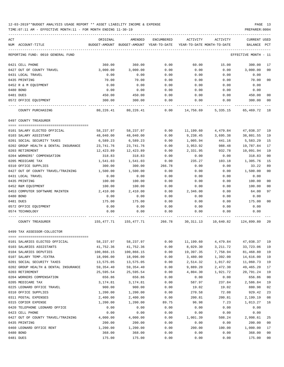TIME:07:11 AM - EFFECTIVE MONTH:11 - FOR MONTH ENDING 11-30-19 PREPARER:0004

| ACT |                                      | ORIGINAL   | AMENDED                                                                 | ENCUMBERED | ACTIVITY                            | ACTIVITY | <b>CURRENT USED</b>  |                |
|-----|--------------------------------------|------------|-------------------------------------------------------------------------|------------|-------------------------------------|----------|----------------------|----------------|
|     | NUM ACCOUNT-TITLE                    |            | BUDGET-AMOUNT BUDGET-AMOUNT YEAR-TO-DATE YEAR-TO-DATE MONTH-TO-DATE     |            |                                     |          | BALANCE PCT          |                |
|     | REPORTING FUND: 0010 GENERAL FUND    |            |                                                                         |            |                                     |          | EFFECTIVE MONTH - 11 |                |
|     | 0421 CELL PHONE                      | 360.00     | 360.00                                                                  | 0.00       | 60.00                               | 15.00    | 300.00               | 17             |
|     | 0427 OUT OF COUNTY TRAVEL            | 3,000.00   | 3,000.00                                                                | 0.00       | 0.00                                | 0.00     | 3,000.00             | 0 <sub>0</sub> |
|     | 0431 LOCAL TRAVEL                    | 0.00       | 0.00                                                                    | 0.00       | 0.00                                | 0.00     | 0.00                 |                |
|     | 0435 PRINTING                        | 70.00      | 70.00                                                                   | 0.00       | 0.00                                | 0.00     | 70.00                | 0 <sub>0</sub> |
|     | 0452 R & M EQUIPMENT                 | 0.00       | 0.00                                                                    | 0.00       | 0.00                                | 0.00     | 0.00                 |                |
|     | 0480 BOND                            | 0.00       | 0.00                                                                    | 0.00       | 0.00                                | 0.00     | 0.00                 |                |
|     | 0481 DUES                            | 450.00     | 450.00                                                                  | 0.00       | 0.00                                | 0.00     | 450.00               | 00             |
|     | 0572 OFFICE EQUIPMENT                | 300.00     | 300.00                                                                  | 0.00       | 0.00                                | 0.00     | 300.00               | 0 <sub>0</sub> |
|     | COUNTY PURCHASING                    |            | 80,226.41 80,226.41                                                     |            | $0.00$ 14,756.69 5,335.15 65,469.72 |          |                      | 18             |
|     | 0497 COUNTY TREASURER                |            |                                                                         |            |                                     |          |                      |                |
|     | 0101 SALARY ELECTED OFFICIAL         | 58,237.97  | 58,237.97                                                               | 0.00       | 11,199.60                           | 4,479.84 | 47,038.37            | 19             |
|     | 0103 SALARY ASSISTANT                | 48,040.00  | 48,040.00                                                               | 0.00       | 9,238.45                            | 3,695.38 | 38,801.55            | 19             |
|     | 0201 SOCIAL SECURITY TAXES           | 6,589.23   | 6,589.23                                                                | 0.00       | 1,005.94                            | 441.16   | 5,583.29             | 15             |
|     | 0202 GROUP HEALTH & DENTAL INSURANCE | 23,741.76  | 23,741.76                                                               | 0.00       | 3,953.92                            | 988.48   | 19,787.84            | 17             |
|     | 0203 RETIREMENT                      | 12,423.89  | 12,423.89                                                               | 0.00       | 2,331.95                            | 932.78   | 10,091.94            | 19             |
|     | 0204 WORKERS' COMPENSATION           | 318.83     | 318.83                                                                  | 0.00       | 0.00                                | 0.00     | 318.83               | 0 <sub>0</sub> |
|     | 0205 MEDICARE TAX                    | 1,541.03   | 1,541.03                                                                | 0.00       | 235.27                              | 103.18   | 1,305.76             | 15             |
|     | 0310 OFFICE SUPPLIES                 | 300.00     | 300.00                                                                  | 266.78     | 0.00                                | 0.00     | 33.22                | 89             |
|     | 0427 OUT OF COUNTY TRAVEL/TRAINING   | 1,500.00   | 1,500.00                                                                | 0.00       | 0.00                                | 0.00     | 1,500.00             | 0 <sub>0</sub> |
|     | 0431 LOCAL TRAVEL                    | 0.00       | 0.00                                                                    | 0.00       | 0.00                                | 0.00     | 0.00                 |                |
|     | 0435 PRINTING                        | 100.00     | 100.00                                                                  | 0.00       | 0.00                                | 0.00     | 100.00               | 0 <sub>0</sub> |
|     | 0452 R&M EQUIPMENT                   | 100.00     | 100.00                                                                  | 0.00       | 0.00                                | 0.00     | 100.00               | 0 <sub>0</sub> |
|     | 0453 COMPUTER SOFTWARE MAINTEN       | 2,410.00   | 2,410.00                                                                | 0.00       | 2,346.00                            | 0.00     | 64.00                | 97             |
|     | 0480 BOND                            | 0.00       | 0.00                                                                    | 0.00       | 0.00                                | 0.00     | 0.00                 |                |
|     | 0481 DUES                            | 175.00     | 175.00                                                                  | 0.00       | 0.00                                | 0.00     | 175.00               | 0 <sub>0</sub> |
|     | 0572 OFFICE EQUIPMENT                | 0.00       | 0.00                                                                    | 0.00       | 0.00                                | 0.00     | 0.00                 |                |
|     | 0574 TECHNOLOGY                      | 0.00       | 0.00                                                                    | 0.00       | 0.00                                | 0.00     | 0.00                 |                |
|     | COUNTY TREASURER                     |            | $155,477.71$ $155,477.71$ $266.78$ $30,311.13$ $10,640.82$ $124,899.80$ |            |                                     |          |                      | -20            |
|     | 0499 TAX ASSESSOR-COLLECTOR          |            |                                                                         |            |                                     |          |                      |                |
|     |                                      |            |                                                                         |            |                                     |          |                      |                |
|     | 0101 SALARIES ELECTED OFFICIAL       | 58,237.97  | 58,237.97                                                               | 0.00       | 11,199.60                           | 4,479.84 | 47,038.37            | 19             |
|     | 0103 SALARIES ASSISTANTS             | 41,752.36  | 41,752.36                                                               | 0.00       | 8,029.30                            | 3,211.72 | 33,723.06            | 19             |
|     | 0104 SALARIES DEPUTIES               | 100,866.15 | 100,866.15                                                              | 0.00       | 19,397.35                           | 7,758.94 | 81,468.80            | 19             |
|     | 0107 SALARY TEMP./EXTRA              | 18,096.00  | 18,096.00                                                               | 0.00       | 3,480.00                            | 1,392.00 | 14,616.00            | 19             |
|     | 0201 SOCIAL SECURITY TAXES           | 13,575.05  | 13,575.05                                                               | 0.00       | 2,514.32                            | 1,017.02 | 11,060.73            | 19             |
|     | 0202 GROUP HEALTH & DENTAL INSURANCE | 59,354.40  | 59, 354.40                                                              | 0.00       | 9,889.20                            | 2,472.30 | 49, 465.20           | 17             |
|     | 0203 RETIREMENT                      | 25,595.54  | 25,595.54                                                               | 0.00       | 4,804.30                            | 1,921.72 | 20,791.24            | 19             |
|     | 0204 WORKERS COMPENSATION            | 656.86     | 656.86                                                                  | 0.00       | 0.00                                | 0.00     | 656.86               | 0 <sub>0</sub> |
|     | 0205 MEDICARE TAX                    | 3,174.81   | 3,174.81                                                                | 0.00       | 587.97                              | 237.84   | 2,586.84             | 19             |
|     | 0225 LEONARD OFFICE TRAVEL           | 900.00     | 900.00                                                                  | 0.00       | 19.02                               | 19.02    | 880.98               | 02             |
|     | 0310 OFFICE SUPPLIES                 | 1,200.00   | 1,200.00                                                                | 0.00       | 270.58                              | 72.08    | 929.42               | 23             |
|     | 0311 POSTAL EXPENSES                 | 2,400.00   | 2,400.00                                                                | 0.00       | 200.81                              | 200.81   | 2,199.19             | 08             |
|     | 0315 COPIER EXPENSE                  | 1,200.00   | 1,200.00                                                                | 89.75      | 96.98                               | 7.23     | 1,013.27             | 16             |
|     | 0420 TELEPHONE LEONARD OFFICE        | 0.00       | 0.00                                                                    | 0.00       | 0.00                                | 0.00     | 0.00                 |                |
|     | 0423 CELL PHONE                      | 0.00       | 0.00                                                                    | 0.00       | 0.00                                | 0.00     | 0.00                 |                |
|     | 0427 OUT OF COUNTY TRAVEL/TRAINING   | 4,000.00   | 4,000.00                                                                | 0.00       | 1,001.39                            | 508.24   | 2,998.61             | 25             |
|     | 0435 PRINTING                        | 200.00     | 200.00                                                                  | 0.00       | 0.00                                | 0.00     | 200.00               | 0 <sub>0</sub> |
|     | 0460 LEONARD OFFICE RENT             | 1,200.00   | 1,200.00                                                                | 0.00       | 200.00                              | 100.00   | 1,000.00             | 17             |
|     | 0480 BOND                            | 368.00     | 368.00                                                                  | 0.00       | 0.00                                | 0.00     | 368.00               | 0 <sub>0</sub> |

0481 DUES 175.00 175.00 0.00 0.00 0.00 175.00 00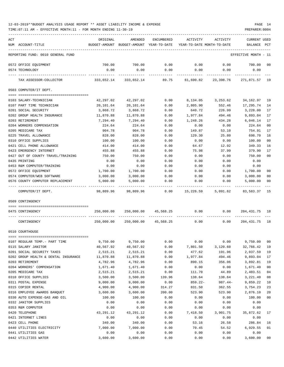TIME:07:11 AM - EFFECTIVE MONTH:11 - FOR MONTH ENDING 11-30-19 PREPARER:0004

| ACT |                                      | ORIGINAL   | AMENDED                                  | ENCUMBERED     | ACTIVITY   | ACTIVITY                   | <b>CURRENT USED</b>  |                |
|-----|--------------------------------------|------------|------------------------------------------|----------------|------------|----------------------------|----------------------|----------------|
|     | NUM ACCOUNT-TITLE                    |            | BUDGET-AMOUNT BUDGET-AMOUNT YEAR-TO-DATE |                |            | YEAR-TO-DATE MONTH-TO-DATE | BALANCE              | PCT            |
|     | REPORTING FUND: 0010 GENERAL FUND    |            |                                          |                |            |                            | EFFECTIVE MONTH - 11 |                |
|     | 0572 OFFICE EQUIPMENT                | 700.00     | 700.00                                   | 0.00           | 0.00       | 0.00                       | 700.00               | 00             |
|     | 0574 TECHNOLOGY                      | 0.00       | 0.00                                     | 0.00           | 0.00       | 0.00                       | 0.00                 |                |
|     | TAX ASSESSOR-COLLECTOR               | 333,652.14 | 333,652.14                               | 89.75          | 61,690.82  | 23,398.76                  | 271,871.57           | 19             |
|     | 0503 COMPUTER/IT DEPT.               |            |                                          |                |            |                            |                      |                |
|     | 0103 SALARY-TECHNICIAN               | 42,297.02  | 42,297.02                                | 0.00           | 8,134.05   | 3,253.62                   | 34,162.97            | 19             |
|     | 0107 PART TIME TECHNICIAN            | 20,101.64  | 20,101.64                                | 0.00           | 2,805.90   | 552.46                     | 17,295.74            | 14             |
|     | 0201 SOCIAL SECURITY                 | 3,868.72   | 3,868.72                                 | 0.00           | 640.72     | 226.99                     | 3,228.00             | 17             |
|     | 0202 GROUP HEALTH INSURANCE          | 11,870.88  | 11,870.88                                | 0.00           | 1,977.84   | 494.46                     | 9,893.04             | 17             |
|     | 0203 RETIREMENT                      | 7,294.40   | 7,294.40                                 | 0.00           | 1,248.26   | 434.28                     | 6,046.14             | 17             |
|     | 0204 WORKERS COMPENSATION            | 224.64     | 224.64                                   | 0.00           | 0.00       | 0.00                       | 224.64               | 0 <sub>0</sub> |
|     | 0205 MEDICARE TAX                    | 904.78     | 904.78                                   | 0.00           | 149.87     | 53.10                      | 754.91               | 17             |
|     | 0225 TRAVEL ALLOWANCE                | 828.00     | 828.00                                   | 0.00           | 129.30     | 25.80                      | 698.70               | 16             |
|     | 0310 OFFICE SUPPLIES                 | 100.00     | 100.00                                   | 0.00           | 0.00       | 0.00                       | 100.00               | 0 <sub>0</sub> |
|     | 0421 CELL PHONE ALLOWANCE            | 414.00     | 414.00                                   | 0.00           | 64.67      | 12.92                      | 349.33               | 16             |
|     | 0423 EMERGENCY INTERNET              | 455.88     | 455.88                                   | 0.00           | 75.98      | 37.99                      | 379.90               | 17             |
|     | 0427 OUT OF COUNTY TRAVEL/TRAINING   | 750.00     | 750.00                                   | 0.00           | 0.00       | 0.00                       | 750.00               | 0 <sub>0</sub> |
|     | 0435 PRINTING                        | 0.00       | 0.00                                     | 0.00           | 0.00       | 0.00                       | 0.00                 |                |
|     | 0453 R&M COMPUTER/TRAINING           | 0.00       | 0.00                                     | 0.00           | 0.00       | 0.00                       | 0.00                 |                |
|     | 0572 OFFICE EQUIPMENT                | 1,700.00   | 1,700.00                                 | 0.00           | 0.00       | 0.00                       | 1,700.00             | 0 <sub>0</sub> |
|     | 0574 COMPUTER/WEB SOFTWARE           | 3,000.00   | 3,000.00                                 | 0.00           | 0.00       | 0.00                       | 3,000.00             | 0 <sub>0</sub> |
|     | 0576 COUNTY COMPUTER REPLACEMENT     | 5,000.00   | 5,000.00                                 | 0.00           | 0.00       | 0.00                       | 5,000.00             | 00             |
|     | COMPUTER/IT DEPT.                    | 98,809.96  | 98,809.96                                | 0.00015,226.59 |            | 5,091.62                   | 83,583.37            | -15            |
|     | 0509 CONTINGENCY                     |            |                                          |                |            |                            |                      |                |
|     | 0475 CONTINGENCY                     |            | 250,000.00 250,000.00 45,568.25          |                | 0.00       | 0.00                       | 204, 431, 75 18      |                |
|     | CONTINGENCY                          |            | 250,000.00 250,000.00 45,568.25          |                | 0.00       | 0.00                       | 204, 431. 75 18      |                |
|     |                                      |            |                                          |                |            |                            |                      |                |
|     | 0510 COURTHOUSE                      |            |                                          |                |            |                            |                      |                |
|     | 0107 REGULAR TEMP. - PART TIME       | 9,750.00   | 9,750.00                                 | 0.00           | 0.00       | 0.00                       | 9,750.00             | 00             |
|     | 0115 SALARY JANITOR                  | 40,567.92  | 40,567.92                                | 0.00           | 7,801.50   | 3,120.60                   | 32,766.42            | 19             |
|     | 0201 SOCIAL SECURITY TAXES           | 2,515.21   | 2,515.21                                 | 0.00           | 477.62     | 191.96                     | 2,037.59             | 19             |
|     | 0202 GROUP HEALTH & DENTAL INSURANCE | 11,870.88  | 11,870.88                                | 0.00           | 1,977.84   | 494.46                     | 9,893.04             | 17             |
|     | 0203 RETIREMENT                      | 4,782.96   | 4,782.96                                 | 0.00           | 890.15     | 356.06                     | 3,892.81             | 19             |
|     | 0204 WORKERS' COMPENSATION           | 1,671.40   | 1,671.40                                 | 0.00           | 0.00       | 0.00                       | 1,671.40             | 0 <sub>0</sub> |
|     | 0205 MEDICARE TAX                    | 2,515.21   | 2,515.21                                 | 0.00           | 111.70     | 44.89                      | 2,403.51             | 04             |
|     | 0310 OFFICE SUPPLIES                 | 3,500.00   | 3,500.00                                 | 139.96         | 138.64     | 138.64                     | 3,221.40             | 08             |
|     | 0311 POSTAL EXPENSE                  | 9,000.00   | 9,000.00                                 | 0.00           | $859.22 -$ | $987.44-$                  | 9,859.22             | 10             |
|     | 0315 COPIER RENTAL                   | 4,900.00   | 4,900.00                                 | 314.27         | 831.50     | 362.55                     | 3,754.23             | 23             |
|     | 0316 EMPLOYEE AWARDS BANQUET         | 3,600.00   | 3,600.00                                 | 200.00         | 523.90     | 523.90                     | 2,876.10             | 20             |
|     | 0330 AUTO EXPENSE-GAS AND OIL        | 100.00     | 100.00                                   | 0.00           | 0.00       | 0.00                       | 100.00               | 0 <sub>0</sub> |
|     | 0332 JANITOR SUPPLIES                | 0.00       | 0.00                                     | 0.00           | 0.00       | 0.00                       | 0.00                 |                |
|     | 0353 R&M COMPUTER                    | 0.00       | 0.00                                     | 0.00           | 0.00       | 0.00                       | 0.00                 |                |
|     | 0420 TELEPHONE                       | 43,291.12  | 43, 291. 12                              | 0.00           | 7,418.50   | 3,901.75                   | 35,872.62            | 17             |
|     | 0421 INTERNET LINES                  | 0.00       | 0.00                                     | 0.00           | 0.00       | 0.00                       | 0.00                 |                |
|     | 0423 CELL PHONE                      | 340.00     | 340.00                                   | 0.00           | 53.16      | 26.58                      | 286.84               | 16             |
|     | 0440 UTILITIES ELECTRICITY           | 7,000.00   | 7,000.00                                 | 0.00           | 70.45      | 54.52                      | 6,929.55             | 01             |
|     | 0441 UTILITIES GAS                   | 0.00       | 0.00                                     | 0.00           | 0.00       | 0.00                       | 0.00                 |                |

0442 UTILITIES WATER 3,600.00 3,600.00 0.00 0.00 0.00 3,600.00 00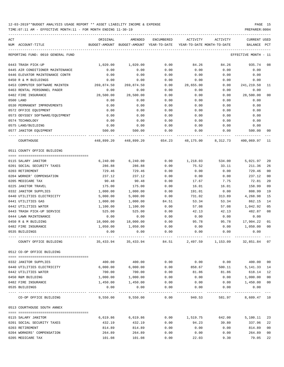| ACT | NUM ACCOUNT-TITLE                                   | ORIGINAL           | AMENDED<br>BUDGET-AMOUNT BUDGET-AMOUNT YEAR-TO-DATE | ENCUMBERED    | ACTIVITY       | ACTIVITY<br>YEAR-TO-DATE MONTH-TO-DATE | CURRENT USED<br>BALANCE | PCT            |
|-----|-----------------------------------------------------|--------------------|-----------------------------------------------------|---------------|----------------|----------------------------------------|-------------------------|----------------|
|     | REPORTING FUND: 0010 GENERAL FUND                   |                    |                                                     |               |                |                                        | EFFECTIVE MONTH - 11    |                |
|     | 0443 TRASH PICK-UP                                  | 1,020.00           | 1,020.00                                            | 0.00          | 84.26          | 84.26                                  | 935.74                  | 08             |
|     | 0445 AIR CONDITIONER MAINTENANCE                    | 0.00               | 0.00                                                | 0.00          | 0.00           | 0.00                                   | 0.00                    |                |
|     | 0446 ELEVATOR MAINTENANCE CONTR                     | 0.00               | 0.00                                                | 0.00          | 0.00           | 0.00                                   | 0.00                    |                |
|     | 0450 R & M BUILDINGS                                | 0.00               | 0.00                                                | 0.00          | 0.00           | 0.00                                   | 0.00                    |                |
|     | 0453 COMPUTER SOFTWARE MAINTEN                      | 269,874.50         | 269,874.50                                          | 0.00          | 28,655.00      | 0.00                                   | 241,219.50              | 11             |
|     | 0463 RENTAL PERSONNEL PAGER                         | 0.00               | 0.00                                                | 0.00          | 0.00           | 0.00                                   | 0.00                    |                |
|     | 0482 FIRE INSURANCE                                 | 28,500.00          | 28,500.00                                           | 0.00          | 0.00           | 0.00                                   | 28,500.00               | 00             |
|     | 0500 LAND                                           | 0.00               | 0.00                                                | 0.00          | 0.00           | 0.00                                   | 0.00                    |                |
|     | 0530 PERMANENT IMPROVEMENTS                         | 0.00               | 0.00                                                | 0.00          | 0.00           | 0.00                                   | 0.00                    |                |
|     | 0572 OFFICE EQUIPMENT                               | 0.00               | 0.00                                                | 0.00          | 0.00           | 0.00                                   | 0.00                    |                |
|     | 0573 ODYSSEY SOFTWARE/EQUIPMENT                     | 0.00               | 0.00                                                | 0.00          | 0.00           | 0.00                                   | 0.00                    |                |
|     | 0574 TECHNOLOGY                                     | 0.00               | 0.00                                                | 0.00          | 0.00           | 0.00                                   | 0.00                    |                |
|     | 0575 LAND/BUILDING                                  | 0.00               | 0.00                                                | 0.00          | 0.00           | 0.00                                   | 0.00                    |                |
|     | 0577 JANITOR EQUIPMENT                              | 500.00             | 500.00                                              | 0.00          | 0.00           | 0.00                                   | 500.00                  | 00             |
|     | COURTHOUSE                                          |                    | 448,899.20 448,899.20                               | 654.23        | 48,175.00      | 8,312.73                               | 400,069.97              | - 11           |
|     | 0511 COUNTY OFFICE BUILDING                         |                    |                                                     |               |                |                                        |                         |                |
|     | 0115 SALARY JANITOR                                 |                    | 6, 240.00                                           | 0.00          |                | 534.00                                 | 5,021.97                | 20             |
|     |                                                     | 6,240.00           |                                                     |               | 1,218.03       |                                        |                         |                |
|     | 0201 SOCIAL SECURITY TAXES                          | 286.88             | 286.88                                              | 0.00          | 75.52          | 33.11                                  | 211.36                  | 26             |
|     | 0203 RETIREMENT                                     | 729.46             | 729.46                                              | 0.00          | 0.00           | 0.00                                   | 729.46                  | 00             |
|     | 0204 WORKER' COMPENSATION                           | 237.12             | 237.12                                              | 0.00          | 0.00           | 0.00<br>7.75                           | 237.12<br>72.81         | 0 <sub>0</sub> |
|     | 0205 MEDICARE TAX<br>0225 JANITOR TRAVEL            | 90.48<br>175.00    | 90.48<br>175.00                                     | 0.00<br>0.00  | 17.67<br>16.01 | 16.01                                  | 158.99                  | 20<br>09       |
|     | 0332 JANITOR SUPPLIES                               | 1,000.00           | 1,000.00                                            | 0.00          | 191.01         | 0.00                                   | 808.99                  | 19             |
|     | 0440 UTILITIES ELECTRICITY                          | 5,000.00           | 5,000.00                                            | 0.00          |                | 313.89                                 | 4,268.98                | 15             |
|     |                                                     |                    |                                                     |               | 731.02         |                                        | 862.15                  | 14             |
|     | 0441 UTILITIES GAS                                  | 1,000.00           | 1,000.00                                            | 84.51<br>0.00 | 53.34          | 53.34                                  |                         | 05             |
|     | 0442 UTILITIES WATER                                | 1,100.00<br>525.00 | 1,100.00<br>525.00                                  |               | 57.08          | 57.08                                  | 1,042.92<br>482.87      | 08             |
|     | 0443 TRASH PICK-UP SERVICE<br>0444 LAWN MAINTENANCE |                    |                                                     | 0.00          | 42.13          | 42.13                                  |                         |                |
|     |                                                     | 0.00               | 0.00                                                | 0.00          | 0.00           | 0.00                                   | 0.00                    |                |
|     | 0450 R & M BUILDING                                 | 18,000.00          | 18,000.00                                           | 0.00          | 95.78          | 95.78                                  | 17,904.22               | 01             |
|     | 0482 FIRE INSURANCE                                 | 1,050.00           | 1,050.00                                            | 0.00          | 0.00           | 0.00                                   | 1,050.00                | 00             |
|     | 0535 BUILDINGS                                      | 0.00               | 0.00                                                | 0.00          | 0.00           | 0.00                                   | 0.00                    |                |
|     | COUNLY OFFICE BUILDING                              | 35,433.94          | 35,433.94                                           | 84.51         | 2,497.59       | 1,153.09                               | 32,851.84 07            |                |
|     | 0512 CO-OP OFFICE BUILDING                          |                    |                                                     |               |                |                                        |                         |                |
|     | 0332 JANITOR SUPPLIES                               | 400.00             | 400.00                                              | 0.00          | 0.00           | 0.00                                   | 400.00 00               |                |
|     | 0440 UTILITIES ELECTRICITY                          | 6,000.00           | 6,000.00                                            | 0.00          | 858.67         | 500.11                                 | 5, 141. 33 14           |                |
|     | 0442 UTILITIES WATER                                | 700.00             | 700.00                                              | 0.00          | 81.86          | 81.86                                  | 618.14 12               |                |
|     | 0450 R&M BUILDING                                   | 1,000.00           | 1,000.00                                            | 0.00          | 0.00           | 0.00                                   | 1,000.00                | 00             |
|     | 0482 FIRE INSURANCE                                 | 1,450.00           | 1,450.00                                            | 0.00          | 0.00           | 0.00                                   | 1,450.00 00             |                |
|     | 0535 BUILDINGS                                      | 0.00               | 0.00                                                | 0.00          | 0.00           | 0.00                                   | 0.00                    |                |
|     | CO-OP OFFICE BUILDING                               | 9,550.00           | 9,550.00                                            | 0.00          | 940.53         | 581.97                                 | 8,609.47 10             |                |
|     | 0513 COURTHOUSE SOUTH ANNEX                         |                    |                                                     |               |                |                                        |                         |                |
|     |                                                     |                    |                                                     |               |                |                                        |                         |                |
|     | 0115 SALARY JANITOR                                 |                    | 6,619.86 6,619.86                                   | 0.00          | 1,519.75       | 642.00                                 | 5,100.11                | 23             |
|     | 0201 SOCIAL SECURITY TAXES                          | 432.19             | 432.19                                              | 0.00          | 94.23          | 39.80                                  | 337.96                  | 22             |
|     | 0203 RETIREMENT                                     | 814.89             | 814.89                                              | 0.00          | 0.00           | 0.00                                   | 814.89                  | 00             |
|     | 0204 WORKERS' COMPENSATION                          | 264.89             | 264.89                                              | 0.00          | 0.00           | 0.00                                   | 264.89                  | 00             |
|     | 0205 MEDICARE TAX                                   | 101.08             | 101.08                                              | 0.00          | 22.03          | 9.30                                   | 79.05                   | 22             |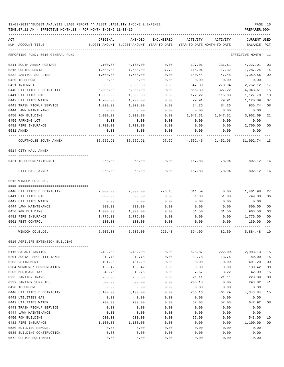TIME:07:11 AM - EFFECTIVE MONTH:11 - FOR MONTH ENDING 11-30-19 PREPARER:0004

| ACT<br>NUM ACCOUNT-TITLE          | ORIGINAL  | AMENDED   | ENCUMBERED | ACTIVITY<br>BUDGET-AMOUNT BUDGET-AMOUNT YEAR-TO-DATE YEAR-TO-DATE MONTH-TO-DATE | ACTIVITY  | <b>CURRENT USED</b><br>BALANCE PCT |                |
|-----------------------------------|-----------|-----------|------------|---------------------------------------------------------------------------------|-----------|------------------------------------|----------------|
|                                   |           |           |            |                                                                                 |           |                                    |                |
| REPORTING FUND: 0010 GENERAL FUND |           |           |            |                                                                                 |           | EFFECTIVE MONTH - 11               |                |
| 0311 SOUTH ANNEX POSTAGE          | 4,100.00  | 4,100.00  | 0.00       | $127.01-$                                                                       | $231.61-$ | 4,227.01                           | 03             |
| 0315 COPIER RENTAL                | 1,500.00  | 1,500.00  | 97.72      | 115.04                                                                          | 17.32     | 1,287.24                           | 14             |
| 0332 JANITOR SUPPLIES             | 1,500.00  | 1,500.00  | 0.00       | 140.44                                                                          | 47.48     | 1,359.56                           | 09             |
| 0420 TELEPHONE                    | 0.00      | 0.00      | 0.00       | 0.00                                                                            | 0.00      | 0.00                               |                |
| 0421 INTERNET                     | 3,300.00  | 3,300.00  | 0.00       | 547.88                                                                          | 273.94    | 2,752.12                           | 17             |
| 0440 UTILITIES ELECTRICITY        | 5,800.00  | 5,800.00  | 0.00       | 856.39                                                                          | 327.22    | 4,943.61                           | 15             |
| 0441 UTILITIES GAS                | 1,300.00  | 1,300.00  | 0.00       | 172.22                                                                          | 116.03    | 1,127.78                           | 13             |
| 0442 UTILITIES WATER              | 1,200.00  | 1,200.00  | 0.00       | 79.91                                                                           | 79.91     | 1,120.09                           | 07             |
| 0443 TRASH PICKUP SERVICE         | 1,020.00  | 1,020.00  | 0.00       | 84.26                                                                           | 84.26     | 935.74                             | 08             |
| 0444 LAWN MAINTENANCE             | 0.00      | 0.00      | 0.00       | 0.00                                                                            | 0.00      | 0.00                               |                |
| 0450 R&M BUILDING                 | 5,000.00  | 5,000.00  | 0.00       | 1,047.31                                                                        | 1,047.31  | 3,952.69                           | 21             |
| 0455 PARKING LOT                  | 0.00      | 0.00      | 0.00       | 0.00                                                                            | 0.00      | 0.00                               |                |
| 0482 FIRE INSURANCE               | 2,700.00  | 2,700.00  | 0.00       | 0.00                                                                            | 0.00      | 2,700.00                           | 0 <sub>0</sub> |
| 0531 ANNEX                        | 0.00      | 0.00      | 0.00       | 0.00                                                                            | 0.00      | 0.00                               |                |
| COURTHOUSE SOUTH ANNEX            | 35,652.91 | 35,652.91 | 97.72      | 4,552.45                                                                        | 2,452.96  | 31,002.74 13                       |                |
| 0514 CITY HALL ANNEX              |           |           |            |                                                                                 |           |                                    |                |
|                                   |           |           |            |                                                                                 |           |                                    |                |
| 0421 TELEPHONE/INTERNET           | 960.00    | 960.00    | 0.00       | 157.88                                                                          | 78.94     | 802.12                             | 16             |
| CITY HALL ANNEX                   | 960.00    | 960.00    | 0.00       | 157.88                                                                          | 78.94     | 802.12                             | 16             |
| 0515 WINDOM CO.BLDG.              |           |           |            |                                                                                 |           |                                    |                |
|                                   |           |           |            |                                                                                 |           |                                    |                |
| 0440 UTILITIES ELECTRICITY        | 2,000.00  | 2,000.00  | 226.43     | 311.59                                                                          | 0.00      | 1,461.98                           | 27             |
| 0441 UTILITIES GAS                | 800.00    | 800.00    | 0.00       | 51.00                                                                           | 51.00     | 749.00                             | 06             |
| 0442 UTILITIES WATER              | 0.00      | 0.00      | 0.00       | 0.00                                                                            | 0.00      | 0.00                               |                |
| 0444 LAWN MAINTENANCE             | 800.00    | 800.00    | 0.00       | 0.00                                                                            | 0.00      | 800.00                             | 0 <sub>0</sub> |
| 0450 R&M BUILDING                 | 1,000.00  | 1,000.00  | 0.00       | 31.50                                                                           | 31.50     | 968.50                             | 03             |
| 0482 FIRE INSURANCE               | 1,775.00  | 1,775.00  | 0.00       | 0.00                                                                            | 0.00      | 1,775.00                           | 0 <sub>0</sub> |
| 0501 PEST CONTROL                 | 130.00    | 130.00    | 0.00       | 0.00                                                                            | 0.00      | 130.00                             | 0 <sub>0</sub> |
| WINDOM CO.BLDG.                   | 6,505.00  | 6,505.00  | 226.43     | 394.09                                                                          | 82.50     | 5,884.48                           | 10             |
| 0516 AGRILIFE EXTENSION BUILDING  |           |           |            |                                                                                 |           |                                    |                |
| 0115 SALARY JANITOR               | 3,432.00  | 3,432.00  | 0.00       | 528.87                                                                          | 222.00    | 2,903.13                           | 15             |
| 0201 SOCIAL SECURITY TAXES        | 212.78    | 212.78    | 0.00       | 32.78                                                                           | 13.76     | 180.00                             | 15             |
| 0203 RETIREMENT                   | 401.20    | 401.20    | 0.00       | 0.00                                                                            | 0.00      | 401.20                             | 0 <sub>0</sub> |
| 0204 WORKERS' COMPENSATION        | 130.42    | 130.42    | 0.00       | 0.00                                                                            | 0.00      | 130.42                             | 00             |
| 0205 MEDICARE TAX                 | 49.76     | 49.76     | 0.00       | 7.67                                                                            | 3.22      | 42.09                              | 15             |
| 0225 JANITOR TRAVEL               | 250.00    | 250.00    | 0.00       | 21.11                                                                           | 21.11     | 228.89                             | 08             |
| 0332 JANITOR SUPPLIES             | 500.00    | 500.00    | 0.00       | 206.18                                                                          | 0.00      | 293.82                             | 41             |
| 0420 TELEPHONE                    | 0.00      | 0.00      | 0.00       | 0.00                                                                            | 0.00      | 0.00                               |                |
| 0440 UTILITIES ELECTRICITY        | 5,100.00  | 5,100.00  | 0.00       | 756.16                                                                          | 464.79    | 4,343.84                           | 15             |
| 0441 UTILITIES GAS                | 0.00      | 0.00      | 0.00       | 0.00                                                                            | 0.00      | 0.00                               |                |
| 0442 UTILITIES WATER              | 700.00    | 700.00    | 0.00       | 57.08                                                                           | 57.08     | 642.92                             | 08             |
| 0443 TRASH PICKUP SERVICE         | 0.00      | 0.00      | 0.00       | 0.00                                                                            | 0.00      | 0.00                               |                |
| 0444 LAWN MAINTENANCE             | 0.00      | 0.00      | 0.00       | 0.00                                                                            | 0.00      | 0.00                               |                |
| 0450 R&M BUILDING                 | 600.00    | 600.00    | 0.00       | 57.00                                                                           | 0.00      | 543.00                             | 10             |
| 0482 FIRE INSURANCE               | 1,100.00  | 1,100.00  | 0.00       | 0.00                                                                            | 0.00      | 1,100.00                           | 0 <sub>0</sub> |
| 0530 BUILDING REMODEL             | 0.00      | 0.00      | 0.00       | 0.00                                                                            | 0.00      | 0.00                               |                |
| 0535 BUILDING CONSTRUCTION        | 0.00      | 0.00      | 0.00       | 0.00                                                                            | 0.00      | 0.00                               |                |
|                                   |           |           |            |                                                                                 |           |                                    |                |

0572 OFFICE EQUIPMENT 0.00 0.00 0.00 0.00 0.00 0.00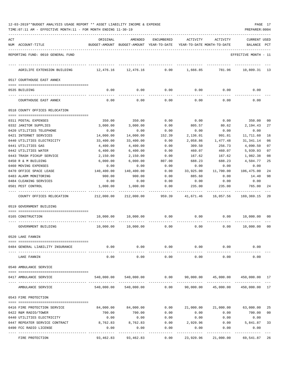|  |  | 12-03-2019**BUDGET ANALYSIS USAGE REPORT ** ASSET LIABILITY INCOME & EXPENSE | PAGE |  |
|--|--|------------------------------------------------------------------------------|------|--|
|  |  |                                                                              |      |  |

| REPORTING FUND: 0010 GENERAL FUND<br>EFFECTIVE MONTH - 11<br>12,476.16<br>12,476.16<br>0.00<br>1,666.85<br>10,809.31<br>13<br>AGRILIFE EXTENSION BUILDING<br>781.96<br>0517 COURTHOUSE EAST ANNEX<br>0.00<br>0.00<br>0.00<br>0.00<br>0.00<br>0.00<br>0535 BUILDING<br>COURTHOUSE EAST ANNEX<br>0.00<br>0.00<br>0.00<br>0.00<br>0.00<br>0.00<br>0518 COUNTY OFFICES RELOCATION<br>0.00<br>0.00<br>0.00<br>350.00<br>0311 POSTAL EXPENSES<br>350.00<br>350.00<br>00<br>27<br>0332 JANITOR SUPPLIES<br>3,000.00<br>3,000.00<br>0.00<br>805.57<br>80.62<br>2,194.43<br>0420 UTILITIES TELEPHONE<br>0.00<br>0.00<br>0.00<br>0.00<br>0.00<br>0.00<br>11,711.60<br>0421 INTERNET SERVICES<br>14,000.00<br>14,000.00<br>152.39<br>2,136.01<br>991.81<br>16<br>31, 341. 14<br>0440 UTILITIES ELECTRICITY<br>33,400.00<br>33,400.00<br>0.00<br>2,058.86<br>1,477.48<br>06<br>0441 UTILITIES GAS<br>07<br>4,400.00<br>4,400.00<br>0.00<br>309.50<br>256.73<br>4,090.50<br>07<br>0442 UTILITIES WATER<br>6,400.00<br>6,400.00<br>0.00<br>460.07<br>460.07<br>5,939.93<br>08<br>0443 TRASH PICKUP SERVICE<br>2,150.00<br>2,150.00<br>0.00<br>167.62<br>167.62<br>1,982.38<br>0450 R & M BUILDING<br>6,000.00<br>688.23<br>25<br>6,000.00<br>807.00<br>688.23<br>4,504.77<br>0460 MOVING EXPENSES<br>0.00<br>0.00<br>0.00<br>0.00<br>0.00<br>0.00<br>0470 OFFICE SPACE LEASE<br>140,400.00<br>140,400.00<br>0.00<br>33,925.00<br>11,700.00<br>106,475.00<br>24<br>0483 ALARM MONITORING<br>900.00<br>900.00<br>98<br>0.00<br>885.60<br>0.00<br>14.40<br>0484 CLEANING SERVICES<br>0.00<br>0.00<br>0.00<br>0.00<br>0.00<br>0.00<br>0501 PEST CONTROL<br>1,000.00<br>1,000.00<br>0.00<br>235.00<br>235.00<br>765.00<br>24<br>COUNTY OFFICES RELOCATION<br>212,000.00<br>212,000.00<br>959.39<br>41,671.46<br>16,057.56 169,369.15<br>20<br>0519 GOVERNMENT BUILDING<br>10,000.00<br>0.00<br>0.00<br>0165 CONSTRUCTION<br>10,000.00<br>0.00<br>10,000.00 00<br>10,000.00<br>10,000.00<br>10,000.00<br>GOVERNMENT BUILDING<br>0.00<br>0.00<br>0.00<br>00<br>0520 LAKE FANNIN<br>0.00<br>0.00<br>0.00<br>0.00<br>0.00<br>0.00<br>0484 GENERAL LIABILITY INSURANCE<br>0.00<br>0.00<br>0.00<br>0.00<br>0.00<br>0.00<br>LAKE FANNIN<br>0540 AMBULANCE SERVICE<br>540,000.00<br>0.00<br>90,000.00<br>45,000.00<br>450,000.00 17<br>540,000.00<br>0417 AMBULANCE SERVICE<br>540,000.00<br>90,000.00<br>45,000.00<br>450,000.00<br>17<br>540,000.00<br>0.00<br>AMBULANCE SERVICE<br>0543 FIRE PROTECTION<br>84,000.00<br>84,000.00<br>0.00<br>21,000.00<br>21,000.00 63,000.00<br>25<br>0416 FIRE PROTECTION SERVICE<br>0422 R&M RADIO/TOWER<br>700.00<br>700.00<br>0.00<br>0.00<br>0.00<br>700.00<br>00<br>0.00<br>0.00<br>0.00<br>0440 UTILITIES ELECTRICITY<br>0.00<br>0.00<br>0.00<br>0447 REPEATER SERVICE CONTRACT<br>8,762.83<br>8,762.83<br>0.00<br>2,920.96<br>0.00<br>5,841.87<br>33<br>0.00<br>0.00<br>0.00<br>0.00<br>0.00<br>0.00<br>0490 FCC RADIO LICENSE | ACT | NUM ACCOUNT-TITLE | ORIGINAL | AMENDED<br>BUDGET-AMOUNT BUDGET-AMOUNT YEAR-TO-DATE | ENCUMBERED | ACTIVITY<br>YEAR-TO-DATE MONTH-TO-DATE | ACTIVITY | <b>CURRENT USED</b><br>BALANCE | $_{\rm PCT}$ |
|-------------------------------------------------------------------------------------------------------------------------------------------------------------------------------------------------------------------------------------------------------------------------------------------------------------------------------------------------------------------------------------------------------------------------------------------------------------------------------------------------------------------------------------------------------------------------------------------------------------------------------------------------------------------------------------------------------------------------------------------------------------------------------------------------------------------------------------------------------------------------------------------------------------------------------------------------------------------------------------------------------------------------------------------------------------------------------------------------------------------------------------------------------------------------------------------------------------------------------------------------------------------------------------------------------------------------------------------------------------------------------------------------------------------------------------------------------------------------------------------------------------------------------------------------------------------------------------------------------------------------------------------------------------------------------------------------------------------------------------------------------------------------------------------------------------------------------------------------------------------------------------------------------------------------------------------------------------------------------------------------------------------------------------------------------------------------------------------------------------------------------------------------------------------------------------------------------------------------------------------------------------------------------------------------------------------------------------------------------------------------------------------------------------------------------------------------------------------------------------------------------------------------------------------------------------------------------------------------------------------------------------------------------------------------------------------------------------------------------------------------------------------------------------------------------------------------------------------------------------------------------------------------------------------------------------------------|-----|-------------------|----------|-----------------------------------------------------|------------|----------------------------------------|----------|--------------------------------|--------------|
|                                                                                                                                                                                                                                                                                                                                                                                                                                                                                                                                                                                                                                                                                                                                                                                                                                                                                                                                                                                                                                                                                                                                                                                                                                                                                                                                                                                                                                                                                                                                                                                                                                                                                                                                                                                                                                                                                                                                                                                                                                                                                                                                                                                                                                                                                                                                                                                                                                                                                                                                                                                                                                                                                                                                                                                                                                                                                                                                                 |     |                   |          |                                                     |            |                                        |          |                                |              |
|                                                                                                                                                                                                                                                                                                                                                                                                                                                                                                                                                                                                                                                                                                                                                                                                                                                                                                                                                                                                                                                                                                                                                                                                                                                                                                                                                                                                                                                                                                                                                                                                                                                                                                                                                                                                                                                                                                                                                                                                                                                                                                                                                                                                                                                                                                                                                                                                                                                                                                                                                                                                                                                                                                                                                                                                                                                                                                                                                 |     |                   |          |                                                     |            |                                        |          |                                |              |
|                                                                                                                                                                                                                                                                                                                                                                                                                                                                                                                                                                                                                                                                                                                                                                                                                                                                                                                                                                                                                                                                                                                                                                                                                                                                                                                                                                                                                                                                                                                                                                                                                                                                                                                                                                                                                                                                                                                                                                                                                                                                                                                                                                                                                                                                                                                                                                                                                                                                                                                                                                                                                                                                                                                                                                                                                                                                                                                                                 |     |                   |          |                                                     |            |                                        |          |                                |              |
|                                                                                                                                                                                                                                                                                                                                                                                                                                                                                                                                                                                                                                                                                                                                                                                                                                                                                                                                                                                                                                                                                                                                                                                                                                                                                                                                                                                                                                                                                                                                                                                                                                                                                                                                                                                                                                                                                                                                                                                                                                                                                                                                                                                                                                                                                                                                                                                                                                                                                                                                                                                                                                                                                                                                                                                                                                                                                                                                                 |     |                   |          |                                                     |            |                                        |          |                                |              |
|                                                                                                                                                                                                                                                                                                                                                                                                                                                                                                                                                                                                                                                                                                                                                                                                                                                                                                                                                                                                                                                                                                                                                                                                                                                                                                                                                                                                                                                                                                                                                                                                                                                                                                                                                                                                                                                                                                                                                                                                                                                                                                                                                                                                                                                                                                                                                                                                                                                                                                                                                                                                                                                                                                                                                                                                                                                                                                                                                 |     |                   |          |                                                     |            |                                        |          |                                |              |
|                                                                                                                                                                                                                                                                                                                                                                                                                                                                                                                                                                                                                                                                                                                                                                                                                                                                                                                                                                                                                                                                                                                                                                                                                                                                                                                                                                                                                                                                                                                                                                                                                                                                                                                                                                                                                                                                                                                                                                                                                                                                                                                                                                                                                                                                                                                                                                                                                                                                                                                                                                                                                                                                                                                                                                                                                                                                                                                                                 |     |                   |          |                                                     |            |                                        |          |                                |              |
|                                                                                                                                                                                                                                                                                                                                                                                                                                                                                                                                                                                                                                                                                                                                                                                                                                                                                                                                                                                                                                                                                                                                                                                                                                                                                                                                                                                                                                                                                                                                                                                                                                                                                                                                                                                                                                                                                                                                                                                                                                                                                                                                                                                                                                                                                                                                                                                                                                                                                                                                                                                                                                                                                                                                                                                                                                                                                                                                                 |     |                   |          |                                                     |            |                                        |          |                                |              |
|                                                                                                                                                                                                                                                                                                                                                                                                                                                                                                                                                                                                                                                                                                                                                                                                                                                                                                                                                                                                                                                                                                                                                                                                                                                                                                                                                                                                                                                                                                                                                                                                                                                                                                                                                                                                                                                                                                                                                                                                                                                                                                                                                                                                                                                                                                                                                                                                                                                                                                                                                                                                                                                                                                                                                                                                                                                                                                                                                 |     |                   |          |                                                     |            |                                        |          |                                |              |
|                                                                                                                                                                                                                                                                                                                                                                                                                                                                                                                                                                                                                                                                                                                                                                                                                                                                                                                                                                                                                                                                                                                                                                                                                                                                                                                                                                                                                                                                                                                                                                                                                                                                                                                                                                                                                                                                                                                                                                                                                                                                                                                                                                                                                                                                                                                                                                                                                                                                                                                                                                                                                                                                                                                                                                                                                                                                                                                                                 |     |                   |          |                                                     |            |                                        |          |                                |              |
|                                                                                                                                                                                                                                                                                                                                                                                                                                                                                                                                                                                                                                                                                                                                                                                                                                                                                                                                                                                                                                                                                                                                                                                                                                                                                                                                                                                                                                                                                                                                                                                                                                                                                                                                                                                                                                                                                                                                                                                                                                                                                                                                                                                                                                                                                                                                                                                                                                                                                                                                                                                                                                                                                                                                                                                                                                                                                                                                                 |     |                   |          |                                                     |            |                                        |          |                                |              |
|                                                                                                                                                                                                                                                                                                                                                                                                                                                                                                                                                                                                                                                                                                                                                                                                                                                                                                                                                                                                                                                                                                                                                                                                                                                                                                                                                                                                                                                                                                                                                                                                                                                                                                                                                                                                                                                                                                                                                                                                                                                                                                                                                                                                                                                                                                                                                                                                                                                                                                                                                                                                                                                                                                                                                                                                                                                                                                                                                 |     |                   |          |                                                     |            |                                        |          |                                |              |
|                                                                                                                                                                                                                                                                                                                                                                                                                                                                                                                                                                                                                                                                                                                                                                                                                                                                                                                                                                                                                                                                                                                                                                                                                                                                                                                                                                                                                                                                                                                                                                                                                                                                                                                                                                                                                                                                                                                                                                                                                                                                                                                                                                                                                                                                                                                                                                                                                                                                                                                                                                                                                                                                                                                                                                                                                                                                                                                                                 |     |                   |          |                                                     |            |                                        |          |                                |              |
|                                                                                                                                                                                                                                                                                                                                                                                                                                                                                                                                                                                                                                                                                                                                                                                                                                                                                                                                                                                                                                                                                                                                                                                                                                                                                                                                                                                                                                                                                                                                                                                                                                                                                                                                                                                                                                                                                                                                                                                                                                                                                                                                                                                                                                                                                                                                                                                                                                                                                                                                                                                                                                                                                                                                                                                                                                                                                                                                                 |     |                   |          |                                                     |            |                                        |          |                                |              |
|                                                                                                                                                                                                                                                                                                                                                                                                                                                                                                                                                                                                                                                                                                                                                                                                                                                                                                                                                                                                                                                                                                                                                                                                                                                                                                                                                                                                                                                                                                                                                                                                                                                                                                                                                                                                                                                                                                                                                                                                                                                                                                                                                                                                                                                                                                                                                                                                                                                                                                                                                                                                                                                                                                                                                                                                                                                                                                                                                 |     |                   |          |                                                     |            |                                        |          |                                |              |
|                                                                                                                                                                                                                                                                                                                                                                                                                                                                                                                                                                                                                                                                                                                                                                                                                                                                                                                                                                                                                                                                                                                                                                                                                                                                                                                                                                                                                                                                                                                                                                                                                                                                                                                                                                                                                                                                                                                                                                                                                                                                                                                                                                                                                                                                                                                                                                                                                                                                                                                                                                                                                                                                                                                                                                                                                                                                                                                                                 |     |                   |          |                                                     |            |                                        |          |                                |              |
|                                                                                                                                                                                                                                                                                                                                                                                                                                                                                                                                                                                                                                                                                                                                                                                                                                                                                                                                                                                                                                                                                                                                                                                                                                                                                                                                                                                                                                                                                                                                                                                                                                                                                                                                                                                                                                                                                                                                                                                                                                                                                                                                                                                                                                                                                                                                                                                                                                                                                                                                                                                                                                                                                                                                                                                                                                                                                                                                                 |     |                   |          |                                                     |            |                                        |          |                                |              |
|                                                                                                                                                                                                                                                                                                                                                                                                                                                                                                                                                                                                                                                                                                                                                                                                                                                                                                                                                                                                                                                                                                                                                                                                                                                                                                                                                                                                                                                                                                                                                                                                                                                                                                                                                                                                                                                                                                                                                                                                                                                                                                                                                                                                                                                                                                                                                                                                                                                                                                                                                                                                                                                                                                                                                                                                                                                                                                                                                 |     |                   |          |                                                     |            |                                        |          |                                |              |
|                                                                                                                                                                                                                                                                                                                                                                                                                                                                                                                                                                                                                                                                                                                                                                                                                                                                                                                                                                                                                                                                                                                                                                                                                                                                                                                                                                                                                                                                                                                                                                                                                                                                                                                                                                                                                                                                                                                                                                                                                                                                                                                                                                                                                                                                                                                                                                                                                                                                                                                                                                                                                                                                                                                                                                                                                                                                                                                                                 |     |                   |          |                                                     |            |                                        |          |                                |              |
|                                                                                                                                                                                                                                                                                                                                                                                                                                                                                                                                                                                                                                                                                                                                                                                                                                                                                                                                                                                                                                                                                                                                                                                                                                                                                                                                                                                                                                                                                                                                                                                                                                                                                                                                                                                                                                                                                                                                                                                                                                                                                                                                                                                                                                                                                                                                                                                                                                                                                                                                                                                                                                                                                                                                                                                                                                                                                                                                                 |     |                   |          |                                                     |            |                                        |          |                                |              |
|                                                                                                                                                                                                                                                                                                                                                                                                                                                                                                                                                                                                                                                                                                                                                                                                                                                                                                                                                                                                                                                                                                                                                                                                                                                                                                                                                                                                                                                                                                                                                                                                                                                                                                                                                                                                                                                                                                                                                                                                                                                                                                                                                                                                                                                                                                                                                                                                                                                                                                                                                                                                                                                                                                                                                                                                                                                                                                                                                 |     |                   |          |                                                     |            |                                        |          |                                |              |
|                                                                                                                                                                                                                                                                                                                                                                                                                                                                                                                                                                                                                                                                                                                                                                                                                                                                                                                                                                                                                                                                                                                                                                                                                                                                                                                                                                                                                                                                                                                                                                                                                                                                                                                                                                                                                                                                                                                                                                                                                                                                                                                                                                                                                                                                                                                                                                                                                                                                                                                                                                                                                                                                                                                                                                                                                                                                                                                                                 |     |                   |          |                                                     |            |                                        |          |                                |              |
|                                                                                                                                                                                                                                                                                                                                                                                                                                                                                                                                                                                                                                                                                                                                                                                                                                                                                                                                                                                                                                                                                                                                                                                                                                                                                                                                                                                                                                                                                                                                                                                                                                                                                                                                                                                                                                                                                                                                                                                                                                                                                                                                                                                                                                                                                                                                                                                                                                                                                                                                                                                                                                                                                                                                                                                                                                                                                                                                                 |     |                   |          |                                                     |            |                                        |          |                                |              |
|                                                                                                                                                                                                                                                                                                                                                                                                                                                                                                                                                                                                                                                                                                                                                                                                                                                                                                                                                                                                                                                                                                                                                                                                                                                                                                                                                                                                                                                                                                                                                                                                                                                                                                                                                                                                                                                                                                                                                                                                                                                                                                                                                                                                                                                                                                                                                                                                                                                                                                                                                                                                                                                                                                                                                                                                                                                                                                                                                 |     |                   |          |                                                     |            |                                        |          |                                |              |
|                                                                                                                                                                                                                                                                                                                                                                                                                                                                                                                                                                                                                                                                                                                                                                                                                                                                                                                                                                                                                                                                                                                                                                                                                                                                                                                                                                                                                                                                                                                                                                                                                                                                                                                                                                                                                                                                                                                                                                                                                                                                                                                                                                                                                                                                                                                                                                                                                                                                                                                                                                                                                                                                                                                                                                                                                                                                                                                                                 |     |                   |          |                                                     |            |                                        |          |                                |              |
|                                                                                                                                                                                                                                                                                                                                                                                                                                                                                                                                                                                                                                                                                                                                                                                                                                                                                                                                                                                                                                                                                                                                                                                                                                                                                                                                                                                                                                                                                                                                                                                                                                                                                                                                                                                                                                                                                                                                                                                                                                                                                                                                                                                                                                                                                                                                                                                                                                                                                                                                                                                                                                                                                                                                                                                                                                                                                                                                                 |     |                   |          |                                                     |            |                                        |          |                                |              |
|                                                                                                                                                                                                                                                                                                                                                                                                                                                                                                                                                                                                                                                                                                                                                                                                                                                                                                                                                                                                                                                                                                                                                                                                                                                                                                                                                                                                                                                                                                                                                                                                                                                                                                                                                                                                                                                                                                                                                                                                                                                                                                                                                                                                                                                                                                                                                                                                                                                                                                                                                                                                                                                                                                                                                                                                                                                                                                                                                 |     |                   |          |                                                     |            |                                        |          |                                |              |
|                                                                                                                                                                                                                                                                                                                                                                                                                                                                                                                                                                                                                                                                                                                                                                                                                                                                                                                                                                                                                                                                                                                                                                                                                                                                                                                                                                                                                                                                                                                                                                                                                                                                                                                                                                                                                                                                                                                                                                                                                                                                                                                                                                                                                                                                                                                                                                                                                                                                                                                                                                                                                                                                                                                                                                                                                                                                                                                                                 |     |                   |          |                                                     |            |                                        |          |                                |              |
|                                                                                                                                                                                                                                                                                                                                                                                                                                                                                                                                                                                                                                                                                                                                                                                                                                                                                                                                                                                                                                                                                                                                                                                                                                                                                                                                                                                                                                                                                                                                                                                                                                                                                                                                                                                                                                                                                                                                                                                                                                                                                                                                                                                                                                                                                                                                                                                                                                                                                                                                                                                                                                                                                                                                                                                                                                                                                                                                                 |     |                   |          |                                                     |            |                                        |          |                                |              |
|                                                                                                                                                                                                                                                                                                                                                                                                                                                                                                                                                                                                                                                                                                                                                                                                                                                                                                                                                                                                                                                                                                                                                                                                                                                                                                                                                                                                                                                                                                                                                                                                                                                                                                                                                                                                                                                                                                                                                                                                                                                                                                                                                                                                                                                                                                                                                                                                                                                                                                                                                                                                                                                                                                                                                                                                                                                                                                                                                 |     |                   |          |                                                     |            |                                        |          |                                |              |
|                                                                                                                                                                                                                                                                                                                                                                                                                                                                                                                                                                                                                                                                                                                                                                                                                                                                                                                                                                                                                                                                                                                                                                                                                                                                                                                                                                                                                                                                                                                                                                                                                                                                                                                                                                                                                                                                                                                                                                                                                                                                                                                                                                                                                                                                                                                                                                                                                                                                                                                                                                                                                                                                                                                                                                                                                                                                                                                                                 |     |                   |          |                                                     |            |                                        |          |                                |              |
|                                                                                                                                                                                                                                                                                                                                                                                                                                                                                                                                                                                                                                                                                                                                                                                                                                                                                                                                                                                                                                                                                                                                                                                                                                                                                                                                                                                                                                                                                                                                                                                                                                                                                                                                                                                                                                                                                                                                                                                                                                                                                                                                                                                                                                                                                                                                                                                                                                                                                                                                                                                                                                                                                                                                                                                                                                                                                                                                                 |     |                   |          |                                                     |            |                                        |          |                                |              |
|                                                                                                                                                                                                                                                                                                                                                                                                                                                                                                                                                                                                                                                                                                                                                                                                                                                                                                                                                                                                                                                                                                                                                                                                                                                                                                                                                                                                                                                                                                                                                                                                                                                                                                                                                                                                                                                                                                                                                                                                                                                                                                                                                                                                                                                                                                                                                                                                                                                                                                                                                                                                                                                                                                                                                                                                                                                                                                                                                 |     |                   |          |                                                     |            |                                        |          |                                |              |
|                                                                                                                                                                                                                                                                                                                                                                                                                                                                                                                                                                                                                                                                                                                                                                                                                                                                                                                                                                                                                                                                                                                                                                                                                                                                                                                                                                                                                                                                                                                                                                                                                                                                                                                                                                                                                                                                                                                                                                                                                                                                                                                                                                                                                                                                                                                                                                                                                                                                                                                                                                                                                                                                                                                                                                                                                                                                                                                                                 |     |                   |          |                                                     |            |                                        |          |                                |              |
|                                                                                                                                                                                                                                                                                                                                                                                                                                                                                                                                                                                                                                                                                                                                                                                                                                                                                                                                                                                                                                                                                                                                                                                                                                                                                                                                                                                                                                                                                                                                                                                                                                                                                                                                                                                                                                                                                                                                                                                                                                                                                                                                                                                                                                                                                                                                                                                                                                                                                                                                                                                                                                                                                                                                                                                                                                                                                                                                                 |     |                   |          |                                                     |            |                                        |          |                                |              |
|                                                                                                                                                                                                                                                                                                                                                                                                                                                                                                                                                                                                                                                                                                                                                                                                                                                                                                                                                                                                                                                                                                                                                                                                                                                                                                                                                                                                                                                                                                                                                                                                                                                                                                                                                                                                                                                                                                                                                                                                                                                                                                                                                                                                                                                                                                                                                                                                                                                                                                                                                                                                                                                                                                                                                                                                                                                                                                                                                 |     |                   |          |                                                     |            |                                        |          |                                |              |
|                                                                                                                                                                                                                                                                                                                                                                                                                                                                                                                                                                                                                                                                                                                                                                                                                                                                                                                                                                                                                                                                                                                                                                                                                                                                                                                                                                                                                                                                                                                                                                                                                                                                                                                                                                                                                                                                                                                                                                                                                                                                                                                                                                                                                                                                                                                                                                                                                                                                                                                                                                                                                                                                                                                                                                                                                                                                                                                                                 |     |                   |          |                                                     |            |                                        |          |                                |              |
|                                                                                                                                                                                                                                                                                                                                                                                                                                                                                                                                                                                                                                                                                                                                                                                                                                                                                                                                                                                                                                                                                                                                                                                                                                                                                                                                                                                                                                                                                                                                                                                                                                                                                                                                                                                                                                                                                                                                                                                                                                                                                                                                                                                                                                                                                                                                                                                                                                                                                                                                                                                                                                                                                                                                                                                                                                                                                                                                                 |     |                   |          |                                                     |            |                                        |          |                                |              |
| 93,462.83<br>93,462.83<br>0.00<br>23,920.96<br>21,000.00<br>69,541.87<br>26<br>FIRE PROTECTION                                                                                                                                                                                                                                                                                                                                                                                                                                                                                                                                                                                                                                                                                                                                                                                                                                                                                                                                                                                                                                                                                                                                                                                                                                                                                                                                                                                                                                                                                                                                                                                                                                                                                                                                                                                                                                                                                                                                                                                                                                                                                                                                                                                                                                                                                                                                                                                                                                                                                                                                                                                                                                                                                                                                                                                                                                                  |     |                   |          |                                                     |            |                                        |          |                                |              |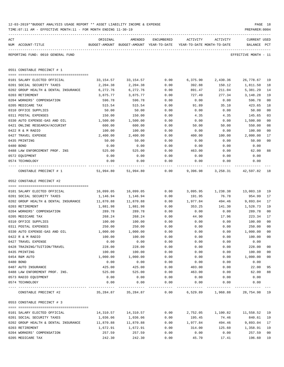|     | 12-03-2019**BUDGET ANALYSIS USAGE REPORT ** ASSET LIABILITY INCOME & EXPENSE<br>TIME: 07:11 AM - EFFECTIVE MONTH: 11 - FOR MONTH ENDING 11-30-19 |                    |                                                     |              |                                        |                                | PREPARER: 0004                                        | PAGE 18      |
|-----|--------------------------------------------------------------------------------------------------------------------------------------------------|--------------------|-----------------------------------------------------|--------------|----------------------------------------|--------------------------------|-------------------------------------------------------|--------------|
| ACT | NUM ACCOUNT-TITLE                                                                                                                                | ORIGINAL           | AMENDED<br>BUDGET-AMOUNT BUDGET-AMOUNT YEAR-TO-DATE | ENCUMBERED   | ACTIVITY<br>YEAR-TO-DATE MONTH-TO-DATE | ACTIVITY                       | CURRENT USED<br>BALANCE                               | $_{\rm PCT}$ |
|     | REPORTING FUND: 0010 GENERAL FUND                                                                                                                |                    |                                                     |              |                                        |                                | _____________________________<br>EFFECTIVE MONTH - 11 |              |
|     | 0551 CONSTABLE PRECINCT # 1                                                                                                                      |                    |                                                     |              |                                        |                                |                                                       |              |
|     |                                                                                                                                                  |                    |                                                     |              |                                        |                                |                                                       |              |
|     | 0101 SALARY ELECTED OFFICIAL                                                                                                                     | 33,154.57          | 33,154.57                                           | 0.00         | 6,375.90                               | 2,430.36                       | 26,778.67 19                                          |              |
|     | 0201 SOCIAL SECURITY TAXES                                                                                                                       | 2,204.38           | 2,204.38                                            | 0.00         | 392.88                                 | 150.12                         | 1,811.50                                              | 18           |
|     | 0202 GROUP HEALTH & DENTAL INSURANCE<br>0203 RETIREMENT                                                                                          | 6,272.76           | 6,272.76                                            | 0.00         | 891.47                                 | 211.04                         | 5,381.29                                              | 14<br>19     |
|     | 0204 WORKERS' COMPENSATION                                                                                                                       | 3,875.77<br>596.78 | 3,875.77<br>596.78                                  | 0.00<br>0.00 | 727.49<br>0.00                         | 277.34<br>0.00                 | 3,148.28<br>596.78                                    | 00           |
|     | 0205 MEDICARE TAX                                                                                                                                | 515.54             | 515.54                                              | 0.00         | 91.89                                  | 35.10                          | 423.65                                                | 18           |
|     | 0310 OFFICE SUPPLIES                                                                                                                             | 50.00              | 50.00                                               | 0.00         | 0.00                                   | 0.00                           | 50.00                                                 | 00           |
|     | 0311 POSTAL EXPENSES                                                                                                                             | 150.00             | 150.00                                              | 0.00         | 4.35                                   | 4.35                           | 145.65                                                | 03           |
|     | 0330 AUTO EXPENSE-GAS AND OIL                                                                                                                    | 1,500.00           | 1,500.00                                            | 0.00         | 0.00                                   | 0.00                           | 1,500.00                                              | 00           |
|     | 0421 ONLINE RESEARCH/ACCURINT                                                                                                                    | 600.00             | 600.00                                              | 0.00         | 50.00                                  | 50.00                          | 550.00                                                | 08           |
|     | 0422 R & M RADIO                                                                                                                                 | 100.00             | 100.00                                              | 0.00         | 0.00                                   | 0.00                           | 100.00                                                | 00           |
|     | 0427 TRAVEL EXPENSE                                                                                                                              | 2,400.00           | 2,400.00                                            | 0.00         | 400.00                                 | 100.00                         | 2,000.00                                              | 17           |
|     | 0435 PRINTING                                                                                                                                    | 50.00              | 50.00                                               | 0.00         | 0.00                                   | 0.00                           | 50.00                                                 | 00           |
|     | 0480 BOND                                                                                                                                        | 0.00               | 0.00                                                | 0.00         | 0.00                                   | 0.00                           | 0.00                                                  |              |
|     | 0488 LAW ENFORCEMENT PROF. INS                                                                                                                   | 525.00             | 525.00                                              | 0.00         | 463.00                                 | 0.00                           | 62.00                                                 | 88           |
|     | 0572 EQUIPMENT                                                                                                                                   | 0.00               | 0.00                                                | 0.00         | 0.00                                   | 0.00                           | 0.00                                                  |              |
|     | 0574 TECHNOLOGY                                                                                                                                  | 0.00               | 0.00                                                | 0.00         | 0.00                                   | 0.00                           | 0.00                                                  |              |
|     | CONSTABLE PRECINCT # 1                                                                                                                           |                    | 51,994.80 51,994.80                                 | 0.00         |                                        | 9,396.98 3,258.31 42,597.82 18 |                                                       |              |
|     | 0552 CONSTABLE PRECINCT #2                                                                                                                       |                    |                                                     |              |                                        |                                |                                                       |              |
|     |                                                                                                                                                  |                    |                                                     |              |                                        |                                |                                                       |              |
|     | 0101 SALARY ELECTED OFFICIAL                                                                                                                     | 16,099.05          | 16,099.05                                           | 0.00         |                                        | 3,095.95 1,238.38              | 13,003.10                                             | 19           |
|     | 0201 SOCIAL SECURITY TAXES                                                                                                                       | 1,146.94           | 1,146.94                                            | 0.00         | 191.95                                 | 76.78                          | 954.99                                                | 17           |
|     | 0202 GROUP HEALTH & DENTAL INSURANCE                                                                                                             | 11,870.88          | 11,870.88                                           | 0.00         | 1,977.84                               | 494.46                         | 9,893.04                                              | 17           |
|     | 0203 RETIREMENT                                                                                                                                  | 1,881.98           | 1,881.98                                            | 0.00         | 353.25                                 | 141.30                         | 1,528.73                                              | 19           |
|     | 0204 WORKERS' COMPENSATION                                                                                                                       | 289.78             | 289.78                                              | 0.00         | 0.00                                   | 0.00                           | 289.78                                                | 00           |
|     | 0205 MEDICARE TAX                                                                                                                                | 268.24             | 268.24                                              | 0.00         | 44.90                                  | 17.96                          | 223.34                                                | 17           |
|     | 0310 OFFICE SUPPLIES<br>0311 POSTAL EXPENSES                                                                                                     | 100.00<br>250.00   | 100.00<br>250.00                                    | 0.00<br>0.00 | 0.00                                   | 0.00<br>0.00                   | 100.00<br>250.00                                      | 00<br>00     |
|     |                                                                                                                                                  |                    |                                                     | 0.00         | 0.00<br>0.00                           | 0.00                           |                                                       |              |
|     | 0330 AUTO EXPENSE-GAS AND OIL<br>0422 R & M RADIO                                                                                                | 1,000.00<br>100.00 | 1,000.00<br>100.00                                  | 0.00         | 0.00                                   | 0.00                           | 1,000.00<br>100.00                                    | 00<br>00     |
|     | 0427 TRAVEL EXPENSE                                                                                                                              | 0.00               | 0.00                                                | 0.00         | 0.00                                   | 0.00                           | 0.00                                                  |              |
|     | 0428 TRAINING/TUITION/TRAVEL                                                                                                                     | 228.00             | 228.00                                              | 0.00         | 0.00                                   | 0.00                           | 228.00                                                | 00           |
|     | 0435 PRINTING                                                                                                                                    | 100.00             | 100.00                                              | 0.00         | 0.00                                   | 0.00                           | 100.00                                                | 00           |
|     | 0454 R&M AUTO                                                                                                                                    | 1,000.00           | 1,000.00                                            | 0.00         | 0.00                                   | 0.00                           | 1,000.00                                              | 00           |
|     | 0480 BOND                                                                                                                                        | 0.00               | 0.00                                                | 0.00         | 0.00                                   | 0.00                           | 0.00                                                  |              |
|     | 0487 AUTO INSURANCE                                                                                                                              | 425.00             | 425.00                                              | 0.00         | 403.00                                 | 0.00                           | 22.00                                                 | 95           |
|     | 0488 LAW ENFOREMENT PROF. INS.                                                                                                                   | 525.00             | 525.00                                              | 0.00         | 463.00                                 | 0.00                           | 62.00                                                 | 88           |
|     | 0573 RADIO EQUIPMENT                                                                                                                             | 0.00               | 0.00                                                | 0.00         | 0.00                                   | 0.00                           | 0.00                                                  |              |
|     | 0574 TECHNOLOGY                                                                                                                                  | 0.00               | 0.00                                                | 0.00         | 0.00                                   | 0.00                           | 0.00                                                  |              |
|     | CONSTABLE PRECINCT #2                                                                                                                            |                    | 35,284.87 35,284.87                                 | 0.00         |                                        | 6,529.89 1,968.88 28,754.98 19 |                                                       |              |
|     | 0553 CONSTABLE PRECINCT # 3                                                                                                                      |                    |                                                     |              |                                        |                                |                                                       |              |
|     |                                                                                                                                                  |                    |                                                     |              |                                        |                                |                                                       |              |
|     | 0101 SALARY ELECTED OFFICIAL                                                                                                                     | 14,310.57          | 14,310.57                                           | 0.00         | 2,752.05                               | 1,100.82                       | 11,558.52                                             | 19           |
|     | 0201 SOCIAL SECURITY TAXES                                                                                                                       | 1,036.06           | 1,036.06                                            | 0.00         | 195.45                                 | 74.46                          | 840.61                                                | 19           |
|     | 0202 GROUP HEALTH & DENTAL INSURANCE<br>0203 RETIREMENT                                                                                          | 11,870.88          | 11,870.88                                           | 0.00         | 1,977.84                               | 494.46                         | 9,893.04                                              | 17           |
|     | 0204 WORKERS' COMPENSATION                                                                                                                       | 1,672.91<br>257.59 | 1,672.91<br>257.59                                  | 0.00         | 314.00<br>0.00                         | 125.60<br>0.00                 | 1,358.91<br>257.59                                    | 19<br>00     |
|     | 0205 MEDICARE TAX                                                                                                                                | 242.30             | 242.30                                              | 0.00<br>0.00 | 45.70                                  | 17.41                          | 196.60                                                | 19           |
|     |                                                                                                                                                  |                    |                                                     |              |                                        |                                |                                                       |              |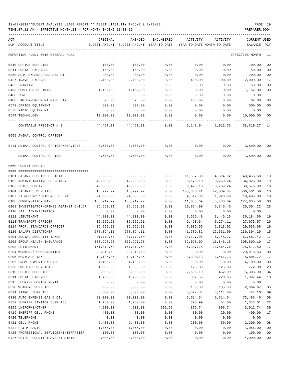| ACT | NUM ACCOUNT-TITLE                       | ORIGINAL   | AMENDED<br>BUDGET-AMOUNT BUDGET-AMOUNT YEAR-TO-DATE | ENCUMBERED |            | ACTIVITY ACTIVITY<br>YEAR-TO-DATE MONTH-TO-DATE | CURRENT USED<br>BALANCE PCT |                |
|-----|-----------------------------------------|------------|-----------------------------------------------------|------------|------------|-------------------------------------------------|-----------------------------|----------------|
|     | REPORTING FUND: 0010 GENERAL FUND       |            |                                                     |            |            |                                                 | EFFECTIVE MONTH - 11        |                |
|     | 0310 OFFICE SUPPLIES                    | 100.00     | 100.00                                              | 0.00       | 0.00       | 0.00                                            | 100.00                      | 00             |
|     | 0311 POSTAL EXPENSES                    | 150.00     | 150.00                                              | 0.00       | 0.00       | 0.00                                            | 150.00                      | 0 <sub>0</sub> |
|     | 0330 AUTO EXPENSE-GAS AND OIL           | 200.00     | 200.00                                              | 0.00       | 0.00       | 0.00                                            | 200.00                      | 0 <sub>0</sub> |
|     | 0427 TRAVEL EXPENSE                     | 2,400.00   | 2,400.00                                            | 0.00       | 400.00     | 100.00                                          | 2,000.00                    | 17             |
|     | 0435 PRINTING                           | 50.00      | 50.00                                               | 0.00       | 0.00       | 0.00                                            | 50.00                       | 0 <sub>0</sub> |
|     |                                         |            |                                                     |            |            |                                                 |                             | 0 <sub>0</sub> |
|     | 0453 COMPUTER SOFTWARE                  | 1,152.00   | 1,152.00                                            | 0.00       | 0.00       | 0.00                                            | 1,152.00                    |                |
|     | 0480 BOND                               | 0.00       | 0.00                                                | 0.00       | 0.00       | 0.00                                            | 0.00                        |                |
|     | 0488 LAW ENFORCEMENT PROF. INS          | 525.00     | 525.00                                              | 0.00       | 463.00     | 0.00                                            | 62.00                       | 88             |
|     | 0572 OFFICE EQUIPMENT                   | 500.00     | 500.00                                              | 0.00       | 0.00       | 0.00                                            | 500.00                      | 0 <sub>0</sub> |
|     | 0573 RADIO EQUIPMENT                    | 0.00       | 0.00                                                | 0.00       | 0.00       | 0.00                                            | 0.00                        |                |
|     | 0574 TECHNOLOGY                         | 10,000.00  | 10,000.00                                           | 0.00       | 0.00       | 0.00                                            | 10,000.00                   | 0 <sub>0</sub> |
|     | CONSTABLE PRECINCT # 3                  | 44,467.31  | 44,467.31                                           | 0.00       |            | 6, 148.04 1, 912.75                             | 38,319.27                   | 14             |
|     | 0555 ANIMAL CONTROL OFFICER             |            |                                                     |            |            |                                                 |                             |                |
|     | 0441 ANIMAL CONTROL OFFICER/SERVICES    | 3,500.00   | 3,500.00                                            | 0.00       |            | 0.00<br>0.00                                    | 3,500.00                    | 00             |
|     | ANIMAL CONTROL OFFICER                  | 3,500.00   | 3,500.00                                            | 0.00       | 0.00       | 0.00                                            | 3,500.00                    | 0 <sub>0</sub> |
|     | 0560 COUNTY SHERIFF                     |            |                                                     |            |            |                                                 |                             |                |
|     |                                         |            |                                                     |            |            |                                                 |                             |                |
|     | 0101 SALARY ELECTED OFFICIAL            | 59,993.98  | 59,993.98                                           | 0.00       | 11,537.30  | 4,614.92                                        | 48,456.68                   | 19             |
|     | 0102 ADMINISTRATIVE SECRETARY           | 42,500.00  | 42,500.00                                           | 0.00       | 8,173.10   | 3,269.24                                        | 34,326.90                   | 19             |
|     | 0103 CHIEF DEPUTY                       | 49,000.00  | 49,000.00                                           | 0.00       | 9,423.10   | 3,769.24                                        | 39,576.90                   | 19             |
|     | 0104 SALARIES DEPUTIES                  | 615,297.97 | 615,297.97                                          | 0.00       | 108,836.41 | 47,039.84                                       | 506,461.56                  | 18             |
|     | 0107 PT RECORDS/EVIDENCE CLERKS         | 24,000.00  | 24,000.00                                           | 0.00       | 4,512.00   | 1,920.00                                        | 19,488.00                   | 19             |
|     | 0108 COMPENSATION PAY                   | 138,719.27 | 138,719.27                                          | 0.00       | 11,083.69  | 5,733.09                                        | 127,635.58                  | 08             |
|     | 0109 INVESTIGATOR-CRIMES AGAINST CHILDR | 36,569.21  | 36,569.21                                           | 0.00       | 10,064.99  | 5,845.46                                        | 26,504.22                   | 28             |
|     | 0110 JAIL ADMINISTRATOR                 | 0.00       | 0.00                                                | 0.00       | 0.00       | 0.00                                            | 0.00                        |                |
|     | 0111 LIEUTENANT                         | 44,800.00  | 44,800.00                                           | 0.00       | 8,615.40   | 3,446.16                                        | 36,184.60                   | 19             |
|     | 0113 TRANSPORT OFFICER                  | 36,569.21  | 36,569.21                                           | 0.00       | 9,493.64   | 5,274.11                                        | 27,075.57                   | 26             |
|     | 0114 PROF. STANDARDS OFFICER            | 36,569.21  | 36,569.21                                           | 0.00       | 7,032.55   | 2,813.02                                        | 29,536.66                   | 19             |
|     | 0120 SALARY DISPATCHER                  | 278,094.11 | 278,094.11                                          | 0.00       | 41,789.82  | 17,631.00                                       | 236,304.29                  | 15             |
|     | 0201 SOCIAL SECURITY TAXES              | 81,779.50  | 81,779.50                                           | 0.00       | 14,197.08  | 6,248.27                                        | 67,582.42                   | 17             |
|     | 0202 GROUP HEALTH INSURANCE             | 367,997.28 | 367,997.28                                          | 0.00       | 62,098.09  | 16,846.15                                       | 305,899.19 17               |                |
|     | 0203 RETIREMENT                         | 151,819.68 | 151,819.68                                          | 0.00       | 26,307.18  | 11,564.76                                       | 125,512.50                  | 17             |
|     | 0204 WORKERS' COMPENSATION              | 29,018.53  | 29,018.53                                           | 0.00       | 0.00       | 0.00                                            | 29,018.53                   | 0 <sub>0</sub> |
|     | 0205 MEDICARE TAX                       | 19,125.85  | 19,125.85                                           | 0.00       | 3,320.13   | 1,461.23                                        | 15,805.72                   | 17             |
|     | 0206 UNEMPLOYMENT EXPENSE               | 4,100.00   | 4,100.00                                            | 0.00       | 0.00       | 0.00                                            | 4,100.00                    | 0 <sub>0</sub> |
|     | 0250 EMPLOYEE PHYSICALS                 | 1,000.00   | 1,000.00                                            | 103.00     | 125.00     | 125.00                                          | 772.00                      | 23             |
|     | 0310 OFFICE SUPPLIES                    | 8,000.00   | 8,000.00                                            | 0.00       | 2,696.10   | 452.09                                          | 5,303.90                    | 34             |
|     | 0311 POSTAL EXPENSES                    | 1,700.00   | 1,700.00                                            | 0.00       | 302.56     | 220.65                                          | 1,397.44                    | 18             |
|     | 0315 SHERIFF COPIER RENTAL              | 0.00       | 0.00                                                | 0.00       | 0.00       | 0.00                                            | 0.00                        |                |
|     | 0320 WEAPONS SUPPLIES                   | 3,000.00   | 3,000.00                                            | 0.00       | 135.33     | 135.33                                          | 2,864.67                    | 05             |
|     | 0321 PATROL SUPPLIES                    | 3,800.00   | 3,800.00                                            | 0.00       | 3,372.84   | 3,114.00                                        | 427.16                      | 89             |
|     | 0330 AUTO EXPENSE GAS & OIL             | 80,000.00  | 80,000.00                                           | 0.00       | 6,514.54   | 6,514.54                                        | 73,485.46                   | 08             |
|     | 0332 SHERIFF JANITOR SUPPLIES           | 1,750.00   | 1,750.00                                            | 0.00       | 376.99     | 54.00                                           | 1,373.01                    | 22             |
|     | 0395 UNIFORMS/OTHER                     | 4,900.00   | 4,900.00                                            | 991.52     | 895.74     | 895.74                                          | 3,012.74                    | 39             |
|     | 0419 SHERIFF CELL PHONE                 | 480.00     | 480.00                                              | 0.00       | 80.00      | 20.00                                           | 400.00                      | 17             |
|     | 0420 TELEPHONE                          | 0.00       | 0.00                                                | 0.00       | 0.00       | 0.00                                            | 0.00                        |                |
|     | 0421 CELL PHONE                         | 2,400.00   | 2,400.00                                            | 0.00       | 200.00     | 50.00                                           | 2,200.00                    | 08             |
|     | 0422 R & M RADIO                        | 1,055.00   | 1,055.00                                            | 0.00       | 0.00       | 0.00                                            | 1,055.00                    | 0 <sub>0</sub> |
|     | 0425 PROFESSIONAL SERVICES/INTERPRETER  | 100.00     | 100.00                                              | 0.00       | 0.00       | 0.00                                            | 100.00                      | 0 <sub>0</sub> |
|     | 0427 OUT OF COUNTY TRAVEL/TRAINING      | 4,000.00   | 4,000.00                                            | 0.00       | 0.00       | 0.00                                            | 4,000.00                    | 0 <sub>0</sub> |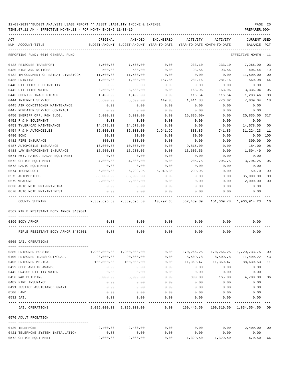| ACT |                                              | ORIGINAL      | AMENDED                             | ENCUMBERED          | ACTIVITY                   | ACTIVITY           | <b>CURRENT USED</b>                   |      |
|-----|----------------------------------------------|---------------|-------------------------------------|---------------------|----------------------------|--------------------|---------------------------------------|------|
|     | NUM ACCOUNT-TITLE                            | BUDGET-AMOUNT | BUDGET-AMOUNT YEAR-TO-DATE          |                     | YEAR-TO-DATE MONTH-TO-DATE |                    | BALANCE                               | PCT  |
|     | REPORTING FUND: 0010 GENERAL FUND            |               |                                     |                     |                            |                    | EFFECTIVE MONTH                       | - 11 |
|     | 0428 PRISONER TRANSPORT                      | 7,500.00      | 7,500.00                            | 0.00                | 233.10                     | 233.10             | 7,266.90                              | 03   |
|     | 0430 BIDS AND NOTICES                        | 500.00        | 500.00                              | 0.00                | 93.56                      | 93.56              | 406.44                                | 19   |
|     | 0432 IMPOUNDMENT OF ESTRAY LIVESTOCK         | 11,500.00     | 11,500.00                           | 0.00                | 0.00                       | 0.00               | 11,500.00                             | 00   |
|     | 0435 PRINTING                                | 1,000.00      | 1,000.00                            | 157.86              | 281.16                     | 281.16             | 560.98                                | 44   |
|     | 0440 UTILITIES ELECTRICITY                   | 0.00          | 0.00                                | 0.00                | 0.00                       | 0.00               | 0.00                                  |      |
|     | 0442 UTILITIES WATER                         | 3,500.00      | 3,500.00                            | 0.00                | 163.96                     | 163.96             | 3,336.04                              | 05   |
|     | 0443 SHERIFF TRASH PICKUP                    | 1,400.00      | 1,400.00                            | 0.00                | 116.54                     | 116.54             | 1,283.46                              | 08   |
|     | 0444 INTERNET SERVICE                        | 8,600.00      | 8,600.00                            | 149.08              | 1,411.88                   | 776.02             | 7,039.04                              | 18   |
|     | 0445 AIR CONDITIONER MAINTENANCE             | 0.00          | 0.00                                | 0.00                | 0.00                       | 0.00               | 0.00                                  |      |
|     | 0447 REPEATER SERVICE CONTRACT               | 0.00          | 0.00                                | 0.00                | 0.00                       | 0.00               | 0.00                                  |      |
|     | 0450 SHERIFF OFF. R&M BLDG.                  | 5,000.00      | 5,000.00                            | 0.00                | $15,835.00 -$              | 0.00               | 20,835.00                             | 317  |
|     | 0452 R & M EQUIPMENT                         | 0.00          | 0.00                                | 0.00                | 0.00                       | 0.00               | 0.00                                  |      |
|     | 0453 TYLER/CAD MAINTENANCE                   | 14,678.00     | 14,678.00                           | 0.00                | 0.00                       | 0.00               | 14,678.00                             | 00   |
|     | 0454 R & M AUTOMOBILES                       | 35,000.00     | 35,000.00                           | 2,941.92            | 833.85                     | 741.85             | 31, 224. 23                           | -11  |
|     | 0480 BOND                                    | 80.00         | 80.00                               | 0.00                | 80.00                      | 0.00               | 0.00                                  | 100  |
|     | 0482 FIRE INSURANCE                          | 300.00        | 300.00                              | 0.00                | 0.00                       | 0.00               | 300.00                                | 00   |
|     | 0487 AUTOMOBILE INSURANCE                    | 10,000.00     | 10,000.00                           | 0.00                | 9,816.00                   | 0.00               | 184.00                                | 98   |
|     | 0488 LAW ENFORCEMENT INSURANCE               | 15,500.00     | 15,200.05                           | 0.00                | 13,605.56                  | 0.00               | 1,594.49                              | 90   |
|     | 0571 HWY. PATROL RADAR EQUIPMENT             | 0.00          | 0.00                                | 0.00                | 0.00                       | 0.00               | 0.00                                  |      |
|     | 0572 OFFICE EQUIPMENT                        | 4,000.00      | 4,000.00                            | 0.00                | 205.75                     | 205.75             | 3,794.25                              | 05   |
|     | 0573 RADIO EQUIPMENT                         | 0.00          | 0.00                                | 0.00                | 0.00                       | 0.00               | 0.00                                  |      |
|     | 0574 TECHNOLOGY                              | 6,000.00      | 6,299.95                            | 5,949.30            | 299.95                     | 0.00               | 50.70                                 | 99   |
|     | 0575 AUTOMOBILES                             | 85,000.00     | 85,000.00                           | 0.00                | 0.00                       | 0.00               | 85,000.00                             | 00   |
|     | 0579 WEAPONS                                 | 2,000.00      | 2,000.00                            | 0.00                | 0.00                       | 0.00               | 2,000.00                              | 00   |
|     | 0630 AUTO NOTE PMT-PRINCIPAL                 | 0.00          | 0.00                                | 0.00                | 0.00                       | 0.00               | 0.00                                  |      |
|     | 0670 AUTO NOTE PMT-INTEREST                  | 0.00          | 0.00                                | 0.00                | 0.00                       | 0.00               | 0.00                                  |      |
|     | COUNTY SHERIFF                               |               | 2,339,696.80 2,339,696.80 10,292.68 |                     | 362,489.89                 |                    | 151,669.78 1,966,914.23 16            |      |
|     | 0562 RIFLE RESISTANT BODY ARMOR 3439801      |               |                                     |                     |                            |                    |                                       |      |
|     | 0396 BODY ARMOR                              | 0.00          | 0.00                                | 0.00                | 0.00                       | 0.00               | 0.00                                  |      |
|     | RIFLE RESISTANT BODY ARMOR 3439801           | 0.00          | 0.00                                | 0.00                | 0.00                       | 0.00               | 0.00                                  |      |
|     | 0565 JAIL OPERATIONS                         |               |                                     |                     |                            |                    |                                       |      |
|     |                                              |               |                                     |                     |                            |                    |                                       |      |
|     | 0380 PRISONER HOUSING                        | 1,900,000.00  | 1,900,000.00                        | 0.00                | 170,266.25                 |                    | 170, 266. 25 1, 729, 733. 75          | 09   |
|     | 0400 PRISONER TRANSPORT/GUARD                | 20,000.00     | 20,000.00                           | 0.00                | 8,509.78                   | 8,509.78           | 11,490.22                             | 43   |
|     | 0405 PRISONER MEDICAL                        | 100,000.00    | 100,000.00                          | 0.00                | 11,369.47                  | 11,369.47          | 88,630.53                             | 11   |
|     | 0429 SCHOLARSHIP AWARDS                      | 0.00          | 0.00                                | 0.00                | 0.00                       | 0.00               | 0.00                                  |      |
|     | 0442 CR4200 UTILITY WATER                    | 0.00          | 0.00                                | 0.00                | 0.00                       | 0.00               | 0.00                                  |      |
|     | 0450 R&M BUILDING                            | 5,000.00      | 5,000.00                            | 0.00                | 300.00                     | 165.00             | 4,700.00                              | 06   |
|     | 0482 FIRE INSURANCE                          | 0.00          | 0.00                                | 0.00                | 0.00                       | 0.00               | 0.00                                  |      |
|     | 0491 JUSTICE ASSISTANCE GRANT                | 0.00          | 0.00                                | 0.00                | 0.00                       | 0.00               | 0.00                                  |      |
|     | 0500 LAND                                    | 0.00          | 0.00                                | 0.00                | 0.00                       | 0.00               | 0.00                                  |      |
|     | 0532 JAIL<br>---------------- -------------- | 0.00          | 0.00                                | 0.00<br>$- - - - -$ | 0.00<br>---------          | 0.00<br>. <u>.</u> | 0.00                                  |      |
|     | JAIL OPERATIONS                              |               | 2,025,000.00 2,025,000.00           | 0.00                |                            |                    | 190,445.50 190,310.50 1,834,554.50 09 |      |
|     | 0570 ADULT PROBATION                         |               |                                     |                     |                            |                    |                                       |      |
|     |                                              |               |                                     |                     |                            |                    |                                       |      |
|     | 0420 TELEPHONE                               | 2,400.00      | 2,400.00                            | 0.00                | 0.00                       | 0.00               | 2,400.00 00                           |      |
|     | 0421 TELEPHONE SYSTEM INSTALLATION           | 0.00          | 0.00                                | 0.00                | 0.00                       | 0.00               | 0.00                                  |      |
|     | 0572 OFFICE EQUIPMENT                        | 2,000.00      | 2,000.00                            | 0.00                |                            | 1,329.50 1,329.50  | 670.50                                | 66   |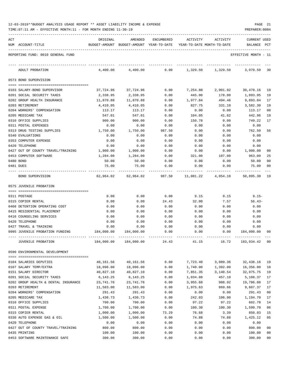| 12-03-2019**BUDGET ANALYSIS USAGE REPORT ** ASSET LIABILITY INCOME & EXPENSE | PAGE | -21 |
|------------------------------------------------------------------------------|------|-----|
|------------------------------------------------------------------------------|------|-----|

TIME:07:11 AM - EFFECTIVE MONTH:11 - FOR MONTH ENDING 11-30-19 PREPARER:0004

| ACT |                                           | ORIGINAL                                                            | AMENDED                 |              | ENCUMBERED ACTIVITY ACTIVITY                                           |              | <b>CURRENT USED</b>  |                |
|-----|-------------------------------------------|---------------------------------------------------------------------|-------------------------|--------------|------------------------------------------------------------------------|--------------|----------------------|----------------|
|     | NUM ACCOUNT-TITLE                         | BUDGET-AMOUNT BUDGET-AMOUNT YEAR-TO-DATE YEAR-TO-DATE MONTH-TO-DATE |                         |              |                                                                        |              | BALANCE              | PCT            |
|     | REPORTING FUND: 0010 GENERAL FUND         |                                                                     |                         |              |                                                                        |              | EFFECTIVE MONTH - 11 |                |
|     | ADULT PROBATION                           |                                                                     |                         |              | $4,400.00$ $4,400.00$ $0.00$ $1,329.50$ $1,329.50$ $3,070.50$          |              |                      | 30             |
|     | 0573 BOND SUPERVISION                     |                                                                     |                         |              |                                                                        |              |                      |                |
|     |                                           |                                                                     |                         |              |                                                                        |              |                      |                |
|     | 0103 SALARY-BOND SUPERVISOR               |                                                                     | 37, 724, 96 37, 724, 96 | 0.00         | 7,254.80 2,901.92                                                      |              | 30,470.16            | 19             |
|     | 0201 SOCIAL SECURITY TAXES                | 2,338.95                                                            | 2,338.95                | 0.00         | 445.00                                                                 | 178.00       | 1,893.95             | 19             |
|     | 0202 GROUP HEALTH INSURANCE               | 11,870.88                                                           | 11,870.88               | 0.00         | 1,977.84                                                               | 494.46       | 9,893.04             | 17             |
|     | 0203 RETIREMENT                           | 4,410.05                                                            | 4,410.05                | 0.00         | 827.75                                                                 | 331.10       | 3,582.30             | 19             |
|     | 0204 WORKERS' COMPENSATION                | 113.17                                                              | 113.17                  | 0.00         | 0.00                                                                   | 0.00         | 113.17               | 00             |
|     | 0205 MEDICARE TAX                         | 547.01                                                              | 547.01                  | 0.00         | 104.05                                                                 | 41.62        | 442.96               | 19             |
|     | 0310 OFFICE SUPPLIES                      | 900.00                                                              | 900.00                  | 0.00         | 150.78                                                                 | 0.00         | 749.22               | 17             |
|     | 0311 POSTAL EXPENSES                      | 0.00                                                                | 0.00                    | 0.00         | 0.00                                                                   | 0.00         | 0.00                 |                |
|     | 0313 DRUG TESTING SUPPLIES                | 1,750.00                                                            | 1,750.00                | 987.50       | 0.00                                                                   | 0.00         | 762.50               | 56             |
|     | 0340 EVALUATIONS<br>0353 COMPUTER EXPENSE | 0.00                                                                | 0.00                    | 0.00         | 0.00                                                                   | 0.00         | 0.00                 |                |
|     | 0420 TELEPHONE                            | 0.00<br>0.00                                                        | 0.00<br>0.00            | 0.00<br>0.00 | 0.00<br>0.00                                                           | 0.00<br>0.00 | 0.00<br>0.00         |                |
|     | 0427 OUT OF COUNTY TRAVEL/TRAINING        | 1,900.00                                                            | 1,900.00                | 0.00         | 0.00                                                                   | 0.00         | 1,900.00             | 00             |
|     | 0453 COMPUTER SOFTWARE                    | 1,284.00                                                            | 1,284.00                | 0.00         | 321.00                                                                 | 107.00       | 963.00               | 25             |
|     | 0480 BOND                                 | 50.00                                                               | 50.00                   | 0.00         | 0.00                                                                   | 0.00         | 50.00                | 0 <sub>0</sub> |
|     | 0481 DUES                                 | 75.00                                                               | 75.00                   | 0.00         | 0.00                                                                   | 0.00         | 75.00                | 00             |
|     | BOND SUPERVISION                          |                                                                     |                         |              | 62,964.02   62,964.02    987.50   11,081.22   4,054.10   50,895.30  19 |              |                      |                |
|     | 0575 JUVENILE PROBATION                   |                                                                     |                         |              |                                                                        |              |                      |                |
|     | 0311 POSTAGE                              | 0.00                                                                | 0.00                    | 0.00         | 9.15                                                                   | 9.15         | $9.15-$              |                |
|     | 0315 COPIER RENTAL                        | 0.00                                                                | 0.00                    | 24.43        | 32.00                                                                  | 7.57         | $56.43-$             |                |
|     | 0408 DETENTION OPERATING COST             | 0.00                                                                | 0.00                    | 0.00         | 0.00                                                                   | 0.00         | 0.00                 |                |
|     | 0415 RESIDENTIAL PLACEMENT                | 0.00                                                                | 0.00                    | 0.00         | 0.00                                                                   | 0.00         | 0.00                 |                |
|     | 0416 COUNSELING SERVICES                  | 0.00                                                                | 0.00                    | 0.00         | 0.00                                                                   | 0.00         | 0.00                 |                |
|     | 0420 TELEPHONE                            | 0.00                                                                | 0.00                    | 0.00         | 0.00                                                                   | 0.00         | 0.00                 |                |
|     | 0427 TRAVEL & TRAINING                    | 0.00                                                                | 0.00                    | 0.00         | 0.00                                                                   | 0.00         | 0.00                 |                |
|     | 0995 JUVENILE PROBATION FUNDING           | 184,000.00                                                          | 184,000.00              | 0.00         | 0.00                                                                   | 0.00         | 184,000.00           | 00             |
|     | JUVENILE PROBATION                        | 184,000.00                                                          | 184,000.00              | 24.43        | 41.15                                                                  | 16.72        | 183,934.42           | 00             |
|     | 0590 ENVIRONMENTAL DEVELOPMENT            |                                                                     |                         |              |                                                                        |              |                      |                |
|     | 0104 SALARIES DEPUTIES                    | 40,161.56                                                           | 40,161.56               | 0.00         | 7,723.40                                                               | 3,089.36     | 32,438.16            | 19             |
|     | 0107 SALARY TEMP/EXTRA                    | 18,096.00                                                           | 18,096.00               | 0.00         | 1,740.00                                                               | 1,392.00     | 16,356.00            | 10             |
|     | 0151 SALARY DIRECTOR                      | 40,827.10                                                           | 40,827.10               | 0.00         | 7,851.35                                                               | 3,140.54     | 32,975.75            | 19             |
|     | 0201 SOCIAL SECURITY TAXES                | 6, 143. 25                                                          | 6, 143. 25              | 0.00         | 1,034.88                                                               | 457.10       | 5,108.37             | 17             |
|     | 0202 GROUP HEALTH & DENTAL INSURANCE      | 23,741.76                                                           | 23,741.76               | 0.00         | 3,955.68                                                               | 988.92       | 19,786.08            | 17             |
|     | 0203 RETIREMENT                           | 11,583.00                                                           | 11,583.00               | 0.00         | 1,975.63                                                               | 869.66       | 9,607.37             | 17             |
|     | 0204 WORKERS' COMPENSATION                | 291.43                                                              | 291.43                  | 0.00         | 0.00                                                                   | 0.00         | 291.43               | 00             |
|     | 0205 MEDICARE TAX                         | 1,436.73                                                            | 1,436.73                | 0.00         | 242.03                                                                 | 106.90       | 1,194.70             | 17             |
|     | 0310 OFFICE SUPPLIES                      | 700.00                                                              | 700.00                  | 0.00         | 97.22                                                                  | 97.22        | 602.78               | 14             |
|     | 0311 POSTAL EXPENSE                       | 1,700.00                                                            | 1,700.00                | 0.00         | 100.30                                                                 | 100.30       | 1,599.70             | 06             |
|     | 0315 COPIER RENTAL                        | 1,000.00                                                            | 1,000.00                | 73.29        | 76.68                                                                  | 3.39         | 850.03               | 15             |
|     | 0330 AUTO EXPENSE GAS & OIL               | 1,500.00                                                            | 1,500.00                | 0.00         | 74.88                                                                  | 74.88        | 1,425.12             | 05             |
|     | 0420 TELEPHONE                            | 0.00                                                                | 0.00                    | 0.00         | 0.00                                                                   | 0.00         | 0.00                 |                |
|     | 0427 OUT OF COUNTY TRAVEL/TRAINING        | 800.00                                                              | 800.00                  | 0.00         | 0.00                                                                   | 0.00         | 800.00               | 00             |
|     | 0435 PRINTING                             | 100.00                                                              | 100.00                  | 0.00         | 0.00                                                                   | 0.00         | 100.00               | 00             |

0453 SOFTWARE MAINTENANCE SAFE 300.00 300.00 0.00 0.00 0.00 300.00 00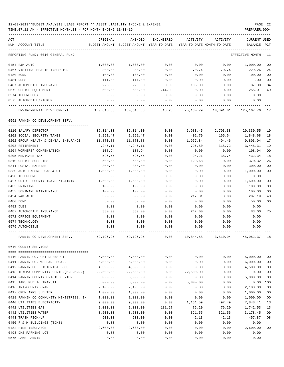TIME:07:11 AM - EFFECTIVE MONTH:11 - FOR MONTH ENDING 11-30-19 PREPARER:0004

| ACT |                                         | ORIGINAL  | AMENDED                                                             | ENCUMBERED | ACTIVITY  | ACTIVITY | <b>CURRENT USED</b>  |                |
|-----|-----------------------------------------|-----------|---------------------------------------------------------------------|------------|-----------|----------|----------------------|----------------|
|     | NUM ACCOUNT-TITLE                       |           | BUDGET-AMOUNT BUDGET-AMOUNT YEAR-TO-DATE YEAR-TO-DATE MONTH-TO-DATE |            |           |          | BALANCE PCT          |                |
|     | REPORTING FUND: 0010 GENERAL FUND       |           |                                                                     |            |           |          | EFFECTIVE MONTH - 11 |                |
|     | 0454 R&M AUTO                           | 1,000.00  | 1,000.00                                                            | 0.00       | 0.00      | 0.00     | 1,000.00             | 00             |
|     | 0467 VISITING HEALTH INSPECTOR          | 300.00    | 300.00                                                              | 0.00       | 70.74     | 70.74    | 229.26               | 24             |
|     | 0480 BOND                               | 100.00    | 100.00                                                              | 0.00       | 0.00      | 0.00     | 100.00               | 0 <sub>0</sub> |
|     | 0481 DUES                               | 111.00    | 111.00                                                              | 0.00       | 0.00      | 0.00     | 111.00               | 0 <sub>0</sub> |
|     | 0487 AUTOMOBILE INSURANCE               | 225.00    | 225.00                                                              | 0.00       | 188.00    | 0.00     | 37.00                | 84             |
|     | 0572 OFFICE EQUIPMENT                   | 500.00    | 500.00                                                              | 244.99     | 0.00      | 0.00     | 255.01               | 49             |
|     | 0574 TECHNOLOGY                         | 0.00      | 0.00                                                                | 0.00       | 0.00      | 0.00     | 0.00                 |                |
|     | 0575 AUTOMOBILE/PICKUP                  | 0.00      | 0.00                                                                | 0.00       | 0.00      | 0.00     | 0.00                 |                |
|     | ENVIRONMENTAL DEVELOPMENT               |           | 150,616.83 150,616.83 318.28 25,130.79 10,391.01 125,167.76         |            |           |          |                      | 17             |
|     | 0591 FANNIN CO DEVELOPMENT SERV.        |           |                                                                     |            |           |          |                      |                |
|     | 0110 SALARY DIRECTOR                    | 36,314.00 | 36,314.00                                                           | 0.00       | 6,983.45  | 2,793.38 | 29,330.55            | 19             |
|     | 0201 SOCIAL SECURITY TAXES              | 2,251.47  | 2,251.47                                                            | 0.00       | 402.79    | 165.64   | 1,848.68             | 18             |
|     | 0202 GROUP HEALTH & DENTAL INSURANCE    | 11,870.88 | 11,870.88                                                           | 0.00       | 1,977.84  | 494.46   | 9,893.04             | 17             |
|     | 0203 RETIREMENT                         | 4,245.11  | 4,245.11                                                            | 0.00       | 796.80    | 318.72   | 3,448.31             | 19             |
|     | 0204 WORKERS' COMPENSATION              | 108.94    | 108.94                                                              | 0.00       | 0.00      | 0.00     | 108.94               | 0 <sub>0</sub> |
|     | 0205 MEDICARE TAX                       | 526.55    | 526.55                                                              | 0.00       | 94.21     | 38.74    | 432.34               | 18             |
|     | 0310 OFFICE SUPPLIES                    | 500.00    | 500.00                                                              | 0.00       | 129.68    | 0.00     | 370.32               | 26             |
|     | 0311 POSTAL EXPENSE                     | 300.00    | 300.00                                                              | 0.00       | 0.00      | 0.00     | 300.00               | 0 <sub>0</sub> |
|     | 0330 AUTO EXPENSE GAS & OIL             | 1,000.00  | 1,000.00                                                            | 0.00       | 0.00      | 0.00     | 1,000.00             | 0 <sub>0</sub> |
|     | 0420 TELEPHONE                          | 0.00      | 0.00                                                                | 0.00       | 0.00      | 0.00     | 0.00                 |                |
|     | 0427 OUT OF COUNTY TRAVEL/TRAINING      | 1,600.00  | 1,600.00                                                            | 0.00       | 0.00      | 0.00     | 1,600.00             | 0 <sub>0</sub> |
|     | 0435 PRINTING                           | 100.00    | 100.00                                                              | 0.00       | 0.00      | 0.00     | 100.00               | 0 <sub>0</sub> |
|     | 0453 SOFTWARE MAINTENANCE               | 100.00    | 100.00                                                              | 0.00       | 0.00      | 0.00     | 100.00               | 0 <sub>0</sub> |
|     | 0454 R&M AUTO                           | 500.00    | 500.00                                                              | 0.00       | 212.81    | 0.00     | 287.19               | 43             |
|     | 0480 BOND                               | 50.00     | 50.00                                                               | 0.00       | 0.00      | 0.00     | 50.00                | 0 <sub>0</sub> |
|     | 0481 DUES                               | 0.00      | 0.00                                                                | 0.00       | 0.00      | 0.00     | 0.00                 |                |
|     | 0487 AUTOMOBILE INSURANCE               | 330.00    | 330.00                                                              | 0.00       | 247.00    | 0.00     | 83.00                | 75             |
|     | 0572 OFFICE EQUIPMENT                   | 0.00      | 0.00                                                                | 0.00       | 0.00      | 0.00     | 0.00                 |                |
|     | 0574 TECHNOLOGY                         | 0.00      | 0.00                                                                | 0.00       | 0.00      | 0.00     | 0.00                 |                |
|     | 0575 AUTOMOBILE                         | 0.00      | 0.00                                                                | 0.00       | 0.00      | 0.00     | 0.00                 |                |
|     | FANNIN CO DEVELOPMENT SERV.             | 59,796.95 | 59,796.95                                                           | 0.00       | 10,844.58 | 3,810.94 | 48,952.37            | 18             |
|     | 0640 COUNTY SERVICES                    |           |                                                                     |            |           |          |                      |                |
|     | 0410 FANNIN CO. CHILDRENS CTR           | 5,000.00  | 5,000.00                                                            | 0.00       | 0.00      | 0.00     | 5,000.00             | 0 <sub>0</sub> |
|     | 0411 FANNIN CO. WELFARE BOARD           | 6,000.00  | 6,000.00                                                            | 0.00       | 0.00      | 0.00     | 6,000.00             | 0 <sub>0</sub> |
|     | 0412 FANNIN CO. HISTORICAL SOC          | 4,500.00  | 4,500.00                                                            | 0.00       | 0.00      | 0.00     | 4,500.00             | 0 <sub>0</sub> |
|     | 0413 TEXOMA COMMUNITY CENTER(M.H.M.R.)  | 22,500.00 | 22,500.00                                                           | 0.00       | 22,500.00 | 0.00     | 0.00                 | 100            |
|     | 0414 FANNIN COUNTY CRISIS CENTER        | 5,000.00  | 5,000.00                                                            | 0.00       | 0.00      | 0.00     | 5,000.00             | 0 <sub>0</sub> |
|     | 0415 TAPS PUBLIC TRANSIT                | 5,000.00  | 5,000.00                                                            | 0.00       | 5,000.00  | 0.00     | 0.00                 | 100            |
|     | 0416 TRI-COUNTY SNAP                    | 2,103.00  | 2,103.00                                                            | 0.00       | 0.00      | 0.00     | 2,103.00             | 0 <sub>0</sub> |
|     | 0417 OPEN ARMS SHELTER                  | 1,000.00  | 1,000.00                                                            | 0.00       | 0.00      | 0.00     | 1,000.00             | 0 <sub>0</sub> |
|     | 0418 FANNIN CO COMMUNITY MINISTRIES, IN | 1,000.00  | 1,000.00                                                            | 0.00       | 0.00      | 0.00     | 1,000.00             | 0 <sub>0</sub> |
|     | 0440 UTILITIES ELECTRICITY              | 9,000.00  | 9,000.00                                                            | 0.00       | 1,151.59  | 497.49   | 7,848.41             | 13             |
|     | 0441 UTILITIES GAS                      | 2,000.00  | 2,000.00                                                            | 181.27     | 76.20     | 76.20    | 1,742.53             | 13             |
|     | 0442 UTILITIES WATER                    | 3,500.00  | 3,500.00                                                            | 0.00       | 321.55    | 321.55   | 3,178.45             | 09             |
|     | 0443 TRASH PICK-UP                      | 500.00    | 500.00                                                              | 0.00       | 42.13     | 42.13    | 457.87               | 08             |
|     | 0450 R & M BUILDINGS (TDHS)             | 0.00      | 0.00                                                                | 0.00       | 0.00      | 0.00     | 0.00                 |                |
|     | 0482 FIRE INSURANCE                     | 2,600.00  | 2,600.00                                                            | 0.00       | 0.00      | 0.00     | 2,600.00             | 0 <sub>0</sub> |
|     | 0493 DHS PARKING LOT                    | 0.00      | 0.00                                                                | 0.00       | 0.00      | 0.00     | 0.00                 |                |

0575 LAKE FANNIN 0.00 0.00 0.00 0.00 0.00 0.00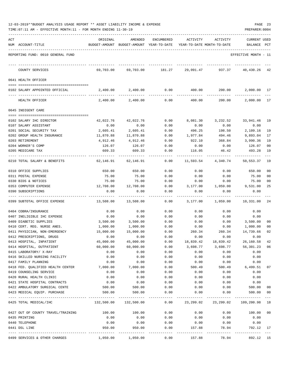|  |  |  |  | 12-03-2019**BUDGET ANALYSIS USAGE REPORT ** ASSET LIABILITY INCOME & EXPENSE |  |  |  | PAGE | 23 |
|--|--|--|--|------------------------------------------------------------------------------|--|--|--|------|----|
|  |  |  |  |                                                                              |  |  |  |      |    |

| ACT | NUM ACCOUNT-TITLE                                 | ORIGINAL           | AMENDED<br>BUDGET-AMOUNT BUDGET-AMOUNT YEAR-TO-DATE | ENCUMBERED           | ACTIVITY               | ACTIVITY<br>YEAR-TO-DATE MONTH-TO-DATE | <b>CURRENT USED</b><br>BALANCE | $_{\rm PCT}$   |
|-----|---------------------------------------------------|--------------------|-----------------------------------------------------|----------------------|------------------------|----------------------------------------|--------------------------------|----------------|
|     | REPORTING FUND: 0010 GENERAL FUND                 |                    |                                                     |                      |                        |                                        | EFFECTIVE MONTH - 11           |                |
|     | COUNTY SERVICES                                   | 69,703.00          | 69,703.00                                           | 181.27               | 29,091.47              | 937.37                                 | 40,430.26                      | 42             |
|     | 0641 HEALTH OFFICER                               |                    |                                                     |                      |                        |                                        |                                |                |
|     | 0102 SALARY APPOINTED OFFICIAL                    | 2,400.00           | 2,400.00                                            | 0.00                 | 400.00                 | 200.00                                 | 2,000.00                       | 17             |
|     | HEALTH OFFICER                                    | 2,400.00           | 2,400.00                                            | 0.00                 | 400.00                 | 200.00                                 | 2,000.00                       | 17             |
|     | 0645 INDIGENT CARE                                |                    |                                                     |                      |                        |                                        |                                |                |
|     |                                                   |                    |                                                     |                      |                        |                                        |                                |                |
|     | 0102 SALARY IHC DIRECTOR                          | 42,022.76          | 42,022.76                                           | 0.00                 | 8,081.30               | 3,232.52                               | 33,941.46                      | 19             |
|     | 0107 SALARY ASSISTANT<br>0201 SOCIAL SECURITY TAX | 0.00               | 0.00                                                | 0.00                 | 0.00                   | 0.00                                   | 0.00                           |                |
|     |                                                   | 2,605.41           | 2,605.41<br>11,870.88                               | 0.00                 | 496.25<br>1,977.84     | 198.50                                 | 2,109.16                       | 19             |
|     | 0202 GROUP HEALTH INSURANCE<br>0203 RETIREMENT    | 11,870.88          | 4,912.46                                            | 0.00                 |                        | 494.46                                 | 9,893.04                       | 17<br>19       |
|     | 0204 WORKER'S COMP                                | 4,912.46<br>126.07 | 126.07                                              | 0.00                 | 922.10<br>0.00         | 368.84<br>0.00                         | 3,990.36<br>126.07             | 0 <sub>0</sub> |
|     | 0205 MEDICARE TAX                                 | 609.33             | 609.33                                              | 0.00<br>0.00         | 116.05                 | 46.42                                  | 493.28                         | 19             |
|     |                                                   |                    |                                                     |                      |                        |                                        |                                |                |
|     | 0210 TOTAL SALARY & BENEFITS                      | 62,146.91          | 62,146.91                                           | 0.00                 | 11,593.54              | 4,340.74                               | 50,553.37                      | 19             |
|     | 0310 OFFICE SUPPLIES                              | 650.00             | 650.00                                              | 0.00                 | 0.00                   | 0.00                                   | 650.00                         | 00             |
|     | 0311 POSTAL EXPENSE                               | 75.00              | 75.00                                               | 0.00                 | 0.00                   | 0.00                                   | 75.00                          | 0 <sub>0</sub> |
|     | 0330 BIDS & NOTICES                               | 75.00              | 75.00                                               | 0.00                 | 0.00                   | 0.00                                   | 75.00                          | 00             |
|     | 0353 COMPUTER EXPENSE                             | 12,708.00          | 12,708.00                                           | 0.00                 | 3,177.00               | 1,059.00                               | 9,531.00                       | 25             |
|     | 0390 SUBSCRIPTIONS                                | 0.00               | 0.00                                                | 0.00                 | 0.00                   | 0.00                                   | 0.00                           |                |
|     | 0399 SUBTOTAL OFFICE EXPENSE                      | 13,508.00          | 13,508.00                                           | 0.00                 | 3,177.00               | 1,059.00                               | 10,331.00                      | 24             |
|     | 0404 COBRA/INSURANCE                              | 0.00               | 0.00                                                | 0.00                 | 0.00                   | 0.00                                   | 0.00                           |                |
|     | 0407 INELIGIBLE IHC EXPENSE                       | 0.00               | 0.00                                                | 0.00                 | 0.00                   | 0.00                                   | 0.00                           |                |
|     | 0409 DIABETIC SUPPLIES                            | 3,500.00           | 3,500.00                                            | 0.00                 | 0.00                   | 0.00                                   | 3,500.00                       | 00             |
|     | 0410 CERT. REG. NURSE ANES.                       | 1,000.00           | 1,000.00                                            | 0.00                 | 0.00                   | 0.00                                   | 1,000.00                       | 0 <sub>0</sub> |
|     | 0411 PHYSICIAN, NON-EMERGENCY                     | 15,000.00          | 15,000.00                                           | 0.00                 | 260.34                 | 260.34                                 | 14,739.66                      | 02             |
|     | 0412 PRESCRIPTIONS, DRUGS                         | 0.00               | 0.00                                                | 0.00                 | 0.00                   | 0.00                                   | 0.00                           |                |
|     | 0413 HOSPITAL, INPATIENT                          | 45,000.00          | 45,000.00                                           | 0.00                 | 18,839.42              | 18,839.42                              | 26,160.58                      | 42             |
|     | 0414 HOSPITAL, OUTPATIENT                         | 60,000.00          | 60,000.00                                           | 0.00                 | 3,698.77               | 3,698.77                               | 56,301.23                      | 06             |
|     | 0415 LABORATORY/ X-RAY                            | 0.00               | 0.00                                                | 0.00                 | 0.00                   | 0.00                                   | 0.00                           |                |
|     | 0416 SKILLED NURSING FACILITY                     | 0.00               | 0.00                                                | 0.00                 | 0.00                   | 0.00                                   | 0.00                           |                |
|     | 0417 FAMILY PLANNING                              | 0.00               | 0.00                                                | 0.00                 | 0.00                   | 0.00                                   | 0.00                           |                |
|     | 0418 FED. QUALIFIED HEALTH CENTER                 | 7,000.00           | 7,000.00                                            | 0.00                 | 500.49                 | 500.49                                 | 6,499.51                       | 07             |
|     | 0419 COUNSELING SERVICE                           | 0.00               | 0.00                                                | 0.00                 | 0.00                   | 0.00                                   | 0.00                           |                |
|     | 0420 RURAL HEALTH CLINIC                          | 0.00               | 0.00                                                | 0.00                 | 0.00                   | 0.00                                   | 0.00                           |                |
|     | 0421 STATE HOSPITAL CONTRACTS                     | 0.00               | 0.00                                                | 0.00                 | 0.00                   | 0.00                                   | 0.00                           |                |
|     | 0422 AMBULATORY SURGICAL CENTE                    | 500.00             | 500.00                                              | 0.00                 | 0.00                   | 0.00                                   | 500.00                         | 00             |
|     | 0423 MEDICAL EQUIP. PURCHASE                      | 500.00             | 500.00                                              | 0.00                 | 0.00                   | 0.00                                   | 500.00                         | 00<br>$--\,$   |
|     | 0425 TOTAL MEDICAL/IHC                            |                    | 132,500.00 132,500.00                               |                      | $0.00$ 23,299.02       | 23,299.02                              | 109,200.98 18                  |                |
|     | 0427 OUT OF COUNTY TRAVEL/TRAINING                | 100.00             | 100.00                                              | 0.00                 | 0.00                   | 0.00                                   | 100.00                         | 00             |
|     | 0435 PRINTING                                     | 0.00               | 0.00                                                | 0.00                 | 0.00                   | 0.00                                   | 0.00                           |                |
|     | 0440 TELEPHONE                                    | 0.00               | 0.00                                                | 0.00                 | 0.00                   | 0.00                                   | 0.00                           |                |
|     | 0441 DSL LINE                                     | 950.00             | 950.00                                              | 0.00<br>------------ | 157.88<br>------------ | 78.94<br>------------                  | 792.12                         | 17             |
|     | 0499 SERVICES & OTHER CHARGES                     |                    | 1,050.00 1,050.00                                   | 0.00                 | 157.88                 | 78.94                                  | 892.12 15                      |                |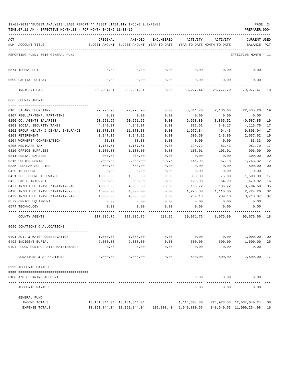|     | 12-03-2019**BUDGET ANALYSIS USAGE REPORT ** ASSET LIABILITY INCOME & EXPENSE<br>TIME: 07:11 AM - EFFECTIVE MONTH: 11 - FOR MONTH ENDING 11-30-19 |           |                                                     |            |                                                                      |             | PREPARER: 0004                     | PAGE 24        |
|-----|--------------------------------------------------------------------------------------------------------------------------------------------------|-----------|-----------------------------------------------------|------------|----------------------------------------------------------------------|-------------|------------------------------------|----------------|
|     |                                                                                                                                                  |           |                                                     |            |                                                                      |             |                                    |                |
| ACT | NUM ACCOUNT-TITLE                                                                                                                                | ORIGINAL  | AMENDED<br>BUDGET-AMOUNT BUDGET-AMOUNT YEAR-TO-DATE | ENCUMBERED | ACTIVITY<br>YEAR-TO-DATE MONTH-TO-DATE                               | ACTIVITY    | <b>CURRENT USED</b><br>BALANCE PCT |                |
|     | REPORTING FUND: 0010 GENERAL FUND                                                                                                                |           |                                                     |            |                                                                      |             | EFFECTIVE MONTH - 11               |                |
|     | 0574 TECHNOLOGY                                                                                                                                  | 0.00      | 0.00                                                | 0.00       |                                                                      | $0.00$ 0.00 | 0.00                               |                |
|     | ------------------- ------<br>0599 CAPITAL OUTLAY                                                                                                | 0.00      | 0.00                                                | 0.00       | 0.00                                                                 | 0.00        | 0.00                               |                |
|     | INDIGENT CARE                                                                                                                                    |           | 209,204.91 209,204.91                               | 0.00       |                                                                      |             | 38,227.44 28,777.70 170,977.47     | 18             |
|     | 0665 COUNTY AGENTS                                                                                                                               |           |                                                     |            |                                                                      |             |                                    |                |
|     | 0105 SALARY SECRETARY                                                                                                                            | 27,776.90 | 27,776.90                                           | 0.00       | 5,341.70                                                             | 2,136.68    | 22,435.20                          | 19             |
|     | 0107 REGULAR-TEMP. PART-TIME                                                                                                                     | 0.00      | 0.00                                                | 0.00       | 0.00                                                                 | 0.00        | 0.00                               |                |
|     | 0150 CO. AGENTS SALARIES                                                                                                                         | 50,251.65 | 50,251.65                                           | 0.00       | 9,663.80                                                             | 3,865.52    | 40,587.85                          | 19             |
|     | 0201 SOCIAL SECURITY TAXES                                                                                                                       | 4,949.37  | 4,949.37                                            | 0.00       | 832.62                                                               | 348.17      | 4,116.75                           | 17             |
|     | 0202 GROUP HEALTH & DENTAL INSURANCE                                                                                                             | 11,870.88 | 11,870.88                                           | 0.00       | 1,977.84                                                             | 494.46      | 9,893.04                           | 17             |
|     | 0203 RETIREMENT                                                                                                                                  | 3,247.12  | 3,247.12                                            | 0.00       | 609.50                                                               | 243.80      | 2,637.62                           | 19             |
|     | 0204 WORKERS' COMPENSATION                                                                                                                       | 83.33     | 83.33                                               | 0.00       | 0.00                                                                 | 0.00        | 83.33                              | 0 <sub>0</sub> |
|     | 0205 MEDICARE TAX                                                                                                                                | 1,157.51  | 1,157.51                                            | 0.00       | 194.72                                                               | 81.43       | 962.79                             | 17             |
|     | 0310 OFFICE SUPPLIES                                                                                                                             | 1,100.00  | 1,100.00                                            | 0.00       | 103.01                                                               | 103.01      | 996.99                             | 09             |
|     | 0311 POSTAL EXPENSE                                                                                                                              | 300.00    | 300.00                                              | 0.00       | 0.00                                                                 | 0.00        | 300.00                             | 00             |
|     | 0315 COPIER RENTAL                                                                                                                               | 2,000.00  | 2,000.00                                            | 89.75      | 146.93                                                               | 57.18       | 1,763.32                           | 12             |
|     | 0335 PROGRAM SUPPLIES                                                                                                                            | 500.00    | 500.00                                              | 0.00       | 0.00                                                                 | 0.00        | 500.00                             | 0 <sub>0</sub> |
|     | 0420 TELEPHONE                                                                                                                                   | 0.00      | 0.00                                                | 0.00       | 0.00                                                                 | 0.00        | 0.00                               |                |
|     | 0421 CELL PHONE ALLOWANCE                                                                                                                        | 1,800.00  | 1,800.00                                            | 0.00       | 300.00                                                               | 75.00       | 1,500.00                           | 17             |
|     | 0422 CABLE INTERNET                                                                                                                              | 800.00    | 800.00                                              | 0.00       | 129.98                                                               | 64.99       | 670.02                             | 16             |
|     | 0427 IN/OUT CO.TRAVEL/TRAINING-AG.                                                                                                               | 4,000.00  | 4,000.00                                            | 98.60      | 106.72                                                               | 106.72      | 3,794.68                           | 05             |
|     | 0428 IN/OUT CO.TRAVEL/TRAINING-F.C.S.                                                                                                            | 4,000.00  | 4,000.00                                            | 0.00       | 1,275.80                                                             | 1,110.80    | 2,724.20                           | 32             |
|     | 0429 IN/OUT CO.TRAVEL/TRAINING-4-H                                                                                                               | 4,000.00  | 4,000.00                                            | 0.00       | 289.13                                                               | 289.13      | 3,710.87                           | 07             |
|     | 0572 OFFICE EQUIPMENT                                                                                                                            | 0.00      | 0.00                                                | 0.00       | 0.00                                                                 | 0.00        | 0.00                               |                |
|     | 0574 TECHNOLOGY                                                                                                                                  | 0.00      | 0.00                                                | 0.00       | 0.00                                                                 | 0.00        | 0.00                               |                |
|     | COUNTY AGENTS                                                                                                                                    |           |                                                     |            | 117,836.76 117,836.76 188.35 20,971.75 8,976.89                      |             | 96,676.66                          | 18             |
|     | 0696 DONATIONS & ALLOCATIONS                                                                                                                     |           |                                                     |            |                                                                      |             |                                    |                |
|     | 0491 SOIL & WATER CONSERVATION                                                                                                                   | 1,000.00  | 1,000.00                                            | 0.00       | 0.00                                                                 | 0.00        | 1,000.00                           | 0 <sub>0</sub> |
|     | 0492 INDIGENT BURIAL                                                                                                                             | 2,000.00  | 2,000.00                                            | 0.00       | 500.00                                                               | 500.00      | 1,500.00                           | 25             |
|     | 0494 FLOOD CONTROL SITE MAINTENANCE                                                                                                              | 0.00      | 0.00                                                | 0.00       | 0.00                                                                 | 0.00        | 0.00                               |                |
|     | DONATIONS & ALLOCATIONS                                                                                                                          | 3,000.00  | 3,000.00                                            | 0.00       | 500.00                                                               | 500.00      | 2,500.00 17                        |                |
|     | 0999 ACCOUNTS PAYABLE                                                                                                                            |           |                                                     |            |                                                                      |             |                                    |                |
|     | 0100 A/P CLEARING ACCOUNT                                                                                                                        |           |                                                     |            | 0.00                                                                 | 0.00        | 0.00                               |                |
|     | ACCOUNTS PAYABLE                                                                                                                                 |           |                                                     |            | 0.00                                                                 | 0.00        | 0.00                               |                |
|     | GENERAL FUND                                                                                                                                     |           |                                                     |            |                                                                      |             |                                    |                |
|     | INCOME TOTALS                                                                                                                                    |           | 13, 151, 844.04 13, 151, 844.04                     |            | 1,114,803.80                                                         |             | 724,923.53 12,037,040.24           | 08             |
|     | EXPENSE TOTALS                                                                                                                                   |           |                                                     |            | 13, 151, 844. 04   13, 151, 844. 04   102, 808. 40   1, 949, 800. 66 |             | 848,540.63 11,099,234.98           | 16             |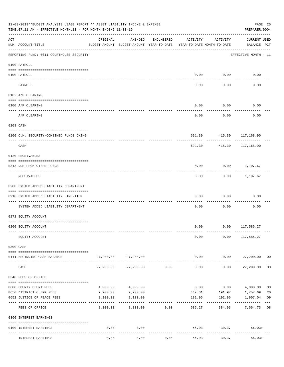| 12-03-2019**BUDGET ANALYSIS USAGE REPORT ** ASSET LIABILITY INCOME & EXPENSE<br>TIME: 07:11 AM - EFFECTIVE MONTH: 11 - FOR MONTH ENDING 11-30-19<br>PREPARER: 0004 |                                                                                  |           |                                                     |            |                                        |                            |                                    |                |  |  |
|--------------------------------------------------------------------------------------------------------------------------------------------------------------------|----------------------------------------------------------------------------------|-----------|-----------------------------------------------------|------------|----------------------------------------|----------------------------|------------------------------------|----------------|--|--|
| ACT                                                                                                                                                                | NUM ACCOUNT-TITLE                                                                | ORIGINAL  | AMENDED<br>BUDGET-AMOUNT BUDGET-AMOUNT YEAR-TO-DATE | ENCUMBERED | ACTIVITY<br>YEAR-TO-DATE MONTH-TO-DATE | ACTIVITY                   | <b>CURRENT USED</b><br>BALANCE PCT |                |  |  |
|                                                                                                                                                                    | ____________________________________<br>REPORTING FUND: 0011 COURTHOUSE SECURITY |           |                                                     |            |                                        |                            | EFFECTIVE MONTH - 11               |                |  |  |
|                                                                                                                                                                    | 0100 PAYROLL                                                                     |           |                                                     |            |                                        |                            |                                    |                |  |  |
|                                                                                                                                                                    | 0100 PAYROLL                                                                     |           |                                                     |            | 0.00                                   | 0.00                       | 0.00                               |                |  |  |
|                                                                                                                                                                    | ---- -----<br>PAYROLL                                                            |           |                                                     |            | 0.00                                   | -------<br>0.00            | 0.00                               |                |  |  |
|                                                                                                                                                                    | 0102 A/P CLEARING                                                                |           |                                                     |            |                                        |                            |                                    |                |  |  |
|                                                                                                                                                                    | 0100 A/P CLEARING                                                                |           |                                                     |            | 0.00                                   | 0.00                       | 0.00                               |                |  |  |
|                                                                                                                                                                    |                                                                                  |           |                                                     |            |                                        |                            |                                    |                |  |  |
|                                                                                                                                                                    | A/P CLEARING                                                                     |           |                                                     |            | 0.00                                   | 0.00                       | 0.00                               |                |  |  |
|                                                                                                                                                                    | 0103 CASH                                                                        |           |                                                     |            |                                        |                            |                                    |                |  |  |
|                                                                                                                                                                    | 0100 C.H. SECURITY-COMBINED FUNDS CKING                                          |           |                                                     |            |                                        | 691.30 415.30 117,168.90   |                                    |                |  |  |
|                                                                                                                                                                    | CASH                                                                             |           |                                                     |            | 691.30                                 | 415.30                     | --------<br>117,168.90             |                |  |  |
|                                                                                                                                                                    | 0120 RECEIVABLES                                                                 |           |                                                     |            |                                        |                            |                                    |                |  |  |
|                                                                                                                                                                    | 0313 DUE FROM OTHER FUNDS                                                        |           |                                                     |            | 0.00                                   |                            | $0.00$ 1,107.67                    |                |  |  |
|                                                                                                                                                                    | RECEIVABLES                                                                      |           |                                                     |            | 0.00                                   | ---------                  | $0.00$ 1,107.67                    |                |  |  |
|                                                                                                                                                                    | 0200 SYSTEM ADDED LIABILITY DEPARTMENT                                           |           |                                                     |            |                                        |                            |                                    |                |  |  |
|                                                                                                                                                                    | 0910 SYSTEM ADDED LIABILITY LINE-ITEM                                            |           |                                                     |            | 0.00                                   | 0.00                       | 0.00                               |                |  |  |
|                                                                                                                                                                    | SYSTEM ADDED LIABILITY DEPARTMENT                                                |           |                                                     |            | 0.00                                   | 0.00                       | 0.00                               |                |  |  |
|                                                                                                                                                                    | 0271 EQUITY ACCOUNT                                                              |           |                                                     |            |                                        |                            |                                    |                |  |  |
|                                                                                                                                                                    |                                                                                  |           |                                                     |            |                                        |                            |                                    |                |  |  |
|                                                                                                                                                                    | 0200 EQUITY ACCOUNT                                                              |           |                                                     |            |                                        | $0.00$ $0.00$ $117,585.27$ |                                    |                |  |  |
|                                                                                                                                                                    | EQUITY ACCOUNT                                                                   |           |                                                     |            | 0.00                                   | 0.00                       | 117,585.27                         |                |  |  |
|                                                                                                                                                                    | 0300 CASH                                                                        |           |                                                     |            |                                        |                            |                                    |                |  |  |
|                                                                                                                                                                    | 0111 BEGINNING CASH BALANCE                                                      | 27,200.00 | 27,200.00                                           |            | 0.00                                   | 0.00                       | 27,200.00 00                       |                |  |  |
|                                                                                                                                                                    | CASH                                                                             | 27,200.00 | 27,200.00                                           | 0.00       | .<br>0.00                              | ---------<br>0.00          | 27,200.00                          | 0 <sub>0</sub> |  |  |
|                                                                                                                                                                    | 0340 FEES OF OFFICE                                                              |           |                                                     |            |                                        |                            |                                    |                |  |  |
|                                                                                                                                                                    | 0600 COUNTY CLERK FEES                                                           | 4,000.00  | 4,000.00                                            |            | 0.00                                   | 0.00                       | 4,000.00                           | 0 <sub>0</sub> |  |  |
|                                                                                                                                                                    | 0650 DISTRICT CLERK FEES                                                         | 2,200.00  | 2,200.00                                            |            | 442.31                                 | 191.97                     | 1,757.69                           | 20             |  |  |
|                                                                                                                                                                    | 0651 JUSTICE OF PEACE FEES                                                       | 2,100.00  | 2,100.00                                            |            | 192.96                                 | 192.96                     | 1,907.04                           | 09             |  |  |
|                                                                                                                                                                    | FEES OF OFFICE                                                                   | 8,300.00  | 8,300.00                                            | 0.00       | 635.27                                 | 384.93                     | 7,664.73                           | 08             |  |  |
|                                                                                                                                                                    | 0360 INTEREST EARNINGS                                                           |           |                                                     |            |                                        |                            |                                    |                |  |  |
|                                                                                                                                                                    | 0100 INTEREST EARNINGS                                                           | 0.00      | 0.00                                                |            |                                        | 56.03 30.37                | $56.03+$                           |                |  |  |
|                                                                                                                                                                    | INTEREST EARNINGS                                                                | 0.00      | 0.00                                                | 0.00       | 56.03                                  | 30.37                      | $56.03+$                           |                |  |  |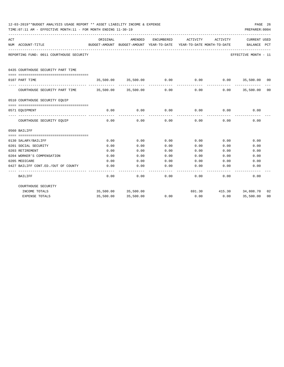|     | 12-03-2019**BUDGET ANALYSIS USAGE REPORT ** ASSET LIABILITY INCOME & EXPENSE<br>PAGE 26<br>TIME: 07:11 AM - EFFECTIVE MONTH: 11 - FOR MONTH ENDING 11-30-19<br>PREPARER: 0004 |          |                                                                                |      |                       |                              |                             |    |  |  |  |  |  |
|-----|-------------------------------------------------------------------------------------------------------------------------------------------------------------------------------|----------|--------------------------------------------------------------------------------|------|-----------------------|------------------------------|-----------------------------|----|--|--|--|--|--|
| ACT | NUM ACCOUNT-TITLE                                                                                                                                                             | ORIGINAL | AMENDED<br>BUDGET-AMOUNT BUDGET-AMOUNT YEAR-TO-DATE YEAR-TO-DATE MONTH-TO-DATE |      |                       | ENCUMBERED ACTIVITY ACTIVITY | CURRENT USED<br>BALANCE PCT |    |  |  |  |  |  |
|     | REPORTING FUND: 0011 COURTHOUSE SECURITY                                                                                                                                      |          |                                                                                |      |                       |                              | EFFECTIVE MONTH - 11        |    |  |  |  |  |  |
|     | 0435 COURTHOUSE SECURITY PART TIME                                                                                                                                            |          |                                                                                |      |                       |                              |                             |    |  |  |  |  |  |
|     | 0107 PART TIME                                                                                                                                                                |          | 35,500.00 35,500.00                                                            | 0.00 | 0.00                  |                              | $0.00$ 35,500.00 00         |    |  |  |  |  |  |
|     | COURTHOUSE SECURITY PART TIME 35,500.00 35,500.00                                                                                                                             |          | ------------------------------                                                 | 0.00 | -------------<br>0.00 | 0.00                         | 35,500.00 00                |    |  |  |  |  |  |
|     | 0510 COURTHOUSE SECURITY EQUIP                                                                                                                                                |          |                                                                                |      |                       |                              |                             |    |  |  |  |  |  |
|     | 0571 EOUIPMENT                                                                                                                                                                |          | 0.00<br>0.00                                                                   |      | $0.00$ 0.00           |                              | $0.00$ 0.00                 |    |  |  |  |  |  |
|     | COURTHOUSE SECURITY EQUIP                                                                                                                                                     | 0.00     | 0.00                                                                           | 0.00 | 0.00                  | 0.00                         | 0.00                        |    |  |  |  |  |  |
|     | 0560 BAILIFF                                                                                                                                                                  |          |                                                                                |      |                       |                              |                             |    |  |  |  |  |  |
|     | 0130 SALARY/BAILIFF                                                                                                                                                           | 0.00     | 0.00                                                                           | 0.00 | 0.00                  | 0.00                         | 0.00                        |    |  |  |  |  |  |
|     | 0201 SOCIAL SECURITY                                                                                                                                                          | 0.00     | 0.00                                                                           | 0.00 | 0.00                  | 0.00                         | 0.00                        |    |  |  |  |  |  |
|     | 0203 RETIREMENT                                                                                                                                                               | 0.00     | 0.00                                                                           | 0.00 | 0.00                  | 0.00                         | 0.00                        |    |  |  |  |  |  |
|     | 0204 WORKER'S COMPENSATION                                                                                                                                                    | 0.00     | 0.00                                                                           | 0.00 | 0.00                  | 0.00                         | 0.00                        |    |  |  |  |  |  |
|     | 0205 MEDICARE                                                                                                                                                                 | 0.00     | 0.00                                                                           | 0.00 | 0.00                  | 0.00                         | 0.00                        |    |  |  |  |  |  |
|     | 0427 BAILIFF CONT.ED./OUT OF COUNTY                                                                                                                                           | 0.00     | 0.00                                                                           | 0.00 | 0.00                  | 0.00                         | 0.00                        |    |  |  |  |  |  |
|     | <b>BAILIFF</b>                                                                                                                                                                | 0.00     | 0.00                                                                           | 0.00 | 0.00                  | 0.00                         | 0.00                        |    |  |  |  |  |  |
|     | COURTHOUSE SECURITY                                                                                                                                                           |          |                                                                                |      |                       |                              |                             |    |  |  |  |  |  |
|     | INCOME TOTALS                                                                                                                                                                 |          | 35,500.00 35,500.00                                                            |      |                       | 691.30 415.30 34,808.70      |                             | 02 |  |  |  |  |  |
|     | <b>EXPENSE TOTALS</b>                                                                                                                                                         |          | 35,500.00 35,500.00                                                            | 0.00 | 0.00                  |                              | $0.00$ 35,500.00            | 00 |  |  |  |  |  |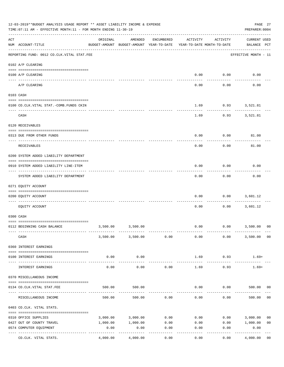|     | 12-03-2019**BUDGET ANALYSIS USAGE REPORT ** ASSET LIABILITY INCOME & EXPENSE<br>TIME:07:11 AM - EFFECTIVE MONTH:11 - FOR MONTH ENDING 11-30-19 |          |                                                     |            |                                        |                          |                                    |                |  |  |  |
|-----|------------------------------------------------------------------------------------------------------------------------------------------------|----------|-----------------------------------------------------|------------|----------------------------------------|--------------------------|------------------------------------|----------------|--|--|--|
| ACT | NUM ACCOUNT-TITLE                                                                                                                              | ORIGINAL | AMENDED<br>BUDGET-AMOUNT BUDGET-AMOUNT YEAR-TO-DATE | ENCUMBERED | ACTIVITY<br>YEAR-TO-DATE MONTH-TO-DATE | ACTIVITY                 | <b>CURRENT USED</b><br>BALANCE PCT |                |  |  |  |
|     | --------------------------------------<br>REPORTING FUND: 0012 CO.CLK.VITAL STAT.FEE                                                           |          |                                                     |            |                                        |                          | EFFECTIVE MONTH - 11               |                |  |  |  |
|     | 0102 A/P CLEARING                                                                                                                              |          |                                                     |            |                                        |                          |                                    |                |  |  |  |
|     | 0100 A/P CLEARING                                                                                                                              |          |                                                     |            | 0.00                                   | 0.00                     | 0.00                               |                |  |  |  |
|     | A/P CLEARING                                                                                                                                   |          |                                                     |            | 0.00                                   | 0.00                     | 0.00                               |                |  |  |  |
|     | 0103 CASH                                                                                                                                      |          |                                                     |            |                                        |                          |                                    |                |  |  |  |
|     | 0100 CO.CLK.VITAL STAT.-COMB.FUNDS CKIN                                                                                                        |          |                                                     |            | 1.69                                   | $0.93$ $3,521.81$        |                                    |                |  |  |  |
|     | CASH                                                                                                                                           |          |                                                     |            | 1.69                                   | 0.93                     | 3,521.81                           |                |  |  |  |
|     | 0120 RECEIVABLES                                                                                                                               |          |                                                     |            |                                        |                          |                                    |                |  |  |  |
|     | 0313 DUE FROM OTHER FUNDS                                                                                                                      |          |                                                     |            | 0.00                                   | 0.00                     |                                    |                |  |  |  |
|     |                                                                                                                                                |          |                                                     |            |                                        |                          | 81.00                              |                |  |  |  |
|     | RECEIVABLES                                                                                                                                    |          |                                                     |            | 0.00                                   | 0.00                     | 81.00                              |                |  |  |  |
|     | 0200 SYSTEM ADDED LIABILITY DEPARTMENT                                                                                                         |          |                                                     |            |                                        |                          |                                    |                |  |  |  |
|     | 0910 SYSTEM ADDED LIABILITY LINE-ITEM                                                                                                          |          |                                                     |            | 0.00                                   | 0.00<br>.                | 0.00                               |                |  |  |  |
|     | SYSTEM ADDED LIABILITY DEPARTMENT                                                                                                              |          |                                                     |            | 0.00                                   | 0.00                     | 0.00                               |                |  |  |  |
|     | 0271 EQUITY ACCOUNT                                                                                                                            |          |                                                     |            |                                        |                          |                                    |                |  |  |  |
|     | 0200 EQUITY ACCOUNT                                                                                                                            |          |                                                     |            | 0.00                                   | 0.00                     | 3,601.12                           |                |  |  |  |
|     | EQUITY ACCOUNT                                                                                                                                 |          |                                                     |            | 0.00                                   | 0.00                     | 3,601.12                           |                |  |  |  |
|     | 0300 CASH                                                                                                                                      |          |                                                     |            |                                        |                          |                                    |                |  |  |  |
|     | 0112 BEGINNING CASH BALANCE                                                                                                                    | 3,500.00 | 3,500.00                                            |            |                                        | $0.00$ $0.00$ $3,500.00$ |                                    | 00             |  |  |  |
|     | CASH                                                                                                                                           |          | 3,500.00 3,500.00                                   | 0.00       | 0.00                                   | 0.00                     | 3,500.00                           | 00             |  |  |  |
|     | 0360 INTEREST EARNINGS                                                                                                                         |          |                                                     |            |                                        |                          |                                    |                |  |  |  |
|     | 0100 INTEREST EARNINGS                                                                                                                         | 0.00     | 0.00                                                |            | 1.69                                   | 0.93                     | $1.69+$                            |                |  |  |  |
|     | INTEREST EARNINGS                                                                                                                              | 0.00     | 0.00                                                | 0.00       | 1.69                                   | 0.93                     | $1.69+$                            |                |  |  |  |
|     | 0370 MISCELLANEOUS INCOME                                                                                                                      |          |                                                     |            |                                        |                          |                                    |                |  |  |  |
|     |                                                                                                                                                |          |                                                     |            |                                        |                          |                                    |                |  |  |  |
|     | 0134 CO.CLK.VITAL STAT.FEE                                                                                                                     | 500.00   | 500.00                                              |            | 0.00                                   | 0.00                     | 500.00                             | 00             |  |  |  |
|     | MISCELLANEOUS INCOME                                                                                                                           | 500.00   | 500.00                                              | 0.00       | 0.00                                   | 0.00                     | 500.00                             | 0 <sub>0</sub> |  |  |  |
|     | 0403 CO.CLK. VITAL STATS.                                                                                                                      |          |                                                     |            |                                        |                          |                                    |                |  |  |  |
|     | 0310 OFFICE SUPPLIES                                                                                                                           | 3,000.00 | 3,000.00                                            | 0.00       | 0.00                                   | 0.00                     | 3,000.00                           | 0 <sub>0</sub> |  |  |  |
|     | 0427 OUT OF COUNTY TRAVEL                                                                                                                      | 1,000.00 | 1,000.00                                            | 0.00       | 0.00                                   | 0.00                     | 1,000.00                           | 0 <sub>0</sub> |  |  |  |
|     | 0574 COMPUTER EQUIPMENT                                                                                                                        | 0.00     | 0.00                                                | 0.00       | 0.00                                   | 0.00                     | 0.00                               |                |  |  |  |
|     | ---- ---------------<br>CO.CLK. VITAL STATS.                                                                                                   | 4,000.00 | 4,000.00                                            | 0.00       | 0.00                                   | 0.00                     | 4,000.00                           | 0 <sub>0</sub> |  |  |  |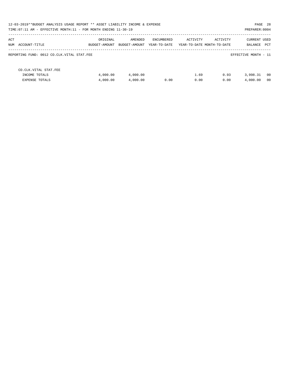| PAGE 28<br>12-03-2019**BUDGET ANALYSIS USAGE REPORT ** ASSET LIABILITY INCOME & EXPENSE<br>TIME: 07:11 AM - EFFECTIVE MONTH: 11 - FOR MONTH ENDING 11-30-19<br>PREPARER: 0004 |                           |                          |                            |              |                                        |                                    |  |  |  |
|-------------------------------------------------------------------------------------------------------------------------------------------------------------------------------|---------------------------|--------------------------|----------------------------|--------------|----------------------------------------|------------------------------------|--|--|--|
| ACT<br>NUM ACCOUNT-TITLE                                                                                                                                                      | ORIGINAL<br>BUDGET-AMOUNT | AMENDED<br>BUDGET-AMOUNT | ENCUMBERED<br>YEAR-TO-DATE | ACTIVITY     | ACTIVITY<br>YEAR-TO-DATE MONTH-TO-DATE | <b>CURRENT USED</b><br>BALANCE PCT |  |  |  |
| REPORTING FUND: 0012 CO.CLK.VITAL STAT.FEE                                                                                                                                    |                           |                          |                            |              |                                        | EFFECTIVE MONTH - 11               |  |  |  |
| CO. CLK. VITAL STAT. FEE<br>INCOME TOTALS<br><b>EXPENSE TOTALS</b>                                                                                                            | 4,000.00<br>4,000.00      | 4,000.00<br>4,000.00     | 0.00                       | 1.69<br>0.00 | 0.93<br>0.00                           | 00<br>3,998.31<br>4,000.00<br>00   |  |  |  |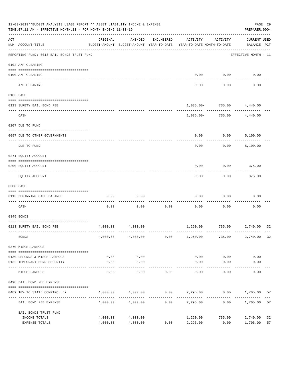|                    | 12-03-2019**BUDGET ANALYSIS USAGE REPORT ** ASSET LIABILITY INCOME & EXPENSE<br>TIME: 07:11 AM - EFFECTIVE MONTH: 11 - FOR MONTH ENDING 11-30-19 |                                                      |                   |            |                                        |                  |                                    |          |  |  |  |
|--------------------|--------------------------------------------------------------------------------------------------------------------------------------------------|------------------------------------------------------|-------------------|------------|----------------------------------------|------------------|------------------------------------|----------|--|--|--|
| $\mathop{\rm ACT}$ | NUM ACCOUNT-TITLE                                                                                                                                | ORIGINAL<br>BUDGET-AMOUNT BUDGET-AMOUNT YEAR-TO-DATE | AMENDED           | ENCUMBERED | ACTIVITY<br>YEAR-TO-DATE MONTH-TO-DATE | ACTIVITY         | <b>CURRENT USED</b><br>BALANCE PCT |          |  |  |  |
|                    | REPORTING FUND: 0013 BAIL BONDS TRUST FUND                                                                                                       |                                                      |                   |            |                                        |                  | EFFECTIVE MONTH - 11               |          |  |  |  |
|                    | 0102 A/P CLEARING                                                                                                                                |                                                      |                   |            |                                        |                  |                                    |          |  |  |  |
|                    | 0100 A/P CLEARING<br>---- ---------                                                                                                              |                                                      |                   |            |                                        | $0.00$ 0.00      | 0.00                               |          |  |  |  |
|                    | A/P CLEARING                                                                                                                                     |                                                      |                   |            | 0.00                                   | 0.00             | 0.00                               |          |  |  |  |
|                    | 0103 CASH                                                                                                                                        |                                                      |                   |            |                                        |                  |                                    |          |  |  |  |
|                    |                                                                                                                                                  |                                                      |                   |            |                                        |                  |                                    |          |  |  |  |
|                    | 0113 SURETY BAIL BOND FEE                                                                                                                        |                                                      |                   |            |                                        | ------------     | 1,035.00- 735.00 4,440.00          |          |  |  |  |
|                    | CASH                                                                                                                                             |                                                      |                   |            |                                        | 1,035.00- 735.00 | 4,440.00                           |          |  |  |  |
|                    | 0207 DUE TO FUND                                                                                                                                 |                                                      |                   |            |                                        |                  |                                    |          |  |  |  |
|                    | 0097 DUE TO OTHER GOVERNMENTS                                                                                                                    |                                                      |                   |            | 0.00                                   | 0.00             | 5,100.00                           |          |  |  |  |
|                    | DUE TO FUND                                                                                                                                      |                                                      |                   |            | 0.00                                   | 0.00             | 5,100.00                           |          |  |  |  |
|                    | 0271 EQUITY ACCOUNT                                                                                                                              |                                                      |                   |            |                                        |                  |                                    |          |  |  |  |
|                    | 0200 EQUITY ACCOUNT                                                                                                                              |                                                      |                   |            | 0.00                                   | 0.00             | 375.00                             |          |  |  |  |
|                    | EQUITY ACCOUNT                                                                                                                                   |                                                      |                   |            | 0.00                                   | 0.00             | 375.00                             |          |  |  |  |
|                    | 0300 CASH                                                                                                                                        |                                                      |                   |            |                                        |                  |                                    |          |  |  |  |
|                    | 0113 BEGINNING CASH BALANCE                                                                                                                      | 0.00                                                 | 0.00              |            | 0.00                                   | 0.00             | 0.00                               |          |  |  |  |
|                    | -------------------------- -<br>CASH                                                                                                             | 0.00                                                 | 0.00              | 0.00       | 0.00                                   | 0.00             | 0.00                               |          |  |  |  |
|                    | 0345 BONDS                                                                                                                                       |                                                      |                   |            |                                        |                  |                                    |          |  |  |  |
|                    | 0113 SURETY BAIL BOND FEE                                                                                                                        | 4,000.00                                             | 4,000.00          |            |                                        |                  | 1,260.00 735.00 2,740.00 32        |          |  |  |  |
|                    | <b>BONDS</b>                                                                                                                                     | 4,000.00                                             | 4,000.00          | 0.00       | 1,260.00                               | 735.00           | 2,740.00                           | 32       |  |  |  |
|                    | 0370 MISCELLANEOUS                                                                                                                               |                                                      |                   |            |                                        |                  |                                    |          |  |  |  |
|                    | 0130 REFUNDS & MISCELLANEOUS                                                                                                                     | 0.00                                                 | 0.00              |            | 0.00                                   | 0.00             | 0.00                               |          |  |  |  |
|                    | 0132 TEMPORARY BOND SECURITY                                                                                                                     | 0.00                                                 | 0.00              |            | 0.00                                   | 0.00             | 0.00                               |          |  |  |  |
|                    | MISCELLANEOUS                                                                                                                                    | 0.00                                                 | ---------<br>0.00 | 0.00       | 0.00                                   | -----<br>0.00    | 0.00                               |          |  |  |  |
|                    | 0498 BAIL BOND FEE EXPENSE                                                                                                                       |                                                      |                   |            |                                        |                  |                                    |          |  |  |  |
|                    | 0489 10% TO STATE COMPTROLLER                                                                                                                    | 4,000.00                                             | 4,000.00          |            | $0.00$ 2,295.00                        |                  | $0.00$ 1,705.00                    | 57       |  |  |  |
|                    | BAIL BOND FEE EXPENSE                                                                                                                            | 4,000.00                                             | 4,000.00          | 0.00       | 2,295.00                               | 0.00             | 1,705.00                           | 57       |  |  |  |
|                    | BAIL BONDS TRUST FUND                                                                                                                            |                                                      |                   |            |                                        |                  |                                    |          |  |  |  |
|                    | INCOME TOTALS<br>EXPENSE TOTALS                                                                                                                  | 4,000.00                                             | 4,000.00          | 0.00       | 1,260.00                               | 735.00<br>0.00   | 2,740.00                           | 32<br>57 |  |  |  |
|                    |                                                                                                                                                  | 4,000.00                                             | 4,000.00          |            | 2,295.00                               |                  | 1,705.00                           |          |  |  |  |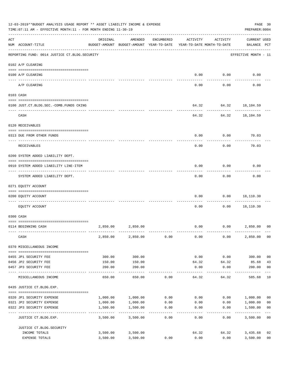|     | 12-03-2019**BUDGET ANALYSIS USAGE REPORT ** ASSET LIABILITY INCOME & EXPENSE<br>TIME: 07:11 AM - EFFECTIVE MONTH: 11 - FOR MONTH ENDING 11-30-19<br>PREPARER: 0004 |                           |                                                                                |                |               |                                    |                                    |                         |  |  |  |
|-----|--------------------------------------------------------------------------------------------------------------------------------------------------------------------|---------------------------|--------------------------------------------------------------------------------|----------------|---------------|------------------------------------|------------------------------------|-------------------------|--|--|--|
| ACT | NUM ACCOUNT-TITLE                                                                                                                                                  | ORIGINAL                  | AMENDED<br>BUDGET-AMOUNT BUDGET-AMOUNT YEAR-TO-DATE YEAR-TO-DATE MONTH-TO-DATE | ENCUMBERED     | ACTIVITY      | ACTIVITY                           | <b>CURRENT USED</b><br>BALANCE PCT |                         |  |  |  |
|     | REPORTING FUND: 0014 JUSTICE CT. BLDG. SECURITY                                                                                                                    |                           |                                                                                |                |               |                                    | EFFECTIVE MONTH - 11               |                         |  |  |  |
|     | 0102 A/P CLEARING                                                                                                                                                  |                           |                                                                                |                |               |                                    |                                    |                         |  |  |  |
|     | 0100 A/P CLEARING                                                                                                                                                  |                           |                                                                                |                | 0.00          | 0.00                               | 0.00                               |                         |  |  |  |
|     | A/P CLEARING                                                                                                                                                       |                           |                                                                                |                | 0.00          | 0.00                               | 0.00                               |                         |  |  |  |
|     | 0103 CASH                                                                                                                                                          |                           |                                                                                |                |               |                                    |                                    |                         |  |  |  |
|     | 0100 JUST.CT.BLDG.SEC.-COMB.FUNDS CKING                                                                                                                            |                           |                                                                                |                |               | 64.32 64.32 18,104.59              |                                    |                         |  |  |  |
|     | -----------------------------------<br>CASH                                                                                                                        |                           |                                                                                |                |               | ---------<br>64.32 64.32 18,104.59 |                                    |                         |  |  |  |
|     | 0120 RECEIVABLES                                                                                                                                                   |                           |                                                                                |                |               |                                    |                                    |                         |  |  |  |
|     | 0313 DUE FROM OTHER FUNDS                                                                                                                                          |                           |                                                                                |                | 0.00          | 0.00                               | 70.03                              |                         |  |  |  |
|     | RECEIVABLES                                                                                                                                                        |                           |                                                                                |                | 0.00          | 0.00                               | 70.03                              |                         |  |  |  |
|     | 0200 SYSTEM ADDED LIABILITY DEPT.                                                                                                                                  |                           |                                                                                |                |               |                                    |                                    |                         |  |  |  |
|     | 0910 SYSTEM ADDED LIABILITY LINE-ITEM                                                                                                                              |                           |                                                                                |                | 0.00          | 0.00                               | 0.00                               |                         |  |  |  |
|     | SYSTEM ADDED LIABILITY DEPT.                                                                                                                                       |                           |                                                                                |                | 0.00          | 0.00                               | 0.00                               |                         |  |  |  |
|     | 0271 EQUITY ACCOUNT                                                                                                                                                |                           |                                                                                |                |               |                                    |                                    |                         |  |  |  |
|     | 0200 EQUITY ACCOUNT                                                                                                                                                |                           |                                                                                |                | 0.00          | 0.00                               | 18,110.30                          |                         |  |  |  |
|     | EQUITY ACCOUNT                                                                                                                                                     |                           |                                                                                |                | 0.00          | 0.00                               | 18,110.30                          |                         |  |  |  |
|     | 0300 CASH                                                                                                                                                          |                           |                                                                                |                |               |                                    |                                    |                         |  |  |  |
|     | 0114 BEGINNING CASH                                                                                                                                                | 2,850.00                  | 2,850.00                                                                       |                | 0.00          | 0.00                               | 2,850.00                           | 00                      |  |  |  |
|     | CASH                                                                                                                                                               | 2,850.00                  | 2,850.00                                                                       | 0.00           | 0.00          | 0.00                               | 2,850.00                           | 0 <sub>0</sub>          |  |  |  |
|     | 0370 MISCELLANEOUS INCOME                                                                                                                                          |                           |                                                                                |                |               |                                    |                                    |                         |  |  |  |
|     |                                                                                                                                                                    |                           |                                                                                |                |               |                                    |                                    |                         |  |  |  |
|     | 0455 JP1 SECURITY FEE                                                                                                                                              | 300.00                    | 300.00                                                                         |                | 0.00          | 0.00                               | 300.00<br>85.68                    | 0 <sub>0</sub>          |  |  |  |
|     | 0456 JP2 SECURITY FEE<br>0457 JP3 SECURITY FEE                                                                                                                     | 150.00<br>200.00          | 150.00<br>200.00                                                               |                | 64.32<br>0.00 | 64.32<br>0.00                      | 200.00                             | 43<br>0 <sub>0</sub>    |  |  |  |
|     | MISCELLANEOUS INCOME                                                                                                                                               | 650.00                    | 650.00                                                                         | 0.00           | 64.32         | 64.32                              | 585.68                             | 10                      |  |  |  |
|     | 0435 JUSTICE CT.BLDG.EXP.                                                                                                                                          |                           |                                                                                |                |               |                                    |                                    |                         |  |  |  |
|     | 0320 JP1 SECURITY EXPENSE                                                                                                                                          | 1,000.00                  | 1,000.00                                                                       | 0.00           | 0.00          |                                    | 0.00 1,000.00                      | 0 <sub>0</sub>          |  |  |  |
|     | 0321 JP2 SECURITY EXPENSE                                                                                                                                          | 1,000.00                  | 1,000.00                                                                       | 0.00           | 0.00          | 0.00                               | 1,000.00                           | 0 <sub>0</sub>          |  |  |  |
|     | 0322 JP3 SECURITY EXPENSE                                                                                                                                          | 1,500.00<br>------------- | 1,500.00<br>----------                                                         | 0.00<br>------ | 0.00          | 0.00                               | 1,500.00<br>-----------            | 0 <sub>0</sub><br>$---$ |  |  |  |
|     | JUSTICE CT.BLDG.EXP.                                                                                                                                               | 3,500.00                  | 3,500.00                                                                       | 0.00           | 0.00          | 0.00                               | 3,500.00                           | 0 <sub>0</sub>          |  |  |  |
|     | JUSTICE CT.BLDG.SECURITY<br>INCOME TOTALS                                                                                                                          |                           |                                                                                |                | 64.32         | 64.32                              |                                    | 02                      |  |  |  |
|     | EXPENSE TOTALS                                                                                                                                                     | 3,500.00<br>3,500.00      | 3,500.00<br>3,500.00                                                           | 0.00           | 0.00          | 0.00                               | 3,435.68<br>3,500.00               | 0 <sub>0</sub>          |  |  |  |
|     |                                                                                                                                                                    |                           |                                                                                |                |               |                                    |                                    |                         |  |  |  |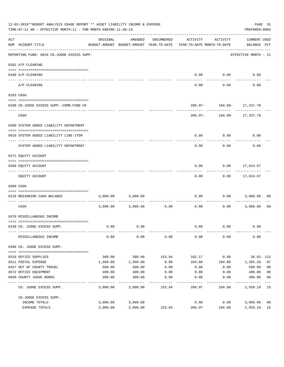|     | 12-03-2019**BUDGET ANALYSIS USAGE REPORT ** ASSET LIABILITY INCOME & EXPENSE<br>TIME: 07:11 AM - EFFECTIVE MONTH: 11 - FOR MONTH ENDING 11-30-19 |          |                                                     |              |                                        |                           | PAGE 31<br>PREPARER: 0004   |                |
|-----|--------------------------------------------------------------------------------------------------------------------------------------------------|----------|-----------------------------------------------------|--------------|----------------------------------------|---------------------------|-----------------------------|----------------|
| ACT | NUM ACCOUNT-TITLE                                                                                                                                | ORIGINAL | AMENDED<br>BUDGET-AMOUNT BUDGET-AMOUNT YEAR-TO-DATE | ENCUMBERED   | ACTIVITY<br>YEAR-TO-DATE MONTH-TO-DATE | ACTIVITY                  | CURRENT USED<br>BALANCE PCT |                |
|     | REPORTING FUND: 0016 CO.JUDGE EXCESS SUPP.                                                                                                       |          |                                                     |              |                                        |                           | EFFECTIVE MONTH - 11        |                |
|     | 0102 A/P CLEARING                                                                                                                                |          |                                                     |              |                                        |                           |                             |                |
|     |                                                                                                                                                  |          |                                                     |              |                                        |                           |                             |                |
|     | 0100 A/P CLEARING<br>---- --------                                                                                                               |          |                                                     |              | 0.00                                   | 0.00                      | 0.00                        |                |
|     | A/P CLEARING                                                                                                                                     |          |                                                     |              | 0.00                                   | 0.00                      | 0.00                        |                |
|     | 0103 CASH                                                                                                                                        |          |                                                     |              |                                        |                           |                             |                |
|     |                                                                                                                                                  |          |                                                     |              |                                        |                           |                             |                |
|     | 0100 CO.JUDGE EXCESS SUPP.-COMB.FUND CK                                                                                                          |          |                                                     |              |                                        | 286.97- 104.80- 17,337.70 |                             |                |
|     | CASH                                                                                                                                             |          |                                                     |              |                                        | 286.97- 104.80- 17,337.70 |                             |                |
|     | 0200 SYSTEM ADDED LIABILITY DEPARTMENT                                                                                                           |          |                                                     |              |                                        |                           |                             |                |
|     |                                                                                                                                                  |          |                                                     |              |                                        |                           |                             |                |
|     | 0910 SYSTEM ADDED LIABILITY LINE-ITEM                                                                                                            |          |                                                     |              | 0.00                                   | 0.00                      | 0.00                        |                |
|     | SYSTEM ADDED LIABILITY DEPARTMENT                                                                                                                |          |                                                     |              | 0.00                                   | 0.00                      | 0.00                        |                |
|     | 0271 EQUITY ACCOUNT                                                                                                                              |          |                                                     |              |                                        |                           |                             |                |
|     |                                                                                                                                                  |          |                                                     |              |                                        |                           |                             |                |
|     | 0200 EQUITY ACCOUNT                                                                                                                              |          |                                                     |              | 0.00                                   | 0.00                      | 17,624.67                   |                |
|     | EQUITY ACCOUNT                                                                                                                                   |          |                                                     |              | 0.00                                   |                           | $0.00$ 17,624.67            |                |
|     | 0300 CASH                                                                                                                                        |          |                                                     |              |                                        |                           |                             |                |
|     |                                                                                                                                                  |          |                                                     |              |                                        |                           |                             |                |
|     | 0116 BEGINNING CASH BALANCE<br>---------------------------- --                                                                                   | 3,000.00 | 3,000.00                                            | ------------ | 0.00                                   | 0.00<br>---------         | 3,000.00                    | 00             |
|     | CASH                                                                                                                                             |          | 3,000.00 3,000.00                                   | 0.00         | 0.00                                   | 0.00                      | 3,000.00                    | - 00           |
|     | 0370 MISCELLANEOUS INCOME                                                                                                                        |          |                                                     |              |                                        |                           |                             |                |
|     | 0149 CO. JUDGE EXCESS SUPP.                                                                                                                      | 0.00     | 0.00                                                |              | 0.00                                   | 0.00                      | 0.00                        |                |
|     | MISCELLANEOUS INCOME                                                                                                                             | 0.00     | 0.00                                                | 0.00         | 0.00                                   | 0.00                      | 0.00                        |                |
|     | 0400 CO. JUDGE EXCESS SUPP.                                                                                                                      |          |                                                     |              |                                        |                           |                             |                |
|     | 0310 OFFICE SUPPLIES                                                                                                                             | 300.00   | 300.00                                              | 153.84       | 182.17                                 | 0.00                      | $36.01 - 112$               |                |
|     | 0311 POSTAL EXPENSE                                                                                                                              | 1,500.00 | 1,500.00                                            | 0.00         | 104.80                                 | 104.80                    | 1,395.20                    | 07             |
|     | 0427 OUT OF COUNTY TRAVEL                                                                                                                        | 500.00   | 500.00                                              | 0.00         | 0.00                                   | 0.00                      | 500.00                      | 0 <sub>0</sub> |
|     | 0572 OFFICE EQUIPMENT                                                                                                                            | 400.00   | 400.00                                              | 0.00         | 0.00                                   | 0.00                      | 400.00                      | 0 <sub>0</sub> |
|     | 0590 COUNTY JUDGE BOOKS                                                                                                                          | 300.00   | 300.00                                              | 0.00         | 0.00                                   | 0.00                      | 300.00                      | 0 <sub>0</sub> |
|     | CO. JUDGE EXCESS SUPP.                                                                                                                           | 3,000.00 | 3,000.00                                            | 153.84       | 286.97                                 | 104.80                    | 2,559.19 15                 |                |
|     | CO.JUDGE EXCESS SUPP.                                                                                                                            |          |                                                     |              |                                        |                           |                             |                |
|     | INCOME TOTALS                                                                                                                                    | 3,000.00 | 3,000.00                                            |              | 0.00                                   | 0.00                      | 3,000.00                    | 0 <sub>0</sub> |
|     | EXPENSE TOTALS                                                                                                                                   | 3,000.00 | 3,000.00                                            | 153.84       | 286.97                                 | 104.80                    | 2,559.19                    | 15             |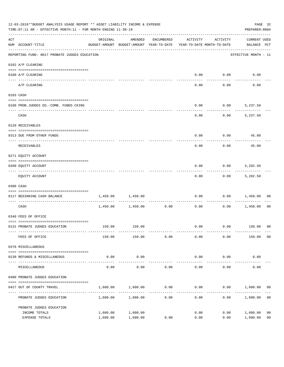|                    | 12-03-2019**BUDGET ANALYSIS USAGE REPORT ** ASSET LIABILITY INCOME & EXPENSE<br>TIME: 07:11 AM - EFFECTIVE MONTH: 11 - FOR MONTH ENDING 11-30-19 |                                                                                 |                      |                     |                        |                     |                                    |                                  |  |  |  |
|--------------------|--------------------------------------------------------------------------------------------------------------------------------------------------|---------------------------------------------------------------------------------|----------------------|---------------------|------------------------|---------------------|------------------------------------|----------------------------------|--|--|--|
| $\mathop{\rm ACT}$ | NUM ACCOUNT-TITLE                                                                                                                                | ORIGINAL<br>BUDGET-AMOUNT BUDGET-AMOUNT YEAR-TO-DATE YEAR-TO-DATE MONTH-TO-DATE | AMENDED              | ENCUMBERED          | ACTIVITY               | ACTIVITY            | <b>CURRENT USED</b><br>BALANCE PCT |                                  |  |  |  |
|                    | REPORTING FUND: 0017 PROBATE JUDGES EDUCATION                                                                                                    |                                                                                 |                      |                     |                        |                     | EFFECTIVE MONTH - 11               |                                  |  |  |  |
|                    | 0102 A/P CLEARING                                                                                                                                |                                                                                 |                      |                     |                        |                     |                                    |                                  |  |  |  |
|                    | 0100 A/P CLEARING                                                                                                                                |                                                                                 |                      |                     | 0.00                   | 0.00                | 0.00                               |                                  |  |  |  |
|                    | ---- --------<br>A/P CLEARING                                                                                                                    |                                                                                 |                      |                     | 0.00                   | 0.00                | 0.00                               |                                  |  |  |  |
|                    | 0103 CASH                                                                                                                                        |                                                                                 |                      |                     |                        |                     |                                    |                                  |  |  |  |
|                    | 0100 PROB.JUDGES ED.-COMB. FUNDS CKING                                                                                                           |                                                                                 |                      |                     | 0.00                   |                     | $0.00$ 5,237.50                    |                                  |  |  |  |
|                    | CASH                                                                                                                                             |                                                                                 |                      |                     | 0.00                   | 0.00                | 5,237.50                           |                                  |  |  |  |
|                    | 0120 RECEIVABLES                                                                                                                                 |                                                                                 |                      |                     |                        |                     |                                    |                                  |  |  |  |
|                    | 0313 DUE FROM OTHER FUNDS                                                                                                                        |                                                                                 |                      |                     | 0.00                   |                     | $0.00$ 45.00                       |                                  |  |  |  |
|                    | RECEIVABLES                                                                                                                                      |                                                                                 |                      |                     | 0.00                   | 0.00                | 45.00                              |                                  |  |  |  |
|                    | 0271 EQUITY ACCOUNT                                                                                                                              |                                                                                 |                      |                     |                        |                     |                                    |                                  |  |  |  |
|                    | 0200 EQUITY ACCOUNT                                                                                                                              |                                                                                 |                      |                     | 0.00                   | 0.00                | 5,282.50                           |                                  |  |  |  |
|                    | EQUITY ACCOUNT                                                                                                                                   |                                                                                 |                      |                     | 0.00                   |                     | $0.00$ 5,282.50                    |                                  |  |  |  |
|                    | 0300 CASH                                                                                                                                        |                                                                                 |                      |                     |                        |                     |                                    |                                  |  |  |  |
|                    | 0117 BEGINNING CASH BALANCE                                                                                                                      | 1,450.00                                                                        | 1,450.00             |                     | 0.00                   | 0.00                | 1,450.00                           | 00                               |  |  |  |
|                    | CASH                                                                                                                                             |                                                                                 | 1,450.00 1,450.00    | -----------<br>0.00 | 0.00                   | 0.00                | 1,450.00                           | 00                               |  |  |  |
|                    | 0340 FEES OF OFFICE                                                                                                                              |                                                                                 |                      |                     |                        |                     |                                    |                                  |  |  |  |
|                    | 0131 PROBATE JUDGES EDUCATION                                                                                                                    |                                                                                 | 150.00 150.00        |                     |                        |                     | $0.00$ $0.00$ $150.00$ 00          |                                  |  |  |  |
|                    | FEES OF OFFICE                                                                                                                                   | 150.00                                                                          | 150.00               | 0.00                | 0.00                   | 0.00                | 150.00                             | 0 <sub>0</sub>                   |  |  |  |
|                    | 0370 MISCELLANEOUS                                                                                                                               |                                                                                 |                      |                     |                        |                     |                                    |                                  |  |  |  |
|                    | 0130 REFUNDS & MISCELLANEOUS                                                                                                                     | 0.00                                                                            | 0.00                 |                     | 0.00                   | 0.00                | 0.00                               |                                  |  |  |  |
|                    | MISCELLANEOUS                                                                                                                                    | 0.00                                                                            | -----------<br>0.00  | 0.00                | --------------<br>0.00 | -----------<br>0.00 | 0.00                               |                                  |  |  |  |
|                    | 0400 PROBATE JUDGES EDUCATION                                                                                                                    |                                                                                 |                      |                     |                        |                     |                                    |                                  |  |  |  |
|                    | 0427 OUT OF COUNTY TRAVEL                                                                                                                        | 1,600.00                                                                        | 1,600.00             | 0.00                | 0.00                   |                     | $0.00$ 1,600.00                    | 00                               |  |  |  |
|                    | PROBATE JUDGES EDUCATION                                                                                                                         |                                                                                 | 1,600.00 1,600.00    | 0.00                | 0.00                   |                     | 0.00<br>1,600.00                   | 0 <sub>0</sub>                   |  |  |  |
|                    | PROBATE JUDGES EDUCATION                                                                                                                         |                                                                                 |                      |                     |                        |                     |                                    |                                  |  |  |  |
|                    | INCOME TOTALS<br>EXPENSE TOTALS                                                                                                                  | 1,600.00<br>1,600.00                                                            | 1,600.00<br>1,600.00 | 0.00                | 0.00<br>0.00           | 0.00<br>0.00        | 1,600.00<br>1,600.00               | 0 <sub>0</sub><br>0 <sub>0</sub> |  |  |  |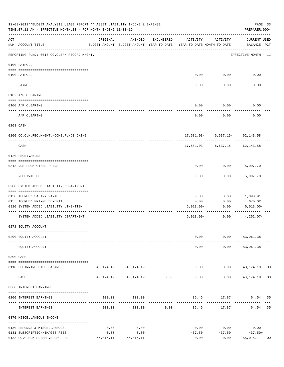|     | 12-03-2019**BUDGET ANALYSIS USAGE REPORT ** ASSET LIABILITY INCOME & EXPENSE<br>TIME: 07:11 AM - EFFECTIVE MONTH: 11 - FOR MONTH ENDING 11-30-19 |           |                                                     |              |                                        |                                     | PAGE 33<br>PREPARER: 0004                                     |    |
|-----|--------------------------------------------------------------------------------------------------------------------------------------------------|-----------|-----------------------------------------------------|--------------|----------------------------------------|-------------------------------------|---------------------------------------------------------------|----|
| ACT | NUM ACCOUNT-TITLE                                                                                                                                | ORIGINAL  | AMENDED<br>BUDGET-AMOUNT BUDGET-AMOUNT YEAR-TO-DATE | ENCUMBERED   | ACTIVITY<br>YEAR-TO-DATE MONTH-TO-DATE | ACTIVITY                            | CURRENT USED<br>BALANCE PCT                                   |    |
|     | REPORTING FUND: 0018 CO.CLERK RECORD MNGMT.                                                                                                      |           |                                                     |              |                                        |                                     | EFFECTIVE MONTH - 11                                          |    |
|     | 0100 PAYROLL                                                                                                                                     |           |                                                     |              |                                        |                                     |                                                               |    |
|     | 0100 PAYROLL                                                                                                                                     |           |                                                     |              |                                        | $0.00$ 0.00                         | 0.00                                                          |    |
|     | PAYROLL                                                                                                                                          |           |                                                     |              | 0.00                                   | 0.00                                | 0.00                                                          |    |
|     | 0102 A/P CLEARING                                                                                                                                |           |                                                     |              |                                        |                                     |                                                               |    |
|     | 0100 A/P CLEARING                                                                                                                                |           |                                                     |              | 0.00                                   | 0.00                                | 0.00                                                          |    |
|     | A/P CLEARING                                                                                                                                     |           |                                                     |              | 0.00                                   | 0.00                                | 0.00                                                          |    |
|     | 0103 CASH                                                                                                                                        |           |                                                     |              |                                        |                                     |                                                               |    |
|     | 0100 CO.CLK.REC.MNGMT.-COMB.FUNDS CKING                                                                                                          |           |                                                     |              |                                        | $17,581.03 - 6,637.15 - 62,143.58$  |                                                               |    |
|     | -----------------------------<br>CASH                                                                                                            |           |                                                     |              |                                        | .<br>17,581.03- 6,637.15- 62,143.58 |                                                               |    |
|     | 0120 RECEIVABLES                                                                                                                                 |           |                                                     |              |                                        |                                     |                                                               |    |
|     | 0313 DUE FROM OTHER FUNDS                                                                                                                        |           |                                                     |              | 0.00                                   | $0.00$ 5,997.70                     |                                                               |    |
|     | RECEIVABLES                                                                                                                                      |           |                                                     |              | 0.00                                   | 0.00                                | 5,997.70                                                      |    |
|     | 0200 SYSTEM ADDED LIABILITY DEPARTMENT                                                                                                           |           |                                                     |              |                                        |                                     |                                                               |    |
|     | 0150 ACCRUED SALARY PAYABLE                                                                                                                      |           |                                                     |              | 0.00                                   | 0.00                                | 1,090.91                                                      |    |
|     | 0155 ACCRUED FRINGE BENEFITS                                                                                                                     |           |                                                     |              | 0.00                                   | 0.00                                | 670.02                                                        |    |
|     | 0910 SYSTEM ADDED LIABILITY LINE-ITEM                                                                                                            |           |                                                     |              | $6,013.00-$                            | 0.00<br>-------------               | $6,013.00 -$                                                  |    |
|     | SYSTEM ADDED LIABILITY DEPARTMENT                                                                                                                |           |                                                     |              | $6,013.00-$                            | 0.00                                | $4,252.07-$                                                   |    |
|     | 0271 EQUITY ACCOUNT                                                                                                                              |           |                                                     |              |                                        |                                     |                                                               |    |
|     | 0200 EQUITY ACCOUNT                                                                                                                              |           |                                                     |              | 0.00                                   |                                     | $0.00$ $83,961.38$                                            |    |
|     | EQUITY ACCOUNT                                                                                                                                   |           |                                                     |              | 0.00                                   |                                     | $0.00$ $83,961.38$                                            |    |
|     | 0300 CASH                                                                                                                                        |           |                                                     |              |                                        |                                     |                                                               |    |
|     | 0118 BEGINNING CASH BALANCE                                                                                                                      |           | 40, 174. 19 40, 174. 19                             |              |                                        |                                     | $0.00$ $0.00$ $40,174.19$ 00<br>----------- ------------- --- |    |
|     | CASH                                                                                                                                             |           | 40, 174. 19   40, 174. 19   0.00                    |              | 0.00                                   |                                     | $0.00$ $40,174.19$ 00                                         |    |
|     | 0360 INTEREST EARNINGS                                                                                                                           |           |                                                     |              |                                        |                                     |                                                               |    |
|     | 0100 INTEREST EARNINGS                                                                                                                           |           | 100.00 100.00                                       | ------------ | --------------                         |                                     | 35.46 17.87 64.54 35                                          |    |
|     | INTEREST EARNINGS                                                                                                                                | 100.00    |                                                     | 100.00 0.00  | 35.46                                  | 17.87                               | 64.54 35                                                      |    |
|     | 0370 MISCELLANEOUS INCOME                                                                                                                        |           |                                                     |              |                                        |                                     |                                                               |    |
|     | 0130 REFUNDS & MISCELLANEOUS                                                                                                                     | 0.00      | 0.00                                                |              | 0.00                                   | 0.00                                | 0.00                                                          |    |
|     | 0131 SUBSCRIPTION/IMAGES FEES                                                                                                                    | 0.00      | 0.00                                                |              | 437.50                                 | 437.50 437.50+                      |                                                               |    |
|     | 0133 CO.CLERK PRESERVE REC FEE                                                                                                                   | 55,015.11 | 55,015.11                                           |              | 0.00                                   | 0.00                                | 55,015.11                                                     | 00 |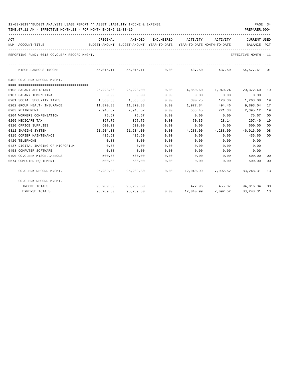| ACT | NUM ACCOUNT-TITLE                           | ORIGINAL<br>BUDGET-AMOUNT BUDGET-AMOUNT YEAR-TO-DATE YEAR-TO-DATE MONTH-TO-DATE     BALANCE PCT | AMENDED                  |      | ENCUMBERED ACTIVITY ACTIVITY |                    | CURRENT USED                                        |    |
|-----|---------------------------------------------|-------------------------------------------------------------------------------------------------|--------------------------|------|------------------------------|--------------------|-----------------------------------------------------|----|
|     | REPORTING FUND: 0018 CO.CLERK RECORD MNGMT. |                                                                                                 |                          |      |                              |                    | EFFECTIVE MONTH - 11                                |    |
|     | MISCELLANEOUS INCOME                        |                                                                                                 |                          |      |                              |                    | 55,015.11 55,015.11 0.00 437.50 437.50 54,577.61 01 |    |
|     | 0402 CO.CLERK RECORD MNGMT.                 |                                                                                                 |                          |      |                              |                    |                                                     |    |
|     | 0103 SALARY ASSISTANT                       | 25,223.00                                                                                       | 25,223.00                | 0.00 |                              |                    |                                                     |    |
|     | 0107 SALARY TEMP/EXTRA                      | 0.00                                                                                            | 0.00                     | 0.00 | 0.00                         | 0.00               | 0.00                                                |    |
|     | 0201 SOCIAL SECURITY TAXES                  | 1,563.83                                                                                        | 1,563.83                 | 0.00 | 300.75                       |                    | 120.30 1,263.08                                     | 19 |
|     | 0202 GROUP HEALTH INSURANCE                 | 11,870.88                                                                                       | 11,870.88                | 0.00 | 1,977.84                     | 494.46             | 9,893.04                                            | 17 |
|     | 0203 RETIREMENT                             |                                                                                                 | 2,948.57 2,948.57        | 0.00 | 553.45 221.38                |                    | 2,395.12                                            | 19 |
|     | 0204 WORKERS COMPENSATION                   | 75.67                                                                                           | 75.67                    | 0.00 |                              | $0.00$ 0.00        | 75.67                                               | 00 |
|     | 0205 MEDICARE TAX                           | 367.75                                                                                          | 367.75                   | 0.00 | 70.35                        | 28.14              | 297.40                                              | 19 |
|     | 0310 OFFICE SUPPLIES                        | 600.00                                                                                          | 600.00                   | 0.00 | 0.00                         |                    | 0.00<br>600.00                                      | 00 |
|     | 0312 IMAGING SYSTEM                         |                                                                                                 | 51,204.00 51,204.00      | 0.00 | 4,288.00                     |                    | 4,288.00 46,916.00                                  | 08 |
|     | 0315 COPIER MAINTENANCE                     | 435.60                                                                                          | 435.60                   | 0.00 | 0.00                         | 0.00               | 435.60                                              | 00 |
|     | 0420 TELEPHONE                              | 0.00                                                                                            | 0.00                     | 0.00 | 0.00                         | 0.00               | 0.00                                                |    |
|     | 0437 DIGITAL IMAGING OF MICROFILM           | 0.00                                                                                            | 0.00                     | 0.00 | 0.00                         | 0.00               | 0.00                                                |    |
|     | 0453 COMPUTER SOFTWARE                      | 0.00                                                                                            | 0.00                     | 0.00 | 0.00                         | 0.00               | 0.00                                                |    |
|     | 0490 CO.CLERK MISCELLANEOUS                 | 500.00                                                                                          | 500.00                   | 0.00 | $0.00$ $0.00$                |                    | 500.00                                              | 00 |
|     | 0574 COMPUTER EQUIPMENT                     | 500.00                                                                                          | 500.00                   | 0.00 | 0.00                         | 0.00               | 500.00 00                                           |    |
|     | CO.CLERK RECORD MNGMT.                      |                                                                                                 | 95,289.30 95,289.30 0.00 |      |                              |                    | 12,040.99 7,092.52 83,248.31 13                     |    |
|     | CO.CLERK RECORD MNGMT.                      |                                                                                                 |                          |      |                              |                    |                                                     |    |
|     | INCOME TOTALS                               |                                                                                                 | 95,289.30 95,289.30      |      |                              |                    | 472.96 455.37 94,816.34 00                          |    |
|     | <b>EXPENSE TOTALS</b>                       | 95,289.30                                                                                       | 95,289.30                | 0.00 |                              | 12,040.99 7,092.52 | 83,248.31 13                                        |    |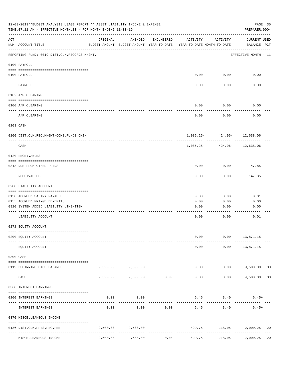| 12-03-2019**BUDGET ANALYSIS USAGE REPORT ** ASSET LIABILITY INCOME & EXPENSE<br>PAGE 35<br>TIME: 07:11 AM - EFFECTIVE MONTH: 11 - FOR MONTH ENDING 11-30-19<br>PREPARER: 0004 |                                              |          |                                                     |              |                                        |                             |                                    |    |  |  |  |
|-------------------------------------------------------------------------------------------------------------------------------------------------------------------------------|----------------------------------------------|----------|-----------------------------------------------------|--------------|----------------------------------------|-----------------------------|------------------------------------|----|--|--|--|
| ACT                                                                                                                                                                           | NUM ACCOUNT-TITLE                            | ORIGINAL | AMENDED<br>BUDGET-AMOUNT BUDGET-AMOUNT YEAR-TO-DATE | ENCUMBERED   | ACTIVITY<br>YEAR-TO-DATE MONTH-TO-DATE | ACTIVITY                    | <b>CURRENT USED</b><br>BALANCE PCT |    |  |  |  |
|                                                                                                                                                                               | REPORTING FUND: 0019 DIST.CLK.RECORDS MNGMT. |          |                                                     |              |                                        |                             | EFFECTIVE MONTH - 11               |    |  |  |  |
|                                                                                                                                                                               | 0100 PAYROLL                                 |          |                                                     |              |                                        |                             |                                    |    |  |  |  |
|                                                                                                                                                                               | 0100 PAYROLL                                 |          |                                                     |              | 0.00                                   | 0.00                        | 0.00                               |    |  |  |  |
|                                                                                                                                                                               | <u>---- ----</u><br>PAYROLL                  |          |                                                     |              | 0.00                                   | $- - - - -$<br>0.00         | 0.00                               |    |  |  |  |
|                                                                                                                                                                               | 0102 A/P CLEARING                            |          |                                                     |              |                                        |                             |                                    |    |  |  |  |
|                                                                                                                                                                               | 0100 A/P CLEARING                            |          |                                                     |              | 0.00                                   | 0.00                        | 0.00                               |    |  |  |  |
|                                                                                                                                                                               | A/P CLEARING                                 |          |                                                     |              | 0.00                                   | 0.00                        | 0.00                               |    |  |  |  |
|                                                                                                                                                                               | 0103 CASH                                    |          |                                                     |              |                                        |                             |                                    |    |  |  |  |
|                                                                                                                                                                               | 0100 DIST.CLK.REC.MNGMT-COMB.FUNDS CKIN      |          |                                                     |              |                                        | 1,085.25- 424.96- 12,638.06 |                                    |    |  |  |  |
|                                                                                                                                                                               | CASH                                         |          |                                                     |              | 1,085.25-                              |                             | -------<br>424.96- 12,638.06       |    |  |  |  |
|                                                                                                                                                                               | 0120 RECEIVABLES                             |          |                                                     |              |                                        |                             |                                    |    |  |  |  |
|                                                                                                                                                                               | 0313 DUE FROM OTHER FUNDS                    |          |                                                     |              | 0.00                                   | 0.00                        | 147.85                             |    |  |  |  |
|                                                                                                                                                                               | RECEIVABLES                                  |          |                                                     |              | 0.00                                   | 0.00                        | 147.85                             |    |  |  |  |
|                                                                                                                                                                               | 0200 LIABILITY ACCOUNT                       |          |                                                     |              |                                        |                             |                                    |    |  |  |  |
|                                                                                                                                                                               | 0150 ACCRUED SALARY PAYABLE                  |          |                                                     |              | 0.00                                   | 0.00                        | 0.01                               |    |  |  |  |
|                                                                                                                                                                               | 0155 ACCRUED FRINGE BENEFITS                 |          |                                                     |              | 0.00                                   | 0.00                        | 0.00                               |    |  |  |  |
|                                                                                                                                                                               | 0910 SYSTEM ADDED LIABILITY LINE-ITEM        |          |                                                     |              | 0.00                                   | 0.00                        | 0.00                               |    |  |  |  |
|                                                                                                                                                                               | LIABILITY ACCOUNT                            |          |                                                     |              | 0.00                                   | 0.00                        | 0.01                               |    |  |  |  |
|                                                                                                                                                                               | 0271 EQUITY ACCOUNT                          |          |                                                     |              |                                        |                             |                                    |    |  |  |  |
|                                                                                                                                                                               | 0200 EQUITY ACCOUNT                          |          |                                                     |              | 0.00                                   | 0.00                        | 13,871.15                          |    |  |  |  |
|                                                                                                                                                                               | EQUITY ACCOUNT                               |          |                                                     |              | 0.00                                   | 0.00                        | 13,871.15                          |    |  |  |  |
|                                                                                                                                                                               | 0300 CASH                                    |          |                                                     |              |                                        |                             |                                    |    |  |  |  |
|                                                                                                                                                                               | 0119 BEGINNING CASH BALANCE                  |          | 9,500.00 9,500.00<br>-------------                  | ------------ | 0.00                                   |                             | $0.00$ 9,500.00 00                 |    |  |  |  |
|                                                                                                                                                                               | CASH                                         | 9,500.00 | 9,500.00                                            | 0.00         | -------------<br>0.00                  | ----------<br>0.00          | 9,500.00                           | 00 |  |  |  |
|                                                                                                                                                                               | 0360 INTEREST EARNINGS                       |          |                                                     |              |                                        |                             |                                    |    |  |  |  |
|                                                                                                                                                                               | 0100 INTEREST EARNINGS                       | 0.00     | 0.00                                                |              | 6.45                                   | 3.40                        | $6.45+$                            |    |  |  |  |
|                                                                                                                                                                               | INTEREST EARNINGS                            | 0.00     | 0.00                                                | 0.00         | 6.45                                   | 3.40                        | $6.45+$                            |    |  |  |  |
|                                                                                                                                                                               | 0370 MISCELLEANEOUS INCOME                   |          |                                                     |              |                                        |                             |                                    |    |  |  |  |
|                                                                                                                                                                               | 0136 DIST.CLK.PRES.REC.FEE                   | 2,500.00 | 2,500.00                                            |              | 499.75<br>-------------                | 218.05                      | 2,000.25                           | 20 |  |  |  |
|                                                                                                                                                                               | MISCELLEANEOUS INCOME                        | 2,500.00 | 2,500.00                                            | 0.00         | 499.75                                 | 218.05                      | 2,000.25                           | 20 |  |  |  |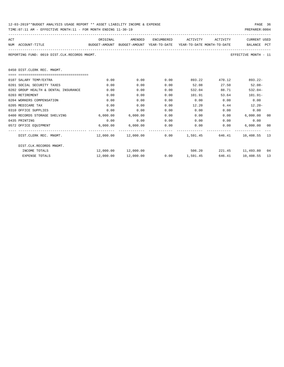| 12-03-2019**BUDGET ANALYSIS USAGE REPORT ** ASSET LIABILITY INCOME & EXPENSE | PAGE 36        |
|------------------------------------------------------------------------------|----------------|
| TIME:07:11 AM - EFFECTIVE MONTH:11 - FOR MONTH ENDING 11-30-19               | PREPARER: 0004 |

| ACT                                                                                      | ORIGINAL | AMENDED           | ENCUMBERED | ACTIVITY                                  | ACTIVITY | <b>CURRENT USED</b>     |    |
|------------------------------------------------------------------------------------------|----------|-------------------|------------|-------------------------------------------|----------|-------------------------|----|
| BUDGET-AMOUNT BUDGET-AMOUNT YEAR-TO-DATE YEAR-TO-DATE_MONTH-TO-DATE<br>NUM ACCOUNT-TITLE |          |                   |            |                                           |          | BALANCE PCT             |    |
| REPORTING FUND: 0019 DIST.CLK.RECORDS MNGMT.                                             |          |                   |            |                                           |          | EFFECTIVE MONTH - 11    |    |
| 0450 DIST.CLERK REC. MNGMT.                                                              |          |                   |            |                                           |          |                         |    |
| -------------------------------------                                                    |          |                   |            |                                           |          |                         |    |
| 0107 SALARY TEMP/EXTRA                                                                   | 0.00     | 0.00              | 0.00       | 893.22                                    | 470.12   | $893.22 -$              |    |
| 0201 SOCIAL SECURITY TAXES                                                               | 0.00     | 0.00              | 0.00       | 52.08                                     | 27.50    | $52.08 -$               |    |
| 0202 GROUP HEALTH & DENTAL INSURANCE                                                     | 0.00     | 0.00              | 0.00       | 532.04                                    | 88.71    | $532.04-$               |    |
| 0203 RETIREMENT                                                                          | 0.00     | 0.00              | 0.00       | 101.91                                    | 53.64    | $101.91 -$              |    |
| 0204 WORKERS COMPENSATION                                                                | 0.00     | 0.00              | 0.00       | 0.00                                      | 0.00     | 0.00                    |    |
| 0205 MEDICARE TAX                                                                        | 0.00     | 0.00              | 0.00       | 12.20                                     | 6.44     | $12.20 -$               |    |
| 0310 OFFICE SUPPLIES                                                                     | 0.00     | 0.00              | 0.00       | 0.00                                      | 0.00     | 0.00                    |    |
| 0400 RECORDS STORAGE SHELVING                                                            | 6,000.00 | 6.000.00          | 0.00       | 0.00                                      | 0.00     | 6.000.000000            |    |
| 0435 PRINTING                                                                            | 0.00     | 0.00              | 0.00       | 0.00                                      | 0.00     | 0.00                    |    |
| 0572 OFFICE EQUIPMENT                                                                    |          | 6,000.00 6,000.00 | 0.00       | $0.00$ 0.00                               |          | 6,000.00                | 00 |
| DIST.CLERK REC. MNGMT.                                                                   |          |                   |            | $12,000.00$ $12,000.00$ $0.00$ $1,591.45$ |          | 646.41   10,408.55   13 |    |
| DIST.CLK.RECORDS MNGMT.                                                                  |          |                   |            |                                           |          |                         |    |
| INCOME TOTALS                                                                            |          |                   |            | 506.20                                    |          | 221.45 11,493.80 04     |    |
| <b>EXPENSE TOTALS</b>                                                                    |          |                   |            | $0.00$ 1,591.45                           |          | 646.41   10,408.55   13 |    |
|                                                                                          |          |                   |            |                                           |          |                         |    |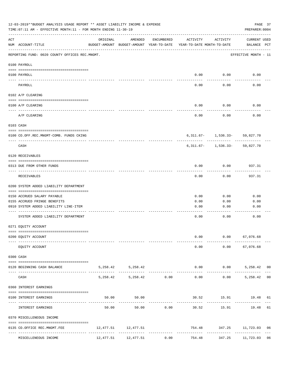|             | 12-03-2019**BUDGET ANALYSIS USAGE REPORT ** ASSET LIABILITY INCOME & EXPENSE<br>TIME: 07:11 AM - EFFECTIVE MONTH: 11 - FOR MONTH ENDING 11-30-19 |          |                                                     |            |                                        |                                            | PAGE 37<br>PREPARER: 0004   |  |
|-------------|--------------------------------------------------------------------------------------------------------------------------------------------------|----------|-----------------------------------------------------|------------|----------------------------------------|--------------------------------------------|-----------------------------|--|
| ACT         | NUM ACCOUNT-TITLE                                                                                                                                | ORIGINAL | AMENDED<br>BUDGET-AMOUNT BUDGET-AMOUNT YEAR-TO-DATE | ENCUMBERED | ACTIVITY<br>YEAR-TO-DATE MONTH-TO-DATE | ACTIVITY                                   | CURRENT USED<br>BALANCE PCT |  |
|             | REPORTING FUND: 0020 COUNTY OFFICES REC.MNGMT.                                                                                                   |          |                                                     |            |                                        |                                            | EFFECTIVE MONTH - 11        |  |
|             | 0100 PAYROLL                                                                                                                                     |          |                                                     |            |                                        |                                            |                             |  |
|             | 0100 PAYROLL                                                                                                                                     |          |                                                     |            |                                        | $0.00$ 0.00                                | 0.00                        |  |
|             | PAYROLL                                                                                                                                          |          |                                                     |            | 0.00                                   | 0.00                                       | 0.00                        |  |
|             | 0102 A/P CLEARING                                                                                                                                |          |                                                     |            |                                        |                                            |                             |  |
|             | 0100 A/P CLEARING                                                                                                                                |          |                                                     |            | 0.00                                   | 0.00                                       | 0.00                        |  |
|             | A/P CLEARING                                                                                                                                     |          |                                                     |            | 0.00                                   | 0.00                                       | 0.00                        |  |
|             | 0103 CASH                                                                                                                                        |          |                                                     |            |                                        |                                            |                             |  |
|             | 0100 CO.OFF.REC.MNGMT-COMB. FUNDS CKING                                                                                                          |          |                                                     |            |                                        | $6,311.67 - 1,536.33 - 59,827.70$          |                             |  |
|             | -------------------------------<br>CASH                                                                                                          |          |                                                     |            |                                        | $6,311.67 - 1,536.33 - 59,827.70$          |                             |  |
|             | 0120 RECEIVABLES                                                                                                                                 |          |                                                     |            |                                        |                                            |                             |  |
|             | 0313 DUE FROM OTHER FUNDS                                                                                                                        |          |                                                     |            | 0.00                                   | 0.00                                       | 937.31                      |  |
|             | RECEIVABLES                                                                                                                                      |          |                                                     |            | 0.00                                   | 0.00                                       | 937.31                      |  |
|             | 0200 SYSTEM ADDED LIABILITY DEPARTMENT                                                                                                           |          |                                                     |            |                                        |                                            |                             |  |
|             | 0150 ACCRUED SALARY PAYABLE                                                                                                                      |          |                                                     |            | 0.00                                   | 0.00                                       | 0.00                        |  |
|             | 0155 ACCRUED FRINGE BENEFITS                                                                                                                     |          |                                                     |            | 0.00                                   | 0.00                                       | 0.00                        |  |
|             | 0910 SYSTEM ADDED LIABILITY LINE-ITEM                                                                                                            |          |                                                     |            | 0.00                                   | 0.00                                       | 0.00                        |  |
|             | SYSTEM ADDED LIABILITY DEPARTMENT                                                                                                                |          |                                                     |            | 0.00                                   | 0.00                                       | 0.00                        |  |
|             | 0271 EQUITY ACCOUNT                                                                                                                              |          |                                                     |            |                                        |                                            |                             |  |
|             | 0200 EQUITY ACCOUNT                                                                                                                              |          |                                                     |            | 0.00                                   |                                            | $0.00$ 67,076.68            |  |
|             | EQUITY ACCOUNT                                                                                                                                   |          |                                                     |            | 0.00                                   |                                            | $0.00$ 67,076.68            |  |
|             | 0300 CASH                                                                                                                                        |          |                                                     |            |                                        |                                            |                             |  |
|             | 0120 BEGINNING CASH BALANCE                                                                                                                      |          | 5, 258.42 5, 258.42                                 |            |                                        | $0.00$ $0.00$ $5,258.42$ 00                |                             |  |
| $- - - - -$ | CASH                                                                                                                                             |          | 5,258.42 5,258.42 0.00                              |            | -----------------------------          | -----------<br>$0.00$ $0.00$ $5,258.42$ 00 | --------------              |  |
|             | 0360 INTEREST EARNINGS                                                                                                                           |          |                                                     |            |                                        |                                            |                             |  |
|             | 0100 INTEREST EARNINGS                                                                                                                           |          | 50.00<br>50.00                                      |            |                                        | 30.52 15.91 19.48 61                       | --------------              |  |
|             | INTEREST EARNINGS                                                                                                                                | 50.00    |                                                     | 50.00 0.00 | 30.52                                  |                                            | 15.91 19.48 61              |  |
|             | 0370 MISCELLENEOUS INCOME                                                                                                                        |          |                                                     |            |                                        |                                            |                             |  |
|             | 0135 CO.OFFICE REC.MNGMT.FEE                                                                                                                     |          | 12,477.51 12,477.51                                 |            |                                        | 754.48 347.25 11,723.03 06                 |                             |  |
|             | MISCELLENEOUS INCOME                                                                                                                             |          | 12,477.51 12,477.51                                 | 0.00       | 754.48                                 |                                            | 347.25 11,723.03 06         |  |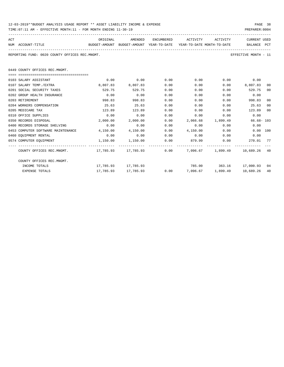| 12-03-2019**BUDGET ANALYSIS USAGE REPORT ** ASSET LIABILITY INCOME & EXPENSE | PAGE 38        |
|------------------------------------------------------------------------------|----------------|
| TIME:07:11 AM - EFFECTIVE MONTH:11 - FOR MONTH ENDING 11-30-19               | PREPARER: 0004 |

| ACT                                                                    |                   | ORIGINAL | AMENDED                                                             | ENCUMBERED | ACTIVITY | ACTIVITY | <b>CURRENT USED</b> |  |
|------------------------------------------------------------------------|-------------------|----------|---------------------------------------------------------------------|------------|----------|----------|---------------------|--|
|                                                                        | NUM ACCOUNT-TITLE |          | BUDGET-AMOUNT BUDGET-AMOUNT YEAR-TO-DATE YEAR-TO-DATE MONTH-TO-DATE |            |          |          | BALANCE PCT         |  |
|                                                                        |                   |          |                                                                     |            |          |          |                     |  |
| REPORTING FUND: 0020 COUNTY OFFICES REC.MNGMT.<br>EFFECTIVE MONTH - 11 |                   |          |                                                                     |            |          |          |                     |  |
|                                                                        |                   |          |                                                                     |            |          |          |                     |  |

0449 COUNTY OFFICES REC.MNGMT.

| 0103 SALARY ASSISTANT                                                                  | 0.00                  | 0.00                | 0.00 | 0.00                     |                         | 0.00<br>0.00  |     |
|----------------------------------------------------------------------------------------|-----------------------|---------------------|------|--------------------------|-------------------------|---------------|-----|
| 0107 SALARY TEMP./EXTRA                                                                | 8,807.83              | 8,807.83            | 0.00 | 0.00                     | 0.00                    | 8,807.83      | 00  |
| 0201 SOCIAL SECURITY TAXES                                                             | 529.75                | 529.75              | 0.00 | 0.00                     | 0.00                    | 529.75        | 00  |
| 0202 GROUP HEALTH INSURANCE                                                            | 0.00                  | 0.00                | 0.00 | 0.00                     | 0.00                    | 0.00          |     |
| 0203 RETIREMENT                                                                        | 998.83                | 998.83              | 0.00 | 0.00                     | 0.00                    | 998.83        | 00  |
| 0204 WORKERS COMPENSATION                                                              | 25.63                 | 25.63               | 0.00 | 0.00                     | 0.00                    | 25.63         | 00  |
| 0205 MEDICARE TAX                                                                      | 123.89                | 123.89              | 0.00 | 0.00                     | 0.00                    | 123.89        | 00  |
| 0310 OFFICE SUPPLIES                                                                   | 0.00                  | 0.00                | 0.00 | 0.00                     | 0.00                    | 0.00          |     |
| 0350 RECORDS DISPOSAL                                                                  | 2,000.00              | 2,000.00            | 0.00 | 2,066.68                 | 1,899.49                | $66.68 - 103$ |     |
| 0400 RECORDS STORAGE SHELVING                                                          | 0.00                  | 0.00                | 0.00 | 0.00                     | 0.00                    | 0.00          |     |
| 0453 COMPUTER SOFTWARE MAINTENANCE                                                     | 4,150.00              | 4,150.00            | 0.00 | 4,150.00                 | 0.00                    | 0.00 100      |     |
| 0460 EQUIPMENT RENTAL                                                                  | 0.00                  | 0.00                | 0.00 | 0.00                     | 0.00                    | 0.00          |     |
| 0574 COMPUTER EOUIPMENT                                                                | $1,150.00$ $1,150.00$ |                     | 0.00 | 879.99                   | 0.00                    | 270.01        | 77  |
| COUNTY OFFICES REC.MNGMT. 49 17, 785.93 17, 785.93 17, 785.93 0.00 7, 096.67 1, 899.49 |                       |                     |      |                          |                         | 10,689.26     | -40 |
| COUNTY OFFICES REC.MNGMT.                                                              |                       |                     |      |                          |                         |               |     |
| INCOME TOTALS                                                                          |                       | 17,785.93 17,785.93 |      |                          | 785.00 363.16 17,000.93 |               | 04  |
| <b>EXPENSE TOTALS</b>                                                                  | 17,785.93             | 17,785.93           |      | $0.00$ 7,096.67 1,899.49 |                         | 10,689.26     | 40  |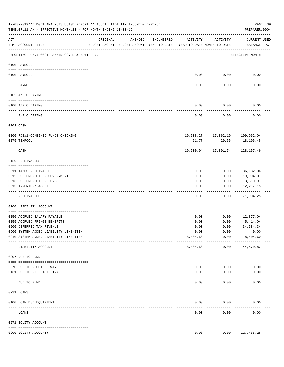|            | 12-03-2019**BUDGET ANALYSIS USAGE REPORT ** ASSET LIABILITY INCOME & EXPENSE<br>PAGE 39<br>TIME: 07:11 AM - EFFECTIVE MONTH: 11 - FOR MONTH ENDING 11-30-19<br>PREPARER: 0004 |          |                                                     |               |                                        |                                      |                                    |  |  |  |
|------------|-------------------------------------------------------------------------------------------------------------------------------------------------------------------------------|----------|-----------------------------------------------------|---------------|----------------------------------------|--------------------------------------|------------------------------------|--|--|--|
| ACT        | NUM ACCOUNT-TITLE                                                                                                                                                             | ORIGINAL | AMENDED<br>BUDGET-AMOUNT BUDGET-AMOUNT YEAR-TO-DATE | ENCUMBERED    | ACTIVITY<br>YEAR-TO-DATE MONTH-TO-DATE | ACTIVITY                             | <b>CURRENT USED</b><br>BALANCE PCT |  |  |  |
|            | REPORTING FUND: 0021 FANNIN CO. R & B #1 FUND                                                                                                                                 |          |                                                     |               |                                        |                                      | EFFECTIVE MONTH - 11               |  |  |  |
|            | 0100 PAYROLL                                                                                                                                                                  |          |                                                     |               |                                        |                                      |                                    |  |  |  |
| ----- ---- | 0100 PAYROLL                                                                                                                                                                  |          |                                                     |               | 0.00                                   | 0.00                                 | 0.00                               |  |  |  |
|            | PAYROLL                                                                                                                                                                       |          |                                                     |               | 0.00                                   | 0.00                                 | 0.00                               |  |  |  |
|            | 0102 A/P CLEARING                                                                                                                                                             |          |                                                     |               |                                        |                                      |                                    |  |  |  |
|            | 0100 A/P CLEARING                                                                                                                                                             |          |                                                     |               | 0.00                                   | 0.00                                 | 0.00                               |  |  |  |
|            | A/P CLEARING                                                                                                                                                                  |          |                                                     |               | 0.00                                   | 0.00                                 | 0.00                               |  |  |  |
|            | 0103 CASH                                                                                                                                                                     |          |                                                     |               |                                        |                                      |                                    |  |  |  |
|            | 0100 R&B#1-COMBINED FUNDS CHECKING                                                                                                                                            |          |                                                     |               |                                        | 19,538.27    17,862.19    109,962.04 |                                    |  |  |  |
|            | 0175 TEXPOOL                                                                                                                                                                  |          |                                                     |               | 61.77                                  | 29.55                                | 18,195.45                          |  |  |  |
|            | CASH                                                                                                                                                                          |          |                                                     |               | 19,600.04                              | ----------<br>17,891.74              | 128,157.49                         |  |  |  |
|            | 0120 RECEIVABLES                                                                                                                                                              |          |                                                     |               |                                        |                                      |                                    |  |  |  |
|            | 0311 TAXES RECEIVABLE                                                                                                                                                         |          |                                                     |               | 0.00                                   | 0.00                                 | 36,182.06                          |  |  |  |
|            | 0312 DUE FROM OTHER GOVERNMENTS                                                                                                                                               |          |                                                     |               | 0.00                                   | 0.00                                 | 19,994.07                          |  |  |  |
|            | 0313 DUE FROM OTHER FUNDS                                                                                                                                                     |          |                                                     |               | 0.00                                   | 0.00                                 | 3,510.97                           |  |  |  |
|            | 0315 INVENTORY ASSET                                                                                                                                                          |          |                                                     |               | 0.00                                   | 0.00                                 | 12, 217.15<br>----------           |  |  |  |
|            | RECEIVABLES                                                                                                                                                                   |          |                                                     |               | 0.00                                   | 0.00                                 | 71,904.25                          |  |  |  |
|            | 0200 LIABILITY ACCOUNT                                                                                                                                                        |          |                                                     |               |                                        |                                      |                                    |  |  |  |
|            | 0150 ACCRUED SALARY PAYABLE                                                                                                                                                   |          |                                                     |               | 0.00                                   | 0.00                                 | 12,877.04                          |  |  |  |
|            | 0155 ACCRUED FRINGE BENEFITS                                                                                                                                                  |          |                                                     |               | 0.00                                   | 0.00                                 | 5,414.04                           |  |  |  |
|            | 0200 DEFERRED TAX REVENUE                                                                                                                                                     |          |                                                     |               | 0.00                                   | 0.00                                 | 34,684.34                          |  |  |  |
|            | 0900 SYSTEM ADDED LIABILITY LINE-ITEM                                                                                                                                         |          |                                                     |               | 0.00                                   | 0.00                                 | 0.00                               |  |  |  |
|            | 0910 SYSTEM ADDED LIABILITY LINE-ITEM                                                                                                                                         |          |                                                     |               | $8,404.60 -$                           | 0.00                                 | $8,404.60 -$                       |  |  |  |
|            | LIABILITY ACCOUNT                                                                                                                                                             |          |                                                     |               | $8,404.60 -$                           | 0.00                                 | 44,570.82                          |  |  |  |
|            | 0207 DUE TO FUND                                                                                                                                                              |          |                                                     |               |                                        |                                      |                                    |  |  |  |
|            | 0070 DUE TO RIGHT OF WAY                                                                                                                                                      |          |                                                     |               | 0.00                                   | 0.00                                 | 0.00                               |  |  |  |
|            | 0131 DUE TO RD. DIST. 17A<br>-------------------- -------------                                                                                                               |          |                                                     |               | 0.00                                   | 0.00                                 | 0.00                               |  |  |  |
|            | DUE TO FUND                                                                                                                                                                   |          |                                                     |               | 0.00                                   | 0.00                                 | 0.00                               |  |  |  |
|            | 0231 LOANS                                                                                                                                                                    |          |                                                     |               |                                        |                                      |                                    |  |  |  |
|            | 0100 LOAN BSB EQUIPMENT                                                                                                                                                       |          |                                                     |               | 0.00                                   | 0.00                                 | 0.00                               |  |  |  |
|            | ------------------------- -----------<br>LOANS                                                                                                                                |          |                                                     |               | 0.00                                   | 0.00                                 | 0.00                               |  |  |  |
|            | 0271 EQUITY ACCOUNT                                                                                                                                                           |          |                                                     |               |                                        |                                      |                                    |  |  |  |
|            |                                                                                                                                                                               |          |                                                     |               |                                        |                                      |                                    |  |  |  |
|            | 0200 EQUITY ACCOUNTY                                                                                                                                                          |          |                                                     | ------------- | 0.00<br>-------------                  | ------------                         | $0.00$ 127,486.28<br>------------- |  |  |  |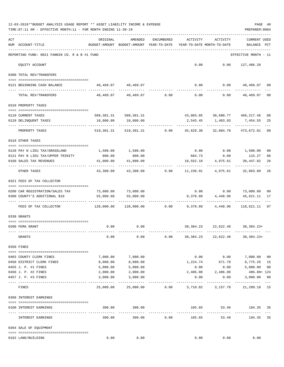|     | 12-03-2019**BUDGET ANALYSIS USAGE REPORT ** ASSET LIABILITY INCOME & EXPENSE<br>TIME: 07:11 AM - EFFECTIVE MONTH: 11 - FOR MONTH ENDING 11-30-19 |                                                      |                                                           |                |                                        |                                         | PREPARER: 0004                 | PAGE 40       |
|-----|--------------------------------------------------------------------------------------------------------------------------------------------------|------------------------------------------------------|-----------------------------------------------------------|----------------|----------------------------------------|-----------------------------------------|--------------------------------|---------------|
| ACT | NUM ACCOUNT-TITLE                                                                                                                                | ORIGINAL<br>BUDGET-AMOUNT BUDGET-AMOUNT YEAR-TO-DATE | AMENDED                                                   | ENCUMBERED     | ACTIVITY<br>YEAR-TO-DATE MONTH-TO-DATE | ACTIVITY                                | <b>CURRENT USED</b><br>BALANCE | PCT           |
|     | REPORTING FUND: 0021 FANNIN CO. R & B #1 FUND                                                                                                    |                                                      |                                                           |                |                                        |                                         | EFFECTIVE MONTH - 11           |               |
|     | EQUITY ACCOUNT                                                                                                                                   |                                                      |                                                           |                |                                        | $0.00$ $0.00$ $127,486.28$              |                                |               |
|     | 0300 TOTAL REV/TRANSFERS                                                                                                                         |                                                      |                                                           |                |                                        |                                         |                                |               |
|     | 0121 BEGINNING CASH BALANCE                                                                                                                      |                                                      | 40,469.07 40,469.07                                       |                |                                        | $0.00$ $0.00$ $40,469.07$ 00            |                                |               |
|     | TOTAL REV/TRANSFERS                                                                                                                              |                                                      | $40,469.07$ $40,469.07$ $0.00$ $0.00$                     |                |                                        | 0.00                                    | 40,469.07                      | 00            |
|     | 0310 PROPERTY TAXES                                                                                                                              |                                                      |                                                           |                |                                        |                                         |                                |               |
|     | 0110 CURRENT TAXES                                                                                                                               |                                                      | 509,301.31 509,301.31                                     |                |                                        | 43,083.85 30,680.77 466,217.46          |                                |               |
|     | 0120 DELINQUENT TAXES                                                                                                                            | 10,000.00                                            | 10,000.00                                                 |                |                                        | 2,545.45 1,403.93                       | 7,454.55                       | 08<br>25      |
|     | PROPERTY TAXES                                                                                                                                   |                                                      | 519,301.31 519,301.31 0.00 45,629.30 32,084.70 473,672.01 |                |                                        | -----------                             |                                | 09            |
|     | 0318 OTHER TAXES                                                                                                                                 |                                                      |                                                           |                |                                        |                                         |                                |               |
|     |                                                                                                                                                  |                                                      | 1,500.00                                                  |                |                                        | $0.00$ $0.00$ $1,500.00$                |                                | 00            |
|     | 0120 PAY N LIEU TAX/GRASSLAND<br>0121 PAY N LIEU TAX/UPPER TRINITY                                                                               | 1,500.00<br>800.00                                   | 800.00                                                    |                |                                        | 684.73 0.00 115.27                      |                                | 86            |
|     | 0160 SALES TAX REVENUES                                                                                                                          | 41,000.00                                            | 41,000.00                                                 |                | 10,552.18                              | 4,975.61                                | 30,447.82                      | 26            |
|     | OTHER TAXES                                                                                                                                      | 43,300.00                                            |                                                           | 43,300.00 0.00 |                                        | 11,236.91 4,975.61                      | 32,063.09                      | 26            |
|     | 0321 FEES OF TAX COLLECTOR                                                                                                                       |                                                      |                                                           |                |                                        |                                         |                                |               |
|     | 0200 CAR REGISTRATION/SALES TAX                                                                                                                  |                                                      | 73,000.00 73,000.00                                       |                |                                        | $0.00$ $0.00$ $73,000.00$               |                                | 00            |
|     | 0300 COUNTY'S ADDITIONAL \$10                                                                                                                    | 55,000.00                                            | 55,000.00                                                 |                |                                        | 9,378.89 4,448.96                       | 45,621.11                      | 17            |
|     |                                                                                                                                                  |                                                      |                                                           |                |                                        | ------------                            |                                |               |
|     | FEES OF TAX COLLECTOR                                                                                                                            |                                                      | $128,000.00$ $128,000.00$ 0.00 9,378.89 4,448.96          |                |                                        |                                         | 118,621.11 07                  |               |
|     | 0330 GRANTS                                                                                                                                      |                                                      |                                                           |                |                                        |                                         |                                |               |
|     | 0200 FEMA GRANT                                                                                                                                  |                                                      | $0.00$ 0.00                                               |                |                                        | 38, 384. 23 22, 622. 48 38, 384. 23+    |                                |               |
|     | GRANTS                                                                                                                                           | 0.00                                                 | 0.00                                                      | 0.00           |                                        | 38, 384. 23 22, 622. 48 38, 384. 23+    |                                |               |
|     | 0350 FINES                                                                                                                                       |                                                      |                                                           |                |                                        |                                         |                                |               |
|     |                                                                                                                                                  |                                                      |                                                           |                |                                        |                                         |                                |               |
|     | 0403 COUNTY CLERK FINES<br>0450 DISTRICT CLERK FINES                                                                                             | 7,000.00<br>8,000.00                                 | 7,000.00<br>8,000.00                                      |                |                                        | $0.00$ 0.00<br>1,224.74 671.70 6,775.26 | 7,000.00 00                    | 15            |
|     | 0455 J. P. #1 FINES                                                                                                                              | 5,000.00                                             | 5,000.00                                                  |                | 0.00                                   | 0.00                                    | 5,000.00                       | 00            |
|     | 0456 J. P. #2 FINES                                                                                                                              | 2,000.00                                             | 2,000.00                                                  |                |                                        | 2,486.08 2,486.08                       | 486.08+ 124                    |               |
|     | 0457 J. P. #3 FINES                                                                                                                              | 3,000.00                                             | 3,000.00                                                  |                | 0.00                                   | 0.00                                    | 3,000.00                       | 00<br>$- - -$ |
|     | FINES                                                                                                                                            | 25,000.00                                            | 25,000.00                                                 |                |                                        | $0.00$ $3,710.82$ $3,157.78$            | 21,289.18 15                   |               |
|     | 0360 INTEREST EARNINGS                                                                                                                           |                                                      |                                                           |                |                                        |                                         |                                |               |
|     | 0100 INTEREST EARNINGS                                                                                                                           | 300.00                                               | 300.00                                                    |                |                                        | 105.65 53.46                            | 194.35 35                      |               |
|     | INTEREST EARNINGS                                                                                                                                | 300.00                                               | 300.00                                                    | 0.00           | 105.65                                 | 53.46                                   | 194.35 35                      |               |
|     | 0364 SALE OF EQUIPMENT                                                                                                                           |                                                      |                                                           |                |                                        |                                         |                                |               |
|     | 0162 LAND/BUILDING                                                                                                                               | 0.00                                                 | 0.00                                                      |                | 0.00                                   | 0.00                                    | 0.00                           |               |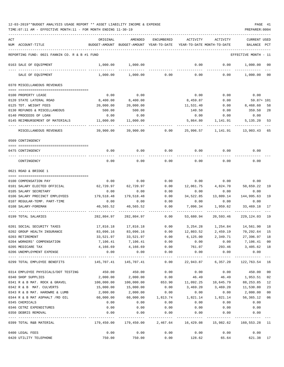| ACT |                                               | ORIGINAL               | AMENDED                     | ENCUMBERED            | ACTIVITY                | ACTIVITY                   | <b>CURRENT USED</b>    |     |
|-----|-----------------------------------------------|------------------------|-----------------------------|-----------------------|-------------------------|----------------------------|------------------------|-----|
|     | NUM ACCOUNT-TITLE                             | BUDGET-AMOUNT          | BUDGET-AMOUNT               | YEAR-TO-DATE          |                         | YEAR-TO-DATE MONTH-TO-DATE | BALANCE                | PCT |
|     |                                               |                        |                             |                       |                         |                            |                        |     |
|     | REPORTING FUND: 0021 FANNIN CO. R & B #1 FUND |                        |                             |                       |                         |                            | EFFECTIVE MONTH - 11   |     |
|     | 0163 SALE OF EQUIPMENT                        | 1,000.00               | 1,000.00                    |                       | 0.00                    | 0.00                       | 1,000.00               | 00  |
|     | SALE OF EQUIPMENT                             | 1,000.00               | 1,000.00                    | 0.00                  | 0.00                    | 0.00                       | 1,000.00               | 00  |
|     | 0370 MISCELLANEOUS REVENUES                   |                        |                             |                       |                         |                            |                        |     |
|     |                                               |                        | 0.00                        |                       |                         |                            |                        |     |
|     | 0100 PROPERTY LEASE                           | 0.00                   |                             |                       | 0.00                    | 0.00                       | 0.00                   |     |
|     | 0120 STATE LATERAL ROAD                       | 8,400.00               | 8,400.00                    |                       | 8,459.87                | 0.00                       | 59.87+ 101             |     |
|     | 0125 TDT. WEIGHT FEES                         | 20,000.00              | 20,000.00                   |                       | 11,531.40               | 0.00                       | 8,468.60               | 58  |
|     | 0130 REFUNDS & MISCELLANEOUS                  | 500.00                 | 500.00                      |                       | 140.50                  | 0.00                       | 359.50                 | 28  |
|     | 0140 PROCEEDS OF LOAN                         | 0.00                   | 0.00                        |                       | 0.00                    | 0.00                       | 0.00                   |     |
|     | 0145 REIMBURSEMENT OF MATERIALS               | 11,000.00              | 11,000.00                   |                       | 5,864.80                | 1,141.91                   | 5,135.20               | 53  |
|     | MISCELLANEOUS REVENUES                        | 39,900.00              | 39,900.00                   | 0.00                  | 25,996.57               | 1,141.91                   | 13,903.43              | 65  |
|     | 0509 CONTINGENCY                              |                        |                             |                       |                         |                            |                        |     |
|     |                                               |                        |                             |                       |                         |                            |                        |     |
|     | 0475 CONTINGENCY                              | 0.00                   | 0.00                        | 0.00                  | 0.00                    | 0.00                       | 0.00                   |     |
|     | CONTINGENCY                                   | 0.00                   | 0.00                        | 0.00                  | 0.00                    | 0.00                       | 0.00                   |     |
|     | 0621 ROAD & BRIDGE 1                          |                        |                             |                       |                         |                            |                        |     |
|     |                                               |                        |                             |                       |                         |                            |                        |     |
|     | 0100 COMPENSATION PAY                         | 0.00                   | 0.00                        | 0.00                  | 0.00                    | 0.00                       | 0.00                   |     |
|     | 0101 SALARY ELECTED OFFICIAL                  | 62,720.97              | 62,720.97                   | 0.00                  | 12,061.75               | 4,824.70                   | 50,659.22              | 19  |
|     | 0105 SALARY SECRETARY                         | 0.00                   | 0.00                        | 0.00                  | 0.00                    | 0.00                       | 0.00                   |     |
|     | 0106 SALARY PRECINCT EMPLOYEES                | 179,518.48             | 179,518.48                  | 0.00                  | 34,522.85               | 13,809.14                  | 144,995.63             | 19  |
|     | 0107 REGULAR-TEMP. PART-TIME                  | 0.00                   | 0.00                        | 0.00                  | 0.00                    | 0.00                       | 0.00                   |     |
|     | 0108 SALARY-FOREMAN                           | 40,565.52              | 40,565.52                   | 0.00                  | 7,096.34                | 1,959.62                   | 33,469.18              | 17  |
|     | 0199 TOTAL SALARIES                           | 282,804.97             | 282,804.97                  | 0.00                  | 53,680.94               | 20,593.46                  | 229, 124, 03           | 19  |
|     | 0201 SOCIAL SECURITY TAXES                    |                        |                             | 0.00                  |                         |                            | 14,561.90              | 18  |
|     | 0202 GROUP HEALTH INSURANCE                   | 17,816.18              | 17,816.18<br>83,096.16      |                       | 3,254.28                | 1,254.84<br>2,459.19       |                        | 15  |
|     | 0203 RETIREMENT                               | 83,096.16<br>33,521.97 | 33,521.97                   | 0.00<br>0.00          | 12,803.52<br>6,125.00   | 2,349.71                   | 70,292.64<br>27,396.97 | 18  |
|     |                                               | 7,106.41               |                             |                       |                         | 0.00                       |                        |     |
|     | 0204 WORKERS' COMPENSATION                    |                        | 7,106.41                    | 0.00<br>0.00          | 0.00                    | 293.46                     | 7,106.41 00            | 18  |
|     | 0205 MEDICARE TAX                             | 0.00                   | 4, 166.69 4, 166.69<br>0.00 | 0.00                  | 761.07                  | 0.00                       | 3,405.62<br>0.00       |     |
|     | 0206 UNEMPLOYMENT EXPENSE                     |                        | ------------                | ------------          | 0.00<br>----------      | ----------                 | -----------            |     |
|     | 0299 TOTAL EMPLOYEE BENEFITS                  | 145,707.41             | 145,707.41                  | 0.00                  | 22,943.87               | 6,357.20                   | 122,763.54             | 16  |
|     | 0314 EMPLOYEE PHYSICALS/DOT TESTING           | 450.00                 | 450.00                      | 0.00                  | 0.00                    | 0.00                       | 450.00                 | 00  |
|     | 0340 SHOP SUPPLIES                            | 2,000.00               | 2,000.00                    | 0.00                  | 46.49                   | 46.49                      | 1,953.51               | 02  |
|     | 0341 R & B MAT. ROCK & GRAVEL                 | 100,000.00             | 100,000.00                  | 653.90                |                         | 11,092.25    10,645.79     | 88,253.85              | 12  |
|     | 0342 R & B MAT. CULVERTS                      | 15,000.00              | 15,000.00                   | 0.00                  | 3,469.20                | 3,469.20                   | 11,530.80              | 23  |
|     | 0343 R & B MAT. HARDWRE & LUMB                | 2,000.00               | 2,000.00                    | 0.00                  | 0.00                    | 0.00                       | 2,000.00               | 00  |
|     | 0344 R & B MAT ASPHALT /RD OIL                | 60,000.00              | 60,000.00                   | 1,813.74              | 1,821.14                |                            | 1,821.14 56,365.12     | 06  |
|     | 0345 CHEMICALS                                | 0.00                   | 0.00                        | 0.00                  | 0.00                    | 0.00                       | 0.00                   |     |
|     | 0346 CETRZ EXPENDITURES                       | 0.00                   | 0.00                        | 0.00                  | 0.00                    | 0.00                       | 0.00                   |     |
|     | 0350 DEBRIS REMOVAL                           | 0.00                   | 0.00                        | 0.00                  | 0.00                    | 0.00                       | 0.00                   |     |
|     | 0399 TOTAL R&B MATERIAL                       | 179,450.00             | -----------<br>179,450.00   | ---------<br>2,467.64 | ----------<br>16,429.08 | ----------<br>15,982.62    | 160,553.28 11          |     |
|     |                                               |                        |                             |                       |                         |                            |                        |     |
|     | 0400 LEGAL FEES                               | 0.00                   | 0.00                        | 0.00                  | 0.00                    | 0.00                       | 0.00                   |     |
|     | 0420 UTILITY TELEPHONE                        | 750.00                 | 750.00                      | 0.00                  | 128.62                  | 65.64                      | 621.38 17              |     |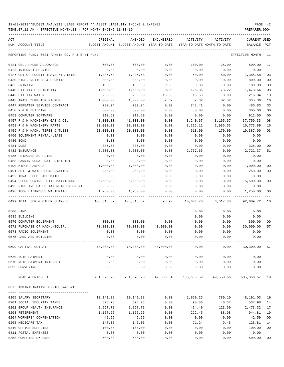TIME:07:11 AM - EFFECTIVE MONTH:11 - FOR MONTH ENDING 11-30-19 PREPARER:0004

| ACT<br>NUM ACCOUNT-TITLE                      | ORIGINAL  | AMENDED<br>BUDGET-AMOUNT BUDGET-AMOUNT YEAR-TO-DATE                | ENCUMBERED          | ACTIVITY<br>YEAR-TO-DATE MONTH-TO-DATE | ACTIVITY    | <b>CURRENT USED</b><br>BALANCE PCT |                |
|-----------------------------------------------|-----------|--------------------------------------------------------------------|---------------------|----------------------------------------|-------------|------------------------------------|----------------|
| REPORTING FUND: 0021 FANNIN CO. R & B #1 FUND |           |                                                                    |                     |                                        |             | EFFECTIVE MONTH - 11               |                |
|                                               |           |                                                                    |                     |                                        |             |                                    |                |
| 0421 CELL PHONE ALLOWANCE                     | 600.00    | 600.00                                                             | 0.00                | 100.00                                 | 25.00       | 500.00                             | 17             |
| 0423 INTERNET SERVICE                         | 0.00      | 0.00                                                               | 0.00                | 0.00                                   | 0.00        | 0.00                               |                |
| 0427 OUT OF COUNTY TRAVEL/TRAINING            | 1,435.58  | 1,435.58                                                           | 0.00                | 50.00                                  | 50.00       | 1,385.58                           | 03             |
| 0430 BIDS, NOTICES & PERMITS                  | 800.00    | 800.00                                                             | 0.00                | 0.00                                   | 0.00        | 800.00                             | 0 <sub>0</sub> |
| 0435 PRINTING                                 | 100.00    | 100.00                                                             | 0.00                | 0.00                                   | 0.00        | 100.00                             | 0 <sub>0</sub> |
| 0440 UTILITY ELECTRICITY                      | 1,600.00  | 1,600.00                                                           | 0.00                | 126.36                                 | 73.22       | 1,473.64                           | 08             |
| 0442 UTILITY WATER                            | 250.00    | 250.00                                                             | 16.58               | 16.58                                  | 0.00        | 216.84                             | 13             |
| 0443 TRASH DUMPSTER PICKUP                    | 1,000.00  | 1,000.00                                                           | 82.32               | 82.32                                  | 82.32       | 835.36                             | 16             |
| 0447 REPEATER SERVICE CONTRACT                | 730.24    | 730.24                                                             | 0.00                | 243.41                                 | 0.00        | 486.83                             | 33             |
| 0450 R & M BUILDING                           | 300.00    | 300.00                                                             | 0.00                | 0.00                                   | 0.00        | 300.00                             | 0 <sub>0</sub> |
| 0453 COMPUTER SOFTWARE                        | 912.50    | 912.50                                                             | 0.00                | 0.00                                   | 0.00        | 912.50                             | 0 <sub>0</sub> |
| 0457 R & M MACHINERY GAS & OIL                | 41,000.00 | 41,000.00                                                          | 0.00                | 3,240.67                               | 3,165.67    | 37,759.33                          | 08             |
| 0458 R & M MACHINERY PARTS                    | 20,000.00 | 20,000.00                                                          | 0.00                | 3,226.11                               | 2,985.53    | 16,773.89                          | 16             |
| 0459 R & M MACH. TIRES & TUBES                | 20,000.00 | 20,000.00                                                          | 0.00                | 613.00                                 | 170.00      | 19,387.00                          | 03             |
| 0460 EQUIPMENT RENTAL/LEASE                   | 0.00      | 0.00                                                               | 0.00                | 0.00                                   | 0.00        | 0.00                               |                |
| 0480 BOND                                     | 0.00      | 0.00                                                               | 0.00                | 0.00                                   | 0.00        | 0.00                               |                |
| 0481 DUES                                     | 335.00    | 335.00                                                             | 0.00                | 0.00                                   | 0.00        | 335.00                             | 00             |
| 0482 INSURANCE                                | 5,500.00  | 5,500.00                                                           | 0.00                | 2,777.63                               | 0.00        | 2,722.37                           | 51             |
| 0485 PRISONER SUPPLIES                        | 0.00      | 0.00                                                               | 0.00                | 0.00                                   | 0.00        | 0.00                               |                |
| 0488 FANNIN RURAL RAIL DISTRICT               | 0.00      | 0.00                                                               | 0.00                | 0.00                                   | 0.00        | 0.00                               |                |
| 0490 MISCELLANEOUS                            | 1,000.00  | 1,000.00                                                           | 0.00                | 0.00                                   | 0.00        | 1,000.00                           | 00             |
| 0491 SOIL & WATER CONSERVATION                | 250.00    | 250.00                                                             | 0.00                | 0.00                                   | 0.00        | 250.00                             | 0 <sub>0</sub> |
| 0492 TDRA FLOOD CASH MATCH                    | 0.00      | 0.00                                                               | 0.00                | 0.00                                   | 0.00        | 0.00                               |                |
| 0494 FLOOD CONTROL SITE MAINTENANCE           | 5,500.00  | 5,500.00                                                           | 0.00                | 0.00                                   | 0.00        | 5,500.00                           | 0 <sub>0</sub> |
| 0495 PIPELINE SALES TAX REIMBURSEMENT         | 0.00      | 0.00                                                               | 0.00                | 0.00                                   | 0.00        | 0.00                               |                |
| 0496 TCOG HAZARDOUS WASTEMATCH                | 1,250.00  | 1,250.00                                                           | 0.00                | 0.00                                   | 0.00        | 1,250.00                           | 0 <sub>0</sub> |
| 0499 TOTAL SER.& OTHER CHARGES                |           | 103, 313. 32 103, 313. 32                                          | 98.90               | 10,604.70                              | 6,617.38    | 92,609.72                          | 10             |
| 0500 LAND                                     |           |                                                                    |                     | 0.00                                   | 0.00        | 0.00                               |                |
| 0535 BUILDING                                 |           |                                                                    |                     | 0.00                                   | 0.00        | 0.00                               |                |
| 0570 COMPUTER EQUIPMENT                       | 300.00    | 300.00                                                             | 0.00                | 0.00                                   | 0.00        | 300.00                             | 00             |
| 0571 PURCHASE OF MACH./EQUIP.                 | 70,000.00 |                                                                    | 70,000.00 40,000.00 | 0.00                                   | 0.00        | 30,000.00                          | 57             |
| 0573 RADIO EQUIPMENT                          | 0.00      | 0.00                                                               | 0.00                | 0.00                                   | 0.00        | 0.00                               |                |
| 0575 LAND AND BUILDING                        | 0.00      | 0.00                                                               | 0.00                | 0.00                                   | 0.00        | 0.00                               |                |
|                                               |           |                                                                    |                     |                                        |             |                                    |                |
| 0599 CAPITAL OUTLAY                           |           | 70,300.00 70,300.00 40,000.00                                      |                     |                                        | 0.00        | $0.00$ 30,300.00 57                |                |
| 0630 NOTE PAYMENT                             | 0.00      | 0.00                                                               | 0.00                | 0.00                                   | 0.00        | 0.00                               |                |
| 0670 NOTE PAYMENT-INTEREST                    | 0.00      | 0.00                                                               | 0.00                |                                        | $0.00$ 0.00 | 0.00                               |                |
| 0695 SURVEYING                                | 0.00      | 0.00                                                               | 0.00                | 0.00                                   | 0.00        | 0.00                               |                |
| ROAD & BRIDGE 1                               |           | 781,575.70 781,575.70 42,566.54 103,658.59 49,550.66 635,350.57 19 |                     |                                        |             |                                    |                |
| 0625 ADMINISTRATIVE OFFICE R&B #1             |           |                                                                    |                     |                                        |             |                                    |                |
| 0105 SALARY SECRETARY                         | 10,141.28 | 10,141.28                                                          | 0.00                | 1,950.25 780.10 8,191.03               |             |                                    | 19             |
| 0201 SOCIAL SECURITY TAXES                    | 628.78    | 628.78                                                             | 0.00                | 90.80                                  | 40.37       | 537.98                             | 14             |
| 0202 GROUP HEALTH INSURANCE                   | 2,967.72  | 2,967.72                                                           | 0.00                | 494.40                                 | 123.60      | 2,473.32                           | 17             |
| 0203 RETIREMENT                               | 1,167.26  | 1,167.26                                                           | 0.00                | 222.45                                 | 88.98       | 944.81                             | 19             |
| 0204 WORKERS' COMPENSATION                    | 42.59     | 42.59                                                              | 0.00                | 0.00                                   | 0.00        | 42.59                              | 0 <sub>0</sub> |
| 0205 MEDICARE TAX                             | 147.05    | 147.05                                                             | 0.00                | 21.24                                  | 9.45        | 125.81                             | 14             |
| 0310 OFFICE SUPPLIES                          | 100.00    | 100.00                                                             | 0.00                | 0.00                                   | 0.00        | 100.00                             | 0 <sub>0</sub> |
| 0311 POSTAL EXPENSES                          | 0.00      | 0.00                                                               | 0.00                | 0.00                                   | 0.00        | 0.00                               |                |
|                                               |           |                                                                    |                     |                                        |             |                                    |                |

0353 COMPUTER EXPENSE 500.00 500.00 0.00 0.00 0.00 500.00 00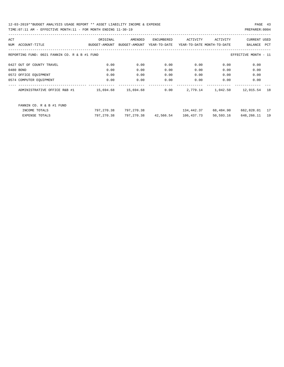| ACT |                                               | ORIGINAL      | AMENDED       | ENCUMBERED   | ACTIVITY   | ACTIVITY                   | <b>CURRENT USED</b>  |     |
|-----|-----------------------------------------------|---------------|---------------|--------------|------------|----------------------------|----------------------|-----|
| NUM | ACCOUNT-TITLE                                 | BUDGET-AMOUNT | BUDGET-AMOUNT | YEAR-TO-DATE |            | YEAR-TO-DATE MONTH-TO-DATE | BALANCE              | PCT |
|     |                                               |               |               |              |            |                            |                      |     |
|     | REPORTING FUND: 0021 FANNIN CO. R & B #1 FUND |               |               |              |            |                            | EFFECTIVE MONTH - 11 |     |
|     | 0427 OUT OF COUNTY TRAVEL                     | 0.00          | 0.00          | 0.00         | 0.00       | 0.00                       | 0.00                 |     |
|     |                                               |               |               |              |            |                            |                      |     |
|     | 0480 BOND                                     | 0.00          | 0.00          | 0.00         | 0.00       | 0.00                       | 0.00                 |     |
|     | 0572 OFFICE EQUIPMENT                         | 0.00          | 0.00          | 0.00         | 0.00       | 0.00                       | 0.00                 |     |
|     | 0574 COMPUTER EQUIPMENT                       | 0.00          | 0.00          | 0.00         | 0.00       | 0.00                       | 0.00                 |     |
|     | ADMINISTRATIVE OFFICE R&B #1                  | 15,694.68     | 15,694.68     | 0.00         | 2,779.14   | 1,042.50                   | 12,915.54            | 18  |
|     |                                               |               |               |              |            |                            |                      |     |
|     |                                               |               |               |              |            |                            |                      |     |
|     | FANNIN CO. R & B #1 FUND                      |               |               |              |            |                            |                      |     |
|     | INCOME TOTALS                                 | 797,270.38    | 797,270.38    |              | 134,442.37 | 68,484.90                  | 662,828.01           | 17  |
|     | <b>EXPENSE TOTALS</b>                         | 797,270.38    | 797,270.38    | 42,566.54    | 106,437.73 | 50,593.16                  | 648,266.11           | 19  |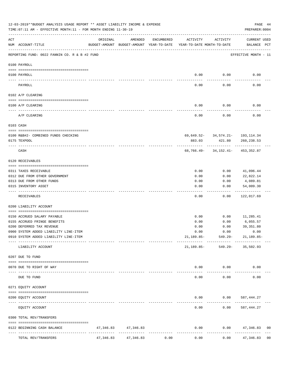|     | 12-03-2019**BUDGET ANALYSIS USAGE REPORT ** ASSET LIABILITY INCOME & EXPENSE<br>TIME: 07:11 AM - EFFECTIVE MONTH: 11 - FOR MONTH ENDING 11-30-19 |           |                                                                                |            |                   |                        | PAGE 44<br>PREPARER: 0004                          |                |
|-----|--------------------------------------------------------------------------------------------------------------------------------------------------|-----------|--------------------------------------------------------------------------------|------------|-------------------|------------------------|----------------------------------------------------|----------------|
| ACT | NUM ACCOUNT-TITLE                                                                                                                                | ORIGINAL  | AMENDED<br>BUDGET-AMOUNT BUDGET-AMOUNT YEAR-TO-DATE YEAR-TO-DATE MONTH-TO-DATE | ENCUMBERED | ACTIVITY          | ACTIVITY               | CURRENT USED<br>BALANCE PCT                        |                |
|     | REPORTING FUND: 0022 FANNIN CO. R & B #2 FUND                                                                                                    |           |                                                                                |            |                   |                        | EFFECTIVE MONTH - 11                               |                |
|     | 0100 PAYROLL                                                                                                                                     |           |                                                                                |            |                   |                        |                                                    |                |
|     | 0100 PAYROLL                                                                                                                                     |           |                                                                                |            | 0.00              | 0.00                   | 0.00                                               |                |
|     | PAYROLL                                                                                                                                          |           |                                                                                |            | 0.00              | 0.00                   | 0.00                                               |                |
|     | 0102 A/P CLEARING                                                                                                                                |           |                                                                                |            |                   |                        |                                                    |                |
|     | 0100 A/P CLEARING                                                                                                                                |           |                                                                                |            | 0.00              | 0.00                   | 0.00                                               |                |
|     | A/P CLEARING                                                                                                                                     |           |                                                                                |            | 0.00              | 0.00                   | 0.00                                               |                |
|     | 0103 CASH                                                                                                                                        |           |                                                                                |            |                   |                        |                                                    |                |
|     | 0100 R&B#2- COMBINED FUNDS CHECKING<br>0175 TEXPOOL                                                                                              |           |                                                                                |            | 883.03            | 421.80                 | $69,649.52 - 34,574.21 - 193,114.34$<br>260,238.53 |                |
|     | CASH                                                                                                                                             |           |                                                                                |            |                   | ------------           | $68, 766.49 - 34, 152.41 - 453, 352.87$            |                |
|     | 0120 RECEIVABLES                                                                                                                                 |           |                                                                                |            |                   |                        |                                                    |                |
|     | 0311 TAXES RECEIVABLE                                                                                                                            |           |                                                                                |            | 0.00              | 0.00                   | 41,096.44                                          |                |
|     | 0312 DUE FROM OTHER GOVERNMENT                                                                                                                   |           |                                                                                |            | 0.00              | 0.00                   | 22,822.14                                          |                |
|     | 0313 DUE FROM OTHER FUNDS                                                                                                                        |           |                                                                                |            | 0.00              | 0.00                   | 4,089.81                                           |                |
|     | 0315 INVENTORY ASSET                                                                                                                             |           |                                                                                |            | 0.00              | 0.00                   | 54,009.30<br>--------                              |                |
|     | RECEIVABLES                                                                                                                                      |           |                                                                                |            | 0.00              | 0.00                   | 122,017.69                                         |                |
|     | 0200 LIABILITY ACCOUNT                                                                                                                           |           |                                                                                |            |                   |                        |                                                    |                |
|     | 0150 ACCRUED SALARY PAYABLE                                                                                                                      |           |                                                                                |            | 0.00              | 0.00                   | 11,285.41                                          |                |
|     | 0155 ACCRUED FRINGE BENEFITS                                                                                                                     |           |                                                                                |            | 0.00              | 0.00                   | 6,055.57                                           |                |
|     | 0200 DEFERRED TAX REVENUE                                                                                                                        |           |                                                                                |            | 0.00              | 0.00                   | 39,351.80                                          |                |
|     | 0900 SYSTEM ADDED LIABILITY LINE-ITEM                                                                                                            |           |                                                                                |            | 0.00              | 0.00                   | 0.00                                               |                |
|     | 0910 SYSTEM ADDED LIABILITY LINE-ITEM                                                                                                            |           |                                                                                |            |                   | $21,189.85 - 549.29 -$ | 21,189.85-                                         |                |
|     | LIABILITY ACCOUNT                                                                                                                                |           |                                                                                |            | 21,189.85-        |                        | 549.29- 35,502.93                                  |                |
|     | 0207 DUE TO FUND                                                                                                                                 |           |                                                                                |            |                   |                        |                                                    |                |
|     | 0070 DUE TO RIGHT OF WAY<br>---- -----                                                                                                           |           | --------------                                                                 |            |                   | $0.00$ $0.00$          | 0.00                                               |                |
|     | DUE TO FUND                                                                                                                                      |           |                                                                                |            | 0.00              | 0.00                   | 0.00                                               |                |
|     | 0271 EQUITY ACCOUNT                                                                                                                              |           |                                                                                |            |                   |                        |                                                    |                |
|     | 0200 EQUITY ACCOUNT                                                                                                                              |           |                                                                                |            |                   |                        | $0.00$ $0.00$ $587,444.27$                         |                |
|     | EQUITY ACCOUNT                                                                                                                                   |           |                                                                                |            | ---------<br>0.00 |                        | -------------<br>$0.00$ 587,444.27                 |                |
|     | 0300 TOTAL REV/TRANSFERS                                                                                                                         |           |                                                                                |            |                   |                        |                                                    |                |
|     | 0122 BEGINNING CASH BALANCE                                                                                                                      |           | 47,346.83 47,346.83                                                            |            | 0.00              |                        | $0.00$ $47,346.83$                                 | 0 <sub>0</sub> |
|     | TOTAL REV/TRANSFERS                                                                                                                              | 47,346.83 | --------------<br>47,346.83                                                    | 0.00       | 0.00              | 0.00                   | . <u>.</u><br>47,346.83 00                         |                |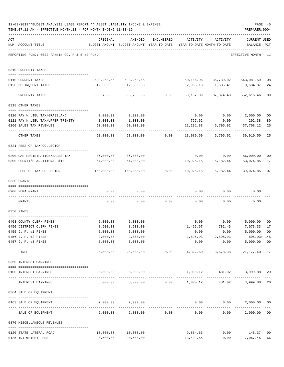|     | 12-03-2019**BUDGET ANALYSIS USAGE REPORT ** ASSET LIABILITY INCOME & EXPENSE<br>TIME: 07:11 AM - EFFECTIVE MONTH: 11 - FOR MONTH ENDING 11-30-19 |                                              |                                                                                |                                                  |                                                                      |                   | PREPARER: 0004                       | PAGE 45              |
|-----|--------------------------------------------------------------------------------------------------------------------------------------------------|----------------------------------------------|--------------------------------------------------------------------------------|--------------------------------------------------|----------------------------------------------------------------------|-------------------|--------------------------------------|----------------------|
| ACT | NUM ACCOUNT-TITLE                                                                                                                                | ORIGINAL                                     | AMENDED<br>BUDGET-AMOUNT BUDGET-AMOUNT YEAR-TO-DATE YEAR-TO-DATE MONTH-TO-DATE | ENCUMBERED                                       | ACTIVITY                                                             | ACTIVITY          | <b>CURRENT USED</b><br>BALANCE PCT   |                      |
|     | REPORTING FUND: 0022 FANNIN CO. R & B #2 FUND                                                                                                    |                                              |                                                                                |                                                  |                                                                      |                   | EFFECTIVE MONTH - 11                 |                      |
|     | 0310 PROPERTY TAXES                                                                                                                              |                                              |                                                                                |                                                  |                                                                      |                   |                                      |                      |
|     | 0110 CURRENT TAXES                                                                                                                               |                                              | 593,268.55 593,268.55 50,186.96 50,186.96 57,739.02 543,081.59                 |                                                  |                                                                      |                   |                                      | 08                   |
|     | 0120 DELINQUENT TAXES                                                                                                                            |                                              | 12,500.00   12,500.00                                                          |                                                  |                                                                      |                   | 2,965.13 1,635.41 9,534.87           | 24                   |
|     | PROPERTY TAXES                                                                                                                                   | 605,768.55                                   |                                                                                |                                                  | . <u>.</u><br>605,768.55   0.00   53,152.09   37,374.43   552,616.46 |                   |                                      | $- - -$<br>09        |
|     | 0318 OTHER TAXES                                                                                                                                 |                                              |                                                                                |                                                  |                                                                      |                   |                                      |                      |
|     |                                                                                                                                                  |                                              |                                                                                |                                                  |                                                                      |                   |                                      |                      |
|     | 0120 PAY N LIEU TAX/GRASSLAND                                                                                                                    | 2,000.00                                     | 2,000.00                                                                       |                                                  |                                                                      |                   | $0.00$ $0.00$ $2,000.00$             | 0 <sub>0</sub>       |
|     | 0121 PAY N LIEU TAX/UPPER TRINITY                                                                                                                | 1,000.00                                     | 1,000.00                                                                       |                                                  | 797.62                                                               | 0.00              | 202.38                               | 80                   |
|     | 0160 SALES TAX REVENUES                                                                                                                          | 50,000.00<br>---------                       | 50,000.00                                                                      |                                                  | 12,291.88                                                            |                   | 5,795.92 37,708.12<br>-----------    | 25                   |
|     | OTHER TAXES                                                                                                                                      | 53,000.00                                    |                                                                                |                                                  |                                                                      | 5,795.92          | 39,910.50                            | 25                   |
|     | 0321 FEES OF TAX COLLECTOR                                                                                                                       |                                              |                                                                                |                                                  |                                                                      |                   |                                      |                      |
|     |                                                                                                                                                  | 86,000.00 86,000.00                          |                                                                                |                                                  |                                                                      |                   | $0.00$ $0.00$ $86,000.00$            |                      |
|     | 0200 CAR REGISTRATION/SALES TAX<br>0300 COUNTY'S ADDITIONAL \$10                                                                                 | 64,000.00                                    | 64,000.00                                                                      |                                                  | 10,925.15                                                            | 5,182.44          | 53,074.85                            | 0 <sub>0</sub><br>17 |
|     | FEES OF TAX COLLECTOR                                                                                                                            | 150,000.00                                   |                                                                                |                                                  | ---------------                                                      | -------------     | -------------                        | 07                   |
|     | 0330 GRANTS                                                                                                                                      |                                              |                                                                                |                                                  |                                                                      |                   |                                      |                      |
|     | 0200 FEMA GRANT                                                                                                                                  | 0.00                                         | 0.00                                                                           |                                                  |                                                                      | $0.00$ $0.00$     | 0.00                                 |                      |
|     |                                                                                                                                                  |                                              |                                                                                |                                                  |                                                                      |                   |                                      |                      |
|     | GRANTS                                                                                                                                           | 0.00                                         |                                                                                | $0.00$ 0.00                                      |                                                                      | $0.00$ 0.00       | 0.00                                 |                      |
|     | 0350 FINES                                                                                                                                       |                                              |                                                                                |                                                  |                                                                      |                   |                                      |                      |
|     | 0403 COUNTY CLERK FINES                                                                                                                          | 5,000.00                                     | 5,000.00                                                                       |                                                  |                                                                      | $0.00$ 0.00       | 5,000.00                             | 0 <sub>0</sub>       |
|     | 0450 DISTRICT CLERK FINES                                                                                                                        | 8,500.00                                     | 8,500.00                                                                       |                                                  | 1,426.67                                                             | 782.45            | 7,073.33                             | 17                   |
|     | 0455 J. P. #1 FINES                                                                                                                              | 5,000.00                                     | 5,000.00                                                                       |                                                  | 0.00                                                                 | 0.00              | 5,000.00 00                          |                      |
|     | 0456 J. P. #2 FINES                                                                                                                              | 2,000.00                                     | 2,000.00                                                                       |                                                  |                                                                      | 2,895.93 2,895.93 | 895.93+ 145                          |                      |
|     | 0457 J. P. #3 FINES                                                                                                                              | 5,000.00<br>------------------- ------------ | 5,000.00<br>.                                                                  |                                                  | 0.00<br>------------                                                 | -------------     | 0.00<br>5,000.00 00<br>------------- |                      |
|     | FINES                                                                                                                                            | 25,500.00                                    |                                                                                |                                                  |                                                                      |                   | 21, 177. 40 17                       |                      |
|     | 0360 INTEREST EARNINGS                                                                                                                           |                                              |                                                                                |                                                  |                                                                      |                   |                                      |                      |
|     | 0100 INTEREST EARNINGS<br>---------------------------------- --                                                                                  |                                              | 5,000.00 5,000.00                                                              |                                                  | 1,000.12 481.02                                                      |                   | 3,999.88                             | 20                   |
|     | INTEREST EARNINGS                                                                                                                                |                                              | 5,000.00 5,000.00 0.00 1,000.12 481.02                                         |                                                  |                                                                      |                   | 3,999.88                             | 20                   |
|     | 0364 SALE OF EQUIPMENT                                                                                                                           |                                              |                                                                                |                                                  |                                                                      |                   |                                      |                      |
|     | --------------------------------------<br>0163 SALE OF EQUIPMENT                                                                                 |                                              | 2,000.00 2,000.00                                                              |                                                  |                                                                      | $0.00$ $0.00$     | 2,000.00                             | 0 <sub>0</sub>       |
|     | SALE OF EQUIPMENT                                                                                                                                | 2,000.00                                     |                                                                                | -------------------------------<br>2,000.00 0.00 | 0.00                                                                 |                   | -------------<br>0.00<br>2,000.00    | 0 <sub>0</sub>       |
|     | 0370 MISCELLANEOUS REVENUES                                                                                                                      |                                              |                                                                                |                                                  |                                                                      |                   |                                      |                      |
|     | 0120 STATE LATERAL ROAD                                                                                                                          | 10,000.00                                    | 10,000.00                                                                      |                                                  | 9,854.63                                                             |                   | $0.00$ 145.37                        | 99                   |
|     | 0125 TDT WEIGHT FEES                                                                                                                             | 20,500.00                                    | 20,500.00                                                                      |                                                  | 13,432.55                                                            |                   | 0.00<br>7,067.45                     | 66                   |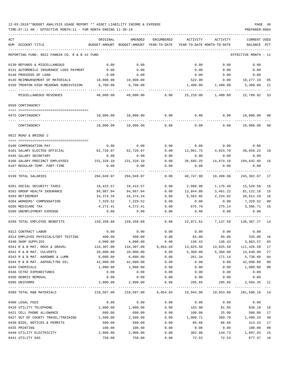| ACT                                           | ORIGINAL                                                            | AMENDED             | ENCUMBERED | ACTIVITY                                                         | ACTIVITY                     | CURRENT USED         |                |
|-----------------------------------------------|---------------------------------------------------------------------|---------------------|------------|------------------------------------------------------------------|------------------------------|----------------------|----------------|
| NUM ACCOUNT-TITLE                             | BUDGET-AMOUNT BUDGET-AMOUNT YEAR-TO-DATE YEAR-TO-DATE MONTH-TO-DATE |                     |            |                                                                  |                              | BALANCE PCT          |                |
| REPORTING FUND: 0022 FANNIN CO. R & B #2 FUND |                                                                     |                     |            |                                                                  |                              | EFFECTIVE MONTH - 11 |                |
| 0130 REFUNDS & MISCELLANEOUS                  | 0.00                                                                | 0.00                |            | 0.00                                                             | 0.00                         | 0.00                 |                |
| 0131 AUTOMOBILE INSURANCE LOSS PAYMENT        | 0.00                                                                | 0.00                |            | 0.00                                                             | 0.00                         | 0.00                 |                |
| 0140 PROCEEDS OF LOAN                         | 0.00                                                                | 0.00                |            | 0.00                                                             | 0.00                         | 0.00                 |                |
| 0145 REIMBURSEMENT OF MATERIALS 10,800.00     |                                                                     | 10,800.00           |            | 522.90                                                           |                              | $0.00$ $10,277.10$   | 05             |
| 0150 TRENTON HIGH MEADOWS SUBDIVISION         | 6,700.00                                                            | 6,700.00            |            |                                                                  | 1,400.00 1,400.00            | 5,300.00             | 21             |
| MISCELLANEOUS REVENUES                        | 48,000.00                                                           | 48,000.00           |            | 0.00 25,210.08                                                   | 1,400.00                     | 22,789.92            | 53             |
| 0509 CONTINGENCY                              |                                                                     |                     |            |                                                                  |                              |                      |                |
|                                               |                                                                     |                     |            |                                                                  |                              |                      |                |
| 0475 CONTINGENCY                              | 10,000.00                                                           | 10,000.00           | 0.00       | 0.00                                                             | 0.00                         | 10,000.00            | 00             |
| CONTINGENCY                                   | 10,000.00                                                           | 10,000.00           | 0.00       | 0.00                                                             | 0.00                         | 10,000.00            | 0 <sub>0</sub> |
| 0622 ROAD & BRIDGE 2                          |                                                                     |                     |            |                                                                  |                              |                      |                |
| 0100 COMPENSATION PAY                         | 0.00                                                                | 0.00                | 0.00       | 0.00                                                             | 0.00                         | 0.00                 |                |
| 0101 SALARY ELECTED OFFICIAL                  |                                                                     | 62,720.97 62,720.97 | 0.00       |                                                                  | 12,061.75 4,824.70 50,659.22 |                      | 19             |
| 0105 SALARY SECRETARY                         | 0.00                                                                | 0.00                | 0.00       |                                                                  | $0.00$ 0.00                  | 0.00                 |                |
| 0106 SALARY PRECINCT EMPLOYEES 231,328.10     |                                                                     | 231,328.10          | 0.00       | 36,685.25    14,674.10    194,642.85                             |                              |                      | 16             |
| 0107 REGULAR-TEMP. PART-TIME                  | 0.00                                                                | 0.00                | 0.00       | 0.00                                                             | 0.00                         | 0.00                 |                |
| 0199 TOTAL SALARIES                           | 294,049.07                                                          | 294,049.07          | 0.00       | 48,747.00                                                        | 19,498.80                    | 245,302.07           | 17             |
| 0201 SOCIAL SECURITY TAXES                    | 18,415.57                                                           | 18,415.57           | 0.00       | 2,888.98                                                         | 1,176.40 15,526.59           |                      | 16             |
| 0202 GROUP HEALTH INSURANCE                   | 94,967.04                                                           | 94,967.04           | 0.00       | 13,844.88                                                        | 3,461.22                     | 81,122.16            | 15             |
| 0203 RETIREMENT                               | 34,374.34                                                           | 34,374.34           | 0.00       | 5,562.05                                                         | 2,224.82                     | 28,812.29            | 16             |
| 0204 WORKERS' COMPENSATION                    | 7,329.52                                                            | 7,329.52            | 0.00       | 0.00                                                             | 0.00                         | 7,329.52             | 0 <sub>0</sub> |
| 0205 MEDICARE TAX                             | 4,272.41                                                            | 4,272.41            |            | 0.00 675.70 275.14                                               |                              | 3,596.71             | 16             |
| 0206 UNEMPLOYMENT EXPENSE                     | 0.00                                                                | 0.00                | 0.00       | 0.00                                                             | 0.00                         | 0.00                 |                |
| 0299 TOTAL EMPLOYEE BENEFITS                  | $159,358.88$ $159,358.88$ 0.00                                      |                     |            |                                                                  | 22,971.61 7,137.58           | 136,387.27           | 14             |
| 0312 CONTRACT LABOR                           | 0.00                                                                | 0.00                | 0.00       | 0.00                                                             | 0.00                         | 0.00                 |                |
| 0314 EMPLOYEE PHYSICALS/DOT TESTING           | 400.00                                                              | 400.00              |            | 0.00 65.00 65.00 335.00                                          |                              |                      | 16             |
| 0340 SHOP SUPPLIES                            | 4,000.00                                                            | 4,000.00            | 0.00       | 136.43                                                           | 136.43                       | 3,863.57             | 03             |
| 0341 R & B MAT. ROCK & GRAVEL                 | 134,307.00                                                          | 134,307.00          |            | 9,054.84 13,825.58                                               | 13,825.58                    | 111,426.58           | 17             |
| 0342 R & B MAT. CULVERTS                      | 20,000.00                                                           | 20,000.00           | 0.00       | 5,360.00                                                         | 5,360.00                     | 14,640.00            | 27             |
| 0343 R & B MAT. HARDWRE & LUMB                | 6,000.00                                                            | 6,000.00            | 0.00       | 261.34                                                           | 171.14                       | 5,738.66             | 04             |
| 0344 R & B MAT. ASPHALT/RD OIL                | 42,000.00                                                           | 42,000.00           | 0.00       | 0.00                                                             | 0.00                         | 42,000.00            | 0 <sub>0</sub> |
| 0345 CHEMICALS                                | 1,000.00                                                            | 1,000.00            | 0.00       | 0.00                                                             | 0.00                         | 1,000.00             | 0 <sub>0</sub> |
| 0346 CETRZ EXPENDITURES                       | 0.00                                                                | 0.00                | 0.00       | 0.00                                                             | 0.00                         | 0.00                 |                |
| 0350 DEBRIS REMOVAL                           | 0.00                                                                | 0.00                | 0.00       | 0.00                                                             | 0.00                         | 0.00                 |                |
| 0395 UNIFORMS                                 | 2,800.00                                                            | 2,800.00            | 0.00       | 295.65                                                           | 295.65                       | 2,504.35 11          |                |
| 0399 TOTAL R&B MATERIALS                      |                                                                     |                     |            | 210,507.00 210,507.00 9,054.84 19,944.00 19,853.80 181,508.16 14 |                              |                      | $- - -$        |
| 0400 LEGAL FEES                               | 0.00                                                                | 0.00                | 0.00       | 0.00                                                             | 0.00                         | 0.00                 |                |
| 0420 UTILITY TELEPHONE                        | 1,000.00                                                            | 1,000.00            | 0.00       | 163.90                                                           | 81.95                        | 836.10               | 16             |
| 0421 CELL PHONE ALLOWANCE                     | 600.00                                                              | 600.00              | 0.00       | 100.00                                                           | 25.00                        | 500.00               | 17             |
| 0427 OUT OF COUNTY TRAVEL/TRAINING            | 2,500.00                                                            | 2,500.00            | 0.00       | 1,000.71                                                         | 369.70                       | 1,499.29             | 40             |
| 0430 BIDS, NOTICES & PERMITS                  | 500.00                                                              | 500.00              | 0.00       | 86.68                                                            | 86.68                        | 413.32               | 17             |
| 0435 PRINTING                                 | 100.00                                                              | 100.00              | 0.00       | 0.00                                                             | 0.00                         | 100.00               | 0 <sub>0</sub> |
| 0440 UTILITY ELECTRICITY                      | 2,000.00                                                            | 2,000.00            | 0.00       | 302.08                                                           | 144.73                       | 1,697.92             | 15             |
| 0441 UTILITY GAS                              | 750.00                                                              | 750.00              | 0.00       | 72.53                                                            | 72.53                        | 677.47               | 10             |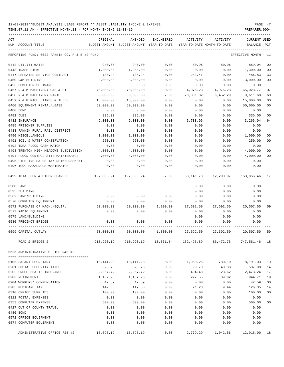| ACT | NUM ACCOUNT-TITLE                                | ORIGINAL     | AMENDED<br>BUDGET-AMOUNT BUDGET-AMOUNT YEAR-TO-DATE                | <b>ENCUMBERED</b> | ACTIVITY         | ACTIVITY<br>YEAR-TO-DATE MONTH-TO-DATE | <b>CURRENT USED</b><br><b>BALANCE</b> | PCT            |
|-----|--------------------------------------------------|--------------|--------------------------------------------------------------------|-------------------|------------------|----------------------------------------|---------------------------------------|----------------|
|     |                                                  |              |                                                                    |                   |                  |                                        |                                       |                |
|     | REPORTING FUND: 0022 FANNIN CO. R & B #2 FUND    |              |                                                                    |                   |                  |                                        | EFFECTIVE MONTH - 11                  |                |
|     | 0442 UTILITY WATER                               | 940.00       | 940.00                                                             | 0.00              | 80.96            | 80.96                                  | 859.04                                | 09             |
|     | 0443 TRASH PICKUP                                | 1,300.00     | 1,300.00                                                           | 0.00              | 0.00             | 0.00                                   | 1,300.00                              | 0 <sub>0</sub> |
|     | 0447 REPEATER SERVICE CONTRACT                   | 730.24       | 730.24                                                             | 0.00              | 243.41           | 0.00                                   | 486.83                                | 33             |
|     | 0450 R&M BUILDING                                | 3,000.00     | 3,000.00                                                           | 0.00              | 0.00             | 0.00                                   | 3,000.00                              | 0 <sub>0</sub> |
|     | 0453 COMPUTER SOFTWARE                           | 0.00         | 0.00                                                               | 0.00              | 0.00             | 0.00                                   | 0.00                                  |                |
|     | 0457 R & M MACHINERY GAS & OIL                   | 70,000.00    | 70,000.00                                                          | 0.00              | 4,976.23         | 4,976.23                               | 65,023.77                             | 07             |
|     | 0458 R & M MACHINERY PARTS                       | 30,000.00    | 30,000.00                                                          | 7.00              | 20,381.32        | 6,452.29                               | 9,611.68                              | 68             |
|     | 0459 R & M MACH. TIRES & TUBES                   | 15,000.00    | 15,000.00                                                          | 0.00              | 0.00             | 0.00                                   | 15,000.00                             | 0 <sub>0</sub> |
|     | 0460 EQUIPMENT RENTAL/LEASE                      | 50,000.00    | 50,000.00                                                          | 0.00              | 0.00             | 0.00                                   | 50,000.00                             | 00             |
|     | 0480 BOND                                        | 0.00         | 0.00                                                               | 0.00              | 0.00             | 0.00                                   | 0.00                                  |                |
|     | 0481 DUES                                        | 335.00       | 335.00                                                             | 0.00              | 0.00             | 0.00                                   | 335.00                                | 0 <sub>0</sub> |
|     | 0482 INSURANCE                                   | 9,000.00     | 9,000.00                                                           | 0.00              | 5,733.96         | 0.00                                   | 3,266.04                              | 64             |
|     | 0485 PRISONER SUPPLIES                           | 0.00         | 0.00                                                               | 0.00              | 0.00             | 0.00                                   | 0.00                                  |                |
|     | 0488 FANNIN RURAL RAIL DISTRICT                  | 0.00         | 0.00                                                               | 0.00              | 0.00             | 0.00                                   | 0.00                                  |                |
|     | 0490 MISCELLANEOUS                               | 1,000.00     | 1,000.00                                                           | 0.00              | 0.00             | 0.00                                   | 1,000.00                              | 00             |
|     | 0491 SOIL & WATER CONSERVATION                   | 250.00       | 250.00                                                             | 0.00              | 0.00             | 0.00                                   | 250.00                                | 0 <sub>0</sub> |
|     | 0492 TDRA FLOOD CASH MATCH                       | 0.00         | 0.00                                                               | 0.00              | 0.00             | 0.00                                   | 0.00                                  |                |
|     | 0493 TRENTON HIGH MEADOWS SUBDIVISION            | 4,000.00     | 4,000.00                                                           | 0.00              | 0.00             | 0.00                                   | 4,000.00                              | 0 <sub>0</sub> |
|     | 0494 FLOOD CONTROL SITE MAINTENANCE              | 4,000.00     | 4,000.00                                                           | 0.00              | 0.00             | 0.00                                   | 4,000.00                              | 0 <sub>0</sub> |
|     | 0495 PIPELINE SALES TAX REIMBURSEMENT            | 0.00         | 0.00                                                               | 0.00              | 0.00             | 0.00                                   | 0.00                                  |                |
|     | 0496 TCOG HAZARDOUS WASTEMATCH                   | 0.00         | 0.00                                                               | 0.00              | 0.00             | 0.00                                   | 0.00                                  |                |
|     | 0499 TOTAL SER. & OTHER CHARGES                  | 197,005.24   | 197,005.24                                                         | 7.00              | 33,141.78        | 12,290.07                              | 163,856.46                            | 17             |
|     | 0500 LAND                                        |              |                                                                    |                   | 0.00             | 0.00                                   | 0.00                                  |                |
|     | 0535 BUILDING                                    |              |                                                                    |                   | 0.00             | 0.00                                   | 0.00                                  |                |
|     | 0562 LAND/BUILDING                               | 0.00         | 0.00                                                               | 0.00              | 0.00             | 0.00                                   | 0.00                                  |                |
|     | 0570 COMPUTER EQUIPMENT                          | 0.00         | 0.00                                                               | 0.00              | 0.00             | 0.00                                   | 0.00                                  |                |
|     | 0571 PURCHASE OF MACH./EQUIP.                    | 50,000.00    | 50,000.00                                                          | 1,800.00          | 27,692.50        | 27,692.50                              | 20,507.50                             | 59             |
|     | 0573 RADIO EQUIPMENT                             | 0.00         | 0.00                                                               | 0.00              | 0.00             | 0.00                                   | 0.00                                  |                |
|     | 0575 LAND/BUILDING                               |              |                                                                    |                   | 0.00             | 0.00                                   | 0.00                                  |                |
|     | 0580 PRECINCT BRIDGE                             | 0.00         | 0.00                                                               | 0.00              | 0.00             | 0.00                                   | 0.00                                  |                |
|     |                                                  |              |                                                                    |                   |                  |                                        |                                       |                |
|     | 0599 CAPITAL OUTLAY                              | 50,000.00    | 50,000.00                                                          | 1,800.00          | 27,692.50        | 27,692.50                              | 20,507.50                             | 59             |
|     | ROAD & BRIDGE 2                                  |              | 910,920.19 910,920.19 10,861.84 152,496.89 86,472.75 747,561.46 18 |                   |                  |                                        |                                       |                |
|     | 0625 ADMINISTRATIVE OFFICE R&B #2                |              |                                                                    |                   |                  |                                        |                                       |                |
|     | 0105 SALARY SECRETARY                            | 10,141.28    | 10,141.28                                                          | 0.00              | 1,950.25         | 780.10                                 | 8,191.03                              | 19             |
|     | 0201 SOCIAL SECURITY TAXES                       | 628.76       | 628.76                                                             | 0.00              | 90.78            | 40.38                                  | 537.98                                | 14             |
|     | 0202 GROUP HEALTH INSURANCE                      |              |                                                                    | 0.00              |                  | 123.62                                 | 2,473.24                              | 17             |
|     | 0203 RETIREMENT                                  | 2,967.72     | 2,967.72                                                           |                   | 494.48<br>222.55 | 89.02                                  | 944.71                                | 19             |
|     | 0204 WORKERS' COMPENSATION                       | 1,167.26     | 1,167.26<br>42.59                                                  | 0.00<br>0.00      | 0.00             | 0.00                                   | 42.59                                 | 00             |
|     |                                                  | 42.59        |                                                                    |                   |                  |                                        |                                       |                |
|     | 0205 MEDICARE TAX<br>0310 OFFICE SUPPLIES        | 147.58       | 147.58                                                             | 0.00              | 21.23            | 9.44                                   | 126.35                                | 14             |
|     |                                                  | 100.00       | 100.00                                                             | 0.00              | 0.00             | 0.00                                   | 100.00                                | 00             |
|     | 0311 POSTAL EXPENSES                             | 0.00         | 0.00                                                               | 0.00              | 0.00             | 0.00                                   | 0.00                                  | 00             |
|     | 0353 COMPUTER EXPENSE                            | 500.00       | 500.00                                                             | 0.00              | 0.00             | 0.00                                   | 500.00                                |                |
|     | 0427 OUT OF COUNTY TRAVEL                        | 0.00         | 0.00                                                               | 0.00              | 0.00             | 0.00                                   | 0.00                                  |                |
|     | 0480 BOND                                        | 0.00         | 0.00                                                               | 0.00              | 0.00             | 0.00                                   | 0.00                                  |                |
|     | 0572 OFFICE EQUIPMENT<br>0574 COMPUTER EQUIPMENT | 0.00<br>0.00 | 0.00<br>0.00                                                       | 0.00<br>0.00      | 0.00<br>0.00     | 0.00<br>0.00                           | 0.00<br>0.00                          |                |
|     |                                                  |              |                                                                    |                   |                  |                                        |                                       |                |
|     | ADMINISTRATIVE OFFICE R&B #2                     | 15,695.19    | 15,695.19                                                          | 0.00              | 2,779.29         | 1,042.56                               | 12,915.90 18                          |                |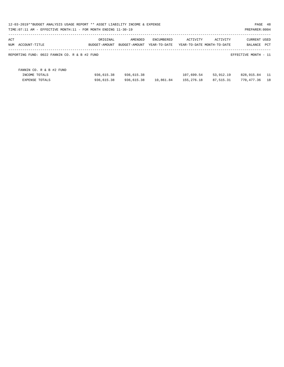| 12-03-2019**BUDGET ANALYSIS USAGE REPORT ** ASSET LIABILITY INCOME & EXPENSE<br>PAGE 48<br>TIME: 07:11 AM - EFFECTIVE MONTH: 11 - FOR MONTH ENDING 11-30-19<br>PREPARER: 0004 |               |               |              |            |                            |                      |      |  |  |  |
|-------------------------------------------------------------------------------------------------------------------------------------------------------------------------------|---------------|---------------|--------------|------------|----------------------------|----------------------|------|--|--|--|
| ACT                                                                                                                                                                           | ORIGINAL      | AMENDED       | ENCUMBERED   | ACTIVITY   | ACTIVITY                   | <b>CURRENT USED</b>  |      |  |  |  |
| NUM<br>ACCOUNT-TITLE                                                                                                                                                          | BUDGET-AMOUNT | BUDGET-AMOUNT | YEAR-TO-DATE |            | YEAR-TO-DATE MONTH-TO-DATE | BALANCE              | PCT  |  |  |  |
| REPORTING FUND: 0022 FANNIN CO. R & B #2 FUND                                                                                                                                 |               |               |              |            |                            | EFFECTIVE MONTH - 11 |      |  |  |  |
| FANNIN CO. R & B #2 FUND                                                                                                                                                      |               |               |              |            |                            |                      |      |  |  |  |
| INCOME TOTALS                                                                                                                                                                 | 936,615.38    | 936,615.38    |              | 107,699.54 | 53,912.19                  | 828,915.84           | - 11 |  |  |  |
| <b>EXPENSE TOTALS</b>                                                                                                                                                         | 936,615.38    | 936,615.38    | 10,861.84    | 155,276.18 | 87,515.31                  | 770,477.36           | 18   |  |  |  |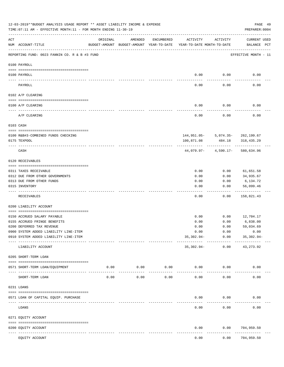|           | 12-03-2019**BUDGET ANALYSIS USAGE REPORT ** ASSET LIABILITY INCOME & EXPENSE<br>TIME: 07:11 AM - EFFECTIVE MONTH: 11 - FOR MONTH ENDING 11-30-19 |                                                      |                     |                     |                                        |                                            | PAGE 49<br>PREPARER: 0004   |  |
|-----------|--------------------------------------------------------------------------------------------------------------------------------------------------|------------------------------------------------------|---------------------|---------------------|----------------------------------------|--------------------------------------------|-----------------------------|--|
| ACT       | NUM ACCOUNT-TITLE                                                                                                                                | ORIGINAL<br>BUDGET-AMOUNT BUDGET-AMOUNT YEAR-TO-DATE | AMENDED             | ENCUMBERED          | ACTIVITY<br>YEAR-TO-DATE MONTH-TO-DATE | ACTIVITY                                   | CURRENT USED<br>BALANCE PCT |  |
|           | REPORTING FUND: 0023 FANNIN CO. R & B #3 FUND                                                                                                    |                                                      |                     |                     |                                        |                                            | EFFECTIVE MONTH - 11        |  |
|           | 0100 PAYROLL                                                                                                                                     |                                                      |                     |                     |                                        |                                            |                             |  |
|           | 0100 PAYROLL                                                                                                                                     |                                                      |                     |                     | 0.00                                   | 0.00                                       | 0.00                        |  |
| ---- ---- | PAYROLL                                                                                                                                          |                                                      |                     |                     | 0.00                                   | 0.00                                       | 0.00                        |  |
|           | 0102 A/P CLEARING                                                                                                                                |                                                      |                     |                     |                                        |                                            |                             |  |
|           | 0100 A/P CLEARING                                                                                                                                |                                                      |                     |                     | 0.00                                   | 0.00                                       | 0.00                        |  |
|           | ------------------------------<br>A/P CLEARING                                                                                                   |                                                      |                     |                     | 0.00                                   | 0.00                                       | 0.00                        |  |
|           | 0103 CASH                                                                                                                                        |                                                      |                     |                     |                                        |                                            |                             |  |
|           |                                                                                                                                                  |                                                      |                     |                     |                                        |                                            |                             |  |
|           | 0100 R&B#3-COMBINED FUNDS CHECKING<br>0175 TEXPOOL                                                                                               |                                                      |                     |                     | 100,871.08                             | 144,951.05- 5,074.35- 262,199.67<br>484.18 | 318,435.29                  |  |
|           |                                                                                                                                                  |                                                      |                     |                     |                                        |                                            |                             |  |
|           | CASH                                                                                                                                             |                                                      |                     |                     |                                        | $44,079.97 - 4,590.17 -$                   | 580,634.96                  |  |
|           | 0120 RECEIVABLES                                                                                                                                 |                                                      |                     |                     |                                        |                                            |                             |  |
|           | 0311 TAXES RECEIVABLE                                                                                                                            |                                                      |                     |                     | 0.00                                   | 0.00                                       | 61,651.58                   |  |
|           | 0312 DUE FROM OTHER GOVERNMENTS                                                                                                                  |                                                      |                     |                     | 0.00                                   | 0.00                                       | 34,935.67                   |  |
|           | 0313 DUE FROM OTHER FUNDS                                                                                                                        |                                                      |                     |                     | 0.00                                   | 0.00                                       | 6,134.72                    |  |
|           | 0315 INVENTORY                                                                                                                                   |                                                      |                     |                     | 0.00                                   | 0.00                                       | 56,099.46<br>.              |  |
|           | RECEIVABLES                                                                                                                                      |                                                      |                     |                     | 0.00                                   | 0.00                                       | 158,821.43                  |  |
|           | 0200 LIABILITY ACCOUNT                                                                                                                           |                                                      |                     |                     |                                        |                                            |                             |  |
|           |                                                                                                                                                  |                                                      |                     |                     |                                        |                                            |                             |  |
|           | 0150 ACCRUED SALARY PAYABLE                                                                                                                      |                                                      |                     |                     | 0.00                                   | 0.00                                       | 12,704.17                   |  |
|           | 0155 ACCRUED FRINGE BENEFITS<br>0200 DEFERRED TAX REVENUE                                                                                        |                                                      |                     |                     | 0.00<br>0.00                           | 0.00<br>0.00                               | 6,838.00<br>59,034.69       |  |
|           | 0900 SYSTEM ADDED LIABILITY LINE-ITEM                                                                                                            |                                                      |                     |                     | 0.00                                   | 0.00                                       | 0.00                        |  |
|           | 0910 SYSTEM ADDED LIABILITY LINE-ITEM                                                                                                            |                                                      |                     |                     | $35,302.94-$                           | 0.00                                       | 35,302.94-                  |  |
|           | LIABILITY ACCOUNT                                                                                                                                |                                                      |                     |                     | 35,302.94-                             | 0.00                                       | -----------<br>43, 273.92   |  |
|           | 0205 SHORT-TERM LOAN                                                                                                                             |                                                      |                     |                     |                                        |                                            |                             |  |
|           | 0571 SHORT-TERM LOAN/EQUIPMENT                                                                                                                   | 0.00                                                 | 0.00<br>----------- | 0.00<br>$- - - - -$ | 0.00                                   | 0.00                                       | 0.00                        |  |
|           | SHORT-TERM LOAN                                                                                                                                  | 0.00                                                 | 0.00                | 0.00                | 0.00                                   | 0.00                                       | 0.00                        |  |
|           | 0231 LOANS                                                                                                                                       |                                                      |                     |                     |                                        |                                            |                             |  |
|           | 0571 LOAN OF CAPITAL EQUIP. PURCHASE                                                                                                             |                                                      |                     |                     | 0.00                                   | 0.00                                       | 0.00                        |  |
|           | LOANS                                                                                                                                            |                                                      |                     |                     | 0.00                                   | 0.00                                       | 0.00                        |  |
|           | 0271 EQUITY ACCOUNT                                                                                                                              |                                                      |                     |                     |                                        |                                            |                             |  |
|           | 0200 EQUITY ACCOUNT                                                                                                                              |                                                      |                     |                     | 0.00                                   | 0.00                                       | 704,959.50                  |  |
|           | ------------<br>------------------- --------------<br>EQUITY ACCOUNT                                                                             |                                                      |                     |                     | 0.00                                   | 0.00                                       | ----------<br>704,959.50    |  |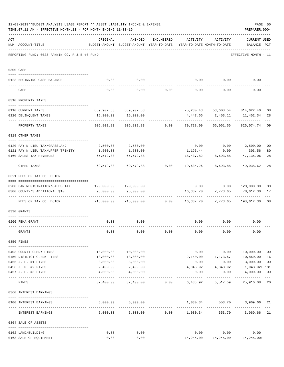|     | 12-03-2019**BUDGET ANALYSIS USAGE REPORT ** ASSET LIABILITY INCOME & EXPENSE<br>TIME: 07:11 AM - EFFECTIVE MONTH: 11 - FOR MONTH ENDING 11-30-19 |                       |                                                     |                      |                                        |                 | PREPARER: 0004                        | PAGE 50              |
|-----|--------------------------------------------------------------------------------------------------------------------------------------------------|-----------------------|-----------------------------------------------------|----------------------|----------------------------------------|-----------------|---------------------------------------|----------------------|
| ACT | NUM ACCOUNT-TITLE                                                                                                                                | ORIGINAL              | AMENDED<br>BUDGET-AMOUNT BUDGET-AMOUNT YEAR-TO-DATE | ENCUMBERED           | ACTIVITY<br>YEAR-TO-DATE MONTH-TO-DATE | ACTIVITY        | CURRENT USED<br>BALANCE PCT           |                      |
|     | REPORTING FUND: 0023 FANNIN CO. R & B #3 FUND                                                                                                    |                       |                                                     |                      |                                        |                 | EFFECTIVE MONTH - 11                  |                      |
|     | 0300 CASH                                                                                                                                        |                       |                                                     |                      |                                        |                 |                                       |                      |
|     | 0123 BEGINNING CASH BALANCE                                                                                                                      | 0.00                  | 0.00                                                |                      |                                        |                 | $0.00$ $0.00$ $0.00$                  |                      |
|     |                                                                                                                                                  |                       |                                                     |                      |                                        |                 |                                       |                      |
|     | CASH                                                                                                                                             | 0.00                  |                                                     | $0.00$ $0.00$ $0.00$ |                                        | 0.00            | 0.00                                  |                      |
|     | 0310 PROPERTY TAXES                                                                                                                              |                       |                                                     |                      |                                        |                 |                                       |                      |
|     | 0110 CURRENT TAXES                                                                                                                               |                       | 889,902.83 889,902.83                               |                      |                                        |                 | 75,280.43 53,608.54 814,622.40        | 08                   |
|     | 0120 DELINQUENT TAXES                                                                                                                            | 15,900.00             | 15,900.00                                           |                      | 4,447.66                               | 2,453.11        | 11,452.34                             | 28                   |
|     | PROPERTY TAXES                                                                                                                                   | 905,802.83            |                                                     | 905,802.83 0.00      | 79,728.09                              | 56,061.65       | 826,074.74                            | 09                   |
|     | 0318 OTHER TAXES                                                                                                                                 |                       |                                                     |                      |                                        |                 |                                       |                      |
|     |                                                                                                                                                  |                       |                                                     |                      |                                        |                 |                                       |                      |
|     | 0120 PAY N LIEU TAX/GRASSLAND                                                                                                                    | 2,500.00              | 2,500.00                                            |                      |                                        |                 | $0.00$ $0.00$ $2,500.00$              | 0 <sub>0</sub>       |
|     | 0121 PAY N LIEU TAX/UPPER TRINITY                                                                                                                | 1,500.00              | 1,500.00                                            |                      |                                        | 1,196.44 0.00   | 303.56                                | 80                   |
|     | 0160 SALES TAX REVENUES                                                                                                                          | 65,572.88             | 65,572.88                                           |                      | 18,437.82                              | 8,693.88        | 47,135.06                             | 28                   |
|     | OTHER TAXES                                                                                                                                      | 69,572.88             | 69,572.88                                           | 0.00                 | 19,634.26                              | 8,693.88        | 49,938.62                             | 28                   |
|     | 0321 FEES OF TAX COLLECTOR                                                                                                                       |                       |                                                     |                      |                                        |                 |                                       |                      |
|     | 0200 CAR REGISTRATION/SALES TAX                                                                                                                  |                       | 120,000.00 120,000.00                               |                      |                                        |                 | $0.00$ $0.00$ $120,000.00$            | 0 <sub>0</sub>       |
|     | 0300 COUNTY'S ADDITIONAL \$10                                                                                                                    | 95,000.00             | 95,000.00                                           |                      | 16,387.70                              | 7,773.65        | 78,612.30                             | 17                   |
|     | FEES OF TAX COLLECTOR                                                                                                                            | 215,000.00            | 215,000.00                                          |                      | $0.00$ 16,387.70 7,773.65              |                 | 198,612.30                            | 08                   |
|     | 0330 GRANTS                                                                                                                                      |                       |                                                     |                      |                                        |                 |                                       |                      |
|     |                                                                                                                                                  |                       |                                                     |                      |                                        |                 |                                       |                      |
|     | 0200 FEMA GRANT                                                                                                                                  | 0.00                  | 0.00                                                |                      | 0.00                                   | 0.00            | 0.00                                  |                      |
|     | GRANTS                                                                                                                                           | 0.00                  | 0.00                                                | 0.00                 | 0.00                                   | 0.00            | 0.00                                  |                      |
|     | 0350 FINES                                                                                                                                       |                       |                                                     |                      |                                        |                 |                                       |                      |
|     |                                                                                                                                                  |                       |                                                     |                      |                                        |                 |                                       |                      |
|     | 0403 COUNTY CLERK FINES                                                                                                                          | 10,000.00             | 10,000.00                                           |                      |                                        |                 | $0.00$ $0.00$ $10,000.00$             | 0 <sub>0</sub>       |
|     | 0450 DISTRICT CLERK FINES<br>0455 J. P. #1 FINES                                                                                                 | 13,000.00<br>3,000.00 | 13,000.00<br>3,000.00                               |                      | 2,140.00<br>0.00                       | 0.00            | 1,173.67 10,860.00<br>3,000.00        | 16<br>0 <sub>0</sub> |
|     | 0456 J. P. #2 FINES                                                                                                                              | 2,400.00              | 2,400.00                                            |                      | 4,343.92                               | 4,343.92        | 1,943.92+ 181                         |                      |
|     | 0457 J. P. #3 FINES                                                                                                                              | 4,000.00              | 4,000.00                                            |                      | 0.00                                   | 0.00            | 4,000.00                              | 00                   |
|     | FINES                                                                                                                                            |                       | 32,400.00 32,400.00                                 |                      | $0.00$ 6,483.92                        | 5,517.59        | 25,916.08                             | $---$<br>20          |
|     | 0360 INTEREST EARNINGS                                                                                                                           |                       |                                                     |                      |                                        |                 |                                       |                      |
|     |                                                                                                                                                  |                       |                                                     |                      |                                        |                 |                                       |                      |
|     | 0100 INTEREST EARNINGS                                                                                                                           |                       | 5,000.00 5,000.00                                   |                      |                                        | 1,030.34 553.70 | 3,969.66 21                           |                      |
|     | INTEREST EARNINGS                                                                                                                                |                       | $5,000.00$ $5,000.00$ $0.00$ $1,030.34$             |                      |                                        | 553.70          | 3,969.66                              | 21                   |
|     | 0364 SALE OF ASSETS                                                                                                                              |                       |                                                     |                      |                                        |                 |                                       |                      |
|     | 0162 LAND/BUILDING                                                                                                                               | 0.00                  | 0.00                                                |                      |                                        | $0.00$ 0.00     | 0.00                                  |                      |
|     | 0163 SALE OF EQUIPMENT                                                                                                                           | 0.00                  | 0.00                                                |                      |                                        |                 | 14, 245.00   14, 245.00   14, 245.00+ |                      |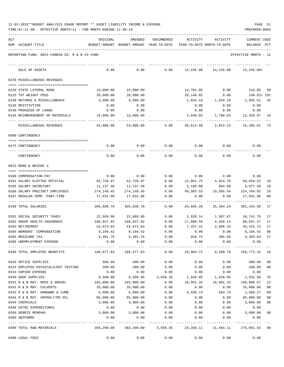| 12-03-2019**BUDGET ANALYSIS USAGE REPORT ** ASSET LIABILITY INCOME & EXPENSE |  |  |  | PAGE |  |
|------------------------------------------------------------------------------|--|--|--|------|--|
|                                                                              |  |  |  |      |  |

| ACT | NUM ACCOUNT-TITLE                                | ORIGINAL                                                    | AMENDED<br>BUDGET-AMOUNT BUDGET-AMOUNT YEAR-TO-DATE | ENCUMBERED          | ACTIVITY  | ACTIVITY<br>YEAR-TO-DATE MONTH-TO-DATE | CURRENT USED<br>BALANCE                                    | PCT    |
|-----|--------------------------------------------------|-------------------------------------------------------------|-----------------------------------------------------|---------------------|-----------|----------------------------------------|------------------------------------------------------------|--------|
|     |                                                  |                                                             |                                                     |                     |           |                                        |                                                            |        |
|     | REPORTING FUND: 0023 FANNIN CO. R & B #3 FUND    |                                                             |                                                     |                     |           |                                        | EFFECTIVE MONTH - 11                                       |        |
|     | SALE OF ASSETS                                   | 0.00                                                        | 0.00                                                | 0.00                |           | 14,245.00 14,245.00                    | 14,245.00+                                                 |        |
|     | 0370 MISCELLANEOUS REVENUES                      |                                                             |                                                     |                     |           |                                        |                                                            |        |
|     | 0120 STATE LATERAL ROAD                          | 15,000.00                                                   | 15,000.00                                           |                     | 14,781.95 | 0.00                                   | 218.05                                                     | 99     |
|     | 0125 TDT WEIGHT FEES                             | 20,000.00                                                   | 20,000.00                                           |                     | 20,148.82 | 0.00                                   | 148.82+ 101                                                |        |
|     | 0130 REFUNDS & MISCELLANEOUS                     | 3,000.00                                                    | 3,000.00                                            |                     | 1,044.19  | 1,044.19                               | 1,955.81                                                   | -35    |
|     | 0139 RESTITUTION                                 | 0.00                                                        | 0.00                                                |                     | 0.00      | 0.00                                   | 0.00                                                       |        |
|     | 0140 PROCEEDS OF LOANS                           | 0.00                                                        | 0.00                                                |                     | 0.00      | 0.00                                   | 0.00                                                       |        |
|     | 0145 REIMBURSEMENT OF MATERIALS                  | 15,000.00                                                   | 15,000.00                                           |                     | 2,640.03  | 1,780.03                               | 12,359.97 18                                               |        |
|     | MISCELLANEOUS REVENUES                           | 53,000.00                                                   | 53,000.00                                           | 0.00                | 38,614.99 | 2,824.22                               | 14,385.01                                                  | 73     |
|     | 0509 CONTINGENCY                                 |                                                             |                                                     |                     |           |                                        |                                                            |        |
|     |                                                  |                                                             |                                                     |                     |           |                                        |                                                            |        |
|     | 0475 CONTINGENCY                                 | 0.00                                                        | 0.00                                                | 0.00                | 0.00      | 0.00                                   | 0.00                                                       |        |
|     | CONTINGENCY                                      | 0.00                                                        | 0.00                                                | 0.00                | 0.00      | 0.00                                   | 0.00                                                       |        |
|     | 0623 ROAD & BRIDGE 3                             |                                                             |                                                     |                     |           |                                        |                                                            |        |
|     | 0100 COMPENSATION PAY                            | 0.00                                                        | 0.00                                                | 0.00                |           | $0.00$ 0.00                            | 0.00                                                       |        |
|     | 0101 SALARY ELECTED OFFICIAL                     | 62,720.97                                                   | 62,720.97                                           | 0.00                | 12,061.75 | 4,824.70                               | 50,659.22                                                  | 19     |
|     | 0105 SALARY SECRETARY                            | 11,137.40                                                   | 11,137.40                                           | 0.00                | 2,160.00  | 864.00                                 | 8,977.40                                                   | 19     |
|     | 0106 SALARY PRECINCT EMPLOYEES                   | 274,148.45                                                  | 274,148.45                                          | 0.00                | 49,383.53 | 19,695.54                              | 224,764.92                                                 | 18     |
|     | 0107 REGULAR-TEMP. PART-TIME                     | 17,031.96                                                   | 17,031.96                                           | 0.00                | 0.00      | 0.00                                   | 17,031.96                                                  | 00     |
|     | -- ----------------------<br>0199 TOTAL SALARIES | ----------<br>365,038.78                                    | -------------<br>365,038.78                         | $- - - - -$<br>0.00 | 63,605.28 | 25,384.24                              | 301,433.50                                                 | 17     |
|     | 0201 SOCIAL SECURITY TAXES                       | 22,669.90                                                   | 22,669.90                                           | 0.00                | 3,928.14  | 1,567.67                               | 18,741.76                                                  | 17     |
|     | 0202 GROUP HEALTH INSURANCE                      | 106,837.92                                                  | 106,837.92                                          | 0.00                | 17,800.55 | 4,450.14                               | 89,037.37                                                  | 17     |
|     | 0203 RETIREMENT                                  | 42,673.03                                                   | 42,673.03                                           | 0.00                | 7,257.31  |                                        | 2,896.32 35,415.72                                         | 17     |
|     | 0204 WORKERS' COMPENSATION                       | 9,194.42                                                    | 9,194.42                                            | 0.00                | 0.00      | 0.00                                   | 9,194.42                                                   | 00     |
|     | 0205 MEDICARE TAX                                | 5,301.76                                                    | 5,301.76                                            | 0.00                | 918.72    | 366.65                                 | 4,383.04                                                   | 17     |
|     | 0206 UNEMPLOYMENT EXPENSE                        | 0.00                                                        | 0.00                                                | 0.00                | 0.00      | 0.00                                   | 0.00                                                       |        |
|     | 0299 TOTAL EMPLOYEE BENEFITS                     | 186,677.03 186,677.03 0.00 29,904.72 9,280.78 156,772.31 16 |                                                     |                     |           |                                        |                                                            |        |
|     | 0310 OFFICE SUPPLIES                             | 500.00                                                      | 500.00                                              | 0.00                | 0.00      | 0.00                                   | 500.00                                                     | 00     |
|     | 0314 EMPLOYEE PHYSICALS/DOT TESTING              | 200.00                                                      | 200.00                                              | 0.00                | 0.00      | 0.00                                   | 200.00                                                     | 00     |
|     | 0315 COPIER EXPENSE                              | 0.00                                                        | 0.00                                                | 0.00                | 0.00      | 0.00                                   | 0.00                                                       |        |
|     | 0340 SHOP SUPPLIES                               | 6,500.00                                                    | 6,500.00                                            | 3,039.35            | 1,928.05  | 1,928.05                               | 1,532.60                                                   | 76     |
|     | 0341 R & B MAT. ROCK & GRAVEL                    | 165,000.00                                                  | 165,000.00                                          | 0.00                | 18,991.33 | 18,991.33                              | 146,008.67                                                 | 12     |
|     | 0342 R & B MAT. CULVERTS                         | 35,000.00                                                   | 35,000.00                                           | 0.00                | 0.00      | 0.00                                   | 35,000.00                                                  | 00     |
|     | 0343 R & B MAT. HARDWRE & LUMB                   | 5,000.00                                                    | 5,000.00                                            | 0.00                | 3,439.73  | 564.73                                 | 1,560.27                                                   | 69     |
|     | 0344 R & B MAT. ASPHALT/RD OIL                   | 85,000.00                                                   | 85,000.00                                           | 0.00                | 0.00      | 0.00                                   | 85,000.00                                                  | $00\,$ |
|     | 0345 CHEMICALS                                   | 3,000.00                                                    | 3,000.00                                            | 0.00                | 0.00      | 0.00                                   | 3,000.00                                                   | 00     |
|     | 0346 CETRZ EXPENDITURES                          | 0.00                                                        | 0.00                                                | 0.00                | 0.00      | 0.00                                   | 0.00                                                       |        |
|     | 0350 DEBRIS REMOVAL                              | 3,000.00                                                    | 3,000.00                                            | 0.00                | 0.00      |                                        | $0.00$ 3,000.00                                            | 00     |
|     | 0395 UNIFORMS                                    | 0.00                                                        | 0.00                                                | 0.00                | 0.00      | 0.00                                   | 0.00                                                       |        |
|     | 0399 TOTAL R&B MATERIALS                         | 303,200.00                                                  |                                                     |                     |           |                                        | 303,200.00  3,039.35  24,359.11  21,484.11  275,801.54  09 |        |
|     | 0400 LEGAL FEES                                  | 0.00                                                        | 0.00                                                | 0.00                | 0.00      | 0.00                                   | 0.00                                                       |        |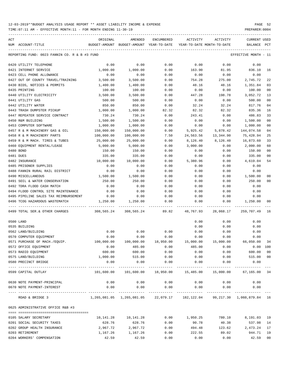| ACT |                                                | ORIGINAL                                                                             | AMENDED                                  | ENCUMBERED                | ACTIVITY                   | ACTIVITY      | <b>CURRENT USED</b>           |              |
|-----|------------------------------------------------|--------------------------------------------------------------------------------------|------------------------------------------|---------------------------|----------------------------|---------------|-------------------------------|--------------|
|     | NUM ACCOUNT-TITLE                              |                                                                                      | BUDGET-AMOUNT BUDGET-AMOUNT YEAR-TO-DATE |                           | YEAR-TO-DATE MONTH-TO-DATE |               | BALANCE                       | $_{\rm PCT}$ |
|     | REPORTING FUND: 0023 FANNIN CO. R & B #3 FUND  |                                                                                      |                                          |                           |                            |               | EFFECTIVE MONTH - 11          |              |
|     | 0420 UTILITY TELEPHONE                         | 0.00                                                                                 | 0.00                                     | 0.00                      | 0.00                       | 0.00          | 0.00                          |              |
|     | 0421 INTERNET SERVICE                          | 1,000.00                                                                             | 1,000.00                                 | 0.00                      | 163.90                     | 81.95         | 836.10                        | 16           |
|     | 0423 CELL PHONE ALLOWANCE                      | 0.00                                                                                 | 0.00                                     | 0.00                      | 0.00                       | 0.00          | 0.00                          |              |
|     | 0427 OUT OF COUNTY TRAVEL/TRAINING             | 3,500.00                                                                             | 3,500.00                                 | 0.00                      | 754.28                     | 275.00        | 2,745.72                      | 22           |
|     | 0430 BIDS, NOTICES & PERMITS                   | 1,400.00                                                                             | 1,400.00                                 | 0.00                      | 48.16                      | 48.16         | 1,351.84                      | 03           |
|     | 0435 PRINTING                                  | 100.00                                                                               | 100.00                                   | 0.00                      | 0.00                       | 0.00          | 100.00                        | 00           |
|     | 0440 UTILITY ELECTRICITY                       | 3,500.00                                                                             | 3,500.00                                 | 0.00                      | 447.28                     | 198.78        | 3,052.72                      | 13           |
|     | 0441 UTILITY GAS                               | 500.00                                                                               | 500.00                                   | 0.00                      | 0.00                       | 0.00          | 500.00                        | 00           |
|     | 0442 UTILITY WATER                             | 850.00                                                                               | 850.00                                   | 0.00                      | 32.24                      | 32.24         | 817.76                        | 04           |
|     | 0443 TRASH DUMPSTER PICKUP                     | 1,000.00                                                                             | 1,000.00                                 | 82.32                     | 82.32                      | 82.32         | 835.36                        | 16           |
|     | 0447 REPEATER SERVICE CONTRACT                 | 730.24                                                                               | 730.24                                   | 0.00                      | 243.41                     | 0.00          | 486.83                        | 33           |
|     | 0450 R&M BUILDING                              | 1,500.00                                                                             | 1,500.00                                 | 0.00                      | 0.00                       | 0.00          | 1,500.00                      | 00           |
|     | 0453 COMPUTER SOFTWARE                         | 1,000.00                                                                             | 1,000.00                                 | 0.00                      | 0.00                       | 0.00          | 1,000.00                      | 00           |
|     | 0457 R & M MACHINERY GAS & OIL                 | 150,000.00                                                                           | 150,000.00                               | 0.00                      | 5,925.42                   | 5,878.42      | 144,074.58                    | 04           |
|     | 0458 R & M MACHINERY PARTS                     | 100,000.00                                                                           | 100,000.00                               | 7.50                      | 24,563.56                  | 13,344.90     | 75,428.94                     | 25           |
|     | 0459 R & M MACH. TIRES & TUBES                 | 25,000.00                                                                            | 25,000.00                                | 0.00                      | 8,126.40                   | 8,126.40      | 16,873.60                     | 33           |
|     | 0460 EOUIPMENT RENTAL/LEASE                    | 5,000.00                                                                             | 5,000.00                                 | 0.00                      | 3,000.00                   | 0.00          | 2,000.00                      | 60           |
|     | 0480 BOND                                      | 150.00                                                                               | 150.00                                   | 0.00                      | 0.00                       | 0.00          | 150.00                        | 00           |
|     | 0481 DUES                                      | 335.00                                                                               | 335.00                                   | 0.00                      | 0.00                       | 0.00          | 335.00                        | 00           |
|     | 0482 INSURANCE                                 | 10,000.00                                                                            | 10,000.00                                | 0.00                      | 5,380.96                   | 0.00          | 4,619.04                      | 54           |
|     | 0485 PRISONER SUPPLIES                         | 0.00                                                                                 | 0.00                                     | 0.00                      | 0.00                       | 0.00          | 0.00                          |              |
|     | 0488 FANNIN RURAL RAIL DISTRICT                | 0.00                                                                                 | 0.00                                     | 0.00                      | 0.00                       | 0.00          | 0.00                          |              |
|     | 0490 MISCELLANEOUS                             | 1,500.00                                                                             | 1,500.00                                 | 0.00                      | 0.00                       | 0.00          | 1,500.00                      | 00           |
|     | 0491 SOIL & WATER CONSERVATION                 | 250.00                                                                               | 250.00                                   | 0.00                      | 0.00                       | 0.00          | 250.00                        | 00           |
|     | 0492 TDRA FLOOD CASH MATCH                     | 0.00                                                                                 | 0.00                                     | 0.00                      | 0.00                       | 0.00          | 0.00                          |              |
|     | 0494 FLOOD CONTROL SITE MAINTENANCE            | 0.00                                                                                 | 0.00                                     | 0.00                      | 0.00                       | 0.00          | 0.00                          |              |
|     | 0495 PIPELINE SALES TAX REIMBURSEMENT          | 0.00                                                                                 | 0.00                                     | 0.00                      | 0.00                       | 0.00          | 0.00                          |              |
|     | 0496 TCOG HAZARDOUS WASTEMATCH                 | 1,250.00                                                                             | 1,250.00                                 | 0.00                      | 0.00                       | 0.00          | 1,250.00                      | 00           |
|     | 0499 TOTAL SER. & OTHER CHARGES                | 308,565.24                                                                           | 308,565.24                               | 89.82                     | 48,767.93                  | 28,068.17     | 259,707.49                    | 16           |
|     | 0500 LAND                                      |                                                                                      |                                          |                           | 0.00                       | 0.00          | 0.00                          |              |
|     | 0535 BUILDING                                  |                                                                                      |                                          |                           | 0.00                       | 0.00          | 0.00                          |              |
|     | 0562 LAND/BUILDING                             | 0.00                                                                                 | 0.00                                     | 0.00                      | 0.00                       | 0.00          | 0.00                          |              |
|     | 0570 COMPUTER EQUIPMENT                        | 0.00                                                                                 | 0.00                                     | 0.00                      | 0.00                       | 0.00          | 0.00                          |              |
|     | 0571 PURCHASE OF MACH./EQUIP.                  | 100,000.00                                                                           | 100,000.00                               | 18,950.00                 | 15,000.00                  | 15,000.00     | 66,050.00                     | 34           |
|     | 0572 OFFICE EQUIPMENT                          | 0.00                                                                                 | 485.00                                   | 0.00                      | 485.00                     | 0.00          | 0.00                          | 100          |
|     | 0573 RADIO EQUIPMENT                           | 600.00                                                                               | 600.00                                   | 0.00                      | 0.00                       | 0.00          | 600.00                        | 00           |
|     | 0575 LAND/BUILDING                             | 1,000.00                                                                             | 515.00                                   | 0.00                      | 0.00                       | 0.00          | 515.00                        | 00           |
|     | 0580 PRECINCT BRIDGE                           | 0.00                                                                                 | 0.00                                     | 0.00                      | 0.00                       | 0.00          | 0.00                          |              |
|     | 0599 CAPITAL OUTLAY                            | 101,600.00                                                                           | -------------<br>101,600.00              | ------------<br>18,950.00 | 15,485.00                  | 15,000.00     | -------------<br>67,165.00 34 | $- - -$      |
|     | 0630 NOTE PAYMENT-PRINCIPAL                    | 0.00                                                                                 | 0.00                                     | 0.00                      | 0.00                       | 0.00          | 0.00                          |              |
|     | 0670 NOTE PAYMENT-INTEREST                     | 0.00                                                                                 | 0.00                                     | 0.00                      | 0.00                       | 0.00          | 0.00                          |              |
|     | ROAD & BRIDGE 3                                | $1,265,081.05$ $1,265,081.05$ $22,079.17$ $182,122.04$ $99,217.30$ $1,060,879.84$ 16 | -------------                            |                           |                            |               |                               |              |
|     | 0625 ADMINISTRATIVE OFFICE R&B #3              |                                                                                      |                                          |                           |                            |               |                               |              |
|     |                                                |                                                                                      |                                          |                           |                            |               |                               |              |
|     | 0105 SALARY SECRETARY                          | 10,141.28                                                                            | 10,141.28                                | 0.00                      | 1,950.25                   | 780.10        | 8,191.03                      | 19           |
|     | 0201 SOCIAL SECURITY TAXES                     | 628.76                                                                               | 628.76                                   | 0.00                      | 90.78                      | 40.38         | 537.98                        | 14           |
|     | 0202 GROUP HEALTH INSURANCE<br>0203 RETIREMENT | 2,967.72                                                                             | 2,967.72                                 | 0.00<br>0.00              | 494.48<br>222.55           | 123.62        | 2,473.24<br>944.71            | 17<br>19     |
|     | 0204 WORKERS' COMPENSATION                     | 1,167.26<br>42.59                                                                    | 1,167.26<br>42.59                        | 0.00                      | 0.00                       | 89.02<br>0.00 | 42.59                         | 00           |
|     |                                                |                                                                                      |                                          |                           |                            |               |                               |              |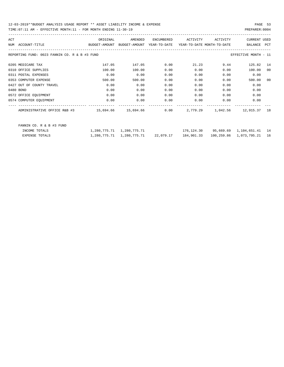| ACT |                                                                                                    | ORIGINAL | AMENDED | ENCUMBERED | ACTIVITY                                                       | ACTIVITY | CURRENT USED               |    |
|-----|----------------------------------------------------------------------------------------------------|----------|---------|------------|----------------------------------------------------------------|----------|----------------------------|----|
|     | BUDGET-AMOUNT BUDGET-AMOUNT YEAR-TO-DATE YEAR-TO-DATE_MONTH-TO-DATE<br>NUM ACCOUNT-TITLE           |          |         |            |                                                                |          | BALANCE PCT                |    |
|     | REPORTING FUND: 0023 FANNIN CO. R & B #3 FUND                                                      |          |         |            |                                                                |          | EFFECTIVE MONTH - 11       |    |
|     | 0205 MEDICARE TAX                                                                                  | 147.05   | 147.05  | 0.00       | 21.23                                                          | 9.44     | 125.82                     | 14 |
|     | 0310 OFFICE SUPPLIES                                                                               | 100.00   | 100.00  | 0.00       | 0.00                                                           | 0.00     | 100.00                     | 00 |
|     | 0311 POSTAL EXPENSES                                                                               | 0.00     | 0.00    | 0.00       | 0.00                                                           | 0.00     | 0.00                       |    |
|     | 0353 COMPUTER EXPENSE                                                                              | 500.00   | 500.00  | 0.00       | 0.00                                                           | 0.00     | 500.00                     | 00 |
|     | 0427 OUT OF COUNTY TRAVEL                                                                          | 0.00     | 0.00    | 0.00       | 0.00                                                           | 0.00     | 0.00                       |    |
|     | 0480 BOND                                                                                          | 0.00     | 0.00    | 0.00       | 0.00                                                           | 0.00     | 0.00                       |    |
|     | 0572 OFFICE EQUIPMENT                                                                              | 0.00     | 0.00    | 0.00       | 0.00                                                           | 0.00     | 0.00                       |    |
|     | 0574 COMPUTER EQUIPMENT                                                                            | 0.00     | 0.00    | 0.00       | 0.00                                                           | 0.00     | 0.00                       |    |
|     | ADMINISTRATIVE OFFICE R&B #3 $15,694.66$ $15,694.66$ $0.00$ $2,779.29$ $1,042.56$ $12,915.37$ $18$ |          |         |            |                                                                |          |                            |    |
|     | FANNIN CO. R & B #3 FUND                                                                           |          |         |            |                                                                |          |                            |    |
|     | INCOME TOTALS                                                                                      |          |         |            | 1,280,775.71 1,280,775.71 176,124.30 95,669.69 1,104,651.41 14 |          |                            |    |
|     | <b>EXPENSE TOTALS</b>                                                                              |          |         |            | 1,280,775.71    1,280,775.71    22,079.17    184,901.33        |          | 100,259.86 1,073,795.21 16 |    |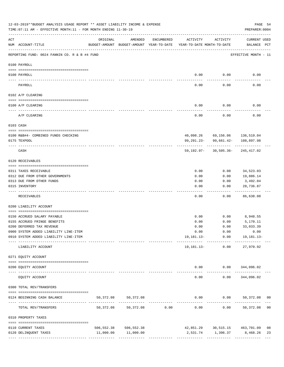|           | 12-03-2019**BUDGET ANALYSIS USAGE REPORT ** ASSET LIABILITY INCOME & EXPENSE<br>TIME: 07:11 AM - EFFECTIVE MONTH: 11 - FOR MONTH ENDING 11-30-19 |                                                                                 |                       |                |            |                                      | PAGE 54<br>PREPARER: 0004                   |
|-----------|--------------------------------------------------------------------------------------------------------------------------------------------------|---------------------------------------------------------------------------------|-----------------------|----------------|------------|--------------------------------------|---------------------------------------------|
| ACT       | NUM ACCOUNT-TITLE                                                                                                                                | ORIGINAL<br>BUDGET-AMOUNT BUDGET-AMOUNT YEAR-TO-DATE YEAR-TO-DATE MONTH-TO-DATE | AMENDED               | ENCUMBERED     | ACTIVITY   | ACTIVITY                             | CURRENT USED<br>BALANCE PCT                 |
|           | REPORTING FUND: 0024 FANNIN CO. R & B #4 FUND                                                                                                    |                                                                                 |                       |                |            |                                      | EFFECTIVE MONTH - 11                        |
|           | 0100 PAYROLL                                                                                                                                     |                                                                                 |                       |                |            |                                      |                                             |
|           |                                                                                                                                                  |                                                                                 |                       |                |            |                                      |                                             |
|           | 0100 PAYROLL                                                                                                                                     |                                                                                 |                       |                | 0.00       | 0.00                                 | 0.00                                        |
|           | PAYROLL                                                                                                                                          |                                                                                 |                       |                | 0.00       | 0.00                                 | 0.00                                        |
|           | 0102 A/P CLEARING                                                                                                                                |                                                                                 |                       |                |            |                                      |                                             |
|           | 0100 A/P CLEARING                                                                                                                                |                                                                                 |                       |                | 0.00       | 0.00                                 | 0.00                                        |
|           | A/P CLEARING                                                                                                                                     |                                                                                 |                       |                | 0.00       | 0.00                                 | 0.00                                        |
| 0103 CASH |                                                                                                                                                  |                                                                                 |                       |                |            |                                      |                                             |
|           | 0100 R&B#4- COMBINED FUNDS CHECKING                                                                                                              |                                                                                 |                       |                |            | 40,098.26 69,156.06 136,519.04       |                                             |
|           | 0175 TEXPOOL                                                                                                                                     |                                                                                 |                       |                | 99,291.23- | 99,661.42-                           | 108,897.98                                  |
|           | CASH                                                                                                                                             |                                                                                 |                       |                |            | $59,192.97 - 30,505.36 - 245,417.02$ |                                             |
|           | 0120 RECEIVABLES                                                                                                                                 |                                                                                 |                       |                |            |                                      |                                             |
|           | 0311 TAXES RECEIVABLE                                                                                                                            |                                                                                 |                       |                | 0.00       | 0.00                                 | 34,523.03                                   |
|           | 0312 DUE FROM OTHER GOVERNMENTS                                                                                                                  |                                                                                 |                       |                | 0.00       | 0.00                                 | 19,886.14                                   |
|           | 0313 DUE FROM OTHER FUNDS                                                                                                                        |                                                                                 |                       |                | 0.00       | 0.00                                 | 3,492.04                                    |
|           | 0315 INVENTORY                                                                                                                                   |                                                                                 |                       |                | 0.00       | 0.00                                 | 28,736.87<br>.                              |
|           | RECEIVABLES                                                                                                                                      |                                                                                 |                       |                | 0.00       | 0.00                                 | 86,638.08                                   |
|           | 0200 LIABILITY ACCOUNT                                                                                                                           |                                                                                 |                       |                |            |                                      |                                             |
|           | 0150 ACCRUED SALARY PAYABLE                                                                                                                      |                                                                                 |                       |                | 0.00       | 0.00                                 | 8,948.55                                    |
|           | 0155 ACCRUED FRINGE BENEFITS                                                                                                                     |                                                                                 |                       |                | 0.00       | 0.00                                 | 5,170.11                                    |
|           | 0200 DEFERRED TAX REVENUE                                                                                                                        |                                                                                 |                       |                | 0.00       | 0.00                                 | 33,033.39                                   |
|           | 0900 SYSTEM ADDED LIABILITY LINE-ITEM                                                                                                            |                                                                                 |                       |                |            | $0.00$ $0.00$ $0.00$ $0.00$          |                                             |
|           | 0910 SYSTEM ADDED LIABILITY LINE-ITEM                                                                                                            |                                                                                 |                       |                |            |                                      | 19, 181. 13 - 0.00 19, 181. 13 -            |
|           | LIABILITY ACCOUNT                                                                                                                                |                                                                                 |                       |                |            | 19,181.13- 0.00                      | 27,970.92                                   |
|           | 0271 EQUITY ACCOUNT                                                                                                                              |                                                                                 |                       |                |            |                                      |                                             |
|           | 0200 EQUITY ACCOUNT                                                                                                                              |                                                                                 |                       |                |            | $0.00$ $0.00$ $344,096.02$           |                                             |
|           | EQUITY ACCOUNT                                                                                                                                   |                                                                                 |                       |                | 0.00       | 0.00                                 | 344,096.02                                  |
|           | 0300 TOTAL REV/TRANSFERS                                                                                                                         |                                                                                 |                       |                |            |                                      |                                             |
|           | 0124 BEGINNING CASH BALANCE                                                                                                                      | 50,372.08                                                                       | 50,372.08             |                |            |                                      | $0.00$ $0.00$ $50,372.08$<br>0 <sub>0</sub> |
|           | TOTAL REV/TRANSFERS                                                                                                                              | 50,372.08                                                                       |                       | 50,372.08 0.00 | 0.00       |                                      | $0.00$ 50,372.08<br>0 <sub>0</sub>          |
|           | 0310 PROPERTY TAXES                                                                                                                              |                                                                                 |                       |                |            |                                      |                                             |
|           | 0110 CURRENT TAXES                                                                                                                               |                                                                                 | 506,552.38 506,552.38 |                |            |                                      | 42,851.29 30,515.15 463,701.09<br>08        |
|           | 0120 DELINQUENT TAXES                                                                                                                            |                                                                                 | 11,000.00 11,000.00   |                |            |                                      | 2,531.74 1,396.37 8,468.26<br>23            |
|           |                                                                                                                                                  |                                                                                 |                       |                |            |                                      |                                             |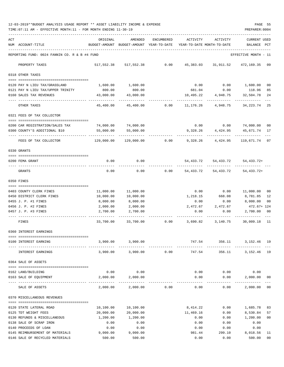| ACT |                                               | ORIGINAL   | AMENDED                                  | ENCUMBERED | ACTIVITY                   | ACTIVITY            | <b>CURRENT USED</b>       |              |
|-----|-----------------------------------------------|------------|------------------------------------------|------------|----------------------------|---------------------|---------------------------|--------------|
|     | NUM ACCOUNT-TITLE                             |            | BUDGET-AMOUNT BUDGET-AMOUNT YEAR-TO-DATE |            | YEAR-TO-DATE MONTH-TO-DATE |                     | BALANCE                   | $_{\rm PCT}$ |
|     |                                               |            |                                          |            |                            |                     |                           |              |
|     | REPORTING FUND: 0024 FANNIN CO. R & B #4 FUND |            |                                          |            |                            |                     | EFFECTIVE MONTH - 11      |              |
|     | PROPERTY TAXES                                |            | 517,552.38 517,552.38                    | 0.00       |                            | 45,383.03 31,911.52 | 472,169.35 09             |              |
|     | 0318 OTHER TAXES                              |            |                                          |            |                            |                     |                           |              |
|     |                                               |            |                                          |            |                            |                     |                           |              |
|     | 0120 PAY N LIEU TAX/GRASSLAND                 | 1,600.00   | 1,600.00                                 |            | 0.00                       |                     | $0.00$ 1,600.00           | 00           |
|     | 0121 PAY N LIEU TAX/UPPER TRINITY             | 800.00     | 800.00                                   |            | 681.04                     | 0.00                | 118.96                    | 85           |
|     | 0160 SALES TAX REVENUES                       | 43,000.00  | 43,000.00                                |            | 10,495.22                  | 4,948.75            | 32,504.78                 | 24           |
|     | OTHER TAXES                                   | 45,400.00  | 45,400.00                                | 0.00       | 11,176.26                  | 4,948.75            | 34, 223. 74 25            |              |
|     | 0321 FEES OF TAX COLLECTOR                    |            |                                          |            |                            |                     |                           |              |
|     | 0200 CAR REGISTRATION/SALES TAX               | 74,000.00  | 74,000.00                                |            |                            |                     | $0.00$ $0.00$ $74,000.00$ | 00           |
|     | 0300 COUNTY'S ADDITIONAL \$10                 | 55,000.00  | 55,000.00                                |            | 9,328.26                   | 4,424.95            | 45,671.74                 | 17           |
|     |                                               |            |                                          |            |                            |                     |                           |              |
|     | FEES OF TAX COLLECTOR                         | 129,000.00 | 129,000.00                               | 0.00       | 9,328.26                   | 4,424.95            | 119,671.74                | 07           |
|     | 0330 GRANTS                                   |            |                                          |            |                            |                     |                           |              |
|     | 0200 FEMA GRANT                               | 0.00       | 0.00                                     |            |                            | 54,433.72 54,433.72 | 54, 433. 72+              |              |
|     |                                               |            |                                          |            |                            |                     |                           |              |
|     | GRANTS                                        | 0.00       | 0.00                                     | 0.00       | 54,433.72                  | 54,433.72           | 54, 433. 72+              |              |
|     | 0350 FINES                                    |            |                                          |            |                            |                     |                           |              |
|     | 0403 COUNTY CLERK FINES                       | 11,000.00  | 11,000.00                                |            | 0.00                       | 0.00                | 11,000.00                 | 00           |
|     | 0450 DISTRICT CLERK FINES                     | 10,000.00  | 10,000.00                                |            | 1,218.15                   | 668.08              | 8,781.85                  | 12           |
|     | 0455 J. P. #1 FINES                           | 8,000.00   | 8,000.00                                 |            | 0.00                       | 0.00                | 8,000.00                  | 00           |
|     | 0456 J. P. #2 FINES                           | 2,000.00   | 2,000.00                                 |            | 2,472.67                   | 2,472.67            | 472.67+ 124               |              |
|     | 0457 J. P. #3 FINES                           | 2,700.00   | 2,700.00                                 |            | 0.00                       | 0.00                | 2,700.00                  | 00           |
|     | FINES                                         | 33,700.00  | 33,700.00                                | 0.00       | 3,690.82                   | 3,140.75            | 30,009.18 11              |              |
|     | 0360 INTEREST EARNINGS                        |            |                                          |            |                            |                     |                           |              |
|     |                                               |            |                                          |            |                            |                     |                           |              |
|     | 0100 INTEREST EARNING                         | 3,900.00   | 3,900.00                                 |            | 747.54                     | 356.11              | 3, 152. 46 19             |              |
|     | INTEREST EARNINGS                             |            | 3,900.00 3,900.00                        | 0.00       | 747.54                     | 356.11              | 3, 152. 46 19             |              |
|     | 0364 SALE OF ASSETS                           |            |                                          |            |                            |                     |                           |              |
|     |                                               |            |                                          |            |                            |                     |                           |              |
|     | 0162 LAND/BUILDING<br>0163 SALE OF EQUIPMENT  | 0.00       | 0.00                                     |            | 0.00                       | 0.00                | 0.00                      |              |
|     |                                               | 2,000.00   | 2,000.00                                 |            | 0.00                       | 0.00<br>-----       | 2,000.00                  | 00           |
|     | SALE OF ASSETS                                | 2,000.00   | 2,000.00                                 | 0.00       | 0.00                       | 0.00                | 2,000.00                  | 00           |
|     | 0370 MISCELLANEOUS REVENUES                   |            |                                          |            |                            |                     |                           |              |
|     | 0120 STATE LATERAL ROAD                       | 10,100.00  | 10,100.00                                |            | 8,414.22                   | 0.00                | 1,685.78                  | 83           |
|     | 0125 TDT WEIGHT FEES                          | 20,000.00  | 20,000.00                                |            | 11,469.16                  | 0.00                | 8,530.84                  | 57           |
|     | 0130 REFUNDS & MISCELLANEOUS                  | 1,200.00   | 1,200.00                                 |            | 0.00                       | 0.00                | 1,200.00                  | 00           |
|     | 0138 SALE OF SCRAP IRON                       | 0.00       | 0.00                                     |            | 0.00                       | 0.00                | 0.00                      |              |
|     | 0140 PROCEEDS OF LOAN                         | 0.00       | 0.00                                     |            | 0.00                       | 0.00                | 0.00                      |              |
|     | 0145 REIMBURSEMENT OF MATERIALS               | 9,000.00   | 9,000.00                                 |            | 981.44                     | 299.10              | 8,018.56                  | 11           |
|     | 0146 SALE OF RECYCLED MATERIALS               | 500.00     | 500.00                                   |            | 0.00                       | 0.00                | 500.00                    | $00\,$       |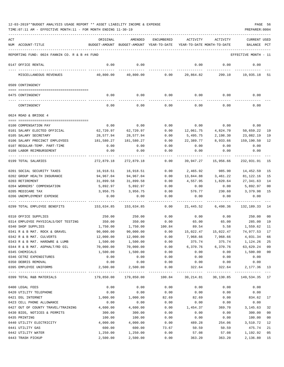| ACT |                                               | ORIGINAL   | AMENDED                                  | <b>ENCUMBERED</b> | ACTIVITY                   | ACTIVITY                          | <b>CURRENT USED</b>  |     |
|-----|-----------------------------------------------|------------|------------------------------------------|-------------------|----------------------------|-----------------------------------|----------------------|-----|
|     | NUM ACCOUNT-TITLE                             |            | BUDGET-AMOUNT BUDGET-AMOUNT YEAR-TO-DATE |                   | YEAR-TO-DATE MONTH-TO-DATE |                                   | BALANCE              | PCT |
|     |                                               |            |                                          |                   |                            |                                   |                      |     |
|     | REPORTING FUND: 0024 FANNIN CO. R & B #4 FUND |            |                                          |                   |                            |                                   | EFFECTIVE MONTH - 11 |     |
|     | 0147 OFFICE RENTAL                            | 0.00       | 0.00                                     |                   | 0.00                       | 0.00                              | 0.00                 |     |
|     | MISCELLANEOUS REVENUES                        | 40,800.00  | 40,800.00                                | 0.00              | 20,864.82                  | 299.10                            | 19,935.18            | -51 |
|     | 0509 CONTINGENCY                              |            |                                          |                   |                            |                                   |                      |     |
|     |                                               |            |                                          |                   |                            |                                   |                      |     |
|     | 0475 CONTINGENCY                              | 0.00       | 0.00                                     | 0.00              | 0.00                       | 0.00                              | 0.00                 |     |
|     | CONTINGENCY                                   | 0.00       | 0.00                                     | 0.00              | 0.00                       | 0.00                              | 0.00                 |     |
|     | 0624 ROAD & BRIDGE 4                          |            |                                          |                   |                            |                                   |                      |     |
|     |                                               |            |                                          |                   |                            |                                   |                      |     |
|     | 0100 COMPENSATION PAY                         | 0.00       | 0.00                                     | 0.00              | 0.00                       | 0.00                              | 0.00                 |     |
|     | 0101 SALARY ELECTED OFFICIAL                  | 62,720.97  | 62,720.97                                | 0.00              | 12,061.75                  | 4,824.70                          | 50,659.22            | 19  |
|     | 0105 SALARY SECRETARY                         | 28,577.94  | 28,577.94                                | 0.00              | 5,495.75                   | 2,198.30                          | 23,082.19            | 19  |
|     | 0106 SALARY PRECINCT EMPLOYEES                | 181,580.27 | 181,580.27                               | 0.00              | 22,389.77                  | 8,933.66                          | 159,190.50           | 12  |
|     | 0107 REGULAR-TEMP. PART-TIME                  | 0.00       | 0.00                                     | 0.00              | 0.00                       | 0.00                              | 0.00                 |     |
|     | 0108 LABOR REIMBURSEMENT                      | 0.00       | 0.00                                     | 0.00              | 0.00                       | 0.00                              | 0.00                 |     |
|     | 0199 TOTAL SALARIES                           | 272,879.18 | 272,879.18                               | 0.00              | 39,947.27                  | 15,956.66                         | 232,931.91           | 15  |
|     | 0201 SOCIAL SECURITY TAXES                    | 16,918.51  | 16,918.51                                | 0.00              | 2,465.92                   | 985.90                            | 14,452.59            | 15  |
|     | 0202 GROUP HEALTH INSURANCE                   | 94,967.04  | 94,967.04                                | 0.00              | 13,844.88                  | 3,461.22                          | 81,122.16            | 15  |
|     | 0203 RETIREMENT                               | 31,899.58  | 31,899.58                                | 0.00              | 4,557.95                   | 1,820.64                          | 27,341.63            | 14  |
|     | 0204 WORKERS' COMPENSATION                    | 5,892.97   | 5,892.97                                 | 0.00              | 0.00                       | 0.00                              | 5,892.97             | 00  |
|     | 0205 MEDICARE TAX                             | 3,956.75   | 3,956.75                                 | 0.00              | 576.77                     | 230.60                            | 3,379.98             | 15  |
|     | 0206 UNEMPLOYMENT EXPENSE                     | 0.00       | 0.00                                     | 0.00              | 0.00                       | 0.00                              | 0.00                 |     |
|     |                                               |            |                                          |                   |                            |                                   |                      |     |
|     | 0299 TOTAL EMPLOYEE BENEFITS                  | 153,634.85 | 153,634.85                               | 0.00              | 21,445.52                  | 6,498.36                          | 132,189.33           | -14 |
|     | 0310 OFFICE SUPPLIES                          | 250.00     | 250.00                                   | 0.00              | 0.00                       | 0.00                              | 250.00               | 00  |
|     | 0314 EMPLOYEE PHYSICALS/DOT TESTING           | 350.00     | 350.00                                   | 0.00              | 65.00                      | 65.00                             | 285.00               | 19  |
|     | 0340 SHOP SUPPLIES                            | 1,750.00   | 1,750.00                                 | 100.84            | 89.54                      | 5.58                              | 1,559.62             | 11  |
|     | 0341 R & B MAT. ROCK & GRAVEL                 | 90,000.00  | 90,000.00                                | 0.00              | 15,022.47                  | 15,022.47                         | 74,977.53            | 17  |
|     | 0342 R & B MAT. CULVERTS                      | 12,000.00  | 12,000.00                                | 0.00              | 7,968.66                   | 7,968.66                          | 4,031.34             | 66  |
|     | 0343 R & B MAT. HARDWRE & LUMB                | 1,500.00   | 1,500.00                                 | 0.00              | 375.74                     | 375.74                            | 1,124.26             | 25  |
|     | 0344 R & B MAT. ASPHALT/RD OIL                | 70,000.00  | 70,000.00                                | 0.00              | 6,370.76                   | 6,370.76                          | 63,629.24            | 09  |
|     | 0345 CHEMICALS                                | 1,500.00   | 1,500.00                                 | 0.00              | 0.00                       | 0.00                              | 1,500.00             | 00  |
|     | 0346 CETRZ EXPENDITURES                       | 0.00       | 0.00                                     | 0.00              | 0.00                       | 0.00                              | 0.00                 |     |
|     | 0350 DEBRIS REMOVAL                           | 0.00       | 0.00                                     | 0.00              | 0.00                       | 0.00                              | 0.00                 |     |
|     | 0395 EMPLOYEE UNIFORMS                        | 2,500.00   | 2,500.00                                 | 0.00              | 322.64                     | 322.64<br>---------- ------------ | 2,177.36             | 13  |
|     | 0399 TOTAL R&B MATERIALS                      | 179,850.00 | 179,850.00                               | 100.84            | 30,214.81                  | 30,130.85                         | 149,534.35 17        |     |
|     | 0400 LEGAL FEES                               | 0.00       | 0.00                                     | 0.00              | 0.00                       | 0.00                              | 0.00                 |     |
|     | 0420 UTILITY TELEPHONE                        | 0.00       | 0.00                                     | 0.00              | 0.00                       | 0.00                              | 0.00                 |     |
|     | 0421 DSL INTERNET                             | 1,000.00   | 1,000.00                                 | 82.69             | 82.69                      | 0.00                              | 834.62               | 17  |
|     | 0423 CELL PHONE ALLOWANCE                     | 0.00       | 0.00                                     | 0.00              | 0.00                       | 0.00                              | 0.00                 |     |
|     | 0427 OUT OF COUNTY TRAVEL/TRAINING            | 4,600.00   | 4,600.00                                 | 0.00              | 1,454.37                   | 369.70                            | 3,145.63             | 32  |
|     | 0430 BIDS, NOTICES & PERMITS                  | 300.00     | 300.00                                   | 0.00              | 0.00                       | 0.00                              | 300.00               | 00  |
|     | 0435 PRINTING                                 | 100.00     | 100.00                                   | 0.00              | 0.00                       | 0.00                              | 100.00               | 00  |
|     | 0440 UTILITY ELECTRICITY                      | 4,000.00   | 4,000.00                                 | 0.00              | 489.28                     | 254.06                            | 3,510.72             | 12  |
|     | 0441 UTILITY GAS                              | 600.00     | 600.00                                   | 73.67             | 50.59                      | 50.59                             | 475.74               | 21  |
|     | 0442 UTILITY WATER                            | 1,250.00   | 1,250.00                                 | 0.00              | 57.08                      | 57.08                             | 1,192.92             | 05  |
|     | 0443 TRASH PICKUP                             | 2,500.00   | 2,500.00                                 | 0.00              | 363.20                     | 363.20                            | 2,136.80             | 15  |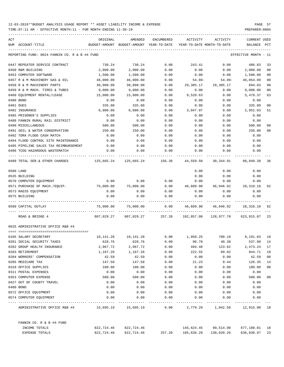| ACT                                              | ORIGINAL     | AMENDED                                        | ENCUMBERED   | ACTIVITY                   | ACTIVITY                                                         | CURRENT USED         |                |
|--------------------------------------------------|--------------|------------------------------------------------|--------------|----------------------------|------------------------------------------------------------------|----------------------|----------------|
| NUM ACCOUNT-TITLE                                |              | BUDGET-AMOUNT BUDGET-AMOUNT YEAR-TO-DATE       |              | YEAR-TO-DATE MONTH-TO-DATE |                                                                  | BALANCE              | PCT            |
| REPORTING FUND: 0024 FANNIN CO. R & B #4 FUND    |              |                                                |              |                            |                                                                  | EFFECTIVE MONTH - 11 |                |
| 0447 REPEATER SERVICE CONTRACT                   | 730.24       | 730.24                                         | 0.00         | 243.41                     | 0.00                                                             | 486.83               | 33             |
| 0450 R&M BUILDING                                | 2,000.00     | 2,000.00                                       | 0.00         | 0.00                       | 0.00                                                             | 2,000.00             | 0 <sub>0</sub> |
| 0453 COMPUTER SOFTWARE                           | 1,500.00     | 1,500.00                                       | 0.00         | 0.00                       | 0.00                                                             | 1,500.00             | 00             |
| 0457 R & M MACHINERY GAS & OIL                   | 46,000.00    | 46,000.00                                      | 0.00         | 54.89-                     | $54.89 -$                                                        | 46,054.89            | 00             |
| 0458 R & M MACHINERY PARTS                       | 30,000.00    | 30,000.00                                      | 0.00         | 29,305.17                  | 29,305.17                                                        | 694.83               | 98             |
| 0459 R & M MACH. TIRES & TUBES                   | 9,000.00     | 9,000.00                                       | 0.00         | 0.00                       | 0.00                                                             | 9,000.00             | 00             |
| 0460 EQUIPMENT RENTAL/LEASE                      | 15,000.00    | 15,000.00                                      | 0.00         | 9,520.63                   | 0.00                                                             | 5,479.37             | 63             |
| 0480 BOND                                        | 0.00         | 0.00                                           | 0.00         | 0.00                       | 0.00                                                             | 0.00                 |                |
| 0481 DUES                                        | 335.00       | 335.00                                         | 0.00         | 0.00                       | 0.00                                                             | 335.00               | 00             |
| 0482 INSURANCE                                   | 6,000.00     | 6,000.00                                       | 0.00         | 3,047.97                   | 0.00                                                             | 2,952.03             | 51             |
| 0485 PRISONER'S SUPPLIES                         | 0.00         | 0.00                                           | 0.00         | 0.00                       | 0.00                                                             | 0.00                 |                |
| 0488 FANNIN RURAL RAIL DISTRICT                  | 0.00         | 0.00                                           | 0.00         | 0.00                       | 0.00                                                             | 0.00                 |                |
| 0490 MISCELLANEOUS                               | 500.00       | 500.00                                         | 0.00         | 0.00                       | 0.00                                                             | 500.00               | 00             |
| 0491 SOIL & WATER CONSERVATION                   | 250.00       | 250.00                                         | 0.00         | 0.00                       | 0.00                                                             | 250.00               | 00             |
| 0492 TDRA FLOOD CASH MATCH                       | 0.00         | 0.00                                           | 0.00         | 0.00                       | 0.00                                                             | 0.00                 |                |
| 0494 FLOOD CONTROL SITE MAINTENANCE              | 0.00         | 0.00                                           | 0.00         | 0.00                       | 0.00                                                             | 0.00                 |                |
| 0495 PIPELINE SALES TAX REIMBURSEMENT            | 0.00         | 0.00                                           | 0.00         | 0.00                       | 0.00                                                             | 0.00                 |                |
| 0496 TCOG HAZARDOUS WASTEMATCH                   | 0.00         | 0.00                                           | 0.00         | 0.00                       | 0.00                                                             | 0.00                 |                |
| 0499 TOTAL SER.& OTHER CHARGES                   |              | $125,665.24$ $125,665.24$ $156.36$ $44,559.50$ |              |                            | 30,344.91 80,949.38                                              |                      | 36             |
| 0500 LAND                                        |              |                                                |              | 0.00                       | 0.00                                                             | 0.00                 |                |
| 0535 BUILDING                                    |              |                                                |              | 0.00                       | 0.00                                                             | 0.00                 |                |
| 0570 COMPUTER EQUIPMENT                          | 0.00         | 0.00                                           | 0.00         | 0.00                       | 0.00                                                             | 0.00                 |                |
| 0571 PURCHASE OF MACH./EQUIP.                    | 75,000.00    | 75,000.00                                      | 0.00         |                            | 46,689.90  46,046.92  28,310.10                                  |                      | 62             |
| 0573 RADIO EQUIPMENT                             | 0.00         | 0.00                                           | 0.00         | 0.00                       | 0.00                                                             | 0.00                 |                |
| 0575 BUILDING                                    | 0.00         | 0.00                                           | 0.00         | 0.00                       | 0.00                                                             | 0.00                 |                |
| 0599 CAPITAL OUTLAY                              | 75,000.00    | 75,000.00                                      | 0.00         |                            | 46,689.90 46,046.92 28,310.10                                    |                      | 62             |
| ROAD & BRIDGE 4                                  |              |                                                |              |                            | 807,029.27 807,029.27 257.20 182,857.00 128,977.70 623,915.07 23 |                      |                |
| 0625 ADMINISTRATIVE OFFICE R&B #4                |              |                                                |              |                            |                                                                  |                      |                |
|                                                  |              |                                                |              |                            |                                                                  |                      |                |
| 0105 SALARY SECRETARY                            | 10,141.28    | 10,141.28                                      | 0.00         | 1,950.25                   |                                                                  | 780.10 8,191.03 19   |                |
| 0201 SOCIAL SECURITY TAXES                       | 628.76       | 628.76                                         | 0.00         | 90.78                      | 40.38                                                            | 537.98               | 14             |
| 0202 GROUP HEALTH INSURANCE                      | 2,967.72     | 2,967.72                                       | 0.00         | 494.48                     | 123.62                                                           | 2,473.24             | 17             |
| 0203 RETIREMENT                                  | 1,167.26     | 1,167.26                                       | 0.00         | 222.55                     | 89.02                                                            | 944.71               | 19             |
| 0204 WORKERS' COMPENSATION                       | 42.59        | 42.59                                          | 0.00         | 0.00                       | 0.00                                                             | 42.59                | 00             |
| 0205 MEDICARE TAX                                | 147.58       | 147.58                                         | 0.00         | 21.23                      | 9.44                                                             | 126.35               | 14             |
| 0310 OFFICE SUPPLIES                             | 100.00       | 100.00                                         | 0.00         | 0.00                       | 0.00                                                             | 100.00               | 00             |
| 0311 POSTAL EXPENSES                             | 0.00         | 0.00                                           | 0.00         | 0.00                       | 0.00                                                             | 0.00                 |                |
| 0353 COMPUTER EXPENSE                            | 500.00       | 500.00                                         | 0.00         | 0.00                       | 0.00                                                             | 500.00               | 00             |
| 0427 OUT OF COUNTY TRAVEL                        | 0.00         | 0.00                                           | 0.00         | 0.00                       | 0.00                                                             | 0.00                 |                |
| 0480 BOND                                        | 0.00         | 0.00                                           | 0.00         | 0.00                       | 0.00                                                             | 0.00                 |                |
| 0572 OFFICE EQUIPMENT<br>0574 COMPUTER EQUIPMENT | 0.00<br>0.00 | 0.00<br>0.00                                   | 0.00<br>0.00 | 0.00<br>0.00               | 0.00<br>0.00                                                     | 0.00<br>0.00         |                |
| ADMINISTRATIVE OFFICE R&B #4                     |              |                                                | 0.00         |                            | 2,779.29 1,042.56 12,915.90 18                                   |                      |                |
| FANNIN CO. R & B #4 FUND                         |              |                                                |              |                            |                                                                  |                      |                |
| INCOME TOTALS                                    | 822,724.46   | 822,724.46                                     |              |                            | 145,624.45 99,514.90                                             | 677,100.01 18        |                |
| EXPENSE TOTALS                                   | 822,724.46   | 822,724.46                                     | 257.20       | 185,636.29                 | 130,020.26                                                       | 636,830.97           | 23             |
|                                                  |              |                                                |              |                            |                                                                  |                      |                |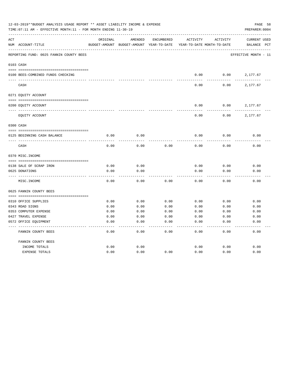|     | 12-03-2019**BUDGET ANALYSIS USAGE REPORT ** ASSET LIABILITY INCOME & EXPENSE<br>PREPARER: 0004<br>TIME: 07:11 AM - EFFECTIVE MONTH: 11 - FOR MONTH ENDING 11-30-19 |              |                                          |                   |                            |              |                      |  |  |  |
|-----|--------------------------------------------------------------------------------------------------------------------------------------------------------------------|--------------|------------------------------------------|-------------------|----------------------------|--------------|----------------------|--|--|--|
| ACT |                                                                                                                                                                    | ORIGINAL     | AMENDED                                  | <b>ENCUMBERED</b> | ACTIVITY                   | ACTIVITY     | CURRENT USED         |  |  |  |
|     | NUM ACCOUNT-TITLE                                                                                                                                                  |              | BUDGET-AMOUNT BUDGET-AMOUNT YEAR-TO-DATE |                   | YEAR-TO-DATE MONTH-TO-DATE |              | BALANCE PCT          |  |  |  |
|     | REPORTING FUND: 0025 FANNIN COUNTY BEES                                                                                                                            |              |                                          |                   |                            |              | EFFECTIVE MONTH - 11 |  |  |  |
|     | 0103 CASH                                                                                                                                                          |              |                                          |                   |                            |              |                      |  |  |  |
|     | 0100 BEES-COMBINED FUNDS CHECKING                                                                                                                                  |              |                                          |                   | 0.00                       | 0.00         | 2,177.67             |  |  |  |
|     | CASH                                                                                                                                                               |              |                                          |                   | 0.00                       | 0.00         | 2,177.67             |  |  |  |
|     | 0271 EQUITY ACCOUNT                                                                                                                                                |              |                                          |                   |                            |              |                      |  |  |  |
|     | 0200 EQUITY ACCOUNT                                                                                                                                                |              |                                          |                   | 0.00                       | 0.00         | 2,177.67             |  |  |  |
|     | EQUITY ACCOUNT                                                                                                                                                     |              |                                          |                   | 0.00                       | 0.00         | 2,177.67             |  |  |  |
|     | 0300 CASH                                                                                                                                                          |              |                                          |                   |                            |              |                      |  |  |  |
|     | 0125 BEGINNING CASH BALANCE                                                                                                                                        | 0.00         | 0.00                                     |                   | 0.00                       | 0.00         | 0.00                 |  |  |  |
|     | CASH                                                                                                                                                               | 0.00         | 0.00                                     | 0.00              | 0.00                       | 0.00         | 0.00                 |  |  |  |
|     | 0370 MISC. INCOME                                                                                                                                                  |              |                                          |                   |                            |              |                      |  |  |  |
|     |                                                                                                                                                                    |              |                                          |                   |                            |              |                      |  |  |  |
|     | 0138 SALE OF SCRAP IRON<br>0625 DONATIONS                                                                                                                          | 0.00<br>0.00 | 0.00<br>0.00                             |                   | 0.00<br>0.00               | 0.00<br>0.00 | 0.00<br>0.00         |  |  |  |
|     | MISC. INCOME                                                                                                                                                       | 0.00         | 0.00                                     | 0.00              | 0.00                       | 0.00         | 0.00                 |  |  |  |
|     | 0625 FANNIN COUNTY BEES                                                                                                                                            |              |                                          |                   |                            |              |                      |  |  |  |
|     | 0310 OFFICE SUPPLIES                                                                                                                                               | 0.00         | 0.00                                     | 0.00              | 0.00                       | 0.00         | 0.00                 |  |  |  |
|     | 0343 ROAD SIGNS                                                                                                                                                    | 0.00         | 0.00                                     | 0.00              | 0.00                       | 0.00         | 0.00                 |  |  |  |
|     | 0353 COMPUTER EXPENSE                                                                                                                                              | 0.00         | 0.00                                     | 0.00              | 0.00                       | 0.00         | 0.00                 |  |  |  |
|     | 0427 TRAVEL EXPENSE                                                                                                                                                | 0.00         | 0.00                                     | 0.00              | 0.00                       | 0.00         | 0.00                 |  |  |  |
|     | 0572 OFFICE EQUIPMENT                                                                                                                                              | 0.00         | 0.00                                     | 0.00              | 0.00                       | 0.00         | 0.00                 |  |  |  |
|     | FANNIN COUNTY BEES                                                                                                                                                 | 0.00         | 0.00                                     | 0.00              | 0.00                       | 0.00         | 0.00                 |  |  |  |
|     | FANNIN COUNTY BEES                                                                                                                                                 |              |                                          |                   |                            |              |                      |  |  |  |
|     | INCOME TOTALS                                                                                                                                                      | 0.00         | 0.00                                     |                   | 0.00                       | 0.00         | 0.00                 |  |  |  |
|     | <b>EXPENSE TOTALS</b>                                                                                                                                              | 0.00         | 0.00                                     | 0.00              | 0.00                       | 0.00         | 0.00                 |  |  |  |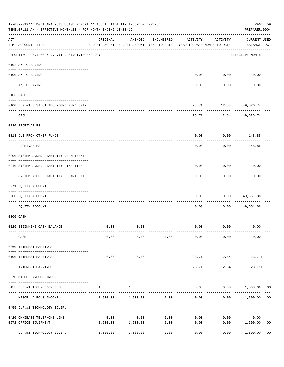|     | 12-03-2019**BUDGET ANALYSIS USAGE REPORT ** ASSET LIABILITY INCOME & EXPENSE<br>TIME: 07:11 AM - EFFECTIVE MONTH: 11 - FOR MONTH ENDING 11-30-19 |                     |                                                     |              |                                        |                  | PAGE 59<br>PREPARER: 0004          |
|-----|--------------------------------------------------------------------------------------------------------------------------------------------------|---------------------|-----------------------------------------------------|--------------|----------------------------------------|------------------|------------------------------------|
| ACT | NUM ACCOUNT-TITLE                                                                                                                                | ORIGINAL            | AMENDED<br>BUDGET-AMOUNT BUDGET-AMOUNT YEAR-TO-DATE | ENCUMBERED   | ACTIVITY<br>YEAR-TO-DATE MONTH-TO-DATE | ACTIVITY         | <b>CURRENT USED</b><br>BALANCE PCT |
|     | REPORTING FUND: 0026 J.P.#1 JUST.CT.TECHNOLOGY                                                                                                   |                     |                                                     |              |                                        |                  | EFFECTIVE MONTH - 11               |
|     | 0102 A/P CLEARING                                                                                                                                |                     |                                                     |              |                                        |                  |                                    |
|     | 0100 A/P CLEARING                                                                                                                                |                     |                                                     |              | 0.00                                   | 0.00             | 0.00                               |
|     | A/P CLEARING                                                                                                                                     |                     |                                                     |              | 0.00                                   | 0.00             | 0.00                               |
|     | 0103 CASH                                                                                                                                        |                     |                                                     |              |                                        |                  |                                    |
|     |                                                                                                                                                  |                     |                                                     |              |                                        |                  |                                    |
|     | 0100 J.P.#1 JUST.CT.TECH-COMB.FUND CKIN                                                                                                          |                     |                                                     |              | 23.71                                  | 12.84 49,526.74  |                                    |
|     | CASH                                                                                                                                             |                     |                                                     |              | 23.71                                  |                  | 12.84 49,526.74                    |
|     | 0120 RECEIVABLES                                                                                                                                 |                     |                                                     |              |                                        |                  |                                    |
|     | 0313 DUE FROM OTHER FUNDS                                                                                                                        |                     |                                                     |              | 0.00                                   | 0.00             | 148.85                             |
|     | RECEIVABLES                                                                                                                                      |                     |                                                     |              | 0.00                                   | 0.00             | 148.85                             |
|     | 0200 SYSTEM ADDED LIABILITY DEPARTMENT                                                                                                           |                     |                                                     |              |                                        |                  |                                    |
|     | 0910 SYSTEM ADDED LIABILITY LINE-ITEM                                                                                                            |                     |                                                     |              | 0.00                                   | 0.00             | 0.00                               |
|     | SYSTEM ADDED LIABILITY DEPARTMENT                                                                                                                |                     |                                                     |              | 0.00                                   | --------<br>0.00 | 0.00                               |
|     | 0271 EQUITY ACCOUNT                                                                                                                              |                     |                                                     |              |                                        |                  |                                    |
|     | 0200 EQUITY ACCOUNT                                                                                                                              |                     |                                                     |              | 0.00                                   | 0.00             | 49,651.88                          |
|     | EQUITY ACCOUNT                                                                                                                                   |                     |                                                     |              | 0.00                                   | 0.00             | 49,651.88                          |
|     | 0300 CASH                                                                                                                                        |                     |                                                     |              |                                        |                  |                                    |
|     |                                                                                                                                                  |                     |                                                     |              |                                        |                  |                                    |
|     | 0126 BEGINNING CASH BALANCE                                                                                                                      | 0.00                | 0.00                                                |              | 0.00                                   | 0.00             | 0.00                               |
|     | CASH                                                                                                                                             | 0.00                | 0.00                                                | 0.00         | 0.00                                   | 0.00             | 0.00                               |
|     | 0360 INTEREST EARNINGS                                                                                                                           |                     |                                                     |              |                                        |                  |                                    |
|     | 0100 INTEREST EARNINGS                                                                                                                           | 0.00                | 0.00                                                |              | 23.71                                  | 12.84            | $23.71+$                           |
|     | INTEREST EARNINGS                                                                                                                                | $- - - - -$<br>0.00 | ----------<br>0.00                                  | 0.00         | 23.71                                  | 12.84            | $23.71+$                           |
|     | 0370 MISCELLANEOUS INCOME                                                                                                                        |                     |                                                     |              |                                        |                  |                                    |
|     | 0455 J.P.#1 TECHNOLOGY FEES                                                                                                                      | 1,500.00            | 1,500.00                                            |              | 0.00                                   |                  | 0.00 1,500.00<br>00                |
|     | MISCELLANEOUS INCOME                                                                                                                             |                     | 1,500.00    1,500.00    0.00                        |              | 0.00                                   | 0.00             | 1,500.00<br>0 <sub>0</sub>         |
|     | 0455 J.P.#1 TECHNOLOGY EQUIP.                                                                                                                    |                     |                                                     |              |                                        |                  |                                    |
|     |                                                                                                                                                  |                     |                                                     |              |                                        |                  |                                    |
|     | 0420 OMNIBASE TELEPHONE LINE<br>0572 OFFICE EQUIPMENT                                                                                            | 0.00<br>1,500.00    | 0.00<br>1,500.00                                    | 0.00<br>0.00 | 0.00<br>0.00                           | 0.00<br>0.00     | 0.00<br>1,500.00<br>0 <sub>0</sub> |
|     | ---------------------- --------------                                                                                                            |                     | -----------                                         | ----------   |                                        | ---------        | -----------                        |
|     | J.P.#1 TECHNOLOGY EQUIP.                                                                                                                         | 1,500.00            | 1,500.00                                            | 0.00         | 0.00                                   | 0.00             | 1,500.00<br>0 <sub>0</sub>         |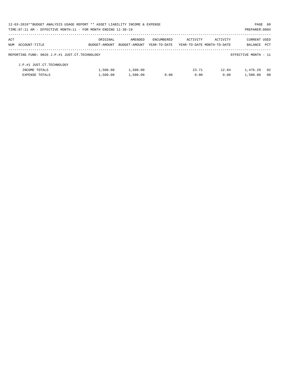| 12-03-2019**BUDGET ANALYSIS USAGE REPORT ** ASSET LIABILITY INCOME & EXPENSE |               |               |              |          |                            |                      | PAGE 60        |
|------------------------------------------------------------------------------|---------------|---------------|--------------|----------|----------------------------|----------------------|----------------|
| TIME: 07:11 AM - EFFECTIVE MONTH: 11 - FOR MONTH ENDING 11-30-19             |               |               |              |          |                            | PREPARER: 0004       |                |
| ACT                                                                          | ORIGINAL      | AMENDED       | ENCUMBERED   | ACTIVITY | ACTIVITY                   | <b>CURRENT USED</b>  |                |
| NUM ACCOUNT-TITLE                                                            | BUDGET-AMOUNT | BUDGET-AMOUNT | YEAR-TO-DATE |          | YEAR-TO-DATE MONTH-TO-DATE | BALANCE              | PCT            |
| REPORTING FUND: 0026 J.P.#1 JUST.CT.TECHNOLOGY                               |               |               |              |          |                            | EFFECTIVE MONTH - 11 |                |
| J.P.#1 JUST.CT.TECHNOLOGY                                                    |               |               |              |          |                            |                      |                |
| INCOME TOTALS                                                                | 1,500.00      | 1,500.00      |              | 23.71    | 12.84                      | 1,476.29             | 02             |
| <b>EXPENSE TOTALS</b>                                                        | 1,500.00      | 1,500.00      | 0.00         | 0.00     | 0.00                       | 1,500.00             | 0 <sub>0</sub> |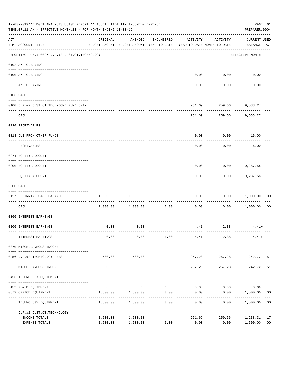|                    | 12-03-2019**BUDGET ANALYSIS USAGE REPORT ** ASSET LIABILITY INCOME & EXPENSE<br>PREPARER: 0004<br>TIME: 07:11 AM - EFFECTIVE MONTH: 11 - FOR MONTH ENDING 11-30-19 |                      |                                                                                |                     |                                    |                             |                                    |                      |  |  |  |
|--------------------|--------------------------------------------------------------------------------------------------------------------------------------------------------------------|----------------------|--------------------------------------------------------------------------------|---------------------|------------------------------------|-----------------------------|------------------------------------|----------------------|--|--|--|
| $\mathop{\rm ACT}$ | NUM ACCOUNT-TITLE                                                                                                                                                  | ORIGINAL             | AMENDED<br>BUDGET-AMOUNT BUDGET-AMOUNT YEAR-TO-DATE YEAR-TO-DATE MONTH-TO-DATE | ENCUMBERED          | ACTIVITY                           | ACTIVITY                    | <b>CURRENT USED</b><br>BALANCE PCT |                      |  |  |  |
|                    | ------------------------------------<br>REPORTING FUND: 0027 J.P.#2 JUST.CT.TECHNOLOGY                                                                             |                      |                                                                                |                     |                                    |                             | EFFECTIVE MONTH - 11               |                      |  |  |  |
|                    | 0102 A/P CLEARING                                                                                                                                                  |                      |                                                                                |                     |                                    |                             |                                    |                      |  |  |  |
|                    | 0100 A/P CLEARING                                                                                                                                                  |                      |                                                                                |                     | 0.00                               | 0.00                        | 0.00                               |                      |  |  |  |
|                    | ---- -------<br>A/P CLEARING                                                                                                                                       |                      |                                                                                |                     | 0.00                               | 0.00                        | 0.00                               |                      |  |  |  |
|                    | 0103 CASH                                                                                                                                                          |                      |                                                                                |                     |                                    |                             |                                    |                      |  |  |  |
|                    | 0100 J.P.#2 JUST.CT.TECH-COMB.FUND CKIN                                                                                                                            |                      |                                                                                |                     | 261.69                             |                             | 259.66 9,533.27                    |                      |  |  |  |
|                    | CASH                                                                                                                                                               |                      |                                                                                |                     | 261.69                             | .                           | 259.66 9,533.27                    |                      |  |  |  |
|                    | 0120 RECEIVABLES                                                                                                                                                   |                      |                                                                                |                     |                                    |                             |                                    |                      |  |  |  |
|                    | 0313 DUE FROM OTHER FUNDS                                                                                                                                          |                      |                                                                                |                     | 0.00                               |                             | $0.00$ 16.00                       |                      |  |  |  |
|                    | RECEIVABLES                                                                                                                                                        |                      |                                                                                |                     | 0.00                               | 0.00                        | 16.00                              |                      |  |  |  |
|                    | 0271 EQUITY ACCOUNT                                                                                                                                                |                      |                                                                                |                     |                                    |                             |                                    |                      |  |  |  |
|                    | 0200 EQUITY ACCOUNT                                                                                                                                                |                      |                                                                                |                     | 0.00                               | 0.00                        | 9,287.58                           |                      |  |  |  |
|                    | EQUITY ACCOUNT                                                                                                                                                     |                      |                                                                                |                     | 0.00                               | 0.00                        | 9,287.58                           |                      |  |  |  |
|                    | 0300 CASH                                                                                                                                                          |                      |                                                                                |                     |                                    |                             |                                    |                      |  |  |  |
|                    | 0127 BEGINNING CASH BALANCE                                                                                                                                        | 1,000.00             | 1,000.00                                                                       |                     | 0.00                               | 0.00                        | 1,000.00                           | 00                   |  |  |  |
|                    | CASH                                                                                                                                                               |                      | $1,000.00$ $1,000.00$                                                          | 0.00                | ------------ -------------<br>0.00 | 0.00                        | 1,000.00                           | 0 <sub>0</sub>       |  |  |  |
|                    | 0360 INTEREST EARNINGS                                                                                                                                             |                      |                                                                                |                     |                                    |                             |                                    |                      |  |  |  |
|                    | 0100 INTEREST EARNINGS                                                                                                                                             | 0.00                 | 0.00                                                                           |                     |                                    | 4.41 2.38                   | $4.41+$                            |                      |  |  |  |
|                    | INTEREST EARNINGS                                                                                                                                                  | 0.00                 | 0.00                                                                           | 0.00                | 4.41                               | 2.38                        | $4.41+$                            |                      |  |  |  |
|                    | 0370 MISCELLANEOUS INCOME                                                                                                                                          |                      |                                                                                |                     |                                    |                             |                                    |                      |  |  |  |
|                    | 0456 J.P.#2 TECHNOLOGY FEES                                                                                                                                        | 500.00               | 500.00                                                                         |                     | 257.28                             | 257.28                      | 242.72 51                          |                      |  |  |  |
|                    | MISCELLANEOUS INCOME                                                                                                                                               | 500.00               | 500.00                                                                         | 0.00                | -------------<br>257.28            | ------------<br>257.28      | -------------<br>242.72            | 51                   |  |  |  |
|                    | 0456 TECHNOLOGY EQUIPMENT                                                                                                                                          |                      |                                                                                |                     |                                    |                             |                                    |                      |  |  |  |
|                    | 0452 R & M EQUIPMENT                                                                                                                                               |                      | $0.00$ 0.00                                                                    |                     |                                    | $0.00$ $0.00$ $0.00$ $0.00$ | 0.00                               |                      |  |  |  |
|                    | 0572 OFFICE EQUIPMENT<br>----------------------                                                                                                                    | 1,500.00             | 1,500.00                                                                       | 0.00<br>----------- | 0.00                               | 0.00                        | 1,500.00                           | 0 <sub>0</sub>       |  |  |  |
|                    | TECHNOLOGY EQUIPMENT                                                                                                                                               | 1,500.00             | 1,500.00                                                                       | 0.00                | 0.00                               | 0.00                        | 1,500.00                           | 0 <sub>0</sub>       |  |  |  |
|                    | J.P.#2 JUST.CT.TECHNOLOGY                                                                                                                                          |                      |                                                                                |                     |                                    |                             |                                    |                      |  |  |  |
|                    | INCOME TOTALS<br>EXPENSE TOTALS                                                                                                                                    | 1,500.00<br>1,500.00 | 1,500.00<br>1,500.00                                                           | 0.00                | 261.69<br>0.00                     | 259.66<br>0.00              | 1,238.31<br>1,500.00               | 17<br>0 <sub>0</sub> |  |  |  |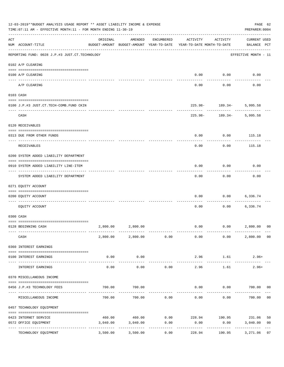|     | 12-03-2019**BUDGET ANALYSIS USAGE REPORT ** ASSET LIABILITY INCOME & EXPENSE<br>TIME: 07:11 AM - EFFECTIVE MONTH: 11 - FOR MONTH ENDING 11-30-19 |          |                                                     |                     |                                        |                                              | PAGE 62<br>PREPARER: 0004          |                |
|-----|--------------------------------------------------------------------------------------------------------------------------------------------------|----------|-----------------------------------------------------|---------------------|----------------------------------------|----------------------------------------------|------------------------------------|----------------|
| ACT | NUM ACCOUNT-TITLE                                                                                                                                | ORIGINAL | AMENDED<br>BUDGET-AMOUNT BUDGET-AMOUNT YEAR-TO-DATE | ENCUMBERED          | ACTIVITY<br>YEAR-TO-DATE MONTH-TO-DATE | ACTIVITY                                     | <b>CURRENT USED</b><br>BALANCE PCT |                |
|     | ------------------------------------<br>REPORTING FUND: 0028 J.P.#3 JUST.CT.TECHNOLOGY                                                           |          |                                                     |                     |                                        |                                              | EFFECTIVE MONTH - 11               |                |
|     | 0102 A/P CLEARING                                                                                                                                |          |                                                     |                     |                                        |                                              |                                    |                |
|     | 0100 A/P CLEARING<br>---- ---------                                                                                                              |          |                                                     |                     | 0.00                                   | 0.00                                         | 0.00                               |                |
|     | A/P CLEARING                                                                                                                                     |          |                                                     |                     | 0.00                                   | 0.00                                         | 0.00                               |                |
|     | 0103 CASH                                                                                                                                        |          |                                                     |                     |                                        |                                              |                                    |                |
|     | 0100 J.P.#3 JUST.CT.TECH-COMB.FUND CKIN                                                                                                          |          |                                                     |                     |                                        | $225.98 - 189.34 - 5,995.58$<br>. <u>.</u> . |                                    |                |
|     | CASH                                                                                                                                             |          |                                                     |                     | 225.98-                                | 189.34-                                      | 5,995.58                           |                |
|     | 0120 RECEIVABLES                                                                                                                                 |          |                                                     |                     |                                        |                                              |                                    |                |
|     | 0313 DUE FROM OTHER FUNDS                                                                                                                        |          |                                                     |                     | 0.00                                   | 0.00                                         | 115.18                             |                |
|     | RECEIVABLES                                                                                                                                      |          |                                                     |                     | 0.00                                   | 0.00                                         | 115.18                             |                |
|     | 0200 SYSTEM ADDED LIABILITY DEPARTMENT                                                                                                           |          |                                                     |                     |                                        |                                              |                                    |                |
|     | 0910 SYSTEM ADDED LIABILITY LINE-ITEM                                                                                                            |          |                                                     |                     | 0.00                                   | 0.00                                         | 0.00                               |                |
|     | SYSTEM ADDED LIABILITY DEPARTMENT                                                                                                                |          |                                                     |                     | 0.00                                   | 0.00                                         | 0.00                               |                |
|     | 0271 EQUITY ACCOUNT                                                                                                                              |          |                                                     |                     |                                        |                                              |                                    |                |
|     | 0200 EQUITY ACCOUNT                                                                                                                              |          |                                                     |                     | 0.00                                   | 0.00                                         | 6,336.74                           |                |
|     | EOUITY ACCOUNT                                                                                                                                   |          |                                                     |                     | 0.00                                   | 0.00                                         | 6,336.74                           |                |
|     | 0300 CASH                                                                                                                                        |          |                                                     |                     |                                        |                                              |                                    |                |
|     | 0128 BEGINNING CASH                                                                                                                              |          | 2,800.00 2,800.00                                   |                     | 0.00                                   | 0.00 2,800.00                                |                                    | 0 <sup>0</sup> |
|     | CASH                                                                                                                                             |          | 2,800.00 2,800.00 0.00                              |                     | 0.00                                   | 0.00                                         | 2,800.00 00                        |                |
|     | 0360 INTEREST EARNINGS                                                                                                                           |          |                                                     |                     |                                        |                                              |                                    |                |
|     | 0100 INTEREST EARNINGS                                                                                                                           | 0.00     | 0.00                                                |                     | 2.96                                   | 1.61                                         | $2.96+$                            |                |
|     | INTEREST EARNINGS                                                                                                                                | 0.00     | 0.00                                                | 0.00                | 2.96                                   | 1.61                                         | $2.96+$                            |                |
|     | 0370 MISCELLANEOUS INCOME                                                                                                                        |          |                                                     |                     |                                        |                                              |                                    |                |
|     | 0456 J.P.#3 TECHNOLOGY FEES                                                                                                                      | 700.00   | 700.00                                              |                     | 0.00                                   | $0.00$ 700.00 00                             |                                    |                |
|     | ----------------- --<br>MISCELLANEOUS INCOME                                                                                                     | 700.00   | 700.00                                              | 0.00                | 0.00                                   | ---------<br>0.00                            | 700.00                             | 0 <sub>0</sub> |
|     | 0457 TECHNOLOGY EQUIPMENT                                                                                                                        |          |                                                     |                     |                                        |                                              |                                    |                |
|     | 0423 INTERNET SERVICE                                                                                                                            |          |                                                     |                     |                                        | 460.00 460.00 0.00 228.94 190.95 231.06      |                                    | 50             |
|     | 0572 OFFICE EQUIPMENT                                                                                                                            | 3,040.00 | 3,040.00                                            | 0.00                | 0.00                                   | 0.00                                         | 3,040.00                           | 0 <sub>0</sub> |
|     | TECHNOLOGY EQUIPMENT                                                                                                                             | 3,500.00 | -------------<br>3,500.00                           | -----------<br>0.00 | ------------<br>228.94                 | ------------<br>190.95                       | -------------<br>3,271.06          | 07             |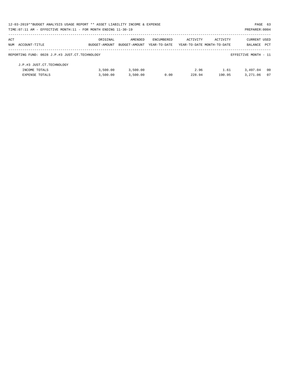| 12-03-2019**BUDGET ANALYSIS USAGE REPORT ** ASSET LIABILITY INCOME & EXPENSE |               |               |                   |                            |          | PAGE 63              |      |
|------------------------------------------------------------------------------|---------------|---------------|-------------------|----------------------------|----------|----------------------|------|
| TIME: 07:11 AM - EFFECTIVE MONTH: 11 - FOR MONTH ENDING 11-30-19             |               |               |                   |                            |          | PREPARER: 0004       |      |
| ACT                                                                          | ORIGINAL      | AMENDED       | <b>ENCUMBERED</b> | ACTIVITY                   | ACTIVITY | <b>CURRENT USED</b>  |      |
| NUM ACCOUNT-TITLE                                                            | BUDGET-AMOUNT | BUDGET-AMOUNT | YEAR-TO-DATE      | YEAR-TO-DATE MONTH-TO-DATE |          | BALANCE              | PCT  |
| REPORTING FUND: 0028 J.P.#3 JUST.CT.TECHNOLOGY                               |               |               |                   |                            |          | EFFECTIVE MONTH - 11 |      |
| J.P.#3 JUST.CT.TECHNOLOGY                                                    |               |               |                   |                            |          |                      |      |
| INCOME TOTALS                                                                | 3,500.00      | 3,500.00      |                   | 2.96                       | 1.61     | 3,497.04             | - 00 |
| <b>EXPENSE TOTALS</b>                                                        | 3.500.00      | 3,500.00      | 0.00              | 228.94                     | 190.95   | 3,271.06             | 07   |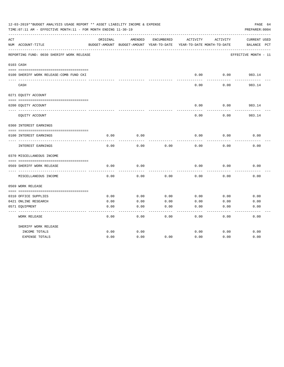|     | 12-03-2019**BUDGET ANALYSIS USAGE REPORT ** ASSET LIABILITY INCOME & EXPENSE<br>TIME: 07:11 AM - EFFECTIVE MONTH: 11 - FOR MONTH ENDING 11-30-19 |          |                                          |            |                            |          | PAGE 64<br>PREPARER: 0004 |
|-----|--------------------------------------------------------------------------------------------------------------------------------------------------|----------|------------------------------------------|------------|----------------------------|----------|---------------------------|
| ACT |                                                                                                                                                  | ORIGINAL | AMENDED                                  | ENCUMBERED | ACTIVITY                   | ACTIVITY | <b>CURRENT USED</b>       |
|     | NUM ACCOUNT-TITLE                                                                                                                                |          | BUDGET-AMOUNT BUDGET-AMOUNT YEAR-TO-DATE |            | YEAR-TO-DATE MONTH-TO-DATE |          | BALANCE PCT               |
|     | REPORTING FUND: 0030 SHERIFF WORK RELEASE                                                                                                        |          |                                          |            |                            |          | EFFECTIVE MONTH - 11      |
|     | 0103 CASH                                                                                                                                        |          |                                          |            |                            |          |                           |
|     |                                                                                                                                                  |          |                                          |            |                            |          |                           |
|     | 0100 SHERIFF WORK RELEASE-COMB FUND CKI                                                                                                          |          |                                          |            | 0.00                       | 0.00     | 983.14                    |
|     | CASH                                                                                                                                             |          |                                          |            | 0.00                       | 0.00     | -------<br>983.14         |
|     | 0271 EQUITY ACCOUNT                                                                                                                              |          |                                          |            |                            |          |                           |
|     |                                                                                                                                                  |          |                                          |            |                            |          |                           |
|     | 0200 EQUITY ACCOUNT                                                                                                                              |          |                                          |            | 0.00                       | 0.00     | 983.14                    |
|     | EQUITY ACCOUNT                                                                                                                                   |          |                                          |            | 0.00                       | 0.00     | 983.14                    |
|     | 0360 INTEREST EARNINGS                                                                                                                           |          |                                          |            |                            |          |                           |
|     |                                                                                                                                                  |          |                                          |            |                            |          |                           |
|     | 0100 INTEREST EARNINGS                                                                                                                           | 0.00     | 0.00                                     |            | 0.00                       | 0.00     | 0.00                      |
|     | <b>INTEREST EARNINGS</b>                                                                                                                         | 0.00     | 0.00                                     | 0.00       | 0.00                       | 0.00     | 0.00                      |
|     | 0370 MISCELLANEOUS INCOME                                                                                                                        |          |                                          |            |                            |          |                           |
|     |                                                                                                                                                  |          |                                          |            |                            |          |                           |
|     | 0569 SHERIFF WORK RELEASE                                                                                                                        | 0.00     | 0.00                                     |            | 0.00                       | 0.00     | 0.00                      |
|     | MISCELLANEOUS INCOME                                                                                                                             | 0.00     | 0.00                                     | 0.00       | 0.00                       | 0.00     | 0.00                      |
|     | 0569 WORK RELEASE                                                                                                                                |          |                                          |            |                            |          |                           |
|     |                                                                                                                                                  |          |                                          |            |                            |          |                           |
|     | 0310 OFFICE SUPPLIES                                                                                                                             | 0.00     | 0.00                                     | 0.00       | 0.00                       | 0.00     | 0.00                      |
|     | 0421 ONLINE RESEARCH                                                                                                                             | 0.00     | 0.00                                     | 0.00       | 0.00                       | 0.00     | 0.00                      |
|     | 0571 EQUIPMENT                                                                                                                                   | 0.00     | 0.00                                     | 0.00       | 0.00                       | 0.00     | 0.00                      |
|     | <b>WORK RELEASE</b>                                                                                                                              | 0.00     | 0.00                                     | 0.00       | 0.00                       | 0.00     | 0.00                      |
|     | SHERIFF WORK RELEASE                                                                                                                             |          |                                          |            |                            |          |                           |
|     | INCOME TOTALS                                                                                                                                    | 0.00     | 0.00                                     |            | 0.00                       | 0.00     | 0.00                      |
|     | <b>EXPENSE TOTALS</b>                                                                                                                            | 0.00     | 0.00                                     | 0.00       | 0.00                       | 0.00     | 0.00                      |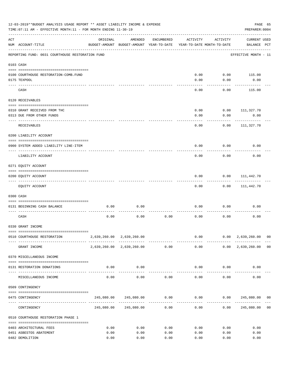|           | 12-03-2019**BUDGET ANALYSIS USAGE REPORT ** ASSET LIABILITY INCOME & EXPENSE<br>TIME: 07:11 AM - EFFECTIVE MONTH: 11 - FOR MONTH ENDING 11-30-19 |          |                                                                  |            |                     |                                        | PREPARER: 0004                                   | PAGE 65        |
|-----------|--------------------------------------------------------------------------------------------------------------------------------------------------|----------|------------------------------------------------------------------|------------|---------------------|----------------------------------------|--------------------------------------------------|----------------|
| ACT       | NUM ACCOUNT-TITLE                                                                                                                                | ORIGINAL | AMENDED<br>BUDGET-AMOUNT BUDGET-AMOUNT YEAR-TO-DATE              | ENCUMBERED | ACTIVITY            | ACTIVITY<br>YEAR-TO-DATE MONTH-TO-DATE | <b>CURRENT USED</b><br>BALANCE PCT               |                |
|           | REPORTING FUND: 0031 COURTHOUSE RESTORATION FUND                                                                                                 |          |                                                                  |            |                     |                                        | EFFECTIVE MONTH - 11                             |                |
| 0103 CASH |                                                                                                                                                  |          |                                                                  |            |                     |                                        |                                                  |                |
|           |                                                                                                                                                  |          |                                                                  |            |                     |                                        |                                                  |                |
|           | 0100 COURTHOUSE RESTORATION-COMB.FUND                                                                                                            |          |                                                                  |            | 0.00                | 0.00                                   | 115.00                                           |                |
|           | 0175 TEXPOOL                                                                                                                                     |          |                                                                  |            | 0.00                | 0.00                                   | 0.00                                             |                |
|           | CASH                                                                                                                                             |          |                                                                  |            | 0.00                | 0.00                                   | 115.00                                           |                |
|           | 0120 RECEIVABLES                                                                                                                                 |          |                                                                  |            |                     |                                        |                                                  |                |
|           |                                                                                                                                                  |          |                                                                  |            |                     |                                        |                                                  |                |
|           | 0310 GRANT RECEIVED FROM THC                                                                                                                     |          |                                                                  |            | 0.00                | 0.00                                   | 111,327.70                                       |                |
|           | 0313 DUE FROM OTHER FUNDS                                                                                                                        |          |                                                                  |            | 0.00                | 0.00                                   | 0.00                                             |                |
|           | RECEIVABLES                                                                                                                                      |          |                                                                  |            | 0.00                | 0.00                                   | 111,327.70                                       |                |
|           | 0200 LIABILITY ACCOUNT                                                                                                                           |          |                                                                  |            |                     |                                        |                                                  |                |
|           | 0900 SYSTEM ADDED LIABILITY LINE-ITEM                                                                                                            |          |                                                                  |            | 0.00                | 0.00                                   | 0.00                                             |                |
|           | LIABILITY ACCOUNT                                                                                                                                |          |                                                                  |            | 0.00                | 0.00                                   | 0.00                                             |                |
|           | 0271 EQUITY ACCOUNT                                                                                                                              |          |                                                                  |            |                     |                                        |                                                  |                |
|           |                                                                                                                                                  |          |                                                                  |            |                     |                                        |                                                  |                |
|           | 0200 EQUITY ACCOUNT<br>---- ---------------                                                                                                      |          |                                                                  |            | 0.00                | 0.00                                   | 111,442.70                                       |                |
|           | EQUITY ACCOUNT                                                                                                                                   |          |                                                                  |            | 0.00                | 0.00                                   | 111,442.70                                       |                |
|           | 0300 CASH                                                                                                                                        |          |                                                                  |            |                     |                                        |                                                  |                |
|           | 0131 BEGINNING CASH BALANCE                                                                                                                      | 0.00     | 0.00                                                             |            | 0.00                | 0.00                                   | 0.00                                             |                |
|           | CASH                                                                                                                                             | 0.00     | 0.00                                                             | 0.00       | 0.00                | 0.00                                   | 0.00                                             |                |
|           | 0330 GRANT INCOME                                                                                                                                |          |                                                                  |            |                     |                                        |                                                  |                |
|           |                                                                                                                                                  |          |                                                                  |            |                     |                                        |                                                  |                |
|           | 0510 COURTHOUSE RESTORATION                                                                                                                      |          | 2,639,260.00 2,639,260.00                                        |            |                     | -------------                          | $0.00$ $0.00$ $2,639,260.00$ 00<br>------------- |                |
|           | GRANT INCOME                                                                                                                                     |          | 2,639,260.00 2,639,260.00 0.00                                   |            |                     |                                        | $0.00$ $0.00$ $2,639,260.00$ 00                  |                |
|           | 0370 MISCELLANEOUS INCOME                                                                                                                        |          |                                                                  |            |                     |                                        |                                                  |                |
|           | 0131 RESTORATION DONATIONS                                                                                                                       | 0.00     | 0.00<br>-------------                                            |            |                     | $0.00$ $0.00$                          | 0.00                                             |                |
|           | MISCELLANEOUS INCOME                                                                                                                             | 0.00     | 0.00                                                             | 0.00       |                     | 0.00<br>0.00                           | 0.00                                             |                |
|           | 0509 CONTINGENCY                                                                                                                                 |          |                                                                  |            |                     |                                        |                                                  |                |
|           | 0475 CONTINGENCY                                                                                                                                 |          | $245,080.00$ $245,080.00$ $0.00$ $0.00$ $0.00$ $245,080.00$ $00$ |            |                     |                                        |                                                  |                |
|           | CONTINGENCY                                                                                                                                      |          | 245,080.00 245,080.00                                            | 0.00       | -----------<br>0.00 |                                        | 0.00 245,080.00                                  | 0 <sub>0</sub> |
|           | 0510 COURTHOUSE RESTORATION PHASE 1                                                                                                              |          |                                                                  |            |                     |                                        |                                                  |                |
|           |                                                                                                                                                  |          |                                                                  |            |                     |                                        |                                                  |                |
|           | 0403 ARCHITECTURAL FEES                                                                                                                          | 0.00     | 0.00                                                             | 0.00       | 0.00                | 0.00                                   | 0.00                                             |                |
|           | 0451 ASBESTOS ABATEMENT                                                                                                                          | 0.00     | 0.00                                                             | 0.00       | 0.00                | 0.00                                   | 0.00                                             |                |
|           | 0482 DEMOLITION                                                                                                                                  | 0.00     | 0.00                                                             | 0.00       | 0.00                | 0.00                                   | 0.00                                             |                |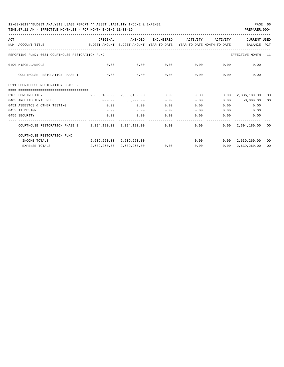| ACT |                                                                                          | ORIGINAL                  | AMENDED                   | ENCUMBERED | ACTIVITY | ACTIVITY     | <b>CURRENT USED</b>                |                |
|-----|------------------------------------------------------------------------------------------|---------------------------|---------------------------|------------|----------|--------------|------------------------------------|----------------|
|     | NUM ACCOUNT-TITLE<br>BUDGET-AMOUNT BUDGET-AMOUNT YEAR-TO-DATE YEAR-TO-DATE MONTH-TO-DATE |                           |                           |            |          |              | BALANCE PCT                        |                |
|     | REPORTING FUND: 0031 COURTHOUSE RESTORATION FUND                                         |                           |                           |            |          |              | EFFECTIVE MONTH - 11               |                |
|     | 0490 MISCELLANEOUS                                                                       | 0.00                      | 0.00                      |            |          |              | $0.00$ $0.00$ $0.00$ $0.00$ $0.00$ |                |
|     | COURTHOUSE RESTORATION PHASE 1                                                           | 0.00                      | 0.00                      | 0.00       |          | 0.00         | 0.00<br>0.00                       |                |
|     | 0511 COURTHOUSE RESTORATION PHASE 2                                                      |                           |                           |            |          |              |                                    |                |
|     | -----------------------------------                                                      |                           |                           |            |          |              |                                    |                |
|     | 0165 CONSTRUCTION                                                                        | 2,336,180.00 2,336,180.00 |                           | 0.00       | 0.00     |              | $0.00 \quad 2,336,180.00$          | 0 <sub>0</sub> |
|     | 0403 ARCHITECTURAL FEES                                                                  |                           | 58,000.00 58,000.00       | 0.00       | 0.00     | 0.00         | 58,000.00                          | 00             |
|     | 0451 ASBESTOS & OTHER TESTING                                                            | 0.00                      | 0.00                      | 0.00       | 0.00     |              | 0.00<br>0.00                       |                |
|     | 0453 IT DESIGN                                                                           | 0.00                      | 0.00                      | 0.00       | 0.00     |              | 0.00<br>0.00                       |                |
|     | 0455 SECURITY                                                                            | 0.00                      | 0.00                      | 0.00       | 0.00     | 0.00         | 0.00                               |                |
|     | COURTHOUSE RESTORATION PHASE 2 2,394,180.00 2,394,180.00                                 |                           |                           | 0.00       |          | ------------ | $0.00$ $0.00$ $2,394,180.00$       | - 00           |
|     | COURTHOUSE RESTORATION FUND                                                              |                           |                           |            |          |              |                                    |                |
|     | INCOME TOTALS                                                                            |                           | 2,639,260.00 2,639,260.00 |            |          |              | $0.00$ $0.00$ $2,639,260.00$       | 00             |
|     | <b>EXPENSE TOTALS</b>                                                                    | 2,639,260.00              | 2,639,260.00              | 0.00       | 0.00     | 0.00         | 2,639,260.00                       | 00             |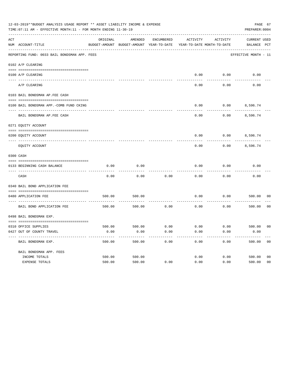|     | 12-03-2019**BUDGET ANALYSIS USAGE REPORT ** ASSET LIABILITY INCOME & EXPENSE<br>TIME: 07:11 AM - EFFECTIVE MONTH: 11 - FOR MONTH ENDING 11-30-19 |          |                                                     |            |                                        |          | PAGE 67<br>PREPARER: 0004          |                |
|-----|--------------------------------------------------------------------------------------------------------------------------------------------------|----------|-----------------------------------------------------|------------|----------------------------------------|----------|------------------------------------|----------------|
| ACT | NUM ACCOUNT-TITLE                                                                                                                                | ORIGINAL | AMENDED<br>BUDGET-AMOUNT BUDGET-AMOUNT YEAR-TO-DATE | ENCUMBERED | ACTIVITY<br>YEAR-TO-DATE MONTH-TO-DATE | ACTIVITY | <b>CURRENT USED</b><br>BALANCE PCT |                |
|     | REPORTING FUND: 0033 BAIL BONDSMAN APP. FEES                                                                                                     |          |                                                     |            |                                        |          | EFFECTIVE MONTH - 11               |                |
|     | 0102 A/P CLEARING                                                                                                                                |          |                                                     |            |                                        |          |                                    |                |
|     | 0100 A/P CLEARING                                                                                                                                |          |                                                     |            | 0.00                                   | 0.00     | 0.00                               |                |
|     | ---- --------<br>A/P CLEARING                                                                                                                    |          |                                                     |            | 0.00                                   | 0.00     | 0.00                               |                |
|     | 0103 BAIL BONDSMAN AP.FEE CASH                                                                                                                   |          |                                                     |            |                                        |          |                                    |                |
|     | 0100 BAIL BONDSMAN APP.-COMB FUND CKING                                                                                                          |          |                                                     |            | 0.00                                   | 0.00     | 8,596.74                           |                |
|     | BAIL BONDSMAN AP.FEE CASH                                                                                                                        |          |                                                     |            | 0.00                                   | 0.00     | 8,596.74                           |                |
|     | 0271 EQUITY ACCOUNT                                                                                                                              |          |                                                     |            |                                        |          |                                    |                |
|     | 0200 EQUITY ACCOUNT                                                                                                                              |          |                                                     |            | 0.00                                   |          | $0.00$ 8,596.74                    |                |
|     | EQUITY ACCOUNT                                                                                                                                   |          |                                                     |            | 0.00                                   | 0.00     | 8,596.74                           |                |
|     | 0300 CASH                                                                                                                                        |          |                                                     |            |                                        |          |                                    |                |
|     | 0133 BEGINNING CASH BALANCE                                                                                                                      | 0.00     | 0.00                                                |            | 0.00                                   | 0.00     | 0.00                               |                |
|     | CASH                                                                                                                                             | 0.00     | 0.00                                                | 0.00       | 0.00                                   | 0.00     | 0.00                               |                |
|     | 0340 BAIL BOND APPLICATION FEE                                                                                                                   |          |                                                     |            |                                        |          |                                    |                |
|     | 0480 APPLICATION FEE                                                                                                                             | 500.00   | 500.00                                              |            | 0.00                                   | 0.00     | 500.00                             | 00             |
|     | BAIL BOND APPLICATION FEE                                                                                                                        | 500.00   | 500.00                                              | 0.00       | 0.00                                   | 0.00     | 500.00                             | 0 <sub>0</sub> |
|     | 0498 BAIL BONDSMAN EXP.                                                                                                                          |          |                                                     |            |                                        |          |                                    |                |
|     | 0310 OFFICE SUPPLIES                                                                                                                             | 500.00   | 500.00 0.00                                         |            | $0.00$ $0.00$ $500.00$                 |          |                                    | 00             |
|     | 0427 OUT OF COUNTY TRAVEL                                                                                                                        | 0.00     | 0.00                                                | 0.00       | 0.00                                   | 0.00     | 0.00                               |                |
|     | BAIL BONDSMAN EXP.                                                                                                                               | 500.00   | 500.00                                              | 0.00       | 0.00                                   | 0.00     | 500.00                             | 0 <sub>0</sub> |
|     | BAIL BONDSMAN APP. FEES                                                                                                                          |          |                                                     |            |                                        |          |                                    |                |
|     | INCOME TOTALS                                                                                                                                    | 500.00   | 500.00                                              |            | 0.00                                   | 0.00     | 500.00                             | 0 <sub>0</sub> |
|     | EXPENSE TOTALS                                                                                                                                   | 500.00   | 500.00                                              | 0.00       | 0.00                                   | 0.00     | 500.00                             | 0 <sub>0</sub> |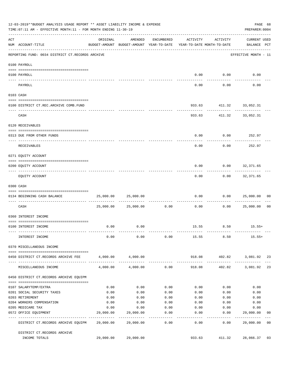| 12-03-2019**BUDGET ANALYSIS USAGE REPORT ** ASSET LIABILITY INCOME & EXPENSE<br>PAGE 68<br>TIME: 07:11 AM - EFFECTIVE MONTH: 11 - FOR MONTH ENDING 11-30-19<br>PREPARER: 0004 |                                                                                                                                                                                                                                                                                                                                                                                                                                                                                                |              |                                                                                |                    |                         |                           |                                    |                |
|-------------------------------------------------------------------------------------------------------------------------------------------------------------------------------|------------------------------------------------------------------------------------------------------------------------------------------------------------------------------------------------------------------------------------------------------------------------------------------------------------------------------------------------------------------------------------------------------------------------------------------------------------------------------------------------|--------------|--------------------------------------------------------------------------------|--------------------|-------------------------|---------------------------|------------------------------------|----------------|
| ACT                                                                                                                                                                           | NUM ACCOUNT-TITLE                                                                                                                                                                                                                                                                                                                                                                                                                                                                              | ORIGINAL     | AMENDED<br>BUDGET-AMOUNT BUDGET-AMOUNT YEAR-TO-DATE YEAR-TO-DATE MONTH-TO-DATE | ENCUMBERED         | ACTIVITY                | ACTIVITY                  | <b>CURRENT USED</b><br>BALANCE PCT |                |
|                                                                                                                                                                               | REPORTING FUND: 0034 DISTRICT CT.RECORDS ARCHIVE                                                                                                                                                                                                                                                                                                                                                                                                                                               |              |                                                                                |                    |                         |                           | EFFECTIVE MONTH - 11               |                |
|                                                                                                                                                                               | 0100 PAYROLL                                                                                                                                                                                                                                                                                                                                                                                                                                                                                   |              |                                                                                |                    |                         |                           |                                    |                |
|                                                                                                                                                                               | 0100 PAYROLL                                                                                                                                                                                                                                                                                                                                                                                                                                                                                   |              |                                                                                |                    |                         | $0.00$ $0.00$             | 0.00                               |                |
|                                                                                                                                                                               | --------------------------- --------<br>---- --------<br>PAYROLL                                                                                                                                                                                                                                                                                                                                                                                                                               |              |                                                                                |                    | 0.00                    | ----------<br>0.00        | 0.00                               |                |
|                                                                                                                                                                               | 0103 CASH                                                                                                                                                                                                                                                                                                                                                                                                                                                                                      |              |                                                                                |                    |                         |                           |                                    |                |
|                                                                                                                                                                               | 0100 DISTRICT CT.REC.ARCHIVE COMB.FUND                                                                                                                                                                                                                                                                                                                                                                                                                                                         |              |                                                                                |                    |                         | 933.63 411.32 33,052.31   |                                    |                |
|                                                                                                                                                                               | CASH                                                                                                                                                                                                                                                                                                                                                                                                                                                                                           |              |                                                                                |                    |                         | 933.63 411.32 33,052.31   |                                    |                |
|                                                                                                                                                                               | 0120 RECEIVABLES                                                                                                                                                                                                                                                                                                                                                                                                                                                                               |              |                                                                                |                    |                         |                           |                                    |                |
|                                                                                                                                                                               | 0313 DUE FROM OTHER FUNDS                                                                                                                                                                                                                                                                                                                                                                                                                                                                      |              |                                                                                |                    | 0.00                    | $0.00$ 252.97             |                                    |                |
|                                                                                                                                                                               | RECEIVABLES                                                                                                                                                                                                                                                                                                                                                                                                                                                                                    |              |                                                                                |                    | 0.00                    | 0.00                      | 252.97                             |                |
|                                                                                                                                                                               | 0271 EQUITY ACCOUNT                                                                                                                                                                                                                                                                                                                                                                                                                                                                            |              |                                                                                |                    |                         |                           |                                    |                |
|                                                                                                                                                                               | 0200 EQUITY ACCOUNT                                                                                                                                                                                                                                                                                                                                                                                                                                                                            |              |                                                                                |                    | 0.00                    | $0.00$ 32,371.65          |                                    |                |
|                                                                                                                                                                               | EQUITY ACCOUNT                                                                                                                                                                                                                                                                                                                                                                                                                                                                                 |              |                                                                                |                    | --------<br>0.00        | ---------                 | .<br>$0.00$ 32,371.65              |                |
|                                                                                                                                                                               | 0300 CASH                                                                                                                                                                                                                                                                                                                                                                                                                                                                                      |              |                                                                                |                    |                         |                           |                                    |                |
|                                                                                                                                                                               | $\begin{minipage}{0.03\textwidth} \begin{tabular}{l} \textbf{0.04\textwidth} \textbf{0.05\textwidth} \textbf{0.06\textwidth} \textbf{0.07\textwidth} \textbf{0.07\textwidth} \textbf{0.07\textwidth} \textbf{0.07\textwidth} \textbf{0.07\textwidth} \textbf{0.07\textwidth} \textbf{0.07\textwidth} \textbf{0.07\textwidth} \textbf{0.07\textwidth} \textbf{0.07\textwidth} \textbf{0.07\textwidth} \textbf{0.07\textwidth} \textbf{0.07\textwidth} \textbf{0$<br>0134 BEGINNING CASH BALANCE | 25,000.00    | 25,000.00                                                                      |                    | 0.00                    |                           | 0.000025,000.00                    | 0 <sub>0</sub> |
|                                                                                                                                                                               | CASH                                                                                                                                                                                                                                                                                                                                                                                                                                                                                           |              | 25,000.00 25,000.00                                                            | 0.00               | 0.00                    | 0.00                      | 25,000.00                          | 0 <sub>0</sub> |
|                                                                                                                                                                               | 0360 INTEREST INCOME                                                                                                                                                                                                                                                                                                                                                                                                                                                                           |              |                                                                                |                    |                         |                           |                                    |                |
|                                                                                                                                                                               |                                                                                                                                                                                                                                                                                                                                                                                                                                                                                                | 0.00         | 0.00                                                                           |                    |                         | 15.55 8.50                |                                    |                |
|                                                                                                                                                                               | 0100 INTEREST INCOME                                                                                                                                                                                                                                                                                                                                                                                                                                                                           |              |                                                                                |                    |                         |                           | $15.55+$                           |                |
|                                                                                                                                                                               | INTEREST INCOME                                                                                                                                                                                                                                                                                                                                                                                                                                                                                | 0.00         | 0.00                                                                           |                    |                         | $0.00$ 15.55 8.50         | $15.55+$                           |                |
|                                                                                                                                                                               | 0370 MISCELLANEOUS INCOME                                                                                                                                                                                                                                                                                                                                                                                                                                                                      |              |                                                                                |                    |                         |                           |                                    |                |
|                                                                                                                                                                               | 0450 DISTRICT CT.RECORDS ARCHIVE FEE                                                                                                                                                                                                                                                                                                                                                                                                                                                           |              | 4,000.00 4,000.00                                                              |                    |                         | 918.08 402.82 3,081.92 23 |                                    |                |
|                                                                                                                                                                               | MISCELLANEOUS INCOME                                                                                                                                                                                                                                                                                                                                                                                                                                                                           | 4,000.00     |                                                                                | $4,000.00$ 0.00    | 918.08                  |                           | 402.82 3,081.92                    | 23             |
|                                                                                                                                                                               | 0450 DISTRICT CT.RECORDS ARCHIVE EQUIPM                                                                                                                                                                                                                                                                                                                                                                                                                                                        |              |                                                                                |                    |                         |                           |                                    |                |
|                                                                                                                                                                               |                                                                                                                                                                                                                                                                                                                                                                                                                                                                                                |              |                                                                                |                    |                         |                           |                                    |                |
|                                                                                                                                                                               | 0107 SALARYTEMP/EXTRA<br>0201 SOCIAL SECURITY TAXES                                                                                                                                                                                                                                                                                                                                                                                                                                            | 0.00<br>0.00 | 0.00<br>0.00                                                                   | 0.00<br>0.00       | 0.00<br>0.00            | 0.00<br>0.00              | 0.00<br>0.00                       |                |
|                                                                                                                                                                               | 0203 RETIREMENT                                                                                                                                                                                                                                                                                                                                                                                                                                                                                | 0.00         | 0.00                                                                           | 0.00               | 0.00                    | 0.00                      | 0.00                               |                |
|                                                                                                                                                                               | 0204 WORKERS COMPENSATION                                                                                                                                                                                                                                                                                                                                                                                                                                                                      | 0.00         | 0.00                                                                           | 0.00               | 0.00                    | 0.00                      | 0.00                               |                |
|                                                                                                                                                                               | 0205 MEDICARE TAX                                                                                                                                                                                                                                                                                                                                                                                                                                                                              | 0.00         | 0.00                                                                           | 0.00               | 0.00                    | 0.00                      | 0.00                               |                |
|                                                                                                                                                                               | 0572 OFFICE EQUIPMENT<br>--------------------- --------------                                                                                                                                                                                                                                                                                                                                                                                                                                  | 29,000.00    | 29,000.00<br>--------------                                                    | 0.00<br>---------- | 0.00<br>$- - - - - - -$ | 0.00<br>---------         | 29,000.00<br>------------          | 00             |
|                                                                                                                                                                               | DISTRICT CT.RECORDS ARCHIVE EQUIPM 29,000.00                                                                                                                                                                                                                                                                                                                                                                                                                                                   |              | 29,000.00                                                                      | 0.00               | 0.00                    | 0.00                      | 29,000.00                          | 0 <sub>0</sub> |
|                                                                                                                                                                               | DISTRICT CT.RECORDS ARCHIVE<br>INCOME TOTALS                                                                                                                                                                                                                                                                                                                                                                                                                                                   |              | 29,000.00 29,000.00                                                            |                    | 933.63                  | 411.32                    | 28,066.37                          | 03             |
|                                                                                                                                                                               |                                                                                                                                                                                                                                                                                                                                                                                                                                                                                                |              |                                                                                |                    |                         |                           |                                    |                |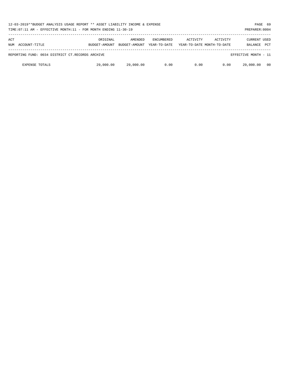| 12-03-2019**BUDGET ANALYSIS USAGE REPORT ** ASSET LIABILITY INCOME & EXPENSE<br>TIME: 07:11 AM - EFFECTIVE MONTH: 11 - FOR MONTH ENDING 11-30-19<br>PREPARER: 0004 |                           |                          |                                   |          |                                        |                                       |            |
|--------------------------------------------------------------------------------------------------------------------------------------------------------------------|---------------------------|--------------------------|-----------------------------------|----------|----------------------------------------|---------------------------------------|------------|
| ACT<br>NUM ACCOUNT-TITLE                                                                                                                                           | ORIGINAL<br>BUDGET-AMOUNT | AMENDED<br>BUDGET-AMOUNT | <b>ENCUMBERED</b><br>YEAR-TO-DATE | ACTIVITY | ACTIVITY<br>YEAR-TO-DATE MONTH-TO-DATE | <b>CURRENT USED</b><br><b>BALANCE</b> | <b>PCT</b> |
|                                                                                                                                                                    |                           |                          |                                   |          |                                        |                                       |            |
| REPORTING FUND: 0034 DISTRICT CT.RECORDS ARCHIVE                                                                                                                   |                           |                          |                                   |          |                                        | EFFECTIVE MONTH - 11                  |            |
| <b>EXPENSE TOTALS</b>                                                                                                                                              | 29,000.00                 | 29,000.00                | 0.00                              | 0.00     | 0.00                                   | 29,000.00                             | 00         |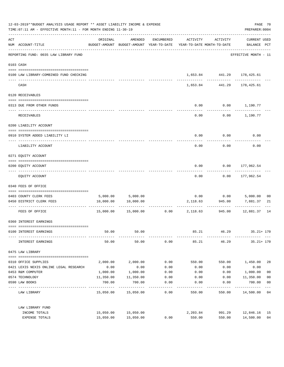| 12-03-2019**BUDGET ANALYSIS USAGE REPORT ** ASSET LIABILITY INCOME & EXPENSE<br>TIME: 07:11 AM - EFFECTIVE MONTH: 11 - FOR MONTH ENDING 11-30-19 |                                                                               |                                       |                                                                                |            |                 |                            | PAGE 70<br>PREPARER: 0004          |                         |
|--------------------------------------------------------------------------------------------------------------------------------------------------|-------------------------------------------------------------------------------|---------------------------------------|--------------------------------------------------------------------------------|------------|-----------------|----------------------------|------------------------------------|-------------------------|
| ACT                                                                                                                                              | NUM ACCOUNT-TITLE                                                             | ORIGINAL                              | AMENDED<br>BUDGET-AMOUNT BUDGET-AMOUNT YEAR-TO-DATE YEAR-TO-DATE MONTH-TO-DATE | ENCUMBERED | ACTIVITY        | ACTIVITY                   | <b>CURRENT USED</b><br>BALANCE PCT |                         |
|                                                                                                                                                  | ------------------------------------<br>REPORTING FUND: 0035 LAW LIBRARY FUND |                                       |                                                                                |            |                 |                            | EFFECTIVE MONTH - 11               |                         |
|                                                                                                                                                  | 0103 CASH                                                                     |                                       |                                                                                |            |                 |                            |                                    |                         |
|                                                                                                                                                  | 0100 LAW LIBRARY-COMBINED FUND CHECKING                                       |                                       |                                                                                |            |                 | 1,653.84 441.29 178,425.61 |                                    |                         |
|                                                                                                                                                  | CASH                                                                          |                                       |                                                                                |            | 1,653.84        | -------------<br>441.29    | ------------<br>178,425.61         |                         |
|                                                                                                                                                  | 0120 RECEIVABLES                                                              |                                       |                                                                                |            |                 |                            |                                    |                         |
|                                                                                                                                                  | 0313 DUE FROM OTHER FUNDS                                                     |                                       |                                                                                |            | 0.00            | $0.00$ 1,190.77            |                                    |                         |
|                                                                                                                                                  | RECEIVABLES                                                                   |                                       |                                                                                |            | 0.00            |                            | $0.00$ 1,190.77                    |                         |
|                                                                                                                                                  | 0200 LIABILITY ACCOUNT                                                        |                                       |                                                                                |            |                 |                            |                                    |                         |
|                                                                                                                                                  | 0910 SYSTEM ADDED LIABILITY LI                                                |                                       |                                                                                |            | 0.00            | 0.00                       | 0.00                               |                         |
|                                                                                                                                                  | LIABILITY ACCOUNT                                                             |                                       |                                                                                |            | 0.00            | 0.00                       | 0.00                               |                         |
|                                                                                                                                                  | 0271 EQUITY ACCOUNT                                                           |                                       |                                                                                |            |                 |                            |                                    |                         |
|                                                                                                                                                  | 0200 EQUITY ACCOUNT                                                           |                                       |                                                                                |            | 0.00            |                            | $0.00$ 177,962.54                  |                         |
|                                                                                                                                                  | EQUITY ACCOUNT                                                                |                                       |                                                                                |            | 0.00            | 0.00                       | 177,962.54                         |                         |
|                                                                                                                                                  | 0340 FEES OF OFFICE                                                           |                                       |                                                                                |            |                 |                            |                                    |                         |
|                                                                                                                                                  | 0403 COUNTY CLERK FEES                                                        |                                       | 5,000.00 5,000.00                                                              |            |                 | $0.00$ $0.00$              | 5,000.00                           | 0 <sub>0</sub>          |
|                                                                                                                                                  | 0450 DISTRICT CLERK FEES                                                      | 10,000.00                             | 10,000.00                                                                      |            | 2,118.63        | 945.00                     | 7,881.37                           | 21                      |
|                                                                                                                                                  | ------------------- -------------<br>FEES OF OFFICE                           |                                       | 15,000.00  15,000.00                                                           |            | $0.00$ 2,118.63 | ----------<br>945.00       | . _ _ _ _ _ _ _ _ _ _<br>12,881.37 | 14                      |
|                                                                                                                                                  | 0360 INTEREST EARNINGS                                                        |                                       |                                                                                |            |                 |                            |                                    |                         |
|                                                                                                                                                  | 0100 INTEREST EARNINGS                                                        | 50.00                                 | 50.00                                                                          |            | 85.21           | 46.29                      | $35.21 + 170$                      |                         |
|                                                                                                                                                  | INTEREST EARNINGS                                                             | 50.00                                 | 50.00                                                                          | 0.00       | 85.21           | 46.29                      | $35.21 + 170$                      |                         |
|                                                                                                                                                  | 0475 LAW LIBRARY                                                              |                                       |                                                                                |            |                 |                            |                                    |                         |
|                                                                                                                                                  | 0310 OFFICE SUPPLIES                                                          | 2,000.00                              | 2,000.00                                                                       | 0.00       | 550.00          | 550.00                     | 1,450.00                           | 28                      |
|                                                                                                                                                  | 0421 LEXIS NEXIS ONLINE LEGAL RESEARCH                                        | 0.00                                  | 0.00                                                                           | 0.00       | 0.00            | 0.00                       | 0.00                               |                         |
|                                                                                                                                                  | 0453 R&M COMPUTER                                                             | 1,000.00                              | 1,000.00                                                                       | 0.00       | 0.00            | 0.00                       | 1,000.00                           | 0 <sub>0</sub>          |
|                                                                                                                                                  | 0574 TECHNOLOGY                                                               | 11,350.00                             | 11,350.00                                                                      | 0.00       | 0.00            | 0.00                       | 11,350.00                          | 0 <sub>0</sub>          |
|                                                                                                                                                  | 0590 LAW BOOKS                                                                | 700.00<br><u> - - - - - - - - - -</u> | 700.00<br>----------                                                           | 0.00       | 0.00            | 0.00                       | 700.00<br>---------                | 0 <sub>0</sub><br>$---$ |
|                                                                                                                                                  | LAW LIBRARY                                                                   |                                       | 15,050.00 15,050.00                                                            | 0.00       | 550.00          | 550.00                     | 14,500.00 04                       |                         |
|                                                                                                                                                  | LAW LIBRARY FUND                                                              |                                       |                                                                                |            |                 |                            |                                    |                         |
|                                                                                                                                                  | INCOME TOTALS                                                                 |                                       | 15,050.00 15,050.00                                                            |            | 2,203.84        | 991.29                     | 12,846.16                          | 15                      |
|                                                                                                                                                  | EXPENSE TOTALS                                                                | 15,050.00                             | 15,050.00                                                                      | 0.00       | 550.00          | 550.00                     | 14,500.00                          | 04                      |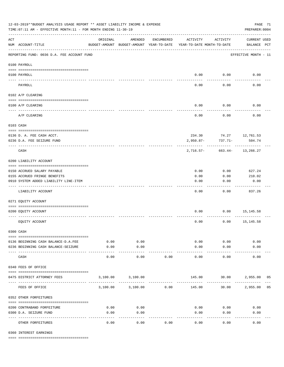| 12-03-2019**BUDGET ANALYSIS USAGE REPORT ** ASSET LIABILITY INCOME & EXPENSE<br>TIME: 07:11 AM - EFFECTIVE MONTH: 11 - FOR MONTH ENDING 11-30-19 |                                                                            |                     |                                                     |                    |                                        |                          |                                    | PAGE 71<br>PREPARER: 0004 |
|--------------------------------------------------------------------------------------------------------------------------------------------------|----------------------------------------------------------------------------|---------------------|-----------------------------------------------------|--------------------|----------------------------------------|--------------------------|------------------------------------|---------------------------|
| $\mathop{\rm ACT}$                                                                                                                               | NUM ACCOUNT-TITLE                                                          | ORIGINAL            | AMENDED<br>BUDGET-AMOUNT BUDGET-AMOUNT YEAR-TO-DATE | ENCUMBERED         | ACTIVITY<br>YEAR-TO-DATE MONTH-TO-DATE | ACTIVITY                 | <b>CURRENT USED</b><br>BALANCE PCT |                           |
|                                                                                                                                                  | REPORTING FUND: 0036 D.A. FEE ACCOUNT FUND                                 |                     |                                                     |                    |                                        |                          | EFFECTIVE MONTH - 11               |                           |
|                                                                                                                                                  | 0100 PAYROLL                                                               |                     |                                                     |                    |                                        |                          |                                    |                           |
|                                                                                                                                                  | 0100 PAYROLL                                                               |                     |                                                     |                    | 0.00                                   | 0.00                     | 0.00                               |                           |
| ---- --                                                                                                                                          | PAYROLL                                                                    |                     |                                                     |                    | 0.00                                   | 0.00                     | 0.00                               |                           |
|                                                                                                                                                  | 0102 A/P CLEARING                                                          |                     |                                                     |                    |                                        |                          |                                    |                           |
|                                                                                                                                                  | 0100 A/P CLEARING                                                          |                     |                                                     |                    | 0.00                                   | 0.00                     | 0.00                               |                           |
|                                                                                                                                                  | A/P CLEARING                                                               |                     |                                                     |                    | 0.00                                   | 0.00                     | 0.00                               |                           |
|                                                                                                                                                  | 0103 CASH                                                                  |                     |                                                     |                    |                                        |                          |                                    |                           |
|                                                                                                                                                  | 0136 D. A. FEE CASH ACCT.                                                  |                     |                                                     |                    |                                        | 234.30 74.27 12,761.53   |                                    |                           |
|                                                                                                                                                  | 0236 D.A. FEE SEIZURE FUND                                                 |                     |                                                     |                    | $2,950.87-$                            | 737.71-                  | 504.74                             |                           |
|                                                                                                                                                  | CASH                                                                       |                     |                                                     |                    | 2,716.57-                              |                          | 663.44- 13,266.27                  |                           |
|                                                                                                                                                  | 0200 LIABILITY ACCOUNT                                                     |                     |                                                     |                    |                                        |                          |                                    |                           |
|                                                                                                                                                  |                                                                            |                     |                                                     |                    |                                        |                          |                                    |                           |
|                                                                                                                                                  | 0150 ACCRUED SALARY PAYABLE                                                |                     |                                                     |                    | 0.00                                   | 0.00                     | 627.24                             |                           |
|                                                                                                                                                  | 0155 ACCRUED FRINGE BENEFITS<br>0910 SYSTEM ADDED LIABILITY LINE-ITEM      |                     |                                                     |                    | 0.00<br>0.00                           | 0.00<br>0.00             | 210.02<br>0.00                     |                           |
|                                                                                                                                                  |                                                                            |                     |                                                     |                    |                                        |                          |                                    |                           |
|                                                                                                                                                  | LIABILITY ACCOUNT                                                          |                     |                                                     |                    | 0.00                                   | 0.00                     | 837.26                             |                           |
|                                                                                                                                                  | 0271 EQUITY ACCOUNT                                                        |                     |                                                     |                    |                                        |                          |                                    |                           |
|                                                                                                                                                  | 0200 EQUITY ACCOUNT                                                        |                     |                                                     |                    | 0.00                                   | 0.00                     | 15,145.58                          |                           |
|                                                                                                                                                  | EQUITY ACCOUNT                                                             |                     |                                                     |                    | 0.00                                   | 0.00                     | 15,145.58                          |                           |
|                                                                                                                                                  | 0300 CASH                                                                  |                     |                                                     |                    |                                        |                          |                                    |                           |
|                                                                                                                                                  |                                                                            |                     | 0.00                                                |                    | 0.00                                   |                          | 0.00                               |                           |
|                                                                                                                                                  | 0136 BEGINNING CASH BALANCE-D.A.FEE<br>0236 BEGINNING CASH BALANCE-SEIZURE | 0.00<br>0.00        | 0.00                                                |                    | 0.00                                   | 0.00<br>0.00             | 0.00                               |                           |
|                                                                                                                                                  | CASH                                                                       | $- - - - -$<br>0.00 | ----------<br>0.00                                  | 0.00               | -----------<br>0.00                    | 0.00                     | 0.00                               |                           |
|                                                                                                                                                  | 0340 FEES OF OFFICE                                                        |                     |                                                     |                    |                                        |                          |                                    |                           |
|                                                                                                                                                  | 0475 DISTRICT ATTORNEY FEES                                                |                     | 3,100.00 3,100.00                                   |                    |                                        | 145.00 30.00 2,955.00 05 |                                    |                           |
|                                                                                                                                                  | FEES OF OFFICE                                                             | 3,100.00            | 3,100.00                                            | ----------<br>0.00 | 145.00                                 | 30.00                    | 2,955.00 05                        |                           |
|                                                                                                                                                  | 0352 OTHER FORFEITURES                                                     |                     |                                                     |                    |                                        |                          |                                    |                           |
|                                                                                                                                                  | 0200 CONTRABAND FORFEITURE                                                 | 0.00                | 0.00                                                |                    | 0.00                                   | 0.00                     | 0.00                               |                           |
|                                                                                                                                                  | 0300 D.A. SEIZURE FUND                                                     | 0.00                | 0.00                                                |                    | 0.00                                   | 0.00                     | 0.00                               |                           |
|                                                                                                                                                  | OTHER FORFEITURES                                                          | 0.00                | $- - - - -$<br>0.00                                 | 0.00               | 0.00                                   | -----<br>0.00            | 0.00                               |                           |

0360 INTEREST EARNINGS

==== ===================================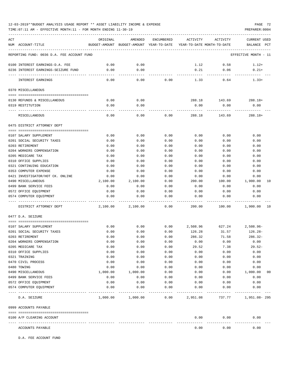TIME:07:11 AM - EFFECTIVE MONTH:11 - FOR MONTH ENDING 11-30-19 PREPARER:0004

| ACT | NUM ACCOUNT-TITLE                             | ORIGINAL     | AMENDED<br>BUDGET-AMOUNT BUDGET-AMOUNT YEAR-TO-DATE YEAR-TO-DATE MONTH-TO-DATE | ENCUMBERED | ACTIVITY           | ACTIVITY       | <b>CURRENT USED</b><br>BALANCE PCT |                |
|-----|-----------------------------------------------|--------------|--------------------------------------------------------------------------------|------------|--------------------|----------------|------------------------------------|----------------|
|     | REPORTING FUND: 0036 D.A. FEE ACCOUNT FUND    |              |                                                                                |            |                    |                | EFFECTIVE MONTH - 11               |                |
|     | 0100 INTEREST EARNINGS-D.A. FEE               | 0.00         | 0.00                                                                           |            | 1.12               | 0.58           | $1.12+$                            |                |
|     | 0236 INTEREST EARNINGS-SEIZURE FUND           | 0.00         | 0.00                                                                           |            | 0.21               | 0.06           | $0.21+$                            |                |
|     |                                               |              |                                                                                |            |                    |                |                                    |                |
|     | INTEREST EARNINGS                             | 0.00         | 0.00                                                                           | 0.00       | 1.33               | 0.64           | $1.33+$                            |                |
|     | 0370 MISCELLANEOUS                            |              |                                                                                |            |                    |                |                                    |                |
|     |                                               |              |                                                                                |            |                    |                |                                    |                |
|     | 0130 REFUNDS & MISCELLANEOUS                  | 0.00         | 0.00                                                                           |            | 288.18             | 143.69         | $288.18+$                          |                |
|     | 0319 RESTITUTION                              | 0.00         | 0.00                                                                           |            | 0.00               | 0.00           | 0.00                               |                |
|     | MISCELLANEOUS                                 | 0.00         | 0.00                                                                           | 0.00       | 288.18             | 143.69         | $288.18+$                          |                |
|     | 0475 DISTRICT ATTORNEY DEPT                   |              |                                                                                |            |                    |                |                                    |                |
|     |                                               |              |                                                                                |            |                    |                |                                    |                |
|     | 0107 SALARY SUPPLEMENT                        | 0.00         | 0.00                                                                           | 0.00       | 0.00               | 0.00           | 0.00                               |                |
|     | 0201 SOCIAL SECURITY TAXES                    | 0.00         | 0.00                                                                           | 0.00       | 0.00               | 0.00           | 0.00                               |                |
|     | 0203 RETIREMENT                               | 0.00         | 0.00                                                                           | 0.00       | 0.00               | 0.00           | 0.00                               |                |
|     | 0204 WORKERS COMPENSATION                     | 0.00         | 0.00                                                                           | 0.00       | 0.00               | 0.00           | 0.00                               |                |
|     | 0205 MEDICARE TAX                             | 0.00         | 0.00                                                                           | 0.00       | 0.00               | 0.00           | 0.00                               |                |
|     | 0310 OFFICE SUPPLIES                          | 0.00         | 0.00                                                                           | 0.00       | 0.00               | 0.00           | 0.00                               |                |
|     | 0321 CONTINUING EDUCATION                     | 0.00         | 0.00                                                                           | 0.00       | 0.00               | 0.00           | 0.00                               |                |
|     | 0353 COMPUTER EXPENSE                         | 0.00         | 0.00                                                                           | 0.00       | 0.00               | 0.00           | 0.00                               |                |
|     | 0421 INVESTIGATOR/HOT CK. ONLINE              | 0.00         | 0.00                                                                           | 0.00       | 0.00               | 0.00           | 0.00                               |                |
|     | 0490 MISCELLANEOUS                            | 2,100.00     | 2,100.00                                                                       | 0.00       | 200.00             | 100.00         | 1,900.00                           | 10             |
|     | 0499 BANK SERVICE FEES                        | 0.00         | 0.00                                                                           | 0.00       | 0.00               | 0.00           | 0.00                               |                |
|     | 0572 OFFICE EQUIPMENT                         | 0.00         | 0.00                                                                           | 0.00       | 0.00               | 0.00           | 0.00                               |                |
|     | 0574 COMPUTER EQUIPMENT                       | 0.00         | 0.00                                                                           | 0.00       | 0.00               | 0.00           | 0.00                               |                |
|     | DISTRICT ATTORNEY DEPT                        | 2,100.00     | 2,100.00                                                                       | 0.00       | 200.00             | 100.00         | 1,900.00                           | 10             |
|     | 0477 D.A. SEIZURE                             |              |                                                                                |            |                    |                |                                    |                |
|     |                                               |              | 0.00                                                                           | 0.00       |                    |                |                                    |                |
|     | 0107 SALARY SUPPLEMENT                        | 0.00         | 0.00                                                                           | 0.00       | 2,508.96<br>126.28 | 627.24         | $2,508.96 -$                       |                |
|     | 0201 SOCIAL SECURITY TAXES<br>0203 RETIREMENT | 0.00<br>0.00 | 0.00                                                                           | 0.00       | 286.32             | 31.57<br>71.58 | 126.28-<br>$286.32-$               |                |
|     | 0204 WORKERS COMPENSATION                     | 0.00         | 0.00                                                                           | 0.00       | 0.00               | 0.00           | 0.00                               |                |
|     | 0205 MEDICARE TAX                             | 0.00         | 0.00                                                                           | 0.00       | 29.52              | 7.38           | $29.52-$                           |                |
|     | 0310 OFFICE SUPPLIES                          | 0.00         | 0.00                                                                           | 0.00       | 0.00               | 0.00           | 0.00                               |                |
|     | 0321 TRAINING                                 | 0.00         | 0.00                                                                           | 0.00       | 0.00               | 0.00           | 0.00                               |                |
|     | 0470 CIVIL PROCESS                            | 0.00         | 0.00                                                                           | 0.00       | 0.00               | 0.00           | 0.00                               |                |
|     | 0480 TOWING                                   | 0.00         | 0.00                                                                           | 0.00       | 0.00               | 0.00           | 0.00                               |                |
|     | 0490 MISCELLANEOUS                            | 1,000.00     | 1,000.00                                                                       | 0.00       | 0.00               | 0.00           | 1,000.00                           | 0 <sub>0</sub> |
|     | 0499 BANK SERVICE FEES                        | 0.00         | 0.00                                                                           | 0.00       | 0.00               | 0.00           | 0.00                               |                |
|     | 0572 OFFICE EQUIPMENT                         | 0.00         | 0.00                                                                           | 0.00       | 0.00               | 0.00           | 0.00                               |                |
|     | 0574 COMPUTER EQUIPMENT                       | 0.00         | 0.00                                                                           | 0.00       | 0.00               | 0.00           | 0.00                               |                |
|     | D.A. SEIZURE                                  | 1,000.00     | 1,000.00                                                                       | 0.00       | 2,951.08           | 737.77         | 1,951.08-295                       |                |
|     | 0999 ACCOUNTS PAYABLE                         |              |                                                                                |            |                    |                |                                    |                |
|     |                                               |              |                                                                                |            |                    |                |                                    |                |
|     | 0100 A/P CLEARING ACCOUNT                     |              |                                                                                |            | 0.00               | 0.00           | 0.00                               |                |
|     | ACCOUNTS PAYABLE                              |              |                                                                                |            | 0.00               | 0.00           | 0.00                               |                |

D.A. FEE ACCOUNT FUND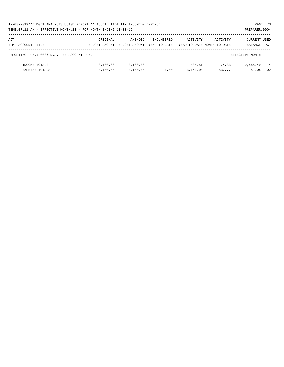|     | 12-03-2019**BUDGET ANALYSIS USAGE REPORT ** ASSET LIABILITY INCOME & EXPENSE       |               |               |                   |          |                            | PAGE 73              |     |  |  |  |
|-----|------------------------------------------------------------------------------------|---------------|---------------|-------------------|----------|----------------------------|----------------------|-----|--|--|--|
|     | PREPARER: 0004<br>TIME: 07:11 AM - EFFECTIVE MONTH: 11 - FOR MONTH ENDING 11-30-19 |               |               |                   |          |                            |                      |     |  |  |  |
|     |                                                                                    |               |               |                   |          |                            |                      |     |  |  |  |
| ACT |                                                                                    | ORIGINAL      | AMENDED       | <b>ENCUMBERED</b> | ACTIVITY | ACTIVITY                   | CURRENT USED         |     |  |  |  |
|     | NUM ACCOUNT-TITLE                                                                  | BUDGET-AMOUNT | BUDGET-AMOUNT | YEAR-TO-DATE      |          | YEAR-TO-DATE MONTH-TO-DATE | BALANCE              | PCT |  |  |  |
|     |                                                                                    |               |               |                   |          |                            |                      |     |  |  |  |
|     | REPORTING FUND: 0036 D.A. FEE ACCOUNT FUND                                         |               |               |                   |          |                            | EFFECTIVE MONTH - 11 |     |  |  |  |
|     |                                                                                    |               |               |                   |          |                            |                      |     |  |  |  |
|     | INCOME TOTALS                                                                      | 3,100.00      | 3,100.00      |                   | 434.51   | 174.33                     | 2,665.49 14          |     |  |  |  |
|     | <b>EXPENSE TOTALS</b>                                                              | 3.100.00      | 3,100.00      | 0.00              | 3,151.08 | 837.77                     | $51.08 - 102$        |     |  |  |  |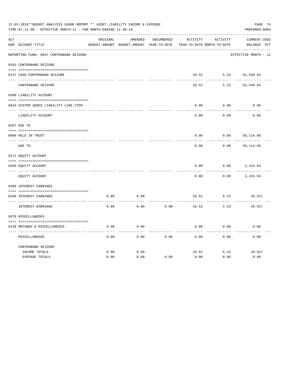| 12-03-2019**BUDGET ANALYSIS USAGE REPORT ** ASSET LIABILITY INCOME & EXPENSE<br>PAGE 74<br>TIME: 07:11 AM - EFFECTIVE MONTH: 11 - FOR MONTH ENDING 11-30-19<br>PREPARER: 0004 |                                         |          |                                          |                   |          |                            |                      |  |  |
|-------------------------------------------------------------------------------------------------------------------------------------------------------------------------------|-----------------------------------------|----------|------------------------------------------|-------------------|----------|----------------------------|----------------------|--|--|
| ACT                                                                                                                                                                           |                                         | ORIGINAL | AMENDED                                  | <b>ENCUMBERED</b> | ACTIVITY | <b>ACTIVITY</b>            | CURRENT USED         |  |  |
|                                                                                                                                                                               | NUM ACCOUNT-TITLE                       |          | BUDGET-AMOUNT BUDGET-AMOUNT YEAR-TO-DATE |                   |          | YEAR-TO-DATE MONTH-TO-DATE | BALANCE PCT          |  |  |
|                                                                                                                                                                               | REPORTING FUND: 0037 CONTRABAND SEIZURE |          |                                          |                   |          |                            | EFFECTIVE MONTH - 11 |  |  |
|                                                                                                                                                                               | 0103 CONTRABAND SEIZURE                 |          |                                          |                   |          |                            |                      |  |  |
|                                                                                                                                                                               | 0137 CASH-CONTRABAND SEIZURE            |          |                                          |                   | 10.52    | 5.23                       | 61,540.84            |  |  |
|                                                                                                                                                                               | CONTRABAND SEIZURE                      |          |                                          |                   | 10.52    | 5.23                       | 61,540.84            |  |  |
|                                                                                                                                                                               | 0200 LIABILITY ACCOUNT                  |          |                                          |                   |          |                            |                      |  |  |
|                                                                                                                                                                               | 0910 SYSTEM ADDED LIABILITY LINE-ITEM   |          |                                          |                   | 0.00     | 0.00                       | 0.00                 |  |  |
|                                                                                                                                                                               | LIABILITY ACCOUNT                       |          |                                          |                   | 0.00     | 0.00                       | 0.00                 |  |  |
|                                                                                                                                                                               | 0207 DUE TO                             |          |                                          |                   |          |                            |                      |  |  |
|                                                                                                                                                                               | 0099 HELD IN TRUST                      |          |                                          |                   | 0.00     | 0.00                       | 59, 114.68           |  |  |
|                                                                                                                                                                               | DUE TO                                  |          |                                          |                   | 0.00     | 0.00                       | 59,114.68            |  |  |
|                                                                                                                                                                               | 0271 EQUITY ACCOUNT                     |          |                                          |                   |          |                            |                      |  |  |
|                                                                                                                                                                               | 0200 EQUITY ACCOUNT                     |          |                                          |                   | 0.00     | 0.00                       | 2,415.64             |  |  |
|                                                                                                                                                                               | EQUITY ACCOUNT                          |          |                                          |                   | 0.00     | 0.00                       | 2,415.64             |  |  |
|                                                                                                                                                                               | 0360 INTEREST EARNINGS                  |          |                                          |                   |          |                            |                      |  |  |
|                                                                                                                                                                               | 0100 INTEREST EARNINGS                  | 0.00     | 0.00                                     |                   | 10.52    | 5.23                       | $10.52+$             |  |  |
|                                                                                                                                                                               | INTEREST EARNINGS                       | 0.00     | 0.00                                     | 0.00              | 10.52    | 5.23                       | $10.52+$             |  |  |
|                                                                                                                                                                               | 0370 MISCELLANEOUS                      |          |                                          |                   |          |                            |                      |  |  |
|                                                                                                                                                                               | 0130 REFUNDS & MISCELLANEOUS            | 0.00     | 0.00                                     |                   | 0.00     | 0.00                       | 0.00                 |  |  |
|                                                                                                                                                                               | MISCELLANEOUS                           | 0.00     | 0.00                                     | 0.00              | 0.00     | 0.00                       | 0.00                 |  |  |
|                                                                                                                                                                               | CONTRABAND SEIZURE                      | 0.00     | 0.00                                     |                   | 10.52    | 5.23                       | $10.52+$             |  |  |
|                                                                                                                                                                               | INCOME TOTALS<br><b>EXPENSE TOTALS</b>  | 0.00     | 0.00                                     | 0.00              | 0.00     | 0.00                       | 0.00                 |  |  |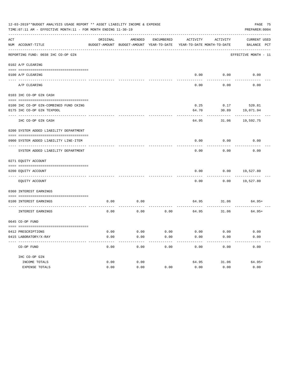|     | 12-03-2019**BUDGET ANALYSIS USAGE REPORT ** ASSET LIABILITY INCOME & EXPENSE<br>PAGE 75<br>TIME: 07:11 AM - EFFECTIVE MONTH: 11 - FOR MONTH ENDING 11-30-19<br>PREPARER: 0004 |          |                                                     |            |                                        |               |                             |  |  |  |
|-----|-------------------------------------------------------------------------------------------------------------------------------------------------------------------------------|----------|-----------------------------------------------------|------------|----------------------------------------|---------------|-----------------------------|--|--|--|
| ACT | NUM ACCOUNT-TITLE                                                                                                                                                             | ORIGINAL | AMENDED<br>BUDGET-AMOUNT BUDGET-AMOUNT YEAR-TO-DATE | ENCUMBERED | ACTIVITY<br>YEAR-TO-DATE MONTH-TO-DATE | ACTIVITY      | CURRENT USED<br>BALANCE PCT |  |  |  |
|     | REPORTING FUND: 0038 IHC CO-OP GIN                                                                                                                                            |          |                                                     |            |                                        |               | EFFECTIVE MONTH - 11        |  |  |  |
|     | 0102 A/P CLEARING                                                                                                                                                             |          |                                                     |            |                                        |               |                             |  |  |  |
|     | 0100 A/P CLEARING                                                                                                                                                             |          |                                                     |            |                                        | $0.00$ $0.00$ | 0.00                        |  |  |  |
|     | ---------------- ---------<br>A/P CLEARING                                                                                                                                    |          |                                                     |            | 0.00                                   | 0.00          | 0.00                        |  |  |  |
|     | 0103 IHC CO-OP GIN CASH                                                                                                                                                       |          |                                                     |            |                                        |               |                             |  |  |  |
|     | 0100 IHC CO-OP GIN-COMBINED FUND CKING                                                                                                                                        |          |                                                     |            |                                        |               | $0.25$ $0.17$ 520.81        |  |  |  |
|     | 0175 IHC CO-OP GIN TEXPOOL                                                                                                                                                    |          |                                                     |            | 64.70                                  |               | 30.89 19,071.94             |  |  |  |
|     | ---- -----------------------------                                                                                                                                            |          |                                                     |            |                                        |               |                             |  |  |  |
|     | IHC CO-OP GIN CASH                                                                                                                                                            |          |                                                     |            | 64.95                                  |               | 31.06 19,592.75             |  |  |  |
|     | 0200 SYSTEM ADDED LIABILITY DEPARTMENT                                                                                                                                        |          |                                                     |            |                                        |               |                             |  |  |  |
|     | 0900 SYSTEM ADDED LIABILITY LINE-ITEM                                                                                                                                         |          |                                                     |            | 0.00                                   |               | $0.00$ 0.00                 |  |  |  |
|     | SYSTEM ADDED LIABILITY DEPARTMENT                                                                                                                                             |          |                                                     |            | 0.00                                   | 0.00          | 0.00                        |  |  |  |
|     | 0271 EQUITY ACCOUNT                                                                                                                                                           |          |                                                     |            |                                        |               |                             |  |  |  |
|     | 0200 EQUITY ACCOUNT                                                                                                                                                           |          |                                                     |            | 0.00                                   |               | $0.00$ 19,527.80            |  |  |  |
|     | EQUITY ACCOUNT                                                                                                                                                                |          |                                                     |            | -----<br>0.00                          | --------      | $0.00$ 19,527.80            |  |  |  |
|     | 0360 INTEREST EARNINGS                                                                                                                                                        |          |                                                     |            |                                        |               |                             |  |  |  |
|     |                                                                                                                                                                               |          |                                                     |            |                                        |               |                             |  |  |  |
|     | 0100 INTEREST EARNINGS                                                                                                                                                        | 0.00     | 0.00                                                |            |                                        |               | 64.95 31.06 64.95+          |  |  |  |
|     | INTEREST EARNINGS                                                                                                                                                             | 0.00     | 0.00                                                |            | $0.00$ 64.95 31.06                     |               | $64.95+$                    |  |  |  |
|     | 0645 CO-OP FUND                                                                                                                                                               |          |                                                     |            |                                        |               |                             |  |  |  |
|     |                                                                                                                                                                               |          |                                                     |            |                                        |               |                             |  |  |  |
|     | 0412 PRESCRIPTIONS                                                                                                                                                            | 0.00     | 0.00                                                | 0.00       | 0.00                                   | 0.00          | 0.00                        |  |  |  |
|     | 0415 LABORATORY/X-RAY                                                                                                                                                         | 0.00     | 0.00                                                | 0.00       | 0.00                                   | 0.00          | 0.00                        |  |  |  |
|     | CO-OP FUND                                                                                                                                                                    | 0.00     | 0.00                                                | 0.00       | 0.00                                   | 0.00          | 0.00                        |  |  |  |
|     | IHC CO-OP GIN                                                                                                                                                                 |          |                                                     |            |                                        |               |                             |  |  |  |
|     | INCOME TOTALS                                                                                                                                                                 | 0.00     | 0.00                                                |            | 64.95                                  | 31.06         | $64.95+$                    |  |  |  |
|     | EXPENSE TOTALS                                                                                                                                                                | 0.00     | 0.00                                                | 0.00       | 0.00                                   | 0.00          | 0.00                        |  |  |  |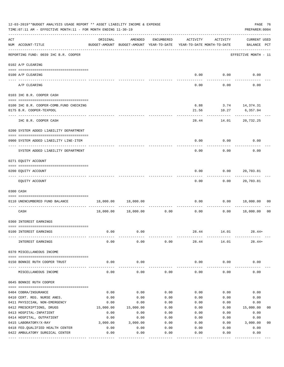| 12-03-2019**BUDGET ANALYSIS USAGE REPORT ** ASSET LIABILITY INCOME & EXPENSE<br>TIME: 07:11 AM - EFFECTIVE MONTH: 11 - FOR MONTH ENDING 11-30-19 |                                                                                         |                                                      |                     |                       |                                     |                                        |                                    |  |
|--------------------------------------------------------------------------------------------------------------------------------------------------|-----------------------------------------------------------------------------------------|------------------------------------------------------|---------------------|-----------------------|-------------------------------------|----------------------------------------|------------------------------------|--|
| ACT                                                                                                                                              | NUM ACCOUNT-TITLE                                                                       | ORIGINAL<br>BUDGET-AMOUNT BUDGET-AMOUNT YEAR-TO-DATE | AMENDED             | ENCUMBERED            | ACTIVITY                            | ACTIVITY<br>YEAR-TO-DATE MONTH-TO-DATE | <b>CURRENT USED</b><br>BALANCE PCT |  |
|                                                                                                                                                  | REPORTING FUND: 0039 IHC B.R. COOPER                                                    |                                                      |                     |                       |                                     |                                        | EFFECTIVE MONTH - 11               |  |
|                                                                                                                                                  | 0102 A/P CLEARING                                                                       |                                                      |                     |                       |                                     |                                        |                                    |  |
|                                                                                                                                                  | 0100 A/P CLEARING<br>---- ----------                                                    |                                                      |                     |                       | 0.00                                | 0.00                                   | 0.00                               |  |
|                                                                                                                                                  | A/P CLEARING                                                                            |                                                      |                     |                       | 0.00                                | 0.00                                   | 0.00                               |  |
|                                                                                                                                                  | 0103 IHC B.R. COOPER CASH                                                               |                                                      |                     |                       |                                     |                                        |                                    |  |
|                                                                                                                                                  | 0100 IHC B.R. COOPER-COMB.FUND CHECKING<br>0175 B.R. COOPER-TEXPOOL<br>---------------- |                                                      |                     |                       | 21.56                               | 6.88 3.74 14,374.31<br>---------       | 10.27 6,357.94<br>.                |  |
|                                                                                                                                                  | IHC B.R. COOPER CASH                                                                    |                                                      |                     |                       | 28.44                               |                                        | 14.01 20,732.25                    |  |
|                                                                                                                                                  | 0200 SYSTEM ADDED LIABILITY DEPARTMENT                                                  |                                                      |                     |                       |                                     |                                        |                                    |  |
|                                                                                                                                                  | 0900 SYSTEM ADDED LIABILITY LINE-ITEM                                                   |                                                      |                     |                       | 0.00                                | 0.00                                   | 0.00                               |  |
|                                                                                                                                                  | SYSTEM ADDED LIABILITY DEPARTMENT                                                       |                                                      |                     |                       | 0.00                                | 0.00                                   | 0.00                               |  |
|                                                                                                                                                  | 0271 EQUITY ACCOUNT                                                                     |                                                      |                     |                       |                                     |                                        |                                    |  |
|                                                                                                                                                  | 0200 EQUITY ACCOUNT                                                                     |                                                      |                     |                       | 0.00                                |                                        | $0.00$ 20,703.81                   |  |
|                                                                                                                                                  | EQUITY ACCOUNT                                                                          |                                                      |                     |                       | 0.00                                |                                        | $0.00$ 20,703.81                   |  |
|                                                                                                                                                  | 0300 CASH                                                                               |                                                      |                     |                       |                                     |                                        |                                    |  |
|                                                                                                                                                  | 0110 UNENCUMBERED FUND BALANCE                                                          |                                                      | 18,000.00 18,000.00 |                       | 0.00                                |                                        | 0.00 18,000.00<br>00               |  |
|                                                                                                                                                  | CASH                                                                                    | 18,000.00                                            | 18,000.00           | 0.00                  | ------------- -------------<br>0.00 |                                        | $0.00$ 18,000.00<br>0 <sub>0</sub> |  |
|                                                                                                                                                  | 0360 INTEREST EARNINGS                                                                  |                                                      |                     |                       |                                     |                                        |                                    |  |
|                                                                                                                                                  | 0100 INTEREST EARNINGS                                                                  | 0.00                                                 | 0.00                |                       | 28.44                               | 14.01                                  | $28.44+$                           |  |
|                                                                                                                                                  | INTEREST EARNINGS                                                                       | 0.00                                                 | 0.00                | 0.00                  | 28.44                               | 14.01                                  | $28.44+$                           |  |
|                                                                                                                                                  | 0370 MISCELLANEOUS INCOME                                                               |                                                      |                     |                       |                                     |                                        |                                    |  |
|                                                                                                                                                  | 0150 BONNIE RUTH COOPER TRUST                                                           | 0.00                                                 | 0.00                |                       | 0.00                                | 0.00                                   | 0.00                               |  |
|                                                                                                                                                  | MISCELLANEOUS INCOME                                                                    | 0.00                                                 | 0.00                | 0.00                  | 0.00                                | 0.00                                   | 0.00                               |  |
|                                                                                                                                                  | 0645 BONNIE RUTH COOPER                                                                 |                                                      |                     |                       |                                     |                                        |                                    |  |
|                                                                                                                                                  | 0404 COBRA/INSURANCE                                                                    | 0.00                                                 | 0.00                | 0.00                  | 0.00                                | 0.00                                   | 0.00                               |  |
|                                                                                                                                                  | 0410 CERT. REG. NURSE ANES.                                                             | 0.00                                                 | 0.00                | 0.00                  | 0.00                                | 0.00                                   | 0.00                               |  |
|                                                                                                                                                  | 0411 PHYSICIAN, NON-EMERGENCY                                                           | 0.00                                                 | 0.00                | 0.00                  | 0.00                                | 0.00                                   | 0.00                               |  |
|                                                                                                                                                  | 0412 PRESCRIPTIONS, DRUGS                                                               | 15,000.00                                            | 15,000.00           | 0.00                  | 0.00                                | 0.00                                   | 15,000.00<br>00                    |  |
|                                                                                                                                                  | 0413 HOSPITAL-INPATIENT                                                                 | 0.00                                                 | 0.00                | 0.00                  | 0.00                                | 0.00                                   | 0.00                               |  |
|                                                                                                                                                  | 0414 HOSPITAL, OUTPATIENT                                                               | 0.00                                                 | 0.00                | 0.00                  | 0.00                                | 0.00                                   | 0.00                               |  |
|                                                                                                                                                  | 0415 LABORATORY/X-RAY                                                                   | 3,000.00                                             | 3,000.00            | 0.00                  | 0.00                                | 0.00                                   | 3,000.00<br>0 <sub>0</sub>         |  |
|                                                                                                                                                  | 0418 FED. QUALIFIED HEALTH CENTER                                                       | 0.00                                                 | 0.00                | 0.00                  | 0.00                                | 0.00                                   | 0.00                               |  |
|                                                                                                                                                  | 0422 AMBULATORY SURGICAL CENTER                                                         | 0.00                                                 | 0.00<br>----------- | 0.00<br>$- - - - - -$ | 0.00                                | 0.00<br>------                         | 0.00<br>---------                  |  |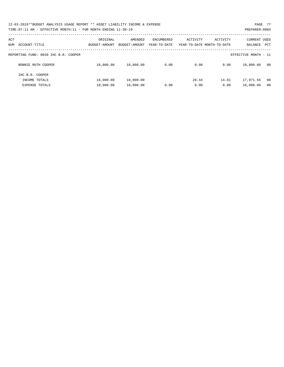| 12-03-2019**BUDGET ANALYSIS USAGE REPORT ** ASSET LIABILITY INCOME & EXPENSE | PAGE 77        |
|------------------------------------------------------------------------------|----------------|
| TIME: 07:11 AM - EFFECTIVE MONTH: 11 - FOR MONTH ENDING 11-30-19             | PREPARER: 0004 |

| ACT<br>ACCOUNT-TITLE<br>NUM          | ORIGINAL<br>BUDGET-AMOUNT | AMENDED<br>BUDGET-AMOUNT | ENCUMBERED<br>YEAR-TO-DATE | ACTIVITY | ACTIVITY<br>YEAR-TO-DATE MONTH-TO-DATE | <b>CURRENT USED</b><br>BALANCE<br>PCT |  |
|--------------------------------------|---------------------------|--------------------------|----------------------------|----------|----------------------------------------|---------------------------------------|--|
| REPORTING FUND: 0039 IHC B.R. COOPER |                           |                          |                            |          |                                        | EFFECTIVE MONTH - 11                  |  |
| BONNIE RUTH COOPER                   | 18,000.00                 | 18,000.00                | 0.00                       | 0.00     | 0.00                                   | 18,000.00<br>00                       |  |
| IHC B.R. COOPER<br>INCOME TOTALS     | 18,000.00                 | 18,000.00                |                            | 28.44    | 14.01                                  | 17,971.56<br>00                       |  |
| <b>EXPENSE TOTALS</b>                | 18,000.00                 | 18,000.00                | 0.00                       | 0.00     | 0.00                                   | 18,000.00<br>00                       |  |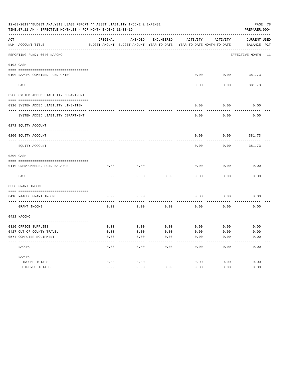|     | 12-03-2019**BUDGET ANALYSIS USAGE REPORT ** ASSET LIABILITY INCOME & EXPENSE<br>PREPARER: 0004<br>TIME: 07:11 AM - EFFECTIVE MONTH: 11 - FOR MONTH ENDING 11-30-19 |          |                                                     |            |          |                                        |                                    |  |  |  |
|-----|--------------------------------------------------------------------------------------------------------------------------------------------------------------------|----------|-----------------------------------------------------|------------|----------|----------------------------------------|------------------------------------|--|--|--|
| ACT | NUM ACCOUNT-TITLE                                                                                                                                                  | ORIGINAL | AMENDED<br>BUDGET-AMOUNT BUDGET-AMOUNT YEAR-TO-DATE | ENCUMBERED | ACTIVITY | ACTIVITY<br>YEAR-TO-DATE MONTH-TO-DATE | <b>CURRENT USED</b><br>BALANCE PCT |  |  |  |
|     | ----------------------------<br>REPORTING FUND: 0040 NAACHO                                                                                                        |          |                                                     |            |          |                                        | EFFECTIVE MONTH - 11               |  |  |  |
|     | 0103 CASH                                                                                                                                                          |          |                                                     |            |          |                                        |                                    |  |  |  |
|     | 0100 NAACHO-COMBINED FUND CKING                                                                                                                                    |          |                                                     |            | 0.00     |                                        | $0.00$ 381.73                      |  |  |  |
|     | CASH                                                                                                                                                               |          |                                                     |            | 0.00     | 0.00                                   | 381.73                             |  |  |  |
|     | 0200 SYSTEM ADDED LIABILITY DEPARTMENT                                                                                                                             |          |                                                     |            |          |                                        |                                    |  |  |  |
|     | 0910 SYSTEM ADDED LIABILITY LINE-ITEM                                                                                                                              |          |                                                     |            | 0.00     | 0.00                                   | 0.00                               |  |  |  |
|     | SYSTEM ADDED LIABILITY DEPARTMENT                                                                                                                                  |          |                                                     |            | 0.00     | 0.00                                   | 0.00                               |  |  |  |
|     | 0271 EQUITY ACCOUNT                                                                                                                                                |          |                                                     |            |          |                                        |                                    |  |  |  |
|     | 0200 EQUITY ACCOUNT                                                                                                                                                |          |                                                     |            | 0.00     | 0.00                                   | 381.73                             |  |  |  |
|     | EQUITY ACCOUNT                                                                                                                                                     |          |                                                     |            | 0.00     | 0.00                                   | 381.73                             |  |  |  |
|     | 0300 CASH                                                                                                                                                          |          |                                                     |            |          |                                        |                                    |  |  |  |
|     | 0110 UNENCUMBERED FUND BALANCE                                                                                                                                     | 0.00     | 0.00                                                |            | 0.00     | 0.00                                   | 0.00                               |  |  |  |
|     | CASH                                                                                                                                                               | 0.00     | 0.00                                                | 0.00       | 0.00     | 0.00                                   | 0.00                               |  |  |  |
|     | 0330 GRANT INCOME                                                                                                                                                  |          |                                                     |            |          |                                        |                                    |  |  |  |
|     | 0410 NAACHO GRANT INCOME<br>------------------- --                                                                                                                 | 0.00     | 0.00                                                |            | 0.00     | 0.00                                   | 0.00                               |  |  |  |
|     | GRANT INCOME                                                                                                                                                       | 0.00     | 0.00                                                | 0.00       | 0.00     | 0.00                                   | 0.00                               |  |  |  |
|     | 0411 NACCHO                                                                                                                                                        |          |                                                     |            |          |                                        |                                    |  |  |  |
|     | 0310 OFFICE SUPPLIES                                                                                                                                               | 0.00     | 0.00                                                | 0.00       |          | $0.00$ 0.00                            | 0.00                               |  |  |  |
|     | 0427 OUT OF COUNTY TRAVEL                                                                                                                                          | 0.00     | 0.00                                                | 0.00       | 0.00     | 0.00                                   | 0.00                               |  |  |  |
|     | 0574 COMPUTER EQUIPMENT                                                                                                                                            | 0.00     | 0.00                                                | 0.00       | 0.00     | 0.00                                   | 0.00                               |  |  |  |
|     | NACCHO                                                                                                                                                             | 0.00     | 0.00                                                | 0.00       | 0.00     | 0.00                                   | 0.00                               |  |  |  |
|     | NAACHO                                                                                                                                                             |          |                                                     |            |          |                                        |                                    |  |  |  |
|     | INCOME TOTALS                                                                                                                                                      | 0.00     | 0.00                                                |            | 0.00     | 0.00                                   | 0.00                               |  |  |  |
|     | EXPENSE TOTALS                                                                                                                                                     | 0.00     | 0.00                                                | 0.00       | 0.00     | 0.00                                   | 0.00                               |  |  |  |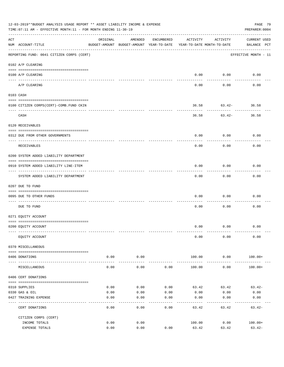| 12-03-2019**BUDGET ANALYSIS USAGE REPORT ** ASSET LIABILITY INCOME & EXPENSE<br>PAGE 79<br>PREPARER: 0004<br>TIME:07:11 AM - EFFECTIVE MONTH:11 - FOR MONTH ENDING 11-30-19 |                                             |                                                                                 |                      |            |                 |                             |                                    |  |  |
|-----------------------------------------------------------------------------------------------------------------------------------------------------------------------------|---------------------------------------------|---------------------------------------------------------------------------------|----------------------|------------|-----------------|-----------------------------|------------------------------------|--|--|
| ACT                                                                                                                                                                         | NUM ACCOUNT-TITLE                           | ORIGINAL<br>BUDGET-AMOUNT BUDGET-AMOUNT YEAR-TO-DATE YEAR-TO-DATE MONTH-TO-DATE | AMENDED              | ENCUMBERED | ACTIVITY        | ACTIVITY                    | <b>CURRENT USED</b><br>BALANCE PCT |  |  |
|                                                                                                                                                                             | REPORTING FUND: 0041 CITIZEN CORPS (CERT)   |                                                                                 |                      |            |                 |                             | EFFECTIVE MONTH - 11               |  |  |
|                                                                                                                                                                             | 0102 A/P CLEARING                           |                                                                                 |                      |            |                 |                             |                                    |  |  |
|                                                                                                                                                                             | 0100 A/P CLEARING                           |                                                                                 |                      |            |                 | $0.00$ $0.00$<br>---------- | 0.00                               |  |  |
|                                                                                                                                                                             | A/P CLEARING                                |                                                                                 |                      |            | 0.00            | 0.00                        | 0.00                               |  |  |
|                                                                                                                                                                             | 0103 CASH                                   |                                                                                 |                      |            |                 |                             |                                    |  |  |
|                                                                                                                                                                             | 0100 CITIZEN CORPS (CERT) - COMB. FUND CKIN |                                                                                 |                      |            |                 | 36.58 63.42- 36.58          |                                    |  |  |
|                                                                                                                                                                             | CASH                                        |                                                                                 |                      |            | 36.58           | .                           | . <u>.</u> .<br>$63.42 - 36.58$    |  |  |
|                                                                                                                                                                             | 0120 RECEIVABLES                            |                                                                                 |                      |            |                 |                             |                                    |  |  |
|                                                                                                                                                                             | 0312 DUE FROM OTHER GOVERNMENTS             |                                                                                 |                      |            | 0.00            | 0.00                        | 0.00                               |  |  |
|                                                                                                                                                                             | RECEIVABLES                                 |                                                                                 |                      |            | 0.00            | 0.00                        | 0.00                               |  |  |
|                                                                                                                                                                             | 0200 SYSTEM ADDED LIABILITY DEPARTMENT      |                                                                                 |                      |            |                 |                             |                                    |  |  |
|                                                                                                                                                                             | 0910 SYSTEM ADDED LIABILITY LINE-ITEM       |                                                                                 |                      |            | 0.00            | 0.00<br>---------           | 0.00                               |  |  |
|                                                                                                                                                                             | SYSTEM ADDED LIABILITY DEPARTMENT           |                                                                                 |                      |            | 0.00            | 0.00                        | 0.00                               |  |  |
|                                                                                                                                                                             | 0207 DUE TO FUND                            |                                                                                 |                      |            |                 |                             |                                    |  |  |
|                                                                                                                                                                             | 0095 DUE TO OTHER FUNDS                     |                                                                                 |                      |            | 0.00            | 0.00                        | 0.00                               |  |  |
|                                                                                                                                                                             | DUE TO FUND                                 |                                                                                 |                      |            | 0.00            | 0.00                        | 0.00                               |  |  |
|                                                                                                                                                                             | 0271 EQUITY ACCOUNT                         |                                                                                 |                      |            |                 |                             |                                    |  |  |
|                                                                                                                                                                             | 0200 EQUITY ACCOUNT                         |                                                                                 |                      |            |                 | $0.00$ $0.00$               | 0.00                               |  |  |
|                                                                                                                                                                             | EQUITY ACCOUNT                              |                                                                                 |                      |            | 0.00            | 0.00                        | 0.00                               |  |  |
|                                                                                                                                                                             | 0370 MISCELLANEOUS                          |                                                                                 |                      |            |                 |                             |                                    |  |  |
|                                                                                                                                                                             | 0406 DONATIONS                              | 0.00                                                                            | 0.00                 |            | 100.00          | 0.00                        | 100.00+                            |  |  |
|                                                                                                                                                                             | MISCELLANEOUS                               | 0.00                                                                            | . <u>.</u> .<br>0.00 | 0.00       | 100.00          | ----------<br>0.00          | $100.00+$                          |  |  |
|                                                                                                                                                                             | 0406 CERT DONATIONS                         |                                                                                 |                      |            |                 |                             |                                    |  |  |
|                                                                                                                                                                             | 0310 SUPPLIES                               | 0.00                                                                            | 0.00                 | 0.00       | 63.42           | 63.42                       | $63.42-$                           |  |  |
|                                                                                                                                                                             | 0330 GAS & OIL                              | 0.00                                                                            | 0.00                 | 0.00       | 0.00            | 0.00                        | 0.00                               |  |  |
|                                                                                                                                                                             | 0427 TRAINING EXPENSE                       | 0.00                                                                            | 0.00                 | 0.00       | 0.00            | 0.00                        | 0.00                               |  |  |
|                                                                                                                                                                             | CERT DONATIONS                              | 0.00                                                                            | 0.00                 | 0.00       | 63.42           | 63.42                       | $63.42-$                           |  |  |
|                                                                                                                                                                             | CITIZEN CORPS (CERT)                        |                                                                                 |                      |            |                 |                             |                                    |  |  |
|                                                                                                                                                                             | INCOME TOTALS<br>EXPENSE TOTALS             | 0.00<br>0.00                                                                    | 0.00<br>0.00         | 0.00       | 100.00<br>63.42 | 0.00<br>63.42               | $100.00+$<br>$63.42-$              |  |  |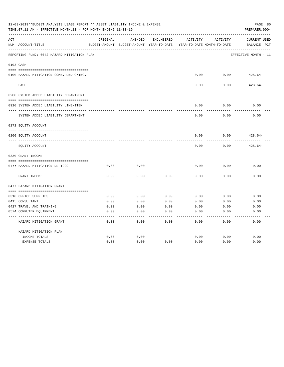| 12-03-2019**BUDGET ANALYSIS USAGE REPORT ** ASSET LIABILITY INCOME & EXPENSE<br>TIME: 07:11 AM - EFFECTIVE MONTH: 11 - FOR MONTH ENDING 11-30-19 |                                             |              |                                                     |                   |              |                                        |                                                |  |
|--------------------------------------------------------------------------------------------------------------------------------------------------|---------------------------------------------|--------------|-----------------------------------------------------|-------------------|--------------|----------------------------------------|------------------------------------------------|--|
| ACT                                                                                                                                              | NUM ACCOUNT-TITLE                           | ORIGINAL     | AMENDED<br>BUDGET-AMOUNT BUDGET-AMOUNT YEAR-TO-DATE | <b>ENCUMBERED</b> | ACTIVITY     | ACTIVITY<br>YEAR-TO-DATE MONTH-TO-DATE | <b>CURRENT USED</b><br>$_{\rm PCT}$<br>BALANCE |  |
|                                                                                                                                                  | REPORTING FUND: 0042 HAZARD MITIGATION PLAN |              |                                                     |                   |              |                                        | EFFECTIVE MONTH - 11                           |  |
|                                                                                                                                                  | 0103 CASH                                   |              |                                                     |                   |              |                                        |                                                |  |
|                                                                                                                                                  | 0100 HAZARD MITIGATION-COMB.FUND CKING.     |              |                                                     |                   | 0.00         | 0.00                                   | $428.64-$                                      |  |
|                                                                                                                                                  | CASH                                        |              |                                                     |                   | 0.00         | 0.00                                   | $428.64-$                                      |  |
|                                                                                                                                                  | 0200 SYSTEM ADDED LIABILITY DEPARTMENT      |              |                                                     |                   |              |                                        |                                                |  |
|                                                                                                                                                  | 0910 SYSTEM ADDED LIABILITY LINE-ITEM       |              |                                                     |                   | 0.00         | 0.00                                   | 0.00                                           |  |
|                                                                                                                                                  | SYSTEM ADDED LIABILITY DEPARTMENT           |              |                                                     |                   | 0.00         | 0.00                                   | 0.00                                           |  |
|                                                                                                                                                  | 0271 EQUITY ACCOUNT                         |              |                                                     |                   |              |                                        |                                                |  |
|                                                                                                                                                  | 0200 EQUITY ACCOUNT                         |              |                                                     |                   | 0.00         | 0.00                                   | $428.64-$                                      |  |
|                                                                                                                                                  | EQUITY ACCOUNT                              |              |                                                     |                   | 0.00         | 0.00                                   | $428.64-$                                      |  |
|                                                                                                                                                  | 0330 GRANT INCOME                           |              |                                                     |                   |              |                                        |                                                |  |
|                                                                                                                                                  |                                             |              |                                                     |                   |              |                                        |                                                |  |
|                                                                                                                                                  | 0477 HAZARD MITIGATION DR-1999              | 0.00         | 0.00                                                |                   | 0.00         | 0.00                                   | 0.00                                           |  |
|                                                                                                                                                  | GRANT INCOME                                | 0.00         | 0.00                                                | 0.00              | 0.00         | 0.00                                   | 0.00                                           |  |
|                                                                                                                                                  | 0477 HAZARD MITIGATION GRANT                |              |                                                     |                   |              |                                        |                                                |  |
|                                                                                                                                                  |                                             |              |                                                     |                   |              |                                        |                                                |  |
|                                                                                                                                                  | 0310 OFFICE SUPPLIES                        | 0.00         | 0.00                                                | 0.00              | 0.00         | 0.00                                   | 0.00                                           |  |
|                                                                                                                                                  | 0415 CONSULTANT<br>0427 TRAVEL AND TRAINING | 0.00<br>0.00 | 0.00<br>0.00                                        | 0.00<br>0.00      | 0.00<br>0.00 | 0.00<br>0.00                           | 0.00<br>0.00                                   |  |
|                                                                                                                                                  | 0574 COMPUTER EQUIPMENT                     | 0.00         | 0.00                                                | 0.00              | 0.00         | 0.00                                   | 0.00                                           |  |
|                                                                                                                                                  |                                             |              |                                                     |                   |              |                                        |                                                |  |
|                                                                                                                                                  | HAZARD MITIGATION GRANT                     | 0.00         | 0.00                                                | 0.00              | 0.00         | 0.00                                   | 0.00                                           |  |
|                                                                                                                                                  | HAZARD MITIGATION PLAN                      |              |                                                     |                   |              |                                        |                                                |  |
|                                                                                                                                                  | INCOME TOTALS                               | 0.00         | 0.00                                                |                   | 0.00         | 0.00                                   | 0.00                                           |  |
|                                                                                                                                                  | <b>EXPENSE TOTALS</b>                       | 0.00         | 0.00                                                | 0.00              | 0.00         | 0.00                                   | 0.00                                           |  |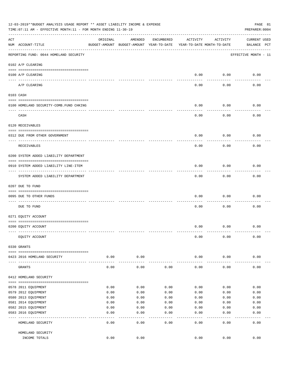| 12-03-2019**BUDGET ANALYSIS USAGE REPORT ** ASSET LIABILITY INCOME & EXPENSE<br>PAGE 81<br>TIME: 07:11 AM - EFFECTIVE MONTH: 11 - FOR MONTH ENDING 11-30-19<br>PREPARER: 0004 |                                         |          |                                                     |            |                                        |               |                                    |  |
|-------------------------------------------------------------------------------------------------------------------------------------------------------------------------------|-----------------------------------------|----------|-----------------------------------------------------|------------|----------------------------------------|---------------|------------------------------------|--|
| ACT                                                                                                                                                                           | NUM ACCOUNT-TITLE                       | ORIGINAL | AMENDED<br>BUDGET-AMOUNT BUDGET-AMOUNT YEAR-TO-DATE | ENCUMBERED | ACTIVITY<br>YEAR-TO-DATE MONTH-TO-DATE | ACTIVITY      | <b>CURRENT USED</b><br>BALANCE PCT |  |
|                                                                                                                                                                               | REPORTING FUND: 0044 HOMELAND SECURITY  |          |                                                     |            |                                        |               | EFFECTIVE MONTH - 11               |  |
|                                                                                                                                                                               | 0102 A/P CLEARING                       |          |                                                     |            |                                        |               |                                    |  |
|                                                                                                                                                                               | 0100 A/P CLEARING                       |          |                                                     |            | 0.00                                   | 0.00          | 0.00                               |  |
|                                                                                                                                                                               | ____ _________<br>A/P CLEARING          |          |                                                     |            | 0.00                                   | 0.00          | 0.00                               |  |
|                                                                                                                                                                               | 0103 CASH                               |          |                                                     |            |                                        |               |                                    |  |
|                                                                                                                                                                               | 0100 HOMELAND SECURITY-COMB.FUND CHKING |          |                                                     |            | 0.00                                   | 0.00          | 0.00                               |  |
|                                                                                                                                                                               | ------------------------------<br>CASH  |          |                                                     |            | 0.00                                   | 0.00          | 0.00                               |  |
|                                                                                                                                                                               | 0120 RECEIVABLES                        |          |                                                     |            |                                        |               |                                    |  |
|                                                                                                                                                                               | 0312 DUE FROM OTHER GOVERNMENT          |          |                                                     |            | 0.00                                   | 0.00          | 0.00                               |  |
|                                                                                                                                                                               | RECEIVABLES                             |          |                                                     |            | 0.00                                   | 0.00          | 0.00                               |  |
|                                                                                                                                                                               | 0200 SYSTEM ADDED LIABILITY DEPARTMENT  |          |                                                     |            |                                        |               |                                    |  |
|                                                                                                                                                                               | 0910 SYSTEM ADDED LIABILITY LINE-ITEM   |          |                                                     |            | 0.00                                   | 0.00          | 0.00                               |  |
|                                                                                                                                                                               | SYSTEM ADDED LIABILITY DEPARTMENT       |          |                                                     |            | 0.00                                   | 0.00          | 0.00                               |  |
|                                                                                                                                                                               | 0207 DUE TO FUND                        |          |                                                     |            |                                        |               |                                    |  |
|                                                                                                                                                                               | 0095 DUE TO OTHER FUNDS                 |          |                                                     |            | 0.00                                   | 0.00          | 0.00                               |  |
|                                                                                                                                                                               | DUE TO FUND                             |          |                                                     |            | 0.00                                   | 0.00          | 0.00                               |  |
|                                                                                                                                                                               | 0271 EQUITY ACCOUNT                     |          |                                                     |            |                                        |               |                                    |  |
|                                                                                                                                                                               | 0200 EQUITY ACCOUNT                     |          |                                                     |            | 0.00                                   | 0.00          | 0.00                               |  |
|                                                                                                                                                                               | EQUITY ACCOUNT                          |          |                                                     |            | 0.00                                   | 0.00          | 0.00                               |  |
|                                                                                                                                                                               | 0330 GRANTS                             |          |                                                     |            |                                        |               |                                    |  |
|                                                                                                                                                                               | 0423 2016 HOMELAND SECURITY             | 0.00     | 0.00                                                |            | 0.00                                   | 0.00          | 0.00                               |  |
|                                                                                                                                                                               | GRANTS                                  | 0.00     | 0.00                                                | 0.00       | 0.00                                   | 0.00          | 0.00                               |  |
|                                                                                                                                                                               | 0412 HOMELAND SECURITY                  |          |                                                     |            |                                        |               |                                    |  |
|                                                                                                                                                                               | 0578 2011 EQUIPMENT                     | 0.00     | 0.00                                                | 0.00       | 0.00                                   | 0.00          | 0.00                               |  |
|                                                                                                                                                                               | 0579 2012 EQUIPMENT                     | 0.00     | 0.00                                                | 0.00       | 0.00                                   | 0.00          | 0.00                               |  |
|                                                                                                                                                                               | 0580 2013 EQUIPMENT                     | 0.00     | 0.00                                                | 0.00       | 0.00                                   | 0.00          | 0.00                               |  |
|                                                                                                                                                                               | 0581 2014 EQUIPMENT                     | 0.00     | 0.00                                                | 0.00       | 0.00                                   | 0.00          | 0.00                               |  |
|                                                                                                                                                                               | 0582 2015 EQUIPMENT                     | 0.00     | 0.00                                                | 0.00       | 0.00                                   | 0.00          | 0.00                               |  |
|                                                                                                                                                                               | 0583 2016 EQUIPMENT                     | 0.00     | 0.00                                                | 0.00       | 0.00                                   | 0.00          | 0.00                               |  |
|                                                                                                                                                                               | HOMELAND SECURITY                       | 0.00     | 0.00                                                | 0.00       | 0.00                                   | $---$<br>0.00 | 0.00                               |  |
|                                                                                                                                                                               | HOMELAND SECURITY                       |          |                                                     |            |                                        |               |                                    |  |
|                                                                                                                                                                               | INCOME TOTALS                           | 0.00     | 0.00                                                |            | 0.00                                   | 0.00          | 0.00                               |  |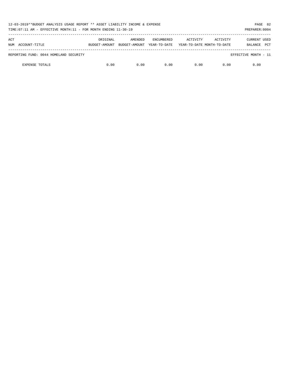| PAGE 82<br>12-03-2019**BUDGET ANALYSIS USAGE REPORT ** ASSET LIABILITY INCOME & EXPENSE<br>TIME: 07:11 AM - EFFECTIVE MONTH: 11 - FOR MONTH ENDING 11-30-19<br>PREPARER: 0004 |                           |                          |                            |          |                                        |                                              |  |  |
|-------------------------------------------------------------------------------------------------------------------------------------------------------------------------------|---------------------------|--------------------------|----------------------------|----------|----------------------------------------|----------------------------------------------|--|--|
| ACT<br>NUM ACCOUNT-TITLE                                                                                                                                                      | ORIGINAL<br>BUDGET-AMOUNT | AMENDED<br>BUDGET-AMOUNT | ENCUMBERED<br>YEAR-TO-DATE | ACTIVITY | ACTIVITY<br>YEAR-TO-DATE MONTH-TO-DATE | <b>CURRENT USED</b><br><b>PCT</b><br>BALANCE |  |  |
| REPORTING FUND: 0044 HOMELAND SECURITY                                                                                                                                        |                           |                          |                            |          |                                        | EFFECTIVE MONTH - 11                         |  |  |
| <b>EXPENSE TOTALS</b>                                                                                                                                                         | 0.00                      | 0.00                     | 0.00                       | 0.00     | 0.00                                   | 0.00                                         |  |  |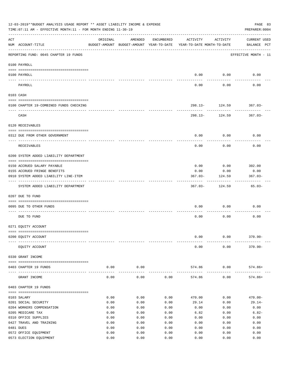| 12-03-2019**BUDGET ANALYSIS USAGE REPORT ** ASSET LIABILITY INCOME & EXPENSE<br>TIME: 07:11 AM - EFFECTIVE MONTH: 11 - FOR MONTH ENDING 11-30-19 |                                         |          |         |            |                                                                                 |                           |                             |  |  |
|--------------------------------------------------------------------------------------------------------------------------------------------------|-----------------------------------------|----------|---------|------------|---------------------------------------------------------------------------------|---------------------------|-----------------------------|--|--|
| ACT                                                                                                                                              | NUM ACCOUNT-TITLE                       | ORIGINAL | AMENDED | ENCUMBERED | ACTIVITY<br>BUDGET-AMOUNT BUDGET-AMOUNT YEAR-TO-DATE YEAR-TO-DATE MONTH-TO-DATE | ACTIVITY                  | CURRENT USED<br>BALANCE PCT |  |  |
|                                                                                                                                                  | REPORTING FUND: 0045 CHAPTER 19 FUNDS   |          |         |            |                                                                                 |                           | EFFECTIVE MONTH - 11        |  |  |
|                                                                                                                                                  | 0100 PAYROLL                            |          |         |            |                                                                                 |                           |                             |  |  |
|                                                                                                                                                  | 0100 PAYROLL                            |          |         |            | 0.00                                                                            | 0.00                      | 0.00                        |  |  |
|                                                                                                                                                  | PAYROLL                                 |          |         |            | 0.00                                                                            | 0.00                      | 0.00                        |  |  |
|                                                                                                                                                  | 0103 CASH                               |          |         |            |                                                                                 |                           |                             |  |  |
|                                                                                                                                                  | 0100 CHAPTER 19-COMBINED FUNDS CHECKING |          |         |            |                                                                                 | $298.13 - 124.59$ 367.03- |                             |  |  |
|                                                                                                                                                  | CASH                                    |          |         |            |                                                                                 | .<br>298.13- 124.59       | 367.03-                     |  |  |
|                                                                                                                                                  | 0120 RECEIVABLES                        |          |         |            |                                                                                 |                           |                             |  |  |
|                                                                                                                                                  |                                         |          |         |            |                                                                                 |                           |                             |  |  |
|                                                                                                                                                  | 0312 DUE FROM OTHER GOVERNMENT          |          |         |            | 0.00                                                                            | 0.00                      | 0.00                        |  |  |
|                                                                                                                                                  | RECEIVABLES                             |          |         |            | 0.00                                                                            | 0.00                      | 0.00                        |  |  |
|                                                                                                                                                  | 0200 SYSTEM ADDED LIABILITY DEPARTMENT  |          |         |            |                                                                                 |                           |                             |  |  |
|                                                                                                                                                  | 0150 ACCRUED SALARY PAYABLE             |          |         |            | 0.00                                                                            | 0.00                      | 302.00                      |  |  |
|                                                                                                                                                  | 0155 ACCRUED FRINGE BENEFITS            |          |         |            | 0.00                                                                            | 0.00                      | 0.00                        |  |  |
|                                                                                                                                                  | 0910 SYSTEM ADDED LIABILITY LINE-ITEM   |          |         |            | $367.03 -$                                                                      | 124.59                    | $367.03 -$                  |  |  |
|                                                                                                                                                  | SYSTEM ADDED LIABILITY DEPARTMENT       |          |         |            | $367.03 -$                                                                      | 124.59                    | $65.03-$                    |  |  |
|                                                                                                                                                  | 0207 DUE TO FUND                        |          |         |            |                                                                                 |                           |                             |  |  |
|                                                                                                                                                  | 0095 DUE TO OTHER FUNDS                 |          |         |            | 0.00                                                                            | 0.00                      | 0.00                        |  |  |
|                                                                                                                                                  | DUE TO FUND                             |          |         |            | 0.00                                                                            | 0.00                      | 0.00                        |  |  |
|                                                                                                                                                  | 0271 EQUITY ACCOUNT                     |          |         |            |                                                                                 |                           |                             |  |  |
|                                                                                                                                                  | 0200 EQUITY ACCOUNT                     |          |         |            | 0.00                                                                            | 0.00                      | $370.90 -$                  |  |  |
|                                                                                                                                                  | EQUITY ACCOUNT                          |          |         |            | 0.00                                                                            | 0.00                      | $370.90 -$                  |  |  |
|                                                                                                                                                  | 0330 GRANT INCOME                       |          |         |            |                                                                                 |                           |                             |  |  |
|                                                                                                                                                  | 0403 CHAPTER 19 FUNDS                   | 0.00     | 0.00    |            | 574.86                                                                          | 0.00                      | $574.86+$                   |  |  |
|                                                                                                                                                  | GRANT INCOME                            | 0.00     | 0.00    | 0.00       | 574.86                                                                          | 0.00                      | $574.86+$                   |  |  |
|                                                                                                                                                  | 0403 CHAPTER 19 FUNDS                   |          |         |            |                                                                                 |                           |                             |  |  |
|                                                                                                                                                  | 0103 SALARY                             | 0.00     | 0.00    | 0.00       | 470.00                                                                          | 0.00                      | $470.00 -$                  |  |  |
|                                                                                                                                                  | 0201 SOCIAL SECURITY                    | 0.00     | 0.00    | 0.00       | 29.14                                                                           | 0.00                      | $29.14-$                    |  |  |
|                                                                                                                                                  | 0204 WORKERS COMPENSATION               | 0.00     | 0.00    | 0.00       | 0.00                                                                            | 0.00                      | 0.00                        |  |  |
|                                                                                                                                                  | 0205 MEDICARE TAX                       | 0.00     | 0.00    | 0.00       | 6.82                                                                            | 0.00                      | $6.82-$                     |  |  |
|                                                                                                                                                  | 0310 OFFICE SUPPLIES                    | 0.00     | 0.00    | 0.00       | 0.00                                                                            | 0.00                      | 0.00                        |  |  |
|                                                                                                                                                  | 0427 TRAVEL AND TRAINING                | 0.00     | 0.00    | 0.00       | 0.00                                                                            | 0.00                      | 0.00                        |  |  |
|                                                                                                                                                  | 0481 DUES                               | 0.00     | 0.00    | 0.00       | 0.00                                                                            | 0.00                      | 0.00                        |  |  |
|                                                                                                                                                  | 0572 OFFICE EQUIPMENT                   | 0.00     | 0.00    | 0.00       | 0.00                                                                            | 0.00                      | 0.00                        |  |  |
|                                                                                                                                                  | 0573 ELECTION EQUIPMENT                 | 0.00     | 0.00    | 0.00       | 0.00                                                                            | 0.00                      | 0.00                        |  |  |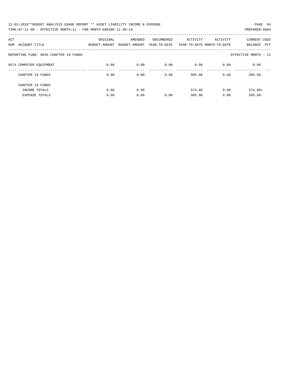| 12-03-2019**BUDGET ANALYSIS USAGE REPORT ** ASSET LIABILITY INCOME & EXPENSE | PAGE 84        |
|------------------------------------------------------------------------------|----------------|
| TIME: 07:11 AM - EFFECTIVE MONTH: 11 - FOR MONTH ENDING 11-30-19             | PREPARER: 0004 |

| ACT<br>NUM | ACCOUNT-TITLE                         | ORIGINAL<br>BUDGET-AMOUNT | AMENDED<br>BUDGET-AMOUNT | ENCUMBERED<br>YEAR-TO-DATE | ACTIVITY | ACTIVITY<br>YEAR-TO-DATE MONTH-TO-DATE | <b>CURRENT USED</b><br>PCT<br>BALANCE |
|------------|---------------------------------------|---------------------------|--------------------------|----------------------------|----------|----------------------------------------|---------------------------------------|
|            | REPORTING FUND: 0045 CHAPTER 19 FUNDS |                           |                          |                            |          |                                        | EFFECTIVE MONTH - 11                  |
|            | 0574 COMPUTER EQUIPMENT               | 0.00                      | 0.00                     | 0.00                       | 0.00     | 0.00                                   | 0.00                                  |
|            | CHAPTER 19 FUNDS                      | 0.00                      | 0.00                     | 0.00                       | 505.96   | 0.00                                   | $505.96 -$                            |
|            | CHAPTER 19 FUNDS                      |                           |                          |                            |          |                                        |                                       |
|            | INCOME TOTALS                         | 0.00                      | 0.00                     |                            | 574.86   | 0.00                                   | $574.86+$                             |
|            | <b>EXPENSE TOTALS</b>                 | 0.00                      | 0.00                     | 0.00                       | 505.96   | 0.00                                   | $505.96 -$                            |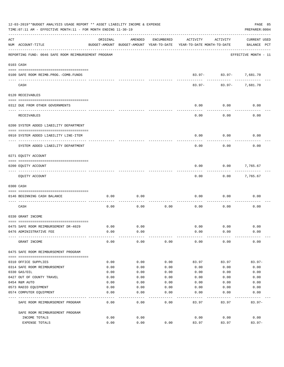| 12-03-2019**BUDGET ANALYSIS USAGE REPORT ** ASSET LIABILITY INCOME & EXPENSE<br>TIME: 07:11 AM - EFFECTIVE MONTH: 11 - FOR MONTH ENDING 11-30-19<br>PREPARER: 0004 |                                                      |              |                                                     |              |                                        |                        |                                |  |  |  |
|--------------------------------------------------------------------------------------------------------------------------------------------------------------------|------------------------------------------------------|--------------|-----------------------------------------------------|--------------|----------------------------------------|------------------------|--------------------------------|--|--|--|
| ACT                                                                                                                                                                | NUM ACCOUNT-TITLE                                    | ORIGINAL     | AMENDED<br>BUDGET-AMOUNT BUDGET-AMOUNT YEAR-TO-DATE | ENCUMBERED   | ACTIVITY<br>YEAR-TO-DATE MONTH-TO-DATE | ACTIVITY               | CURRENT USED<br>BALANCE PCT    |  |  |  |
|                                                                                                                                                                    | REPORTING FUND: 0046 SAFE ROOM REIMBURSEMENT PROGRAM |              |                                                     |              |                                        |                        | EFFECTIVE MONTH - 11           |  |  |  |
|                                                                                                                                                                    | 0103 CASH                                            |              |                                                     |              |                                        |                        |                                |  |  |  |
|                                                                                                                                                                    | 0100 SAFE ROOM REIMB.PROG.-COMB.FUNDS                |              |                                                     |              |                                        | 83.97- 83.97- 7,681.70 |                                |  |  |  |
|                                                                                                                                                                    | CASH                                                 |              |                                                     |              | 83.97-                                 | ---------              | -----------<br>83.97- 7,681.70 |  |  |  |
|                                                                                                                                                                    | 0120 RECEIVABLES                                     |              |                                                     |              |                                        |                        |                                |  |  |  |
|                                                                                                                                                                    |                                                      |              |                                                     |              |                                        |                        |                                |  |  |  |
|                                                                                                                                                                    | 0312 DUE FROM OTHER GOVERNMENTS                      |              |                                                     |              | 0.00                                   | 0.00                   | 0.00                           |  |  |  |
|                                                                                                                                                                    | RECEIVABLES                                          |              |                                                     |              | 0.00                                   | 0.00                   | 0.00                           |  |  |  |
|                                                                                                                                                                    | 0200 SYSTEM ADDED LIABILITY DEPARTMENT               |              |                                                     |              |                                        |                        |                                |  |  |  |
|                                                                                                                                                                    | 0910 SYSTEM ADDED LIABILITY LINE-ITEM                |              |                                                     |              | 0.00                                   | 0.00                   | 0.00                           |  |  |  |
|                                                                                                                                                                    | SYSTEM ADDED LIABILITY DEPARTMENT                    |              |                                                     |              | 0.00                                   | 0.00                   | 0.00                           |  |  |  |
|                                                                                                                                                                    | 0271 EQUITY ACCOUNT                                  |              |                                                     |              |                                        |                        |                                |  |  |  |
|                                                                                                                                                                    | 0200 EQUITY ACCOUNT                                  |              |                                                     |              | 0.00                                   | 0.00                   | 7,765.67                       |  |  |  |
|                                                                                                                                                                    | EQUITY ACCOUNT                                       |              |                                                     |              | 0.00                                   | 0.00                   | 7,765.67                       |  |  |  |
|                                                                                                                                                                    | 0300 CASH                                            |              |                                                     |              |                                        |                        |                                |  |  |  |
|                                                                                                                                                                    | 0146 BEGINNING CASH BALANCE                          | 0.00         | 0.00                                                |              | 0.00                                   | 0.00                   | 0.00                           |  |  |  |
|                                                                                                                                                                    | CASH                                                 | 0.00         | 0.00                                                | 0.00         | 0.00                                   | 0.00                   | 0.00                           |  |  |  |
|                                                                                                                                                                    | 0330 GRANT INCOME                                    |              |                                                     |              |                                        |                        |                                |  |  |  |
|                                                                                                                                                                    | 0475 SAFE ROOM REIMBURSEMENT DR-4029                 | 0.00         | 0.00                                                |              | 0.00                                   | 0.00                   | 0.00                           |  |  |  |
|                                                                                                                                                                    | 0476 ADMINISTRATIVE FEE                              | 0.00         | 0.00                                                |              | 0.00                                   | 0.00                   | 0.00                           |  |  |  |
|                                                                                                                                                                    | GRANT INCOME                                         | 0.00         | 0.00                                                | 0.00         | 0.00                                   | 0.00                   | 0.00                           |  |  |  |
|                                                                                                                                                                    | 0475 SAFE ROOM REIMBURSEMENT PROGRAM                 |              |                                                     |              |                                        |                        |                                |  |  |  |
|                                                                                                                                                                    |                                                      |              |                                                     |              |                                        |                        |                                |  |  |  |
|                                                                                                                                                                    | 0310 OFFICE SUPPLIES<br>0314 SAFE ROOM REIMBURSEMENT | 0.00<br>0.00 | 0.00<br>0.00                                        | 0.00<br>0.00 | 83.97<br>0.00                          | 83.97<br>0.00          | $83.97-$<br>0.00               |  |  |  |
|                                                                                                                                                                    | 0330 GAS/OIL                                         | 0.00         | 0.00                                                | 0.00         | 0.00                                   | 0.00                   | 0.00                           |  |  |  |
|                                                                                                                                                                    | 0427 OUT OF COUNTY TRAVEL                            | 0.00         | 0.00                                                | 0.00         | 0.00                                   | 0.00                   | 0.00                           |  |  |  |
|                                                                                                                                                                    | 0454 R&M AUTO                                        | 0.00         | 0.00                                                | 0.00         | 0.00                                   | 0.00                   | 0.00                           |  |  |  |
|                                                                                                                                                                    | 0573 RADIO EQUIPMENT                                 | 0.00         | 0.00                                                | 0.00         | 0.00                                   | 0.00                   | 0.00                           |  |  |  |
|                                                                                                                                                                    | 0574 COMPUTER EQUIPMENT                              | 0.00         | 0.00                                                | 0.00         | 0.00                                   | 0.00                   | 0.00                           |  |  |  |
|                                                                                                                                                                    | SAFE ROOM REIMBURSEMENT PROGRAM                      | 0.00         | 0.00                                                | 0.00         | 83.97                                  | 83.97                  | $83.97 -$                      |  |  |  |
|                                                                                                                                                                    | SAFE ROOM REIMBURSEMENT PROGRAM                      |              |                                                     |              |                                        |                        |                                |  |  |  |
|                                                                                                                                                                    | INCOME TOTALS                                        | 0.00         | 0.00                                                |              | 0.00                                   | 0.00                   | 0.00                           |  |  |  |
|                                                                                                                                                                    | EXPENSE TOTALS                                       | 0.00         | 0.00                                                | 0.00         | 83.97                                  | 83.97                  | $83.97 -$                      |  |  |  |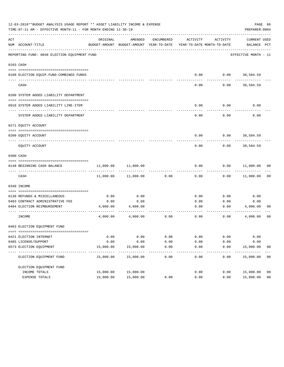|     | 12-03-2019**BUDGET ANALYSIS USAGE REPORT ** ASSET LIABILITY INCOME & EXPENSE<br>PAGE 86<br>TIME: 07:11 AM - EFFECTIVE MONTH: 11 - FOR MONTH ENDING 11-30-19<br>PREPARER: 0004 |           |                                                     |                 |                                        |                     |                                    |                |  |  |  |  |  |
|-----|-------------------------------------------------------------------------------------------------------------------------------------------------------------------------------|-----------|-----------------------------------------------------|-----------------|----------------------------------------|---------------------|------------------------------------|----------------|--|--|--|--|--|
| ACT | NUM ACCOUNT-TITLE                                                                                                                                                             | ORIGINAL  | AMENDED<br>BUDGET-AMOUNT BUDGET-AMOUNT YEAR-TO-DATE | ENCUMBERED      | ACTIVITY<br>YEAR-TO-DATE MONTH-TO-DATE | ACTIVITY            | <b>CURRENT USED</b><br>BALANCE PCT |                |  |  |  |  |  |
|     | REPORTING FUND: 0048 ELECTION EOUIPMENT FUND                                                                                                                                  |           |                                                     |                 |                                        |                     | EFFECTIVE MONTH - 11               |                |  |  |  |  |  |
|     | 0103 CASH                                                                                                                                                                     |           |                                                     |                 |                                        |                     |                                    |                |  |  |  |  |  |
|     |                                                                                                                                                                               |           |                                                     |                 |                                        |                     |                                    |                |  |  |  |  |  |
|     | 0100 ELECTION EQUIP. FUND-COMBINED FUNDS                                                                                                                                      |           |                                                     |                 | 0.00                                   | 0.00                | 38,584.59                          |                |  |  |  |  |  |
|     | CASH                                                                                                                                                                          |           |                                                     |                 | 0.00                                   | 0.00                | 38,584.59                          |                |  |  |  |  |  |
|     | 0200 SYSTEM ADDED LIABILITY DEPARTMENT                                                                                                                                        |           |                                                     |                 |                                        |                     |                                    |                |  |  |  |  |  |
|     |                                                                                                                                                                               |           |                                                     |                 |                                        |                     |                                    |                |  |  |  |  |  |
|     | 0910 SYSTEM ADDED LIABILITY LINE-ITEM                                                                                                                                         |           |                                                     |                 | 0.00                                   | 0.00                | 0.00                               |                |  |  |  |  |  |
|     | SYSTEM ADDED LIABILITY DEPARTMENT                                                                                                                                             |           |                                                     |                 | 0.00                                   | 0.00                | 0.00                               |                |  |  |  |  |  |
|     | 0271 EQUITY ACCOUNT                                                                                                                                                           |           |                                                     |                 |                                        |                     |                                    |                |  |  |  |  |  |
|     |                                                                                                                                                                               |           |                                                     |                 |                                        |                     |                                    |                |  |  |  |  |  |
|     | 0200 EOUITY ACCOUNT                                                                                                                                                           |           |                                                     |                 | 0.00                                   | 0.00                | 38,584.59                          |                |  |  |  |  |  |
|     | EQUITY ACCOUNT                                                                                                                                                                |           |                                                     |                 | 0.00                                   | 0.00                | 38,584.59                          |                |  |  |  |  |  |
|     | 0300 CASH                                                                                                                                                                     |           |                                                     |                 |                                        |                     |                                    |                |  |  |  |  |  |
|     | 0148 BEGINNING CASH BALANCE                                                                                                                                                   | 11,000.00 | 11,000.00                                           |                 | 0.00                                   | 0.00                | 11,000.00                          | 00             |  |  |  |  |  |
|     | CASH                                                                                                                                                                          | 11,000.00 | 11,000.00                                           | 0.00            | 0.00                                   | 0.00                | 11,000.00                          | 0 <sub>0</sub> |  |  |  |  |  |
|     | 0340 INCOME                                                                                                                                                                   |           |                                                     |                 |                                        |                     |                                    |                |  |  |  |  |  |
|     | 0130 REFUNDS & MISCELLANEOUS                                                                                                                                                  | 0.00      | 0.00                                                |                 | 0.00                                   | 0.00                | 0.00                               |                |  |  |  |  |  |
|     | 0403 CONTRACT ADMINISTRATIVE FEE                                                                                                                                              | 0.00      | 0.00                                                |                 | 0.00                                   | 0.00                | 0.00                               |                |  |  |  |  |  |
|     | 0484 ELECTION REIMBURSEMENT                                                                                                                                                   | 4,000.00  | 4,000.00                                            |                 | 0.00                                   | 0.00                | 4,000.00                           | 00             |  |  |  |  |  |
|     | INCOME                                                                                                                                                                        | 4,000.00  | 4,000.00                                            | 0.00            | 0.00                                   | 0.00                | 4,000.00                           | 0 <sub>0</sub> |  |  |  |  |  |
|     | 0403 ELECTION EQUIPMENT FUND                                                                                                                                                  |           |                                                     |                 |                                        |                     |                                    |                |  |  |  |  |  |
|     |                                                                                                                                                                               |           |                                                     |                 |                                        |                     |                                    |                |  |  |  |  |  |
|     | 0421 ELECTION INTERNET                                                                                                                                                        | 0.00      | 0.00                                                | 0.00            | 0.00                                   | 0.00                | 0.00                               |                |  |  |  |  |  |
|     | 0485 LICENSE/SUPPORT                                                                                                                                                          | 0.00      | 0.00                                                | 0.00            | 0.00                                   | 0.00                | 0.00                               |                |  |  |  |  |  |
|     | 0573 ELECTION EQUIPMENT                                                                                                                                                       | 15,000.00 | 15,000.00                                           | 0.00            | 0.00                                   | 0.00                | 15,000.00                          | 00             |  |  |  |  |  |
|     | ELECTION EQUIPMENT FUND                                                                                                                                                       | 15,000.00 | -----------<br>15,000.00                            | -------<br>0.00 | $- - - - -$<br>0.00                    | $- - - - -$<br>0.00 | -----------<br>15,000.00           | 00             |  |  |  |  |  |
|     | ELECTION EQUIPMENT FUND                                                                                                                                                       |           |                                                     |                 |                                        |                     |                                    |                |  |  |  |  |  |
|     | INCOME TOTALS                                                                                                                                                                 | 15,000.00 | 15,000.00                                           |                 | 0.00                                   | 0.00                | 15,000.00                          | 0 <sub>0</sub> |  |  |  |  |  |
|     | EXPENSE TOTALS                                                                                                                                                                | 15,000.00 | 15,000.00                                           | 0.00            | 0.00                                   | 0.00                | 15,000.00                          | 0 <sub>0</sub> |  |  |  |  |  |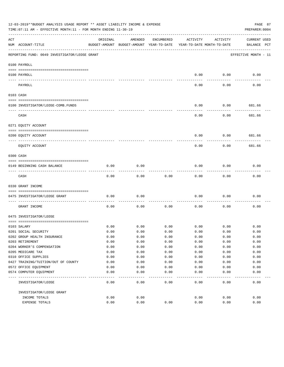|           | 12-03-2019**BUDGET ANALYSIS USAGE REPORT ** ASSET LIABILITY INCOME & EXPENSE<br>PAGE 87<br>TIME: 07:11 AM - EFFECTIVE MONTH: 11 - FOR MONTH ENDING 11-30-19<br>PREPARER: 0004 |          |                                          |            |                            |                  |                      |  |  |  |
|-----------|-------------------------------------------------------------------------------------------------------------------------------------------------------------------------------|----------|------------------------------------------|------------|----------------------------|------------------|----------------------|--|--|--|
| ACT       |                                                                                                                                                                               | ORIGINAL | AMENDED                                  | ENCUMBERED | ACTIVITY                   | ACTIVITY         | <b>CURRENT USED</b>  |  |  |  |
|           | NUM ACCOUNT-TITLE                                                                                                                                                             |          | BUDGET-AMOUNT BUDGET-AMOUNT YEAR-TO-DATE |            | YEAR-TO-DATE MONTH-TO-DATE |                  | BALANCE PCT          |  |  |  |
|           | REPORTING FUND: 0049 INVESTIGATOR/LEOSE GRANT                                                                                                                                 |          |                                          |            |                            |                  | EFFECTIVE MONTH - 11 |  |  |  |
|           | 0100 PAYROLL                                                                                                                                                                  |          |                                          |            |                            |                  |                      |  |  |  |
|           | 0100 PAYROLL                                                                                                                                                                  |          |                                          |            | 0.00                       | 0.00             | 0.00                 |  |  |  |
|           | PAYROLL                                                                                                                                                                       |          |                                          |            | 0.00                       | --------<br>0.00 | 0.00                 |  |  |  |
| 0103 CASH |                                                                                                                                                                               |          |                                          |            |                            |                  |                      |  |  |  |
|           |                                                                                                                                                                               |          |                                          |            |                            |                  |                      |  |  |  |
|           | 0100 INVESTIGATOR/LEOSE-COMB.FUNDS                                                                                                                                            |          |                                          |            | 0.00                       | 0.00             | 681.66               |  |  |  |
|           | CASH                                                                                                                                                                          |          |                                          |            | 0.00                       | 0.00             | --------<br>681.66   |  |  |  |
|           | 0271 EQUITY ACCOUNT                                                                                                                                                           |          |                                          |            |                            |                  |                      |  |  |  |
|           | 0200 EQUITY ACCOUNT                                                                                                                                                           |          |                                          |            | 0.00                       | 0.00             | 681.66               |  |  |  |
|           |                                                                                                                                                                               |          |                                          |            |                            |                  |                      |  |  |  |
|           | EQUITY ACCOUNT                                                                                                                                                                |          |                                          |            | 0.00                       | 0.00             | 681.66               |  |  |  |
| 0300 CASH |                                                                                                                                                                               |          |                                          |            |                            |                  |                      |  |  |  |
|           | 0149 BEGINNING CASH BALANCE                                                                                                                                                   | 0.00     | 0.00                                     |            | 0.00                       | 0.00             | 0.00                 |  |  |  |
|           | CASH                                                                                                                                                                          | 0.00     | 0.00                                     | 0.00       | 0.00                       | 0.00             | 0.00                 |  |  |  |
|           | 0330 GRANT INCOME                                                                                                                                                             |          |                                          |            |                            |                  |                      |  |  |  |
|           |                                                                                                                                                                               |          |                                          |            |                            |                  |                      |  |  |  |
|           | 0475 INVESTIGATOR/LEOSE GRANT                                                                                                                                                 | 0.00     | 0.00                                     |            | 0.00                       | 0.00             | 0.00                 |  |  |  |
|           | GRANT INCOME                                                                                                                                                                  | 0.00     | 0.00                                     | 0.00       | 0.00                       | 0.00             | 0.00                 |  |  |  |
|           | 0475 INVESTIGATOR/LEOSE                                                                                                                                                       |          |                                          |            |                            |                  |                      |  |  |  |
|           | 0103 SALARY                                                                                                                                                                   | 0.00     | 0.00                                     | 0.00       | 0.00                       | 0.00             | 0.00                 |  |  |  |
|           | 0201 SOCIAL SECURITY                                                                                                                                                          | 0.00     | 0.00                                     | 0.00       | 0.00                       | 0.00             | 0.00                 |  |  |  |
|           | 0202 GROUP HEALTH INSURANCE                                                                                                                                                   | 0.00     | 0.00                                     | 0.00       | 0.00                       | 0.00             | 0.00                 |  |  |  |
|           | 0203 RETIREMENT                                                                                                                                                               | 0.00     | 0.00                                     | 0.00       | 0.00                       | 0.00             | 0.00                 |  |  |  |
|           | 0204 WORKER'S COMPENSATION                                                                                                                                                    | 0.00     | 0.00                                     | 0.00       | 0.00                       | 0.00             | 0.00                 |  |  |  |
|           | 0205 MEDICARE TAX                                                                                                                                                             | 0.00     | 0.00                                     | 0.00       | 0.00                       | 0.00             | 0.00                 |  |  |  |
|           | 0310 OFFICE SUPPLIES                                                                                                                                                          | 0.00     | 0.00                                     | 0.00       | 0.00                       | 0.00             | 0.00                 |  |  |  |
|           | 0427 TRAINING/TUITION/OUT OF COUNTY                                                                                                                                           | 0.00     | 0.00                                     | 0.00       | 0.00                       | 0.00             | 0.00                 |  |  |  |
|           | 0572 OFFICE EQUIPMENT                                                                                                                                                         | 0.00     | 0.00                                     | 0.00       | 0.00                       | 0.00             | 0.00                 |  |  |  |
|           | 0574 COMPUTER EQUIPMENT                                                                                                                                                       | 0.00     | 0.00                                     | 0.00       | 0.00                       | 0.00             | 0.00                 |  |  |  |
|           | INVESTIGATOR/LEOSE                                                                                                                                                            | 0.00     | 0.00                                     | 0.00       | 0.00                       | 0.00             | 0.00                 |  |  |  |
|           | INVESTIGATOR/LEOSE GRANT                                                                                                                                                      |          |                                          |            |                            |                  |                      |  |  |  |
|           | INCOME TOTALS                                                                                                                                                                 | 0.00     | 0.00                                     |            | 0.00                       | 0.00             | 0.00                 |  |  |  |
|           | EXPENSE TOTALS                                                                                                                                                                | 0.00     | 0.00                                     | 0.00       | 0.00                       | 0.00             | 0.00                 |  |  |  |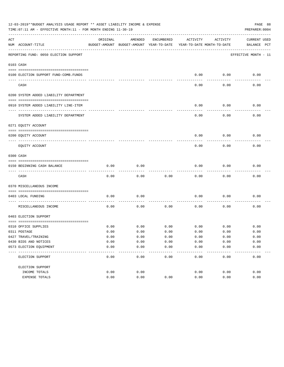|     | 12-03-2019**BUDGET ANALYSIS USAGE REPORT ** ASSET LIABILITY INCOME & EXPENSE<br>PAGE 88<br>TIME: 07:11 AM - EFFECTIVE MONTH: 11 - FOR MONTH ENDING 11-30-19<br>PREPARER: 0004 |              |                                                     |               |                                        |              |                                    |  |  |  |  |
|-----|-------------------------------------------------------------------------------------------------------------------------------------------------------------------------------|--------------|-----------------------------------------------------|---------------|----------------------------------------|--------------|------------------------------------|--|--|--|--|
| ACT | NUM ACCOUNT-TITLE                                                                                                                                                             | ORIGINAL     | AMENDED<br>BUDGET-AMOUNT BUDGET-AMOUNT YEAR-TO-DATE | ENCUMBERED    | ACTIVITY<br>YEAR-TO-DATE MONTH-TO-DATE | ACTIVITY     | <b>CURRENT USED</b><br>BALANCE PCT |  |  |  |  |
|     | REPORTING FUND: 0050 ELECTION SUPPORT                                                                                                                                         |              |                                                     |               |                                        |              | EFFECTIVE MONTH - 11               |  |  |  |  |
|     | 0103 CASH                                                                                                                                                                     |              |                                                     |               |                                        |              |                                    |  |  |  |  |
|     |                                                                                                                                                                               |              |                                                     |               |                                        |              |                                    |  |  |  |  |
|     | 0100 ELECTION SUPPORT FUND-COMB.FUNDS                                                                                                                                         |              |                                                     |               | 0.00                                   | 0.00         | 0.00                               |  |  |  |  |
|     | CASH                                                                                                                                                                          |              |                                                     |               | 0.00                                   | 0.00         | 0.00                               |  |  |  |  |
|     | 0200 SYSTEM ADDED LIABILITY DEPARTMENT                                                                                                                                        |              |                                                     |               |                                        |              |                                    |  |  |  |  |
|     |                                                                                                                                                                               |              |                                                     |               |                                        |              |                                    |  |  |  |  |
|     | 0910 SYSTEM ADDED LIABILITY LINE-ITEM                                                                                                                                         |              |                                                     |               | 0.00                                   | 0.00         | 0.00                               |  |  |  |  |
|     | SYSTEM ADDED LIABILITY DEPARTMENT                                                                                                                                             |              |                                                     |               | 0.00                                   | 0.00         | 0.00                               |  |  |  |  |
|     | 0271 EQUITY ACCOUNT                                                                                                                                                           |              |                                                     |               |                                        |              |                                    |  |  |  |  |
|     |                                                                                                                                                                               |              |                                                     |               |                                        |              |                                    |  |  |  |  |
|     | 0200 EOUITY ACCOUNT                                                                                                                                                           |              |                                                     |               | 0.00                                   | 0.00         | 0.00                               |  |  |  |  |
|     | EQUITY ACCOUNT                                                                                                                                                                |              |                                                     |               | 0.00                                   | 0.00         | 0.00                               |  |  |  |  |
|     | 0300 CASH                                                                                                                                                                     |              |                                                     |               |                                        |              |                                    |  |  |  |  |
|     | 0150 BEGINNING CASH BALANCE                                                                                                                                                   | 0.00         | 0.00                                                |               | 0.00                                   | 0.00         | 0.00                               |  |  |  |  |
|     | CASH                                                                                                                                                                          | 0.00         | 0.00                                                | 0.00          | 0.00                                   | 0.00         | 0.00                               |  |  |  |  |
|     | 0370 MISCELLANEOUS INCOME                                                                                                                                                     |              |                                                     |               |                                        |              |                                    |  |  |  |  |
|     |                                                                                                                                                                               |              |                                                     |               |                                        |              |                                    |  |  |  |  |
|     | 0403 LOCAL FUNDING                                                                                                                                                            | 0.00         | 0.00                                                |               | 0.00                                   | 0.00         | 0.00                               |  |  |  |  |
|     | MISCELLANEOUS INCOME                                                                                                                                                          | 0.00         | 0.00                                                | 0.00          | 0.00                                   | 0.00         | 0.00                               |  |  |  |  |
|     | 0403 ELECTION SUPPORT                                                                                                                                                         |              |                                                     |               |                                        |              |                                    |  |  |  |  |
|     |                                                                                                                                                                               |              |                                                     |               |                                        |              |                                    |  |  |  |  |
|     | 0310 OFFICE SUPPLIES<br>0311 POSTAGE                                                                                                                                          | 0.00<br>0.00 | 0.00<br>0.00                                        | 0.00<br>0.00  | 0.00<br>0.00                           | 0.00<br>0.00 | 0.00<br>0.00                       |  |  |  |  |
|     | 0427 TRAVEL/TRAINING                                                                                                                                                          | 0.00         | 0.00                                                | 0.00          | 0.00                                   | 0.00         | 0.00                               |  |  |  |  |
|     | 0430 BIDS AND NOTICES                                                                                                                                                         | 0.00         | 0.00                                                | 0.00          | 0.00                                   | 0.00         | 0.00                               |  |  |  |  |
|     | 0573 ELECTION EQUIPMENT                                                                                                                                                       | 0.00         | 0.00                                                | 0.00          | 0.00                                   | 0.00         | 0.00                               |  |  |  |  |
|     | ELECTION SUPPORT                                                                                                                                                              | 0.00         | 0.00                                                | $---$<br>0.00 | 0.00                                   | 0.00         | 0.00                               |  |  |  |  |
|     | ELECTION SUPPORT                                                                                                                                                              |              |                                                     |               |                                        |              |                                    |  |  |  |  |
|     | INCOME TOTALS                                                                                                                                                                 | 0.00         | 0.00                                                |               | 0.00                                   | 0.00         | 0.00                               |  |  |  |  |
|     | EXPENSE TOTALS                                                                                                                                                                | 0.00         | 0.00                                                | 0.00          | 0.00                                   | 0.00         | 0.00                               |  |  |  |  |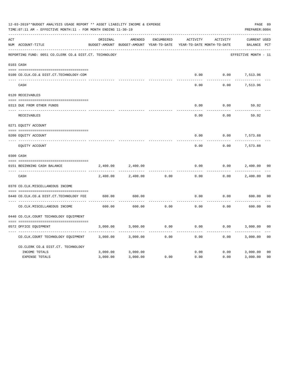|     | 12-03-2019**BUDGET ANALYSIS USAGE REPORT ** ASSET LIABILITY INCOME & EXPENSE<br>TIME: 07:11 AM - EFFECTIVE MONTH: 11 - FOR MONTH ENDING 11-30-19<br>PREPARER: 0004 |          |                                                     |                   |          |                                        |                             |                |  |  |
|-----|--------------------------------------------------------------------------------------------------------------------------------------------------------------------|----------|-----------------------------------------------------|-------------------|----------|----------------------------------------|-----------------------------|----------------|--|--|
| ACT | NUM ACCOUNT-TITLE                                                                                                                                                  | ORIGINAL | AMENDED<br>BUDGET-AMOUNT BUDGET-AMOUNT YEAR-TO-DATE | <b>ENCUMBERED</b> | ACTIVITY | ACTIVITY<br>YEAR-TO-DATE MONTH-TO-DATE | CURRENT USED<br>BALANCE PCT |                |  |  |
|     | REPORTING FUND: 0051 CO.CLERK CO.& DIST.CT. TECHNOLOGY                                                                                                             |          |                                                     |                   |          |                                        | EFFECTIVE MONTH - 11        |                |  |  |
|     | 0103 CASH                                                                                                                                                          |          |                                                     |                   |          |                                        |                             |                |  |  |
|     | 0100 CO.CLK.CO.& DIST.CT.TECHNOLOGY-COM                                                                                                                            |          |                                                     |                   | 0.00     | 0.00                                   | 7,513.96                    |                |  |  |
|     | CASH                                                                                                                                                               |          |                                                     |                   | 0.00     | 0.00                                   | 7,513.96                    |                |  |  |
|     | 0120 RECEIVABLES                                                                                                                                                   |          |                                                     |                   |          |                                        |                             |                |  |  |
|     | 0313 DUE FROM OTHER FUNDS                                                                                                                                          |          |                                                     |                   | 0.00     | 0.00                                   | 59.92                       |                |  |  |
|     | RECEIVABLES                                                                                                                                                        |          |                                                     |                   | 0.00     | 0.00                                   | 59.92                       |                |  |  |
|     | 0271 EQUITY ACCOUNT                                                                                                                                                |          |                                                     |                   |          |                                        |                             |                |  |  |
|     | 0200 EQUITY ACCOUNT                                                                                                                                                |          |                                                     |                   | 0.00     | 0.00                                   | 7,573.88                    |                |  |  |
|     | ---- -----------------------<br>EQUITY ACCOUNT                                                                                                                     |          |                                                     |                   | 0.00     | 0.00                                   | ----------<br>7,573.88      |                |  |  |
|     | 0300 CASH                                                                                                                                                          |          |                                                     |                   |          |                                        |                             |                |  |  |
|     | 0151 BEGINNING CASH BALANCE                                                                                                                                        | 2,400.00 | 2,400.00                                            |                   | 0.00     | 0.00                                   | 2,400.00                    | 0 <sub>0</sub> |  |  |
|     | ---- ---------------------------------<br>CASH                                                                                                                     | 2,400.00 | 2,400.00                                            | 0.00              | 0.00     | 0.00                                   | 2,400.00                    | 0 <sub>0</sub> |  |  |
|     | 0370 CO.CLK.MISCELLANEOUS INCOME                                                                                                                                   |          |                                                     |                   |          |                                        |                             |                |  |  |
|     | 0440 CO.CLK.CO.& DIST.CT.TECHNOLOGY FEE                                                                                                                            | 600.00   | 600.00                                              |                   | 0.00     | 0.00                                   | 600.00                      | 0 <sub>0</sub> |  |  |
|     | CO. CLK. MISCELLANEOUS INCOME                                                                                                                                      | 600.00   | 600.00                                              | 0.00              | 0.00     | 0.00                                   | 600.00                      | 0 <sub>0</sub> |  |  |
|     | 0440 CO.CLK.COURT TECHNOLOGY EQUIPMENT                                                                                                                             |          |                                                     |                   |          |                                        |                             |                |  |  |
|     | 0572 OFFICE EOUIPMENT                                                                                                                                              | 3,000.00 | 3,000.00                                            | 0.00              | 0.00     | 0.00                                   | 3,000.00                    | 0 <sub>0</sub> |  |  |
|     | CO.CLK.COURT TECHNOLOGY EQUIPMENT                                                                                                                                  | 3,000.00 | 3,000.00                                            | 0.00              | 0.00     | 0.00                                   | 3,000.00                    | 0 <sub>0</sub> |  |  |
|     | CO.CLERK CO.& DIST.CT. TECHNOLOGY                                                                                                                                  |          |                                                     |                   |          |                                        |                             |                |  |  |
|     | INCOME TOTALS                                                                                                                                                      | 3,000.00 | 3,000.00                                            |                   | 0.00     | 0.00                                   | 3,000.00                    | 0 <sub>0</sub> |  |  |
|     | <b>EXPENSE TOTALS</b>                                                                                                                                              | 3,000.00 | 3,000.00                                            | 0.00              | 0.00     | 0.00                                   | 3,000.00                    | 0 <sub>0</sub> |  |  |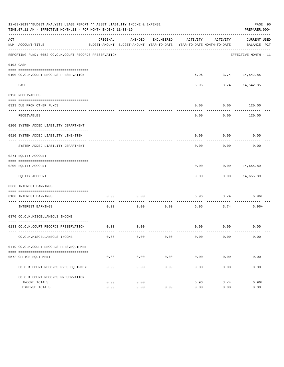| 12-03-2019**BUDGET ANALYSIS USAGE REPORT ** ASSET LIABILITY INCOME & EXPENSE<br>TIME:07:11 AM - EFFECTIVE MONTH:11 - FOR MONTH ENDING 11-30-19<br>PREPARER: 0004 |                                                        |              |              |                       |                                                                                 |                     |                             |  |  |  |
|------------------------------------------------------------------------------------------------------------------------------------------------------------------|--------------------------------------------------------|--------------|--------------|-----------------------|---------------------------------------------------------------------------------|---------------------|-----------------------------|--|--|--|
| ACT                                                                                                                                                              | NUM ACCOUNT-TITLE                                      | ORIGINAL     | AMENDED      | ENCUMBERED            | ACTIVITY<br>BUDGET-AMOUNT BUDGET-AMOUNT YEAR-TO-DATE YEAR-TO-DATE MONTH-TO-DATE | ACTIVITY            | CURRENT USED<br>BALANCE PCT |  |  |  |
|                                                                                                                                                                  | REPORTING FUND: 0052 CO.CLK.COURT RECORDS PRESERVATION |              |              |                       |                                                                                 |                     | EFFECTIVE MONTH - 11        |  |  |  |
|                                                                                                                                                                  | 0103 CASH                                              |              |              |                       |                                                                                 |                     |                             |  |  |  |
|                                                                                                                                                                  | 0100 CO.CLK.COURT RECORDS PRESERVATION-                |              |              |                       |                                                                                 | 6.96 3.74 14,542.85 |                             |  |  |  |
|                                                                                                                                                                  | CASH                                                   |              |              |                       | 6.96                                                                            |                     | .<br>3.74 14,542.85         |  |  |  |
|                                                                                                                                                                  | 0120 RECEIVABLES                                       |              |              |                       |                                                                                 |                     |                             |  |  |  |
|                                                                                                                                                                  | 0313 DUE FROM OTHER FUNDS                              |              |              |                       | 0.00                                                                            | 0.00                | 120.00                      |  |  |  |
|                                                                                                                                                                  | RECEIVABLES                                            |              |              |                       | 0.00                                                                            | ---------<br>0.00   | ----------<br>120.00        |  |  |  |
|                                                                                                                                                                  | 0200 SYSTEM ADDED LIABILITY DEPARTMENT                 |              |              |                       |                                                                                 |                     |                             |  |  |  |
|                                                                                                                                                                  | 0910 SYSTEM ADDED LIABILITY LINE-ITEM                  |              |              |                       | 0.00                                                                            | 0.00                | 0.00                        |  |  |  |
|                                                                                                                                                                  | SYSTEM ADDED LIABILITY DEPARTMENT                      |              |              |                       | 0.00                                                                            | 0.00                | 0.00                        |  |  |  |
|                                                                                                                                                                  | 0271 EQUITY ACCOUNT                                    |              |              |                       |                                                                                 |                     |                             |  |  |  |
|                                                                                                                                                                  | 0200 EQUITY ACCOUNT                                    |              |              |                       | 0.00                                                                            |                     | $0.00$ 14,655.89            |  |  |  |
|                                                                                                                                                                  | EQUITY ACCOUNT                                         |              |              |                       | 0.00                                                                            |                     | $0.00$ 14,655.89            |  |  |  |
|                                                                                                                                                                  | 0360 INTEREST EARNINGS                                 |              |              |                       |                                                                                 |                     |                             |  |  |  |
|                                                                                                                                                                  | 0100 INTEREST EARNINGS                                 | 0.00         | 0.00         |                       | 6.96                                                                            | 3.74                | $6.96+$                     |  |  |  |
|                                                                                                                                                                  | ------------------ ---<br>INTEREST EARNINGS            | 0.00         | 0.00         | 0.00                  | 6.96                                                                            | 3.74                | $6.96+$                     |  |  |  |
|                                                                                                                                                                  | 0370 CO.CLK.MISCELLANEOUS INCOME                       |              |              |                       |                                                                                 |                     |                             |  |  |  |
|                                                                                                                                                                  | 0133 CO.CLK.COURT RECORDS PRESERVATION                 | 0.00         | 0.00         |                       |                                                                                 | $0.00$ $0.00$       | 0.00                        |  |  |  |
|                                                                                                                                                                  | CO. CLK. MISCELLANEOUS INCOME                          | 0.00         | 0.00         | 0.00                  | 0.00                                                                            | 0.00                | 0.00                        |  |  |  |
|                                                                                                                                                                  | 0449 CO.CLK.COURT RECORDS PRES.EOUIPMEN                |              |              |                       |                                                                                 |                     |                             |  |  |  |
|                                                                                                                                                                  | 0572 OFFICE EQUIPMENT                                  | 0.00         | 0.00         | 0.00                  | 0.00                                                                            | 0.00                | 0.00                        |  |  |  |
|                                                                                                                                                                  | CO. CLK. COURT RECORDS PRES. EQUIPMEN                  | 0.00         | 0.00         | -------------<br>0.00 | 0.00                                                                            | 0.00                | 0.00                        |  |  |  |
|                                                                                                                                                                  |                                                        |              |              |                       |                                                                                 |                     |                             |  |  |  |
|                                                                                                                                                                  | CO.CLK.COURT RECORDS PRESERVATION                      |              |              |                       |                                                                                 |                     |                             |  |  |  |
|                                                                                                                                                                  | INCOME TOTALS<br>EXPENSE TOTALS                        | 0.00<br>0.00 | 0.00<br>0.00 | 0.00                  | 6.96<br>0.00                                                                    | 3.74<br>0.00        | $6.96+$<br>0.00             |  |  |  |
|                                                                                                                                                                  |                                                        |              |              |                       |                                                                                 |                     |                             |  |  |  |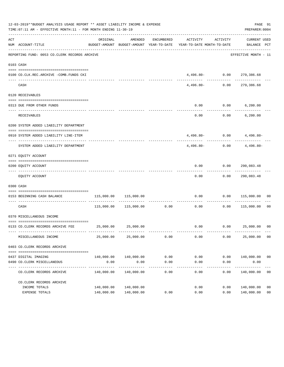|     | 12-03-2019**BUDGET ANALYSIS USAGE REPORT ** ASSET LIABILITY INCOME & EXPENSE<br>PAGE 91<br>TIME: 07:11 AM - EFFECTIVE MONTH: 11 - FOR MONTH ENDING 11-30-19<br>PREPARER: 0004 |            |                               |                      |                                                                                 |                     |                                                   |                |  |  |  |
|-----|-------------------------------------------------------------------------------------------------------------------------------------------------------------------------------|------------|-------------------------------|----------------------|---------------------------------------------------------------------------------|---------------------|---------------------------------------------------|----------------|--|--|--|
| ACT | NUM ACCOUNT-TITLE                                                                                                                                                             | ORIGINAL   | AMENDED                       | ENCUMBERED           | ACTIVITY<br>BUDGET-AMOUNT BUDGET-AMOUNT YEAR-TO-DATE YEAR-TO-DATE MONTH-TO-DATE | ACTIVITY            | CURRENT USED<br>BALANCE PCT                       |                |  |  |  |
|     | REPORTING FUND: 0053 CO.CLERK RECORDS ARCHIVE                                                                                                                                 |            |                               |                      |                                                                                 |                     | EFFECTIVE MONTH - 11                              |                |  |  |  |
|     | 0103 CASH                                                                                                                                                                     |            |                               |                      |                                                                                 |                     |                                                   |                |  |  |  |
|     | 0100 CO.CLK.REC.ARCHIVE -COMB.FUNDS CKI                                                                                                                                       |            |                               |                      |                                                                                 |                     | $4,496.80 - 0.00$ 279,386.68                      |                |  |  |  |
|     | CASH                                                                                                                                                                          |            |                               |                      |                                                                                 |                     | ---------<br>4,496.80- 0.00 279,386.68            |                |  |  |  |
|     | 0120 RECEIVABLES                                                                                                                                                              |            |                               |                      |                                                                                 |                     |                                                   |                |  |  |  |
|     | 0313 DUE FROM OTHER FUNDS                                                                                                                                                     |            |                               |                      | 0.00                                                                            |                     | $0.00$ 6,200.00                                   |                |  |  |  |
|     | RECEIVABLES                                                                                                                                                                   |            |                               |                      | 0.00                                                                            |                     | $0.00$ 6,200.00                                   |                |  |  |  |
|     | 0200 SYSTEM ADDED LIABILITY DEPARTMENT                                                                                                                                        |            |                               |                      |                                                                                 |                     |                                                   |                |  |  |  |
|     | 0910 SYSTEM ADDED LIABILITY LINE-ITEM                                                                                                                                         |            |                               |                      |                                                                                 |                     | $4,496.80 - 0.00$ $4,496.80 -$                    |                |  |  |  |
|     | SYSTEM ADDED LIABILITY DEPARTMENT                                                                                                                                             |            |                               |                      | ----------- -------------<br>$4.496.80-$                                        |                     | <u>. Le celesce de la cal</u><br>$0.00$ 4,496.80- |                |  |  |  |
|     | 0271 EQUITY ACCOUNT                                                                                                                                                           |            |                               |                      |                                                                                 |                     |                                                   |                |  |  |  |
|     | 0200 EQUITY ACCOUNT                                                                                                                                                           |            |                               |                      |                                                                                 |                     | $0.00$ $0.00$ $290,083.48$                        |                |  |  |  |
|     | EQUITY ACCOUNT                                                                                                                                                                |            |                               |                      | ---------<br>0.00                                                               | ----------          | -------------<br>0.00 290,083.48                  |                |  |  |  |
|     | 0300 CASH                                                                                                                                                                     |            |                               |                      |                                                                                 |                     |                                                   |                |  |  |  |
|     | 0153 BEGINNING CASH BALANCE                                                                                                                                                   |            | 115,000.00 115,000.00         |                      |                                                                                 |                     | $0.00$ $0.00$ $115,000.00$ 00                     |                |  |  |  |
|     | CASH                                                                                                                                                                          |            | 115,000.00 115,000.00 0.00    |                      | 0.00                                                                            | -----------<br>0.00 | 115,000.00 00                                     |                |  |  |  |
|     | 0370 MISCELLANEOUS INCOME                                                                                                                                                     |            |                               |                      |                                                                                 |                     |                                                   |                |  |  |  |
|     | 0133 CO.CLERK RECORDS ARCHIVE FEE 25,000.00 25,000.00                                                                                                                         |            |                               |                      |                                                                                 |                     | $0.00$ $0.00$ $25,000.00$ 00                      |                |  |  |  |
|     | MISCELLANEOUS INCOME                                                                                                                                                          | 25,000.00  | 25,000.00                     | 0.00                 | 0.00                                                                            | 0.00                | 25,000.00 00                                      |                |  |  |  |
|     | 0403 CO. CLERK RECORDS ARCHIVE                                                                                                                                                |            |                               |                      |                                                                                 |                     |                                                   |                |  |  |  |
|     |                                                                                                                                                                               |            |                               |                      |                                                                                 |                     |                                                   |                |  |  |  |
|     | 0437 DIGITAL IMAGING<br>0490 CO. CLERK MISCELLANEOUS                                                                                                                          | 0.00       | 140,000.00 140,000.00<br>0.00 | 0.00<br>0.00         | 0.00<br>0.00                                                                    | 0.00                | $0.00$ 140,000.00 00<br>0.00                      |                |  |  |  |
|     | CO. CLERK RECORDS ARCHIVE                                                                                                                                                     | 140,000.00 | -------------<br>140,000.00   | ------------<br>0.00 | $- - - - - -$<br>0.00                                                           | $- - - - -$<br>0.00 | -----------<br>140,000.00                         | 0 <sub>0</sub> |  |  |  |
|     | CO. CLERK RECORDS ARCHIVE                                                                                                                                                     |            |                               |                      |                                                                                 |                     |                                                   |                |  |  |  |
|     | INCOME TOTALS                                                                                                                                                                 | 140,000.00 | 140,000.00                    |                      | 0.00                                                                            | 0.00                | 140,000.00                                        | 0 <sub>0</sub> |  |  |  |
|     | EXPENSE TOTALS                                                                                                                                                                | 140,000.00 | 140,000.00                    | 0.00                 | 0.00                                                                            | 0.00                | 140,000.00                                        | 0 <sub>0</sub> |  |  |  |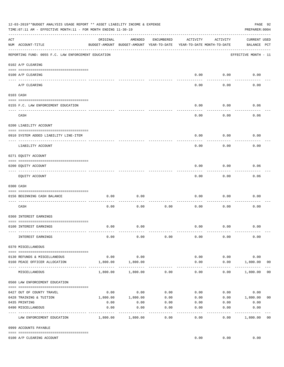|     | 12-03-2019**BUDGET ANALYSIS USAGE REPORT ** ASSET LIABILITY INCOME & EXPENSE<br>TIME:07:11 AM - EFFECTIVE MONTH:11 - FOR MONTH ENDING 11-30-19 |                     |                                                     |                 |                                        |                    |                                    |                |  |  |  |
|-----|------------------------------------------------------------------------------------------------------------------------------------------------|---------------------|-----------------------------------------------------|-----------------|----------------------------------------|--------------------|------------------------------------|----------------|--|--|--|
| ACT | NUM ACCOUNT-TITLE                                                                                                                              | ORIGINAL            | AMENDED<br>BUDGET-AMOUNT BUDGET-AMOUNT YEAR-TO-DATE | ENCUMBERED      | ACTIVITY<br>YEAR-TO-DATE MONTH-TO-DATE | ACTIVITY           | <b>CURRENT USED</b><br>BALANCE PCT |                |  |  |  |
|     | REPORTING FUND: 0055 F.C. LAW ENFORCEMENT EDUCATION                                                                                            |                     |                                                     |                 |                                        |                    | EFFECTIVE MONTH - 11               |                |  |  |  |
|     | 0102 A/P CLEARING                                                                                                                              |                     |                                                     |                 |                                        |                    |                                    |                |  |  |  |
|     | 0100 A/P CLEARING                                                                                                                              |                     |                                                     |                 | 0.00                                   | 0.00               | 0.00                               |                |  |  |  |
|     | A/P CLEARING                                                                                                                                   |                     |                                                     |                 | 0.00                                   | 0.00               | 0.00                               |                |  |  |  |
|     | 0103 CASH                                                                                                                                      |                     |                                                     |                 |                                        |                    |                                    |                |  |  |  |
|     | 0155 F.C. LAW ENFORCEMENT EDUCATION                                                                                                            |                     |                                                     |                 | 0.00                                   | 0.00               | 0.06                               |                |  |  |  |
|     | CASH                                                                                                                                           |                     |                                                     |                 | 0.00                                   | 0.00               | 0.06                               |                |  |  |  |
|     | 0200 LIABILITY ACCOUNT                                                                                                                         |                     |                                                     |                 |                                        |                    |                                    |                |  |  |  |
|     | 0910 SYSTEM ADDED LIABILITY LINE-ITEM                                                                                                          |                     |                                                     |                 | 0.00                                   | 0.00               | 0.00                               |                |  |  |  |
|     | LIABILITY ACCOUNT                                                                                                                              |                     |                                                     |                 | 0.00                                   | 0.00               | 0.00                               |                |  |  |  |
|     | 0271 EQUITY ACCOUNT                                                                                                                            |                     |                                                     |                 |                                        |                    |                                    |                |  |  |  |
|     | 0200 EQUITY ACCOUNT                                                                                                                            |                     |                                                     |                 | 0.00                                   | 0.00               | 0.06                               |                |  |  |  |
|     | EQUITY ACCOUNT                                                                                                                                 |                     |                                                     |                 | 0.00                                   | --------<br>0.00   | 0.06                               |                |  |  |  |
|     | 0300 CASH                                                                                                                                      |                     |                                                     |                 |                                        |                    |                                    |                |  |  |  |
|     | 0156 BEGINNING CASH BALANCE                                                                                                                    | 0.00                | 0.00                                                |                 | 0.00                                   | 0.00               | 0.00                               |                |  |  |  |
|     | CASH                                                                                                                                           | 0.00                | 0.00                                                | 0.00            | 0.00                                   | 0.00               | 0.00                               |                |  |  |  |
|     | 0360 INTEREST EARNINGS                                                                                                                         |                     |                                                     |                 |                                        |                    |                                    |                |  |  |  |
|     | 0100 INTEREST EARNINGS                                                                                                                         | 0.00                | 0.00                                                |                 | 0.00                                   | 0.00               | 0.00                               |                |  |  |  |
|     | INTEREST EARNINGS                                                                                                                              | 0.00                | 0.00                                                | 0.00            | 0.00                                   | 0.00               | 0.00                               |                |  |  |  |
|     | 0370 MISCELLANEOUS                                                                                                                             |                     |                                                     |                 |                                        |                    |                                    |                |  |  |  |
|     |                                                                                                                                                |                     |                                                     |                 |                                        |                    |                                    |                |  |  |  |
|     | 0130 REFUNDS & MISCELLANEOUS<br>0160 PEACE OFFICER ALLOCATION                                                                                  | 0.00<br>1,800.00    | 0.00<br>1,800.00                                    |                 | 0.00<br>0.00                           | 0.00<br>0.00       | 0.00<br>1,800.00                   | 0 <sub>0</sub> |  |  |  |
|     | MISCELLANEOUS                                                                                                                                  | 1,800.00            | 1,800.00                                            | 0.00            | $\cdots$<br>0.00                       | ----------<br>0.00 | _____________<br>1,800.00          | 0 <sub>0</sub> |  |  |  |
|     | 0560 LAW ENFORCEMENT EDUCATION                                                                                                                 |                     |                                                     |                 |                                        |                    |                                    |                |  |  |  |
|     |                                                                                                                                                |                     |                                                     |                 |                                        |                    | 0.00                               |                |  |  |  |
|     | 0427 OUT OF COUNTY TRAVEL<br>0428 TRAINING & TUITION                                                                                           |                     | $0.00$ 0.00<br>1,800.00    1,800.00                 | 0.00<br>0.00    | 0.00<br>0.00                           |                    | 0.00<br>$0.00$ 1,800.00            | 0 <sub>0</sub> |  |  |  |
|     | 0435 PRINTING                                                                                                                                  | 0.00                | 0.00                                                | 0.00            |                                        | $0.00$ $0.00$      | 0.00                               |                |  |  |  |
|     | 0490 MISCELLANEOUS                                                                                                                             | 0.00<br>----------- | 0.00                                                | 0.00<br>------- | 0.00                                   | 0.00               | 0.00                               |                |  |  |  |
|     | LAW ENFORCEMENT EDUCATION                                                                                                                      |                     | 1,800.00 1,800.00                                   | 0.00            | 0.00                                   | 0.00               | 1,800.00                           | 0 <sub>0</sub> |  |  |  |
|     | 0999 ACCOUNTS PAYABLE                                                                                                                          |                     |                                                     |                 |                                        |                    |                                    |                |  |  |  |
|     | 0100 A/P CLEARING ACCOUNT                                                                                                                      |                     |                                                     |                 | 0.00                                   | 0.00               | 0.00                               |                |  |  |  |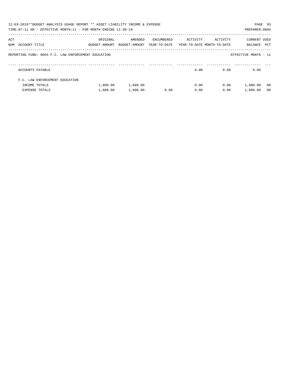|     | 12-03-2019**BUDGET ANALYSIS USAGE REPORT ** ASSET LIABILITY INCOME & EXPENSE<br>TIME: 07:11 AM - EFFECTIVE MONTH: 11 - FOR MONTH ENDING 11-30-19 |                           |                          |                            |          |                                        | PAGE 93<br>PREPARER: 0004 |                |
|-----|--------------------------------------------------------------------------------------------------------------------------------------------------|---------------------------|--------------------------|----------------------------|----------|----------------------------------------|---------------------------|----------------|
| ACT | NUM ACCOUNT-TITLE                                                                                                                                | ORIGINAL<br>BUDGET-AMOUNT | AMENDED<br>BUDGET-AMOUNT | ENCUMBERED<br>YEAR-TO-DATE | ACTIVITY | ACTIVITY<br>YEAR-TO-DATE MONTH-TO-DATE | CURRENT USED<br>BALANCE   | PCT            |
|     | REPORTING FUND: 0055 F.C. LAW ENFORCEMENT EDUCATION                                                                                              |                           |                          |                            |          |                                        | EFFECTIVE MONTH - 11      |                |
|     | ACCOUNTS PAYABLE                                                                                                                                 |                           |                          |                            | 0.00     | 0.00                                   | 0.00                      |                |
|     | F.C. LAW ENFORCEMENT EDUCATION                                                                                                                   |                           |                          |                            |          |                                        |                           |                |
|     | INCOME TOTALS                                                                                                                                    | 1,800.00                  | 1,800.00                 |                            | 0.00     | 0.00                                   | 1,800.00                  | - 00           |
|     | <b>EXPENSE TOTALS</b>                                                                                                                            | 1,800.00                  | 1,800.00                 | 0.00                       | 0.00     | 0.00                                   | 1,800.00                  | 0 <sub>0</sub> |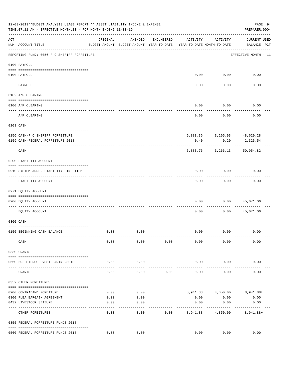|                       | 12-03-2019**BUDGET ANALYSIS USAGE REPORT ** ASSET LIABILITY INCOME & EXPENSE<br>TIME: 07:11 AM - EFFECTIVE MONTH: 11 - FOR MONTH ENDING 11-30-19 |              |                                                     |            |          |                                        | PAGE 94<br>PREPARER: 0004           |
|-----------------------|--------------------------------------------------------------------------------------------------------------------------------------------------|--------------|-----------------------------------------------------|------------|----------|----------------------------------------|-------------------------------------|
| ACT                   | NUM ACCOUNT-TITLE                                                                                                                                | ORIGINAL     | AMENDED<br>BUDGET-AMOUNT BUDGET-AMOUNT YEAR-TO-DATE | ENCUMBERED | ACTIVITY | ACTIVITY<br>YEAR-TO-DATE MONTH-TO-DATE | <b>CURRENT USED</b><br>BALANCE PCT  |
|                       | REPORTING FUND: 0056 F C SHERIFF FORFEITURE                                                                                                      |              |                                                     |            |          |                                        | EFFECTIVE MONTH - 11                |
|                       | 0100 PAYROLL                                                                                                                                     |              |                                                     |            |          |                                        |                                     |
|                       |                                                                                                                                                  |              |                                                     |            |          |                                        |                                     |
| $- - - - - - - - - -$ | 0100 PAYROLL                                                                                                                                     |              |                                                     |            | 0.00     | 0.00                                   | 0.00                                |
|                       | PAYROLL                                                                                                                                          |              |                                                     |            | 0.00     | 0.00                                   | 0.00                                |
|                       | 0102 A/P CLEARING                                                                                                                                |              |                                                     |            |          |                                        |                                     |
|                       | 0100 A/P CLEARING                                                                                                                                |              |                                                     |            | 0.00     | 0.00                                   | 0.00                                |
|                       | A/P CLEARING                                                                                                                                     |              |                                                     |            | 0.00     | 0.00                                   | 0.00                                |
|                       | 0103 CASH                                                                                                                                        |              |                                                     |            |          |                                        |                                     |
|                       |                                                                                                                                                  |              |                                                     |            |          |                                        |                                     |
|                       | 0156 CASH-F C SHERIFF FORFEITURE<br>0159 CASH-FEDERAL FORFEITURE 2018                                                                            |              |                                                     |            | 0.40     | 5,883.36 3,265.93 48,629.28<br>0.20    | 2,325.54                            |
|                       | CASH                                                                                                                                             |              |                                                     |            |          | 5,883.76 3,266.13                      | 50,954.82                           |
|                       | 0200 LIABILITY ACCOUNT                                                                                                                           |              |                                                     |            |          |                                        |                                     |
|                       | 0910 SYSTEM ADDED LIABILITY LINE-ITEM                                                                                                            |              |                                                     |            | 0.00     | 0.00                                   | 0.00                                |
|                       | LIABILITY ACCOUNT                                                                                                                                |              |                                                     |            | 0.00     | 0.00                                   | 0.00                                |
|                       | 0271 EQUITY ACCOUNT                                                                                                                              |              |                                                     |            |          |                                        |                                     |
|                       | 0200 EQUITY ACCOUNT                                                                                                                              |              |                                                     |            | 0.00     | 0.00                                   | 45,071.06                           |
|                       | EQUITY ACCOUNT                                                                                                                                   |              |                                                     |            | 0.00     | 0.00                                   | 45,071.06                           |
|                       | 0300 CASH                                                                                                                                        |              |                                                     |            |          |                                        |                                     |
|                       | 0156 BEGINNING CASH BALANCE                                                                                                                      | 0.00         | 0.00                                                |            | 0.00     | 0.00                                   | 0.00                                |
|                       | CASH                                                                                                                                             | 0.00         | 0.00                                                | 0.00       | 0.00     | 0.00                                   | 0.00                                |
|                       | 0330 GRANTS                                                                                                                                      |              |                                                     |            |          |                                        |                                     |
|                       | 0560 BULLETPROOF VEST PARTNERSHIP                                                                                                                | 0.00         | 0.00                                                |            | 0.00     | 0.00                                   | 0.00                                |
|                       | GRANTS                                                                                                                                           | 0.00         | 0.00                                                | 0.00       | 0.00     | 0.00                                   | 0.00                                |
|                       | 0352 OTHER FOREITURES                                                                                                                            |              |                                                     |            |          |                                        |                                     |
|                       |                                                                                                                                                  |              |                                                     |            |          |                                        |                                     |
|                       | 0200 CONTRABAND FOREITURE<br>0300 PLEA BARGAIN AGREEMENT                                                                                         | 0.00<br>0.00 | 0.00<br>0.00                                        |            | 0.00     | 0.00                                   | 8,941.88 4,850.00 8,941.88+<br>0.00 |
|                       | 0432 LIVESTOCK SEIZURE                                                                                                                           | 0.00         | 0.00                                                |            | 0.00     | 0.00                                   | 0.00                                |
|                       | OTHER FOREITURES                                                                                                                                 | 0.00         | 0.00                                                | 0.00       | 8,941.88 | 4,850.00                               | 8,941.88+                           |
|                       | 0355 FEDERAL FORFEITURE FUNDS 2018                                                                                                               |              |                                                     |            |          |                                        |                                     |
|                       |                                                                                                                                                  |              |                                                     |            |          |                                        |                                     |
|                       | 0560 FEDERAL FORFEITURE FUNDS 2018                                                                                                               | 0.00         | 0.00                                                |            | 0.00     | 0.00                                   | 0.00                                |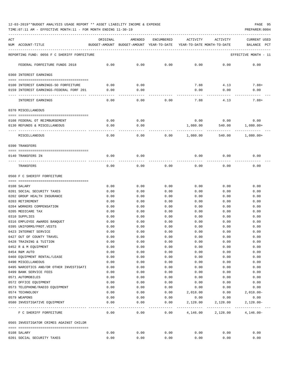TIME:07:11 AM - EFFECTIVE MONTH:11 - FOR MONTH ENDING 11-30-19 PREPARER:0004

| ACT | NUM ACCOUNT-TITLE                                  | ORIGINAL     | AMENDED<br>BUDGET-AMOUNT BUDGET-AMOUNT YEAR-TO-DATE | ENCUMBERED        | ACTIVITY<br>YEAR-TO-DATE MONTH-TO-DATE | ACTIVITY                                           | CURRENT USED<br>BALANCE<br>PCT |
|-----|----------------------------------------------------|--------------|-----------------------------------------------------|-------------------|----------------------------------------|----------------------------------------------------|--------------------------------|
|     | REPORTING FUND: 0056 F C SHERIFF FORFEITURE        |              |                                                     |                   |                                        |                                                    | EFFECTIVE MONTH - 11           |
|     | FEDERAL FORFEITURE FUNDS 2018                      | 0.00         | 0.00                                                | 0.00              | 0.00                                   | 0.00                                               | 0.00                           |
|     | 0360 INTEREST EARNINGS                             |              |                                                     |                   |                                        |                                                    |                                |
|     | 0100 INTEREST EARNINGS-SO FORFEITURE               | 0.00         | 0.00                                                |                   | 7.88                                   | 4.13                                               | $7.88+$                        |
|     | 0159 INTEREST EARNINGS-FEDERAL FORF 201            | 0.00         | 0.00                                                |                   | 0.00                                   | 0.00                                               | 0.00                           |
|     | INTEREST EARNINGS                                  | 0.00         | 0.00                                                | 0.00              | 7.88                                   | 4.13                                               | $7.88+$                        |
|     | 0370 MISCELLANEOUS                                 |              |                                                     |                   |                                        |                                                    |                                |
|     | 0108 FEDERAL OT REIMBURSEMENT                      | 0.00         | 0.00                                                |                   |                                        | $0.00$ 0.00                                        | 0.00                           |
|     | 0130 REFUNDS & MISCELLANEOUS                       | 0.00         | 0.00                                                |                   | 1,080.00                               |                                                    | 540.00 1,080.00+               |
|     | MISCELLANEOUS                                      | 0.00         | 0.00                                                | 0.00              | 1,080.00                               | 540.00                                             | 1,080.00+                      |
|     | 0390 TRANSFERS                                     |              |                                                     |                   |                                        |                                                    |                                |
|     |                                                    |              |                                                     |                   |                                        |                                                    |                                |
|     | 0140 TRANSFERS IN                                  | 0.00         | 0.00                                                |                   | 0.00                                   | 0.00                                               | 0.00                           |
|     | TRANSFERS                                          | 0.00         | 0.00                                                | 0.00              | 0.00                                   | 0.00                                               | 0.00                           |
|     | 0560 F C SHERIFF FORFEITURE                        |              |                                                     |                   |                                        |                                                    |                                |
|     | 0108 SALARY                                        | 0.00         | 0.00                                                | 0.00              | 0.00                                   | 0.00                                               | 0.00                           |
|     | 0201 SOCIAL SECURITY TAXES                         | 0.00         | 0.00                                                | 0.00              | 0.00                                   | 0.00                                               | 0.00                           |
|     | 0202 GROUP HEALTH INSURANCE                        | 0.00         | 0.00                                                | 0.00              | 0.00                                   | 0.00                                               | 0.00                           |
|     | 0203 RETIREMENT                                    | 0.00         | 0.00                                                | 0.00              | 0.00                                   | 0.00                                               | 0.00                           |
|     | 0204 WORKERS COMPENSATION                          | 0.00         | 0.00                                                | 0.00              | 0.00                                   | 0.00                                               | 0.00                           |
|     | 0205 MEDICARE TAX                                  | 0.00         | 0.00                                                | 0.00              | 0.00                                   | 0.00                                               | 0.00                           |
|     | 0310 SUPPLIES                                      | 0.00         | 0.00                                                | 0.00              | 0.00                                   | 0.00                                               | 0.00                           |
|     | 0316 EMPLOYEE AWARDS BANQUET                       | 0.00         | 0.00                                                | 0.00              | 0.00                                   | 0.00                                               | 0.00                           |
|     | 0395 UNIFORMS/PROT.VESTS                           | 0.00         | 0.00                                                | 0.00              | 0.00                                   | 0.00                                               | 0.00                           |
|     | 0423 INTERNET SERVICE                              | 0.00         | 0.00                                                | 0.00              | 0.00                                   | 0.00                                               | 0.00                           |
|     | 0427 OUT OF COUNTY TRAVEL                          | 0.00         | 0.00                                                | 0.00              | 0.00                                   | 0.00                                               | 0.00                           |
|     | 0428 TRAINING & TUITION                            | 0.00         | 0.00                                                | 0.00              | 0.00                                   | 0.00                                               | 0.00                           |
|     | 0452 R & M EQUIPMENT                               | 0.00         | 0.00                                                | 0.00              | 0.00                                   | 0.00                                               | 0.00                           |
|     | 0454 R&M AUTO                                      | 0.00         | 0.00                                                | 0.00              | 0.00                                   | 0.00                                               | 0.00                           |
|     | 0460 EQUIPMENT RENTAL/LEASE                        | 0.00         | 0.00                                                | 0.00              | 0.00                                   | 0.00                                               | 0.00                           |
|     | 0490 MISCELLANEOUS                                 | 0.00         | 0.00                                                | 0.00              | 0.00                                   | 0.00                                               | 0.00                           |
|     | 0495 NARCOTICS AND/OR OTHER INVESTIGATI            | 0.00         | 0.00                                                | 0.00              | 0.00                                   | 0.00                                               | 0.00                           |
|     | 0499 BANK SERVICE FEES                             | 0.00         | 0.00                                                | 0.00              | 0.00                                   | 0.00                                               | 0.00                           |
|     | 0571 AUTOMOBILES<br>0572 OFFICE EQUIPMENT          | 0.00         | 0.00                                                | 0.00              | 0.00                                   | 0.00                                               | 0.00                           |
|     | 0573 TELEPHONE/RADIO EQUIPMENT                     | 0.00<br>0.00 | 0.00<br>0.00                                        | 0.00<br>0.00      | 0.00                                   | 0.00<br>0.00                                       | 0.00<br>0.00                   |
|     | 0574 TECHNOLOGY                                    | 0.00         | 0.00                                                | 0.00              | 0.00<br>2,018.00                       | 0.00                                               | $2,018.00 -$                   |
|     | 0579 WEAPONS                                       | 0.00         | 0.00                                                | 0.00              | 0.00                                   | 0.00                                               | 0.00                           |
|     | 0580 INVESTIGATIVE EQUIPMENT                       | 0.00         | 0.00                                                | 0.00              | 2,128.00                               | 2,128.00                                           | $2,128.00-$                    |
|     | ---- -------------------<br>F C SHERIFF FORFEITURE | 0.00         | -----<br>0.00                                       | ---------<br>0.00 |                                        | ---------------------------<br>4, 146.00 2, 128.00 | $4,146.00-$                    |
|     | 0565 INVESTIGATOR CRIMES AGAINST CHILDR            |              |                                                     |                   |                                        |                                                    |                                |
|     |                                                    |              |                                                     |                   |                                        |                                                    |                                |
|     | 0108 SALARY                                        | 0.00         | 0.00                                                | 0.00              | 0.00                                   | 0.00                                               | 0.00                           |
|     | 0201 SOCIAL SECURITY TAXES                         | 0.00         | 0.00                                                | 0.00              | 0.00                                   | 0.00                                               | 0.00                           |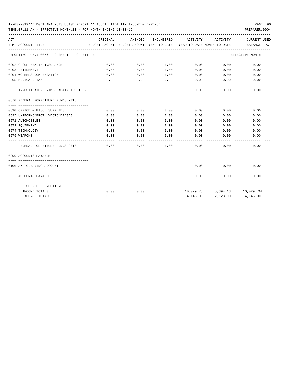TIME:07:11 AM - EFFECTIVE MONTH:11 - FOR MONTH ENDING 11-30-19 PREPARER:0004

| ACT |                                             | ORIGINAL                     | AMENDED | ENCUMBERED | ACTIVITY                                                            | ACTIVITY      | <b>CURRENT USED</b>  |
|-----|---------------------------------------------|------------------------------|---------|------------|---------------------------------------------------------------------|---------------|----------------------|
|     | NUM ACCOUNT-TITLE                           |                              |         |            | BUDGET-AMOUNT BUDGET-AMOUNT YEAR-TO-DATE YEAR-TO-DATE MONTH-TO-DATE |               | BALANCE PCT          |
|     | REPORTING FUND: 0056 F C SHERIFF FORFEITURE |                              |         |            |                                                                     |               | EFFECTIVE MONTH - 11 |
|     | 0202 GROUP HEALTH INSURANCE                 | 0.00                         | 0.00    | 0.00       | $0.00$ 0.00                                                         |               | 0.00                 |
|     | 0203 RETIREMENT                             | 0.00                         | 0.00    | 0.00       |                                                                     | $0.00$ $0.00$ | 0.00                 |
|     | 0204 WORKERS COMPENSATION                   | 0.00                         | 0.00    | 0.00       | 0.00                                                                | 0.00          | 0.00                 |
|     | 0205 MEDICARE TAX                           | 0.00                         | 0.00    | 0.00       | 0.00                                                                | 0.00          | 0.00                 |
|     | INVESTIGATOR CRIMES AGAINST CHILDR          | 0.00                         | 0.00    | 0.00       | 0.00                                                                | 0.00          | 0.00                 |
|     | 0570 FEDERAL FORFEITURE FUNDS 2018          |                              |         |            |                                                                     |               |                      |
|     |                                             |                              |         |            |                                                                     |               |                      |
|     | 0310 OFFICE & MISC. SUPPLIES                | 0.00                         | 0.00    | 0.00       | 0.00                                                                | 0.00          | 0.00                 |
|     | 0395 UNIFORMS/PROT. VESTS/BADGES            | 0.00                         | 0.00    | 0.00       | 0.00                                                                | 0.00          | 0.00                 |
|     | 0571 AUTOMOBILES                            | 0.00                         | 0.00    | 0.00       |                                                                     | 0.00<br>0.00  | 0.00                 |
|     | 0572 EQUIPMENT                              | 0.00                         | 0.00    | 0.00       | 0.00                                                                | 0.00          | 0.00                 |
|     | 0574 TECHNOLOGY                             | 0.00                         | 0.00    | 0.00       | 0.00                                                                | 0.00          | 0.00                 |
|     | 0579 WEAPONS                                | 0.00                         | 0.00    | 0.00       | 0.00                                                                | 0.00          | 0.00                 |
|     | FEDERAL FORFEITURE FUNDS 2018               | 0.00                         | 0.00    | 0.00       | 0.00                                                                | 0.00          | 0.00                 |
|     | 0999 ACCOUNTS PAYABLE                       |                              |         |            |                                                                     |               |                      |
|     |                                             |                              |         |            |                                                                     |               |                      |
|     | 0100 A/P CLEARING ACCOUNT                   |                              |         |            | 0.00                                                                | 0.00          | 0.00                 |
|     | ACCOUNTS PAYABLE                            | -------------- ------------- |         |            | 0.00                                                                | 0.00          | 0.00                 |
|     | F C SHERIFF FORFEITURE                      |                              |         |            |                                                                     |               |                      |
|     | INCOME TOTALS                               | 0.00                         | 0.00    |            | $10,029.76$ 5,394.13 $10,029.76+$                                   |               |                      |
|     | <b>EXPENSE TOTALS</b>                       | 0.00                         | 0.00    |            | $0.00$ 4,146.00 2,128.00                                            |               | 4,146.00-            |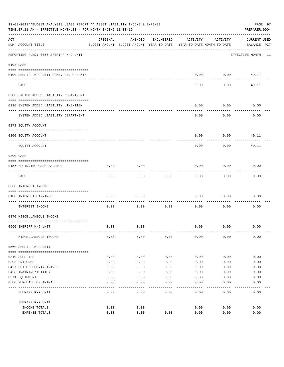|     | 12-03-2019**BUDGET ANALYSIS USAGE REPORT ** ASSET LIABILITY INCOME & EXPENSE<br>TIME: 07:11 AM - EFFECTIVE MONTH: 11 - FOR MONTH ENDING 11-30-19 |          |                                                     |              |                                        |          | PAGE 97<br>PREPARER: 0004   |
|-----|--------------------------------------------------------------------------------------------------------------------------------------------------|----------|-----------------------------------------------------|--------------|----------------------------------------|----------|-----------------------------|
| ACT | NUM ACCOUNT-TITLE                                                                                                                                | ORIGINAL | AMENDED<br>BUDGET-AMOUNT BUDGET-AMOUNT YEAR-TO-DATE | ENCUMBERED   | ACTIVITY<br>YEAR-TO-DATE MONTH-TO-DATE | ACTIVITY | CURRENT USED<br>BALANCE PCT |
|     | REPORTING FUND: 0057 SHERIFF K-9 UNIT                                                                                                            |          |                                                     |              |                                        |          | EFFECTIVE MONTH - 11        |
|     | 0103 CASH                                                                                                                                        |          |                                                     |              |                                        |          |                             |
|     |                                                                                                                                                  |          |                                                     |              |                                        |          |                             |
|     | 0100 SHERIFF K-9 UNIT-COMB. FUND CHECKIN                                                                                                         |          |                                                     |              | 0.00                                   | 0.00     | 49.11                       |
|     | CASH                                                                                                                                             |          |                                                     |              | 0.00                                   | 0.00     | 49.11                       |
|     | 0200 SYSTEM ADDED LIABILITY DEPARTMENT                                                                                                           |          |                                                     |              |                                        |          |                             |
|     | 0910 SYSTEM ADDED LIABILITY LINE-ITEM                                                                                                            |          |                                                     |              | 0.00                                   | 0.00     | 0.00                        |
|     | SYSTEM ADDED LIABILITY DEPARTMENT                                                                                                                |          |                                                     |              | 0.00                                   | 0.00     | 0.00                        |
|     | 0271 EQUITY ACCOUNT                                                                                                                              |          |                                                     |              |                                        |          |                             |
|     | 0200 EQUITY ACCOUNT                                                                                                                              |          |                                                     |              | 0.00                                   | 0.00     | 49.11                       |
|     | EQUITY ACCOUNT                                                                                                                                   |          |                                                     |              | 0.00                                   | 0.00     | 49.11                       |
|     | 0300 CASH                                                                                                                                        |          |                                                     |              |                                        |          |                             |
|     | 0157 BEGINNING CASH BALANCE                                                                                                                      | 0.00     | 0.00                                                |              | 0.00                                   | 0.00     | 0.00                        |
|     | CASH                                                                                                                                             | 0.00     | 0.00                                                | 0.00         | 0.00                                   | 0.00     | 0.00                        |
|     | 0360 INTEREST INCOME                                                                                                                             |          |                                                     |              |                                        |          |                             |
|     | 0100 INTEREST EARNINGS                                                                                                                           | 0.00     | 0.00                                                |              | 0.00                                   | 0.00     | 0.00                        |
|     | -----------------<br>INTEREST INCOME                                                                                                             | 0.00     | 0.00                                                | 0.00         | 0.00                                   | 0.00     | 0.00                        |
|     | 0370 MISCELLANEOUS INCOME                                                                                                                        |          |                                                     |              |                                        |          |                             |
|     |                                                                                                                                                  |          |                                                     |              |                                        |          |                             |
|     | 0560 SHERIFF K-9 UNIT                                                                                                                            | 0.00     | 0.00                                                |              | 0.00                                   | 0.00     | 0.00                        |
|     | MISCELLANEOUS INCOME                                                                                                                             | 0.00     | 0.00                                                | 0.00         | 0.00                                   | 0.00     | 0.00                        |
|     | 0560 SHERIFF K-9 UNIT                                                                                                                            |          |                                                     |              |                                        |          |                             |
|     | 0310 SUPPLIES                                                                                                                                    | 0.00     | 0.00                                                | 0.00         | 0.00                                   | 0.00     | 0.00                        |
|     | 0395 UNIFORMS                                                                                                                                    | 0.00     | 0.00                                                | 0.00         | 0.00                                   | 0.00     | 0.00                        |
|     | 0427 OUT OF COUNTY TRAVEL                                                                                                                        | 0.00     | 0.00                                                | 0.00         | 0.00                                   | 0.00     | 0.00                        |
|     | 0428 TRAINING/TUITION                                                                                                                            | 0.00     | 0.00                                                | 0.00         | 0.00                                   | 0.00     | 0.00                        |
|     | 0571 EQUIPMENT                                                                                                                                   | 0.00     | 0.00                                                | 0.00         | 0.00                                   | 0.00     | 0.00                        |
|     | 0580 PURCHASE OF ANIMAL                                                                                                                          | 0.00     | 0.00                                                | 0.00         | 0.00                                   | 0.00     | 0.00                        |
|     | SHERIFF K-9 UNIT                                                                                                                                 | 0.00     | ----<br>0.00                                        | ----<br>0.00 | 0.00                                   | 0.00     | 0.00                        |
|     | SHERIFF K-9 UNIT                                                                                                                                 |          |                                                     |              |                                        |          |                             |
|     | INCOME TOTALS                                                                                                                                    | 0.00     | 0.00                                                |              | 0.00                                   | 0.00     | 0.00                        |
|     | <b>EXPENSE TOTALS</b>                                                                                                                            | 0.00     | 0.00                                                | 0.00         | 0.00                                   | 0.00     | 0.00                        |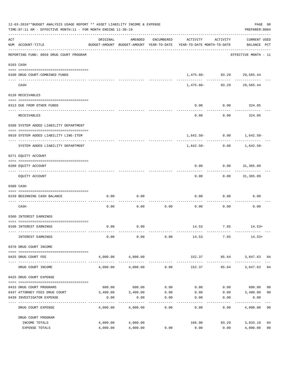|                    | 12-03-2019**BUDGET ANALYSIS USAGE REPORT ** ASSET LIABILITY INCOME & EXPENSE<br>TIME: 07:11 AM - EFFECTIVE MONTH: 11 - FOR MONTH ENDING 11-30-19 |          |                   |                     |                                                                                 |                           | PAGE 98<br>PREPARER: 0004          |
|--------------------|--------------------------------------------------------------------------------------------------------------------------------------------------|----------|-------------------|---------------------|---------------------------------------------------------------------------------|---------------------------|------------------------------------|
| $\mathop{\rm ACT}$ | NUM ACCOUNT-TITLE                                                                                                                                | ORIGINAL | AMENDED           | ENCUMBERED          | ACTIVITY<br>BUDGET-AMOUNT BUDGET-AMOUNT YEAR-TO-DATE YEAR-TO-DATE MONTH-TO-DATE | ACTIVITY                  | <b>CURRENT USED</b><br>BALANCE PCT |
|                    | REPORTING FUND: 0059 DRUG COURT PROGRAM                                                                                                          |          |                   |                     |                                                                                 |                           | EFFECTIVE MONTH - 11               |
|                    | 0103 CASH                                                                                                                                        |          |                   |                     |                                                                                 |                           |                                    |
|                    | 0100 DRUG COURT-COMBINED FUNDS                                                                                                                   |          |                   |                     |                                                                                 | 1,475.60- 93.29 29,565.44 |                                    |
|                    | CASH                                                                                                                                             |          |                   |                     | 1,475.60-                                                                       | ____________              | --------<br>93.29 29,565.44        |
|                    | 0120 RECEIVABLES                                                                                                                                 |          |                   |                     |                                                                                 |                           |                                    |
|                    | 0313 DUE FROM OTHER FUNDS                                                                                                                        |          |                   |                     | 0.00                                                                            | 0.00                      | 324.05                             |
|                    |                                                                                                                                                  |          |                   |                     |                                                                                 |                           | ----------                         |
|                    | RECEIVABLES                                                                                                                                      |          |                   |                     | 0.00                                                                            | 0.00                      | 324.05                             |
|                    | 0200 SYSTEM ADDED LIABILITY DEPARTMENT                                                                                                           |          |                   |                     |                                                                                 |                           |                                    |
|                    | 0910 SYSTEM ADDED LIABILITY LINE-ITEM                                                                                                            |          |                   |                     |                                                                                 |                           | $1,642.50 - 0.00$ $1,642.50 -$     |
|                    | SYSTEM ADDED LIABILITY DEPARTMENT                                                                                                                |          |                   |                     | 1,642.50-                                                                       | 0.00                      | -------------<br>1,642.50-         |
|                    | 0271 EQUITY ACCOUNT                                                                                                                              |          |                   |                     |                                                                                 |                           |                                    |
|                    | 0200 EQUITY ACCOUNT                                                                                                                              |          |                   |                     | 0.00                                                                            | $0.00$ $31,365.09$        |                                    |
|                    | EQUITY ACCOUNT                                                                                                                                   |          |                   |                     | 0.00                                                                            |                           | $0.00$ 31,365.09                   |
|                    | 0300 CASH                                                                                                                                        |          |                   |                     |                                                                                 |                           |                                    |
|                    | 0159 BEGINNING CASH BALANCE                                                                                                                      | 0.00     | 0.00              |                     | 0.00                                                                            | 0.00                      | 0.00                               |
|                    | CASH                                                                                                                                             | 0.00     | 0.00              | 0.00                | 0.00                                                                            | 0.00                      | 0.00                               |
|                    | 0360 INTEREST EARNINGS                                                                                                                           |          |                   |                     |                                                                                 |                           |                                    |
|                    | 0100 INTEREST EARNINGS                                                                                                                           | 0.00     | 0.00              |                     |                                                                                 |                           | $14.53$ 7.65 $14.53+$              |
|                    | INTEREST EARNINGS                                                                                                                                | 0.00     | 0.00              | 0.00                | 14.53                                                                           | 7.65                      | $14.53+$                           |
|                    | 0370 DRUG COURT INCOME                                                                                                                           |          |                   |                     |                                                                                 |                           |                                    |
|                    | 0425 DRUG COURT FEE                                                                                                                              |          | 4,000.00 4,000.00 |                     |                                                                                 |                           | 152.37 85.64 3,847.63 04           |
|                    | DRUG COURT INCOME                                                                                                                                | 4,000.00 | 4,000.00          | 0.00                | 152.37                                                                          | 85.64                     | 3,847.63<br>04                     |
|                    | 0425 DRUG COURT EXPENSE                                                                                                                          |          |                   |                     |                                                                                 |                           |                                    |
|                    | 0433 DRUG COURT PROGRAMS                                                                                                                         |          | 600.00 600.00     | 0.00                | 0.00                                                                            |                           | $0.00$ 600.00<br>0 <sub>0</sub>    |
|                    | 0437 ATTORNEY FEES DRUG COURT                                                                                                                    |          | 3,400.00 3,400.00 | 0.00                | 0.00                                                                            | 0.00                      | 0 <sub>0</sub><br>3,400.00         |
|                    | 0439 INVESTIGATOR EXPENSE                                                                                                                        | 0.00     | 0.00              | 0.00<br>----------- | 0.00                                                                            | 0.00<br>---------         | 0.00                               |
|                    | DRUG COURT EXPENSE                                                                                                                               | 4,000.00 | 4,000.00          | 0.00                | 0.00                                                                            | 0.00                      | 4,000.00 00                        |
|                    | DRUG COURT PROGRAM                                                                                                                               |          |                   |                     |                                                                                 |                           |                                    |
|                    | INCOME TOTALS                                                                                                                                    | 4,000.00 | 4,000.00          |                     | 166.90                                                                          | 93.29                     | 3,833.10<br>04                     |
|                    | EXPENSE TOTALS                                                                                                                                   | 4,000.00 | 4,000.00          | 0.00                | 0.00                                                                            | 0.00                      | 0 <sub>0</sub><br>4,000.00         |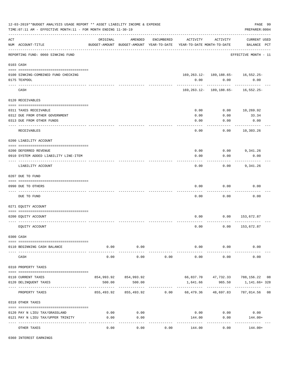|     | 12-03-2019**BUDGET ANALYSIS USAGE REPORT ** ASSET LIABILITY INCOME & EXPENSE<br>TIME: 07:11 AM - EFFECTIVE MONTH: 11 - FOR MONTH ENDING 11-30-19 |                                                      |                       |            |                                                                                                                          |                                                    |                                    |         |  |  |
|-----|--------------------------------------------------------------------------------------------------------------------------------------------------|------------------------------------------------------|-----------------------|------------|--------------------------------------------------------------------------------------------------------------------------|----------------------------------------------------|------------------------------------|---------|--|--|
| ACT | NUM ACCOUNT-TITLE                                                                                                                                | ORIGINAL<br>BUDGET-AMOUNT BUDGET-AMOUNT YEAR-TO-DATE | AMENDED               | ENCUMBERED | ACTIVITY<br>YEAR-TO-DATE MONTH-TO-DATE                                                                                   | ACTIVITY                                           | <b>CURRENT USED</b><br>BALANCE PCT |         |  |  |
|     | REPORTING FUND: 0060 SINKING FUND                                                                                                                |                                                      |                       |            |                                                                                                                          |                                                    | EFFECTIVE MONTH - 11               |         |  |  |
|     | 0103 CASH                                                                                                                                        |                                                      |                       |            |                                                                                                                          |                                                    |                                    |         |  |  |
|     | 0100 SINKING-COMBINED FUND CHECKING<br>0175 TEXPOOL                                                                                              |                                                      |                       |            | 0.00                                                                                                                     | $169, 263.12 - 189, 188.65 - 16, 552.25 -$<br>0.00 | 0.00                               |         |  |  |
|     | CASH                                                                                                                                             |                                                      |                       |            |                                                                                                                          | 169, 263. 12 - 189, 188. 65 - 16, 552. 25 -        |                                    |         |  |  |
|     | 0120 RECEIVABLES                                                                                                                                 |                                                      |                       |            |                                                                                                                          |                                                    |                                    |         |  |  |
|     |                                                                                                                                                  |                                                      |                       |            |                                                                                                                          |                                                    |                                    |         |  |  |
|     | 0311 TAXES RECEIVABLE                                                                                                                            |                                                      |                       |            | 0.00                                                                                                                     | 0.00                                               | 10,269.92                          |         |  |  |
|     | 0312 DUE FROM OTHER GOVERNMENT                                                                                                                   |                                                      |                       |            | 0.00                                                                                                                     | 0.00                                               | 33.34                              |         |  |  |
|     | 0313 DUE FROM OTHER FUNDS<br>_________________________                                                                                           |                                                      |                       |            | 0.00                                                                                                                     | 0.00                                               | 0.00<br>----------                 |         |  |  |
|     | RECEIVABLES                                                                                                                                      |                                                      |                       |            | 0.00                                                                                                                     | 0.00                                               | 10,303.26                          |         |  |  |
|     | 0200 LIABILITY ACCOUNT                                                                                                                           |                                                      |                       |            |                                                                                                                          |                                                    |                                    |         |  |  |
|     |                                                                                                                                                  |                                                      |                       |            |                                                                                                                          |                                                    |                                    |         |  |  |
|     | 0200 DEFERRED REVENUE                                                                                                                            |                                                      |                       |            | 0.00                                                                                                                     | 0.00                                               | 9,341.26                           |         |  |  |
|     | 0910 SYSTEM ADDED LIABILITY LINE-ITEM                                                                                                            |                                                      |                       |            | 0.00                                                                                                                     | 0.00                                               | 0.00                               |         |  |  |
|     | LIABILITY ACCOUNT                                                                                                                                |                                                      |                       |            | 0.00                                                                                                                     | 0.00                                               | 9,341.26                           |         |  |  |
|     | 0207 DUE TO FUND                                                                                                                                 |                                                      |                       |            |                                                                                                                          |                                                    |                                    |         |  |  |
|     | 0990 DUE TO OTHERS                                                                                                                               |                                                      |                       |            | 0.00                                                                                                                     | 0.00                                               | 0.00                               |         |  |  |
|     | DUE TO FUND                                                                                                                                      |                                                      |                       |            | 0.00                                                                                                                     | 0.00                                               | 0.00                               |         |  |  |
|     | 0271 EQUITY ACCOUNT                                                                                                                              |                                                      |                       |            |                                                                                                                          |                                                    |                                    |         |  |  |
|     |                                                                                                                                                  |                                                      |                       |            |                                                                                                                          |                                                    |                                    |         |  |  |
|     | 0200 EQUITY ACCOUNT                                                                                                                              |                                                      |                       |            | 0.00                                                                                                                     | 0.00                                               | 153,672.87                         |         |  |  |
|     | EOUITY ACCOUNT                                                                                                                                   |                                                      |                       |            | 0.00                                                                                                                     | 0.00                                               | 153,672.87                         |         |  |  |
|     | 0300 CASH                                                                                                                                        |                                                      |                       |            |                                                                                                                          |                                                    |                                    |         |  |  |
|     | 0110 BEGINNING CASH BALANCE                                                                                                                      | 0.00                                                 | 0.00                  |            |                                                                                                                          | $0.00$ $0.00$                                      | 0.00                               |         |  |  |
|     | CASH                                                                                                                                             | 0.00                                                 | -----------<br>0.00   | 0.00       | _____________<br>0.00                                                                                                    | -----------<br>0.00                                | 0.00                               |         |  |  |
|     | 0310 PROPERTY TAXES                                                                                                                              |                                                      |                       |            |                                                                                                                          |                                                    |                                    |         |  |  |
|     |                                                                                                                                                  |                                                      |                       |            |                                                                                                                          |                                                    |                                    |         |  |  |
|     | 0110 CURRENT TAXES                                                                                                                               |                                                      | 854,993.92 854,993.92 |            |                                                                                                                          |                                                    | 66,837.70 47,732.33 788,156.22 08  |         |  |  |
|     | 0120 DELINQUENT TAXES                                                                                                                            | 500.00                                               | 500.00                |            | 1,641.66                                                                                                                 | 965.50<br>------------                             | 1,141.66+ 328                      | $- - -$ |  |  |
|     | PROPERTY TAXES                                                                                                                                   |                                                      |                       |            | 855,493.92          855,493.92            0.00            68,479.36           48,697.83           787,014.56          08 |                                                    |                                    |         |  |  |
|     | 0318 OTHER TAXES                                                                                                                                 |                                                      |                       |            |                                                                                                                          |                                                    |                                    |         |  |  |
|     |                                                                                                                                                  |                                                      |                       |            |                                                                                                                          |                                                    |                                    |         |  |  |
|     | 0120 PAY N LIEU TAX/GRASSLAND                                                                                                                    | 0.00                                                 | 0.00                  |            | 0.00                                                                                                                     | 0.00                                               | 0.00                               |         |  |  |
|     | 0121 PAY N LIEU TAX/UPPER TRINITY                                                                                                                | 0.00                                                 | 0.00<br>. <u>.</u> .  |            | 144.00                                                                                                                   | 0.00<br>----------                                 | 144.00+                            |         |  |  |
|     | OTHER TAXES                                                                                                                                      | 0.00                                                 | 0.00                  | 0.00       | 144.00                                                                                                                   | 0.00                                               | $144.00+$                          |         |  |  |

0360 INTEREST EARNINGS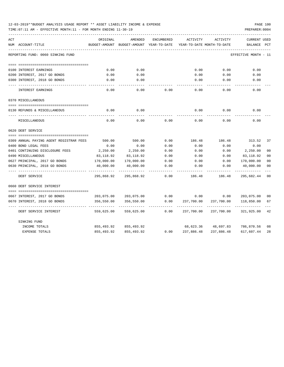| 12-03-2019**BUDGET ANALYSIS USAGE REPORT ** ASSET LIABILITY INCOME & EXPENSE |  |  |  |  | PAGE 100 |  |
|------------------------------------------------------------------------------|--|--|--|--|----------|--|
|                                                                              |  |  |  |  |          |  |

TIME:07:11 AM - EFFECTIVE MONTH:11 - FOR MONTH ENDING 11-30-19 PREPARER:0004

| ACT                                     | ORIGINAL      | AMENDED                    | <b>ENCUMBERED</b> | ACTIVITY                   | <b>ACTIVITY</b> | <b>CURRENT USED</b>  |                |
|-----------------------------------------|---------------|----------------------------|-------------------|----------------------------|-----------------|----------------------|----------------|
| NUM ACCOUNT-TITLE                       | BUDGET-AMOUNT | BUDGET-AMOUNT YEAR-TO-DATE |                   | YEAR-TO-DATE MONTH-TO-DATE |                 | BALANCE              | PCT            |
| REPORTING FUND: 0060 SINKING FUND       |               |                            |                   |                            |                 | EFFECTIVE MONTH - 11 |                |
|                                         |               |                            |                   |                            |                 |                      |                |
| 0100 INTEREST EARNINGS                  | 0.00          | 0.00                       |                   | 0.00                       | 0.00            | 0.00                 |                |
| 0200 INTEREST, 2017 GO BONDS            | 0.00          | 0.00                       |                   | 0.00                       | 0.00            | 0.00                 |                |
| 0300 INTEREST, 2018 GO BONDS            | 0.00          | 0.00                       |                   | 0.00                       | 0.00            | 0.00                 |                |
| INTEREST EARNINGS                       | 0.00          | 0.00                       | 0.00              | 0.00                       | 0.00            | 0.00                 |                |
| 0370 MISCELLANEOUS                      |               |                            |                   |                            |                 |                      |                |
|                                         |               |                            |                   |                            |                 |                      |                |
| 0130 REFUNDS & MISCELLANEOUS            | 0.00          | 0.00                       |                   | 0.00                       | 0.00            | 0.00                 |                |
| MISCELLANEOUS                           | 0.00          | 0.00                       | 0.00              | 0.00                       | 0.00            | 0.00                 |                |
| 0620 DEBT SERVICE                       |               |                            |                   |                            |                 |                      |                |
|                                         |               |                            |                   |                            |                 |                      |                |
| 0309 ANNUAL PAYING AGENT REGISTRAR FEES | 500.00        | 500.00                     | 0.00              | 186.48                     | 186.48          | 313.52               | 37             |
| 0400 BOND LEGAL FEES                    | 0.00          | 0.00                       | 0.00              | 0.00                       | 0.00            | 0.00                 |                |
| 0401 CONTINUING DISCLOSURE FEES         | 2,250.00      | 2,250.00                   | 0.00              | 0.00                       | 0.00            | 2,250.00             | 0 <sup>0</sup> |
| 0490 MISCELLANEOUS                      | 83,118.92     | 83,118.92                  | 0.00              | 0.00                       | 0.00            | 83,118.92            | 00             |
| 0627 PRINCIPAL, 2017 GO BONDS           | 170,000.00    | 170,000.00                 | 0.00              | 0.00                       | 0.00            | 170,000.00           | 00             |
| 0630 PRINCIPAL, 2018 GO BONDS           | 40,000.00     | 40,000.00                  | 0.00              | 0.00                       | 0.00            | 40,000.00            | 00             |
| DEBT SERVICE                            | 295,868.92    | 295,868.92                 | 0.00              | 186.48                     | 186.48          | 295,682.44           | 00             |
| 0660 DEBT SERVICE INTEREST              |               |                            |                   |                            |                 |                      |                |
|                                         |               |                            |                   |                            |                 |                      |                |
| 0667 INTEREST, 2017 GO BONDS            | 203,075.00    | 203,075.00                 | 0.00              | 0.00                       | 0.00            | 203,075.00           | 00             |
| 0670 INTEREST, 2018 GO BONDS            | 356,550.00    | 356,550.00                 | 0.00              | 237,700.00                 | 237,700.00      | 118,850.00           | 67             |
| DEBT SERVICE INTEREST                   | 559,625.00    | 559,625.00                 | 0.00              | 237,700.00                 | 237,700.00      | 321,925.00           | 42             |
| SINKING FUND                            |               |                            |                   |                            |                 |                      |                |
| INCOME TOTALS                           | 855,493.92    | 855,493.92                 |                   | 68,623.36                  | 48,697.83       | 786,870.56           | 08             |
| <b>EXPENSE TOTALS</b>                   | 855,493.92    | 855,493.92                 | 0.00              | 237,886.48                 | 237,886.48      | 617,607.44           | 28             |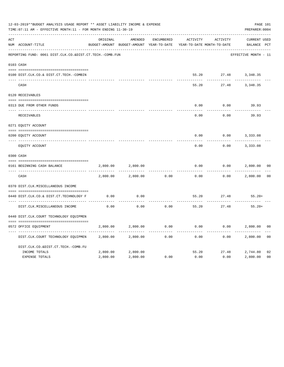|     | 12-03-2019**BUDGET ANALYSIS USAGE REPORT ** ASSET LIABILITY INCOME & EXPENSE<br>TIME: 07:11 AM - EFFECTIVE MONTH: 11 - FOR MONTH ENDING 11-30-19 |          |                                                     |                   |                                        |          | PAGE 101<br>PREPARER: 0004         |                |
|-----|--------------------------------------------------------------------------------------------------------------------------------------------------|----------|-----------------------------------------------------|-------------------|----------------------------------------|----------|------------------------------------|----------------|
| ACT | NUM ACCOUNT-TITLE                                                                                                                                | ORIGINAL | AMENDED<br>BUDGET-AMOUNT BUDGET-AMOUNT YEAR-TO-DATE | <b>ENCUMBERED</b> | ACTIVITY<br>YEAR-TO-DATE MONTH-TO-DATE | ACTIVITY | <b>CURRENT USED</b><br>BALANCE PCT |                |
|     | REPORTING FUND: 0061 DIST.CLK.CO.&DIST.CT.TECH.-COMB.FUN                                                                                         |          |                                                     |                   |                                        |          | EFFECTIVE MONTH - 11               |                |
|     | 0103 CASH                                                                                                                                        |          |                                                     |                   |                                        |          |                                    |                |
|     | 0100 DIST.CLK.CO.& DIST.CT.TECH.-COMBIN                                                                                                          |          |                                                     |                   | 55.20                                  |          | 27.48 3,348.35                     |                |
|     | CASH                                                                                                                                             |          |                                                     |                   | 55.20                                  | 27.48    | 3,348.35                           |                |
|     | 0120 RECEIVABLES                                                                                                                                 |          |                                                     |                   |                                        |          |                                    |                |
|     | 0313 DUE FROM OTHER FUNDS                                                                                                                        |          |                                                     |                   | 0.00                                   | 0.00     | 39.93                              |                |
|     | RECEIVABLES                                                                                                                                      |          |                                                     |                   | 0.00                                   | 0.00     | 39.93                              |                |
|     | 0271 EQUITY ACCOUNT                                                                                                                              |          |                                                     |                   |                                        |          |                                    |                |
|     | 0200 EQUITY ACCOUNT                                                                                                                              |          |                                                     |                   | 0.00                                   | 0.00     | 3,333.08                           |                |
|     | ---- ------------<br>EQUITY ACCOUNT                                                                                                              |          |                                                     |                   | 0.00                                   | 0.00     | 3,333.08                           |                |
|     | 0300 CASH                                                                                                                                        |          |                                                     |                   |                                        |          |                                    |                |
|     | 0161 BEGINNING CASH BALANCE                                                                                                                      | 2,800.00 | 2,800.00                                            |                   | 0.00                                   | 0.00     | 2,800.00                           | 0 <sup>0</sup> |
|     | CASH                                                                                                                                             | 2,800.00 | 2,800.00                                            | 0.00              | 0.00                                   | 0.00     | 2,800.00                           | 0 <sup>0</sup> |
|     | 0370 DIST.CLK.MISCELLANEOUS INCOME                                                                                                               |          |                                                     |                   |                                        |          |                                    |                |
|     | 0440 DIST.CLK.CO.& DIST.CT.TECHNOLOGY F                                                                                                          | 0.00     | 0.00                                                |                   | 55.20                                  | 27.48    | $55.20+$                           |                |
|     | DIST.CLK.MISCELLANEOUS INCOME                                                                                                                    | 0.00     | 0.00                                                | 0.00              | 55.20                                  | 27.48    | $55.20+$                           |                |
|     | 0440 DIST.CLK.COURT TECHNOLOGY EQUIPMEN                                                                                                          |          |                                                     |                   |                                        |          |                                    |                |
|     | 0572 OFFICE EOUIPMENT                                                                                                                            | 2,800.00 | 2,800.00                                            | 0.00              | 0.00                                   | 0.00     | 2,800.00                           | 0 <sub>0</sub> |
|     | DIST.CLK.COURT TECHNOLOGY EQUIPMEN                                                                                                               | 2,800.00 | 2,800.00                                            | 0.00              | 0.00                                   | 0.00     | 2,800.00                           | 0 <sub>0</sub> |
|     | DIST.CLK.CO.&DIST.CT.TECH.-COMB.FU                                                                                                               |          |                                                     |                   |                                        |          |                                    |                |
|     | INCOME TOTALS                                                                                                                                    | 2,800.00 | 2,800.00                                            |                   | 55.20                                  | 27.48    | 2,744.80                           | 02             |
|     | <b>EXPENSE TOTALS</b>                                                                                                                            | 2,800.00 | 2,800.00                                            | 0.00              | 0.00                                   | 0.00     | 2,800.00                           | 0 <sub>0</sub> |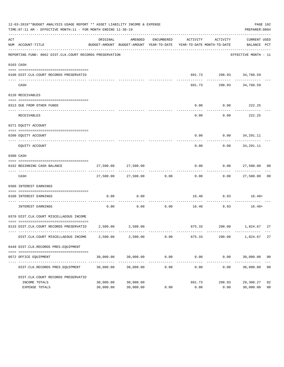|     | 12-03-2019**BUDGET ANALYSIS USAGE REPORT ** ASSET LIABILITY INCOME & EXPENSE<br>TIME:07:11 AM - EFFECTIVE MONTH:11 - FOR MONTH ENDING 11-30-19 |                        |                          |                      |                                                                                 |                                                     | PAGE 102<br>PREPARER: 0004          |                      |
|-----|------------------------------------------------------------------------------------------------------------------------------------------------|------------------------|--------------------------|----------------------|---------------------------------------------------------------------------------|-----------------------------------------------------|-------------------------------------|----------------------|
| ACT | NUM ACCOUNT-TITLE                                                                                                                              | ORIGINAL               | AMENDED                  | ENCUMBERED           | ACTIVITY<br>BUDGET-AMOUNT BUDGET-AMOUNT YEAR-TO-DATE YEAR-TO-DATE MONTH-TO-DATE | ACTIVITY                                            | CURRENT USED<br>BALANCE PCT         |                      |
|     | REPORTING FUND: 0062 DIST.CLK.COURT RECORDS PRESERVATION                                                                                       |                        |                          |                      |                                                                                 |                                                     | EFFECTIVE MONTH - 11                |                      |
|     | 0103 CASH                                                                                                                                      |                        |                          |                      |                                                                                 |                                                     |                                     |                      |
|     | 0100 DIST.CLK.COURT RECORDS PRESERVATIO                                                                                                        |                        |                          |                      |                                                                                 | 691.73 298.93 34,760.59<br>------------- ---------- |                                     |                      |
|     | CASH                                                                                                                                           |                        |                          |                      |                                                                                 | 691.73 298.93 34,760.59                             |                                     |                      |
|     | 0120 RECEIVABLES                                                                                                                               |                        |                          |                      |                                                                                 |                                                     |                                     |                      |
|     | 0313 DUE FROM OTHER FUNDS                                                                                                                      |                        |                          |                      | 0.00                                                                            | $0.00$ 222.25                                       |                                     |                      |
|     | RECEIVABLES                                                                                                                                    |                        |                          |                      | 0.00                                                                            | ----------                                          | -----------<br>$0.00$ 222.25        |                      |
|     | 0271 EOUITY ACCOUNT                                                                                                                            |                        |                          |                      |                                                                                 |                                                     |                                     |                      |
|     | 0200 EQUITY ACCOUNT                                                                                                                            |                        |                          |                      |                                                                                 | $0.00$ $0.00$ $34,291.11$                           |                                     |                      |
|     | EQUITY ACCOUNT                                                                                                                                 |                        |                          |                      | $- - - - - -$<br>0.00                                                           | .                                                   | -------------<br>$0.00$ $34,291.11$ |                      |
|     | 0300 CASH                                                                                                                                      |                        |                          |                      |                                                                                 |                                                     |                                     |                      |
|     | 0162 BEGINNING CASH BALANCE                                                                                                                    |                        | 27,500.00 27,500.00      |                      |                                                                                 | $0.00$ $0.00$ $27,500.00$ 00                        |                                     |                      |
|     | CASH                                                                                                                                           |                        | 27,500.00 27,500.00 0.00 |                      | -------------<br>0.00                                                           |                                                     | $0.00$ 27,500.00 00                 |                      |
|     | 0360 INTEREST EARNINGS                                                                                                                         |                        |                          |                      |                                                                                 |                                                     |                                     |                      |
|     | 0100 INTEREST EARNINGS                                                                                                                         | 0.00                   | 0.00                     |                      |                                                                                 | $16.40$ $8.93$ $16.40+$                             |                                     |                      |
|     | INTEREST EARNINGS                                                                                                                              | 0.00                   | 0.00                     | 0.00                 | ----------- --------------                                                      | -----------<br>16.40 8.93                           | $16.40+$                            |                      |
|     | 0370 DIST.CLK.COURT MISCELLAEOUS INCOME                                                                                                        |                        |                          |                      |                                                                                 |                                                     |                                     |                      |
|     | 0133 DIST.CLK.COURT RECORDS PRESERVATIO 2,500.00 2,500.00                                                                                      |                        |                          |                      |                                                                                 | 675.33 290.00 1,824.67                              |                                     | 27                   |
|     | DIST.CLK.COURT MISCELLAEOUS INCOME                                                                                                             | 2,500.00               | 2,500.00                 | 0.00                 | 675.33                                                                          | 290.00                                              | 1,824.67                            | 27                   |
|     | 0449 DIST.CLK.RECORDS PRES.EQUIPMENT                                                                                                           |                        |                          |                      |                                                                                 |                                                     |                                     |                      |
|     | 0572 OFFICE EQUIPMENT                                                                                                                          | 30,000.00              | 30,000.00                | 0.00                 | 0.00                                                                            | 0.00                                                | 30,000.00 00                        |                      |
|     | DIST.CLK.RECORDS PRES.EQUIPMENT                                                                                                                | 30,000.00              | 30,000.00                | ------------<br>0.00 | ------------<br>0.00                                                            | ------------<br>0.00                                | 30,000.00                           | 0 <sub>0</sub>       |
|     | DIST.CLK.COURT RECORDS PRESERVATIO                                                                                                             |                        |                          |                      |                                                                                 |                                                     |                                     |                      |
|     | INCOME TOTALS<br>EXPENSE TOTALS                                                                                                                | 30,000.00<br>30,000.00 | 30,000.00<br>30,000.00   | 0.00                 | 691.73<br>0.00                                                                  | 298.93<br>0.00                                      | 29,308.27<br>30,000.00              | 02<br>0 <sub>0</sub> |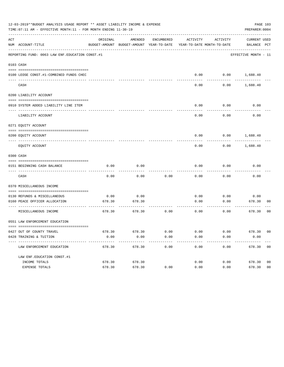|     | 12-03-2019**BUDGET ANALYSIS USAGE REPORT ** ASSET LIABILITY INCOME & EXPENSE<br>PAGE 103<br>TIME: 07:11 AM - EFFECTIVE MONTH: 11 - FOR MONTH ENDING 11-30-19<br>PREPARER: 0004<br>ACTIVITY<br>ACTIVITY |                |                                                                                |            |              |                          |                                            |  |  |  |  |
|-----|--------------------------------------------------------------------------------------------------------------------------------------------------------------------------------------------------------|----------------|--------------------------------------------------------------------------------|------------|--------------|--------------------------|--------------------------------------------|--|--|--|--|
| ACT | NUM ACCOUNT-TITLE                                                                                                                                                                                      | ORIGINAL       | AMENDED<br>BUDGET-AMOUNT BUDGET-AMOUNT YEAR-TO-DATE YEAR-TO-DATE MONTH-TO-DATE | ENCUMBERED |              |                          | CURRENT USED<br>BALANCE PCT                |  |  |  |  |
|     | REPORTING FUND: 0063 LAW ENF. EDUCATION CONST. #1                                                                                                                                                      |                |                                                                                |            |              |                          | EFFECTIVE MONTH - 11                       |  |  |  |  |
|     | 0103 CASH                                                                                                                                                                                              |                |                                                                                |            |              |                          |                                            |  |  |  |  |
|     |                                                                                                                                                                                                        |                |                                                                                |            |              |                          |                                            |  |  |  |  |
|     | 0100 LEOSE CONST.#1-COMBINED FUNDS CHEC                                                                                                                                                                |                |                                                                                |            |              | $0.00$ $0.00$ $1,688.40$ |                                            |  |  |  |  |
|     | CASH                                                                                                                                                                                                   |                |                                                                                |            | 0.00         | 0.00                     | 1,688.40                                   |  |  |  |  |
|     | 0200 LIABILITY ACCOUNT                                                                                                                                                                                 |                |                                                                                |            |              |                          |                                            |  |  |  |  |
|     |                                                                                                                                                                                                        |                |                                                                                |            |              |                          |                                            |  |  |  |  |
|     | 0910 SYSTEM ADDED LIABILITY LINE ITEM                                                                                                                                                                  |                |                                                                                |            | 0.00         | 0.00                     | 0.00                                       |  |  |  |  |
|     | LIABILITY ACCOUNT                                                                                                                                                                                      |                |                                                                                |            | 0.00         | 0.00                     | 0.00                                       |  |  |  |  |
|     | 0271 EQUITY ACCOUNT                                                                                                                                                                                    |                |                                                                                |            |              |                          |                                            |  |  |  |  |
|     | 0200 EQUITY ACCOUNT                                                                                                                                                                                    |                |                                                                                |            | 0.00         |                          | $0.00$ 1,688.40                            |  |  |  |  |
|     | EQUITY ACCOUNT                                                                                                                                                                                         |                |                                                                                |            | 0.00         | 0.00                     | 1,688.40                                   |  |  |  |  |
|     | 0300 CASH                                                                                                                                                                                              |                |                                                                                |            |              |                          |                                            |  |  |  |  |
|     |                                                                                                                                                                                                        |                |                                                                                |            |              |                          |                                            |  |  |  |  |
|     | 0151 BEGINNING CASH BALANCE                                                                                                                                                                            | 0.00           | 0.00                                                                           |            | 0.00         | 0.00                     | 0.00                                       |  |  |  |  |
|     | CASH                                                                                                                                                                                                   | 0.00           | 0.00                                                                           | 0.00       | 0.00         | 0.00                     | 0.00                                       |  |  |  |  |
|     | 0370 MISCELLANEOUS INCOME                                                                                                                                                                              |                |                                                                                |            |              |                          |                                            |  |  |  |  |
|     | 0130 REFUNDS & MISCELLANEOUS                                                                                                                                                                           | 0.00           | 0.00                                                                           |            | 0.00         | 0.00                     | 0.00                                       |  |  |  |  |
|     | 0160 PEACE OFFICER ALLOCATION                                                                                                                                                                          | 678.30         | 678.30                                                                         |            | 0.00         | 0.00                     | 678.30<br>00                               |  |  |  |  |
|     | MISCELLANEOUS INCOME                                                                                                                                                                                   | 678.30         | 678.30                                                                         | 0.00       | 0.00         | 0.00                     | ---------<br>0 <sub>0</sub><br>678.30      |  |  |  |  |
|     | 0551 LAW ENFORCEMENT EDUCATION                                                                                                                                                                         |                |                                                                                |            |              |                          |                                            |  |  |  |  |
|     |                                                                                                                                                                                                        |                |                                                                                | 0.00       |              |                          |                                            |  |  |  |  |
|     | 0427 OUT OF COUNTY TRAVEL<br>0428 TRAINING & TUITION                                                                                                                                                   | 678.30<br>0.00 | 678.30<br>0.00                                                                 | 0.00       | 0.00<br>0.00 | 0.00<br>0.00             | 678.30 00<br>0.00                          |  |  |  |  |
|     | LAW ENFORCEMENT EDUCATION                                                                                                                                                                              | 678.30         | 678.30                                                                         | 0.00       | 0.00         | 0.00                     | 678.30 00                                  |  |  |  |  |
|     |                                                                                                                                                                                                        |                |                                                                                |            |              |                          |                                            |  |  |  |  |
|     | LAW ENF. EDUCATION CONST. #1                                                                                                                                                                           |                |                                                                                |            |              |                          |                                            |  |  |  |  |
|     | INCOME TOTALS                                                                                                                                                                                          | 678.30         | 678.30                                                                         |            | 0.00         | 0.00                     | 678.30<br>0 <sub>0</sub><br>0 <sub>0</sub> |  |  |  |  |
|     | EXPENSE TOTALS                                                                                                                                                                                         | 678.30         | 678.30                                                                         | 0.00       | 0.00         | 0.00                     | 678.30                                     |  |  |  |  |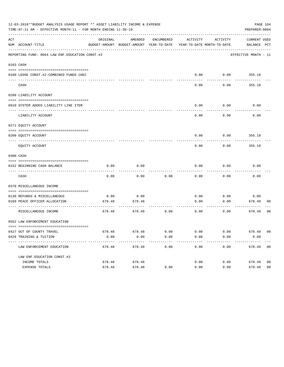|     | 12-03-2019**BUDGET ANALYSIS USAGE REPORT ** ASSET LIABILITY INCOME & EXPENSE<br>TIME:07:11 AM - EFFECTIVE MONTH:11 - FOR MONTH ENDING 11-30-19 |                  |                                                                                |                         |                   |                   | PREPARER: 0004              | PAGE 104       |
|-----|------------------------------------------------------------------------------------------------------------------------------------------------|------------------|--------------------------------------------------------------------------------|-------------------------|-------------------|-------------------|-----------------------------|----------------|
| ACT | NUM ACCOUNT-TITLE                                                                                                                              | ORIGINAL         | AMENDED<br>BUDGET-AMOUNT BUDGET-AMOUNT YEAR-TO-DATE YEAR-TO-DATE MONTH-TO-DATE | ENCUMBERED              | ACTIVITY          | ACTIVITY          | CURRENT USED<br>BALANCE PCT |                |
|     | REPORTING FUND: 0064 LAW ENF. EDUCATION CONST. #2                                                                                              |                  |                                                                                |                         |                   |                   | EFFECTIVE MONTH - 11        |                |
|     | 0103 CASH                                                                                                                                      |                  |                                                                                |                         |                   |                   |                             |                |
|     | 0100 LEOSE CONST.#2-COMBINED FUNDS CHEC                                                                                                        |                  |                                                                                |                         | 0.00              | 0.00              | 355.18                      |                |
|     | CASH                                                                                                                                           |                  |                                                                                |                         | 0.00              | 0.00              | 355.18                      |                |
|     | 0200 LIABILITY ACCOUNT                                                                                                                         |                  |                                                                                |                         |                   |                   |                             |                |
|     | 0910 SYSTEM ADDED LIABILITY LINE ITEM                                                                                                          |                  |                                                                                |                         | 0.00              | 0.00              | 0.00                        |                |
|     | LIABILITY ACCOUNT                                                                                                                              |                  |                                                                                |                         | 0.00              | 0.00              | 0.00                        |                |
|     | 0271 EQUITY ACCOUNT                                                                                                                            |                  |                                                                                |                         |                   |                   |                             |                |
|     | 0200 EQUITY ACCOUNT<br>--------------------- --------                                                                                          |                  |                                                                                |                         | 0.00              | 0.00              | 355.18                      |                |
|     | EQUITY ACCOUNT                                                                                                                                 |                  |                                                                                |                         | 0.00              | 0.00              | 355.18                      |                |
|     | 0300 CASH                                                                                                                                      |                  |                                                                                |                         |                   |                   |                             |                |
|     | 0152 BEGINNING CASH BALANCE                                                                                                                    | 0.00             | 0.00                                                                           |                         | 0.00              | 0.00              | 0.00                        |                |
|     | CASH                                                                                                                                           | 0.00             | 0.00                                                                           | 0.00                    | 0.00              | 0.00              | 0.00                        |                |
|     | 0370 MISCELLANEOUS INCOME                                                                                                                      |                  |                                                                                |                         |                   |                   |                             |                |
|     | 0130 REFUNDS & MISCELLANEOUS                                                                                                                   | 0.00             | 0.00                                                                           |                         | 0.00              | 0.00              | 0.00                        |                |
|     | 0160 PEACE OFFICER ALLOCATION                                                                                                                  | 678.48           | 678.48<br>. <u>.</u> .                                                         |                         | 0.00              | 0.00              | 678.48<br>---------         | 00             |
|     | MISCELLANEOUS INCOME                                                                                                                           | 678.48           | 678.48                                                                         | 0.00                    | 0.00              | 0.00              | 678.48                      | 00             |
|     | 0552 LAW ENFORCEMENT EDUCATION                                                                                                                 |                  |                                                                                |                         |                   |                   |                             |                |
|     | 0427 OUT OF COUNTY TRAVEL                                                                                                                      | 678.48           | 678.48                                                                         | 0.00                    | 0.00              | 0.00              | 678.48 00                   |                |
|     | 0428 TRAINING & TUITION<br>----------------------------------                                                                                  | 0.00<br>-------- | 0.00<br>-----------                                                            | 0.00<br>$- - - - - - -$ | 0.00<br>--------- | 0.00<br>--------- | 0.00<br>-----------         |                |
|     | LAW ENFORCEMENT EDUCATION                                                                                                                      | 678.48           | 678.48                                                                         | 0.00                    | 0.00              | 0.00              | 678.48 00                   |                |
|     | LAW ENF. EDUCATION CONST. #2                                                                                                                   |                  |                                                                                |                         |                   |                   |                             |                |
|     | INCOME TOTALS                                                                                                                                  | 678.48           | 678.48                                                                         |                         | 0.00              | 0.00              | 678.48                      | 0 <sub>0</sub> |
|     | EXPENSE TOTALS                                                                                                                                 | 678.48           | 678.48                                                                         | 0.00                    | 0.00              | 0.00              | 678.48                      | 0 <sub>0</sub> |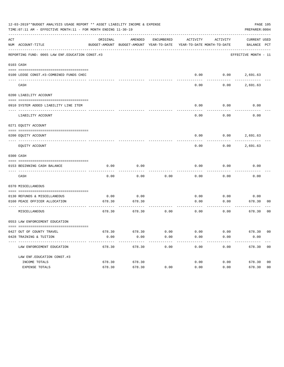| 12-03-2019**BUDGET ANALYSIS USAGE REPORT ** ASSET LIABILITY INCOME & EXPENSE<br>PAGE 105<br>TIME:07:11 AM - EFFECTIVE MONTH:11 - FOR MONTH ENDING 11-30-19<br>PREPARER: 0004 |                                                              |                 |                                                                     |                 |                   |          |                      |                |
|------------------------------------------------------------------------------------------------------------------------------------------------------------------------------|--------------------------------------------------------------|-----------------|---------------------------------------------------------------------|-----------------|-------------------|----------|----------------------|----------------|
| ACT                                                                                                                                                                          |                                                              | ORIGINAL        | AMENDED                                                             | ENCUMBERED      | ACTIVITY          | ACTIVITY | CURRENT USED         |                |
|                                                                                                                                                                              | NUM ACCOUNT-TITLE                                            |                 | BUDGET-AMOUNT BUDGET-AMOUNT YEAR-TO-DATE YEAR-TO-DATE MONTH-TO-DATE |                 |                   |          | BALANCE PCT          |                |
|                                                                                                                                                                              | REPORTING FUND: 0065 LAW ENF. EDUCATION CONST.#3             |                 |                                                                     |                 |                   |          | EFFECTIVE MONTH - 11 |                |
|                                                                                                                                                                              | 0103 CASH                                                    |                 |                                                                     |                 |                   |          |                      |                |
|                                                                                                                                                                              |                                                              |                 |                                                                     |                 |                   |          |                      |                |
|                                                                                                                                                                              | 0100 LEOSE CONST.#3-COMBINED FUNDS CHEC                      |                 |                                                                     |                 | 0.00              |          | $0.00$ 2,691.63      |                |
|                                                                                                                                                                              | CASH                                                         |                 |                                                                     |                 | 0.00              | 0.00     | 2,691.63             |                |
|                                                                                                                                                                              | 0200 LIABILITY ACCOUNT                                       |                 |                                                                     |                 |                   |          |                      |                |
|                                                                                                                                                                              | 0910 SYSTEM ADDED LIABILITY LINE ITEM                        |                 |                                                                     |                 | 0.00              | 0.00     | 0.00                 |                |
|                                                                                                                                                                              | LIABILITY ACCOUNT                                            |                 |                                                                     |                 | 0.00              | 0.00     | 0.00                 |                |
|                                                                                                                                                                              | 0271 EQUITY ACCOUNT                                          |                 |                                                                     |                 |                   |          |                      |                |
|                                                                                                                                                                              | 0200 EQUITY ACCOUNT                                          |                 |                                                                     |                 | 0.00              |          | $0.00$ 2,691.63      |                |
|                                                                                                                                                                              |                                                              |                 |                                                                     |                 |                   |          |                      |                |
|                                                                                                                                                                              | EQUITY ACCOUNT                                               |                 |                                                                     |                 | 0.00              | 0.00     | 2,691.63             |                |
|                                                                                                                                                                              | 0300 CASH                                                    |                 |                                                                     |                 |                   |          |                      |                |
|                                                                                                                                                                              |                                                              |                 |                                                                     |                 |                   |          |                      |                |
|                                                                                                                                                                              | 0153 BEGINNING CASH BALANCE                                  | 0.00            | 0.00                                                                |                 | 0.00              | 0.00     | 0.00                 |                |
|                                                                                                                                                                              | CASH                                                         | 0.00            | 0.00                                                                | 0.00            | 0.00              | 0.00     | 0.00                 |                |
|                                                                                                                                                                              | 0370 MISCELLANEOUS                                           |                 |                                                                     |                 |                   |          |                      |                |
|                                                                                                                                                                              | 0130 REFUNDS & MISCELLANEOUS                                 | 0.00            | 0.00                                                                |                 | 0.00              | 0.00     | 0.00                 |                |
|                                                                                                                                                                              | 0160 PEACE OFFICER ALLOCATION                                | 678.30          | 678.30                                                              |                 | 0.00              | 0.00     | 678.30               | 00             |
|                                                                                                                                                                              | -----------------------------------<br>MISCELLANEOUS         | 678.30          | 678.30                                                              | 0.00            | 0.00              | 0.00     | ---------<br>678.30  | 00             |
|                                                                                                                                                                              | 0553 LAW ENFORCEMENT EDUCATION                               |                 |                                                                     |                 |                   |          |                      |                |
|                                                                                                                                                                              |                                                              |                 |                                                                     |                 |                   |          |                      |                |
|                                                                                                                                                                              | 0427 OUT OF COUNTY TRAVEL                                    | 678.30          | 678.30                                                              | 0.00            | 0.00              | 0.00     | 678.30 00            |                |
|                                                                                                                                                                              | 0428 TRAINING & TUITION<br>------------------------------- - | 0.00<br>------- | 0.00<br>----------                                                  | 0.00<br>------- | 0.00<br>--------- | 0.00     | 0.00<br>----------   |                |
|                                                                                                                                                                              | LAW ENFORCEMENT EDUCATION                                    | 678.30          | 678.30                                                              | 0.00            | 0.00              | 0.00     | 678.30 00            |                |
|                                                                                                                                                                              | LAW ENF. EDUCATION CONST. #3                                 |                 |                                                                     |                 |                   |          |                      |                |
|                                                                                                                                                                              | INCOME TOTALS                                                | 678.30          | 678.30                                                              |                 | 0.00              | 0.00     | 678.30               | 0 <sub>0</sub> |
|                                                                                                                                                                              | EXPENSE TOTALS                                               | 678.30          | 678.30                                                              | 0.00            | 0.00              | 0.00     | 678.30               | 0 <sub>0</sub> |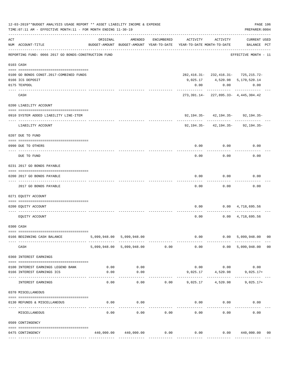| 12-03-2019**BUDGET ANALYSIS USAGE REPORT ** ASSET LIABILITY INCOME & EXPENSE<br>TIME: 07:11 AM - EFFECTIVE MONTH: 11 - FOR MONTH ENDING 11-30-19 |                                                                             |          |                                |                                |                                                                                 |                         |                                            | PAGE 106<br>PREPARER: 0004 |
|--------------------------------------------------------------------------------------------------------------------------------------------------|-----------------------------------------------------------------------------|----------|--------------------------------|--------------------------------|---------------------------------------------------------------------------------|-------------------------|--------------------------------------------|----------------------------|
| ACT                                                                                                                                              | NUM ACCOUNT-TITLE                                                           | ORIGINAL | AMENDED                        | ENCUMBERED                     | ACTIVITY<br>BUDGET-AMOUNT BUDGET-AMOUNT YEAR-TO-DATE YEAR-TO-DATE MONTH-TO-DATE | ACTIVITY                | <b>CURRENT USED</b><br>BALANCE PCT         |                            |
|                                                                                                                                                  | REPORTING FUND: 0066 2017 GO BONDS-CONSTRUCTION FUND                        |          |                                |                                |                                                                                 |                         | EFFECTIVE MONTH - 11                       |                            |
|                                                                                                                                                  | 0103 CASH                                                                   |          |                                |                                |                                                                                 |                         |                                            |                            |
|                                                                                                                                                  | 0100 GO BONDS CONST. 2017-COMBINED FUNDS                                    |          |                                |                                |                                                                                 |                         | 282, 416.31-232, 416.31-725, 215.72-       |                            |
|                                                                                                                                                  | 0166 ICS DEPOSIT                                                            |          |                                |                                |                                                                                 |                         | 9,025.17 4,520.98 5,170,520.14             |                            |
|                                                                                                                                                  | 0175 TEXPOOL                                                                |          |                                |                                | 0.00                                                                            | 0.00                    | 0.00                                       |                            |
|                                                                                                                                                  | CASH                                                                        |          |                                |                                |                                                                                 |                         | 273, 391.14 - 227, 895.33 - 4, 445, 304.42 |                            |
|                                                                                                                                                  | 0200 LIABILITY ACCOUNT                                                      |          |                                |                                |                                                                                 |                         |                                            |                            |
|                                                                                                                                                  |                                                                             |          |                                |                                |                                                                                 |                         |                                            |                            |
|                                                                                                                                                  | 0910 SYSTEM ADDED LIABILITY LINE-ITEM<br>__________________________________ |          |                                |                                |                                                                                 | -------- ------------ - | $92, 194.35 - 42, 194.35 - 92, 194.35 -$   |                            |
|                                                                                                                                                  | LIABILITY ACCOUNT                                                           |          |                                |                                |                                                                                 |                         | $92, 194.35 - 42, 194.35 - 92, 194.35 -$   |                            |
|                                                                                                                                                  | 0207 DUE TO FUND                                                            |          |                                |                                |                                                                                 |                         |                                            |                            |
|                                                                                                                                                  | 0990 DUE TO OTHERS                                                          |          |                                |                                | 0.00                                                                            |                         | 0.00<br>0.00                               |                            |
|                                                                                                                                                  | DUE TO FUND                                                                 |          |                                |                                | 0.00                                                                            | 0.00                    | 0.00                                       |                            |
|                                                                                                                                                  | 0231 2017 GO BONDS PAYABLE                                                  |          |                                |                                |                                                                                 |                         |                                            |                            |
|                                                                                                                                                  |                                                                             |          |                                |                                |                                                                                 |                         |                                            |                            |
|                                                                                                                                                  | 0200 2017 GO BONDS PAYABLE                                                  |          |                                |                                | 0.00                                                                            | 0.00                    | 0.00                                       |                            |
|                                                                                                                                                  | ----------------------------<br>2017 GO BONDS PAYABLE                       |          |                                |                                | 0.00                                                                            | 0.00                    | 0.00                                       |                            |
|                                                                                                                                                  |                                                                             |          |                                |                                |                                                                                 |                         |                                            |                            |
|                                                                                                                                                  | 0271 EQUITY ACCOUNT                                                         |          |                                |                                |                                                                                 |                         |                                            |                            |
|                                                                                                                                                  |                                                                             |          |                                |                                |                                                                                 |                         |                                            |                            |
|                                                                                                                                                  | 0200 EQUITY ACCOUNT                                                         |          |                                |                                | 0.00                                                                            |                         | $0.00 \quad 4,718,695.56$<br>------------  |                            |
|                                                                                                                                                  | EQUITY ACCOUNT                                                              |          |                                |                                | 0.00                                                                            |                         | $0.00 \quad 4,718,695.56$                  |                            |
|                                                                                                                                                  | 0300 CASH                                                                   |          |                                |                                |                                                                                 |                         |                                            |                            |
|                                                                                                                                                  |                                                                             |          |                                |                                |                                                                                 |                         |                                            |                            |
|                                                                                                                                                  | 0166 BEGINNING CASH BALANCE                                                 |          | 5,099,948.00 5,099,948.00      | ------------------------------ |                                                                                 |                         | $0.00$ $0.00$ $5,099,948.00$               | 0 <sub>0</sub>             |
|                                                                                                                                                  | CASH                                                                        |          | 5,099,948.00 5,099,948.00 0.00 |                                | 0.00                                                                            | 0.00                    | 5,099,948.00                               | 0 <sub>0</sub>             |
|                                                                                                                                                  | 0360 INTEREST EARNINGS                                                      |          |                                |                                |                                                                                 |                         |                                            |                            |
|                                                                                                                                                  | 0100 INTEREST EARNINGS LEGEND BANK                                          | 0.00     | 0.00                           |                                |                                                                                 | $0.00$ 0.00             | 0.00                                       |                            |
|                                                                                                                                                  | 0166 INTEREST EARNINGS ICS                                                  | 0.00     | 0.00                           |                                |                                                                                 | 9,025.17 4,520.98       | $9,025.17+$                                |                            |
|                                                                                                                                                  | --------------------- -------                                               |          | .                              |                                |                                                                                 |                         |                                            |                            |
|                                                                                                                                                  | INTEREST EARNINGS                                                           | 0.00     | 0.00                           |                                | $0.00$ 9,025.17 4,520.98                                                        |                         | $9,025.17+$                                |                            |
|                                                                                                                                                  | 0370 MISCELLANEOUS                                                          |          |                                |                                |                                                                                 |                         |                                            |                            |
|                                                                                                                                                  | 0130 REFUNDS & MISCELLANEOUS                                                | 0.00     | 0.00                           |                                | 0.00                                                                            | 0.00                    | 0.00                                       |                            |
|                                                                                                                                                  |                                                                             |          | -----------                    |                                |                                                                                 |                         |                                            |                            |
|                                                                                                                                                  | MISCELLANEOUS                                                               | 0.00     | 0.00                           | 0.00                           | 0.00                                                                            | 0.00                    | 0.00                                       |                            |
|                                                                                                                                                  | 0509 CONTINGENCY                                                            |          |                                |                                |                                                                                 |                         |                                            |                            |
|                                                                                                                                                  |                                                                             |          |                                |                                |                                                                                 |                         |                                            |                            |
|                                                                                                                                                  | 0475 CONTINGENCY                                                            |          | 440,000.00 440,000.00 0.00     |                                | $0.00$ $0.00$ $0.00$ $440,000.00$                                               |                         |                                            | 00                         |
|                                                                                                                                                  |                                                                             |          |                                |                                |                                                                                 |                         |                                            |                            |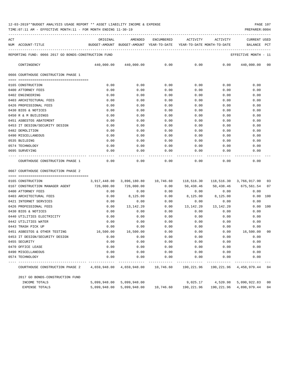TIME:07:11 AM - EFFECTIVE MONTH:11 - FOR MONTH ENDING 11-30-19 PREPARER:0004

| ACT |                                                      | ORIGINAL | AMENDED |      | ENCUMBERED ACTIVITY ACTIVITY |      | <b>CURRENT USED</b>                                                             |
|-----|------------------------------------------------------|----------|---------|------|------------------------------|------|---------------------------------------------------------------------------------|
|     | NUM ACCOUNT-TITLE                                    |          |         |      |                              |      | BUDGET-AMOUNT BUDGET-AMOUNT YEAR-TO-DATE YEAR-TO-DATE MONTH-TO-DATE BALANCE PCT |
|     | REPORTING FUND: 0066 2017 GO BONDS-CONSTRUCTION FUND |          |         |      |                              |      | EFFECTIVE MONTH - 11                                                            |
|     | CONTINGENCY                                          |          |         |      |                              |      | $440,000.00$ $440,000.00$ 0.00 0.00 0.00 0.00 $440,000.00$ 00                   |
|     | 0666 COURTHOUSE CONSTRUCTION PHASE 1                 |          |         |      |                              |      |                                                                                 |
|     |                                                      |          |         |      |                              |      |                                                                                 |
|     | 0165 CONSTRUCTION                                    | 0.00     | 0.00    | 0.00 | 0.00                         | 0.00 | 0.00                                                                            |
|     | 0400 ATTORNEY FEES                                   | 0.00     | 0.00    | 0.00 | 0.00                         | 0.00 | 0.00                                                                            |
|     | 0402 ENGINEERING                                     | 0.00     | 0.00    | 0.00 | 0.00                         | 0.00 | 0.00                                                                            |
|     | 0403 ARCHITECTURAL FEES                              | 0.00     | 0.00    | 0.00 | 0.00                         | 0.00 | 0.00                                                                            |
|     | 0426 PROFESSIONAL FEES                               | 0.00     | 0.00    | 0.00 | 0.00                         | 0.00 | 0.00                                                                            |
|     | 0430 BIDS & NOTICES                                  | 0.00     | 0.00    | 0.00 | 0.00                         | 0.00 | 0.00                                                                            |
|     | 0450 R & M BUILDINGS                                 | 0.00     | 0.00    | 0.00 | 0.00                         | 0.00 | 0.00                                                                            |
|     | 0451 ASBESTOS ABATEMENT                              | 0.00     | 0.00    | 0.00 | 0.00                         | 0.00 | 0.00                                                                            |
|     | 0453 IT DESIGN/SECURITY DESIGN                       | 0.00     | 0.00    | 0.00 | 0.00                         | 0.00 | 0.00                                                                            |
|     | 0482 DEMOLITION                                      | 0.00     | 0.00    | 0.00 | 0.00                         | 0.00 | 0.00                                                                            |
|     | 0490 MISCELLANEOUS                                   | 0.00     | 0.00    | 0.00 | 0.00                         | 0.00 | 0.00                                                                            |
|     | 0535 BUILDING                                        | 0.00     | 0.00    | 0.00 | 0.00                         | 0.00 | 0.00                                                                            |
|     | 0574 TECHNOLOGY                                      | 0.00     | 0.00    | 0.00 | 0.00                         | 0.00 | 0.00                                                                            |
|     | 0695 SURVEYING                                       | 0.00     | 0.00    | 0.00 | 0.00                         | 0.00 | 0.00                                                                            |
|     | COURTHOUSE CONSTRUCTION PHASE 1                      | 0.00     | 0.00    | 0.00 |                              | 0.00 | 0.00<br>0.00                                                                    |

0667 COURTHOUSE CONSTRUCTION PHASE 2

| 0165 CONSTRUCTION                                                                                         | 3,917,448.00 | 3,896,180.80    10,746.60                                         |      | 118,516.30        |             | 118,516.30 3,766,917.90           | 03  |
|-----------------------------------------------------------------------------------------------------------|--------------|-------------------------------------------------------------------|------|-------------------|-------------|-----------------------------------|-----|
| 0167 CONSTRUCTION MANAGER AGENT                                                                           | 726,000.00   | $726,000.00$ 0.00                                                 |      |                   |             | 50,438.46 50,438.46 675,561.54 07 |     |
| 0400 ATTORNEY FEES                                                                                        | 0.00         | 0.00                                                              | 0.00 |                   | $0.00$ 0.00 | 0.00                              |     |
| 0403 ARCHITECTURAL FEES                                                                                   | 0.00         | 8,125.00                                                          | 0.00 | 8,125.00 8,125.00 |             | 0.00                              | 100 |
| 0421 INTERNET SERVICES                                                                                    | 0.00         | 0.00                                                              | 0.00 | 0.00              | 0.00        | 0.00                              |     |
| 0426 PROFESSIONAL FEES                                                                                    | 0.00         | 13,142.20                                                         | 0.00 | 13,142.20         | 13, 142. 20 | 0.00                              | 100 |
| 0430 BIDS & NOTICES                                                                                       | 0.00         | 0.00                                                              | 0.00 | 0.00              | 0.00        | 0.00                              |     |
| 0440 UTILITIES ELECTRICITY                                                                                | 0.00         | 0.00                                                              | 0.00 | 0.00              | 0.00        | 0.00                              |     |
| 0442 UTILITIES WATER                                                                                      | 0.00         | 0.00                                                              | 0.00 | 0.00              | 0.00        | 0.00                              |     |
| 0443 TRASH PICK UP                                                                                        | 0.00         | 0.00                                                              | 0.00 | 0.00              | 0.00        | 0.00                              |     |
| 0451 ASBESTOS & OTHER TESTING                                                                             | 16,500.00    | 16,500.00                                                         | 0.00 | 0.00              | 0.00        | 16,500.00                         | 00  |
| 0453 IT DESIGN/SECURITY DESIGN                                                                            | 0.00         | 0.00                                                              | 0.00 | 0.00              | 0.00        | 0.00                              |     |
| 0455 SECURITY                                                                                             | 0.00         | 0.00                                                              | 0.00 | 0.00              | 0.00        | 0.00                              |     |
| 0470 OFFICE LEASE                                                                                         | 0.00         | 0.00                                                              | 0.00 | 0.00              | 0.00        | 0.00                              |     |
| 0490 MISCELLANEOUS                                                                                        | 0.00         | 0.00                                                              | 0.00 | 0.00              | 0.00        | 0.00                              |     |
| 0574 TECHNOLOGY                                                                                           | 0.00         | 0.00                                                              | 0.00 | 0.00              | 0.00        | 0.00                              |     |
| COURTHOUSE CONSTRUCTION PHASE 2 4,659,948.00 4,659,948.00 10,746.60 190,221.96 190,221.96 4,458,979.44 04 |              |                                                                   |      |                   |             |                                   |     |
| 2017 GO BONDS-CONSTRUCTION FUND                                                                           |              |                                                                   |      |                   |             |                                   |     |
| INCOME TOTALS                                                                                             | 5,099,948.00 |                                                                   |      |                   |             |                                   |     |
| <b>EXPENSE TOTALS</b>                                                                                     | 5,099,948.00 | 5,099,948.00  10,746.60  190,221.96  190,221.96  4,898,979.44  04 |      |                   |             |                                   |     |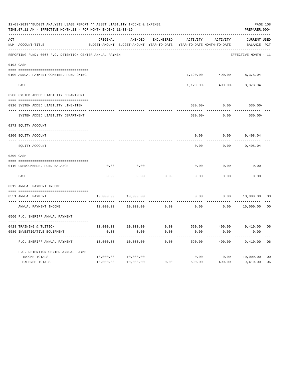|     | 12-03-2019**BUDGET ANALYSIS USAGE REPORT ** ASSET LIABILITY INCOME & EXPENSE<br>TIME: 07:11 AM - EFFECTIVE MONTH: 11 - FOR MONTH ENDING 11-30-19 |           |                      |            |                                                                                 |                                |                             |                |  |  |
|-----|--------------------------------------------------------------------------------------------------------------------------------------------------|-----------|----------------------|------------|---------------------------------------------------------------------------------|--------------------------------|-----------------------------|----------------|--|--|
| ACT | NUM ACCOUNT-TITLE                                                                                                                                | ORIGINAL  | AMENDED              | ENCUMBERED | ACTIVITY<br>BUDGET-AMOUNT BUDGET-AMOUNT YEAR-TO-DATE YEAR-TO-DATE MONTH-TO-DATE | ACTIVITY                       | CURRENT USED<br>BALANCE PCT |                |  |  |
|     | REPORTING FUND: 0067 F.C. DETENTION CENTER ANNUAL PAYMEN                                                                                         |           |                      |            |                                                                                 |                                | EFFECTIVE MONTH - 11        |                |  |  |
|     | 0103 CASH                                                                                                                                        |           |                      |            |                                                                                 |                                |                             |                |  |  |
|     | 0100 ANNUAL PAYMENT-COMBINED FUND CKING                                                                                                          |           |                      |            |                                                                                 | $1,120.00 - 490.00 - 8,378.04$ |                             |                |  |  |
|     |                                                                                                                                                  |           |                      |            |                                                                                 | .                              | --------                    |                |  |  |
|     | CASH                                                                                                                                             |           |                      |            | 1,120.00-                                                                       |                                | 490.00- 8,378.04            |                |  |  |
|     | 0200 SYSTEM ADDED LIABILITY DEPARTMENT                                                                                                           |           |                      |            |                                                                                 |                                |                             |                |  |  |
|     | 0910 SYSTEM ADDED LIABILITY LINE-ITEM                                                                                                            |           |                      |            | $530.00 -$                                                                      | 0.00                           | $530.00 -$                  |                |  |  |
|     | SYSTEM ADDED LIABILITY DEPARTMENT                                                                                                                |           |                      |            | $530.00 -$                                                                      | 0.00                           | $530.00 -$                  |                |  |  |
|     | 0271 EQUITY ACCOUNT                                                                                                                              |           |                      |            |                                                                                 |                                |                             |                |  |  |
|     | 0200 EQUITY ACCOUNT                                                                                                                              |           |                      |            |                                                                                 | $0.00$ $0.00$ $9,498.04$       |                             |                |  |  |
|     | EQUITY ACCOUNT                                                                                                                                   |           |                      |            | 0.00                                                                            | 0.00                           | 9,498.04                    |                |  |  |
|     | 0300 CASH                                                                                                                                        |           |                      |            |                                                                                 |                                |                             |                |  |  |
|     | 0110 UNENCUMBERED FUND BALANCE                                                                                                                   | 0.00      | 0.00                 |            | 0.00                                                                            | 0.00                           | 0.00                        |                |  |  |
|     | CASH                                                                                                                                             | 0.00      | 0.00                 | 0.00       | 0.00                                                                            | 0.00                           | 0.00                        |                |  |  |
|     | 0319 ANNUAL PAYMENT INCOME                                                                                                                       |           |                      |            |                                                                                 |                                |                             |                |  |  |
|     | 0551 ANNUAL PAYMENT                                                                                                                              | 10,000.00 | 10,000.00            |            | 0.00                                                                            |                                | 0.00 10,000.00              | 00             |  |  |
|     | ANNUAL PAYMENT INCOME                                                                                                                            |           | 10,000.00  10,000.00 |            | $0.00$ 0.00                                                                     | 0.00                           | 10,000.00                   | 0 <sup>0</sup> |  |  |
|     | 0560 F.C. SHERIFF ANNUAL PAYMENT                                                                                                                 |           |                      |            |                                                                                 |                                |                             |                |  |  |
|     | 0428 TRAINING & TUITION                                                                                                                          |           |                      |            | $10,000.00$ $10,000.00$ $0.00$ $590.00$ $490.00$ $9,410.00$ $06$                |                                |                             |                |  |  |
|     | 0580 INVESTIGATIVE EQUIPMENT                                                                                                                     | 0.00      | 0.00                 | 0.00       | 0.00                                                                            | 0.00                           | 0.00                        |                |  |  |
|     | F.C. SHERIFF ANNUAL PAYMENT                                                                                                                      | 10,000.00 | 10,000.00            | 0.00       | 590.00                                                                          | 490.00                         | 9,410.00                    | 06             |  |  |
|     | F.C. DETENTION CENTER ANNUAL PAYME                                                                                                               |           |                      |            |                                                                                 |                                |                             |                |  |  |
|     | INCOME TOTALS                                                                                                                                    | 10,000.00 | 10,000.00            |            | 0.00                                                                            | 0.00                           | 10,000.00                   | 0 <sub>0</sub> |  |  |
|     | EXPENSE TOTALS                                                                                                                                   | 10,000.00 | 10,000.00            | 0.00       | 590.00                                                                          | 490.00                         | 9,410.00                    | 06             |  |  |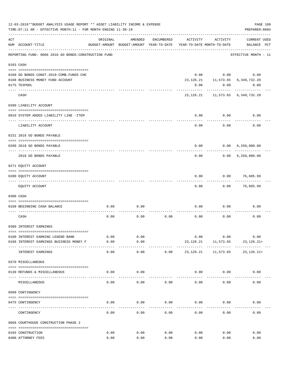|     | 12-03-2019**BUDGET ANALYSIS USAGE REPORT ** ASSET LIABILITY INCOME & EXPENSE<br>TIME: 07:11 AM - EFFECTIVE MONTH: 11 - FOR MONTH ENDING 11-30-19 |              |                                                     |              |                                        |                         | PREPARER: 0004                          | PAGE 109 |
|-----|--------------------------------------------------------------------------------------------------------------------------------------------------|--------------|-----------------------------------------------------|--------------|----------------------------------------|-------------------------|-----------------------------------------|----------|
| ACT | NUM ACCOUNT-TITLE                                                                                                                                | ORIGINAL     | AMENDED<br>BUDGET-AMOUNT BUDGET-AMOUNT YEAR-TO-DATE | ENCUMBERED   | ACTIVITY<br>YEAR-TO-DATE MONTH-TO-DATE | ACTIVITY                | <b>CURRENT USED</b><br>BALANCE PCT      |          |
|     | REPORTING FUND: 0068 2018 GO BONDS-CONSTRUCTION FUND                                                                                             |              |                                                     |              |                                        |                         | EFFECTIVE MONTH - 11                    |          |
|     | 0103 CASH                                                                                                                                        |              |                                                     |              |                                        |                         |                                         |          |
|     |                                                                                                                                                  |              |                                                     |              |                                        |                         |                                         |          |
|     | 0100 GO BONDS CONST. 2018-COMB. FUNDS CHE                                                                                                        |              |                                                     |              |                                        | $0.00$ $0.00$           | 0.00                                    |          |
|     | 0168 BUSINESS MONEY FUND ACCOUNT                                                                                                                 |              |                                                     |              |                                        |                         | 23, 126. 21 11, 573. 65 6, 349, 732. 20 |          |
|     | 0175 TEXPOOL                                                                                                                                     |              |                                                     |              | 0.00                                   | 0.00                    | 0.00                                    |          |
|     | CASH                                                                                                                                             |              |                                                     |              |                                        | ----------              | 23, 126. 21 11, 573. 65 6, 349, 732. 20 |          |
|     | 0200 LIABILITY ACCOUNT                                                                                                                           |              |                                                     |              |                                        |                         |                                         |          |
|     | 0910 SYSTEM ADDED LIABILITY LINE -ITEM                                                                                                           |              |                                                     |              | 0.00                                   | 0.00                    | 0.00                                    |          |
|     | LIABILITY ACCOUNT                                                                                                                                |              |                                                     |              | 0.00                                   | 0.00                    | 0.00                                    |          |
|     | 0231 2018 GO BONDS PAYABLE                                                                                                                       |              |                                                     |              |                                        |                         |                                         |          |
|     | 0200 2018 GO BONDS PAYABLE                                                                                                                       |              |                                                     |              | 0.00                                   | 0.00                    | 6, 250, 000.00                          |          |
|     | 2018 GO BONDS PAYABLE                                                                                                                            |              |                                                     |              | 0.00                                   |                         | 0.00 6,250,000.00                       |          |
|     | 0271 EQUITY ACCOUNT                                                                                                                              |              |                                                     |              |                                        |                         |                                         |          |
|     | 0200 EQUITY ACCOUNT                                                                                                                              |              |                                                     |              | 0.00                                   |                         | $0.00$ 76,605.99                        |          |
|     | EQUITY ACCOUNT                                                                                                                                   |              |                                                     |              | 0.00                                   | 0.00                    | 76,605.99                               |          |
|     | 0300 CASH                                                                                                                                        |              |                                                     |              |                                        |                         |                                         |          |
|     | 0168 BEGINNING CASH BALANCE                                                                                                                      | 0.00         | 0.00                                                |              | 0.00                                   | 0.00                    | 0.00                                    |          |
|     | CASH                                                                                                                                             | 0.00         | 0.00                                                | 0.00         | 0.00                                   | 0.00                    | 0.00                                    |          |
|     | 0360 INTEREST EARNINGS                                                                                                                           |              |                                                     |              |                                        |                         |                                         |          |
|     | 0100 INTEREST EARNING LEGEND BANK                                                                                                                | 0.00         | 0.00                                                |              |                                        | 0.00<br>0.00            | 0.00                                    |          |
|     | 0168 INTEREST EARNINGS BUSINESS MONEY F                                                                                                          | 0.00         | 0.00                                                |              | 23,126.21                              | 11,573.65               | 23,126.21+                              |          |
|     | INTEREST EARNINGS                                                                                                                                | 0.00         | 0.00                                                | 0.00         | 23,126.21                              | . <u>.</u><br>11,573.65 | $23, 126.21+$                           |          |
|     | 0370 MISCELLANEOUS                                                                                                                               |              |                                                     |              |                                        |                         |                                         |          |
|     | 0130 REFUNDS & MISCELLANEOUS                                                                                                                     | 0.00         | 0.00                                                |              |                                        | $0.00$ 0.00             | 0.00                                    |          |
|     | MISCELLANEOUS                                                                                                                                    | 0.00         | 0.00                                                | 0.00         | 0.00                                   | 0.00                    | 0.00                                    |          |
|     | 0509 CONTINGENCY                                                                                                                                 |              |                                                     |              |                                        |                         |                                         |          |
|     | 0475 CONTINGENCY                                                                                                                                 | 0.00         | 0.00                                                | 0.00         | 0.00                                   | 0.00                    | 0.00                                    |          |
|     | CONTINGENCY                                                                                                                                      | 0.00         | 0.00                                                | 0.00         | 0.00                                   | 0.00                    | 0.00                                    |          |
|     | 0668 COURTHOUSE CONSTRUCTION PHASE 2                                                                                                             |              |                                                     |              |                                        |                         |                                         |          |
|     |                                                                                                                                                  |              |                                                     |              |                                        |                         |                                         |          |
|     | 0165 CONSTRUCTION<br>0400 ATTORNEY FEES                                                                                                          | 0.00<br>0.00 | 0.00<br>0.00                                        | 0.00<br>0.00 | 0.00<br>0.00                           | 0.00<br>0.00            | 0.00<br>0.00                            |          |
|     |                                                                                                                                                  |              |                                                     |              |                                        |                         |                                         |          |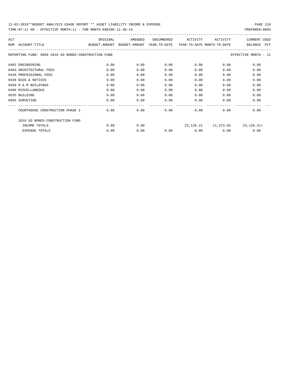| ACT |                                                      | ORIGINAL                                 | AMENDED | <b>ENCUMBERED</b> | ACTIVITY                   | ACTIVITY | <b>CURRENT USED</b>          |
|-----|------------------------------------------------------|------------------------------------------|---------|-------------------|----------------------------|----------|------------------------------|
| NUM | ACCOUNT-TITLE                                        | BUDGET-AMOUNT BUDGET-AMOUNT YEAR-TO-DATE |         |                   | YEAR-TO-DATE MONTH-TO-DATE |          | <b>PCT</b><br><b>BALANCE</b> |
|     | REPORTING FUND: 0068 2018 GO BONDS-CONSTRUCTION FUND |                                          |         |                   |                            |          | EFFECTIVE MONTH - 11         |
|     | 0402 ENGINEERING                                     | 0.00                                     | 0.00    | 0.00              | 0.00                       | 0.00     | 0.00                         |
|     | 0403 ARCHITECTURAL FEES                              | 0.00                                     | 0.00    | 0.00              | 0.00                       | 0.00     | 0.00                         |
|     | 0426 PROFESSIONAL FEES                               | 0.00                                     | 0.00    | 0.00              | 0.00                       | 0.00     | 0.00                         |
|     | 0430 BIDS & NOTICES                                  | 0.00                                     | 0.00    | 0.00              | 0.00                       | 0.00     | 0.00                         |
|     | 0450 R & M BUILDINGS                                 | 0.00                                     | 0.00    | 0.00              | 0.00                       | 0.00     | 0.00                         |
|     | 0490 MISCELLANEOUS                                   | 0.00                                     | 0.00    | 0.00              | 0.00                       | 0.00     | 0.00                         |
|     | 0535 BUILDING                                        | 0.00                                     | 0.00    | 0.00              | 0.00                       | 0.00     | 0.00                         |
|     | 0695 SURVEYING                                       | 0.00                                     | 0.00    | 0.00              | 0.00                       | 0.00     | 0.00                         |
|     | COURTHOUSE CONSTRUCTION PHASE 2                      | 0.00                                     | 0.00    | 0.00              | 0.00                       | 0.00     | 0.00                         |
|     | 2018 GO BONDS-CONSTRUCTION FUND                      |                                          |         |                   |                            |          |                              |
|     | INCOME TOTALS                                        | 0.00                                     | 0.00    |                   | 23,126.21                  |          | $11,573.65$ 23, 126. 21+     |
|     | <b>EXPENSE TOTALS</b>                                | 0.00                                     | 0.00    | 0.00              | 0.00                       | 0.00     | 0.00                         |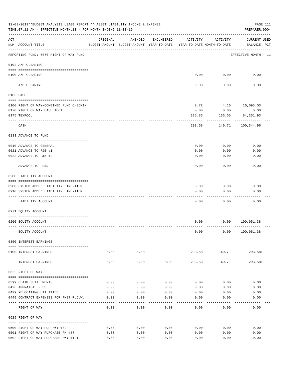|     | 12-03-2019**BUDGET ANALYSIS USAGE REPORT ** ASSET LIABILITY INCOME & EXPENSE<br>TIME: 07:11 AM - EFFECTIVE MONTH: 11 - FOR MONTH ENDING 11-30-19 |                    |                                                                                |              |                         |                        | PAGE 111<br>PREPARER: 0004         |
|-----|--------------------------------------------------------------------------------------------------------------------------------------------------|--------------------|--------------------------------------------------------------------------------|--------------|-------------------------|------------------------|------------------------------------|
| ACT | NUM ACCOUNT-TITLE                                                                                                                                | ORIGINAL           | AMENDED<br>BUDGET-AMOUNT BUDGET-AMOUNT YEAR-TO-DATE YEAR-TO-DATE MONTH-TO-DATE | ENCUMBERED   | ACTIVITY                | ACTIVITY               | <b>CURRENT USED</b><br>BALANCE PCT |
|     | REPORTING FUND: 0070 RIGHT OF WAY FUND                                                                                                           |                    |                                                                                |              |                         |                        | EFFECTIVE MONTH - 11               |
|     | 0102 A/P CLEARING                                                                                                                                |                    |                                                                                |              |                         |                        |                                    |
|     | 0100 A/P CLEARING<br>---- --------                                                                                                               |                    |                                                                                |              |                         | $0.00$ 0.00            | 0.00                               |
|     | A/P CLEARING                                                                                                                                     |                    |                                                                                |              | 0.00                    | 0.00                   | 0.00                               |
|     | 0103 CASH                                                                                                                                        |                    |                                                                                |              |                         |                        |                                    |
|     | 0100 RIGHT OF WAY-COMBINED FUND CHECKIN                                                                                                          |                    |                                                                                |              | 7.72                    | 4.16 16,093.03         |                                    |
|     | 0170 RIGHT OF WAY CASH ACCT.                                                                                                                     |                    |                                                                                |              | 0.00                    | 0.00                   | 0.00                               |
|     | 0175 TEXPOOL                                                                                                                                     |                    |                                                                                |              | 285.86                  | 136.55                 | 84, 251.93                         |
|     | CASH                                                                                                                                             |                    |                                                                                |              | 293.58                  | 140.71                 | -----------<br>100,344.96          |
|     | 0133 ADVANCE TO FUND                                                                                                                             |                    |                                                                                |              |                         |                        |                                    |
|     | 0010 ADVANCE TO GENERAL                                                                                                                          |                    |                                                                                |              | 0.00                    | 0.00                   | 0.00                               |
|     | 0021 ADVANCE TO R&B #1                                                                                                                           |                    |                                                                                |              | 0.00                    | 0.00                   | 0.00                               |
|     | 0022 ADVANCE TO R&B #2                                                                                                                           |                    |                                                                                |              | 0.00                    | 0.00                   | 0.00                               |
|     |                                                                                                                                                  |                    |                                                                                |              |                         |                        |                                    |
|     | ADVANCE TO FUND                                                                                                                                  |                    |                                                                                |              | 0.00                    | 0.00                   | 0.00                               |
|     | 0200 LIABILITY ACCOUNT                                                                                                                           |                    |                                                                                |              |                         |                        |                                    |
|     | 0900 SYSTEM ADDED LIABILITY LINE-ITEM                                                                                                            |                    |                                                                                |              | 0.00                    | 0.00                   | 0.00                               |
|     | 0910 SYSTEM ADDED LIABILITY LINE-ITEM                                                                                                            |                    |                                                                                |              | 0.00                    | 0.00                   | 0.00                               |
|     |                                                                                                                                                  |                    |                                                                                |              |                         |                        |                                    |
|     | LIABILITY ACCOUNT                                                                                                                                |                    |                                                                                |              | 0.00                    | 0.00                   | 0.00                               |
|     | 0271 EQUITY ACCOUNT                                                                                                                              |                    |                                                                                |              |                         |                        |                                    |
|     | 0200 EQUITY ACCOUNT                                                                                                                              |                    |                                                                                |              | 0.00                    |                        | 0.00 100,051.38                    |
|     | EQUITY ACCOUNT                                                                                                                                   |                    |                                                                                |              | 0.00                    |                        | 0.00 100, 051.38                   |
|     | 0360 INTEREST EARNINGS                                                                                                                           |                    |                                                                                |              |                         |                        |                                    |
|     | 0100 INTEREST EARNINGS                                                                                                                           | 0.00               | 0.00                                                                           |              |                         | 293.58 140.71 293.58+  |                                    |
|     | INTEREST EARNINGS                                                                                                                                | ----------<br>0.00 | -----------<br>0.00                                                            | 0.00         | -------------<br>293.58 | ------------<br>140.71 | 293.58+                            |
|     | 0622 RIGHT OF WAY                                                                                                                                |                    |                                                                                |              |                         |                        |                                    |
|     |                                                                                                                                                  |                    |                                                                                |              |                         |                        |                                    |
|     | 0399 CLAIM SETTLEMENTS                                                                                                                           | 0.00               | 0.00                                                                           | 0.00         | 0.00                    | 0.00                   | 0.00                               |
|     | 0426 APPRAISAL FEES                                                                                                                              | 0.00               | 0.00                                                                           | 0.00         | 0.00                    | 0.00                   | 0.00                               |
|     | 0429 RELOCATING UTILITIES<br>0449 CONTRACT EXPENSES FOR FM87 R.O.W.                                                                              | 0.00<br>0.00       | 0.00<br>0.00                                                                   | 0.00<br>0.00 | 0.00<br>0.00            | 0.00<br>0.00           | 0.00<br>0.00                       |
|     |                                                                                                                                                  |                    |                                                                                |              |                         |                        |                                    |
|     | RIGHT OF WAY                                                                                                                                     | 0.00               | 0.00                                                                           | 0.00         | 0.00                    | 0.00                   | 0.00                               |
|     | 0629 RIGHT OF WAY                                                                                                                                |                    |                                                                                |              |                         |                        |                                    |
|     | 0500 RIGHT OF WAY PUR HWY #82                                                                                                                    | 0.00               | 0.00                                                                           | 0.00         | 0.00                    | 0.00                   | 0.00                               |
|     | 0501 RIGHT OF WAY PURCHASE FM #87                                                                                                                | 0.00               | 0.00                                                                           | 0.00         | 0.00                    | 0.00                   | 0.00                               |
|     | 0502 RIGHT OF WAY PURCHASE HWY #121                                                                                                              | 0.00               | 0.00                                                                           | 0.00         | 0.00                    | 0.00                   | 0.00                               |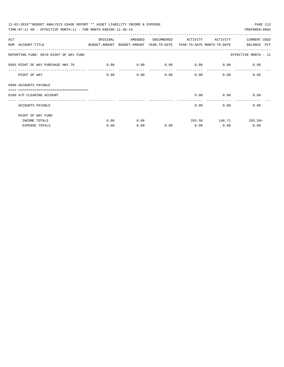| 12-03-2019**BUDGET ANALYSIS USAGE REPORT ** ASSET LIABILITY INCOME & EXPENSE             |          |         |            |                                    |                        | PAGE 112             |
|------------------------------------------------------------------------------------------|----------|---------|------------|------------------------------------|------------------------|----------------------|
| TIME: $07:11$ AM - EFFECTIVE MONTH: $11$ - FOR MONTH ENDING $11-30-19$                   |          |         |            |                                    |                        | PREPARER: 0004       |
| ACT                                                                                      | ORIGINAL | AMENDED | ENCUMBERED | ACTIVITY                           | ACTIVITY               | <b>CURRENT USED</b>  |
| NUM ACCOUNT-TITLE<br>BUDGET-AMOUNT BUDGET-AMOUNT YEAR-TO-DATE YEAR-TO-DATE MONTH-TO-DATE |          |         |            |                                    |                        | BALANCE PCT          |
| REPORTING FUND: 0070 RIGHT OF WAY FUND                                                   |          |         |            |                                    |                        | EFFECTIVE MONTH - 11 |
| 0503 RIGHT OF WAY PURCHASE HWY.78                                                        | 0.00     | 0.00    |            | $0.00$ $0.00$ $0.00$ $0.00$ $0.00$ |                        |                      |
| RIGHT OF WAY                                                                             | 0.00     | 0.00    | 0.00       | 0.00                               |                        | 0.00<br>0.00         |
| 0999 ACCOUNTS PAYABLE                                                                    |          |         |            |                                    |                        |                      |
| ==================================<br>0100 A/P CLEARING ACCOUNT                          |          |         |            | 0.00                               | 0.00<br>-------------- | 0.00                 |
| ACCOUNTS PAYABLE                                                                         |          |         |            | 0.00                               |                        | 0.00<br>0.00         |
| RIGHT OF WAY FUND                                                                        |          |         |            |                                    |                        |                      |
| INCOME TOTALS                                                                            | 0.00     | 0.00    |            |                                    | 293.58 140.71          | $293.58+$            |
| EXPENSE TOTALS                                                                           | 0.00     | 0.00    | 0.00       | 0.00                               | 0.00                   | 0.00                 |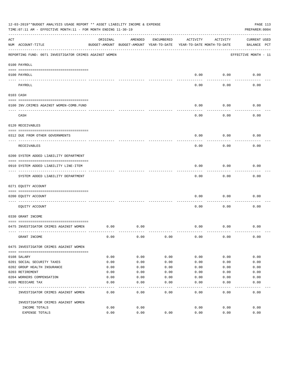|     | 12-03-2019**BUDGET ANALYSIS USAGE REPORT ** ASSET LIABILITY INCOME & EXPENSE<br>TIME: 07:11 AM - EFFECTIVE MONTH: 11 - FOR MONTH ENDING 11-30-19 |          |                                                     |            |          |                                        | PAGE 113<br>PREPARER: 0004         |
|-----|--------------------------------------------------------------------------------------------------------------------------------------------------|----------|-----------------------------------------------------|------------|----------|----------------------------------------|------------------------------------|
| ACT | NUM ACCOUNT-TITLE                                                                                                                                | ORIGINAL | AMENDED<br>BUDGET-AMOUNT BUDGET-AMOUNT YEAR-TO-DATE | ENCUMBERED | ACTIVITY | ACTIVITY<br>YEAR-TO-DATE MONTH-TO-DATE | <b>CURRENT USED</b><br>BALANCE PCT |
|     | REPORTING FUND: 0071 INVESTIGATOR CRIMES AGAINST WOMEN                                                                                           |          |                                                     |            |          |                                        | EFFECTIVE MONTH - 11               |
|     | 0100 PAYROLL                                                                                                                                     |          |                                                     |            |          |                                        |                                    |
|     | 0100 PAYROLL<br>---- ----                                                                                                                        |          |                                                     |            | 0.00     | 0.00                                   | 0.00                               |
|     | PAYROLL                                                                                                                                          |          |                                                     |            | 0.00     | 0.00                                   | 0.00                               |
|     | 0103 CASH                                                                                                                                        |          |                                                     |            |          |                                        |                                    |
|     | 0100 INV. CRIMES AGAINST WOMEN-COMB. FUND                                                                                                        |          |                                                     |            | 0.00     | 0.00                                   | 0.00                               |
|     | CASH                                                                                                                                             |          |                                                     |            | 0.00     | 0.00                                   | 0.00                               |
|     | 0120 RECEIVABLES                                                                                                                                 |          |                                                     |            |          |                                        |                                    |
|     | 0312 DUE FROM OTHER GOVERNMENTS                                                                                                                  |          |                                                     |            | 0.00     | 0.00                                   | 0.00                               |
|     | RECEIVABLES                                                                                                                                      |          |                                                     |            | 0.00     | 0.00                                   | 0.00                               |
|     | 0200 SYSTEM ADDED LIABILITY DEPARTMENT                                                                                                           |          |                                                     |            |          |                                        |                                    |
|     | 0910 SYSTEM ADDED LIABILITY LINE-ITEM                                                                                                            |          |                                                     |            | 0.00     | 0.00                                   | 0.00                               |
|     | SYSTEM ADDED LIABILITY DEPARTMENT                                                                                                                |          |                                                     |            | 0.00     | 0.00                                   | 0.00                               |
|     | 0271 EQUITY ACCOUNT                                                                                                                              |          |                                                     |            |          |                                        |                                    |
|     | 0200 EQUITY ACCOUNT                                                                                                                              |          |                                                     |            | 0.00     | 0.00                                   | 0.00                               |
|     | EQUITY ACCOUNT                                                                                                                                   |          |                                                     |            | 0.00     | 0.00                                   | 0.00                               |
|     | 0330 GRANT INCOME                                                                                                                                |          |                                                     |            |          |                                        |                                    |
|     | 0475 INVESTIGATOR CRIMES AGAINST WOMEN                                                                                                           | 0.00     | 0.00                                                |            | 0.00     | 0.00                                   | 0.00                               |
|     | GRANT INCOME                                                                                                                                     | 0.00     | 0.00                                                | 0.00       | 0.00     | 0.00                                   | 0.00                               |
|     | 0475 INVESTIGATOR CRIMES AGAINST WOMEN                                                                                                           |          |                                                     |            |          |                                        |                                    |
|     | 0108 SALARY                                                                                                                                      | 0.00     | 0.00                                                | 0.00       | 0.00     | 0.00                                   | 0.00                               |
|     | 0201 SOCIAL SECURITY TAXES                                                                                                                       | 0.00     | 0.00                                                | 0.00       | 0.00     | 0.00                                   | 0.00                               |
|     | 0202 GROUP HEALTH INSURANCE                                                                                                                      | 0.00     | 0.00                                                | 0.00       | 0.00     | 0.00                                   | 0.00                               |
|     | 0203 RETIREMENT                                                                                                                                  | 0.00     | 0.00                                                | 0.00       | 0.00     | 0.00                                   | 0.00                               |
|     | 0204 WORKERS COMPENSATION                                                                                                                        | 0.00     | 0.00                                                | 0.00       | 0.00     | 0.00                                   | 0.00                               |
|     | 0205 MEDICARE TAX                                                                                                                                | 0.00     | 0.00                                                | 0.00       | 0.00     | 0.00                                   | 0.00                               |
|     | INVESTIGATOR CRIMES AGAINST WOMEN                                                                                                                | 0.00     | 0.00                                                | 0.00       | 0.00     | 0.00                                   | 0.00                               |
|     | INVESTIGATOR CRIMES AGAINST WOMEN                                                                                                                |          |                                                     |            |          |                                        |                                    |
|     | INCOME TOTALS                                                                                                                                    | 0.00     | 0.00                                                |            | 0.00     | 0.00                                   | 0.00                               |
|     | EXPENSE TOTALS                                                                                                                                   | 0.00     | 0.00                                                | 0.00       | 0.00     | 0.00                                   | 0.00                               |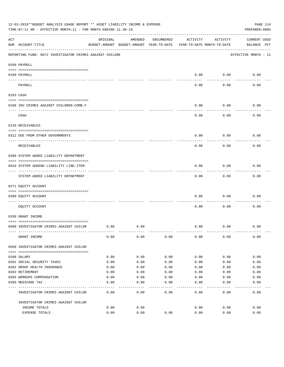|     | 12-03-2019**BUDGET ANALYSIS USAGE REPORT ** ASSET LIABILITY INCOME & EXPENSE<br>TIME: 07:11 AM - EFFECTIVE MONTH: 11 - FOR MONTH ENDING 11-30-19 |          |                                                     |            |                                        |          | PAGE 114<br>PREPARER: 0004         |
|-----|--------------------------------------------------------------------------------------------------------------------------------------------------|----------|-----------------------------------------------------|------------|----------------------------------------|----------|------------------------------------|
| ACT | NUM ACCOUNT-TITLE                                                                                                                                | ORIGINAL | AMENDED<br>BUDGET-AMOUNT BUDGET-AMOUNT YEAR-TO-DATE | ENCUMBERED | ACTIVITY<br>YEAR-TO-DATE MONTH-TO-DATE | ACTIVITY | <b>CURRENT USED</b><br>BALANCE PCT |
|     | REPORTING FUND: 0072 INVESTIGATOR CRIMES AGAINST CHILDRE                                                                                         |          |                                                     |            |                                        |          | EFFECTIVE MONTH - 11               |
|     | 0100 PAYROLL                                                                                                                                     |          |                                                     |            |                                        |          |                                    |
|     | 0100 PAYROLL<br>---- ----                                                                                                                        |          |                                                     |            | 0.00                                   | 0.00     | 0.00                               |
|     | PAYROLL                                                                                                                                          |          |                                                     |            | 0.00                                   | 0.00     | 0.00                               |
|     | 0103 CASH                                                                                                                                        |          |                                                     |            |                                        |          |                                    |
|     | 0100 INV. CRIMES AGAINST CHILDREN-COMB.F                                                                                                         |          |                                                     |            | 0.00                                   | 0.00     | 0.00                               |
|     | CASH                                                                                                                                             |          |                                                     |            | 0.00                                   | 0.00     | 0.00                               |
|     | 0120 RECEIVABLES                                                                                                                                 |          |                                                     |            |                                        |          |                                    |
|     | 0312 DUE FROM OTHER GOVERNMENTS                                                                                                                  |          |                                                     |            | 0.00                                   | 0.00     | 0.00                               |
|     | RECEIVABLES                                                                                                                                      |          |                                                     |            | 0.00                                   | 0.00     | 0.00                               |
|     | 0200 SYSTEM ADDED LIABILITY DEPARTMENT                                                                                                           |          |                                                     |            |                                        |          |                                    |
|     | 0910 SYSTEM ADDEND LIABILITY LINE-ITEM                                                                                                           |          |                                                     |            | 0.00                                   | 0.00     | 0.00                               |
|     | SYSTEM ADDED LIABILITY DEPARTMENT                                                                                                                |          |                                                     |            | 0.00                                   | 0.00     | 0.00                               |
|     | 0271 EQUITY ACCOUNT                                                                                                                              |          |                                                     |            |                                        |          |                                    |
|     | 0200 EQUITY ACCOUNT                                                                                                                              |          |                                                     |            | 0.00                                   | 0.00     | 0.00                               |
|     | EQUITY ACCOUNT                                                                                                                                   |          |                                                     |            | 0.00                                   | 0.00     | 0.00                               |
|     | 0330 GRANT INCOME                                                                                                                                |          |                                                     |            |                                        |          |                                    |
|     | 0560 INVESTIGATOR CRIMES AGAINST CHILDR                                                                                                          | 0.00     | 0.00                                                |            | 0.00                                   | 0.00     | 0.00                               |
|     | GRANT INCOME                                                                                                                                     | 0.00     | 0.00                                                | 0.00       | 0.00                                   | 0.00     | 0.00                               |
|     | 0560 INVESTIGATOR CRIMES AGAINST CHILDR                                                                                                          |          |                                                     |            |                                        |          |                                    |
|     | 0108 SALARY                                                                                                                                      | 0.00     | 0.00                                                | 0.00       | 0.00                                   | 0.00     | 0.00                               |
|     | 0201 SOCIAL SECURITY TAXES                                                                                                                       | 0.00     | 0.00                                                | 0.00       | 0.00                                   | 0.00     | 0.00                               |
|     | 0202 GROUP HEALTH INSURANCE                                                                                                                      | 0.00     | 0.00                                                | 0.00       | 0.00                                   | 0.00     | 0.00                               |
|     | 0203 RETIREMENT                                                                                                                                  | 0.00     | 0.00                                                | 0.00       | 0.00                                   | 0.00     | 0.00                               |
|     | 0204 WORKERS COMPENSATION                                                                                                                        | 0.00     | 0.00                                                | 0.00       | 0.00                                   | 0.00     | 0.00                               |
|     | 0205 MEDICARE TAX                                                                                                                                | 0.00     | 0.00                                                | 0.00       | 0.00                                   | 0.00     | 0.00                               |
|     | INVESTIGATOR CRIMES AGAINST CHILDR                                                                                                               | 0.00     | 0.00                                                | 0.00       | 0.00                                   | 0.00     | 0.00                               |
|     | INVESTIGATOR CRIMES AGAINST CHILDR                                                                                                               |          |                                                     |            |                                        |          |                                    |
|     | INCOME TOTALS                                                                                                                                    | 0.00     | 0.00                                                |            | 0.00                                   | 0.00     | 0.00                               |
|     | EXPENSE TOTALS                                                                                                                                   | 0.00     | 0.00                                                | 0.00       | 0.00                                   | 0.00     | 0.00                               |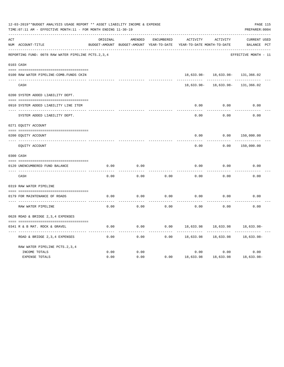|     | 12-03-2019**BUDGET ANALYSIS USAGE REPORT ** ASSET LIABILITY INCOME & EXPENSE<br>TIME: 07:11 AM - EFFECTIVE MONTH: 11 - FOR MONTH ENDING 11-30-19 |              |                                                     |                   |                                        |                                  | PAGE 115<br>PREPARER: 0004         |  |
|-----|--------------------------------------------------------------------------------------------------------------------------------------------------|--------------|-----------------------------------------------------|-------------------|----------------------------------------|----------------------------------|------------------------------------|--|
| ACT | NUM ACCOUNT-TITLE                                                                                                                                | ORIGINAL     | AMENDED<br>BUDGET-AMOUNT BUDGET-AMOUNT YEAR-TO-DATE | <b>ENCUMBERED</b> | ACTIVITY<br>YEAR-TO-DATE MONTH-TO-DATE | ACTIVITY                         | <b>CURRENT USED</b><br>BALANCE PCT |  |
|     | REPORTING FUND: 0078 RAW WATER PIPELINE PCTS.2,3,4                                                                                               |              |                                                     |                   |                                        |                                  | EFFECTIVE MONTH - 11               |  |
|     | 0103 CASH                                                                                                                                        |              |                                                     |                   |                                        |                                  |                                    |  |
|     | 0100 RAW WATER PIPELINE-COMB.FUNDS CKIN                                                                                                          |              |                                                     |                   |                                        | 18,633.98- 18,633.98- 131,366.02 |                                    |  |
|     | CASH                                                                                                                                             |              |                                                     |                   | 18,633.98-                             | 18,633.98-                       | 131,366.02                         |  |
|     | 0200 SYSTEM ADDED LIABILITY DEPT.                                                                                                                |              |                                                     |                   |                                        |                                  |                                    |  |
|     | 0910 SYSTEM ADDED LIABILITY LINE ITEM                                                                                                            |              |                                                     |                   | 0.00                                   | 0.00                             | 0.00                               |  |
|     | SYSTEM ADDED LIABILITY DEPT.                                                                                                                     |              |                                                     |                   | 0.00                                   | 0.00                             | 0.00                               |  |
|     | 0271 EQUITY ACCOUNT                                                                                                                              |              |                                                     |                   |                                        |                                  |                                    |  |
|     | 0200 EQUITY ACCOUNT                                                                                                                              |              |                                                     |                   | 0.00                                   | 0.00                             | 150,000.00                         |  |
|     | ---- -----------<br>EQUITY ACCOUNT                                                                                                               |              |                                                     |                   | 0.00                                   | 0.00                             | 150,000.00                         |  |
|     | 0300 CASH                                                                                                                                        |              |                                                     |                   |                                        |                                  |                                    |  |
|     | 0120 UNENCUMBERED FUND BALANCE                                                                                                                   | 0.00         | 0.00                                                |                   | 0.00                                   | 0.00                             | 0.00                               |  |
|     | CASH                                                                                                                                             | 0.00         | 0.00                                                | 0.00              | 0.00                                   | 0.00                             | 0.00                               |  |
|     | 0319 RAW WATER PIPELINE                                                                                                                          |              |                                                     |                   |                                        |                                  |                                    |  |
|     | 0179 FOR MAINTENANCE OF ROADS                                                                                                                    | 0.00         | 0.00                                                | 0.00              | 0.00                                   | 0.00                             | 0.00                               |  |
|     | RAW WATER PIPELINE                                                                                                                               | 0.00         | 0.00                                                | 0.00              | 0.00                                   | 0.00                             | 0.00                               |  |
|     | 0628 ROAD & BRIDGE 2,3,4 EXPENSES                                                                                                                |              |                                                     |                   |                                        |                                  |                                    |  |
|     | 0341 R & B MAT. ROCK & GRAVEL                                                                                                                    | 0.00         | 0.00                                                | 0.00              | 18,633.98                              | 18,633.98                        | 18,633.98-                         |  |
|     | ROAD & BRIDGE 2, 3, 4 EXPENSES                                                                                                                   | 0.00         | 0.00                                                | 0.00              | 18,633.98                              | 18,633.98                        | 18,633.98-                         |  |
|     | RAW WATER PIPELINE PCTS. 2, 3, 4<br>INCOME TOTALS<br><b>EXPENSE TOTALS</b>                                                                       | 0.00<br>0.00 | 0.00<br>0.00                                        | 0.00              | 0.00<br>18,633.98                      | 0.00<br>18,633.98                | 0.00<br>18,633.98-                 |  |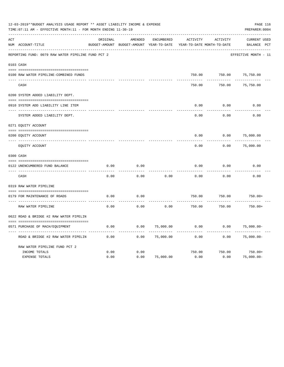|     | 12-03-2019**BUDGET ANALYSIS USAGE REPORT ** ASSET LIABILITY INCOME & EXPENSE<br>TIME: 07:11 AM - EFFECTIVE MONTH: 11 - FOR MONTH ENDING 11-30-19 |          |                                                     |            |          |                                        | PAGE 116<br>PREPARER: 0004         |
|-----|--------------------------------------------------------------------------------------------------------------------------------------------------|----------|-----------------------------------------------------|------------|----------|----------------------------------------|------------------------------------|
| ACT | NUM ACCOUNT-TITLE                                                                                                                                | ORIGINAL | AMENDED<br>BUDGET-AMOUNT BUDGET-AMOUNT YEAR-TO-DATE | ENCUMBERED | ACTIVITY | ACTIVITY<br>YEAR-TO-DATE MONTH-TO-DATE | <b>CURRENT USED</b><br>BALANCE PCT |
|     | REPORTING FUND: 0079 RAW WATER PIPELINE FUND PCT 2                                                                                               |          |                                                     |            |          |                                        | EFFECTIVE MONTH - 11               |
|     | 0103 CASH                                                                                                                                        |          |                                                     |            |          |                                        |                                    |
|     | 0100 RAW WATER PIPELINE-COMBINED FUNDS                                                                                                           |          |                                                     |            | 750.00   | 750.00                                 | 75,750.00                          |
|     | CASH                                                                                                                                             |          |                                                     |            | 750.00   | 750.00                                 | 75,750.00                          |
|     | 0200 SYSTEM ADDED LIABILITY DEPT.                                                                                                                |          |                                                     |            |          |                                        |                                    |
|     | 0910 SYSTEM ADD LIABILITY LINE ITEM                                                                                                              |          |                                                     |            | 0.00     | 0.00                                   | 0.00                               |
|     | SYSTEM ADDED LIABILITY DEPT.                                                                                                                     |          |                                                     |            | 0.00     | 0.00                                   | 0.00                               |
|     | 0271 EQUITY ACCOUNT                                                                                                                              |          |                                                     |            |          |                                        |                                    |
|     | 0200 EQUITY ACCOUNT                                                                                                                              |          |                                                     |            | 0.00     | 0.00                                   | 75,000.00                          |
|     | ---- ------------<br>EQUITY ACCOUNT                                                                                                              |          |                                                     |            | 0.00     | 0.00                                   | 75,000.00                          |
|     | 0300 CASH                                                                                                                                        |          |                                                     |            |          |                                        |                                    |
|     | 0122 UNENCUMBERED FUND BALANCE                                                                                                                   | 0.00     | 0.00                                                |            | 0.00     | 0.00                                   | 0.00                               |
|     | CASH                                                                                                                                             | 0.00     | 0.00                                                | 0.00       | 0.00     | 0.00                                   | 0.00                               |
|     | 0319 RAW WATER PIPELINE                                                                                                                          |          |                                                     |            |          |                                        |                                    |
|     | 0179 FOR MAINTENANCE OF ROADS                                                                                                                    | 0.00     | 0.00                                                |            | 750.00   | 750.00                                 | $750.00+$                          |
|     | RAW WATER PIPELINE                                                                                                                               | 0.00     | 0.00                                                | 0.00       | 750.00   | 750.00                                 | $750.00+$                          |
|     | 0622 ROAD & BRIDGE #2 RAW WATER PIPELIN                                                                                                          |          |                                                     |            |          |                                        |                                    |
|     | 0571 PURCHASE OF MACH/EOUIPMENT                                                                                                                  | 0.00     | 0.00                                                | 75,000.00  | 0.00     | 0.00                                   | $75,000.00-$                       |
|     | ROAD & BRIDGE #2 RAW WATER PIPELIN                                                                                                               | 0.00     | 0.00                                                | 75,000.00  | 0.00     | 0.00                                   | $75,000.00-$                       |
|     | RAW WATER PIPELINE FUND PCT 2                                                                                                                    |          |                                                     |            |          |                                        |                                    |
|     | INCOME TOTALS                                                                                                                                    | 0.00     | 0.00                                                |            | 750.00   | 750.00                                 | $750.00+$                          |
|     | <b>EXPENSE TOTALS</b>                                                                                                                            | 0.00     | 0.00                                                | 75,000.00  | 0.00     | 0.00                                   | $75,000.00 -$                      |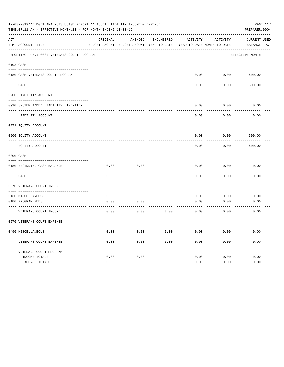|              | 12-03-2019**BUDGET ANALYSIS USAGE REPORT ** ASSET LIABILITY INCOME & EXPENSE<br>TIME: 07:11 AM - EFFECTIVE MONTH: 11 - FOR MONTH ENDING 11-30-19 |          |                                                                     |            |          |                   | PAGE 117<br>PREPARER: 0004 |
|--------------|--------------------------------------------------------------------------------------------------------------------------------------------------|----------|---------------------------------------------------------------------|------------|----------|-------------------|----------------------------|
| ACT          |                                                                                                                                                  | ORIGINAL | AMENDED                                                             | ENCUMBERED | ACTIVITY | ACTIVITY          | <b>CURRENT USED</b>        |
|              | NUM ACCOUNT-TITLE                                                                                                                                |          | BUDGET-AMOUNT BUDGET-AMOUNT YEAR-TO-DATE YEAR-TO-DATE MONTH-TO-DATE |            |          |                   | BALANCE PCT                |
|              | REPORTING FUND: 0080 VETERANS COURT PROGRAM                                                                                                      |          |                                                                     |            |          |                   | EFFECTIVE MONTH - 11       |
|              | 0103 CASH                                                                                                                                        |          |                                                                     |            |          |                   |                            |
|              |                                                                                                                                                  |          |                                                                     |            |          |                   |                            |
| $----------$ | 0180 CASH-VETERANS COURT PROGRAM                                                                                                                 |          |                                                                     |            | 0.00     |                   | $0.00$ 600.00              |
|              | CASH                                                                                                                                             |          |                                                                     |            | 0.00     | 0.00              | 600.00                     |
|              | 0200 LIABILITY ACCOUNT                                                                                                                           |          |                                                                     |            |          |                   |                            |
|              | 0910 SYSTEM ADDED LIABILITY LINE-ITEM                                                                                                            |          |                                                                     |            | 0.00     | 0.00              | 0.00                       |
|              | LIABILITY ACCOUNT                                                                                                                                |          |                                                                     |            | 0.00     | ---------<br>0.00 | 0.00                       |
|              | 0271 EQUITY ACCOUNT                                                                                                                              |          |                                                                     |            |          |                   |                            |
|              | 0200 EOUITY ACCOUNT                                                                                                                              |          |                                                                     |            | 0.00     | 0.00              | 600.00                     |
|              | EQUITY ACCOUNT                                                                                                                                   |          |                                                                     |            | 0.00     | 0.00              | 600.00                     |
|              | 0300 CASH                                                                                                                                        |          |                                                                     |            |          |                   |                            |
|              | 0180 BEGINNING CASH BALANCE                                                                                                                      | 0.00     | 0.00                                                                |            | 0.00     | 0.00              | 0.00                       |
|              | _____________________________________<br>CASH                                                                                                    | 0.00     | 0.00                                                                | 0.00       | 0.00     | 0.00              | 0.00                       |
|              | 0370 VETERANS COURT INCOME                                                                                                                       |          |                                                                     |            |          |                   |                            |
|              | 0130 MISCELLANEOUS                                                                                                                               | 0.00     | 0.00                                                                |            | 0.00     | 0.00              | 0.00                       |
|              | 0180 PROGRAM FEES                                                                                                                                | 0.00     | 0.00                                                                |            | 0.00     | 0.00              | 0.00                       |
|              | VETERANS COURT INCOME                                                                                                                            | 0.00     | ---------<br>0.00                                                   | 0.00       | 0.00     | 0.00              | 0.00                       |
|              | 0570 VETERANS COURT EXPENSE                                                                                                                      |          |                                                                     |            |          |                   |                            |
|              | 0490 MISCELLANEOUS                                                                                                                               | 0.00     | 0.00                                                                | 0.00       | 0.00     | 0.00              | 0.00                       |
|              | VETERANS COURT EXPENSE                                                                                                                           | 0.00     | 0.00                                                                | 0.00       | 0.00     | 0.00              | 0.00                       |
|              | VETERANS COURT PROGRAM                                                                                                                           |          |                                                                     |            |          |                   |                            |
|              | INCOME TOTALS                                                                                                                                    | 0.00     | 0.00                                                                |            | 0.00     | 0.00              | 0.00                       |
|              | EXPENSE TOTALS                                                                                                                                   | 0.00     | 0.00                                                                | 0.00       | 0.00     | 0.00              | 0.00                       |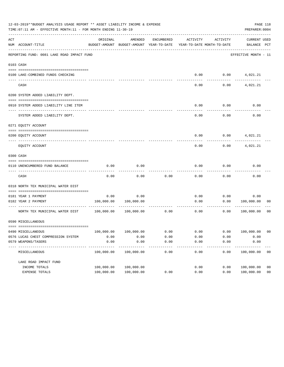|     | 12-03-2019**BUDGET ANALYSIS USAGE REPORT ** ASSET LIABILITY INCOME & EXPENSE<br>TIME: 07:11 AM - EFFECTIVE MONTH: 11 - FOR MONTH ENDING 11-30-19 |                           |                                                     |            |          |                                        | PAGE 118<br>PREPARER: 0004         |                |
|-----|--------------------------------------------------------------------------------------------------------------------------------------------------|---------------------------|-----------------------------------------------------|------------|----------|----------------------------------------|------------------------------------|----------------|
| ACT | NUM ACCOUNT-TITLE                                                                                                                                | ORIGINAL                  | AMENDED<br>BUDGET-AMOUNT BUDGET-AMOUNT YEAR-TO-DATE | ENCUMBERED | ACTIVITY | ACTIVITY<br>YEAR-TO-DATE MONTH-TO-DATE | <b>CURRENT USED</b><br>BALANCE PCT |                |
|     | REPORTING FUND: 0081 LAKE ROAD IMPACT FUND                                                                                                       |                           |                                                     |            |          |                                        | EFFECTIVE MONTH - 11               |                |
|     | 0103 CASH                                                                                                                                        |                           |                                                     |            |          |                                        |                                    |                |
|     |                                                                                                                                                  |                           |                                                     |            |          |                                        |                                    |                |
|     | 0100 LAKE-COMBINED FUNDS CHECKING                                                                                                                |                           |                                                     |            | 0.00     |                                        | $0.00$ $4,021.21$                  |                |
|     | CASH                                                                                                                                             |                           |                                                     |            | 0.00     | 0.00                                   | 4,021.21                           |                |
|     | 0200 SYSTEM ADDED LIABILITY DEPT.                                                                                                                |                           |                                                     |            |          |                                        |                                    |                |
|     | 0910 SYSTEM ADDED LIABILITY LINE ITEM                                                                                                            |                           |                                                     |            | 0.00     | 0.00                                   | 0.00                               |                |
|     | SYSTEM ADDED LIABILITY DEPT.                                                                                                                     |                           |                                                     |            | 0.00     | 0.00                                   | 0.00                               |                |
|     | 0271 EQUITY ACCOUNT                                                                                                                              |                           |                                                     |            |          |                                        |                                    |                |
|     | 0200 EQUITY ACCOUNT                                                                                                                              |                           |                                                     |            | 0.00     |                                        | $0.00$ 4,021.21                    |                |
|     | EOUITY ACCOUNT                                                                                                                                   |                           |                                                     |            | 0.00     | 0.00                                   | 4,021.21                           |                |
|     | 0300 CASH                                                                                                                                        |                           |                                                     |            |          |                                        |                                    |                |
|     | 0110 UNENCUMBERED FUND BALANCE                                                                                                                   | 0.00                      | 0.00                                                |            | 0.00     | 0.00                                   | 0.00                               |                |
|     | CASH                                                                                                                                             | 0.00                      | 0.00                                                | 0.00       | 0.00     | 0.00                                   | 0.00                               |                |
|     | 0318 NORTH TEX MUNICIPAL WATER DIST                                                                                                              |                           |                                                     |            |          |                                        |                                    |                |
|     | 0181 YEAR 1 PAYMENT                                                                                                                              | 0.00                      | 0.00                                                |            | 0.00     |                                        | 0.00<br>0.00                       |                |
|     | 0182 YEAR 2 PAYMENT                                                                                                                              | 100,000.00                | 100,000.00                                          |            | 0.00     | 0.00                                   | 100,000.00                         | 00             |
|     | ------------------------------<br>NORTH TEX MUNICIPAL WATER DIST 100,000.00                                                                      |                           | 100,000.00                                          | 0.00       | 0.00     | 0.00                                   | 100,000.00                         | 00             |
|     | 0590 MISCELLANEOUS                                                                                                                               |                           |                                                     |            |          |                                        |                                    |                |
|     |                                                                                                                                                  |                           |                                                     |            |          |                                        |                                    |                |
|     | 0490 MISCELLANEOUS                                                                                                                               | 100,000.00                | 100,000.00                                          | 0.00       | 0.00     | 0.00                                   | 100,000.00                         | 00             |
|     | 0576 LUCAS CHEST COMPRESSION SYSTEM                                                                                                              | 0.00                      | 0.00                                                | 0.00       | 0.00     | 0.00                                   | 0.00                               |                |
|     | 0579 WEAPONS/TASERS<br>---------------                                                                                                           | 0.00                      | 0.00<br>-----------                                 | 0.00       | 0.00     | 0.00                                   | 0.00                               |                |
|     | MISCELLANEOUS                                                                                                                                    | -----------<br>100,000.00 | 100,000.00                                          | 0.00       | 0.00     | 0.00                                   | .<br>100,000.00                    | 0 <sub>0</sub> |
|     | LAKE ROAD IMPACT FUND                                                                                                                            |                           |                                                     |            |          |                                        |                                    |                |
|     | INCOME TOTALS                                                                                                                                    | 100,000.00                | 100,000.00                                          |            | 0.00     | 0.00                                   | 100,000.00                         | 0 <sub>0</sub> |
|     | EXPENSE TOTALS                                                                                                                                   | 100,000.00                | 100,000.00                                          | 0.00       | 0.00     | 0.00                                   | 100,000.00                         | 0 <sub>0</sub> |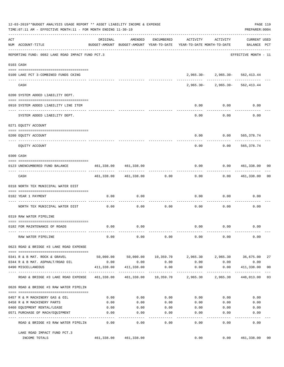|     | 12-03-2019**BUDGET ANALYSIS USAGE REPORT ** ASSET LIABILITY INCOME & EXPENSE<br>TIME: 07:11 AM - EFFECTIVE MONTH: 11 - FOR MONTH ENDING 11-30-19 |                                |                            |               |                                                                                 |                                    | PREPARER: 0004              | PAGE 119       |
|-----|--------------------------------------------------------------------------------------------------------------------------------------------------|--------------------------------|----------------------------|---------------|---------------------------------------------------------------------------------|------------------------------------|-----------------------------|----------------|
| ACT | NUM ACCOUNT-TITLE                                                                                                                                | ORIGINAL                       | AMENDED                    | ENCUMBERED    | ACTIVITY<br>BUDGET-AMOUNT BUDGET-AMOUNT YEAR-TO-DATE YEAR-TO-DATE MONTH-TO-DATE | ACTIVITY                           | CURRENT USED<br>BALANCE PCT |                |
|     | REPORTING FUND: 0082 LAKE ROAD IMPACT FUND PCT.3                                                                                                 |                                |                            |               |                                                                                 |                                    | EFFECTIVE MONTH - 11        |                |
|     | 0103 CASH                                                                                                                                        |                                |                            |               |                                                                                 |                                    |                             |                |
|     | 0100 LAKE PCT 3-COMBINED FUNDS CKING                                                                                                             |                                |                            |               |                                                                                 | 2,965.30-2,965.30-562,413.44       |                             |                |
|     | CASH                                                                                                                                             |                                |                            |               |                                                                                 | $2,965.30 - 2,965.30 - 562,413.44$ |                             |                |
|     | 0200 SYSTEM ADDED LIABILITY DEPT.                                                                                                                |                                |                            |               |                                                                                 |                                    |                             |                |
|     | 0910 SYSTEM ADDED LIABILITY LINE ITEM                                                                                                            |                                |                            |               | 0.00                                                                            | 0.00                               | 0.00                        |                |
|     | SYSTEM ADDED LIABILITY DEPT.                                                                                                                     |                                |                            |               | 0.00                                                                            | . <u>.</u><br>0.00                 | 0.00                        |                |
|     | 0271 EQUITY ACCOUNT                                                                                                                              |                                |                            |               |                                                                                 |                                    |                             |                |
|     | 0200 EQUITY ACCOUNT                                                                                                                              |                                |                            |               | 0.00                                                                            | $0.00$ 565,378.74                  |                             |                |
|     | EQUITY ACCOUNT                                                                                                                                   |                                |                            |               | 0.00                                                                            | 0.00                               | -------------<br>565,378.74 |                |
|     | 0300 CASH                                                                                                                                        |                                |                            |               |                                                                                 |                                    |                             |                |
|     | 0123 UNENCUMBERED FUND BALANCE                                                                                                                   | 461,338.00 461,338.00          |                            |               | 0.00<br>-----------                                                             | 0.0000461,338.00000<br>---------   | --------------              |                |
|     | CASH                                                                                                                                             |                                | 461,338.00 461,338.00 0.00 |               | 0.00                                                                            |                                    | 0.00 461,338.00             | 00             |
|     | 0318 NORTH TEX MUNICIPAL WATER DIST                                                                                                              |                                |                            |               |                                                                                 |                                    |                             |                |
|     | 0182 YEAR 1 PAYMENT                                                                                                                              | 0.00                           | 0.00                       |               | 0.00                                                                            | 0.00                               | 0.00                        |                |
|     | NORTH TEX MUNICIPAL WATER DIST                                                                                                                   | 0.00                           | 0.00                       | 0.00          | 0.00                                                                            | 0.00                               | 0.00                        |                |
|     | 0319 RAW WATER PIPELINE                                                                                                                          |                                |                            |               |                                                                                 |                                    |                             |                |
|     | 0182 FOR MAINTENANCE OF ROADS                                                                                                                    | 0.00                           | 0.00                       |               |                                                                                 | $0.00$ $0.00$                      | 0.00                        |                |
|     | RAW WATER PIPELINE                                                                                                                               | 0.00                           | 0.00                       | 0.00          | 0.00                                                                            | 0.00                               | 0.00                        |                |
|     | 0623 ROAD & BRIDGE #3 LAKE ROAD EXPENSE                                                                                                          |                                |                            |               |                                                                                 |                                    |                             |                |
|     | 0341 R & B MAT. ROCK & GRAVEL                                                                                                                    |                                |                            |               | $50,000.00$ $50,000.00$ $10,359.70$ $2,965.30$ $2,965.30$ $36,675.00$           |                                    |                             | 27             |
|     | 0344 R & B MAT. ASPHALT/ROAD OIL                                                                                                                 | 0.00<br>411,338.00             | 0.00<br>411,338.00         | 0.00<br>0.00  | 0.00                                                                            | 0.00<br>0.00                       | 0.00<br>411,338.00          | 0 <sub>0</sub> |
|     | 0490 MISCELLANEOUS                                                                                                                               | -- ------------- ------------- |                            | ----------    | 0.00<br>461,338.00  461,338.00  10,359.70  2,965.30  2,965.30                   | ----------                         | -----------<br>448,013.00   | 03             |
|     | ROAD & BRIDGE #3 LAKE ROAD EXPENSE<br>0626 ROAD & BRIDGE #3 RAW WATER PIPELIN                                                                    |                                |                            |               |                                                                                 |                                    |                             |                |
|     |                                                                                                                                                  |                                |                            |               |                                                                                 |                                    |                             |                |
|     | 0457 R & M MACHINERY GAS & OIL                                                                                                                   | 0.00                           | 0.00                       | 0.00          | 0.00                                                                            | 0.00                               | 0.00                        |                |
|     | 0458 R & M MACHINERY PARTS                                                                                                                       | 0.00                           | 0.00                       | 0.00          | 0.00                                                                            | 0.00                               | 0.00                        |                |
|     | 0460 EQUIPMENT RENTAL/LEASE<br>0571 PURCHASE OF MACH/EQUIPMENT                                                                                   | 0.00<br>0.00                   | 0.00<br>0.00               | 0.00<br>0.00  | 0.00<br>0.00                                                                    | 0.00<br>0.00                       | 0.00<br>0.00                |                |
|     | ROAD & BRIDGE #3 RAW WATER PIPELIN                                                                                                               | 0.00                           | $- - - - -$<br>0.00        | $---$<br>0.00 | -----<br>0.00                                                                   | -----<br>0.00                      | 0.00                        |                |
|     |                                                                                                                                                  |                                |                            |               |                                                                                 |                                    |                             |                |
|     | LAKE ROAD IMPACT FUND PCT.3<br>INCOME TOTALS                                                                                                     |                                | 461,338.00 461,338.00      |               | 0.00                                                                            |                                    | 0.00 461,338.00             | 00             |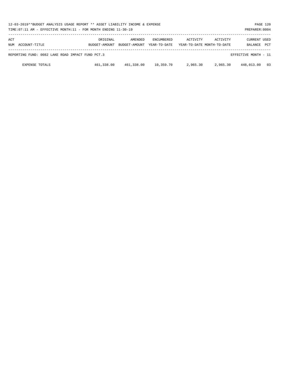|            | 12-03-2019**BUDGET ANALYSIS USAGE REPORT ** ASSET LIABILITY INCOME & EXPENSE<br>PAGE 120<br>PREPARER: 0004<br>TIME: 07:11 AM - EFFECTIVE MONTH: 11 - FOR MONTH ENDING 11-30-19 |                           |                          |                                   |          |                                               |                         |            |  |
|------------|--------------------------------------------------------------------------------------------------------------------------------------------------------------------------------|---------------------------|--------------------------|-----------------------------------|----------|-----------------------------------------------|-------------------------|------------|--|
| ACT<br>NUM | ACCOUNT-TITLE                                                                                                                                                                  | ORIGINAL<br>BUDGET-AMOUNT | AMENDED<br>BUDGET-AMOUNT | <b>ENCUMBERED</b><br>YEAR-TO-DATE | ACTIVITY | <b>ACTIVITY</b><br>YEAR-TO-DATE MONTH-TO-DATE | CURRENT USED<br>BALANCE | <b>PCT</b> |  |
|            | REPORTING FUND: 0082 LAKE ROAD IMPACT FUND PCT.3<br>EFFECTIVE MONTH - 11                                                                                                       |                           |                          |                                   |          |                                               |                         |            |  |
|            | <b>EXPENSE TOTALS</b>                                                                                                                                                          | 461,338.00                | 461,338.00               | 10,359.70                         | 2,965.30 | 2,965.30                                      | 448,013.00              | - 03       |  |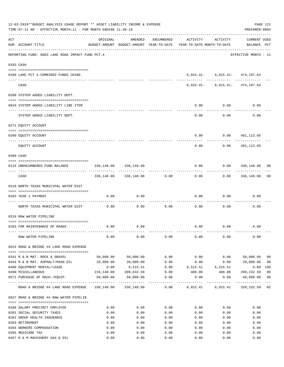|     | 12-03-2019**BUDGET ANALYSIS USAGE REPORT ** ASSET LIABILITY INCOME & EXPENSE<br>TIME: 07:11 AM - EFFECTIVE MONTH: 11 - FOR MONTH ENDING 11-30-19 |                             |                          |            |                                                                                 |                                    | PAGE 121<br>PREPARER: 0004         |                         |
|-----|--------------------------------------------------------------------------------------------------------------------------------------------------|-----------------------------|--------------------------|------------|---------------------------------------------------------------------------------|------------------------------------|------------------------------------|-------------------------|
| ACT | NUM ACCOUNT-TITLE                                                                                                                                | ORIGINAL                    | AMENDED                  | ENCUMBERED | ACTIVITY<br>BUDGET-AMOUNT BUDGET-AMOUNT YEAR-TO-DATE YEAR-TO-DATE MONTH-TO-DATE | ACTIVITY                           | <b>CURRENT USED</b><br>BALANCE PCT |                         |
|     | REPORTING FUND: 0083 LAKE ROAD IMPACT FUND PCT.4                                                                                                 |                             |                          |            |                                                                                 |                                    | EFFECTIVE MONTH - 11               |                         |
|     | 0103 CASH                                                                                                                                        |                             |                          |            |                                                                                 |                                    |                                    |                         |
|     | 0100 LAKE PCT 4-COMBINED FUNDS CKING                                                                                                             |                             | -------------            |            |                                                                                 | $6,915.41 - 6,915.41 - 474,197.64$ |                                    |                         |
|     | CASH                                                                                                                                             |                             |                          |            |                                                                                 | $6,915.41 - 6,915.41 - 474,197.64$ |                                    |                         |
|     | 0200 SYSTEM ADDED LIABILITY DEPT.                                                                                                                |                             |                          |            |                                                                                 |                                    |                                    |                         |
|     | 0910 SYSTEM ADDED LIABILITY LINE ITEM                                                                                                            |                             |                          |            | 0.00                                                                            | 0.00                               | 0.00                               |                         |
|     | SYSTEM ADDED LIABILITY DEPT.                                                                                                                     |                             |                          |            | 0.00                                                                            | 0.00                               | 0.00                               |                         |
|     | 0271 EOUITY ACCOUNT                                                                                                                              |                             |                          |            |                                                                                 |                                    |                                    |                         |
|     | 0200 EQUITY ACCOUNT                                                                                                                              |                             |                          |            | 0.00                                                                            |                                    | 0.0000481,113.05                   |                         |
|     | EQUITY ACCOUNT                                                                                                                                   |                             |                          |            | -----<br>0.00                                                                   | ---------<br>0.00                  | ------------<br>481,113.05         |                         |
|     | 0300 CASH                                                                                                                                        |                             |                          |            |                                                                                 |                                    |                                    |                         |
|     | 0124 UNENCUMBERED FUND BALANCE                                                                                                                   | 336,148.00<br>------------- | 336,148.00               |            | 0.00                                                                            |                                    | $0.00$ 336,148.00                  | 00                      |
|     | CASH                                                                                                                                             |                             | 336,148.00 336,148.00    | 0.00       | 0.00                                                                            |                                    | $0.00$ 336,148.00                  | 0 <sub>0</sub>          |
|     | 0318 NORTH TEXAS MUNICIPAL WATER DIST                                                                                                            |                             |                          |            |                                                                                 |                                    |                                    |                         |
|     | 0183 YEAR 1 PAYMENT<br>---------------------------------- --                                                                                     | 0.00                        | 0.00                     | ---------  | 0.00                                                                            | 0.00                               | 0.00                               |                         |
|     | NORTH TEXAS MUNICIPAL WATER DIST                                                                                                                 | 0.00                        | 0.00                     | 0.00       | 0.00                                                                            | 0.00                               | 0.00                               |                         |
|     | 0319 RAW WATER PIPELINE                                                                                                                          |                             |                          |            |                                                                                 |                                    |                                    |                         |
|     | 0183 FOR MAINTENANCE OF ROADS                                                                                                                    | 0.00                        | 0.00                     |            |                                                                                 | $0.00$ $0.00$                      | 0.00                               |                         |
|     | RAW WATER PIPELINE                                                                                                                               | 0.00                        | 0.00                     | 0.00       | 0.00                                                                            | 0.00                               | 0.00                               |                         |
|     | 0624 ROAD & BRIDGE #4 LAKE ROAD EXPENSE                                                                                                          |                             |                          |            |                                                                                 |                                    |                                    |                         |
|     | 0341 R & B MAT. ROCK & GRAVEL                                                                                                                    | 50,000.00                   | 50,000.00                | 0.00       | 0.00                                                                            | 0.00                               | 50,000.00                          | 0 <sub>0</sub>          |
|     | 0344 R & B MAT. ASPHALT/ROAD OIL                                                                                                                 | 20,000.00                   | 20,000.00                | 0.00       | 0.00                                                                            | 0.00                               | 20,000.00                          | 00                      |
|     | 0460 EQUIPMENT RENTAL/LEASE                                                                                                                      | 0.00                        | 6,515.41                 |            | $0.00$ 6,515.41 6,515.41                                                        |                                    | $0.00$ 100                         |                         |
|     | 0490 MISCELLANEOUS                                                                                                                               |                             |                          |            | $216,148.00$ $209,632.59$ $0.00$ $400.00$ $400.00$ $209,232.59$                 |                                    |                                    | 0 <sub>0</sub>          |
|     | 0571 PURCHASE OF MACH./EQUIP.                                                                                                                    |                             | 50,000.00 50,000.00 0.00 |            | 0.00<br>------------                                                            | 0.00<br>------------               | 50,000.00<br>------------          | 0 <sub>0</sub><br>$---$ |
|     | ROAD & BRIDGE #4 LAKE ROAD EXPENSE 336,148.00 336,148.00 0.00 6,915.41 6,915.41 329,232.59 02                                                    |                             |                          |            |                                                                                 |                                    |                                    |                         |
|     | 0627 ROAD & BRIDGE #4 RAW WATER PIPELIN                                                                                                          |                             |                          |            |                                                                                 |                                    |                                    |                         |
|     | 0106 SALARY PRECINCT EMPLOYEE                                                                                                                    | 0.00                        | 0.00                     | 0.00       | 0.00                                                                            | 0.00                               | 0.00                               |                         |
|     | 0201 SOCIAL SECURITY TAXES                                                                                                                       | 0.00                        | 0.00                     | 0.00       | 0.00                                                                            | 0.00                               | 0.00                               |                         |
|     | 0202 GROUP HEALTH INSURANCE                                                                                                                      | 0.00                        | 0.00                     | 0.00       | 0.00                                                                            | 0.00                               | 0.00                               |                         |
|     | 0203 RETIREMENT                                                                                                                                  | 0.00                        | 0.00                     | 0.00       | 0.00                                                                            | 0.00                               | 0.00                               |                         |
|     | 0204 WORKERS COMPENSATION                                                                                                                        | 0.00                        | 0.00                     | 0.00       | 0.00                                                                            | 0.00                               | 0.00                               |                         |
|     | 0205 MEDICARE TAX                                                                                                                                | 0.00                        | 0.00                     | 0.00       | 0.00                                                                            | 0.00                               | 0.00                               |                         |
|     | 0457 R & M MACHINERY GAS & OIL                                                                                                                   | 0.00                        | 0.00                     | 0.00       | 0.00                                                                            | 0.00                               | 0.00                               |                         |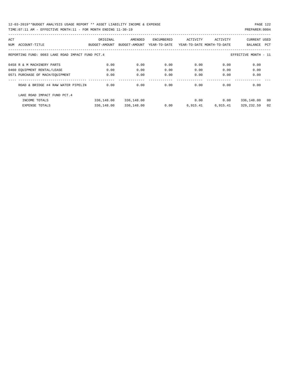| ACT |                                                                          | ORIGINAL      | AMENDED       | ENCUMBERED   | ACTIVITY                   | ACTIVITY | <b>CURRENT USED</b> |     |  |
|-----|--------------------------------------------------------------------------|---------------|---------------|--------------|----------------------------|----------|---------------------|-----|--|
| NUM | ACCOUNT-TITLE                                                            | BUDGET-AMOUNT | BUDGET-AMOUNT | YEAR-TO-DATE | YEAR-TO-DATE MONTH-TO-DATE |          | BALANCE             | PCT |  |
|     |                                                                          |               |               |              |                            |          |                     |     |  |
|     | REPORTING FUND: 0083 LAKE ROAD IMPACT FUND PCT.4<br>EFFECTIVE MONTH - 11 |               |               |              |                            |          |                     |     |  |
|     | 0458 R & M MACHINERY PARTS                                               | 0.00          | 0.00          | 0.00         | 0.00                       | 0.00     | 0.00                |     |  |
|     | 0460 EQUIPMENT RENTAL/LEASE                                              | 0.00          | 0.00          | 0.00         | 0.00                       | 0.00     | 0.00                |     |  |
|     | 0571 PURCHASE OF MACH/EOUIPMENT                                          | 0.00          | 0.00          | 0.00         | 0.00                       | 0.00     | 0.00                |     |  |
|     |                                                                          |               |               |              |                            |          |                     |     |  |
|     | ROAD & BRIDGE #4 RAW WATER PIPELIN                                       | 0.00          | 0.00          | 0.00         | 0.00                       | 0.00     | 0.00                |     |  |
|     | LAKE ROAD IMPACT FUND PCT. 4                                             |               |               |              |                            |          |                     |     |  |
|     | INCOME TOTALS                                                            | 336,148.00    | 336,148.00    |              | 0.00                       | 0.00     | 336,148.00          | 00  |  |
|     | <b>EXPENSE TOTALS</b>                                                    | 336,148.00    | 336,148.00    | 0.00         | 6,915.41                   | 6,915.41 | 329,232.59          | 02  |  |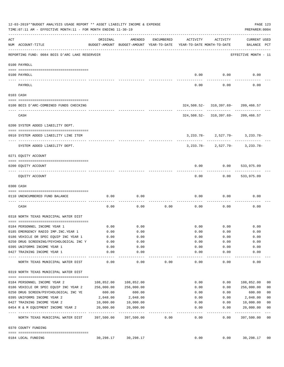|     | 12-03-2019**BUDGET ANALYSIS USAGE REPORT ** ASSET LIABILITY INCOME & EXPENSE<br>PAGE 123<br>TIME: 07:11 AM - EFFECTIVE MONTH: 11 - FOR MONTH ENDING 11-30-19<br>PREPARER: 0004 |            |                   |            |                                                                                 |                           |                                                                               |                |  |  |  |
|-----|--------------------------------------------------------------------------------------------------------------------------------------------------------------------------------|------------|-------------------|------------|---------------------------------------------------------------------------------|---------------------------|-------------------------------------------------------------------------------|----------------|--|--|--|
| ACT | NUM ACCOUNT-TITLE                                                                                                                                                              | ORIGINAL   | AMENDED           | ENCUMBERED | ACTIVITY<br>BUDGET-AMOUNT BUDGET-AMOUNT YEAR-TO-DATE YEAR-TO-DATE MONTH-TO-DATE | ACTIVITY                  | CURRENT USED<br>BALANCE PCT                                                   |                |  |  |  |
|     | REPORTING FUND: 0084 BOIS D'ARC LAKE RESERVOIR                                                                                                                                 |            |                   |            |                                                                                 |                           | EFFECTIVE MONTH - 11                                                          |                |  |  |  |
|     | 0100 PAYROLL                                                                                                                                                                   |            |                   |            |                                                                                 |                           |                                                                               |                |  |  |  |
|     | 0100 PAYROLL                                                                                                                                                                   |            |                   |            | 0.00                                                                            | 0.00                      | 0.00                                                                          |                |  |  |  |
|     | PAYROLL                                                                                                                                                                        |            |                   |            | 0.00                                                                            | 0.00                      | 0.00                                                                          |                |  |  |  |
|     | 0103 CASH                                                                                                                                                                      |            |                   |            |                                                                                 |                           |                                                                               |                |  |  |  |
|     | 0100 BOIS D'ARC-COMBINED FUNDS CHECKING                                                                                                                                        |            |                   |            |                                                                                 |                           | $324,508.52 - 310,397.69 - 209,466.57$                                        |                |  |  |  |
|     | CASH                                                                                                                                                                           |            |                   |            |                                                                                 |                           | ----------- ------------ ----------<br>$324,508.52 - 310,397.69 - 209,466.57$ |                |  |  |  |
|     | 0200 SYSTEM ADDED LIABILITY DEPT.                                                                                                                                              |            |                   |            |                                                                                 |                           |                                                                               |                |  |  |  |
|     | 0910 SYSTEM ADDED LIABILITY LINE ITEM                                                                                                                                          |            |                   |            |                                                                                 |                           | $3,233.78 - 2,527.79 - 3,233.78 -$                                            |                |  |  |  |
|     | SYSTEM ADDED LIABILITY DEPT.                                                                                                                                                   |            |                   |            |                                                                                 |                           | $3,233.78 - 2,527.79 - 3,233.78 -$                                            |                |  |  |  |
|     | 0271 EQUITY ACCOUNT                                                                                                                                                            |            |                   |            |                                                                                 |                           |                                                                               |                |  |  |  |
|     | 0200 EQUITY ACCOUNT                                                                                                                                                            |            |                   |            | 0.00                                                                            | 0.00                      | 533,975.09                                                                    |                |  |  |  |
|     | EQUITY ACCOUNT                                                                                                                                                                 |            |                   |            | 0.00                                                                            |                           | $0.00$ 533,975.09                                                             |                |  |  |  |
|     | 0300 CASH                                                                                                                                                                      |            |                   |            |                                                                                 |                           |                                                                               |                |  |  |  |
|     | 0110 UNENCUMBERED FUND BALANCE                                                                                                                                                 | 0.00       | 0.00              |            | 0.00                                                                            | 0.00                      | 0.00                                                                          |                |  |  |  |
|     | CASH                                                                                                                                                                           | 0.00       | 0.00              | 0.00       | 0.00                                                                            | 0.00                      | 0.00                                                                          |                |  |  |  |
|     | 0318 NORTH TEXAS MUNICIPAL WATER DIST                                                                                                                                          |            |                   |            |                                                                                 |                           |                                                                               |                |  |  |  |
|     | 0184 PERSONNEL INCOME YEAR 1                                                                                                                                                   | 0.00       | 0.00              |            | 0.00                                                                            | 0.00                      | 0.00                                                                          |                |  |  |  |
|     | 0185 EMERGENCY RADIO IMP. INC. YEAR 1                                                                                                                                          | 0.00       | 0.00              |            | 0.00                                                                            | 0.00                      | 0.00                                                                          |                |  |  |  |
|     | 0186 VEHICLE OR SPEC EQUIP INC YEAR 1                                                                                                                                          | 0.00       | 0.00              |            | 0.00                                                                            | 0.00                      | 0.00                                                                          |                |  |  |  |
|     | 0250 DRUG SCREENING/PSYCHOLOGICAL INC Y                                                                                                                                        | 0.00       | 0.00              |            | 0.00                                                                            | 0.00                      | 0.00                                                                          |                |  |  |  |
|     | 0395 UNIFORMS INCOME YEAR 1                                                                                                                                                    | 0.00       | 0.00              |            | 0.00                                                                            | 0.00                      | 0.00                                                                          |                |  |  |  |
|     | 0427 TRAINING INCOME YEAR 1                                                                                                                                                    | 0.00       | 0.00<br>--------- |            | 0.00<br>----------                                                              | 0.00<br>$- - - - - - - -$ | 0.00<br>----------                                                            |                |  |  |  |
|     | NORTH TEXAS MUNICIPAL WATER DIST                                                                                                                                               | 0.00       | 0.00              | 0.00       | 0.00                                                                            | 0.00                      | 0.00                                                                          |                |  |  |  |
|     | 0319 NORTH TEXAS MUNICIPAL WATER DIST                                                                                                                                          |            |                   |            |                                                                                 |                           |                                                                               |                |  |  |  |
|     | 0184 PERSONNEL INCOME YEAR 2                                                                                                                                                   | 108,852.00 | 108,852.00        |            | 0.00                                                                            | 0.00                      | 108,852.00                                                                    | 00             |  |  |  |
|     | 0186 VEHICLE OR SPEC EQUIP INC YEAR 2                                                                                                                                          | 256,000.00 | 256,000.00        |            | 0.00                                                                            | 0.00                      | 256,000.00                                                                    | 0 <sub>0</sub> |  |  |  |
|     | 0250 DRUG SCREEN/PSYCHOLOGICAL INC YE                                                                                                                                          | 600.00     | 600.00            |            | 0.00                                                                            | 0.00                      | 600.00                                                                        | 0 <sub>0</sub> |  |  |  |
|     | 0395 UNIFORMS INCOME YEAR 2                                                                                                                                                    | 2,048.00   | 2,048.00          |            | 0.00                                                                            | 0.00                      | 2,048.00                                                                      | 0 <sub>0</sub> |  |  |  |
|     | 0427 TRAINING INCOME YEAR 2                                                                                                                                                    | 10,000.00  | 10,000.00         |            | 0.00                                                                            | 0.00                      | 10,000.00                                                                     | 0 <sub>0</sub> |  |  |  |
|     | 0454 R & M EQUIPMENT INCOME YEAR 2                                                                                                                                             | 20,000.00  | 20,000.00         |            | 0.00                                                                            | 0.00                      | 20,000.00                                                                     | 0 <sub>0</sub> |  |  |  |
|     | NORTH TEXAS MUNICIPAL WATER DIST 397,500.00                                                                                                                                    |            | 397,500.00        | 0.00       | $-- - - - - - - -$<br>0.00                                                      | --------<br>0.00          | -----------<br>397,500.00                                                     | $---$<br>00    |  |  |  |
|     | 0370 COUNTY FUNDING                                                                                                                                                            |            |                   |            |                                                                                 |                           |                                                                               |                |  |  |  |
|     | 0184 LOCAL FUNDING                                                                                                                                                             | 30,298.17  | 30,298.17         |            | 0.00                                                                            | 0.00                      | 30,298.17 00                                                                  |                |  |  |  |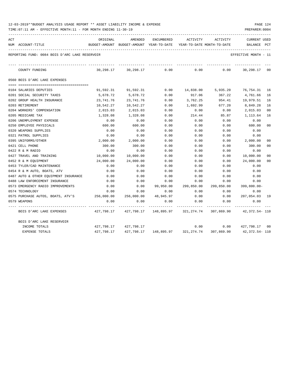| 12-03-2019**BUDGET ANALYSIS USAGE REPORT ** ASSET LIABILITY INCOME & EXPENSE |  |  |  | PAGE 124 |  |
|------------------------------------------------------------------------------|--|--|--|----------|--|
|                                                                              |  |  |  |          |  |

| ACT |                                                | ORIGINAL                                 | AMENDED               | ENCUMBERED            | ACTIVITY                                                                  | ACTIVITY               | <b>CURRENT USED</b>  |                |
|-----|------------------------------------------------|------------------------------------------|-----------------------|-----------------------|---------------------------------------------------------------------------|------------------------|----------------------|----------------|
|     | NUM ACCOUNT-TITLE                              | BUDGET-AMOUNT BUDGET-AMOUNT YEAR-TO-DATE |                       |                       | YEAR-TO-DATE MONTH-TO-DATE                                                |                        | BALANCE              | $_{\rm PCT}$   |
|     | REPORTING FUND: 0084 BOIS D'ARC LAKE RESERVOIR |                                          |                       |                       |                                                                           |                        | EFFECTIVE MONTH - 11 |                |
|     | COUNTY FUNDING                                 | 30,298.17                                | 30,298.17             | 0.00                  | 0.00                                                                      | 0.00                   | 30,298.17            | 00             |
|     | 0560 BOIS D'ARC LAKE EXPENSES                  |                                          |                       |                       |                                                                           |                        |                      |                |
|     | 0104 SALARIES DEPUTIES                         | 91,592.31                                | 91,592.31             | 0.00                  | 14,838.00                                                                 | 5,935.20               | 76,754.31            | 16             |
|     | 0201 SOCIAL SECURITY TAXES                     | 5,678.72                                 | 5,678.72              | 0.00                  | 917.06                                                                    | 367.22                 | 4,761.66             | 16             |
|     | 0202 GROUP HEALTH INSURANCE                    | 23,741.76                                | 23,741.76             | 0.00                  | 3,762.25                                                                  | 954.41                 | 19,979.51            | 16             |
|     | 0203 RETIREMENT                                | 10,542.27                                | 10,542.27             | 0.00                  | 1,692.99                                                                  | 677.20                 | 8,849.28             | 16             |
|     | 0204 WORKERS' COMPENSATION                     | 2,015.03                                 | 2,015.03              | 0.00                  | 0.00                                                                      | 0.00                   | 2,015.03             | 0 <sub>0</sub> |
|     | 0205 MEDICARE TAX                              | 1,328.08                                 | 1,328.08              | 0.00                  | 214.44                                                                    | 85.87                  | 1,113.64             | 16             |
|     | 0206 UNEMPLOYMENT EXPENSE                      | 0.00                                     | 0.00                  | 0.00                  | 0.00                                                                      | 0.00                   | 0.00                 |                |
|     | 0250 EMPLOYEE PHYSICALS                        | 600.00                                   | 600.00                | 0.00                  | 0.00                                                                      | 0.00                   | 600.00               | 0 <sub>0</sub> |
|     | 0320 WEAPONS SUPPLIES                          | 0.00                                     | 0.00                  | 0.00                  | 0.00                                                                      | 0.00                   | 0.00                 |                |
|     | 0321 PATROL SUPPLIES                           | 0.00                                     | 0.00                  | 0.00                  | 0.00                                                                      | 0.00                   | 0.00                 |                |
|     | 0395 UNIFORMS/OTHER                            | 2,000.00                                 | 2,000.00              | 0.00                  | 0.00                                                                      | 0.00                   | 2,000.00             | 0 <sub>0</sub> |
|     | 0421 CELL PHONE                                | 300.00                                   | 300.00                | 0.00                  | 0.00                                                                      | 0.00                   | 300.00               | 0 <sub>0</sub> |
|     | 0422 R & M RADIO                               | 0.00                                     | 0.00                  | 0.00                  | 0.00                                                                      | 0.00                   | 0.00                 |                |
|     | 0427 TRAVEL AND TRAINING                       | 10,000.00                                | 10,000.00             | 0.00                  | 0.00                                                                      | 0.00                   | 10,000.00            | 00             |
|     | 0452 R & M EQUIPMENT                           | 24,000.00                                | 24,000.00             | 0.00                  | 0.00                                                                      | 0.00                   | 24,000.00            | 0 <sub>0</sub> |
|     | 0453 TYLER/CAD MAINTENANCE                     | 0.00                                     | 0.00                  | 0.00                  | 0.00                                                                      | 0.00                   | 0.00                 |                |
|     | 0454 R & M AUTO, BOATS, ATV                    | 0.00                                     | 0.00                  | 0.00                  | 0.00                                                                      | 0.00                   | 0.00                 |                |
|     | 0487 AUTO & OTHER EQUIPMENT INSURANCE          | 0.00                                     | 0.00                  | 0.00                  | 0.00                                                                      | 0.00                   | 0.00                 |                |
|     | 0488 LAW ENFORCEMENT INSURANCE                 | 0.00                                     | 0.00                  | 0.00                  | 0.00                                                                      | 0.00                   | 0.00                 |                |
|     | 0573 EMERGENCY RADIO IMPROVEMENTS              | 0.00                                     | 0.00                  | 99,950.00             | 299,850.00                                                                | 299,850.00             | $399,800.00 -$       |                |
|     | 0574 TECHNOLOGY                                | 0.00                                     | 0.00                  | 0.00                  | 0.00                                                                      | 0.00                   | 0.00                 |                |
|     | 0575 PURCHASE AUTOS, BOATS, ATV'S              | 256,000.00                               | 256,000.00            | 48,945.97             | 0.00                                                                      | 0.00                   | 207,054.03 19        |                |
|     | 0579 WEAPONS                                   | 0.00                                     | 0.00                  | 0.00                  | 0.00                                                                      | 0.00                   | 0.00                 |                |
|     | BOIS D'ARC LAKE EXPENSES                       |                                          |                       |                       | 427,798.17  427,798.17  148,895.97  321,274.74  307,869.90  42,372.54-110 |                        |                      |                |
|     | BOIS D'ARC LAKE RESERVOIR                      |                                          |                       |                       |                                                                           |                        |                      |                |
|     | INCOME TOTALS                                  |                                          | 427,798.17 427,798.17 |                       | 0.00                                                                      | $0.00$ $427,798.17$ 00 |                      |                |
|     | <b>EXPENSE TOTALS</b>                          | 427,798.17                               |                       | 427,798.17 148,895.97 | 321,274.74                                                                | 307,869.90             | 42,372.54- 110       |                |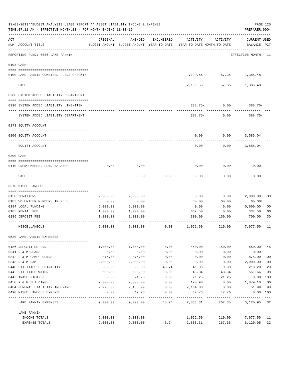| 12-03-2019**BUDGET ANALYSIS USAGE REPORT ** ASSET LIABILITY INCOME & EXPENSE<br>TIME: 07:11 AM - EFFECTIVE MONTH: 11 - FOR MONTH ENDING 11-30-19 |                                         |          |          |            |                                                                                 |                                               |                                    |                |  |  |
|--------------------------------------------------------------------------------------------------------------------------------------------------|-----------------------------------------|----------|----------|------------|---------------------------------------------------------------------------------|-----------------------------------------------|------------------------------------|----------------|--|--|
| ACT                                                                                                                                              | NUM ACCOUNT-TITLE                       | ORIGINAL | AMENDED  | ENCUMBERED | ACTIVITY<br>BUDGET-AMOUNT BUDGET-AMOUNT YEAR-TO-DATE YEAR-TO-DATE MONTH-TO-DATE | ACTIVITY                                      | <b>CURRENT USED</b><br>BALANCE PCT |                |  |  |
|                                                                                                                                                  | REPORTING FUND: 0085 LAKE FANNIN        |          |          |            |                                                                                 |                                               | EFFECTIVE MONTH - 11               |                |  |  |
|                                                                                                                                                  | 0103 CASH                               |          |          |            |                                                                                 |                                               |                                    |                |  |  |
|                                                                                                                                                  | 0100 LAKE FANNIN-COMBINED FUNDS CHECKIN |          |          |            |                                                                                 | 2, 199.56 - 57.35 - 1, 385.48                 |                                    |                |  |  |
|                                                                                                                                                  | CASH                                    |          |          |            |                                                                                 | ------------<br>2, 199.56 - 57.35 - 1, 385.48 |                                    |                |  |  |
|                                                                                                                                                  | 0200 SYSTEM ADDED LIABILITY DEPARTMENT  |          |          |            |                                                                                 |                                               |                                    |                |  |  |
|                                                                                                                                                  | 0910 SYSTEM ADDED LIABILITY LINE-ITEM   |          |          |            |                                                                                 | $388.75 - 0.00$                               | $388.75-$                          |                |  |  |
|                                                                                                                                                  | SYSTEM ADDED LIABILITY DEPARTMENT       |          |          |            | $388.75 -$                                                                      | 0.00                                          | 388.75-                            |                |  |  |
|                                                                                                                                                  | 0271 EQUITY ACCOUNT                     |          |          |            |                                                                                 |                                               |                                    |                |  |  |
|                                                                                                                                                  | 0200 EQUITY ACCOUNT                     |          |          |            | 0.00                                                                            | 0.00                                          | 3,585.04                           |                |  |  |
|                                                                                                                                                  | EQUITY ACCOUNT                          |          |          |            | 0.00                                                                            | 0.00                                          | 3,585.04                           |                |  |  |
|                                                                                                                                                  | 0300 CASH                               |          |          |            |                                                                                 |                                               |                                    |                |  |  |
|                                                                                                                                                  | 0110 UNENCUMBERED FUND BALANCE          | 0.00     | 0.00     |            | 0.00                                                                            | 0.00                                          | 0.00                               |                |  |  |
|                                                                                                                                                  | CASH                                    | 0.00     | 0.00     | 0.00       | 0.00                                                                            | 0.00                                          | 0.00                               |                |  |  |
|                                                                                                                                                  | 0370 MISCELLANEOUS                      |          |          |            |                                                                                 |                                               |                                    |                |  |  |
|                                                                                                                                                  | 0150 DONATIONS                          | 2,000.00 | 2,000.00 |            | 0.00                                                                            | 0.00                                          | 2,000.00                           | 00             |  |  |
|                                                                                                                                                  | 0183 VOLUNTEER MEMBERSHIP FEES          | 0.00     | 0.00     |            | 60.00                                                                           | 60.00                                         | $60.00+$                           |                |  |  |
|                                                                                                                                                  | 0184 LOCAL FUNDING                      | 5,000.00 | 5,000.00 |            | 0.00                                                                            | 0.00                                          | 5,000.00                           | 0 <sub>0</sub> |  |  |
|                                                                                                                                                  | 0185 RENTAL FEE                         | 1,000.00 | 1,000.00 |            | 662.50                                                                          | 0.00                                          | 337.50                             | 66             |  |  |
|                                                                                                                                                  | 0186 DEPOSIT FEE                        | 1,000.00 | 1,000.00 |            | 300.00                                                                          | 150.00                                        | 700.00                             | 30             |  |  |
|                                                                                                                                                  | MISCELLANEOUS                           | 9,000.00 | 9.000.00 | 0.00       | 1,022.50                                                                        | 210.00                                        | 7,977.50                           | 11             |  |  |
|                                                                                                                                                  | 0520 LAKE FANNIN EXPENSES               |          |          |            |                                                                                 |                                               |                                    |                |  |  |
|                                                                                                                                                  | 0186 DEPOSIT REFUND                     | 1,000.00 | 1,000.00 | 0.00       | 450.00                                                                          | 150.00                                        | 550.00                             | 45             |  |  |
|                                                                                                                                                  | 0341 R & M ROADS                        | 0.00     | 0.00     | 0.00       | 0.00                                                                            | 0.00                                          | 0.00                               |                |  |  |
|                                                                                                                                                  | 0342 R & M CAMPGROUNDS                  | 875.00   | 875.00   | 0.00       | 0.00                                                                            | 0.00                                          | 875.00                             | 0 <sub>0</sub> |  |  |
|                                                                                                                                                  | 0343 R & M DAM                          | 2,000.00 | 2,000.00 | 0.00       | 0.00                                                                            | 0.00                                          | 2,000.00                           | 0 <sub>0</sub> |  |  |
|                                                                                                                                                  | 0440 UTILITIES ELECTRICITY              | 300.00   | 300.00   | 45.74      | 41.06                                                                           | 0.00                                          | 213.20                             | 29             |  |  |
|                                                                                                                                                  | 0442 UTILITIES WATER                    | 600.00   | 600.00   | 0.00       | 48.34                                                                           | 48.34                                         | 551.66                             | 08             |  |  |
|                                                                                                                                                  | 0443 TRASH PICK-UP                      | 0.00     | 21.25    | 0.00       | 21.25                                                                           | 21.25                                         | 0.00                               | 100            |  |  |
|                                                                                                                                                  | 0450 R & M BUILDINGS                    | 2,000.00 | 2,000.00 | 0.00       | 120.90                                                                          | 0.00                                          | 1,879.10                           | 06             |  |  |
|                                                                                                                                                  | 0484 GENERAL LIABILITY INSURANCE        | 2,225.00 | 2,155.99 | 0.00       | 2,104.00                                                                        | 0.00                                          | 51.99                              | 98             |  |  |
|                                                                                                                                                  | 0490 MISCELLANEOUS EXPENSE              | 0.00     | 47.76    | 0.00       | 47.76                                                                           | 47.76                                         | $0.00$ $100$                       |                |  |  |
|                                                                                                                                                  | LAKE FANNIN EXPENSES                    | 9,000.00 | 9,000.00 | 45.74      | 2,833.31                                                                        | 267.35                                        | 6,120.95 32                        |                |  |  |
|                                                                                                                                                  | LAKE FANNIN                             |          |          |            |                                                                                 |                                               |                                    |                |  |  |
|                                                                                                                                                  | INCOME TOTALS                           | 9,000.00 | 9,000.00 |            | 1,022.50                                                                        | 210.00                                        | 7,977.50 11                        |                |  |  |
|                                                                                                                                                  | EXPENSE TOTALS                          | 9,000.00 | 9,000.00 | 45.74      | 2,833.31                                                                        | 267.35                                        | 6,120.95                           | 32             |  |  |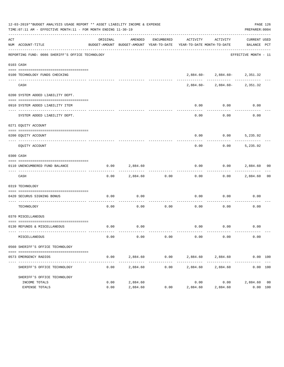| 12-03-2019**BUDGET ANALYSIS USAGE REPORT ** ASSET LIABILITY INCOME & EXPENSE<br>TIME:07:11 AM - EFFECTIVE MONTH:11 - FOR MONTH ENDING 11-30-19<br>PREPARER: 0004 |                                                                |              |                      |                     |                                                                                 |                                  |                         |  |  |  |
|------------------------------------------------------------------------------------------------------------------------------------------------------------------|----------------------------------------------------------------|--------------|----------------------|---------------------|---------------------------------------------------------------------------------|----------------------------------|-------------------------|--|--|--|
| ACT                                                                                                                                                              | NUM ACCOUNT-TITLE                                              | ORIGINAL     | AMENDED              | ENCUMBERED          | BUDGET-AMOUNT BUDGET-AMOUNT YEAR-TO-DATE YEAR-TO-DATE MONTH-TO-DATE BALANCE PCT | ACTIVITY ACTIVITY                | CURRENT USED            |  |  |  |
|                                                                                                                                                                  | REPORTING FUND: 0086 SHERIFF'S OFFICE TECHNOLOGY               |              |                      |                     |                                                                                 |                                  | EFFECTIVE MONTH - 11    |  |  |  |
|                                                                                                                                                                  | 0103 CASH                                                      |              |                      |                     |                                                                                 |                                  |                         |  |  |  |
|                                                                                                                                                                  | 0100 TECHNOLOGY FUNDS CHECKING                                 |              |                      |                     |                                                                                 | $2,884.60 - 2,884.60 - 2,351.32$ |                         |  |  |  |
|                                                                                                                                                                  | ---- ----<br>CASH                                              |              |                      |                     |                                                                                 | 2,884.60-2,884.60-2,351.32       |                         |  |  |  |
|                                                                                                                                                                  | 0200 SYSTEM ADDED LIABILITY DEPT.                              |              |                      |                     |                                                                                 |                                  |                         |  |  |  |
|                                                                                                                                                                  | 0910 SYSTEM ADDED LIABILITY ITEM                               |              |                      |                     | 0.00                                                                            | 0.00                             | 0.00                    |  |  |  |
|                                                                                                                                                                  | SYSTEM ADDED LIABILITY DEPT.                                   |              |                      |                     | ----------<br>0.00                                                              | -----------<br>0.00              | -----------<br>0.00     |  |  |  |
|                                                                                                                                                                  | 0271 EQUITY ACCOUNT                                            |              |                      |                     |                                                                                 |                                  |                         |  |  |  |
|                                                                                                                                                                  | 0200 EOUITY ACCOUNT                                            |              |                      |                     |                                                                                 | $0.00$ $0.00$ $5,235.92$         |                         |  |  |  |
|                                                                                                                                                                  | EQUITY ACCOUNT                                                 |              |                      |                     | 0.00                                                                            |                                  | $0.00$ 5,235.92         |  |  |  |
|                                                                                                                                                                  | 0300 CASH                                                      |              |                      |                     |                                                                                 |                                  |                         |  |  |  |
|                                                                                                                                                                  | 0110 UNENCUMBERED FUND BALANCE                                 | 0.00         | 2,884.60             |                     | 0.00                                                                            | $0.00$ 2,884.60 00               |                         |  |  |  |
|                                                                                                                                                                  | CASH                                                           | 0.00         |                      | 2,884.60 0.00       | ---------<br>0.00                                                               | ----------                       | $0.00$ 2,884.60 00      |  |  |  |
|                                                                                                                                                                  | 0319 TECHNOLOGY                                                |              |                      |                     |                                                                                 |                                  |                         |  |  |  |
|                                                                                                                                                                  | 0420 SECURUS SIGNING BONUS                                     | 0.00         | 0.00                 |                     | 0.00                                                                            | 0.00                             | 0.00                    |  |  |  |
|                                                                                                                                                                  | ----------------------- ------<br>TECHNOLOGY                   | 0.00         |                      |                     | $0.00$ $0.00$ $0.00$ $0.00$ $0.00$                                              |                                  | 0.00                    |  |  |  |
|                                                                                                                                                                  | 0370 MISCELLANEOUS                                             |              |                      |                     |                                                                                 |                                  |                         |  |  |  |
|                                                                                                                                                                  | 0130 REFUNDS & MISCELLANEOUS                                   |              | $0.00$ 0.00          |                     |                                                                                 | $0.00$ 0.00                      | 0.00                    |  |  |  |
|                                                                                                                                                                  | MISCELLANEOUS                                                  | 0.00         | 0.00                 | 0.00                | 0.00                                                                            | 0.00                             | 0.00                    |  |  |  |
|                                                                                                                                                                  | 0560 SHERIFF'S OFFICE TECHNOLOGY                               |              |                      |                     |                                                                                 |                                  |                         |  |  |  |
|                                                                                                                                                                  | 0573 EMERGENCY RADIOS                                          | 0.00         | 2,884.60             | 0.00                | 2,884.60                                                                        | 2,884.60                         | 0.00 100                |  |  |  |
|                                                                                                                                                                  | SHERIFF'S OFFICE TECHNOLOGY                                    | 0.00         | 2,884.60             | -----------<br>0.00 | ------------<br>2,884.60                                                        | -----------<br>2,884.60          | 0.00 100                |  |  |  |
|                                                                                                                                                                  | SHERIFF'S OFFICE TECHNOLOGY<br>INCOME TOTALS<br>EXPENSE TOTALS | 0.00<br>0.00 | 2,884.60<br>2,884.60 | 0.00                | 0.00<br>2,884.60                                                                | 0.00<br>2,884.60                 | 2,884.60 00<br>0.00 100 |  |  |  |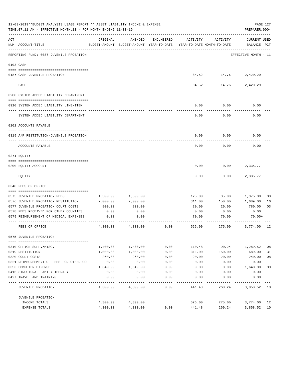| 12-03-2019**BUDGET ANALYSIS USAGE REPORT ** ASSET LIABILITY INCOME & EXPENSE<br>PAGE 127<br>TIME: 07:11 AM - EFFECTIVE MONTH: 11 - FOR MONTH ENDING 11-30-19<br>PREPARER: 0004 |                                         |          |                                                                                |                   |          |          |                                    |                |  |  |
|--------------------------------------------------------------------------------------------------------------------------------------------------------------------------------|-----------------------------------------|----------|--------------------------------------------------------------------------------|-------------------|----------|----------|------------------------------------|----------------|--|--|
| ACT                                                                                                                                                                            | NUM ACCOUNT-TITLE                       | ORIGINAL | AMENDED<br>BUDGET-AMOUNT BUDGET-AMOUNT YEAR-TO-DATE YEAR-TO-DATE MONTH-TO-DATE | ENCUMBERED        | ACTIVITY | ACTIVITY | <b>CURRENT USED</b><br>BALANCE PCT |                |  |  |
|                                                                                                                                                                                | REPORTING FUND: 0087 JUVENILE PROBATION |          |                                                                                |                   |          |          | EFFECTIVE MONTH - 11               |                |  |  |
|                                                                                                                                                                                | 0103 CASH                               |          |                                                                                |                   |          |          |                                    |                |  |  |
|                                                                                                                                                                                |                                         |          |                                                                                |                   |          |          |                                    |                |  |  |
|                                                                                                                                                                                | 0187 CASH-JUVENILE PROBATION            |          |                                                                                |                   | 84.52    | 14.76    | 2,420.29                           |                |  |  |
|                                                                                                                                                                                | CASH                                    |          |                                                                                |                   | 84.52    | 14.76    | 2,420.29                           |                |  |  |
|                                                                                                                                                                                | 0200 SYSTEM ADDED LIABILITY DEPARTMENT  |          |                                                                                |                   |          |          |                                    |                |  |  |
|                                                                                                                                                                                |                                         |          |                                                                                |                   |          |          |                                    |                |  |  |
|                                                                                                                                                                                | 0910 SYSTEM ADDED LIABILITY LINE-ITEM   |          |                                                                                |                   | 0.00     | 0.00     | 0.00                               |                |  |  |
|                                                                                                                                                                                | SYSTEM ADDED LIABILITY DEPARTMENT       |          |                                                                                |                   | 0.00     | 0.00     | 0.00                               |                |  |  |
|                                                                                                                                                                                | 0202 ACCOUNTS PAYABLE                   |          |                                                                                |                   |          |          |                                    |                |  |  |
|                                                                                                                                                                                |                                         |          |                                                                                |                   |          |          |                                    |                |  |  |
|                                                                                                                                                                                | 0319 A/P RESTITUTION-JUVENILE PROBATION |          |                                                                                |                   | 0.00     | 0.00     | 0.00                               |                |  |  |
|                                                                                                                                                                                | ACCOUNTS PAYABLE                        |          |                                                                                |                   | 0.00     | 0.00     | 0.00                               |                |  |  |
|                                                                                                                                                                                | 0271 EQUITY                             |          |                                                                                |                   |          |          |                                    |                |  |  |
|                                                                                                                                                                                |                                         |          |                                                                                |                   |          |          |                                    |                |  |  |
|                                                                                                                                                                                | 0200 EQUITY ACCOUNT                     |          |                                                                                |                   | 0.00     | 0.00     | 2,335.77                           |                |  |  |
|                                                                                                                                                                                | EQUITY                                  |          |                                                                                |                   | 0.00     | 0.00     | 2,335.77                           |                |  |  |
|                                                                                                                                                                                | 0340 FEES OF OFFICE                     |          |                                                                                |                   |          |          |                                    |                |  |  |
|                                                                                                                                                                                |                                         |          |                                                                                |                   |          |          |                                    |                |  |  |
|                                                                                                                                                                                | 0575 JUVENILE PROBATION FEES            | 1,500.00 | 1,500.00                                                                       |                   | 125.00   | 35.00    | 1,375.00                           | 08             |  |  |
|                                                                                                                                                                                | 0576 JUVENILE PROBATION RESTITUTION     | 2,000.00 | 2,000.00                                                                       |                   | 311.00   | 150.00   | 1,689.00                           | 16             |  |  |
|                                                                                                                                                                                | 0577 JUVENILE PROBATION COURT COSTS     | 800.00   | 800.00                                                                         |                   | 20.00    | 20.00    | 780.00                             | 03             |  |  |
|                                                                                                                                                                                | 0578 FEES RECEIVED FOR OTHER COUNTIES   | 0.00     | 0.00                                                                           |                   | 0.00     | 0.00     | 0.00                               |                |  |  |
|                                                                                                                                                                                | 0579 REIMBURSEMENT OF MEDICAL EXPENSES  | 0.00     | 0.00                                                                           |                   | 70.00    | 70.00    | $70.00+$                           |                |  |  |
|                                                                                                                                                                                | FEES OF OFFICE                          | 4,300.00 | 4,300.00                                                                       | 0.00              | 526.00   | 275.00   | 3,774.00                           | 12             |  |  |
|                                                                                                                                                                                | 0575 JUVENILE PROBATION                 |          |                                                                                |                   |          |          |                                    |                |  |  |
|                                                                                                                                                                                | 0310 OFFICE SUPP./MISC.                 | 1,400.00 | 1,400.00                                                                       | 0.00              | 110.48   | 90.24    | 1,289.52                           | 08             |  |  |
|                                                                                                                                                                                | 0319 RESTITUTION                        | 1,000.00 | 1,000.00                                                                       | 0.00              | 311.00   | 150.00   | 689.00                             | 31             |  |  |
|                                                                                                                                                                                | 0320 COURT COSTS                        | 260.00   | 260.00                                                                         | 0.00              | 20.00    | 20.00    | 240.00                             | 08             |  |  |
|                                                                                                                                                                                | 0321 REIMBURSEMENT OF FEES FOR OTHER CO | 0.00     | 0.00                                                                           | 0.00              | 0.00     | 0.00     | 0.00                               |                |  |  |
|                                                                                                                                                                                | 0353 COMPUTER EXPENSE                   | 1,640.00 | 1,640.00                                                                       | 0.00              | 0.00     | 0.00     | 1,640.00                           | 0 <sub>0</sub> |  |  |
|                                                                                                                                                                                | 0416 STRUCTURAL FAMILY THERAPY          | 0.00     | 0.00                                                                           | 0.00              | 0.00     | 0.00     | 0.00                               |                |  |  |
|                                                                                                                                                                                | 0427 TRAVEL AND TRAINING                | 0.00     | 0.00                                                                           | 0.00              | 0.00     | 0.00     | 0.00                               |                |  |  |
|                                                                                                                                                                                | <b>JUVENILE PROBATION</b>               | 4,300.00 | 4,300.00                                                                       | $- - - -$<br>0.00 | 441.48   | 260.24   | 3,858.52 10                        |                |  |  |
|                                                                                                                                                                                | JUVENILE PROBATION                      |          |                                                                                |                   |          |          |                                    |                |  |  |
|                                                                                                                                                                                | INCOME TOTALS                           | 4,300.00 | 4,300.00                                                                       |                   | 526.00   | 275.00   | 3,774.00                           | 12             |  |  |
|                                                                                                                                                                                | <b>EXPENSE TOTALS</b>                   | 4,300.00 | 4,300.00                                                                       | 0.00              | 441.48   | 260.24   | 3,858.52                           | 10             |  |  |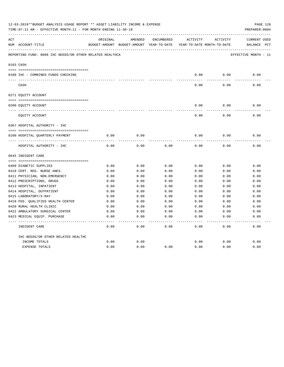| 12-03-2019**BUDGET ANALYSIS USAGE REPORT ** ASSET LIABILITY INCOME & EXPENSE<br>PAGE 128<br>TIME: 07:11 AM - EFFECTIVE MONTH: 11 - FOR MONTH ENDING 11-30-19<br>PREPARER: 0004 |                                                          |          |                                                     |            |          |                                        |                                       |  |  |
|--------------------------------------------------------------------------------------------------------------------------------------------------------------------------------|----------------------------------------------------------|----------|-----------------------------------------------------|------------|----------|----------------------------------------|---------------------------------------|--|--|
| ACT                                                                                                                                                                            | NUM ACCOUNT-TITLE                                        | ORIGINAL | AMENDED<br>BUDGET-AMOUNT BUDGET-AMOUNT YEAR-TO-DATE | ENCUMBERED | ACTIVITY | ACTIVITY<br>YEAR-TO-DATE MONTH-TO-DATE | <b>CURRENT USED</b><br>PCT<br>BALANCE |  |  |
|                                                                                                                                                                                | REPORTING FUND: 0088 IHC NEEDS/OR OTHER RELATED HEALTHCA |          |                                                     |            |          |                                        | EFFECTIVE MONTH - 11                  |  |  |
|                                                                                                                                                                                | 0103 CASH                                                |          |                                                     |            |          |                                        |                                       |  |  |
|                                                                                                                                                                                | 0100 IHC - COMBINED FUNDS CHECKING                       |          |                                                     |            | 0.00     | 0.00                                   | 0.00                                  |  |  |
|                                                                                                                                                                                | CASH                                                     |          |                                                     |            | 0.00     | 0.00                                   | 0.00                                  |  |  |
|                                                                                                                                                                                | 0271 EQUITY ACCOUNT                                      |          |                                                     |            |          |                                        |                                       |  |  |
|                                                                                                                                                                                | 0200 EQUITY ACCOUNT                                      |          |                                                     |            | 0.00     | 0.00                                   | 0.00                                  |  |  |
|                                                                                                                                                                                | ---- ---------------<br>EQUITY ACCOUNT                   |          |                                                     |            | 0.00     | 0.00                                   | 0.00                                  |  |  |
|                                                                                                                                                                                | 0367 HOSPITAL AUTHORITY - IHC                            |          |                                                     |            |          |                                        |                                       |  |  |
|                                                                                                                                                                                | 0100 HOSPITAL OUARTERLY PAYMENT                          | 0.00     | 0.00                                                |            | 0.00     | 0.00                                   | 0.00                                  |  |  |
|                                                                                                                                                                                | ----------------------------------                       |          |                                                     |            |          |                                        |                                       |  |  |
|                                                                                                                                                                                | HOSPITAL AUTHORITY - IHC                                 | 0.00     | 0.00                                                | 0.00       | 0.00     | 0.00                                   | 0.00                                  |  |  |
|                                                                                                                                                                                | 0645 INDIGENT CARE                                       |          |                                                     |            |          |                                        |                                       |  |  |
|                                                                                                                                                                                |                                                          |          |                                                     |            |          |                                        |                                       |  |  |
|                                                                                                                                                                                | 0409 DIABETIC SUPPLIES                                   | 0.00     | 0.00                                                | 0.00       | 0.00     | 0.00                                   | 0.00                                  |  |  |
|                                                                                                                                                                                | 0410 CERT. REG. NURSE ANES.                              | 0.00     | 0.00                                                | 0.00       | 0.00     | 0.00                                   | 0.00                                  |  |  |
|                                                                                                                                                                                | 0411 PHYSICIAN, NON-EMERGENCY                            | 0.00     | 0.00                                                | 0.00       | 0.00     | 0.00                                   | 0.00                                  |  |  |
|                                                                                                                                                                                | 0412 PRESCRIPTIONS, DRUGS                                | 0.00     | 0.00                                                | 0.00       | 0.00     | 0.00                                   | 0.00                                  |  |  |
|                                                                                                                                                                                | 0413 HOSPITAL, INPATIENT                                 | 0.00     | 0.00                                                | 0.00       | 0.00     | 0.00                                   | 0.00                                  |  |  |
|                                                                                                                                                                                | 0414 HOSPITAL, OUTPATIENT                                | 0.00     | 0.00                                                | 0.00       | 0.00     | 0.00                                   | 0.00                                  |  |  |
|                                                                                                                                                                                | 0415 LABORATORY/X-RAY                                    | 0.00     | 0.00                                                | 0.00       | 0.00     | 0.00                                   | 0.00                                  |  |  |
|                                                                                                                                                                                | 0418 FED. QUALIFIED HEALTH CENTER                        | 0.00     | 0.00                                                | 0.00       | 0.00     | 0.00                                   | 0.00                                  |  |  |
|                                                                                                                                                                                | 0420 RURAL HEALTH CLINIC                                 | 0.00     | 0.00                                                | 0.00       | 0.00     | 0.00                                   | 0.00                                  |  |  |
|                                                                                                                                                                                | 0422 AMBULATORY SURGICAL CENTER                          | 0.00     | 0.00                                                | 0.00       | 0.00     | 0.00                                   | 0.00                                  |  |  |
|                                                                                                                                                                                | 0423 MEDICAL EQUIP. PURCHASE                             | 0.00     | 0.00                                                | 0.00       | 0.00     | 0.00                                   | 0.00                                  |  |  |
|                                                                                                                                                                                | INDIGENT CARE                                            | 0.00     | 0.00                                                | 0.00       | 0.00     | 0.00                                   | 0.00                                  |  |  |
|                                                                                                                                                                                | IHC NEEDS/OR OTHER RELATED HEALTHC                       |          |                                                     |            |          |                                        |                                       |  |  |
|                                                                                                                                                                                | INCOME TOTALS                                            | 0.00     | 0.00                                                |            | 0.00     | 0.00                                   | 0.00                                  |  |  |
|                                                                                                                                                                                | <b>EXPENSE TOTALS</b>                                    | 0.00     | 0.00                                                | 0.00       | 0.00     | 0.00                                   | 0.00                                  |  |  |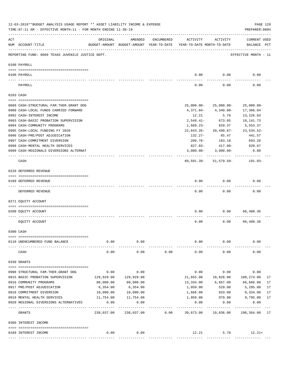|     | 12-03-2019**BUDGET ANALYSIS USAGE REPORT ** ASSET LIABILITY INCOME & EXPENSE<br>TIME: 07:11 AM - EFFECTIVE MONTH: 11 - FOR MONTH ENDING 11-30-19 |                    |            |            |                                                                                 |                           |                                    |    |  |  |  |
|-----|--------------------------------------------------------------------------------------------------------------------------------------------------|--------------------|------------|------------|---------------------------------------------------------------------------------|---------------------------|------------------------------------|----|--|--|--|
| ACT | NUM ACCOUNT-TITLE                                                                                                                                | ORIGINAL           | AMENDED    | ENCUMBERED | ACTIVITY<br>BUDGET-AMOUNT BUDGET-AMOUNT YEAR-TO-DATE YEAR-TO-DATE MONTH-TO-DATE | ACTIVITY                  | <b>CURRENT USED</b><br>BALANCE PCT |    |  |  |  |
|     | REPORTING FUND: 0089 TEXAS JUVENILE JUSTICE DEPT.                                                                                                |                    |            |            |                                                                                 |                           | EFFECTIVE MONTH - 11               |    |  |  |  |
|     | 0100 PAYROLL                                                                                                                                     |                    |            |            |                                                                                 |                           |                                    |    |  |  |  |
|     |                                                                                                                                                  |                    |            |            |                                                                                 |                           |                                    |    |  |  |  |
|     | 0100 PAYROLL<br>---- ----<br>-------------------------- -------                                                                                  |                    |            |            | 0.00                                                                            | 0.00                      | 0.00                               |    |  |  |  |
|     | PAYROLL                                                                                                                                          |                    |            |            | 0.00                                                                            | 0.00                      | 0.00                               |    |  |  |  |
|     | 0103 CASH                                                                                                                                        |                    |            |            |                                                                                 |                           |                                    |    |  |  |  |
|     | 0689 CASH-STRUCTURAL FAM. THER. GRANT OOG                                                                                                        |                    |            |            |                                                                                 | $25,000.00 - 25,000.00 -$ | $25,000.00-$                       |    |  |  |  |
|     | 0988 CASH-LOCAL FUNDS CARRIED FORWARD                                                                                                            |                    |            |            | 4,371.84-                                                                       | 4,340.00-                 | 17,366.04                          |    |  |  |  |
|     | 0992 CASH-INTEREST INCOME                                                                                                                        |                    |            |            | 12.21                                                                           | 5.78                      | 13,226.83                          |    |  |  |  |
|     | 0993 CASH-BASIC PROBATION SUPERVISION                                                                                                            |                    |            |            | $2,549.41-$                                                                     | 673.65                    | 10,141.73                          |    |  |  |  |
|     | 0994 CASH-COMMUNITY PROGRAMS                                                                                                                     |                    |            |            | $1,669.23-$                                                                     | 829.37                    | 5,553.37                           |    |  |  |  |
|     | 0995 CASH-LOCAL FUNDING FY 2020                                                                                                                  |                    |            |            | $22,843.26-$                                                                    | $20,499.87-$              | $23,534.52-$                       |    |  |  |  |
|     | 0996 CASH-PRE/POST ADJUDICATION                                                                                                                  |                    |            |            | 132.27-                                                                         | 65.47                     | 441.57                             |    |  |  |  |
|     | 0997 CASH-COMMITMENT DIVERSION                                                                                                                   |                    |            |            | $209.76 -$                                                                      | 103.18                    | 693.28                             |    |  |  |  |
|     | 0998 CASH-MENTAL HEALTH SERVICES                                                                                                                 |                    |            |            | 827.83-                                                                         | 417.08-                   | 920.67                             |    |  |  |  |
|     | 0999 CASH-REGIONALS DIVERSIONS ALTERNAT                                                                                                          |                    |            |            | 3,000.00-                                                                       | 3,000.00-                 | 0.00                               |    |  |  |  |
|     |                                                                                                                                                  |                    |            |            | ----------                                                                      | ------------              |                                    |    |  |  |  |
|     | CASH                                                                                                                                             |                    |            |            |                                                                                 | $60,591.39 - 51,579.50 -$ | 191.03-                            |    |  |  |  |
|     | 0220 DEFERRED REVENUE                                                                                                                            |                    |            |            |                                                                                 |                           |                                    |    |  |  |  |
|     |                                                                                                                                                  |                    |            |            | 0.00                                                                            | 0.00                      | 0.00                               |    |  |  |  |
|     | 0189 DEFERRED REVENUE                                                                                                                            |                    |            |            |                                                                                 |                           |                                    |    |  |  |  |
|     | DEFERRED REVENUE                                                                                                                                 |                    |            |            | 0.00                                                                            | 0.00                      | 0.00                               |    |  |  |  |
|     | 0271 EQUITY ACCOUNT                                                                                                                              |                    |            |            |                                                                                 |                           |                                    |    |  |  |  |
|     | 0200 EQUITY ACCOUNT                                                                                                                              |                    |            |            | 0.00                                                                            | 0.00                      | 60,400.36                          |    |  |  |  |
|     | EQUITY ACCOUNT                                                                                                                                   |                    |            |            | 0.00                                                                            | 0.00                      | 60,400.36                          |    |  |  |  |
|     | 0300 CASH                                                                                                                                        |                    |            |            |                                                                                 |                           |                                    |    |  |  |  |
|     |                                                                                                                                                  |                    |            |            |                                                                                 |                           |                                    |    |  |  |  |
|     | 0110 UNENCUMBERED FUND BALANCE                                                                                                                   | 0.00               | 0.00       |            | 0.00                                                                            | 0.00                      | 0.00                               |    |  |  |  |
|     | CASH                                                                                                                                             | 0.00               | 0.00       | 0.00       | 0.00                                                                            | 0.00                      | 0.00                               |    |  |  |  |
|     | 0330 GRANTS                                                                                                                                      |                    |            |            |                                                                                 |                           |                                    |    |  |  |  |
|     |                                                                                                                                                  |                    |            |            |                                                                                 |                           |                                    |    |  |  |  |
|     | 0908 STRUCTURAL FAM. THER. GRANT OOG                                                                                                             | 0.00               | 0.00       |            | 0.00                                                                            | 0.00                      | 0.00                               |    |  |  |  |
|     | 0915 BASIC PROBATION SUPERVISION                                                                                                                 | 129,929.00         | 129,929.00 |            | 21,655.00                                                                       | 10,828.00                 | 108,274.00                         | 17 |  |  |  |
|     | 0916 COMMUNITY PROGRAMS                                                                                                                          | 80,000.00          | 80,000.00  |            | 13,334.00                                                                       | 6,667.00                  | 66,666.00                          | 17 |  |  |  |
|     | 0917 PRE/POST ADJUDICATION                                                                                                                       | 6,354.00           | 6,354.00   |            | 1,059.00                                                                        | 529.00                    | 5,295.00                           | 17 |  |  |  |
|     | 0918 COMMITMENT DIVERSION                                                                                                                        | 10,000.00          | 10,000.00  |            | 1,666.00                                                                        | 833.00 8,334.00           |                                    | 17 |  |  |  |
|     | 0919 MENTAL HEALTH SERVICES                                                                                                                      | 11,754.00          | 11,754.00  |            | 1,959.00                                                                        | 979.00 9,795.00           |                                    | 17 |  |  |  |
|     | 0920 REGIONAL DIVERSIONS ALTERNATIVES                                                                                                            | 0.00<br>---------- | 0.00       |            | 0.00                                                                            | 0.00<br>. <u>.</u>        | 0.00<br>----------                 |    |  |  |  |
|     | GRANTS                                                                                                                                           | 238,037.00         | 238,037.00 | 0.00       | 39,673.00                                                                       | 19,836.00                 | 198,364.00 17                      |    |  |  |  |
|     | 0360 INTEREST INCOME                                                                                                                             |                    |            |            |                                                                                 |                           |                                    |    |  |  |  |
|     |                                                                                                                                                  |                    |            |            |                                                                                 |                           |                                    |    |  |  |  |
|     | 0189 INTEREST INCOME                                                                                                                             | 0.00               | 0.00       |            | 12.21                                                                           | 5.78                      | $12.21+$                           |    |  |  |  |
|     |                                                                                                                                                  |                    |            |            |                                                                                 |                           |                                    |    |  |  |  |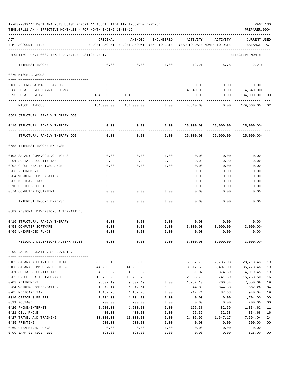TIME:07:11 AM - EFFECTIVE MONTH:11 - FOR MONTH ENDING 11-30-19 PREPARER:0004

| ACT |                                                   | ORIGINAL       | AMENDED                                                             | ENCUMBERED   | ACTIVITY     | ACTIVITY     | <b>CURRENT USED</b>  |                |
|-----|---------------------------------------------------|----------------|---------------------------------------------------------------------|--------------|--------------|--------------|----------------------|----------------|
|     | NUM ACCOUNT-TITLE                                 |                | BUDGET-AMOUNT BUDGET-AMOUNT YEAR-TO-DATE YEAR-TO-DATE MONTH-TO-DATE |              |              |              | BALANCE              | PCT            |
|     |                                                   |                |                                                                     |              |              |              |                      |                |
|     | REPORTING FUND: 0089 TEXAS JUVENILE JUSTICE DEPT. |                |                                                                     |              |              |              | EFFECTIVE MONTH - 11 |                |
|     | INTEREST INCOME                                   | 0.00           | 0.00                                                                | 0.00         | 12.21        | 5.78         | $12.21+$             |                |
|     | 0370 MISCELLANEOUS                                |                |                                                                     |              |              |              |                      |                |
|     |                                                   |                |                                                                     |              |              |              |                      |                |
|     | 0130 REFUNDS & MISCELLANEOUS                      | 0.00           | 0.00                                                                |              | 0.00         | 0.00         | 0.00                 |                |
|     | 0988 LOCAL FUNDS CARRIED FORWARD                  | 0.00           | 0.00                                                                |              | 4,340.00     | 0.00         | 4,340.00+            |                |
|     | 0995 LOCAL FUNDING                                | 184,000.00     | 184,000.00                                                          |              | 0.00         | 0.00         | 184,000.00           | 00             |
|     | MISCELLANEOUS                                     | 184,000.00     | 184,000.00                                                          | 0.00         | 4,340.00     | 0.00         | 179,660.00 02        |                |
|     | 0581 STRUCTURAL FAMILY THERAPY OOG                |                |                                                                     |              |              |              |                      |                |
|     | 0416 STRUCTURAL FAMILY THERAPY                    | 0.00           | 0.00                                                                | 0.00         | 25,000.00    | 25,000.00    | $25,000.00-$         |                |
|     | STRUCTURAL FAMILY THERAPY OOG                     | 0.00           | 0.00                                                                | 0.00         | 25,000.00    | 25,000.00    | $25,000.00 -$        |                |
|     | 0588 INTEREST INCOME EXPENSE                      |                |                                                                     |              |              |              |                      |                |
|     | 0103 SALARY COMM.CORR.OFFICERS                    | 0.00           | 0.00                                                                | 0.00         | 0.00         | 0.00         | 0.00                 |                |
|     | 0201 SOCIAL SECURITY TAX                          | 0.00           | 0.00                                                                | 0.00         | 0.00         | 0.00         | 0.00                 |                |
|     | 0202 GROUP HEALTH INSURANCE                       | 0.00           | 0.00                                                                | 0.00         | 0.00         | 0.00         | 0.00                 |                |
|     | 0203 RETIREMENT                                   | 0.00           | 0.00                                                                | 0.00         | 0.00         | 0.00         | 0.00                 |                |
|     | 0204 WORKERS COMPENSATION                         | 0.00           | 0.00                                                                | 0.00         | 0.00         | 0.00         | 0.00                 |                |
|     | 0205 MEDICARE TAX                                 | 0.00           | 0.00                                                                | 0.00         | 0.00         | 0.00         | 0.00                 |                |
|     | 0310 OFFICE SUPPLIES                              | 0.00           | 0.00                                                                | 0.00         | 0.00         | 0.00         | 0.00                 |                |
|     | 0574 COMPUTER EQUIPMENT                           | 0.00           | 0.00                                                                | 0.00         | 0.00         | 0.00         | 0.00                 |                |
|     | INTEREST INCOME EXPENSE                           | 0.00           | 0.00                                                                | 0.00         | 0.00         | 0.00         | 0.00                 |                |
|     | 0589 REGIONAL DIVERSIONS ALTERNATIVES             |                |                                                                     |              |              |              |                      |                |
|     | 0416 STRUCTURAL FAMILY THERAPY                    | 0.00           | 0.00                                                                | 0.00         | 0.00         | 0.00         | 0.00                 |                |
|     | 0453 COMPUTER SOFTWARE                            | 0.00           | 0.00                                                                | 0.00         | 3,000.00     | 3,000.00     | $3,000.00-$          |                |
|     | 0469 UNEXPENDED FUNDS                             | 0.00           | 0.00                                                                | 0.00         | 0.00         | 0.00         | 0.00                 |                |
|     | REGIONAL DIVERSIONS ALTERNATIVES                  | 0.00           | 0.00                                                                | 0.00         | 3,000.00     | 3,000.00     | $3,000.00-$          |                |
|     |                                                   |                |                                                                     |              |              |              |                      |                |
|     | 0590 BASIC PROBATION SUPERVISION                  |                |                                                                     |              |              |              |                      |                |
|     | 0102 SALARY APPOINTED OFFICIAL                    | 35,556.13      | 35,556.13                                                           | 0.00         | 6,837.70     | 2,735.08     | 28,718.43            | 19             |
|     | 0103 SALARY COMM.CORR.OFFICERS                    | 44,290.98      | 44,290.98                                                           | 0.00         | 8,517.50     | 3,407.00     | 35,773.48            | 19             |
|     | 0201 SOCIAL SECURITY TAX                          | 4,950.52       | 4,950.52                                                            | 0.00         | 931.07       | 374.69       | 4,019.45             | 19             |
|     | 0202 GROUP HEALTH INSURANCE                       | 18,730.26      | 18,730.26                                                           | 0.00         | 2,966.76     | 741.69       | 15,763.50            | 16             |
|     | 0203 RETIREMENT                                   | 9,302.19       | 9,302.19                                                            | 0.00         | 1,752.10     | 700.84       | 7,550.09             | 19             |
|     | 0204 WORKERS COMPENSATION                         | 1,012.14       | 1,012.14                                                            | 0.00         | 344.88       | 344.88       | 667.26               | 34             |
|     | 0205 MEDICARE TAX                                 | 1,157.78       | 1,157.78                                                            | 0.00         | 217.74       | 87.63        | 940.04               | 19             |
|     | 0310 OFFICE SUPPLIES                              | 1,704.00       | 1,704.00                                                            | 0.00         | 0.00         | 0.00         | 1,704.00             | 0 <sub>0</sub> |
|     | 0311 POSTAGE                                      | 200.00         | 200.00                                                              | 0.00         | 0.00         | 0.00         | 200.00               | 0 <sub>0</sub> |
|     | 0420 PHONE/INTERNET                               | 1,500.00       | 1,500.00                                                            | 0.00         | 165.38       | 82.69        | 1,334.62             | 11             |
|     | 0421 CELL PHONE                                   | 400.00         | 400.00                                                              | 0.00         | 65.32        | 32.68        | 334.68               | 16             |
|     | 0427 TRAVEL AND TRAINING                          | 10,000.00      | 10,000.00                                                           | 0.00         | 2,405.96     | 1,647.17     | 7,594.04             | 24             |
|     | 0435 PRINTING                                     | 600.00         | 600.00                                                              | 0.00         | 0.00         | 0.00         | 600.00               | 00             |
|     | 0469 UNEXPENDED FUNDS<br>0499 BANK SERVICE FEES   | 0.00<br>525.00 | 0.00<br>525.00                                                      | 0.00<br>0.00 | 0.00<br>0.00 | 0.00<br>0.00 | 0.00<br>525.00       | 00             |
|     |                                                   |                |                                                                     |              |              |              |                      |                |

---- ---------------------------------- ------------- ------------- ------------ ------------- ------------ ------------- ---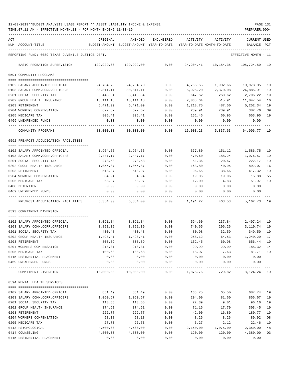TIME:07:11 AM - EFFECTIVE MONTH:11 - FOR MONTH ENDING 11-30-19 PREPARER:0004

| ACT |                                                            | ORIGINAL           | AMENDED                    | <b>ENCUMBERED</b>   | ACTIVITY           | ACTIVITY                   | <b>CURRENT USED</b>   |          |
|-----|------------------------------------------------------------|--------------------|----------------------------|---------------------|--------------------|----------------------------|-----------------------|----------|
|     | NUM ACCOUNT-TITLE                                          | BUDGET-AMOUNT      | BUDGET-AMOUNT YEAR-TO-DATE |                     |                    | YEAR-TO-DATE MONTH-TO-DATE | BALANCE               | PCT      |
|     | REPORTING FUND: 0089 TEXAS JUVENILE JUSTICE DEPT.          |                    |                            |                     |                    |                            | EFFECTIVE MONTH - 11  |          |
|     | BASIC PROBATION SUPERVISION                                | 129,929.00         | 129,929.00                 | 0.00                | 24,204.41          | 10,154.35                  | 105,724.59 19         |          |
|     | 0591 COMMUNITY PROGRAMS                                    |                    |                            |                     |                    |                            |                       |          |
|     |                                                            |                    |                            |                     |                    |                            |                       |          |
|     | 0102 SALARY APPOINTED OFFICIAL                             | 24,734.70          | 24,734.70                  | 0.00                | 4,756.65           | 1,902.66                   | 19,978.05             | 19       |
|     | 0103 SALARY COMM.CORR.OFFICERS                             | 30,811.11          | 30,811.11                  | 0.00                | 5,925.20           | 2,370.08                   | 24,885.91             | 19       |
|     | 0201 SOCIAL SECURITY TAX                                   | 3,443.84           | 3,443.84                   | 0.00                | 647.62             | 260.62                     | 2,796.22              | 19       |
|     | 0202 GROUP HEALTH INSURANCE<br>0203 RETIREMENT             | 13,111.18          | 13,111.18                  | 0.00<br>0.00        | 2,063.64           | 515.91                     | 11,047.54<br>5,252.34 | 16<br>19 |
|     | 0204 WORKERS COMPENSATION                                  | 6,471.09<br>622.67 | 6,471.09<br>622.67         | 0.00                | 1,218.75<br>239.91 | 487.50<br>239.91           | 382.76                | 39       |
|     | 0205 MEDICARE TAX                                          | 805.41             | 805.41                     | 0.00                | 151.46             | 60.95                      | 653.95                | 19       |
|     | 0469 UNEXPENDED FUNDS                                      | 0.00               | 0.00                       | 0.00                | 0.00               | 0.00                       | 0.00                  |          |
|     |                                                            |                    |                            |                     |                    |                            |                       |          |
|     | COMMUNITY PROGRAMS                                         | 80,000.00          | 80,000.00                  | 0.00                | 15,003.23          | 5,837.63                   | 64,996.77             | 19       |
|     | 0592 PRE/POST ADJUDICATION FACILITIES                      |                    |                            |                     |                    |                            |                       |          |
|     | 0102 SALARY APPOINTED OFFICIAL                             | 1,964.55           | 1,964.55                   | 0.00                | 377.80             | 151.12                     | 1,586.75              | 19       |
|     | 0103 SALARY COMM.CORR.OFFICERS                             | 2,447.17           | 2,447.17                   | 0.00                | 470.60             | 188.24                     | 1,976.57              | 19       |
|     | 0201 SOCIAL SECURITY TAX                                   | 273.53             | 273.53                     | 0.00                | 51.36              | 20.67                      | 222.17                | 19       |
|     | 0202 GROUP HEALTH INSURANCE                                | 1,055.87           | 1,055.87                   | 0.00                | 163.80             | 40.95                      | 892.07                | 16       |
|     | 0203 RETIREMENT                                            | 513.97             | 513.97                     | 0.00                | 96.65              | 38.66                      | 417.32                | 19       |
|     | 0204 WORKERS COMPENSATION                                  | 34.94              | 34.94                      | 0.00                | 19.06              | 19.06                      | 15.88                 | 55       |
|     | 0205 MEDICARE TAX                                          | 63.97              | 63.97                      | 0.00                | 12.00              | 4.83                       | 51.97                 | 19       |
|     | 0408 DETENTION                                             | 0.00               | 0.00                       | 0.00                | 0.00               | 0.00                       | 0.00                  |          |
|     | 0469 UNEXPENDED FUNDS                                      | 0.00               | 0.00                       | 0.00                | 0.00               | 0.00                       | 0.00                  |          |
|     | PRE/POST ADJUDICATION FACILITIES                           | 6,354.00           | 6,354.00                   | 0.00                | 1,191.27           | 463.53                     | 5,162.73              | 19       |
|     | 0593 COMMITMENT DIVERSION                                  |                    |                            |                     |                    |                            |                       |          |
|     |                                                            |                    |                            |                     |                    |                            |                       |          |
|     | 0102 SALARY APPOINTED OFFICIAL                             | 3,091.84           | 3,091.84                   | 0.00                | 594.60             | 237.84                     | 2,497.24              | 19       |
|     | 0103 SALARY COMM.CORR.OFFICERS<br>0201 SOCIAL SECURITY TAX | 3,851.39           | 3,851.39                   | 0.00                | 740.65             | 296.26<br>32.59            | 3,110.74              | 19       |
|     | 0202 GROUP HEALTH INSURANCE                                | 430.48<br>1,498.41 | 430.48<br>1,498.41         | 0.00<br>0.00        | 80.98<br>258.12    | 64.53                      | 349.50<br>1,240.29    | 19<br>17 |
|     | 0203 RETIREMENT                                            | 808.89             | 808.89                     | 0.00                | 152.45             | 60.98                      | 656.44                | 19       |
|     | 0204 WORKERS COMPENSATION                                  | 218.31             | 218.31                     | 0.00                | 29.99              | 29.99                      | 188.32                | 14       |
|     | 0205 MEDICARE TAX                                          | 100.68             | 100.68                     | 0.00                | 18.97              | 7.63                       | 81.71                 | 19       |
|     | 0415 RESIDENTIAL PLACEMENT                                 | 0.00               | 0.00                       | 0.00                | 0.00               | 0.00                       | 0.00                  |          |
|     | 0469 UNEXPENDED FUNDS                                      | 0.00               | 0.00                       | 0.00                | 0.00               | 0.00                       | 0.00                  |          |
|     | -------------<br>COMMITMENT DIVERSION                      | 10,000.00          | 10,000.00                  | $- - - - -$<br>0.00 | 1,875.76           | 729.82                     | 8, 124. 24 19         |          |
|     | 0594 MENTAL HEALTH SERVICES                                |                    |                            |                     |                    |                            |                       |          |
|     |                                                            |                    |                            |                     |                    |                            |                       |          |
|     | 0102 SALARY APPOINTED OFFICIAL                             | 851.49             | 851.49                     | 0.00                | 163.75             | 65.50                      | 687.74 19             |          |
|     | 0103 SALARY COMM.CORR.OFFICERS                             | 1,060.67           | 1,060.67                   | 0.00                | 204.00             | 81.60                      | 856.67                | 19       |
|     | 0201 SOCIAL SECURITY TAX                                   | 118.55             | 118.55                     | 0.00                | 22.39              | 9.01                       | 96.16                 | 19       |
|     | 0202 GROUP HEALTH INSURANCE                                | 374.61             | 374.61                     | 0.00                | 71.16              | 17.79                      | 303.45                | 19       |
|     | 0203 RETIREMENT<br>0204 WORKERS COMPENSATION               | 222.77<br>98.18    | 222.77<br>98.18            | 0.00<br>0.00        | 42.00<br>8.26      | 16.80<br>8.26              | 180.77<br>89.92       | 19<br>08 |
|     | 0205 MEDICARE TAX                                          | 27.73              | 27.73                      | 0.00                | 5.27               | 2.12                       | 22.46                 | 19       |
|     | 0413 PSYCHOLOGICAL                                         | 4,500.00           | 4,500.00                   | 0.00                | 2,150.00           | 1,075.00                   | 2,350.00              | 48       |
|     | 0414 COUNSELING                                            | 4,500.00           | 4,500.00                   | 0.00                | 120.00             | 120.00                     | 4,380.00              | 03       |

0415 RESIDENTIAL PLACEMENT 0.00 0.00 0.00 0.00 0.00 0.00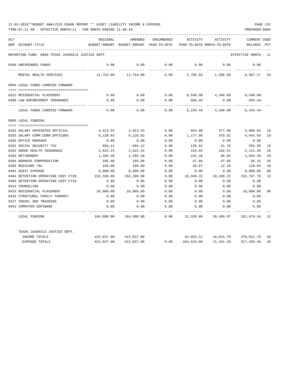| ACT |                                                   | ORIGINAL      | AMENDED       | ENCUMBERED   | ACTIVITY                   | ACTIVITY                         | <b>CURRENT USED</b>  |                |
|-----|---------------------------------------------------|---------------|---------------|--------------|----------------------------|----------------------------------|----------------------|----------------|
|     | NUM ACCOUNT-TITLE                                 | BUDGET-AMOUNT | BUDGET-AMOUNT | YEAR-TO-DATE | YEAR-TO-DATE MONTH-TO-DATE |                                  | BALANCE              | PCT            |
|     | REPORTING FUND: 0089 TEXAS JUVENILE JUSTICE DEPT. |               |               |              |                            |                                  | EFFECTIVE MONTH - 11 |                |
|     | 0469 UNEXPENDED FUNDS                             | 0.00          | 0.00          | 0.00         | 0.00                       | 0.00                             | 0.00                 |                |
|     | MENTAL HEALTH SERVICES                            | 11,754.00     | 11,754.00     | 0.00         | 2,786.83                   | 1,396.08                         | 8,967.17 24          |                |
|     | 0994 LOCAL FUNDS CARRIED FORWARD                  |               |               |              |                            |                                  |                      |                |
|     | 0415 RESIDENTIAL PLACEMENT                        | 0.00          | 0.00          | 0.00         |                            | 8,540.00 4,340.00                | $8.540.00 -$         |                |
|     | 0488 LAW ENFORCEMENT INSURANCE                    | 0.00          | 0.00          | 0.00         | 694.44                     | 0.00                             | 694.44-              |                |
|     | LOCAL FUNDS CARRIED FORWARD                       | 0.00          | 0.00          | 0.00         | 9,234.44                   | 4,340.00                         | $9,234.44-$          |                |
|     | 0995 LOCAL FUNDING                                |               |               |              |                            |                                  |                      |                |
|     |                                                   |               |               |              |                            |                                  |                      |                |
|     | 0102 SALARY APPOINTED OFFICIAL                    | 4,913.55      | 4,913.55      | 0.00         | 944.90                     | 377.96                           | 3,968.65             | 19             |
|     | 0103 SALARY COMM.CORR.OFFICERS                    | 6,120.63      | 6,120.63      | 0.00         | 1,177.05                   | 470.82                           | 4,943.58             | 19             |
|     | 0105 OFFICE MANAGER                               | 0.00          | 0.00          | 0.00         | 0.00                       | 0.00                             | 0.00                 |                |
|     | 0201 SOCIAL SECURITY TAX                          | 684.12        | 684.12        | 0.00         | 128.62                     | 51.76                            | 555.50               | 19             |
|     | 0202 GROUP HEALTH INSURANCE                       | 2,622.24      | 2,622.24      | 0.00         | 410.04                     | 102.51                           | 2,212.20             | 16             |
|     | 0203 RETIREMENT                                   | 1,285.48      | 1,285.48      | 0.00         | 242.10                     | 96.84                            | 1,043.38             | 19             |
|     | 0204 WORKERS COMPENSATION                         | 105.98        | 105.98        | 0.00         | 47.66                      | 47.66                            | 58.32                | 45             |
|     | 0205 MEDICARE TAX                                 | 160.00        | 160.00        | 0.00         | 30.07                      | 12.10                            | 129.93               | 19             |
|     | 0401 AUDIT EXPENSE                                | 6,000.00      | 6,000.00      | 0.00         | 0.00                       | 0.00                             | 6,000.00             | 0 <sup>0</sup> |
|     | 0404 DETENTION OPERATING COST FY20                | 152,108.00    | 152,108.00    | 0.00         | 19,340.22                  | 19,340.22                        | 132,767.78           | 13             |
|     | 0405 DETENTION OPERATING COST FY19                | 0.00          | 0.00          | 0.00         | 0.00                       | 0.00                             | 0.00                 |                |
|     | 0414 COUNSELING                                   | 0.00          | 0.00          | 0.00         | 0.00                       | 0.00                             | 0.00                 |                |
|     | 0415 RESIDENTIAL PLACEMENT                        | 10,000.00     | 10,000.00     | 0.00         | 0.00                       | 0.00                             | 10,000.00            | 00             |
|     | 0416 STRUCTURAL FAMILY THERAPY                    | 0.00          | 0.00          | 0.00         | 0.00                       | 0.00                             | 0.00                 |                |
|     | 0427 TRAVEL AND TRAINING                          | 0.00          | 0.00          | 0.00         | 0.00                       | 0.00                             | 0.00                 |                |
|     | 0453 COMPUTER SOFTWARE                            | 0.00          | 0.00          | 0.00         | 0.00                       | 0.00                             | 0.00                 |                |
|     | LOCAL FUNDING                                     | 184,000.00    | 184,000.00    | 0.00         | 22,320.66                  | 20,499.87                        | 161,679.34 12        |                |
|     | TEXAS JUVENILE JUSTICE DEPT.                      |               |               |              |                            |                                  |                      |                |
|     | INCOME TOTALS                                     | 422,037.00    | 422,037.00    |              |                            | 44,025.21  19,841.78  378,011.79 |                      | 10             |
|     | <b>EXPENSE TOTALS</b>                             | 422,037.00    | 422,037.00    | 0.00         | 104,616.60                 | 71,421.28                        | 317,420.40           | 25             |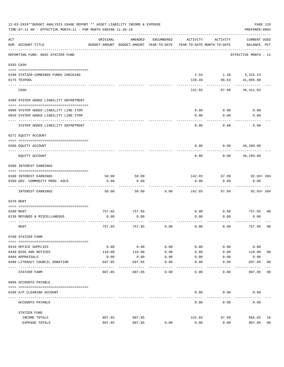|     | 12-03-2019**BUDGET ANALYSIS USAGE REPORT ** ASSET LIABILITY INCOME & EXPENSE<br>PAGE 133<br>TIME: 07:11 AM - EFFECTIVE MONTH: 11 - FOR MONTH ENDING 11-30-19<br>PREPARER: 0004 |                |                                                     |               |                                        |                    |                                    |                |  |
|-----|--------------------------------------------------------------------------------------------------------------------------------------------------------------------------------|----------------|-----------------------------------------------------|---------------|----------------------------------------|--------------------|------------------------------------|----------------|--|
| ACT | NUM ACCOUNT-TITLE                                                                                                                                                              | ORIGINAL       | AMENDED<br>BUDGET-AMOUNT BUDGET-AMOUNT YEAR-TO-DATE | ENCUMBERED    | ACTIVITY<br>YEAR-TO-DATE MONTH-TO-DATE | ACTIVITY           | <b>CURRENT USED</b><br>BALANCE PCT |                |  |
|     | REPORTING FUND: 0092 STATZER FUND                                                                                                                                              |                |                                                     |               |                                        |                    | EFFECTIVE MONTH - 11               |                |  |
|     | 0103 CASH                                                                                                                                                                      |                |                                                     |               |                                        |                    |                                    |                |  |
|     | 0100 STATZER-COMBINED FUNDS CHECKING                                                                                                                                           |                |                                                     |               |                                        | 2.54 1.36 5,315.23 |                                    |                |  |
|     | 0175 TEXPOOL                                                                                                                                                                   |                |                                                     |               | 139.49                                 | 66.63              | 41,095.80                          |                |  |
|     | CASH                                                                                                                                                                           |                |                                                     |               | 142.03                                 | 67.99              | 46,411.03                          |                |  |
|     | 0200 SYSTEM ADDED LIABILITY DEPARTMENT                                                                                                                                         |                |                                                     |               |                                        |                    |                                    |                |  |
|     |                                                                                                                                                                                |                |                                                     |               |                                        |                    |                                    |                |  |
|     | 0900 SYSTEM ADDED LIABILITY LINE-ITEM<br>0910 SYSTEM ADDED LIABILITY LINE-ITEM                                                                                                 |                |                                                     |               | 0.00<br>0.00                           | 0.00<br>0.00       | 0.00<br>0.00                       |                |  |
|     |                                                                                                                                                                                |                |                                                     |               |                                        |                    |                                    |                |  |
|     | SYSTEM ADDED LIABILITY DEPARTMENT                                                                                                                                              |                |                                                     |               | 0.00                                   | 0.00               | 0.00                               |                |  |
|     | 0271 EQUITY ACCOUNT                                                                                                                                                            |                |                                                     |               |                                        |                    |                                    |                |  |
|     | 0200 EQUITY ACCOUNT                                                                                                                                                            |                |                                                     |               | 0.00                                   | 0.00               | 46,269.00                          |                |  |
|     | EQUITY ACCOUNT                                                                                                                                                                 |                |                                                     |               | 0.00                                   | 0.00               | 46,269.00                          |                |  |
|     | 0360 INTEREST EARNINGS                                                                                                                                                         |                |                                                     |               |                                        |                    |                                    |                |  |
|     | 0100 INTEREST EARNINGS                                                                                                                                                         | 50.00          | 50.00                                               |               | 142.03                                 | 67.99              | $92.03 + 284$                      |                |  |
|     | 0350 GOV. COMMODITY PROG. ASCS                                                                                                                                                 | 0.00           | 0.00                                                |               | 0.00                                   | 0.00               | 0.00                               |                |  |
|     | INTEREST EARNINGS                                                                                                                                                              | 50.00          | 50.00                                               | 0.00          | 142.03                                 | 67.99              | $92.03 + 284$                      |                |  |
|     | 0370 RENT                                                                                                                                                                      |                |                                                     |               |                                        |                    |                                    |                |  |
|     |                                                                                                                                                                                |                |                                                     |               |                                        |                    |                                    |                |  |
|     | 0100 RENT<br>0130 REFUNDS & MISCELLANEOUS                                                                                                                                      | 757.85<br>0.00 | 757.85<br>0.00                                      |               | 0.00<br>0.00                           | 0.00<br>0.00       | 757.85<br>0.00                     | 0 <sub>0</sub> |  |
|     |                                                                                                                                                                                |                |                                                     |               |                                        |                    |                                    |                |  |
|     | RENT                                                                                                                                                                           | 757.85         | 757.85                                              | 0.00          | 0.00                                   | 0.00               | 757.85                             | 0 <sub>0</sub> |  |
|     | 0700 STATZER FARM                                                                                                                                                              |                |                                                     |               |                                        |                    |                                    |                |  |
|     | 0310 OFFICE SUPPLIES                                                                                                                                                           | 0.00           | 0.00                                                | 0.00          | 0.00                                   | 0.00               | 0.00                               |                |  |
|     | 0430 BIDS AND NOTICES                                                                                                                                                          | 110.00         | 110.00                                              | 0.00          | 0.00                                   | 0.00               | 110.00                             | 00             |  |
|     | 0484 APPRAISALS                                                                                                                                                                | 0.00           | 0.00                                                | 0.00          | 0.00                                   | 0.00               | 0.00                               |                |  |
|     | 0490 LITERACY COUNCIL DONATION                                                                                                                                                 | 697.85         | 697.85                                              | 0.00<br>$---$ | 0.00                                   | 0.00               | 697.85<br>$- - - - - - -$          | 0 <sub>0</sub> |  |
|     | STATZER FARM                                                                                                                                                                   | 807.85         | 807.85                                              | 0.00          | 0.00                                   | 0.00               | 807.85                             | 00             |  |
|     | 0999 ACCOUNTS PAYABLE                                                                                                                                                          |                |                                                     |               |                                        |                    |                                    |                |  |
|     | 0100 A/P CLEARING ACCOUNT                                                                                                                                                      |                |                                                     |               | 0.00                                   | 0.00               | 0.00                               |                |  |
|     | ACCOUNTS PAYABLE                                                                                                                                                               |                |                                                     |               | 0.00                                   | 0.00               | 0.00                               |                |  |
|     | STATZER FUND                                                                                                                                                                   |                |                                                     |               |                                        |                    |                                    |                |  |
|     | INCOME TOTALS                                                                                                                                                                  | 807.85         | 807.85                                              |               | 142.03                                 | 67.99              | 665.82                             | 18             |  |
|     | EXPENSE TOTALS                                                                                                                                                                 | 807.85         | 807.85                                              | 0.00          | 0.00                                   | 0.00               | 807.85                             | 0 <sub>0</sub> |  |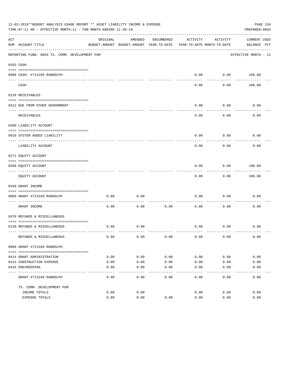| 12-03-2019**BUDGET ANALYSIS USAGE REPORT ** ASSET LIABILITY INCOME & EXPENSE<br>TIME: 07:11 AM - EFFECTIVE MONTH: 11 - FOR MONTH ENDING 11-30-19<br>PREPARER: 0004 |                                                |                                                                                 |                   |                  |               |                 |                                    | PAGE 134 |  |
|--------------------------------------------------------------------------------------------------------------------------------------------------------------------|------------------------------------------------|---------------------------------------------------------------------------------|-------------------|------------------|---------------|-----------------|------------------------------------|----------|--|
| ACT                                                                                                                                                                | NUM ACCOUNT-TITLE                              | ORIGINAL<br>BUDGET-AMOUNT BUDGET-AMOUNT YEAR-TO-DATE YEAR-TO-DATE MONTH-TO-DATE | AMENDED           | ENCUMBERED       | ACTIVITY      | ACTIVITY        | <b>CURRENT USED</b><br>BALANCE PCT |          |  |
|                                                                                                                                                                    | REPORTING FUND: 0093 TX. COMM. DEVELOPMENT PGM |                                                                                 |                   |                  |               |                 | EFFECTIVE MONTH - 11               |          |  |
|                                                                                                                                                                    | 0103 CASH                                      |                                                                                 |                   |                  |               |                 |                                    |          |  |
|                                                                                                                                                                    | 0909 CASH- #713169 RANDOLPH                    |                                                                                 |                   |                  | 0.00          | 0.00            | 100.00                             |          |  |
| $- - - - -$                                                                                                                                                        | CASH                                           |                                                                                 |                   |                  | 0.00          | 0.00            | 100.00                             |          |  |
|                                                                                                                                                                    | 0120 RECEIVABLES                               |                                                                                 |                   |                  |               |                 |                                    |          |  |
|                                                                                                                                                                    | 0312 DUE FROM OTHER GOVERNMENT                 |                                                                                 |                   |                  | 0.00          | 0.00            | 0.00                               |          |  |
|                                                                                                                                                                    | RECEIVABLES                                    |                                                                                 |                   |                  | 0.00          | -------<br>0.00 | 0.00                               |          |  |
|                                                                                                                                                                    | 0200 LIABILITY ACCOUNT                         |                                                                                 |                   |                  |               |                 |                                    |          |  |
|                                                                                                                                                                    | 0910 SYSTEM ADDED LIABILITY                    |                                                                                 |                   |                  | 0.00          | 0.00            | 0.00                               |          |  |
|                                                                                                                                                                    | LIABILITY ACCOUNT                              |                                                                                 |                   |                  | 0.00          | 0.00            | 0.00                               |          |  |
|                                                                                                                                                                    | 0271 EQUITY ACCOUNT                            |                                                                                 |                   |                  |               |                 |                                    |          |  |
|                                                                                                                                                                    | 0200 EQUITY ACCOUNT                            |                                                                                 |                   |                  | 0.00          | 0.00            | 100.00                             |          |  |
|                                                                                                                                                                    | EQUITY ACCOUNT                                 |                                                                                 |                   |                  | 0.00          | 0.00            | 100.00                             |          |  |
|                                                                                                                                                                    | 0330 GRANT INCOME                              |                                                                                 |                   |                  |               |                 |                                    |          |  |
|                                                                                                                                                                    | 0909 GRANT #713169 RANDOLPH                    | 0.00                                                                            | 0.00              |                  | 0.00          | 0.00            | 0.00                               |          |  |
|                                                                                                                                                                    | GRANT INCOME                                   | 0.00                                                                            | 0.00              | 0.00             | 0.00          | 0.00            | 0.00                               |          |  |
|                                                                                                                                                                    | 0370 REFUNDS & MISCELLANEOUS                   |                                                                                 |                   |                  |               |                 |                                    |          |  |
|                                                                                                                                                                    | 0130 REFUNDS & MISCELLANEOUS                   | 0.00                                                                            | 0.00              |                  | 0.00          | 0.00            | 0.00                               |          |  |
|                                                                                                                                                                    | REFUNDS & MISCELLANEOUS                        | 0.00                                                                            | 0.00              | 0.00             | 0.00          | 0.00            | 0.00                               |          |  |
|                                                                                                                                                                    | 0909 GRANT #713169 RANDOLPH                    |                                                                                 |                   |                  |               |                 |                                    |          |  |
|                                                                                                                                                                    | 0414 GRANT ADMINISTRATION                      | 0.00                                                                            | 0.00              | 0.00             | 0.00          | 0.00            | 0.00                               |          |  |
|                                                                                                                                                                    | 0415 CONSTRUCTION EXPENSE                      | 0.00                                                                            | 0.00              | 0.00             | 0.00          | 0.00            | 0.00                               |          |  |
|                                                                                                                                                                    | 0416 ENGINEERING                               | 0.00                                                                            | 0.00              | 0.00             | 0.00          | 0.00            | 0.00                               |          |  |
|                                                                                                                                                                    | GRANT #713169 RANDOLPH                         | 0.00                                                                            | $- - - -$<br>0.00 | $-- - -$<br>0.00 | -----<br>0.00 | -----<br>0.00   | 0.00                               |          |  |
|                                                                                                                                                                    | TX. COMM. DEVELOPMENT PGM                      |                                                                                 |                   |                  |               |                 |                                    |          |  |
|                                                                                                                                                                    | INCOME TOTALS                                  | 0.00                                                                            | 0.00              |                  | 0.00          | 0.00            | 0.00                               |          |  |
|                                                                                                                                                                    | EXPENSE TOTALS                                 | 0.00                                                                            | 0.00              | 0.00             | 0.00          | 0.00            | 0.00                               |          |  |
|                                                                                                                                                                    |                                                |                                                                                 |                   |                  |               |                 |                                    |          |  |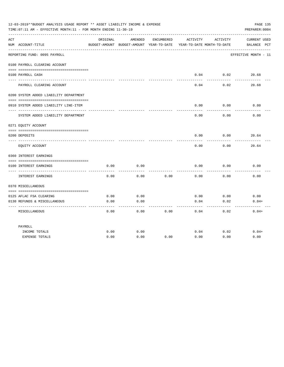| 12-03-2019**BUDGET ANALYSIS USAGE REPORT ** ASSET LIABILITY INCOME & EXPENSE<br>PAGE 135<br>TIME: 07:11 AM - EFFECTIVE MONTH: 11 - FOR MONTH ENDING 11-30-19<br>PREPARER: 0004 |                                          |          |                                                     |            |                                        |                 |                                    |  |  |
|--------------------------------------------------------------------------------------------------------------------------------------------------------------------------------|------------------------------------------|----------|-----------------------------------------------------|------------|----------------------------------------|-----------------|------------------------------------|--|--|
| ACT                                                                                                                                                                            | NUM ACCOUNT-TITLE                        | ORIGINAL | AMENDED<br>BUDGET-AMOUNT BUDGET-AMOUNT YEAR-TO-DATE | ENCUMBERED | ACTIVITY<br>YEAR-TO-DATE MONTH-TO-DATE | ACTIVITY        | <b>CURRENT USED</b><br>BALANCE PCT |  |  |
|                                                                                                                                                                                | REPORTING FUND: 0095 PAYROLL             |          |                                                     |            |                                        |                 | EFFECTIVE MONTH - 11               |  |  |
|                                                                                                                                                                                | 0100 PAYROLL CLEARING ACCOUNT            |          |                                                     |            |                                        |                 |                                    |  |  |
|                                                                                                                                                                                | 0100 PAYROLL CASH                        |          |                                                     |            | 0.04                                   | 0.02            | 20.68                              |  |  |
|                                                                                                                                                                                | PAYROLL CLEARING ACCOUNT                 |          |                                                     |            | 0.04                                   | 0.02            | 20.68                              |  |  |
|                                                                                                                                                                                | 0200 SYSTEM ADDED LIABILITY DEPARTMENT   |          |                                                     |            |                                        |                 |                                    |  |  |
|                                                                                                                                                                                | 0910 SYSTEM ADDED LIABILITY LINE-ITEM    |          |                                                     |            | 0.00                                   | 0.00            | 0.00                               |  |  |
|                                                                                                                                                                                | SYSTEM ADDED LIABILITY DEPARTMENT        |          |                                                     |            | 0.00                                   | -------<br>0.00 | 0.00                               |  |  |
|                                                                                                                                                                                | 0271 EQUITY ACCOUNT                      |          |                                                     |            |                                        |                 |                                    |  |  |
|                                                                                                                                                                                | 0200 DEPOSITS                            |          |                                                     |            | 0.00                                   | 0.00            | 20.64                              |  |  |
|                                                                                                                                                                                | EQUITY ACCOUNT                           |          |                                                     |            | 0.00                                   | 0.00            | 20.64                              |  |  |
|                                                                                                                                                                                | 0360 INTEREST EARNINGS                   |          |                                                     |            |                                        |                 |                                    |  |  |
|                                                                                                                                                                                | 0100 INTEREST EARNINGS                   | 0.00     | 0.00                                                |            | 0.00                                   | 0.00            | 0.00                               |  |  |
|                                                                                                                                                                                | ---- --------------<br>INTEREST EARNINGS | 0.00     | 0.00                                                | 0.00       | 0.00                                   | 0.00            | 0.00                               |  |  |
|                                                                                                                                                                                | 0370 MISCELLANEOUS                       |          |                                                     |            |                                        |                 |                                    |  |  |
|                                                                                                                                                                                | 0125 AFLAC FSA CLEARING                  | 0.00     | 0.00                                                |            | 0.00                                   | 0.00            | 0.00                               |  |  |
|                                                                                                                                                                                | 0130 REFUNDS & MISCELLANEOUS             | 0.00     | 0.00<br>----                                        |            | 0.04<br>-----                          | 0.02<br>-----   | $0.04+$                            |  |  |
|                                                                                                                                                                                | MISCELLANEOUS                            | 0.00     | 0.00                                                | 0.00       | 0.04                                   | 0.02            | $0.04+$                            |  |  |
|                                                                                                                                                                                | PAYROLL                                  |          |                                                     |            |                                        |                 |                                    |  |  |
|                                                                                                                                                                                | INCOME TOTALS                            | 0.00     | 0.00                                                |            | 0.04                                   | 0.02            | $0.04+$                            |  |  |
|                                                                                                                                                                                | <b>EXPENSE TOTALS</b>                    | 0.00     | 0.00                                                | 0.00       | 0.00                                   | 0.00            | 0.00                               |  |  |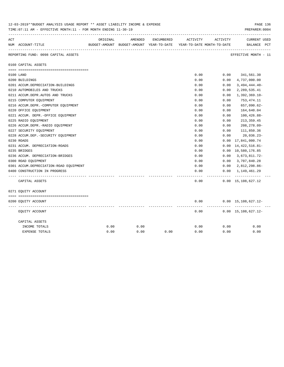| 12-03-2019**BUDGET ANALYSIS USAGE REPORT ** ASSET LIABILITY INCOME & EXPENSE<br>TIME: 07:11 AM - EFFECTIVE MONTH: 11 - FOR MONTH ENDING 11-30-19 |                                        |          |                                                                     |            |          |          |                                            |  |
|--------------------------------------------------------------------------------------------------------------------------------------------------|----------------------------------------|----------|---------------------------------------------------------------------|------------|----------|----------|--------------------------------------------|--|
| ACT                                                                                                                                              |                                        | ORIGINAL | AMENDED                                                             | ENCUMBERED | ACTIVITY | ACTIVITY | <b>CURRENT USED</b>                        |  |
|                                                                                                                                                  | NUM ACCOUNT-TITLE                      |          | BUDGET-AMOUNT BUDGET-AMOUNT YEAR-TO-DATE YEAR-TO-DATE MONTH-TO-DATE |            |          |          | BALANCE PCT                                |  |
|                                                                                                                                                  | REPORTING FUND: 0098 CAPITAL ASSETS    |          |                                                                     |            |          |          | EFFECTIVE MONTH - 11                       |  |
|                                                                                                                                                  | 0160 CAPITAL ASSETS                    |          |                                                                     |            |          |          |                                            |  |
|                                                                                                                                                  |                                        |          |                                                                     |            |          |          |                                            |  |
|                                                                                                                                                  | 0100 LAND                              |          |                                                                     |            | 0.00     | 0.00     | 341,561.30                                 |  |
|                                                                                                                                                  | 0200 BUILDINGS                         |          |                                                                     |            | 0.00     | 0.00     | 4,737,000.00                               |  |
|                                                                                                                                                  | 0201 ACCUM.DEPRECIATION-BUILDINGS      |          |                                                                     |            | 0.00     | 0.00     | $3,494,444.40-$                            |  |
|                                                                                                                                                  | 0210 AUTOMOBILES AND TRUCKS            |          |                                                                     |            | 0.00     | 0.00     | 2,289,535.41                               |  |
|                                                                                                                                                  | 0211 ACCUM.DEPR.AUTOS AND TRUCKS       |          |                                                                     |            | 0.00     | 0.00     | $1,392,369.10-$                            |  |
|                                                                                                                                                  | 0215 COMPUTER EQUIPMENT                |          |                                                                     |            | 0.00     | 0.00     | 753,474.11                                 |  |
|                                                                                                                                                  | 0216 ACCUM.DEPR.-COMPUTER EQUIPMENT    |          |                                                                     |            | 0.00     | 0.00     | 657,090.62-                                |  |
|                                                                                                                                                  | 0220 OFFICE EQUIPMENT                  |          |                                                                     |            | 0.00     | 0.00     | 164,640.04                                 |  |
|                                                                                                                                                  | 0221 ACCUM. DEPR. - OFFICE EQUIPMENT   |          |                                                                     |            | 0.00     | 0.00     | $100, 426.88 -$                            |  |
|                                                                                                                                                  | 0225 RADIO EQUIPMENT                   |          |                                                                     |            | 0.00     | 0.00     | 213, 359.45                                |  |
|                                                                                                                                                  | 0226 ACCUM.DEPR.-RADIO EQUIPMENT       |          |                                                                     |            | 0.00     | 0.00     | 208,278.09-                                |  |
|                                                                                                                                                  | 0227 SECURITY EQUIPMENT                |          |                                                                     |            | 0.00     | 0.00     | 111,850.36                                 |  |
|                                                                                                                                                  | 0228 ACCUM.DEP. - SECURITY EQUIPMENT   |          |                                                                     |            | 0.00     | 0.00     | $20,036.23-$                               |  |
|                                                                                                                                                  | 0230 ROADS                             |          |                                                                     |            | 0.00     | 0.00     | 17,841,000.74                              |  |
|                                                                                                                                                  | 0231 ACCUM. DEPRECIATION-ROADS         |          |                                                                     |            | 0.00     | 0.00     | 14, 422, 516.81-                           |  |
|                                                                                                                                                  | 0235 BRIDGES                           |          |                                                                     |            | 0.00     |          | 0.00 10,580,176.85                         |  |
|                                                                                                                                                  | 0236 ACCUM. DEPRECIATION-BRIDGES       |          |                                                                     |            | 0.00     | 0.00     | 3,673,811.72-                              |  |
|                                                                                                                                                  | 0300 ROAD EQUIPMENT                    |          |                                                                     |            | 0.00     | 0.00     | 3,707,840.28                               |  |
|                                                                                                                                                  | 0301 ACCUM.DEPRECIATION-ROAD EQUIPMENT |          |                                                                     |            | 0.00     | 0.00     | 2,812,298.86-                              |  |
|                                                                                                                                                  | 0400 CONSTRUCTION IN PROGRESS          |          |                                                                     |            | 0.00     | 0.00     | 1,149,461.29                               |  |
|                                                                                                                                                  |                                        |          |                                                                     |            |          |          |                                            |  |
|                                                                                                                                                  | CAPITAL ASSETS                         |          |                                                                     |            | 0.00     |          | $0.00 \quad 15,108,627.12$                 |  |
|                                                                                                                                                  | 0271 EQUITY ACCOUNT                    |          |                                                                     |            |          |          |                                            |  |
|                                                                                                                                                  |                                        |          |                                                                     |            |          |          |                                            |  |
|                                                                                                                                                  | 0200 EQUITY ACCOUNT                    |          |                                                                     |            | 0.00     |          | $0.00 \quad 15,108,627.12 -$<br>---------- |  |
|                                                                                                                                                  | EQUITY ACCOUNT                         |          |                                                                     |            | 0.00     |          | $0.00 \quad 15,108,627.12 -$               |  |
|                                                                                                                                                  | CAPITAL ASSETS                         |          |                                                                     |            |          |          |                                            |  |
|                                                                                                                                                  | INCOME TOTALS                          | 0.00     | 0.00                                                                |            | 0.00     | 0.00     | 0.00                                       |  |
|                                                                                                                                                  | <b>EXPENSE TOTALS</b>                  | 0.00     | 0.00                                                                | 0.00       | 0.00     | 0.00     | 0.00                                       |  |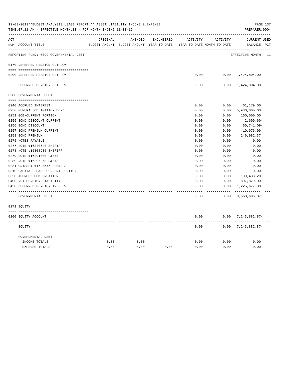| ACT |                                        | ORIGINAL | AMENDED                                                             | ENCUMBERED | ACTIVITY      | ACTIVITY        | <b>CURRENT USED</b>           |  |
|-----|----------------------------------------|----------|---------------------------------------------------------------------|------------|---------------|-----------------|-------------------------------|--|
|     | NUM ACCOUNT-TITLE                      |          | BUDGET-AMOUNT BUDGET-AMOUNT YEAR-TO-DATE YEAR-TO-DATE MONTH-TO-DATE |            |               |                 | BALANCE PCT                   |  |
|     | REPORTING FUND: 0099 GOVERNMENTAL DEBT |          |                                                                     |            |               |                 | EFFECTIVE MONTH - 11          |  |
|     | 0170 DEFERRED PENSION OUTFLOW          |          |                                                                     |            |               |                 |                               |  |
|     | 0200 DEFERRED PENSION OUTFLOW          |          |                                                                     |            | 0.00          |                 | $0.00 \quad 1,424,804.00$     |  |
|     | DEFERRED PENSION OUTFLOW               |          |                                                                     |            | 0.00          |                 | $0.00 \quad 1,424,804.00$     |  |
|     | 0200 GOVERNMENTAL DEBT                 |          |                                                                     |            |               |                 |                               |  |
|     | 0240 ACCRUED INTEREST                  |          |                                                                     |            | 0.00          | 0.00            | 61,179.00                     |  |
|     | 0250 GENERAL OBLIGATION BOND           |          |                                                                     |            | 0.00          | 0.00            | 5,930,000.00                  |  |
|     | 0251 GOB-CURRENT PORTION               |          |                                                                     |            | 0.00          | 0.00            | 160,000.00                    |  |
|     | 0255 BOND DISCOUNT CURRENT             |          |                                                                     |            | 0.00          | 0.00            | 2,699.60-                     |  |
|     | 0256 BOND DISCOUNT                     |          |                                                                     |            | 0.00          | 0.00            | $60, 741.09 -$                |  |
|     | 0257 BOND PREMIUM CURRENT              |          |                                                                     |            | 0.00          | 0.00            | 10,976.99                     |  |
|     | 0258 BOND PREMIUM                      |          |                                                                     |            | 0.00          | 0.00            | 246,982.37                    |  |
|     | 0275 NOTES PAYABLE                     |          |                                                                     |            | 0.00          | 0.00            | 0.00                          |  |
|     | 0277 NOTE #16240648-SHERIFF            |          |                                                                     |            | 0.00          | 0.00            | 0.00                          |  |
|     | 0278 NOTE #16308936-SHERIFF            |          |                                                                     |            | 0.00          | 0.00            | 0.00                          |  |
|     | 0279 NOTE #16291000-R&B#3              |          |                                                                     |            | 0.00          | 0.00            | 0.00                          |  |
|     | 0280 NOTE #16295968-R&B#3              |          |                                                                     |            | 0.00          | 0.00            | 0.00                          |  |
|     | 0281 ODYSSEY #16235752-GENERAL         |          |                                                                     |            | 0.00          | 0.00            | 0.00                          |  |
|     | 0310 CAPITAL LEASE-CURRENT PORTION     |          |                                                                     |            | 0.00          | 0.00            | 0.00                          |  |
|     | 0350 ACCRUED COMPENSATION              |          |                                                                     |            | 0.00          | 0.00            | 199,433.20                    |  |
|     | 0400 NET PENSION LIABILITY             |          |                                                                     |            | 0.00          | 0.00            | 897,879.00                    |  |
|     | 0450 DEFERRED PENSION IN FLOW          |          |                                                                     |            | 0.00<br>----- | 0.00<br>------- | 1,225,677.00<br>------------- |  |
|     | GOVERNMENTAL DEBT                      |          |                                                                     |            | 0.00          | 0.00            | 8,668,686.87                  |  |
|     | 0271 EQUITY                            |          |                                                                     |            |               |                 |                               |  |
|     | 0200 EQUITY ACCOUNT                    |          |                                                                     |            | 0.00          |                 | $0.00$ 7, 243, 882.87-        |  |
|     | EOUITY                                 |          |                                                                     |            | 0.00          | ------          | $0.00$ 7, 243, 882.87-        |  |
|     | GOVERNMENTAL DEBT                      |          |                                                                     |            |               |                 |                               |  |
|     | INCOME TOTALS                          | 0.00     | 0.00                                                                |            | 0.00          | 0.00            | 0.00                          |  |
|     | <b>EXPENSE TOTALS</b>                  | 0.00     | 0.00                                                                | 0.00       | 0.00          | 0.00            | 0.00                          |  |